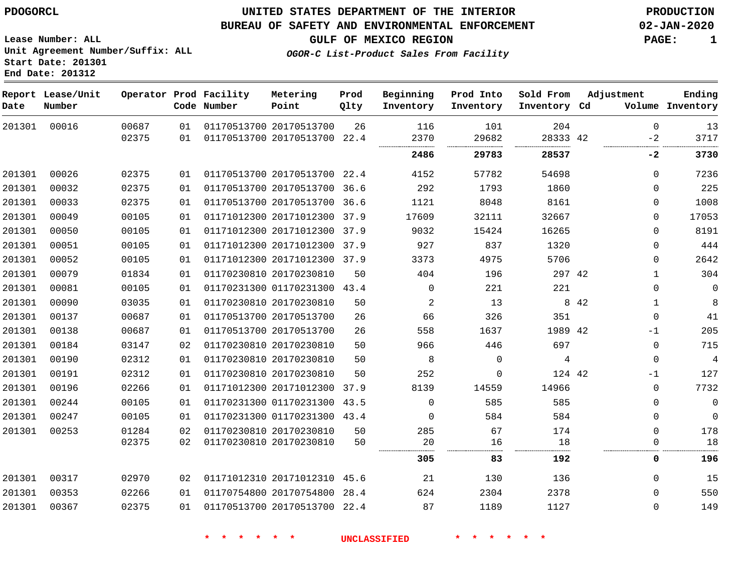### **UNITED STATES DEPARTMENT OF THE INTERIOR PDOGORCL PRODUCTION**

#### **BUREAU OF SAFETY AND ENVIRONMENTAL ENFORCEMENT 02-JAN-2020**

**Lease Number: ALL Unit Agreement Number/Suffix: ALL Start Date: 201301**

**GULF OF MEXICO REGION PAGE: 1**

**OGOR-C List-Product Sales From Facility**

| Date   | Report Lease/Unit<br>Number |       |    | Operator Prod Facility<br>Code Number | Metering<br>Point            | Prod<br>Qlty | Beginning<br>Inventory | Prod Into<br>Inventory | Sold From<br>Inventory Cd | Adjustment   | Ending<br>Volume Inventory |
|--------|-----------------------------|-------|----|---------------------------------------|------------------------------|--------------|------------------------|------------------------|---------------------------|--------------|----------------------------|
| 201301 | 00016                       | 00687 | 01 |                                       | 01170513700 20170513700      | 26           | 116                    | 101                    | 204                       | $\Omega$     | 13                         |
|        |                             | 02375 | 01 |                                       | 01170513700 20170513700 22.4 |              | 2370<br>               | 29682                  | 28333 42                  | $-2$         | 3717                       |
|        |                             |       |    |                                       |                              |              | 2486                   | 29783                  | 28537                     | -2           | 3730                       |
| 201301 | 00026                       | 02375 | 01 |                                       | 01170513700 20170513700 22.4 |              | 4152                   | 57782                  | 54698                     | $\Omega$     | 7236                       |
| 201301 | 00032                       | 02375 | 01 |                                       | 01170513700 20170513700 36.6 |              | 292                    | 1793                   | 1860                      | $\Omega$     | 225                        |
| 201301 | 00033                       | 02375 | 01 |                                       | 01170513700 20170513700      | 36.6         | 1121                   | 8048                   | 8161                      | 0            | 1008                       |
| 201301 | 00049                       | 00105 | 01 |                                       | 01171012300 20171012300 37.9 |              | 17609                  | 32111                  | 32667                     | 0            | 17053                      |
| 201301 | 00050                       | 00105 | 01 |                                       | 01171012300 20171012300      | 37.9         | 9032                   | 15424                  | 16265                     | $\Omega$     | 8191                       |
| 201301 | 00051                       | 00105 | 01 |                                       | 01171012300 20171012300      | 37.9         | 927                    | 837                    | 1320                      | $\Omega$     | 444                        |
| 201301 | 00052                       | 00105 | 01 |                                       | 01171012300 20171012300      | 37.9         | 3373                   | 4975                   | 5706                      | 0            | 2642                       |
| 201301 | 00079                       | 01834 | 01 |                                       | 01170230810 20170230810      | 50           | 404                    | 196                    | 297 42                    | $\mathbf 1$  | 304                        |
| 201301 | 00081                       | 00105 | 01 |                                       | 01170231300 01170231300 43.4 |              | $\Omega$               | 221                    | 221                       | $\Omega$     | $\mathbf 0$                |
| 201301 | 00090                       | 03035 | 01 |                                       | 01170230810 20170230810      | 50           | 2                      | 13                     |                           | 8 4 2<br>1   | 8                          |
| 201301 | 00137                       | 00687 | 01 |                                       | 01170513700 20170513700      | 26           | 66                     | 326                    | 351                       | 0            | 41                         |
| 201301 | 00138                       | 00687 | 01 |                                       | 01170513700 20170513700      | 26           | 558                    | 1637                   | 1989 42                   | $-1$         | 205                        |
| 201301 | 00184                       | 03147 | 02 |                                       | 01170230810 20170230810      | 50           | 966                    | 446                    | 697                       | $\mathbf{0}$ | 715                        |
| 201301 | 00190                       | 02312 | 01 |                                       | 01170230810 20170230810      | 50           | 8                      | $\mathbf 0$            | $\overline{4}$            | $\mathbf{0}$ | $\overline{4}$             |
| 201301 | 00191                       | 02312 | 01 |                                       | 01170230810 20170230810      | 50           | 252                    | $\Omega$               | 124 42                    | $-1$         | 127                        |
| 201301 | 00196                       | 02266 | 01 |                                       | 01171012300 20171012300      | 37.9         | 8139                   | 14559                  | 14966                     | $\mathbf{0}$ | 7732                       |
| 201301 | 00244                       | 00105 | 01 |                                       | 01170231300 01170231300 43.5 |              | $\Omega$               | 585                    | 585                       | $\Omega$     | $\mathbf 0$                |
| 201301 | 00247                       | 00105 | 01 |                                       | 01170231300 01170231300 43.4 |              | $\Omega$               | 584                    | 584                       | 0            | $\mathbf 0$                |
| 201301 | 00253                       | 01284 | 02 |                                       | 01170230810 20170230810      | 50           | 285                    | 67                     | 174                       | $\Omega$     | 178                        |
|        |                             | 02375 | 02 |                                       | 01170230810 20170230810      | 50           | 20                     | 16                     | 18                        | 0            | 18                         |
|        |                             |       |    |                                       |                              |              | 305                    | 83                     | 192                       | 0            | 196                        |
| 201301 | 00317                       | 02970 | 02 |                                       | 01171012310 20171012310      | 45.6         | 21                     | 130                    | 136                       | $\mathbf 0$  | 15                         |
| 201301 | 00353                       | 02266 | 01 |                                       | 01170754800 20170754800      | 28.4         | 624                    | 2304                   | 2378                      | $\Omega$     | 550                        |
| 201301 | 00367                       | 02375 | 01 |                                       | 01170513700 20170513700 22.4 |              | 87                     | 1189                   | 1127                      | $\Omega$     | 149                        |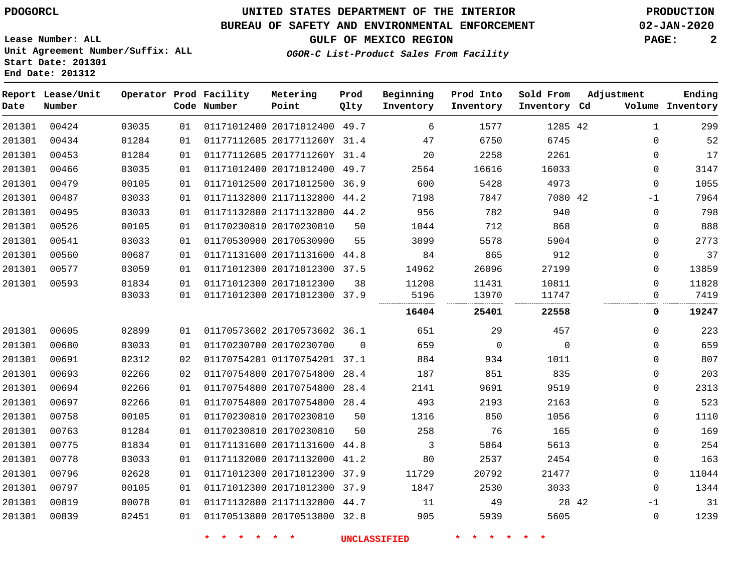### **BUREAU OF SAFETY AND ENVIRONMENTAL ENFORCEMENT 02-JAN-2020**

**OGOR-C List-Product Sales From Facility**

**GULF OF MEXICO REGION PAGE: 2**

**Lease Number: ALL Unit Agreement Number/Suffix: ALL Start Date: 201301 End Date: 201312**

| Date   | Report Lease/Unit<br>Number |       |    | Operator Prod Facility<br>Code Number | Metering<br>Point            | Prod<br>Qlty | Beginning<br>Inventory | Prod Into<br>Inventory | Sold From<br>Inventory Cd | Adjustment    | Ending<br>Volume Inventory |
|--------|-----------------------------|-------|----|---------------------------------------|------------------------------|--------------|------------------------|------------------------|---------------------------|---------------|----------------------------|
| 201301 | 00424                       | 03035 | 01 |                                       | 01171012400 20171012400 49.7 |              | 6                      | 1577                   | 1285 42                   | $\mathbf{1}$  | 299                        |
| 201301 | 00434                       | 01284 | 01 |                                       | 01177112605 2017711260Y 31.4 |              | 47                     | 6750                   | 6745                      | $\Omega$      | 52                         |
| 201301 | 00453                       | 01284 | 01 |                                       | 01177112605 2017711260Y 31.4 |              | 20                     | 2258                   | 2261                      | 0             | 17                         |
| 201301 | 00466                       | 03035 | 01 |                                       | 01171012400 20171012400 49.7 |              | 2564                   | 16616                  | 16033                     | 0             | 3147                       |
| 201301 | 00479                       | 00105 | 01 |                                       | 01171012500 20171012500 36.9 |              | 600                    | 5428                   | 4973                      | $\mathbf 0$   | 1055                       |
| 201301 | 00487                       | 03033 | 01 |                                       | 01171132800 21171132800 44.2 |              | 7198                   | 7847                   | 7080 42                   | $-1$          | 7964                       |
| 201301 | 00495                       | 03033 | 01 |                                       | 01171132800 21171132800 44.2 |              | 956                    | 782                    | 940                       | $\mathbf 0$   | 798                        |
| 201301 | 00526                       | 00105 | 01 |                                       | 01170230810 20170230810      | 50           | 1044                   | 712                    | 868                       | $\mathbf 0$   | 888                        |
| 201301 | 00541                       | 03033 | 01 |                                       | 01170530900 20170530900      | 55           | 3099                   | 5578                   | 5904                      | $\mathbf 0$   | 2773                       |
| 201301 | 00560                       | 00687 | 01 |                                       | 01171131600 20171131600 44.8 |              | 84                     | 865                    | 912                       | 0             | 37                         |
| 201301 | 00577                       | 03059 | 01 |                                       | 01171012300 20171012300 37.5 |              | 14962                  | 26096                  | 27199                     | 0             | 13859                      |
| 201301 | 00593                       | 01834 | 01 |                                       | 01171012300 20171012300      | 38           | 11208                  | 11431                  | 10811                     | $\Omega$      | 11828                      |
|        |                             | 03033 | 01 |                                       | 01171012300 20171012300 37.9 |              | 5196<br>               | 13970                  | 11747                     | 0             | 7419                       |
|        |                             |       |    |                                       |                              |              | 16404                  | 25401                  | 22558                     | 0             | 19247                      |
| 201301 | 00605                       | 02899 | 01 |                                       | 01170573602 20170573602 36.1 |              | 651                    | 29                     | 457                       | 0             | 223                        |
| 201301 | 00680                       | 03033 | 01 |                                       | 01170230700 20170230700      | $\Omega$     | 659                    | $\mathbf 0$            | $\Omega$                  | $\Omega$      | 659                        |
| 201301 | 00691                       | 02312 | 02 |                                       | 01170754201 01170754201 37.1 |              | 884                    | 934                    | 1011                      | 0             | 807                        |
| 201301 | 00693                       | 02266 | 02 |                                       | 01170754800 20170754800 28.4 |              | 187                    | 851                    | 835                       | 0             | 203                        |
| 201301 | 00694                       | 02266 | 01 |                                       | 01170754800 20170754800 28.4 |              | 2141                   | 9691                   | 9519                      | 0             | 2313                       |
| 201301 | 00697                       | 02266 | 01 |                                       | 01170754800 20170754800 28.4 |              | 493                    | 2193                   | 2163                      | 0             | 523                        |
| 201301 | 00758                       | 00105 | 01 |                                       | 01170230810 20170230810      | 50           | 1316                   | 850                    | 1056                      | $\mathbf 0$   | 1110                       |
| 201301 | 00763                       | 01284 | 01 |                                       | 01170230810 20170230810      | 50           | 258                    | 76                     | 165                       | 0             | 169                        |
| 201301 | 00775                       | 01834 | 01 |                                       | 01171131600 20171131600 44.8 |              | 3                      | 5864                   | 5613                      | $\mathbf 0$   | 254                        |
| 201301 | 00778                       | 03033 | 01 |                                       | 01171132000 20171132000      | 41.2         | 80                     | 2537                   | 2454                      | $\mathbf 0$   | 163                        |
| 201301 | 00796                       | 02628 | 01 |                                       | 01171012300 20171012300 37.9 |              | 11729                  | 20792                  | 21477                     | 0             | 11044                      |
| 201301 | 00797                       | 00105 | 01 |                                       | 01171012300 20171012300 37.9 |              | 1847                   | 2530                   | 3033                      | $\mathbf 0$   | 1344                       |
| 201301 | 00819                       | 00078 | 01 |                                       | 01171132800 21171132800 44.7 |              | 11                     | 49                     |                           | 28 42<br>$-1$ | 31                         |
| 201301 | 00839                       | 02451 | 01 |                                       | 01170513800 20170513800 32.8 |              | 905                    | 5939                   | 5605                      | $\mathbf 0$   | 1239                       |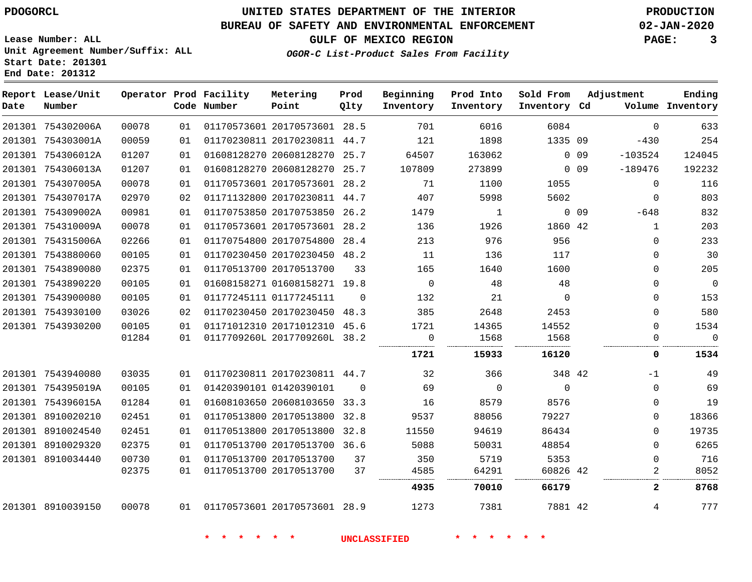**Start Date: 201301 End Date: 201312**

# **UNITED STATES DEPARTMENT OF THE INTERIOR PDOGORCL PRODUCTION**

### **BUREAU OF SAFETY AND ENVIRONMENTAL ENFORCEMENT 02-JAN-2020**

**Lease Number: ALL Unit Agreement Number/Suffix: ALL**

**GULF OF MEXICO REGION PAGE: 3**

**OGOR-C List-Product Sales From Facility**

| Date | Report Lease/Unit<br>Number |       |    | Operator Prod Facility<br>Code Number | Metering<br>Point            | Prod<br>Qlty | Beginning<br>Inventory | Prod Into<br>Inventory | Sold From<br>Inventory Cd | Adjustment                   |              | Ending<br>Volume Inventory |
|------|-----------------------------|-------|----|---------------------------------------|------------------------------|--------------|------------------------|------------------------|---------------------------|------------------------------|--------------|----------------------------|
|      | 201301 754302006A           | 00078 | 01 |                                       | 01170573601 20170573601 28.5 |              | 701                    | 6016                   | 6084                      |                              | $\mathbf 0$  | 633                        |
|      | 201301 754303001A           | 00059 | 01 |                                       | 01170230811 20170230811 44.7 |              | 121                    | 1898                   | 1335 09                   |                              | $-430$       | 254                        |
|      | 201301 754306012A           | 01207 | 01 |                                       | 01608128270 20608128270 25.7 |              | 64507                  | 163062                 |                           | 0 <sub>09</sub><br>$-103524$ |              | 124045                     |
|      | 201301 754306013A           | 01207 | 01 |                                       | 01608128270 20608128270 25.7 |              | 107809                 | 273899                 |                           | 0 <sub>09</sub><br>$-189476$ |              | 192232                     |
|      | 201301 754307005A           | 00078 | 01 |                                       | 01170573601 20170573601 28.2 |              | 71                     | 1100                   | 1055                      |                              | 0            | 116                        |
|      | 201301 754307017A           | 02970 | 02 |                                       | 01171132800 20170230811 44.7 |              | 407                    | 5998                   | 5602                      |                              | 0            | 803                        |
|      | 201301 754309002A           | 00981 | 01 |                                       | 01170753850 20170753850 26.2 |              | 1479                   | 1                      |                           | $0$ 09                       | $-648$       | 832                        |
|      | 201301 754310009A           | 00078 | 01 |                                       | 01170573601 20170573601 28.2 |              | 136                    | 1926                   | 1860 42                   |                              | $\mathbf{1}$ | 203                        |
|      | 201301 754315006A           | 02266 | 01 |                                       | 01170754800 20170754800 28.4 |              | 213                    | 976                    | 956                       |                              | 0            | 233                        |
|      | 201301 7543880060           | 00105 | 01 |                                       | 01170230450 20170230450 48.2 |              | 11                     | 136                    | 117                       |                              | 0            | 30                         |
|      | 201301 7543890080           | 02375 | 01 |                                       | 01170513700 20170513700      | 33           | 165                    | 1640                   | 1600                      |                              | 0            | 205                        |
|      | 201301 7543890220           | 00105 | 01 |                                       | 01608158271 01608158271 19.8 |              | $\overline{0}$         | 48                     | 48                        |                              | $\Omega$     | $\mathbf 0$                |
|      | 201301 7543900080           | 00105 | 01 |                                       | 01177245111 01177245111      | $\Omega$     | 132                    | 21                     | $\mathbf 0$               |                              | 0            | 153                        |
|      | 201301 7543930100           | 03026 | 02 |                                       | 01170230450 20170230450 48.3 |              | 385                    | 2648                   | 2453                      |                              | 0            | 580                        |
|      | 201301 7543930200           | 00105 | 01 |                                       | 01171012310 20171012310 45.6 |              | 1721                   | 14365                  | 14552                     |                              | $\Omega$     | 1534                       |
|      |                             | 01284 | 01 |                                       | 0117709260L 2017709260L 38.2 |              | $\mathbf 0$<br>        | 1568                   | 1568                      |                              | $\Omega$     | $\mathbf 0$                |
|      |                             |       |    |                                       |                              |              | 1721                   | 15933                  | 16120                     |                              | 0            | 1534                       |
|      | 201301 7543940080           | 03035 | 01 |                                       | 01170230811 20170230811 44.7 |              | 32                     | 366                    | 348 42                    |                              | $-1$         | 49                         |
|      | 201301 754395019A           | 00105 | 01 |                                       | 01420390101 01420390101      | $\Omega$     | 69                     | $\mathbf 0$            | $\Omega$                  |                              | $\Omega$     | 69                         |
|      | 201301 754396015A           | 01284 | 01 |                                       | 01608103650 20608103650 33.3 |              | 16                     | 8579                   | 8576                      |                              | $\Omega$     | 19                         |
|      | 201301 8910020210           | 02451 | 01 |                                       | 01170513800 20170513800 32.8 |              | 9537                   | 88056                  | 79227                     |                              | 0            | 18366                      |
|      | 201301 8910024540           | 02451 | 01 |                                       | 01170513800 20170513800 32.8 |              | 11550                  | 94619                  | 86434                     |                              | 0            | 19735                      |
|      | 201301 8910029320           | 02375 | 01 |                                       | 01170513700 20170513700 36.6 |              | 5088                   | 50031                  | 48854                     |                              | $\Omega$     | 6265                       |
|      | 201301 8910034440           | 00730 | 01 |                                       | 01170513700 20170513700      | 37           | 350                    | 5719                   | 5353                      |                              | 0            | 716                        |
|      |                             | 02375 | 01 |                                       | 01170513700 20170513700      | 37           | 4585                   | 64291                  | 60826 42                  |                              | 2            | 8052                       |
|      |                             |       |    |                                       |                              |              | 4935                   | 70010                  | 66179                     |                              | 2            | 8768                       |
|      | 201301 8910039150           | 00078 |    | 01 01170573601 20170573601 28.9       |                              |              | 1273                   | 7381                   | 7881 42                   |                              | 4            | 777                        |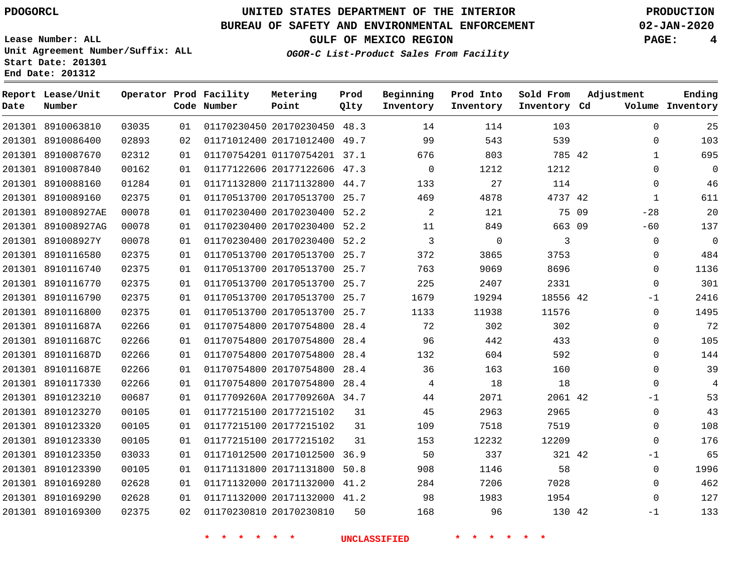### **BUREAU OF SAFETY AND ENVIRONMENTAL ENFORCEMENT 02-JAN-2020**

**Lease Number: ALL Unit Agreement Number/Suffix: ALL Start Date: 201301**

**End Date: 201312**

**GULF OF MEXICO REGION PAGE: 4**

**OGOR-C List-Product Sales From Facility**

| Date | Report Lease/Unit<br>Number |       |    | Operator Prod Facility<br>Code Number | Metering<br>Point            | Prod<br>Qlty | Beginning<br>Inventory | Prod Into<br>Inventory | Sold From<br>Inventory Cd | Adjustment     | Ending<br>Volume Inventory |
|------|-----------------------------|-------|----|---------------------------------------|------------------------------|--------------|------------------------|------------------------|---------------------------|----------------|----------------------------|
|      | 201301 8910063810           | 03035 | 01 |                                       | 01170230450 20170230450 48.3 |              | 14                     | 114                    | 103                       | $\Omega$       | 25                         |
|      | 201301 8910086400           | 02893 | 02 |                                       | 01171012400 20171012400 49.7 |              | 99                     | 543                    | 539                       | $\Omega$       | 103                        |
|      | 201301 8910087670           | 02312 | 01 |                                       | 01170754201 01170754201 37.1 |              | 676                    | 803                    | 785 42                    | 1              | 695                        |
|      | 201301 8910087840           | 00162 | 01 |                                       | 01177122606 20177122606 47.3 |              | $\overline{0}$         | 1212                   | 1212                      | 0              | 0                          |
|      | 201301 8910088160           | 01284 | 01 |                                       | 01171132800 21171132800 44.7 |              | 133                    | 27                     | 114                       | 0              | 46                         |
|      | 201301 8910089160           | 02375 | 01 |                                       | 01170513700 20170513700 25.7 |              | 469                    | 4878                   | 4737 42                   | $\mathbf{1}$   | 611                        |
|      | 201301 891008927AE          | 00078 | 01 |                                       | 01170230400 20170230400 52.2 |              | $\overline{a}$         | 121                    |                           | 75 09<br>$-28$ | 20                         |
|      | 201301 891008927AG          | 00078 | 01 |                                       | 01170230400 20170230400      | 52.2         | 11                     | 849                    | 663 09                    | $-60$          | 137                        |
|      | 201301 891008927Y           | 00078 | 01 |                                       | 01170230400 20170230400 52.2 |              | 3                      | $\mathbf 0$            | 3                         | 0              | 0                          |
|      | 201301 8910116580           | 02375 | 01 |                                       | 01170513700 20170513700 25.7 |              | 372                    | 3865                   | 3753                      | 0              | 484                        |
|      | 201301 8910116740           | 02375 | 01 |                                       | 01170513700 20170513700 25.7 |              | 763                    | 9069                   | 8696                      | $\Omega$       | 1136                       |
|      | 201301 8910116770           | 02375 | 01 |                                       | 01170513700 20170513700 25.7 |              | 225                    | 2407                   | 2331                      | 0              | 301                        |
|      | 201301 8910116790           | 02375 | 01 |                                       | 01170513700 20170513700 25.7 |              | 1679                   | 19294                  | 18556 42                  | -1             | 2416                       |
|      | 201301 8910116800           | 02375 | 01 |                                       | 01170513700 20170513700 25.7 |              | 1133                   | 11938                  | 11576                     | $\mathbf 0$    | 1495                       |
|      | 201301 891011687A           | 02266 | 01 |                                       | 01170754800 20170754800 28.4 |              | 72                     | 302                    | 302                       | $\Omega$       | 72                         |
|      | 201301 891011687C           | 02266 | 01 |                                       | 01170754800 20170754800      | 28.4         | 96                     | 442                    | 433                       | 0              | 105                        |
|      | 201301 891011687D           | 02266 | 01 |                                       | 01170754800 20170754800 28.4 |              | 132                    | 604                    | 592                       | $\Omega$       | 144                        |
|      | 201301 891011687E           | 02266 | 01 |                                       | 01170754800 20170754800 28.4 |              | 36                     | 163                    | 160                       | $\mathbf 0$    | 39                         |
|      | 201301 8910117330           | 02266 | 01 |                                       | 01170754800 20170754800 28.4 |              | 4                      | 18                     | 18                        | $\Omega$       | 4                          |
|      | 201301 8910123210           | 00687 | 01 |                                       | 0117709260A 2017709260A 34.7 |              | 44                     | 2071                   | 2061 42                   | $-1$           | 53                         |
|      | 201301 8910123270           | 00105 | 01 |                                       | 01177215100 20177215102      | 31           | 45                     | 2963                   | 2965                      | $\mathbf{0}$   | 43                         |
|      | 201301 8910123320           | 00105 | 01 |                                       | 01177215100 20177215102      | 31           | 109                    | 7518                   | 7519                      | $\Omega$       | 108                        |
|      | 201301 8910123330           | 00105 | 01 |                                       | 01177215100 20177215102      | 31           | 153                    | 12232                  | 12209                     | $\Omega$       | 176                        |
|      | 201301 8910123350           | 03033 | 01 |                                       | 01171012500 20171012500      | 36.9         | 50                     | 337                    | 321 42                    | $-1$           | 65                         |
|      | 201301 8910123390           | 00105 | 01 |                                       | 01171131800 20171131800 50.8 |              | 908                    | 1146                   | 58                        | $\mathbf 0$    | 1996                       |
|      | 201301 8910169280           | 02628 | 01 |                                       | 01171132000 20171132000 41.2 |              | 284                    | 7206                   | 7028                      | $\Omega$       | 462                        |
|      | 201301 8910169290           | 02628 | 01 |                                       | 01171132000 20171132000 41.2 |              | 98                     | 1983                   | 1954                      | $\Omega$       | 127                        |
|      | 201301 8910169300           | 02375 | 02 |                                       | 01170230810 20170230810      | 50           | 168                    | 96                     | 130 42                    | $-1$           | 133                        |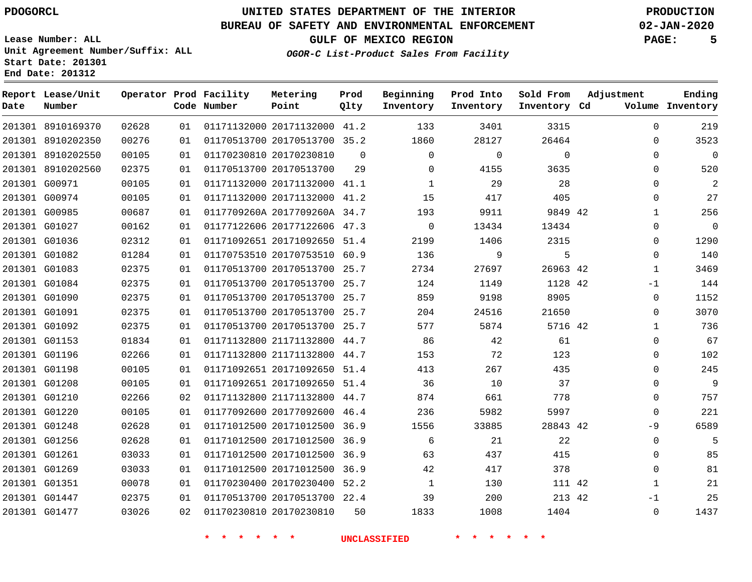# **UNITED STATES DEPARTMENT OF THE INTERIOR PDOGORCL PRODUCTION**

### **BUREAU OF SAFETY AND ENVIRONMENTAL ENFORCEMENT 02-JAN-2020**

**Lease Number: ALL Unit Agreement Number/Suffix: ALL Start Date: 201301**

**GULF OF MEXICO REGION PAGE: 5**

**OGOR-C List-Product Sales From Facility**

| Date | Report Lease/Unit<br>Number |       |    | Operator Prod Facility<br>Code Number | Metering<br>Point            | Prod<br>Qlty | Beginning<br>Inventory | Prod Into<br>Inventory | Sold From<br>Inventory Cd | Adjustment |              | Ending<br>Volume Inventory |
|------|-----------------------------|-------|----|---------------------------------------|------------------------------|--------------|------------------------|------------------------|---------------------------|------------|--------------|----------------------------|
|      | 201301 8910169370           | 02628 | 01 |                                       | 01171132000 20171132000      | 41.2         | 133                    | 3401                   | 3315                      |            | $\Omega$     | 219                        |
|      | 201301 8910202350           | 00276 | 01 |                                       | 01170513700 20170513700 35.2 |              | 1860                   | 28127                  | 26464                     |            | $\Omega$     | 3523                       |
|      | 201301 8910202550           | 00105 | 01 |                                       | 01170230810 20170230810      | $\Omega$     | $\Omega$               | $\mathbf 0$            | $\Omega$                  |            | $\mathbf 0$  | $\overline{0}$             |
|      | 201301 8910202560           | 02375 | 01 |                                       | 01170513700 20170513700      | 29           | 0                      | 4155                   | 3635                      |            | $\mathbf 0$  | 520                        |
|      | 201301 G00971               | 00105 | 01 |                                       | 01171132000 20171132000      | 41.1         | 1                      | 29                     | 28                        |            | 0            | $\overline{2}$             |
|      | 201301 G00974               | 00105 | 01 |                                       | 01171132000 20171132000      | 41.2         | 15                     | 417                    | 405                       |            | $\mathbf 0$  | 27                         |
|      | 201301 G00985               | 00687 | 01 |                                       | 0117709260A 2017709260A 34.7 |              | 193                    | 9911                   | 9849 42                   |            | $\mathbf{1}$ | 256                        |
|      | 201301 G01027               | 00162 | 01 |                                       | 01177122606 20177122606      | 47.3         | $\mathbf 0$            | 13434                  | 13434                     |            | $\mathbf 0$  | $\overline{0}$             |
|      | 201301 G01036               | 02312 | 01 |                                       | 01171092651 20171092650      | 51.4         | 2199                   | 1406                   | 2315                      |            | 0            | 1290                       |
|      | 201301 G01082               | 01284 | 01 |                                       | 01170753510 20170753510      | 60.9         | 136                    | 9                      | 5                         |            | $\mathbf 0$  | 140                        |
|      | 201301 G01083               | 02375 | 01 |                                       | 01170513700 20170513700 25.7 |              | 2734                   | 27697                  | 26963 42                  |            | $\mathbf{1}$ | 3469                       |
|      | 201301 G01084               | 02375 | 01 |                                       | 01170513700 20170513700      | 25.7         | 124                    | 1149                   | 1128 42                   |            | $-1$         | 144                        |
|      | 201301 G01090               | 02375 | 01 |                                       | 01170513700 20170513700      | 25.7         | 859                    | 9198                   | 8905                      |            | $\mathbf 0$  | 1152                       |
|      | 201301 G01091               | 02375 | 01 |                                       | 01170513700 20170513700      | 25.7         | 204                    | 24516                  | 21650                     |            | 0            | 3070                       |
|      | 201301 G01092               | 02375 | 01 |                                       | 01170513700 20170513700 25.7 |              | 577                    | 5874                   | 5716 42                   |            | $\mathbf 1$  | 736                        |
|      | 201301 G01153               | 01834 | 01 |                                       | 01171132800 21171132800      | 44.7         | 86                     | 42                     | 61                        |            | $\mathbf 0$  | 67                         |
|      | 201301 G01196               | 02266 | 01 |                                       | 01171132800 21171132800      | 44.7         | 153                    | 72                     | 123                       |            | 0            | 102                        |
|      | 201301 G01198               | 00105 | 01 |                                       | 01171092651 20171092650 51.4 |              | 413                    | 267                    | 435                       |            | $\Omega$     | 245                        |
|      | 201301 G01208               | 00105 | 01 |                                       | 01171092651 20171092650 51.4 |              | 36                     | 10                     | 37                        |            | 0            | 9                          |
|      | 201301 G01210               | 02266 | 02 |                                       | 01171132800 21171132800      | 44.7         | 874                    | 661                    | 778                       |            | $\mathbf 0$  | 757                        |
|      | 201301 G01220               | 00105 | 01 |                                       | 01177092600 20177092600      | 46.4         | 236                    | 5982                   | 5997                      |            | $\Omega$     | 221                        |
|      | 201301 G01248               | 02628 | 01 |                                       | 01171012500 20171012500      | 36.9         | 1556                   | 33885                  | 28843 42                  |            | $-9$         | 6589                       |
|      | 201301 G01256               | 02628 | 01 |                                       | 01171012500 20171012500 36.9 |              | 6                      | 21                     | 22                        |            | $\mathbf 0$  | 5                          |
|      | 201301 G01261               | 03033 | 01 |                                       | 01171012500 20171012500      | 36.9         | 63                     | 437                    | 415                       |            | 0            | 85                         |
|      | 201301 G01269               | 03033 | 01 |                                       | 01171012500 20171012500 36.9 |              | 42                     | 417                    | 378                       |            | $\mathbf 0$  | 81                         |
|      | 201301 G01351               | 00078 | 01 |                                       | 01170230400 20170230400 52.2 |              | 1                      | 130                    | 111 42                    |            | $\mathbf{1}$ | 21                         |
|      | 201301 G01447               | 02375 | 01 |                                       | 01170513700 20170513700 22.4 |              | 39                     | 200                    | 213 42                    |            | $-1$         | 25                         |
|      | 201301 G01477               | 03026 | 02 |                                       | 01170230810 20170230810      | 50           | 1833                   | 1008                   | 1404                      |            | $\Omega$     | 1437                       |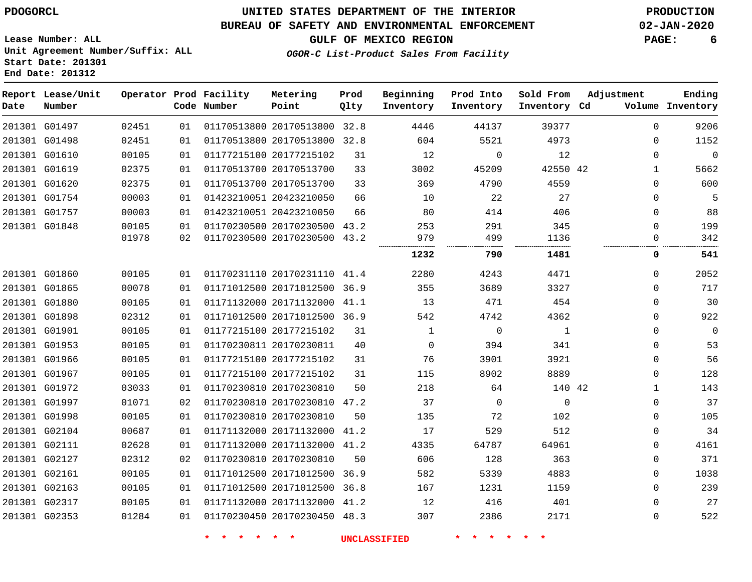### **BUREAU OF SAFETY AND ENVIRONMENTAL ENFORCEMENT 02-JAN-2020**

**GULF OF MEXICO REGION PAGE: 6**

**Lease Number: ALL Unit Agreement Number/Suffix: ALL Start Date: 201301 End Date: 201312**

#### **OGOR-C List-Product Sales From Facility**

| Date | Report Lease/Unit<br>Number |                |          | Operator Prod Facility<br>Code Number | Metering<br>Point                                            | Prod<br>Qlty | Beginning<br>Inventory | Prod Into<br>Inventory | Sold From<br>Inventory Cd | Adjustment           | Ending<br>Volume Inventory |
|------|-----------------------------|----------------|----------|---------------------------------------|--------------------------------------------------------------|--------------|------------------------|------------------------|---------------------------|----------------------|----------------------------|
|      | 201301 G01497               | 02451          | 01       |                                       | 01170513800 20170513800 32.8                                 |              | 4446                   | 44137                  | 39377                     | $\Omega$             | 9206                       |
|      | 201301 G01498               | 02451          | 01       |                                       | 01170513800 20170513800 32.8                                 |              | 604                    | 5521                   | 4973                      | $\Omega$             | 1152                       |
|      | 201301 G01610               | 00105          | 01       |                                       | 01177215100 20177215102                                      | 31           | 12                     | $\mathbf 0$            | 12                        | $\Omega$             | $\overline{0}$             |
|      | 201301 G01619               | 02375          | 01       |                                       | 01170513700 20170513700                                      | 33           | 3002                   | 45209                  | 42550 42                  | $\mathbf{1}$         | 5662                       |
|      | 201301 G01620               | 02375          | 01       |                                       | 01170513700 20170513700                                      | 33           | 369                    | 4790                   | 4559                      | $\Omega$             | 600                        |
|      | 201301 G01754               | 00003          | 01       |                                       | 01423210051 20423210050                                      | 66           | 10                     | 22                     | 27                        | $\Omega$             | 5                          |
|      | 201301 G01757               | 00003          | 01       |                                       | 01423210051 20423210050                                      | 66           | 80                     | 414                    | 406                       | $\Omega$             | 88                         |
|      | 201301 G01848               | 00105<br>01978 | 01<br>02 |                                       | 01170230500 20170230500 43.2<br>01170230500 20170230500 43.2 |              | 253<br>979             | 291<br>499             | 345<br>1136               | $\Omega$<br>$\Omega$ | 199<br>342                 |
|      |                             |                |          |                                       |                                                              |              | 1232                   | 790                    | 1481                      | <br>0                | 541                        |
|      | 201301 G01860               | 00105          | 01       |                                       | 01170231110 20170231110 41.4                                 |              | 2280                   | 4243                   | 4471                      | $\Omega$             | 2052                       |
|      | 201301 G01865               | 00078          | 01       |                                       | 01171012500 20171012500 36.9                                 |              | 355                    | 3689                   | 3327                      | $\Omega$             | 717                        |
|      | 201301 G01880               | 00105          | 01       |                                       | 01171132000 20171132000 41.1                                 |              | 13                     | 471                    | 454                       | $\Omega$             | 30                         |
|      | 201301 G01898               | 02312          | 01       |                                       | 01171012500 20171012500 36.9                                 |              | 542                    | 4742                   | 4362                      | $\Omega$             | 922                        |
|      | 201301 G01901               | 00105          | 01       |                                       | 01177215100 20177215102                                      | 31           | 1                      | $\mathbf 0$            | 1                         | $\Omega$             | $\mathbf 0$                |
|      | 201301 G01953               | 00105          | 01       |                                       | 01170230811 20170230811                                      | 40           | $\Omega$               | 394                    | 341                       | $\Omega$             | 53                         |
|      | 201301 G01966               | 00105          | 01       |                                       | 01177215100 20177215102                                      | 31           | 76                     | 3901                   | 3921                      | $\Omega$             | 56                         |
|      | 201301 G01967               | 00105          | 01       |                                       | 01177215100 20177215102                                      | 31           | 115                    | 8902                   | 8889                      | 0                    | 128                        |
|      | 201301 G01972               | 03033          | 01       |                                       | 01170230810 20170230810                                      | 50           | 218                    | 64                     | 140 42                    | $\mathbf 1$          | 143                        |
|      | 201301 G01997               | 01071          | 02       |                                       | 01170230810 20170230810 47.2                                 |              | 37                     | $\mathbf 0$            | $\mathbf 0$               | $\Omega$             | 37                         |
|      | 201301 G01998               | 00105          | 01       |                                       | 01170230810 20170230810                                      | 50           | 135                    | 72                     | 102                       | $\Omega$             | 105                        |
|      | 201301 G02104               | 00687          | 01       |                                       | 01171132000 20171132000                                      | 41.2         | 17                     | 529                    | 512                       | 0                    | 34                         |
|      | 201301 G02111               | 02628          | 01       |                                       | 01171132000 20171132000 41.2                                 |              | 4335                   | 64787                  | 64961                     | 0                    | 4161                       |
|      | 201301 G02127               | 02312          | 02       |                                       | 01170230810 20170230810                                      | 50           | 606                    | 128                    | 363                       | $\Omega$             | 371                        |
|      | 201301 G02161               | 00105          | 01       |                                       | 01171012500 20171012500                                      | 36.9         | 582                    | 5339                   | 4883                      | $\Omega$             | 1038                       |
|      | 201301 G02163               | 00105          | 01       |                                       | 01171012500 20171012500 36.8                                 |              | 167                    | 1231                   | 1159                      | $\Omega$             | 239                        |
|      | 201301 G02317               | 00105          | 01       |                                       | 01171132000 20171132000 41.2                                 |              | 12                     | 416                    | 401                       | 0                    | 27                         |
|      | 201301 G02353               | 01284          | 01       |                                       | 01170230450 20170230450 48.3                                 |              | 307                    | 2386                   | 2171                      | 0                    | 522                        |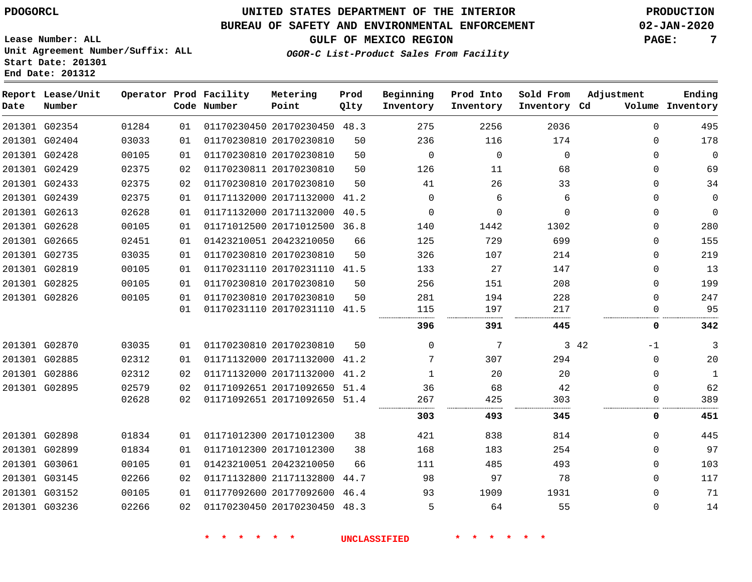**Report Lease/Unit**

# **UNITED STATES DEPARTMENT OF THE INTERIOR PDOGORCL PRODUCTION**

### **BUREAU OF SAFETY AND ENVIRONMENTAL ENFORCEMENT 02-JAN-2020**

**Ending**

**GULF OF MEXICO REGION PAGE: 7**

**Lease Number: ALL Unit Agreement Number/Suffix: ALL Start Date: 201301 End Date: 201312**

**Operator Prod Facility**

| Metering<br>____ | Prod | 그는 그 사람들은 그 그는 그 그는 그 사람들을 지르는 것을 하고 있다. 그 사람들은 그 사람들은 그 사람들을 지르는 것을 하고 있다. | Beginning Prod Into Sold From Adjustment<br>. |
|------------------|------|-----------------------------------------------------------------------------|-----------------------------------------------|

| Date | Number        |       |    | Code Number | Point                        | Qlty | Inventory   | Inventory | Inventory Cd |              | Volume Inventory        |
|------|---------------|-------|----|-------------|------------------------------|------|-------------|-----------|--------------|--------------|-------------------------|
|      | 201301 G02354 | 01284 | 01 |             | 01170230450 20170230450 48.3 |      | 275         | 2256      | 2036         |              | $\Omega$<br>495         |
|      | 201301 G02404 | 03033 | 01 |             | 01170230810 20170230810      | 50   | 236         | 116       | 174          |              | 178<br>$\mathbf{0}$     |
|      | 201301 G02428 | 00105 | 01 |             | 01170230810 20170230810      | 50   | $\mathbf 0$ | $\Omega$  | $\Omega$     |              | $\mathbf 0$<br>0        |
|      | 201301 G02429 | 02375 | 02 |             | 01170230811 20170230810      | 50   | 126         | 11        | 68           |              | 69<br>$\Omega$          |
|      | 201301 G02433 | 02375 | 02 |             | 01170230810 20170230810      | 50   | 41          | 26        | 33           |              | 34<br>$\Omega$          |
|      | 201301 G02439 | 02375 | 01 |             | 01171132000 20171132000 41.2 |      | $\Omega$    | 6         | 6            |              | $\mathbf 0$<br>$\Omega$ |
|      | 201301 G02613 | 02628 | 01 |             | 01171132000 20171132000      | 40.5 | 0           | 0         | $\mathbf 0$  |              | 0<br>$\mathbf 0$        |
|      | 201301 G02628 | 00105 | 01 |             | 01171012500 20171012500 36.8 |      | 140         | 1442      | 1302         |              | 280<br>0                |
|      | 201301 G02665 | 02451 | 01 |             | 01423210051 20423210050      | 66   | 125         | 729       | 699          |              | 155<br>$\Omega$         |
|      | 201301 G02735 | 03035 | 01 |             | 01170230810 20170230810      | 50   | 326         | 107       | 214          |              | 219<br>$\Omega$         |
|      | 201301 G02819 | 00105 | 01 |             | 01170231110 20170231110      | 41.5 | 133         | 27        | 147          |              | 13<br>$\Omega$          |
|      | 201301 G02825 | 00105 | 01 |             | 01170230810 20170230810      | 50   | 256         | 151       | 208          |              | 199<br>$\Omega$         |
|      | 201301 G02826 | 00105 | 01 |             | 01170230810 20170230810      | 50   | 281         | 194       | 228          |              | 247<br><sup>0</sup>     |
|      |               |       | 01 |             | 01170231110 20170231110 41.5 |      | 115         | 197       | 217          |              | 95                      |
|      |               |       |    |             |                              |      | 396         | 391       | 445          |              | 342<br>0                |
|      | 201301 G02870 | 03035 | 01 |             | 01170230810 20170230810      | 50   | $\mathbf 0$ | 7         |              | 3 42<br>$-1$ | 3                       |
|      | 201301 G02885 | 02312 | 01 |             | 01171132000 20171132000      | 41.2 | 7           | 307       | 294          |              | 20<br>$\Omega$          |
|      | 201301 G02886 | 02312 | 02 |             | 01171132000 20171132000 41.2 |      | 1           | 20        | 20           |              | $\Omega$<br>1           |
|      | 201301 G02895 | 02579 | 02 |             | 01171092651 20171092650 51.4 |      | 36          | 68        | 42           |              | 62<br>$\Omega$          |
|      |               | 02628 | 02 |             | 01171092651 20171092650 51.4 |      | 267         | 425       | 303          |              | 389<br><sup>0</sup>     |
|      |               |       |    |             |                              |      | 303         | 493       | 345          |              | 0<br>451                |
|      | 201301 G02898 | 01834 | 01 |             | 01171012300 20171012300      | 38   | 421         | 838       | 814          |              | 445<br>$\Omega$         |
|      | 201301 G02899 | 01834 | 01 |             | 01171012300 20171012300      | 38   | 168         | 183       | 254          |              | 97<br>$\Omega$          |
|      | 201301 G03061 | 00105 | 01 |             | 01423210051 20423210050      | 66   | 111         | 485       | 493          |              | 103<br>$\Omega$         |
|      | 201301 G03145 | 02266 | 02 |             | 01171132800 21171132800      | 44.7 | 98          | 97        | 78           |              | 117<br>$\Omega$         |
|      | 201301 G03152 | 00105 | 01 |             | 01177092600 20177092600 46.4 |      | 93          | 1909      | 1931         |              | 71<br>0                 |
|      | 201301 G03236 | 02266 | 02 |             | 01170230450 20170230450 48.3 |      | 5           | 64        | 55           |              | 14<br>$\Omega$          |
|      |               |       |    |             |                              |      |             |           |              |              |                         |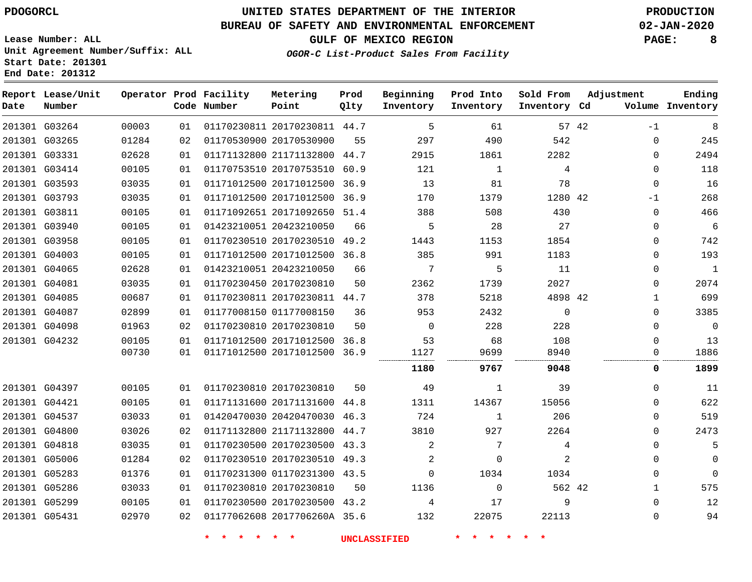# **UNITED STATES DEPARTMENT OF THE INTERIOR PDOGORCL PRODUCTION**

### **BUREAU OF SAFETY AND ENVIRONMENTAL ENFORCEMENT 02-JAN-2020**

**Lease Number: ALL Unit Agreement Number/Suffix: ALL Start Date: 201301**

**GULF OF MEXICO REGION PAGE: 8**

**OGOR-C List-Product Sales From Facility**

| Date | Report Lease/Unit<br>Number |       |    | Operator Prod Facility<br>Code Number | Metering<br>Point            | Prod<br>Qlty | Beginning<br>Inventory | Prod Into<br>Inventory | Sold From<br>Inventory Cd | Adjustment    | Ending<br>Volume Inventory |
|------|-----------------------------|-------|----|---------------------------------------|------------------------------|--------------|------------------------|------------------------|---------------------------|---------------|----------------------------|
|      | 201301 G03264               | 00003 | 01 |                                       | 01170230811 20170230811 44.7 |              | 5                      | 61                     |                           | 57 42<br>$-1$ | 8                          |
|      | 201301 G03265               | 01284 | 02 |                                       | 01170530900 20170530900      | 55           | 297                    | 490                    | 542                       | 0             | 245                        |
|      | 201301 G03331               | 02628 | 01 |                                       | 01171132800 21171132800 44.7 |              | 2915                   | 1861                   | 2282                      | 0             | 2494                       |
|      | 201301 G03414               | 00105 | 01 |                                       | 01170753510 20170753510      | 60.9         | 121                    | 1                      | 4                         | 0             | 118                        |
|      | 201301 G03593               | 03035 | 01 |                                       | 01171012500 20171012500 36.9 |              | 13                     | 81                     | 78                        | $\Omega$      | 16                         |
|      | 201301 G03793               | 03035 | 01 |                                       | 01171012500 20171012500 36.9 |              | 170                    | 1379                   | 1280 42                   | $-1$          | 268                        |
|      | 201301 G03811               | 00105 | 01 |                                       | 01171092651 20171092650 51.4 |              | 388                    | 508                    | 430                       | 0             | 466                        |
|      | 201301 G03940               | 00105 | 01 |                                       | 01423210051 20423210050      | 66           | 5                      | 28                     | 27                        | $\Omega$      | 6                          |
|      | 201301 G03958               | 00105 | 01 |                                       | 01170230510 20170230510 49.2 |              | 1443                   | 1153                   | 1854                      | 0             | 742                        |
|      | 201301 G04003               | 00105 | 01 |                                       | 01171012500 20171012500 36.8 |              | 385                    | 991                    | 1183                      | $\Omega$      | 193                        |
|      | 201301 G04065               | 02628 | 01 |                                       | 01423210051 20423210050      | 66           | 7                      | 5                      | 11                        | 0             | $\mathbf{1}$               |
|      | 201301 G04081               | 03035 | 01 |                                       | 01170230450 20170230810      | 50           | 2362                   | 1739                   | 2027                      | $\Omega$      | 2074                       |
|      | 201301 G04085               | 00687 | 01 |                                       | 01170230811 20170230811 44.7 |              | 378                    | 5218                   | 4898 42                   | 1             | 699                        |
|      | 201301 G04087               | 02899 | 01 |                                       | 01177008150 01177008150      | 36           | 953                    | 2432                   | $\mathbf 0$               | $\Omega$      | 3385                       |
|      | 201301 G04098               | 01963 | 02 |                                       | 01170230810 20170230810      | 50           | $\mathbf 0$            | 228                    | 228                       | 0             | $\mathbf 0$                |
|      | 201301 G04232               | 00105 | 01 |                                       | 01171012500 20171012500      | 36.8         | 53                     | 68                     | 108                       | $\Omega$      | 13                         |
|      |                             | 00730 | 01 |                                       | 01171012500 20171012500 36.9 |              | 1127                   | 9699                   | 8940                      | 0             | 1886                       |
|      |                             |       |    |                                       |                              |              | 1180                   | 9767                   | 9048                      | 0             | 1899                       |
|      | 201301 G04397               | 00105 | 01 |                                       | 01170230810 20170230810      | 50           | 49                     | 1                      | 39                        | $\Omega$      | 11                         |
|      | 201301 G04421               | 00105 | 01 |                                       | 01171131600 20171131600      | 44.8         | 1311                   | 14367                  | 15056                     | $\Omega$      | 622                        |
|      | 201301 G04537               | 03033 | 01 |                                       | 01420470030 20420470030 46.3 |              | 724                    | 1                      | 206                       | $\Omega$      | 519                        |
|      | 201301 G04800               | 03026 | 02 |                                       | 01171132800 21171132800 44.7 |              | 3810                   | 927                    | 2264                      | $\Omega$      | 2473                       |
|      | 201301 G04818               | 03035 | 01 |                                       | 01170230500 20170230500 43.3 |              | 2                      | 7                      | 4                         | $\Omega$      | 5                          |
|      | 201301 G05006               | 01284 | 02 |                                       | 01170230510 20170230510 49.3 |              | 2                      | 0                      | 2                         | 0             | 0                          |
|      | 201301 G05283               | 01376 | 01 |                                       | 01170231300 01170231300 43.5 |              | $\Omega$               | 1034                   | 1034                      | $\Omega$      | 0                          |
|      | 201301 G05286               | 03033 | 01 |                                       | 01170230810 20170230810      | 50           | 1136                   | 0                      | 562 42                    | 1             | 575                        |
|      | 201301 G05299               | 00105 | 01 |                                       | 01170230500 20170230500 43.2 |              | 4                      | 17                     | 9                         | 0             | 12                         |
|      | 201301 G05431               | 02970 | 02 |                                       | 01177062608 2017706260A 35.6 |              | 132                    | 22075                  | 22113                     | $\Omega$      | 94                         |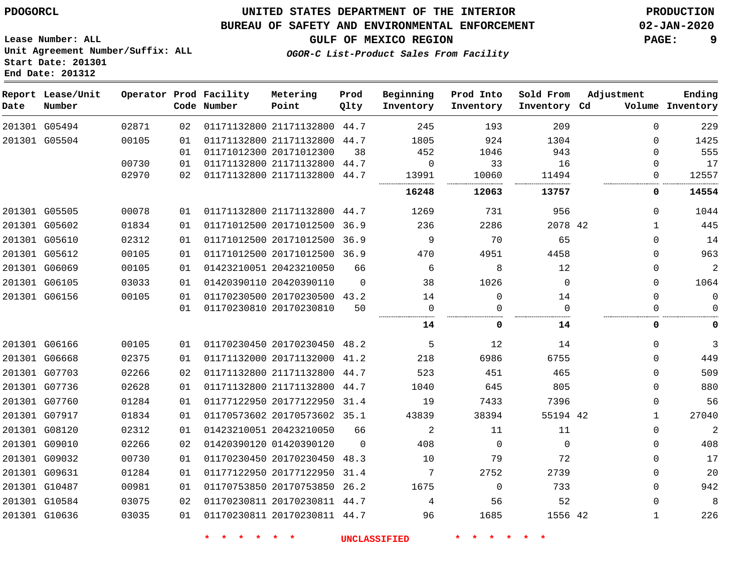#### **BUREAU OF SAFETY AND ENVIRONMENTAL ENFORCEMENT 02-JAN-2020**

**OGOR-C List-Product Sales From Facility**

**GULF OF MEXICO REGION PAGE: 9**

**Lease Number: ALL Unit Agreement Number/Suffix: ALL Start Date: 201301 End Date: 201312**

| Date | Report Lease/Unit<br>Number |       |    | Operator Prod Facility<br>Code Number | Metering<br>Point            | Prod<br>Qlty | Beginning<br>Inventory | Prod Into<br>Inventory | Sold From<br>Inventory Cd | Adjustment   | Ending<br>Volume Inventory |
|------|-----------------------------|-------|----|---------------------------------------|------------------------------|--------------|------------------------|------------------------|---------------------------|--------------|----------------------------|
|      | 201301 G05494               | 02871 | 02 |                                       | 01171132800 21171132800 44.7 |              | 245                    | 193                    | 209                       | $\Omega$     | 229                        |
|      | 201301 G05504               | 00105 | 01 |                                       | 01171132800 21171132800 44.7 |              | 1805                   | 924                    | 1304                      | $\Omega$     | 1425                       |
|      |                             |       | 01 |                                       | 01171012300 20171012300      | 38           | 452                    | 1046                   | 943                       | 0            | 555                        |
|      |                             | 00730 | 01 |                                       | 01171132800 21171132800 44.7 |              | 0                      | 33                     | 16                        | 0            | 17                         |
|      |                             | 02970 | 02 |                                       | 01171132800 21171132800 44.7 |              | 13991                  | 10060                  | 11494                     | 0            | 12557                      |
|      |                             |       |    |                                       |                              |              | 16248                  | 12063                  | 13757                     | 0            | 14554                      |
|      | 201301 G05505               | 00078 | 01 |                                       | 01171132800 21171132800 44.7 |              | 1269                   | 731                    | 956                       | 0            | 1044                       |
|      | 201301 G05602               | 01834 | 01 |                                       | 01171012500 20171012500 36.9 |              | 236                    | 2286                   | 2078 42                   | $\mathbf 1$  | 445                        |
|      | 201301 G05610               | 02312 | 01 |                                       | 01171012500 20171012500 36.9 |              | 9                      | 70                     | 65                        | 0            | 14                         |
|      | 201301 G05612               | 00105 | 01 |                                       | 01171012500 20171012500 36.9 |              | 470                    | 4951                   | 4458                      | 0            | 963                        |
|      | 201301 G06069               | 00105 | 01 |                                       | 01423210051 20423210050      | 66           | 6                      | 8                      | 12                        | $\mathbf{0}$ | 2                          |
|      | 201301 G06105               | 03033 | 01 |                                       | 01420390110 20420390110      | $\Omega$     | 38                     | 1026                   | $\Omega$                  | $\Omega$     | 1064                       |
|      | 201301 G06156               | 00105 | 01 |                                       | 01170230500 20170230500 43.2 |              | 14                     | $\Omega$               | 14                        | $\mathbf{0}$ | $\mathbf 0$                |
|      |                             |       | 01 |                                       | 01170230810 20170230810      | 50           | 0                      | $\Omega$               | $\Omega$                  | 0            | $\Omega$                   |
|      |                             |       |    |                                       |                              |              | 14                     | 0                      | 14                        | 0            | $\mathbf 0$                |
|      | 201301 G06166               | 00105 | 01 |                                       | 01170230450 20170230450 48.2 |              | 5                      | 12                     | 14                        | $\mathbf{0}$ | $\mathfrak{Z}$             |
|      | 201301 G06668               | 02375 | 01 |                                       | 01171132000 20171132000 41.2 |              | 218                    | 6986                   | 6755                      | $\Omega$     | 449                        |
|      | 201301 G07703               | 02266 | 02 |                                       | 01171132800 21171132800 44.7 |              | 523                    | 451                    | 465                       | $\mathbf{0}$ | 509                        |
|      | 201301 G07736               | 02628 | 01 |                                       | 01171132800 21171132800      | 44.7         | 1040                   | 645                    | 805                       | $\mathbf{0}$ | 880                        |
|      | 201301 G07760               | 01284 | 01 |                                       | 01177122950 20177122950 31.4 |              | 19                     | 7433                   | 7396                      | $\mathbf{0}$ | 56                         |
|      | 201301 G07917               | 01834 | 01 |                                       | 01170573602 20170573602 35.1 |              | 43839                  | 38394                  | 55194 42                  | $\mathbf{1}$ | 27040                      |
|      | 201301 G08120               | 02312 | 01 |                                       | 01423210051 20423210050      | 66           | 2                      | 11                     | 11                        | $\mathbf 0$  | $\overline{2}$             |
|      | 201301 G09010               | 02266 | 02 |                                       | 01420390120 01420390120      | $\Omega$     | 408                    | $\Omega$               | $\Omega$                  | $\mathbf 0$  | 408                        |
|      | 201301 G09032               | 00730 | 01 |                                       | 01170230450 20170230450      | 48.3         | 10                     | 79                     | 72                        | 0            | 17                         |
|      | 201301 G09631               | 01284 | 01 |                                       | 01177122950 20177122950      | 31.4         | 7                      | 2752                   | 2739                      | 0            | 20                         |
|      | 201301 G10487               | 00981 | 01 |                                       | 01170753850 20170753850      | 26.2         | 1675                   | $\mathbf 0$            | 733                       | 0            | 942                        |
|      | 201301 G10584               | 03075 | 02 |                                       | 01170230811 20170230811 44.7 |              | 4                      | 56                     | 52                        | 0            | 8                          |
|      | 201301 G10636               | 03035 | 01 |                                       | 01170230811 20170230811 44.7 |              | 96                     | 1685                   | 1556 42                   | $\mathbf{1}$ | 226                        |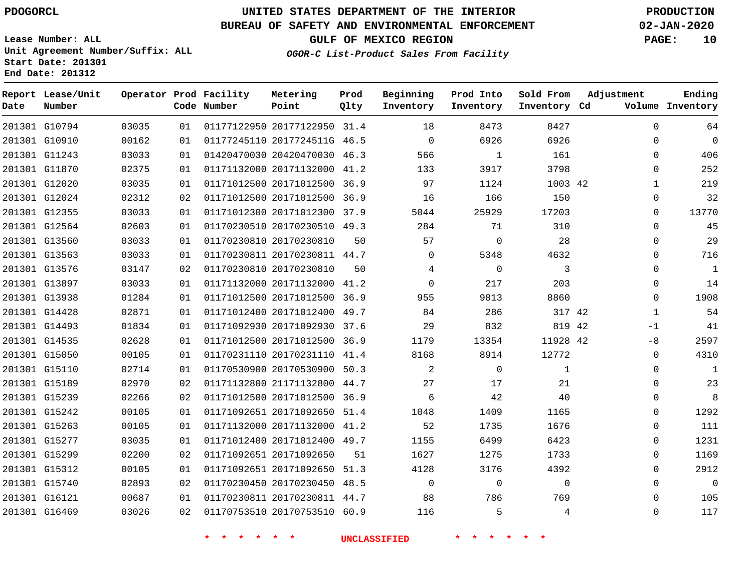### **BUREAU OF SAFETY AND ENVIRONMENTAL ENFORCEMENT 02-JAN-2020**

**Lease Number: ALL Unit Agreement Number/Suffix: ALL Start Date: 201301**

**OGOR-C List-Product Sales From Facility**

**GULF OF MEXICO REGION PAGE: 10**

**End Date: 201312**

| Date | Report Lease/Unit<br>Number |       |    | Operator Prod Facility<br>Code Number | Metering<br>Point            | Prod<br>Qlty | Beginning<br>Inventory | Prod Into<br>Inventory | Sold From<br>Inventory Cd | Adjustment   | Ending<br>Volume Inventory |
|------|-----------------------------|-------|----|---------------------------------------|------------------------------|--------------|------------------------|------------------------|---------------------------|--------------|----------------------------|
|      | 201301 G10794               | 03035 | 01 |                                       | 01177122950 20177122950 31.4 |              | 18                     | 8473                   | 8427                      | $\Omega$     | 64                         |
|      | 201301 G10910               | 00162 | 01 |                                       | 01177245110 2017724511G 46.5 |              | $\mathbf 0$            | 6926                   | 6926                      | $\mathbf 0$  | $\mathbf 0$                |
|      | 201301 G11243               | 03033 | 01 |                                       | 01420470030 20420470030 46.3 |              | 566                    | 1                      | 161                       | $\Omega$     | 406                        |
|      | 201301 G11870               | 02375 | 01 |                                       | 01171132000 20171132000 41.2 |              | 133                    | 3917                   | 3798                      | $\mathbf 0$  | 252                        |
|      | 201301 G12020               | 03035 | 01 |                                       | 01171012500 20171012500 36.9 |              | 97                     | 1124                   | 1003 42                   | $\mathbf{1}$ | 219                        |
|      | 201301 G12024               | 02312 | 02 |                                       | 01171012500 20171012500 36.9 |              | 16                     | 166                    | 150                       | 0            | 32                         |
|      | 201301 G12355               | 03033 | 01 |                                       | 01171012300 20171012300 37.9 |              | 5044                   | 25929                  | 17203                     | $\Omega$     | 13770                      |
|      | 201301 G12564               | 02603 | 01 |                                       | 01170230510 20170230510 49.3 |              | 284                    | 71                     | 310                       | 0            | 45                         |
|      | 201301 G13560               | 03033 | 01 |                                       | 01170230810 20170230810      | 50           | 57                     | $\Omega$               | 28                        | $\Omega$     | 29                         |
|      | 201301 G13563               | 03033 | 01 |                                       | 01170230811 20170230811 44.7 |              | $\mathbf{0}$           | 5348                   | 4632                      | 0            | 716                        |
|      | 201301 G13576               | 03147 | 02 |                                       | 01170230810 20170230810      | 50           | 4                      | $\Omega$               | 3                         | $\Omega$     | $\mathbf{1}$               |
|      | 201301 G13897               | 03033 | 01 |                                       | 01171132000 20171132000 41.2 |              | $\mathbf 0$            | 217                    | 203                       | $\mathbf 0$  | 14                         |
|      | 201301 G13938               | 01284 | 01 |                                       | 01171012500 20171012500 36.9 |              | 955                    | 9813                   | 8860                      | $\Omega$     | 1908                       |
|      | 201301 G14428               | 02871 | 01 |                                       | 01171012400 20171012400 49.7 |              | 84                     | 286                    | 317 42                    | $\mathbf{1}$ | 54                         |
|      | 201301 G14493               | 01834 | 01 |                                       | 01171092930 20171092930 37.6 |              | 29                     | 832                    | 819 42                    | $-1$         | 41                         |
|      | 201301 G14535               | 02628 | 01 |                                       | 01171012500 20171012500 36.9 |              | 1179                   | 13354                  | 11928 42                  | $-8$         | 2597                       |
|      | 201301 G15050               | 00105 | 01 |                                       | 01170231110 20170231110 41.4 |              | 8168                   | 8914                   | 12772                     | $\mathbf 0$  | 4310                       |
|      | 201301 G15110               | 02714 | 01 |                                       | 01170530900 20170530900 50.3 |              | 2                      | $\Omega$               | $\mathbf{1}$              | $\mathbf 0$  | 1                          |
|      | 201301 G15189               | 02970 | 02 |                                       | 01171132800 21171132800 44.7 |              | 27                     | 17                     | 21                        | $\mathbf 0$  | 23                         |
|      | 201301 G15239               | 02266 | 02 |                                       | 01171012500 20171012500      | 36.9         | 6                      | 42                     | 40                        | $\mathbf 0$  | 8                          |
|      | 201301 G15242               | 00105 | 01 |                                       | 01171092651 20171092650 51.4 |              | 1048                   | 1409                   | 1165                      | $\mathbf 0$  | 1292                       |
|      | 201301 G15263               | 00105 | 01 |                                       | 01171132000 20171132000      | 41.2         | 52                     | 1735                   | 1676                      | $\mathbf 0$  | 111                        |
|      | 201301 G15277               | 03035 | 01 |                                       | 01171012400 20171012400 49.7 |              | 1155                   | 6499                   | 6423                      | 0            | 1231                       |
|      | 201301 G15299               | 02200 | 02 |                                       | 01171092651 20171092650      | 51           | 1627                   | 1275                   | 1733                      | $\mathbf 0$  | 1169                       |
|      | 201301 G15312               | 00105 | 01 |                                       | 01171092651 20171092650 51.3 |              | 4128                   | 3176                   | 4392                      | 0            | 2912                       |
|      | 201301 G15740               | 02893 | 02 |                                       | 01170230450 20170230450 48.5 |              | $\mathbf 0$            | $\Omega$               | $\Omega$                  | $\Omega$     | $\Omega$                   |
|      | 201301 G16121               | 00687 | 01 |                                       | 01170230811 20170230811 44.7 |              | 88                     | 786                    | 769                       | 0            | 105                        |
|      | 201301 G16469               | 03026 | 02 |                                       | 01170753510 20170753510 60.9 |              | 116                    | 5                      | 4                         | $\Omega$     | 117                        |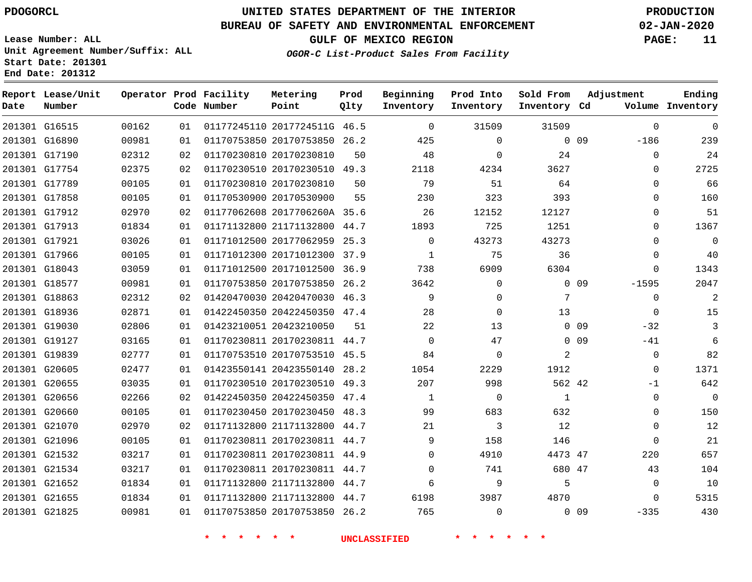## **UNITED STATES DEPARTMENT OF THE INTERIOR PDOGORCL PRODUCTION**

### **BUREAU OF SAFETY AND ENVIRONMENTAL ENFORCEMENT 02-JAN-2020**

**Lease Number: ALL Unit Agreement Number/Suffix: ALL Start Date: 201301**

**GULF OF MEXICO REGION PAGE: 11**

**OGOR-C List-Product Sales From Facility**

| Date          | Report Lease/Unit<br>Number |       |    | Operator Prod Facility<br>Code Number | Metering<br>Point            | Prod<br>Qlty | Beginning<br>Inventory | Prod Into<br>Inventory | Sold From<br>Inventory Cd | Adjustment      |             | Ending<br>Volume Inventory |
|---------------|-----------------------------|-------|----|---------------------------------------|------------------------------|--------------|------------------------|------------------------|---------------------------|-----------------|-------------|----------------------------|
| 201301 G16515 |                             | 00162 | 01 |                                       | 01177245110 2017724511G 46.5 |              | $\mathbf 0$            | 31509                  | 31509                     |                 | $\mathbf 0$ | $\overline{0}$             |
| 201301 G16890 |                             | 00981 | 01 |                                       | 01170753850 20170753850 26.2 |              | 425                    | $\Omega$               |                           | 0 <sub>09</sub> | $-186$      | 239                        |
|               | 201301 G17190               | 02312 | 02 |                                       | 01170230810 20170230810      | 50           | 48                     | 0                      | 24                        |                 | $\mathbf 0$ | 24                         |
| 201301 G17754 |                             | 02375 | 02 |                                       | 01170230510 20170230510 49.3 |              | 2118                   | 4234                   | 3627                      |                 | $\mathbf 0$ | 2725                       |
| 201301 G17789 |                             | 00105 | 01 |                                       | 01170230810 20170230810      | 50           | 79                     | 51                     | 64                        |                 | $\Omega$    | 66                         |
| 201301 G17858 |                             | 00105 | 01 |                                       | 01170530900 20170530900      | 55           | 230                    | 323                    | 393                       |                 | $\Omega$    | 160                        |
|               | 201301 G17912               | 02970 | 02 |                                       | 01177062608 2017706260A 35.6 |              | 26                     | 12152                  | 12127                     |                 | $\mathbf 0$ | 51                         |
| 201301 G17913 |                             | 01834 | 01 |                                       | 01171132800 21171132800      | 44.7         | 1893                   | 725                    | 1251                      |                 | $\Omega$    | 1367                       |
| 201301 G17921 |                             | 03026 | 01 |                                       | 01171012500 20177062959      | 25.3         | $\Omega$               | 43273                  | 43273                     |                 | $\Omega$    | $\mathbf 0$                |
| 201301 G17966 |                             | 00105 | 01 |                                       | 01171012300 20171012300      | 37.9         | 1                      | 75                     | 36                        |                 | 0           | 40                         |
| 201301 G18043 |                             | 03059 | 01 |                                       | 01171012500 20171012500      | 36.9         | 738                    | 6909                   | 6304                      |                 | $\mathbf 0$ | 1343                       |
| 201301 G18577 |                             | 00981 | 01 |                                       | 01170753850 20170753850      | 26.2         | 3642                   | $\mathbf 0$            |                           | $0$ 09          | $-1595$     | 2047                       |
|               | 201301 G18863               | 02312 | 02 |                                       | 01420470030 20420470030 46.3 |              | 9                      | $\mathbf 0$            | 7                         |                 | $\mathbf 0$ | $\overline{2}$             |
|               | 201301 G18936               | 02871 | 01 |                                       | 01422450350 20422450350 47.4 |              | 28                     | $\mathbf 0$            | 13                        |                 | $\mathbf 0$ | 15                         |
| 201301 G19030 |                             | 02806 | 01 |                                       | 01423210051 20423210050      | 51           | 22                     | 13                     |                           | 0 <sub>09</sub> | $-32$       | 3                          |
| 201301 G19127 |                             | 03165 | 01 |                                       | 01170230811 20170230811 44.7 |              | $\mathbf 0$            | 47                     |                           | 0 <sub>09</sub> | $-41$       | 6                          |
| 201301 G19839 |                             | 02777 | 01 |                                       | 01170753510 20170753510 45.5 |              | 84                     | $\mathbf 0$            | 2                         |                 | $\mathbf 0$ | 82                         |
| 201301 G20605 |                             | 02477 | 01 |                                       | 01423550141 20423550140      | 28.2         | 1054                   | 2229                   | 1912                      |                 | $\Omega$    | 1371                       |
| 201301 G20655 |                             | 03035 | 01 |                                       | 01170230510 20170230510 49.3 |              | 207                    | 998                    | 562 42                    |                 | $-1$        | 642                        |
| 201301 G20656 |                             | 02266 | 02 |                                       | 01422450350 20422450350 47.4 |              | 1                      | $\mathbf 0$            | $\mathbf{1}$              |                 | $\mathbf 0$ | $\mathbf 0$                |
| 201301 G20660 |                             | 00105 | 01 |                                       | 01170230450 20170230450 48.3 |              | 99                     | 683                    | 632                       |                 | $\Omega$    | 150                        |
| 201301 G21070 |                             | 02970 | 02 |                                       | 01171132800 21171132800      | 44.7         | 21                     | 3                      | 12                        |                 | $\mathbf 0$ | 12                         |
| 201301 G21096 |                             | 00105 | 01 |                                       | 01170230811 20170230811 44.7 |              | 9                      | 158                    | 146                       |                 | $\mathbf 0$ | 21                         |
| 201301 G21532 |                             | 03217 | 01 |                                       | 01170230811 20170230811 44.9 |              | $\Omega$               | 4910                   | 4473 47                   |                 | 220         | 657                        |
| 201301 G21534 |                             | 03217 | 01 |                                       | 01170230811 20170230811 44.7 |              | $\Omega$               | 741                    | 680 47                    |                 | 43          | 104                        |
| 201301 G21652 |                             | 01834 | 01 |                                       | 01171132800 21171132800 44.7 |              | 6                      | 9                      | 5                         |                 | $\mathbf 0$ | 10                         |
| 201301 G21655 |                             | 01834 | 01 |                                       | 01171132800 21171132800      | 44.7         | 6198                   | 3987                   | 4870                      |                 | $\mathbf 0$ | 5315                       |
| 201301 G21825 |                             | 00981 | 01 |                                       | 01170753850 20170753850 26.2 |              | 765                    | $\Omega$               |                           | $0$ 09          | $-335$      | 430                        |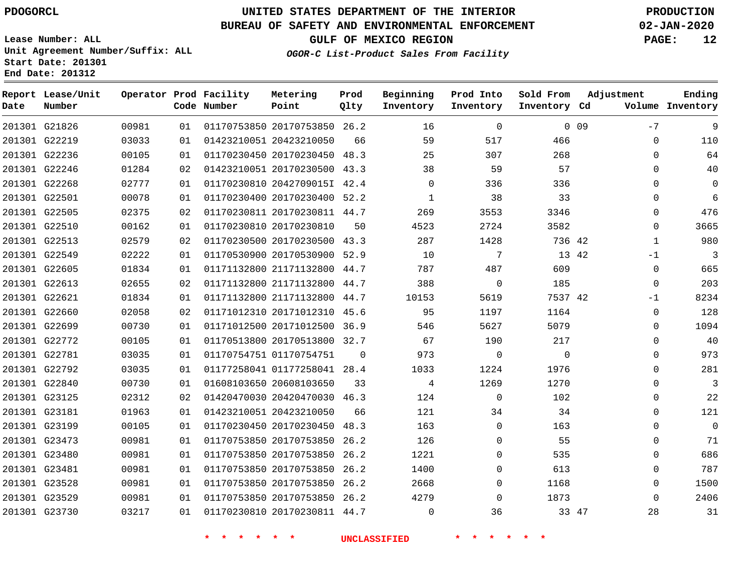**Report Lease/Unit**

**Number**

# **UNITED STATES DEPARTMENT OF THE INTERIOR PDOGORCL PRODUCTION**

**Prod Qlty**

#### **BUREAU OF SAFETY AND ENVIRONMENTAL ENFORCEMENT 02-JAN-2020**

**Lease Number: ALL Unit Agreement Number/Suffix: ALL Start Date: 201301 End Date: 201312**

**Operator Prod Facility**

**Code Number**

**Metering Point**

**OGOR-C List-Product Sales From Facility**

**Sold From Inventory**

**Prod Into Inventory**

**Beginning Inventory**

**GULF OF MEXICO REGION PAGE: 12**

**Inventory Cd Volume**

**Adjustment**

 $-7$ 

**Ending**

| 201301 G21826 | 00981 | 01  | 01170753850 20170753850 26.2 |          | 16       | $\Omega$       |             | 0 <sub>09</sub> | $-7$        | 9              |
|---------------|-------|-----|------------------------------|----------|----------|----------------|-------------|-----------------|-------------|----------------|
| 201301 G22219 | 03033 | 01  | 01423210051 20423210050      | 66       | 59       | 517            | 466         |                 | $\Omega$    | 110            |
| 201301 G22236 | 00105 | 01  | 01170230450 20170230450 48.3 |          | 25       | 307            | 268         |                 | 0           | 64             |
| 201301 G22246 | 01284 | 02  | 01423210051 20170230500 43.3 |          | 38       | 59             | 57          |                 | $\Omega$    | 40             |
| 201301 G22268 | 02777 | 01  | 01170230810 2042709015I 42.4 |          | 0        | 336            | 336         |                 | $\Omega$    | $\mathbf 0$    |
| 201301 G22501 | 00078 | 01  | 01170230400 20170230400 52.2 |          | 1        | 38             | 33          |                 | 0           | 6              |
| 201301 G22505 | 02375 | 02  | 01170230811 20170230811 44.7 |          | 269      | 3553           | 3346        |                 | $\Omega$    | 476            |
| 201301 G22510 | 00162 | 01  | 01170230810 20170230810      | 50       | 4523     | 2724           | 3582        |                 | $\Omega$    | 3665           |
| 201301 G22513 | 02579 | 02  | 01170230500 20170230500 43.3 |          | 287      | 1428           | 736 42      |                 | 1           | 980            |
| 201301 G22549 | 02222 | 01  | 01170530900 20170530900 52.9 |          | 10       | 7              |             | 13 42           | $-1$        | $\overline{3}$ |
| 201301 G22605 | 01834 | 01  | 01171132800 21171132800 44.7 |          | 787      | 487            | 609         |                 | $\mathbf 0$ | 665            |
| 201301 G22613 | 02655 | 02  | 01171132800 21171132800 44.7 |          | 388      | - 0            | 185         |                 | 0           | 203            |
| 201301 G22621 | 01834 | 01  | 01171132800 21171132800 44.7 |          | 10153    | 5619           | 7537 42     |                 | $-1$        | 8234           |
| 201301 G22660 | 02058 | 02  | 01171012310 20171012310 45.6 |          | 95       | 1197           | 1164        |                 | 0           | 128            |
| 201301 G22699 | 00730 | 01  | 01171012500 20171012500 36.9 |          | 546      | 5627           | 5079        |                 | 0           | 1094           |
| 201301 G22772 | 00105 | 01  | 01170513800 20170513800 32.7 |          | 67       | 190            | 217         |                 | $\Omega$    | 40             |
| 201301 G22781 | 03035 | 01  | 01170754751 01170754751      | $\Omega$ | 973      | $\overline{0}$ | $\mathbf 0$ |                 | $\Omega$    | 973            |
| 201301 G22792 | 03035 | 01  | 01177258041 01177258041 28.4 |          | 1033     | 1224           | 1976        |                 | $\Omega$    | 281            |
| 201301 G22840 | 00730 | 01  | 01608103650 20608103650      | 33       | 4        | 1269           | 1270        |                 | $\Omega$    | 3              |
| 201301 G23125 | 02312 | 02  | 01420470030 20420470030 46.3 |          | 124      | $\Omega$       | 102         |                 | 0           | 22             |
| 201301 G23181 | 01963 | 01  | 01423210051 20423210050      | 66       | 121      | 34             | 34          |                 | $\Omega$    | 121            |
| 201301 G23199 | 00105 | 01  | 01170230450 20170230450 48.3 |          | 163      | $\Omega$       | 163         |                 | $\Omega$    | $\overline{0}$ |
| 201301 G23473 | 00981 | 01  | 01170753850 20170753850 26.2 |          | 126      | $\Omega$       | 55          |                 | 0           | 71             |
| 201301 G23480 | 00981 | 01  | 01170753850 20170753850 26.2 |          | 1221     | $\Omega$       | 535         |                 | $\Omega$    | 686            |
| 201301 G23481 | 00981 | 01  | 01170753850 20170753850 26.2 |          | 1400     | $\Omega$       | 613         |                 | $\Omega$    | 787            |
| 201301 G23528 | 00981 | 01  | 01170753850 20170753850 26.2 |          | 2668     | $\Omega$       | 1168        |                 | 0           | 1500           |
| 201301 G23529 | 00981 | O 1 | 01170753850 20170753850 26.2 |          | 4279     | $\Omega$       | 1873        |                 | $\Omega$    | 2406           |
| 201301 G23730 | 03217 | 01  | 01170230810 20170230811 44.7 |          | $\Omega$ | 36             |             | 33 47           | 28          | 31             |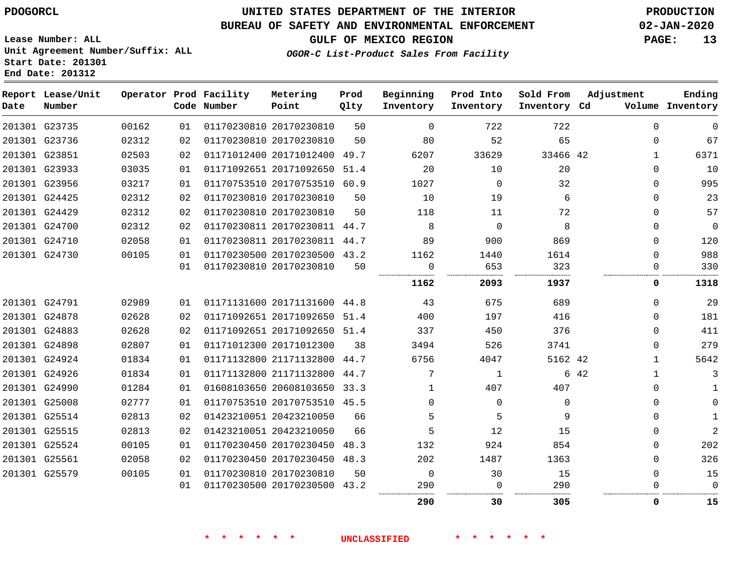**Report Lease/Unit**

## **UNITED STATES DEPARTMENT OF THE INTERIOR PDOGORCL PRODUCTION**

**Prod**

#### **BUREAU OF SAFETY AND ENVIRONMENTAL ENFORCEMENT 02-JAN-2020**

**Ending**

**Lease Number: ALL Unit Agreement Number/Suffix: ALL Start Date: 201301 End Date: 201312**

**Operator Prod Facility Metering**

#### **OGOR-C List-Product Sales From Facility**

|  |                       |  |       | .  |
|--|-----------------------|--|-------|----|
|  | GULF OF MEXICO REGION |  | PAGE: | 13 |

| Volume Inventory |              |      | Inventory Cd | Inventory      | Inventory      | Qlty | Point                        | Code Number             |    |       | Number        | Date |
|------------------|--------------|------|--------------|----------------|----------------|------|------------------------------|-------------------------|----|-------|---------------|------|
| $\Omega$         | $\Omega$     |      | 722          | 722            | $\Omega$       | 50   | 01170230810 20170230810      |                         | 01 | 00162 | 201301 G23735 |      |
| 67               | $\Omega$     |      | 65           | 52             | 80             | 50   | 01170230810 20170230810      |                         | 02 | 02312 | 201301 G23736 |      |
| 6371             | $\mathbf{1}$ |      | 33466 42     | 33629          | 6207           |      | 01171012400 20171012400 49.7 |                         | 02 | 02503 | 201301 G23851 |      |
| 10               | $\Omega$     |      | 20           | 10             | 20             |      | 01171092651 20171092650 51.4 |                         | 01 | 03035 | 201301 G23933 |      |
| 995              | $\Omega$     |      | 32           | $\Omega$       | 1027           |      | 01170753510 20170753510 60.9 |                         | 01 | 03217 | 201301 G23956 |      |
| 23               | $\Omega$     |      | 6            | 19             | 10             | 50   |                              | 01170230810 20170230810 | 02 | 02312 | 201301 G24425 |      |
| 57               | $\Omega$     |      | 72           | 11             | 118            | 50   | 01170230810 20170230810      |                         | 02 | 02312 | 201301 G24429 |      |
| $\overline{0}$   | $\Omega$     |      | 8            | $\overline{0}$ | 8              |      | 01170230811 20170230811 44.7 |                         | 02 | 02312 | 201301 G24700 |      |
| 120              | $\Omega$     |      | 869          | 900            | 89             |      | 01170230811 20170230811 44.7 |                         | 01 | 02058 | 201301 G24710 |      |
| 988              | $\Omega$     |      | 1614         | 1440           | 1162           |      | 01170230500 20170230500 43.2 |                         | 01 | 00105 | 201301 G24730 |      |
| 330              | $\Omega$     |      | 323          | 653            | $\Omega$       | 50   |                              | 01170230810 20170230810 | 01 |       |               |      |
| 1318             | 0            |      | 1937         | 2093           | 1162           |      |                              |                         |    |       |               |      |
| 29               | $\Omega$     |      | 689          | 675            | 43             |      | 01171131600 20171131600 44.8 |                         | 01 | 02989 | 201301 G24791 |      |
| 181              | $\Omega$     |      | 416          | 197            | 400            |      | 01171092651 20171092650 51.4 |                         | 02 | 02628 | 201301 G24878 |      |
| 411              | $\Omega$     |      | 376          | 450            | 337            |      | 01171092651 20171092650 51.4 |                         | 02 | 02628 | 201301 G24883 |      |
| 279              | $\Omega$     |      | 3741         | 526            | 3494           | 38   | 01171012300 20171012300      |                         | 01 | 02807 | 201301 G24898 |      |
| 5642             | $\mathbf{1}$ |      | 5162 42      | 4047           | 6756           |      | 01171132800 21171132800 44.7 |                         | 01 | 01834 | 201301 G24924 |      |
| 3                | $\mathbf{1}$ | 6 42 |              | $\mathbf{1}$   | 7              |      | 01171132800 21171132800 44.7 |                         | 01 | 01834 | 201301 G24926 |      |
| 1                | $\Omega$     |      | 407          | 407            | 1              |      | 01608103650 20608103650 33.3 |                         | 01 | 01284 | 201301 G24990 |      |
| $\Omega$         | $\Omega$     |      | $\Omega$     | $\Omega$       | $\Omega$       |      | 01170753510 20170753510 45.5 |                         | 01 | 02777 | 201301 G25008 |      |
| $\mathbf{1}$     | $\Omega$     |      | 9            | 5              | 5              | 66   | 01423210051 20423210050      |                         | 02 | 02813 | 201301 G25514 |      |
| $\overline{2}$   | $\Omega$     |      | 15           | 12             | 5              | 66   | 01423210051 20423210050      |                         | 02 | 02813 | 201301 G25515 |      |
| 202              | $\Omega$     |      | 854          | 924            | 132            |      | 01170230450 20170230450 48.3 |                         | 01 | 00105 | 201301 G25524 |      |
| 326              | $\Omega$     |      | 1363         | 1487           | 202            |      | 01170230450 20170230450 48.3 |                         | 02 | 02058 | 201301 G25561 |      |
| 15               | $\Omega$     |      | 15           | 30             | $\overline{0}$ | 50   | 01170230810 20170230810      |                         | 01 | 00105 | 201301 G25579 |      |
| $\mathbf 0$      | $\Omega$     |      | 290          | $\mathbf{0}$   | 290            |      | 01170230500 20170230500 43.2 |                         | 01 |       |               |      |
| 15               | 0            |      | 305          | 30             | 290            |      |                              |                         |    |       |               |      |

**\* \* \* \* \* \* UNCLASSIFIED \* \* \* \* \* \***

**Beginning Prod Into Sold From Adjustment**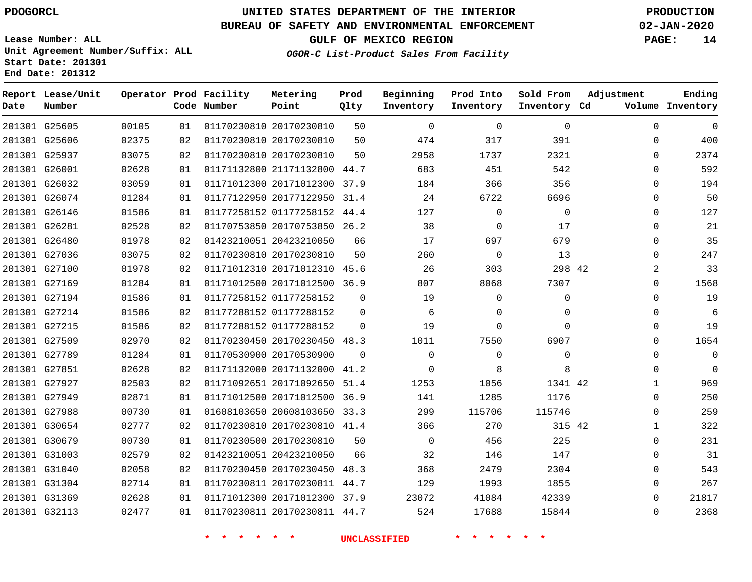**Prod**

### **BUREAU OF SAFETY AND ENVIRONMENTAL ENFORCEMENT 02-JAN-2020**

**Lease Number: ALL Unit Agreement Number/Suffix: ALL Start Date: 201301**

**End Date: 201312**

**Report Lease/Unit**

**GULF OF MEXICO REGION PAGE: 14**

**Adjustment**

**Ending**

**OGOR-C List-Product Sales From Facility**

**Beginning Prod Into Sold From**

| Date | Number        |       |    | Code Number | Point                        | Qlty        | Inventory   | Inventory   | Inventory Cd |                | Volume Inventory |
|------|---------------|-------|----|-------------|------------------------------|-------------|-------------|-------------|--------------|----------------|------------------|
|      | 201301 G25605 | 00105 | 01 |             | 01170230810 20170230810      | 50          | $\mathbf 0$ | $\mathbf 0$ | $\mathbf 0$  | $\mathbf 0$    | $\mathbf 0$      |
|      | 201301 G25606 | 02375 | 02 |             | 01170230810 20170230810      | 50          | 474         | 317         | 391          | $\mathbf 0$    | 400              |
|      | 201301 G25937 | 03075 | 02 |             | 01170230810 20170230810      | 50          | 2958        | 1737        | 2321         | $\mathbf 0$    | 2374             |
|      | 201301 G26001 | 02628 | 01 |             | 01171132800 21171132800      | 44.7        | 683         | 451         | 542          | $\mathbf 0$    | 592              |
|      | 201301 G26032 | 03059 | 01 |             | 01171012300 20171012300      | 37.9        | 184         | 366         | 356          | $\Omega$       | 194              |
|      | 201301 G26074 | 01284 | 01 |             | 01177122950 20177122950 31.4 |             | 24          | 6722        | 6696         | $\Omega$       | 50               |
|      | 201301 G26146 | 01586 | 01 |             | 01177258152 01177258152 44.4 |             | 127         | $\mathbf 0$ | $\Omega$     | $\mathbf 0$    | 127              |
|      | 201301 G26281 | 02528 | 02 |             | 01170753850 20170753850 26.2 |             | 38          | $\Omega$    | 17           | $\Omega$       | 21               |
|      | 201301 G26480 | 01978 | 02 |             | 01423210051 20423210050      | 66          | 17          | 697         | 679          | $\mathbf 0$    | 35               |
|      | 201301 G27036 | 03075 | 02 |             | 01170230810 20170230810      | 50          | 260         | $\Omega$    | 13           | $\Omega$       | 247              |
|      | 201301 G27100 | 01978 | 02 |             | 01171012310 20171012310 45.6 |             | 26          | 303         | 298 42       | $\overline{2}$ | 33               |
|      | 201301 G27169 | 01284 | 01 |             | 01171012500 20171012500 36.9 |             | 807         | 8068        | 7307         | $\mathbf 0$    | 1568             |
|      | 201301 G27194 | 01586 | 01 |             | 01177258152 01177258152      | $\Omega$    | 19          | $\mathbf 0$ | $\mathbf 0$  | $\mathbf 0$    | 19               |
|      | 201301 G27214 | 01586 | 02 |             | 01177288152 01177288152      | $\mathbf 0$ | 6           | 0           | $\Omega$     | $\mathbf 0$    | 6                |
|      | 201301 G27215 | 01586 | 02 |             | 01177288152 01177288152      | $\Omega$    | 19          | $\Omega$    | $\Omega$     | $\Omega$       | 19               |
|      | 201301 G27509 | 02970 | 02 |             | 01170230450 20170230450 48.3 |             | 1011        | 7550        | 6907         | $\mathbf 0$    | 1654             |
|      | 201301 G27789 | 01284 | 01 |             | 01170530900 20170530900      | $\Omega$    | $\Omega$    | $\Omega$    | $\Omega$     | $\mathbf 0$    | $\mathbf 0$      |
|      | 201301 G27851 | 02628 | 02 |             | 01171132000 20171132000      | 41.2        | $\mathbf 0$ | 8           | 8            | $\mathbf 0$    | $\Omega$         |
|      | 201301 G27927 | 02503 | 02 |             | 01171092651 20171092650      | 51.4        | 1253        | 1056        | 1341 42      | $\mathbf{1}$   | 969              |
|      | 201301 G27949 | 02871 | 01 |             | 01171012500 20171012500 36.9 |             | 141         | 1285        | 1176         | $\mathbf 0$    | 250              |
|      | 201301 G27988 | 00730 | 01 |             | 01608103650 20608103650 33.3 |             | 299         | 115706      | 115746       | $\mathbf 0$    | 259              |
|      | 201301 G30654 | 02777 | 02 |             | 01170230810 20170230810 41.4 |             | 366         | 270         | 315 42       | $\mathbf{1}$   | 322              |
|      | 201301 G30679 | 00730 | 01 |             | 01170230500 20170230810      | 50          | $\Omega$    | 456         | 225          | $\Omega$       | 231              |
|      | 201301 G31003 | 02579 | 02 |             | 01423210051 20423210050      | 66          | 32          | 146         | 147          | $\Omega$       | 31               |
|      | 201301 G31040 | 02058 | 02 |             | 01170230450 20170230450      | 48.3        | 368         | 2479        | 2304         | $\mathbf 0$    | 543              |
|      | 201301 G31304 | 02714 | 01 |             | 01170230811 20170230811 44.7 |             | 129         | 1993        | 1855         | $\mathbf 0$    | 267              |
|      | 201301 G31369 | 02628 | 01 |             | 01171012300 20171012300 37.9 |             | 23072       | 41084       | 42339        | $\Omega$       | 21817            |
|      | 201301 G32113 | 02477 | 01 |             | 01170230811 20170230811 44.7 |             | 524         | 17688       | 15844        | $\Omega$       | 2368             |

**\* \* \* \* \* \* UNCLASSIFIED \* \* \* \* \* \***

**Operator Prod Facility Metering**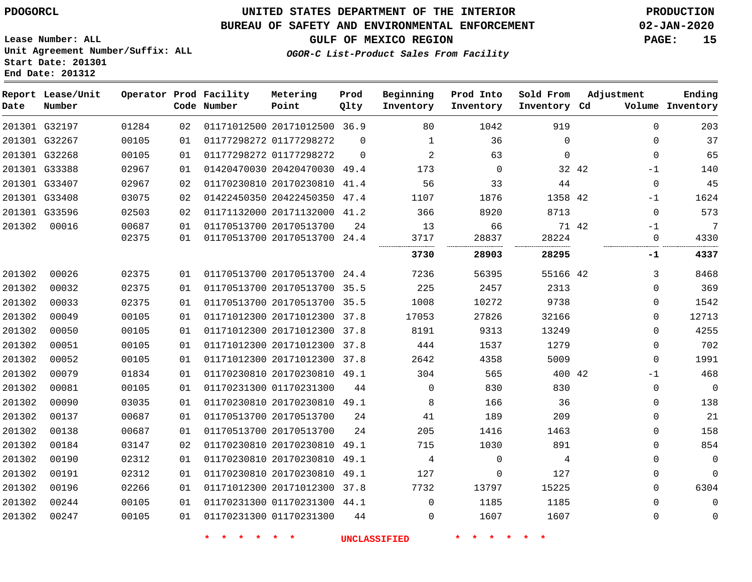**Lease Number: ALL**

**Start Date: 201301 End Date: 201312**

## **UNITED STATES DEPARTMENT OF THE INTERIOR PDOGORCL PRODUCTION**

### **BUREAU OF SAFETY AND ENVIRONMENTAL ENFORCEMENT 02-JAN-2020**

**Unit Agreement Number/Suffix: ALL**

**GULF OF MEXICO REGION PAGE: 15**

**OGOR-C List-Product Sales From Facility**

| Date   | Report Lease/Unit<br>Number |       |    | Operator Prod Facility<br>Code Number | Metering<br>Point            | Prod<br>Qlty | Beginning<br>Inventory | Prod Into<br>Inventory | Sold From<br>Inventory Cd | Adjustment  | Ending<br>Volume Inventory |
|--------|-----------------------------|-------|----|---------------------------------------|------------------------------|--------------|------------------------|------------------------|---------------------------|-------------|----------------------------|
|        | 201301 G32197               | 01284 | 02 |                                       | 01171012500 20171012500 36.9 |              | 80                     | 1042                   | 919                       | $\Omega$    | 203                        |
|        | 201301 G32267               | 00105 | 01 |                                       | 01177298272 01177298272      | $\Omega$     | 1                      | 36                     | $\Omega$                  | $\mathbf 0$ | 37                         |
|        | 201301 G32268               | 00105 | 01 |                                       | 01177298272 01177298272      | $\mathbf 0$  | $\overline{2}$         | 63                     | $\mathbf 0$               | $\mathbf 0$ | 65                         |
|        | 201301 G33388               | 02967 | 01 |                                       | 01420470030 20420470030 49.4 |              | 173                    | $\mathbf 0$            | 32 42                     | $-1$        | 140                        |
|        | 201301 G33407               | 02967 | 02 |                                       | 01170230810 20170230810      | 41.4         | 56                     | 33                     | 44                        | 0           | 45                         |
|        | 201301 G33408               | 03075 | 02 |                                       | 01422450350 20422450350      | 47.4         | 1107                   | 1876                   | 1358 42                   | $-1$        | 1624                       |
|        | 201301 G33596               | 02503 | 02 |                                       | 01171132000 20171132000      | 41.2         | 366                    | 8920                   | 8713                      | $\Omega$    | 573                        |
| 201302 | 00016                       | 00687 | 01 |                                       | 01170513700 20170513700      | 24           | 13                     | 66                     | 71 42                     | $-1$        | 7                          |
|        |                             | 02375 | 01 |                                       | 01170513700 20170513700 24.4 |              | 3717                   | 28837                  | 28224                     | $\mathbf 0$ | 4330                       |
|        |                             |       |    |                                       |                              |              | 3730                   | 28903                  | 28295                     | -1          | 4337                       |
| 201302 | 00026                       | 02375 | 01 |                                       | 01170513700 20170513700      | 24.4         | 7236                   | 56395                  | 55166 42                  | 3           | 8468                       |
| 201302 | 00032                       | 02375 | 01 |                                       | 01170513700 20170513700      | 35.5         | 225                    | 2457                   | 2313                      | $\Omega$    | 369                        |
| 201302 | 00033                       | 02375 | 01 |                                       | 01170513700 20170513700      | 35.5         | 1008                   | 10272                  | 9738                      | 0           | 1542                       |
| 201302 | 00049                       | 00105 | 01 |                                       | 01171012300 20171012300      | 37.8         | 17053                  | 27826                  | 32166                     | $\mathbf 0$ | 12713                      |
| 201302 | 00050                       | 00105 | 01 |                                       | 01171012300 20171012300      | 37.8         | 8191                   | 9313                   | 13249                     | $\mathbf 0$ | 4255                       |
| 201302 | 00051                       | 00105 | 01 |                                       | 01171012300 20171012300 37.8 |              | 444                    | 1537                   | 1279                      | $\mathbf 0$ | 702                        |
| 201302 | 00052                       | 00105 | 01 |                                       | 01171012300 20171012300      | 37.8         | 2642                   | 4358                   | 5009                      | $\mathbf 0$ | 1991                       |
| 201302 | 00079                       | 01834 | 01 |                                       | 01170230810 20170230810      | 49.1         | 304                    | 565                    | 400 42                    | $-1$        | 468                        |
| 201302 | 00081                       | 00105 | 01 |                                       | 01170231300 01170231300      | 44           | 0                      | 830                    | 830                       | 0           | $\overline{0}$             |
| 201302 | 00090                       | 03035 | 01 |                                       | 01170230810 20170230810      | 49.1         | 8                      | 166                    | 36                        | 0           | 138                        |
| 201302 | 00137                       | 00687 | 01 |                                       | 01170513700 20170513700      | 24           | 41                     | 189                    | 209                       | $\mathbf 0$ | 21                         |
| 201302 | 00138                       | 00687 | 01 |                                       | 01170513700 20170513700      | 24           | 205                    | 1416                   | 1463                      | 0           | 158                        |
| 201302 | 00184                       | 03147 | 02 |                                       | 01170230810 20170230810 49.1 |              | 715                    | 1030                   | 891                       | $\mathbf 0$ | 854                        |
| 201302 | 00190                       | 02312 | 01 |                                       | 01170230810 20170230810      | 49.1         | 4                      | $\mathbf 0$            | 4                         | $\mathbf 0$ | $\overline{0}$             |
| 201302 | 00191                       | 02312 | 01 |                                       | 01170230810 20170230810      | 49.1         | 127                    | 0                      | 127                       | $\mathbf 0$ | $\mathbf{0}$               |
| 201302 | 00196                       | 02266 | 01 |                                       | 01171012300 20171012300      | 37.8         | 7732                   | 13797                  | 15225                     | $\mathbf 0$ | 6304                       |
| 201302 | 00244                       | 00105 | 01 |                                       | 01170231300 01170231300      | 44.1         | $\Omega$               | 1185                   | 1185                      | $\mathbf 0$ | $\mathbf 0$                |
| 201302 | 00247                       | 00105 | 01 |                                       | 01170231300 01170231300      | 44           | $\Omega$               | 1607                   | 1607                      | $\mathbf 0$ | $\mathbf 0$                |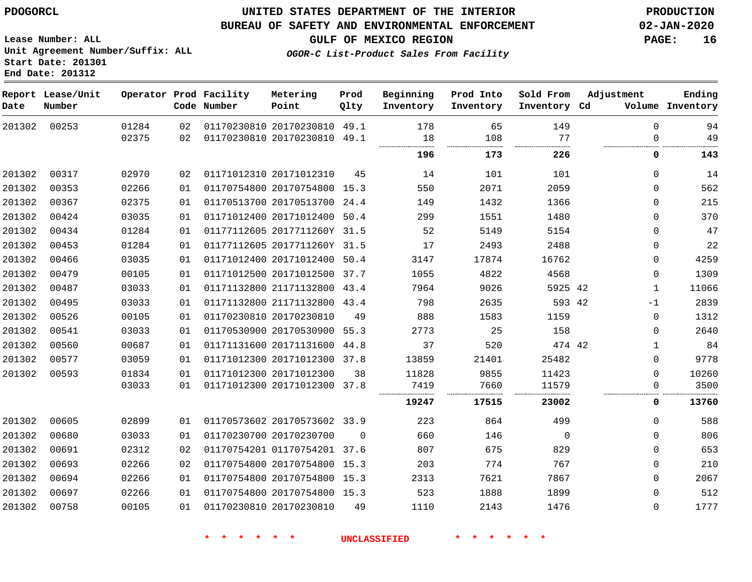#### **BUREAU OF SAFETY AND ENVIRONMENTAL ENFORCEMENT 02-JAN-2020**

**GULF OF MEXICO REGION PAGE: 16**

**Lease Number: ALL Unit Agreement Number/Suffix: ALL Start Date: 201301 End Date: 201312**

**OGOR-C List-Product Sales From Facility**

| Date   | Report Lease/Unit<br>Number |                |          | Operator Prod Facility<br>Code Number | Metering<br>Point                                       | Prod<br>Qlty | Beginning<br>Inventory | Prod Into<br>Inventory | Sold From<br>Inventory Cd | Adjustment                 | Ending<br>Volume Inventory |
|--------|-----------------------------|----------------|----------|---------------------------------------|---------------------------------------------------------|--------------|------------------------|------------------------|---------------------------|----------------------------|----------------------------|
| 201302 | 00253                       | 01284<br>02375 | 02<br>02 |                                       | 01170230810 20170230810 49.1<br>01170230810 20170230810 | 49.1         | 178<br>18              | 65<br>108              | 149<br>77                 | $\mathbf 0$<br>$\mathbf 0$ | 94<br>49                   |
|        |                             |                |          |                                       |                                                         |              | 196                    | 173                    | 226                       | 0                          | 143                        |
| 201302 | 00317                       | 02970          | 02       |                                       | 01171012310 20171012310                                 | 45           | 14                     | 101                    | 101                       | $\mathbf 0$                | 14                         |
| 201302 | 00353                       | 02266          | 01       |                                       | 01170754800 20170754800 15.3                            |              | 550                    | 2071                   | 2059                      | $\mathbf 0$                | 562                        |
| 201302 | 00367                       | 02375          | 01       |                                       | 01170513700 20170513700 24.4                            |              | 149                    | 1432                   | 1366                      | $\Omega$                   | 215                        |
| 201302 | 00424                       | 03035          | 01       |                                       | 01171012400 20171012400 50.4                            |              | 299                    | 1551                   | 1480                      | $\mathbf 0$                | 370                        |
| 201302 | 00434                       | 01284          | 01       |                                       | 01177112605 2017711260Y 31.5                            |              | 52                     | 5149                   | 5154                      | $\mathbf 0$                | 47                         |
| 201302 | 00453                       | 01284          | 01       |                                       | 01177112605 2017711260Y 31.5                            |              | 17                     | 2493                   | 2488                      | $\mathbf 0$                | 22                         |
| 201302 | 00466                       | 03035          | 01       |                                       | 01171012400 20171012400 50.4                            |              | 3147                   | 17874                  | 16762                     | $\mathbf 0$                | 4259                       |
| 201302 | 00479                       | 00105          | 01       |                                       | 01171012500 20171012500 37.7                            |              | 1055                   | 4822                   | 4568                      | $\mathbf 0$                | 1309                       |
| 201302 | 00487                       | 03033          | 01       |                                       | 01171132800 21171132800 43.4                            |              | 7964                   | 9026                   | 5925 42                   | $\mathbf{1}$               | 11066                      |
| 201302 | 00495                       | 03033          | 01       |                                       | 01171132800 21171132800 43.4                            |              | 798                    | 2635                   | 593 42                    | $-1$                       | 2839                       |
| 201302 | 00526                       | 00105          | 01       |                                       | 01170230810 20170230810                                 | 49           | 888                    | 1583                   | 1159                      | $\mathbf 0$                | 1312                       |
| 201302 | 00541                       | 03033          | 01       |                                       | 01170530900 20170530900 55.3                            |              | 2773                   | 25                     | 158                       | $\mathbf 0$                | 2640                       |
| 201302 | 00560                       | 00687          | 01       |                                       | 01171131600 20171131600                                 | 44.8         | 37                     | 520                    | 474 42                    | $\mathbf{1}$               | 84                         |
| 201302 | 00577                       | 03059          | 01       |                                       | 01171012300 20171012300 37.8                            |              | 13859                  | 21401                  | 25482                     | $\mathbf 0$                | 9778                       |
| 201302 | 00593                       | 01834          | 01       |                                       | 01171012300 20171012300                                 | 38           | 11828                  | 9855                   | 11423                     | $\mathbf 0$                | 10260                      |
|        |                             | 03033          | 01       |                                       | 01171012300 20171012300                                 | 37.8         | 7419                   | 7660                   | 11579                     | $\mathbf 0$                | 3500                       |
|        |                             |                |          |                                       |                                                         |              | 19247                  | 17515                  | 23002                     | 0                          | 13760                      |
| 201302 | 00605                       | 02899          | 01       |                                       | 01170573602 20170573602 33.9                            |              | 223                    | 864                    | 499                       | $\Omega$                   | 588                        |
| 201302 | 00680                       | 03033          | 01       |                                       | 01170230700 20170230700                                 | $\Omega$     | 660                    | 146                    | $\Omega$                  | $\Omega$                   | 806                        |
| 201302 | 00691                       | 02312          | 02       |                                       | 01170754201 01170754201 37.6                            |              | 807                    | 675                    | 829                       | $\Omega$                   | 653                        |
| 201302 | 00693                       | 02266          | 02       |                                       | 01170754800 20170754800 15.3                            |              | 203                    | 774                    | 767                       | $\mathbf 0$                | 210                        |
| 201302 | 00694                       | 02266          | 01       |                                       | 01170754800 20170754800 15.3                            |              | 2313                   | 7621                   | 7867                      | $\mathbf 0$                | 2067                       |
| 201302 | 00697                       | 02266          | 01       |                                       | 01170754800 20170754800 15.3                            |              | 523                    | 1888                   | 1899                      | $\mathbf 0$                | 512                        |
| 201302 | 00758                       | 00105          | 01       |                                       | 01170230810 20170230810                                 | 49           | 1110                   | 2143                   | 1476                      | $\mathbf 0$                | 1777                       |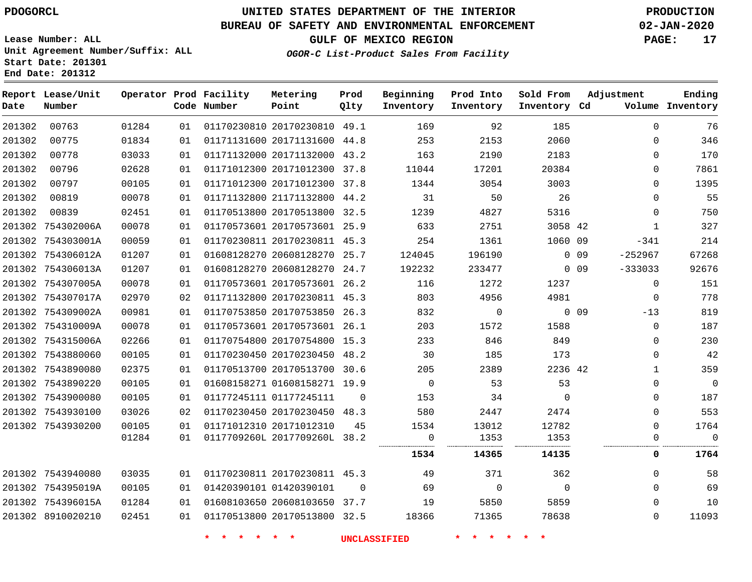# **UNITED STATES DEPARTMENT OF THE INTERIOR PDOGORCL PRODUCTION**

### **BUREAU OF SAFETY AND ENVIRONMENTAL ENFORCEMENT 02-JAN-2020**

**Lease Number: ALL Unit Agreement Number/Suffix: ALL Start Date: 201301**

**OGOR-C List-Product Sales From Facility**

**GULF OF MEXICO REGION PAGE: 17**

| ,我们也不会不会不会。""我们的人,我们也不会不会不会。""我们的人,我们也不会不会不会不会。""我们的人,我们也不会不会不会。""我们的人,我们也不会不会不会 |  |  |
|----------------------------------------------------------------------------------|--|--|
|                                                                                  |  |  |
|                                                                                  |  |  |

| Date   | Report Lease/Unit<br>Number |       |    | Operator Prod Facility<br>Code Number | Metering<br>Point            | Prod<br>Qlty | Beginning<br>Inventory | Prod Into<br>Inventory | Sold From<br>Inventory Cd | Adjustment              | Ending<br>Volume Inventory |
|--------|-----------------------------|-------|----|---------------------------------------|------------------------------|--------------|------------------------|------------------------|---------------------------|-------------------------|----------------------------|
| 201302 | 00763                       | 01284 | 01 |                                       | 01170230810 20170230810 49.1 |              | 169                    | 92                     | 185                       | $\Omega$                | 76                         |
| 201302 | 00775                       | 01834 | 01 |                                       | 01171131600 20171131600 44.8 |              | 253                    | 2153                   | 2060                      | $\Omega$                | 346                        |
| 201302 | 00778                       | 03033 | 01 |                                       | 01171132000 20171132000 43.2 |              | 163                    | 2190                   | 2183                      | $\mathbf 0$             | 170                        |
| 201302 | 00796                       | 02628 | 01 |                                       | 01171012300 20171012300 37.8 |              | 11044                  | 17201                  | 20384                     | $\mathbf 0$             | 7861                       |
| 201302 | 00797                       | 00105 | 01 |                                       | 01171012300 20171012300 37.8 |              | 1344                   | 3054                   | 3003                      | 0                       | 1395                       |
| 201302 | 00819                       | 00078 | 01 |                                       | 01171132800 21171132800 44.2 |              | 31                     | 50                     | 26                        | $\Omega$                | 55                         |
| 201302 | 00839                       | 02451 | 01 |                                       | 01170513800 20170513800 32.5 |              | 1239                   | 4827                   | 5316                      | $\mathbf 0$             | 750                        |
|        | 201302 754302006A           | 00078 | 01 |                                       | 01170573601 20170573601 25.9 |              | 633                    | 2751                   | 3058 42                   | $\mathbf{1}$            | 327                        |
|        | 201302 754303001A           | 00059 | 01 |                                       | 01170230811 20170230811 45.3 |              | 254                    | 1361                   | 1060 09                   | -341                    | 214                        |
|        | 201302 754306012A           | 01207 | 01 |                                       | 01608128270 20608128270 25.7 |              | 124045                 | 196190                 |                           | $-252967$<br>$0\quad09$ | 67268                      |
|        | 201302 754306013A           | 01207 | 01 |                                       | 01608128270 20608128270 24.7 |              | 192232                 | 233477                 |                           | $-333033$<br>$0\quad09$ | 92676                      |
|        | 201302 754307005A           | 00078 | 01 |                                       | 01170573601 20170573601 26.2 |              | 116                    | 1272                   | 1237                      | $\mathbf{0}$            | 151                        |
|        | 201302 754307017A           | 02970 | 02 |                                       | 01171132800 20170230811 45.3 |              | 803                    | 4956                   | 4981                      | 0                       | 778                        |
|        | 201302 754309002A           | 00981 | 01 |                                       | 01170753850 20170753850 26.3 |              | 832                    | 0                      |                           | $0$ 09<br>$-13$         | 819                        |
|        | 201302 754310009A           | 00078 | 01 |                                       | 01170573601 20170573601 26.1 |              | 203                    | 1572                   | 1588                      | $\mathbf 0$             | 187                        |
|        | 201302 754315006A           | 02266 | 01 |                                       | 01170754800 20170754800 15.3 |              | 233                    | 846                    | 849                       | 0                       | 230                        |
|        | 201302 7543880060           | 00105 | 01 |                                       | 01170230450 20170230450 48.2 |              | 30                     | 185                    | 173                       | 0                       | 42                         |
|        | 201302 7543890080           | 02375 | 01 |                                       | 01170513700 20170513700 30.6 |              | 205                    | 2389                   | 2236 42                   | $\mathbf{1}$            | 359                        |
|        | 201302 7543890220           | 00105 | 01 |                                       | 01608158271 01608158271 19.9 |              | $\mathbf 0$            | 53                     | 53                        | 0                       | $\mathbb O$                |
|        | 201302 7543900080           | 00105 | 01 |                                       | 01177245111 01177245111      | $\Omega$     | 153                    | 34                     | $\Omega$                  | 0                       | 187                        |
|        | 201302 7543930100           | 03026 | 02 |                                       | 01170230450 20170230450 48.3 |              | 580                    | 2447                   | 2474                      | $\Omega$                | 553                        |
|        | 201302 7543930200           | 00105 | 01 |                                       | 01171012310 20171012310      | 45           | 1534                   | 13012                  | 12782                     | $\mathbf 0$             | 1764                       |
|        |                             | 01284 | 01 |                                       | 0117709260L 2017709260L 38.2 |              | 0<br>                  | 1353                   | 1353                      | $\mathbf 0$             | $\mathbf 0$                |
|        |                             |       |    |                                       |                              |              | 1534                   | 14365                  | 14135                     | 0                       | 1764                       |
|        | 201302 7543940080           | 03035 | 01 |                                       | 01170230811 20170230811 45.3 |              | 49                     | 371                    | 362                       | $\mathbf 0$             | 58                         |
|        | 201302 754395019A           | 00105 | 01 |                                       | 01420390101 01420390101      | $\Omega$     | 69                     | $\mathbf 0$            | $\overline{0}$            | 0                       | 69                         |
|        | 201302 754396015A           | 01284 | 01 |                                       | 01608103650 20608103650 37.7 |              | 19                     | 5850                   | 5859                      | $\Omega$                | 10                         |
|        | 201302 8910020210           | 02451 | 01 |                                       | 01170513800 20170513800 32.5 |              | 18366                  | 71365                  | 78638                     | 0                       | 11093                      |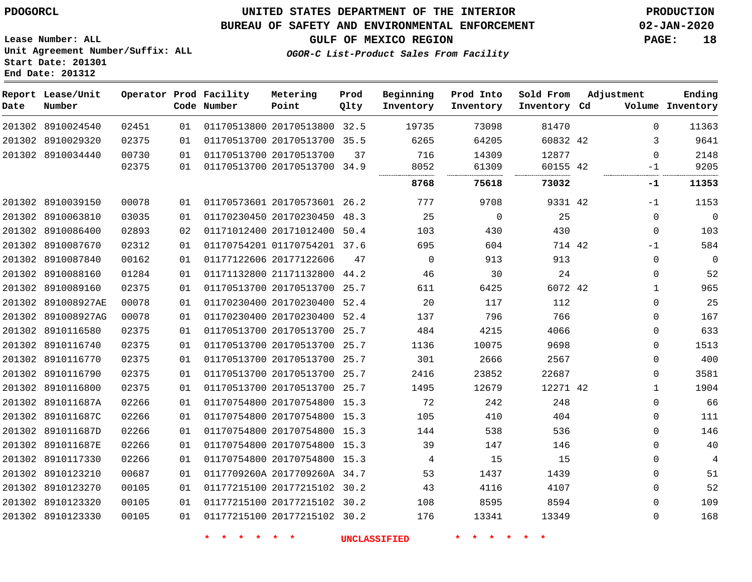8910024540 8910029320 8910034440

**Report Lease/Unit**

**Number**

### **UNITED STATES DEPARTMENT OF THE INTERIOR PDOGORCL PRODUCTION**

**Prod Qlty**

#### **BUREAU OF SAFETY AND ENVIRONMENTAL ENFORCEMENT 02-JAN-2020**

**Lease Number: ALL Unit Agreement Number/Suffix: ALL Start Date: 201301 End Date: 201312**

**Operator Prod Facility**

**Code Number**

 20170513800 32.5 20170513700 35.5

**Metering Point**

20170513700

**OGOR-C List-Product Sales From Facility**

   

**Prod Into Inventory**

**Beginning Inventory**

**GULF OF MEXICO REGION PAGE: 18**

**Inventory Cd Volume**

**Adjustment**

  $\Omega$ -1

**Ending**

42

**Sold From Inventory**

|                    | 02375 | 01 | 01170513700 20170513700 34.9 |    | 8052     | 61309    | 60155 42 |             | 9205        |
|--------------------|-------|----|------------------------------|----|----------|----------|----------|-------------|-------------|
|                    |       |    |                              |    | 8768     | 75618    | 73032    | -1          | 11353       |
| 201302 8910039150  | 00078 | 01 | 01170573601 20170573601 26.2 |    | 777      | 9708     | 9331 42  | -1          | 1153        |
| 201302 8910063810  | 03035 | 01 | 01170230450 20170230450 48.3 |    | 25       | $\Omega$ | 25       | $\Omega$    | $\mathbf 0$ |
| 201302 8910086400  | 02893 | 02 | 01171012400 20171012400 50.4 |    | 103      | 430      | 430      | $\mathbf 0$ | 103         |
| 201302 8910087670  | 02312 | 01 | 01170754201 01170754201 37.6 |    | 695      | 604      | 714 42   | $-1$        | 584         |
| 201302 8910087840  | 00162 | 01 | 01177122606 20177122606      | 47 | $\Omega$ | 913      | 913      | $\Omega$    | 0           |
| 201302 8910088160  | 01284 | 01 | 01171132800 21171132800 44.2 |    | 46       | 30       | 24       | $\Omega$    | 52          |
| 201302 8910089160  | 02375 | 01 | 01170513700 20170513700 25.7 |    | 611      | 6425     | 6072 42  | 1           | 965         |
| 201302 891008927AE | 00078 | 01 | 01170230400 20170230400 52.4 |    | 20       | 117      | 112      | 0           | 25          |
| 201302 891008927AG | 00078 | 01 | 01170230400 20170230400 52.4 |    | 137      | 796      | 766      | 0           | 167         |
| 201302 8910116580  | 02375 | 01 | 01170513700 20170513700 25.7 |    | 484      | 4215     | 4066     | $\Omega$    | 633         |
| 201302 8910116740  | 02375 | 01 | 01170513700 20170513700 25.7 |    | 1136     | 10075    | 9698     | 0           | 1513        |
| 201302 8910116770  | 02375 | 01 | 01170513700 20170513700 25.7 |    | 301      | 2666     | 2567     | 0           | 400         |
| 201302 8910116790  | 02375 | 01 | 01170513700 20170513700 25.7 |    | 2416     | 23852    | 22687    | 0           | 3581        |
| 201302 8910116800  | 02375 | 01 | 01170513700 20170513700 25.7 |    | 1495     | 12679    | 12271 42 | 1           | 1904        |
| 201302 891011687A  | 02266 | 01 | 01170754800 20170754800 15.3 |    | 72       | 242      | 248      | $\Omega$    | 66          |
| 201302 891011687C  | 02266 | 01 | 01170754800 20170754800 15.3 |    | 105      | 410      | 404      | $\Omega$    | 111         |
| 201302 891011687D  | 02266 | 01 | 01170754800 20170754800 15.3 |    | 144      | 538      | 536      | 0           | 146         |
| 201302 891011687E  | 02266 | 01 | 01170754800 20170754800 15.3 |    | 39       | 147      | 146      | 0           | 40          |
| 201302 8910117330  | 02266 | 01 | 01170754800 20170754800 15.3 |    | 4        | 15       | 15       | $\Omega$    | 4           |
| 201302 8910123210  | 00687 | 01 | 0117709260A 2017709260A 34.7 |    | 53       | 1437     | 1439     | $\Omega$    | 51          |
| 201302 8910123270  | 00105 | 01 | 01177215100 20177215102 30.2 |    | 43       | 4116     | 4107     | $\Omega$    | 52          |
| 201302 8910123320  | 00105 | 01 | 01177215100 20177215102 30.2 |    | 108      | 8595     | 8594     | $\Omega$    | 109         |
| 201302 8910123330  | 00105 | 01 | 01177215100 20177215102 30.2 |    | 176      | 13341    | 13349    | $\mathbf 0$ | 168         |
|                    |       |    |                              |    |          |          |          |             |             |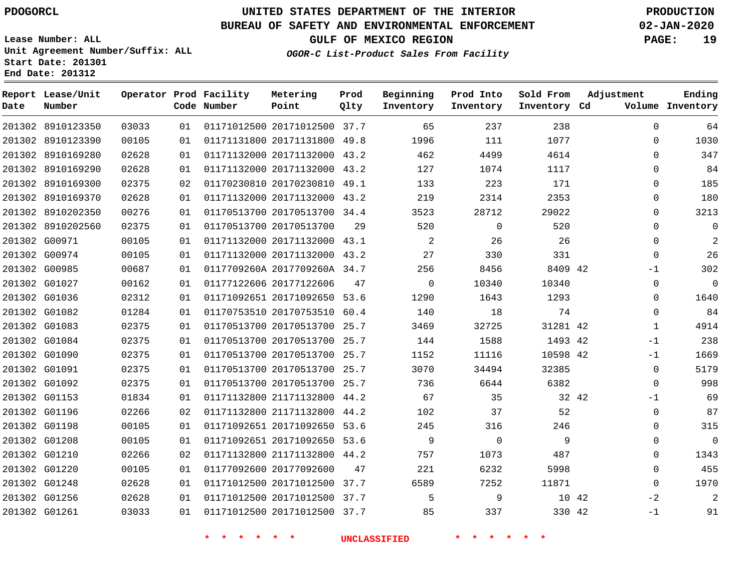**Report Lease/Unit**

**Number**

# **UNITED STATES DEPARTMENT OF THE INTERIOR PDOGORCL PRODUCTION**

**Prod Qlty**

#### **BUREAU OF SAFETY AND ENVIRONMENTAL ENFORCEMENT 02-JAN-2020**

**Lease Number: ALL Unit Agreement Number/Suffix: ALL Start Date: 201301 End Date: 201312**

**Operator Prod Facility Metering**

**Point**

**Code Number**

**OGOR-C List-Product Sales From Facility**

**Beginning Inventory**

**Prod Into Inventory**

**Sold From Inventory**

**GULF OF MEXICO REGION PAGE: 19**

**Inventory Cd Volume**

**Adjustment**

  $\Omega$   $\Omega$  -1  $\Omega$  $\Omega$  $\overline{0}$  -1 -1  $\Omega$  $\Omega$ -1  $\Omega$   $-2$ -1

**Ending**

|               | 201302 8910123350 | 03033 | 01 |         | 01171012500 20171012500 37.7 | 65                         | 237            | 238      |  |
|---------------|-------------------|-------|----|---------|------------------------------|----------------------------|----------------|----------|--|
|               | 201302 8910123390 | 00105 | 01 |         | 01171131800 20171131800 49.8 | 1996                       | 111            | 1077     |  |
|               | 201302 8910169280 | 02628 | 01 |         | 01171132000 20171132000 43.2 | 462                        | 4499           | 4614     |  |
|               | 201302 8910169290 | 02628 | 01 |         | 01171132000 20171132000 43.2 | 127                        | 1074           | 1117     |  |
|               | 201302 8910169300 | 02375 | 02 |         | 01170230810 20170230810 49.1 | 133                        | 223            | 171      |  |
|               | 201302 8910169370 | 02628 | 01 |         | 01171132000 20171132000 43.2 | 219                        | 2314           | 2353     |  |
|               | 201302 8910202350 | 00276 | 01 |         | 01170513700 20170513700 34.4 | 3523                       | 28712          | 29022    |  |
|               | 201302 8910202560 | 02375 | 01 |         | 01170513700 20170513700 29   | 520                        | $\Omega$       | 520      |  |
|               | 201302 G00971     | 00105 | 01 |         | 01171132000 20171132000 43.1 | $\overline{\phantom{0}}^2$ | 26             | 26       |  |
|               | 201302 G00974     | 00105 | 01 |         | 01171132000 20171132000 43.2 | 27                         | 330            | 331      |  |
|               | 201302 G00985     | 00687 | 01 |         | 0117709260A 2017709260A 34.7 | 256                        | 8456           | 8409 42  |  |
|               | 201302 G01027     | 00162 | 01 |         | 01177122606 20177122606 47   | $\overline{0}$             | 10340          | 10340    |  |
| 201302 G01036 |                   | 02312 | 01 |         | 01171092651 20171092650 53.6 | 1290                       | 1643           | 1293     |  |
|               | 201302 G01082     | 01284 | 01 |         | 01170753510 20170753510 60.4 | 140                        | 18             | 74       |  |
| 201302 G01083 |                   | 02375 | 01 |         | 01170513700 20170513700 25.7 | 3469                       | 32725          | 31281 42 |  |
|               | 201302 G01084     | 02375 | 01 |         | 01170513700 20170513700 25.7 | 144                        | 1588           | 1493 42  |  |
| 201302 G01090 |                   | 02375 | 01 |         | 01170513700 20170513700 25.7 | 1152                       | 11116          | 10598 42 |  |
|               | 201302 G01091     | 02375 | 01 |         | 01170513700 20170513700 25.7 | 3070                       | 34494          | 32385    |  |
|               | 201302 G01092     | 02375 | 01 |         | 01170513700 20170513700 25.7 | 736                        | 6644           | 6382     |  |
|               | 201302 G01153     | 01834 | 01 |         | 01171132800 21171132800 44.2 | 67                         | 35             | 32 42    |  |
| 201302 G01196 |                   | 02266 | 02 |         | 01171132800 21171132800 44.2 | 102                        | 37             | 52       |  |
| 201302 G01198 |                   | 00105 | 01 |         | 01171092651 20171092650 53.6 | 245                        | 316            | 246      |  |
| 201302 G01208 |                   | 00105 | 01 |         | 01171092651 20171092650 53.6 | $\overline{9}$             | $\overline{0}$ | 9        |  |
| 201302 G01210 |                   | 02266 | 02 |         | 01171132800 21171132800 44.2 | 757                        | 1073           | 487      |  |
|               | 201302 G01220     | 00105 | 01 |         | 01177092600 20177092600 47   | 221                        | 6232           | 5998     |  |
| 201302 G01248 |                   | 02628 | 01 |         | 01171012500 20171012500 37.7 | 6589                       | 7252           | 11871    |  |
| 201302 G01256 |                   | 02628 | 01 |         | 01171012500 20171012500 37.7 | 5                          | - 9            | 10 42    |  |
|               | 201302 G01261     | 03033 | 01 |         | 01171012500 20171012500 37.7 | 85                         | 337            | 330 42   |  |
|               |                   |       |    | $\star$ | $*$ *                        | <b>UNCLASSIFIED</b>        |                |          |  |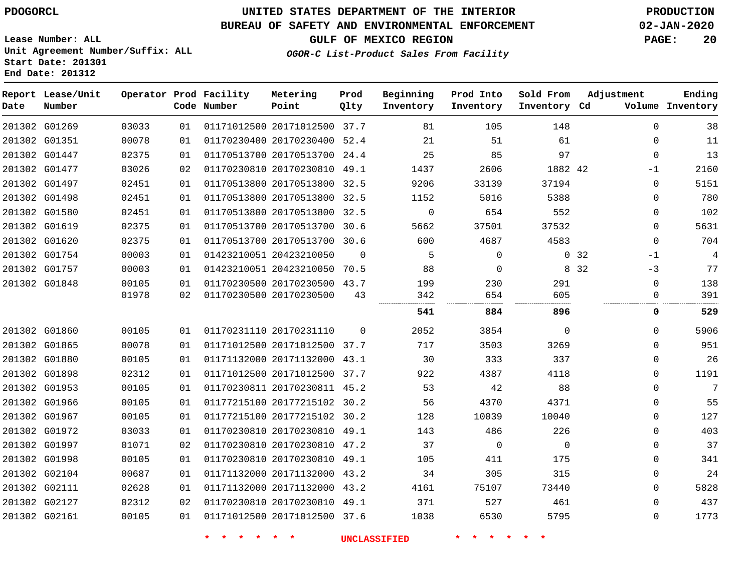## **UNITED STATES DEPARTMENT OF THE INTERIOR PDOGORCL PRODUCTION**

**Prod**

#### **BUREAU OF SAFETY AND ENVIRONMENTAL ENFORCEMENT 02-JAN-2020**

**Lease Number: ALL Unit Agreement Number/Suffix: ALL Start Date: 201301 End Date: 201312**

**OGOR-C List-Product Sales From Facility**

**Beginning**

**Prod Into**

**Sold From**

**Adjustment**

**GULF OF MEXICO REGION PAGE: 20**

**Ending**

| Date | Report Lease/Unit<br>Number |       |    | Operator Prod Facility<br>Code Number | Metering<br>Point            | Prod<br>Qlty | Beginning<br>Inventory | Prod Into<br>Inventory | Sold From<br>Inventory Cd | Adjustment    | Ending<br>Volume Inventory |
|------|-----------------------------|-------|----|---------------------------------------|------------------------------|--------------|------------------------|------------------------|---------------------------|---------------|----------------------------|
|      | 201302 G01269               | 03033 | 01 |                                       | 01171012500 20171012500 37.7 |              | 81                     | 105                    | 148                       | $\mathbf 0$   | 38                         |
|      | 201302 G01351               | 00078 | 01 |                                       | 01170230400 20170230400 52.4 |              | 21                     | 51                     | 61                        | $\Omega$      | 11                         |
|      | 201302 G01447               | 02375 | 01 |                                       | 01170513700 20170513700 24.4 |              | 25                     | 85                     | 97                        | $\mathbf 0$   | 13                         |
|      | 201302 G01477               | 03026 | 02 |                                       | 01170230810 20170230810 49.1 |              | 1437                   | 2606                   | 1882 42                   | $-1$          | 2160                       |
|      | 201302 G01497               | 02451 | 01 |                                       | 01170513800 20170513800 32.5 |              | 9206                   | 33139                  | 37194                     | $\mathbf 0$   | 5151                       |
|      | 201302 G01498               | 02451 | 01 |                                       | 01170513800 20170513800 32.5 |              | 1152                   | 5016                   | 5388                      | $\mathbf 0$   | 780                        |
|      | 201302 G01580               | 02451 | 01 |                                       | 01170513800 20170513800 32.5 |              | $\mathbf 0$            | 654                    | 552                       | $\Omega$      | 102                        |
|      | 201302 G01619               | 02375 | 01 |                                       | 01170513700 20170513700 30.6 |              | 5662                   | 37501                  | 37532                     | $\Omega$      | 5631                       |
|      | 201302 G01620               | 02375 | 01 |                                       | 01170513700 20170513700 30.6 |              | 600                    | 4687                   | 4583                      | $\mathbf 0$   | 704                        |
|      | 201302 G01754               | 00003 | 01 |                                       | 01423210051 20423210050      | $\Omega$     | 5                      | $\mathbf 0$            |                           | 0.32<br>$-1$  | $\overline{4}$             |
|      | 201302 G01757               | 00003 | 01 |                                       | 01423210051 20423210050 70.5 |              | 88                     | $\Omega$               |                           | 8 3 2<br>$-3$ | 77                         |
|      | 201302 G01848               | 00105 | 01 |                                       | 01170230500 20170230500 43.7 |              | 199                    | 230                    | 291                       | $\Omega$      | 138                        |
|      |                             | 01978 | 02 |                                       | 01170230500 20170230500      | 43           | 342                    | 654                    | 605                       | $\mathbf 0$   | 391                        |
|      |                             |       |    |                                       |                              |              | 541                    | 884                    | 896                       | 0             | 529                        |
|      | 201302 G01860               | 00105 | 01 |                                       | 01170231110 20170231110      | $\Omega$     | 2052                   | 3854                   | $\Omega$                  | $\Omega$      | 5906                       |
|      | 201302 G01865               | 00078 | 01 |                                       | 01171012500 20171012500 37.7 |              | 717                    | 3503                   | 3269                      | $\mathbf 0$   | 951                        |
|      | 201302 G01880               | 00105 | 01 |                                       | 01171132000 20171132000 43.1 |              | 30                     | 333                    | 337                       | $\mathbf{0}$  | 26                         |
|      | 201302 G01898               | 02312 | 01 |                                       | 01171012500 20171012500 37.7 |              | 922                    | 4387                   | 4118                      | $\Omega$      | 1191                       |
|      | 201302 G01953               | 00105 | 01 |                                       | 01170230811 20170230811 45.2 |              | 53                     | 42                     | 88                        | $\Omega$      | 7                          |
|      | 201302 G01966               | 00105 | 01 |                                       | 01177215100 20177215102 30.2 |              | 56                     | 4370                   | 4371                      | $\mathbf{0}$  | 55                         |
|      | 201302 G01967               | 00105 | 01 |                                       | 01177215100 20177215102 30.2 |              | 128                    | 10039                  | 10040                     | $\mathbf 0$   | 127                        |
|      | 201302 G01972               | 03033 | 01 |                                       | 01170230810 20170230810 49.1 |              | 143                    | 486                    | 226                       | $\Omega$      | 403                        |
|      | 201302 G01997               | 01071 | 02 |                                       | 01170230810 20170230810 47.2 |              | 37                     | $\overline{0}$         | $\Omega$                  | $\Omega$      | 37                         |
|      | 201302 G01998               | 00105 | 01 |                                       | 01170230810 20170230810 49.1 |              | 105                    | 411                    | 175                       | $\mathbf 0$   | 341                        |
|      | 201302 G02104               | 00687 | 01 |                                       | 01171132000 20171132000 43.2 |              | 34                     | 305                    | 315                       | $\mathbf 0$   | 24                         |
|      | 201302 G02111               | 02628 | 01 |                                       | 01171132000 20171132000 43.2 |              | 4161                   | 75107                  | 73440                     | $\Omega$      | 5828                       |
|      | 201302 G02127               | 02312 | 02 |                                       | 01170230810 20170230810 49.1 |              | 371                    | 527                    | 461                       | $\mathbf{0}$  | 437                        |
|      | 201302 G02161               | 00105 | 01 |                                       | 01171012500 20171012500 37.6 |              | 1038                   | 6530                   | 5795                      | $\Omega$      | 1773                       |

**Metering**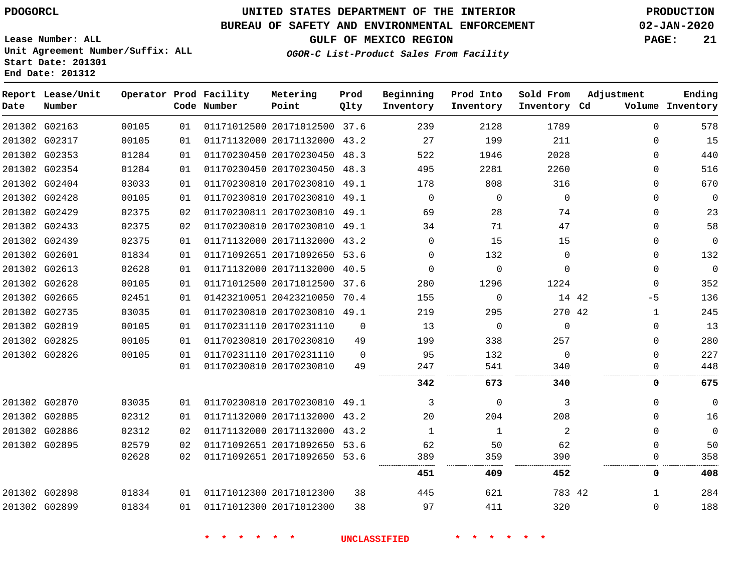#### **BUREAU OF SAFETY AND ENVIRONMENTAL ENFORCEMENT 02-JAN-2020**

**Lease Number: ALL Unit Agreement Number/Suffix: ALL Start Date: 201301 End Date: 201312**

**GULF OF MEXICO REGION PAGE: 21**

**OGOR-C List-Product Sales From Facility**

| Date | Report Lease/Unit<br>Number |       |    | Operator Prod Facility<br>Code Number | Metering<br>Point            | Prod<br>Qlty | Beginning<br>Inventory | Prod Into<br>Inventory | Sold From<br>Inventory Cd | Adjustment   | Ending<br>Volume Inventory |
|------|-----------------------------|-------|----|---------------------------------------|------------------------------|--------------|------------------------|------------------------|---------------------------|--------------|----------------------------|
|      | 201302 G02163               | 00105 | 01 |                                       | 01171012500 20171012500 37.6 |              | 239                    | 2128                   | 1789                      | $\mathbf{0}$ | 578                        |
|      | 201302 G02317               | 00105 | 01 |                                       | 01171132000 20171132000 43.2 |              | 27                     | 199                    | 211                       | $\Omega$     | 15                         |
|      | 201302 G02353               | 01284 | 01 |                                       | 01170230450 20170230450 48.3 |              | 522                    | 1946                   | 2028                      | $\mathbf 0$  | 440                        |
|      | 201302 G02354               | 01284 | 01 |                                       | 01170230450 20170230450 48.3 |              | 495                    | 2281                   | 2260                      | $\Omega$     | 516                        |
|      | 201302 G02404               | 03033 | 01 |                                       | 01170230810 20170230810 49.1 |              | 178                    | 808                    | 316                       | $\Omega$     | 670                        |
|      | 201302 G02428               | 00105 | 01 |                                       | 01170230810 20170230810 49.1 |              | $\mathbf 0$            | $\mathbf 0$            | $\mathbf 0$               | $\mathbf 0$  | $\mathbf 0$                |
|      | 201302 G02429               | 02375 | 02 |                                       | 01170230811 20170230810 49.1 |              | 69                     | 28                     | 74                        | $\Omega$     | 23                         |
|      | 201302 G02433               | 02375 | 02 |                                       | 01170230810 20170230810 49.1 |              | 34                     | 71                     | 47                        | 0            | 58                         |
|      | 201302 G02439               | 02375 | 01 |                                       | 01171132000 20171132000 43.2 |              | $\Omega$               | 15                     | 15                        | $\Omega$     | $\mathbf{0}$               |
|      | 201302 G02601               | 01834 | 01 |                                       | 01171092651 20171092650 53.6 |              | $\mathbf 0$            | 132                    | $\mathbf{0}$              | $\mathbf 0$  | 132                        |
|      | 201302 G02613               | 02628 | 01 |                                       | 01171132000 20171132000 40.5 |              | $\Omega$               | $\Omega$               | $\Omega$                  | $\Omega$     | $\mathbf{0}$               |
|      | 201302 G02628               | 00105 | 01 |                                       | 01171012500 20171012500 37.6 |              | 280                    | 1296                   | 1224                      | $\mathbf 0$  | 352                        |
|      | 201302 G02665               | 02451 | 01 |                                       | 01423210051 20423210050 70.4 |              | 155                    | $\mathbf 0$            | 14 42                     | $-5$         | 136                        |
|      | 201302 G02735               | 03035 | 01 |                                       | 01170230810 20170230810 49.1 |              | 219                    | 295                    | 270 42                    | $\mathbf{1}$ | 245                        |
|      | 201302 G02819               | 00105 | 01 |                                       | 01170231110 20170231110      | $\mathbf 0$  | 13                     | $\Omega$               | $\Omega$                  | 0            | 13                         |
|      | 201302 G02825               | 00105 | 01 |                                       | 01170230810 20170230810      | 49           | 199                    | 338                    | 257                       | $\Omega$     | 280                        |
|      | 201302 G02826               | 00105 | 01 |                                       | 01170231110 20170231110      | $\Omega$     | 95                     | 132                    | $\Omega$                  | $\mathbf{0}$ | 227                        |
|      |                             |       | 01 |                                       | 01170230810 20170230810      | 49           | 247                    | 541                    | 340                       | $\Omega$     | 448                        |
|      |                             |       |    |                                       |                              |              | 342                    | 673                    | 340                       | 0            | 675                        |
|      | 201302 G02870               | 03035 | 01 |                                       | 01170230810 20170230810 49.1 |              | 3                      | $\Omega$               | 3                         | $\Omega$     | $\Omega$                   |
|      | 201302 G02885               | 02312 | 01 |                                       | 01171132000 20171132000 43.2 |              | 20                     | 204                    | 208                       | $\mathbf 0$  | 16                         |
|      | 201302 G02886               | 02312 | 02 |                                       | 01171132000 20171132000 43.2 |              | $\mathbf{1}$           | 1                      | 2                         | $\mathbf 0$  | $\mathbf{0}$               |
|      | 201302 G02895               | 02579 | 02 |                                       | 01171092651 20171092650 53.6 |              | 62                     | 50                     | 62                        | $\Omega$     | 50                         |
|      |                             | 02628 | 02 |                                       | 01171092651 20171092650 53.6 |              | 389                    | 359                    | 390                       | $\mathbf 0$  | 358                        |
|      |                             |       |    |                                       |                              |              | 451                    | 409                    | 452                       | 0            | 408                        |
|      | 201302 G02898               | 01834 | 01 |                                       | 01171012300 20171012300      | 38           | 445                    | 621                    | 783 42                    | 1            | 284                        |
|      | 201302 G02899               | 01834 | 01 |                                       | 01171012300 20171012300      | 38           | 97                     | 411                    | 320                       | 0            | 188                        |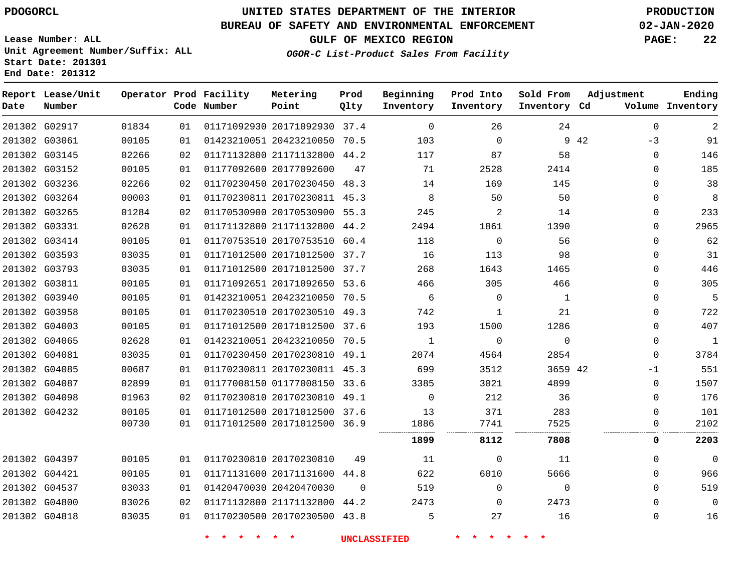G02917 G03061

**Date**

**Report Lease/Unit**

**Number**

## **UNITED STATES DEPARTMENT OF THE INTERIOR PDOGORCL PRODUCTION**

**Prod Qlty**

#### **BUREAU OF SAFETY AND ENVIRONMENTAL ENFORCEMENT 02-JAN-2020**

**Lease Number: ALL Unit Agreement Number/Suffix: ALL Start Date: 201301 End Date: 201312**

> 

**Operator Prod Facility**

**Code Number**

 20171092930 37.4 20423210050 70.5

**Metering Point**

  **OGOR-C List-Product Sales From Facility**

**Beginning Inventory**

> 

  $\Omega$ 

**Prod Into Inventory**

**GULF OF MEXICO REGION PAGE: 22**

**Inventory Cd Volume**

**Adjustment**

  $-3$  $\Omega$  $\Omega$  $\Omega$  $\Omega$  $\Omega$  $\Omega$  $\Omega$  $\Omega$  $\Omega$  $\Omega$  $\Omega$   $\Omega$  $\overline{0}$  $\Omega$  $-1$  $\Omega$  $\Omega$  

**Ending**

42

**Sold From Inventory**

|               |       |    | * * * * * *             |                              | <b>UNCLASSIFIED</b> |                | * * * * * *    |              |              |              |
|---------------|-------|----|-------------------------|------------------------------|---------------------|----------------|----------------|--------------|--------------|--------------|
| 201302 G04818 | 03035 | 01 |                         | 01170230500 20170230500 43.8 |                     | 5              | 27             | 16           | 0            | 16           |
| 201302 G04800 | 03026 | 02 |                         | 01171132800 21171132800 44.2 |                     | 2473           | $\Omega$       | 2473         | $\Omega$     | 0            |
| 201302 G04537 | 03033 | 01 | 01420470030 20420470030 |                              | - 0                 | 519            | $\Omega$       | $\Omega$     | $\Omega$     | 519          |
| 201302 G04421 | 00105 | 01 |                         | 01171131600 20171131600 44.8 |                     | 622            | 6010           | 5666         | $\mathbf{0}$ | 966          |
| 201302 G04397 | 00105 | 01 | 01170230810 20170230810 |                              | 49                  | 11             | $\overline{0}$ | 11           | $\Omega$     | $\mathbf 0$  |
|               |       |    |                         |                              |                     | 1899           | 8112           | 7808         | 0            | 2203         |
|               | 00730 | 01 |                         | 01171012500 20171012500 36.9 |                     | 1886           | 7741           | 7525         |              | 2102         |
| 201302 G04232 | 00105 | 01 |                         | 01171012500 20171012500 37.6 |                     | 13             | 371            | 283          | $\Omega$     | 101          |
| 201302 G04098 | 01963 | 02 |                         | 01170230810 20170230810 49.1 |                     | $\Omega$       | 212            | 36           | 0            | 176          |
| 201302 G04087 | 02899 | 01 |                         | 01177008150 01177008150 33.6 |                     | 3385           | 3021           | 4899         | $\Omega$     | 1507         |
| 201302 G04085 | 00687 | 01 |                         | 01170230811 20170230811 45.3 |                     | 699            | 3512           | 3659 42      | $-1$         | 551          |
| 201302 G04081 | 03035 | 01 |                         | 01170230450 20170230810 49.1 |                     | 2074           | 4564           | 2854         | $\Omega$     | 3784         |
| 201302 G04065 | 02628 | 01 |                         | 01423210051 20423210050 70.5 |                     | $\blacksquare$ | $\Omega$       | $\Omega$     | $\Omega$     | $\mathbf{1}$ |
| 201302 G04003 | 00105 | 01 |                         | 01171012500 20171012500 37.6 |                     | 193            | 1500           | 1286         | 0            | 407          |
| 201302 G03958 | 00105 | 01 |                         | 01170230510 20170230510 49.3 |                     | 742            | 1              | 21           | $\Omega$     | 722          |
| 201302 G03940 | 00105 | 01 |                         | 01423210051 20423210050 70.5 |                     | 6              | $\Omega$       | $\mathbf{1}$ | 0            | 5            |
| 201302 G03811 | 00105 | 01 |                         | 01171092651 20171092650 53.6 |                     | 466            | 305            | 466          | 0            | 305          |
| 201302 G03793 | 03035 | 01 |                         | 01171012500 20171012500 37.7 |                     | 268            | 1643           | 1465         | $\Omega$     | 446          |
| 201302 G03593 | 03035 | 01 |                         | 01171012500 20171012500 37.7 |                     | 16             | 113            | 98           | 0            | 31           |
| 201302 G03414 | 00105 | 01 |                         | 01170753510 20170753510 60.4 |                     | 118            | $\overline{0}$ | 56           | $\Omega$     | 62           |
| 201302 G03331 | 02628 | 01 |                         | 01171132800 21171132800 44.2 |                     | 2494           | 1861           | 1390         | 0            | 2965         |
| 201302 G03265 | 01284 | 02 |                         | 01170530900 20170530900 55.3 |                     | 245            | 2              | 14           | 0            | 233          |
| 201302 G03264 | 00003 | 01 |                         | 01170230811 20170230811 45.3 |                     | 8              | 50             | 50           | 0            | 8            |
| 201302 G03236 | 02266 | 02 |                         | 01170230450 20170230450 48.3 |                     | 14             | 169            | 145          | 0            | 38           |
| 201302 G03152 | 00105 | 01 | 01177092600 20177092600 |                              | 47                  | 71             | 2528           | 2414         | 0            | 185          |
| 201302 G03145 | 02266 | 02 |                         | 01171132800 21171132800 44.2 |                     | 117            | 87             | 58           | $\Omega$     | 146          |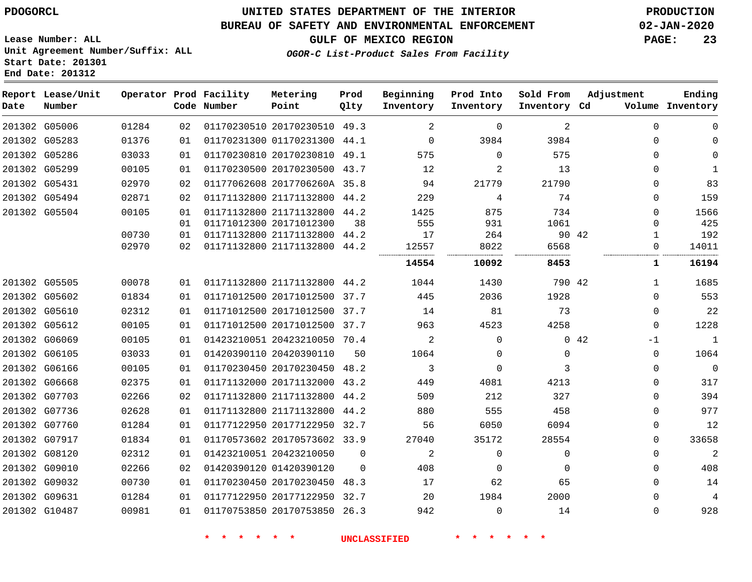**Report Lease/Unit**

**Number**

### **UNITED STATES DEPARTMENT OF THE INTERIOR PDOGORCL PRODUCTION**

#### **BUREAU OF SAFETY AND ENVIRONMENTAL ENFORCEMENT 02-JAN-2020**

**Lease Number: ALL Unit Agreement Number/Suffix: ALL Start Date: 201301 End Date: 201312**

**Operator Prod Facility**

**GULF OF MEXICO REGION PAGE: 23**

**Prod Qlty**

**Metering Point**

**Adjustment**

**Ending**

**OGOR-C List-Product Sales From Facility**

**Beginning Inventory**

**Prod Into Inventory**

**Sold From Inventory**

| Date | Number        |       |    | Code Number | Point                        | Qlty     | Inventory   | Inventory | Inventory Cd |       |          | Volume Inventory |
|------|---------------|-------|----|-------------|------------------------------|----------|-------------|-----------|--------------|-------|----------|------------------|
|      | 201302 G05006 | 01284 | 02 |             | 01170230510 20170230510 49.3 |          | 2           | 0         | 2            |       | $\Omega$ | $\Omega$         |
|      | 201302 G05283 | 01376 | 01 |             | 01170231300 01170231300 44.1 |          | $\mathbf 0$ | 3984      | 3984         |       | $\Omega$ | $\Omega$         |
|      | 201302 G05286 | 03033 | 01 |             | 01170230810 20170230810 49.1 |          | 575         | $\Omega$  | 575          |       | $\Omega$ | $\Omega$         |
|      | 201302 G05299 | 00105 | 01 |             | 01170230500 20170230500 43.7 |          | 12          | 2         | 13           |       | $\Omega$ | 1                |
|      | 201302 G05431 | 02970 | 02 |             | 01177062608 2017706260A 35.8 |          | 94          | 21779     | 21790        |       | $\Omega$ | 83               |
|      | 201302 G05494 | 02871 | 02 |             | 01171132800 21171132800 44.2 |          | 229         | 4         | 74           |       | $\Omega$ | 159              |
|      | 201302 G05504 | 00105 | 01 |             | 01171132800 21171132800 44.2 |          | 1425        | 875       | 734          |       | $\Omega$ | 1566             |
|      |               |       | 01 |             | 01171012300 20171012300      | 38       | 555         | 931       | 1061         |       | $\Omega$ | 425              |
|      |               | 00730 | 01 |             | 01171132800 21171132800 44.2 |          | 17          | 264       |              | 90 42 | 1        | 192              |
|      |               | 02970 | 02 |             | 01171132800 21171132800 44.2 |          | 12557       | 8022      | 6568         |       | $\Omega$ | 14011            |
|      |               |       |    |             |                              |          | 14554       | 10092     | 8453         |       | 1        | 16194            |
|      | 201302 G05505 | 00078 | 01 |             | 01171132800 21171132800 44.2 |          | 1044        | 1430      | 790 42       |       | 1        | 1685             |
|      | 201302 G05602 | 01834 | 01 |             | 01171012500 20171012500 37.7 |          | 445         | 2036      | 1928         |       | $\Omega$ | 553              |
|      | 201302 G05610 | 02312 | 01 |             | 01171012500 20171012500 37.7 |          | 14          | 81        | 73           |       | 0        | 22               |
|      | 201302 G05612 | 00105 | 01 |             | 01171012500 20171012500 37.7 |          | 963         | 4523      | 4258         |       | $\Omega$ | 1228             |
|      | 201302 G06069 | 00105 | 01 |             | 01423210051 20423210050 70.4 |          | 2           | 0         |              | 0.42  | $-1$     | $\mathbf 1$      |
|      | 201302 G06105 | 03033 | 01 |             | 01420390110 20420390110      | 50       | 1064        | 0         | 0            |       | 0        | 1064             |
|      | 201302 G06166 | 00105 | 01 |             | 01170230450 20170230450 48.2 |          | 3           | 0         | 3            |       | $\Omega$ | $\overline{0}$   |
|      | 201302 G06668 | 02375 | 01 |             | 01171132000 20171132000 43.2 |          | 449         | 4081      | 4213         |       | $\Omega$ | 317              |
|      | 201302 G07703 | 02266 | 02 |             | 01171132800 21171132800 44.2 |          | 509         | 212       | 327          |       | $\Omega$ | 394              |
|      | 201302 G07736 | 02628 | 01 |             | 01171132800 21171132800      | 44.2     | 880         | 555       | 458          |       | 0        | 977              |
|      | 201302 G07760 | 01284 | 01 |             | 01177122950 20177122950 32.7 |          | 56          | 6050      | 6094         |       | $\Omega$ | 12               |
|      | 201302 G07917 | 01834 | 01 |             | 01170573602 20170573602 33.9 |          | 27040       | 35172     | 28554        |       | $\Omega$ | 33658            |
|      | 201302 G08120 | 02312 | 01 |             | 01423210051 20423210050      | 0        | 2           | 0         | 0            |       | $\Omega$ | $\overline{a}$   |
|      | 201302 G09010 | 02266 | 02 |             | 01420390120 01420390120      | $\Omega$ | 408         | 0         | 0            |       | 0        | 408              |
|      | 201302 G09032 | 00730 | 01 |             | 01170230450 20170230450 48.3 |          | 17          | 62        | 65           |       | $\Omega$ | 14               |
|      | 201302 G09631 | 01284 | 01 |             | 01177122950 20177122950 32.7 |          | 20          | 1984      | 2000         |       | 0        | 4                |
|      | 201302 G10487 | 00981 | 01 |             | 01170753850 20170753850 26.3 |          | 942         | $\Omega$  | 14           |       | $\Omega$ | 928              |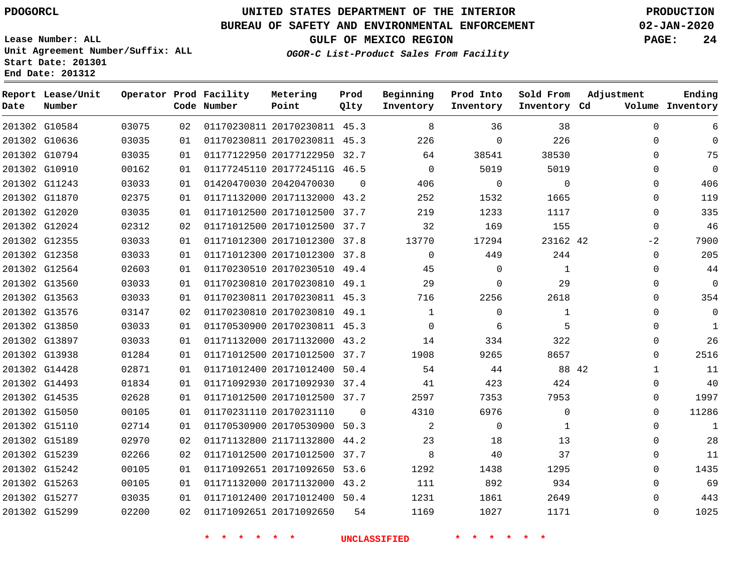G10584

**Date**

**Report Lease/Unit**

**Number**

G15299

## **UNITED STATES DEPARTMENT OF THE INTERIOR PDOGORCL PRODUCTION**

**Prod Qlty**

#### **BUREAU OF SAFETY AND ENVIRONMENTAL ENFORCEMENT 02-JAN-2020**

**Lease Number: ALL Unit Agreement Number/Suffix: ALL Start Date: 201301 End Date: 201312**

**Operator Prod Facility**

**Code Number**

20170230811 45.3

**Metering Point**

**OGOR-C List-Product Sales From Facility**

**Sold From Inventory**

**Prod Into Inventory**

**Beginning Inventory**

**GULF OF MEXICO REGION PAGE: 24**

**Inventory Cd Volume**

**Adjustment**

**Ending**

 $\Omega$ 

| 201302 G10636 | 03035 | 01 | 01170230811 20170230811 45.3 |          | 226            | $\Omega$ | 226      | O                     | $\Omega$     |
|---------------|-------|----|------------------------------|----------|----------------|----------|----------|-----------------------|--------------|
| 201302 G10794 | 03035 | 01 | 01177122950 20177122950 32.7 |          | 64             | 38541    | 38530    | 0                     | 75           |
| 201302 G10910 | 00162 | 01 | 01177245110 2017724511G 46.5 |          | $\overline{0}$ | 5019     | 5019     | 0                     | $\mathbf 0$  |
| 201302 G11243 | 03033 | 01 | 01420470030 20420470030      | - 0      | 406            | $\Omega$ | $\Omega$ | $\Omega$              | 406          |
| 201302 G11870 | 02375 | 01 | 01171132000 20171132000 43.2 |          | 252            | 1532     | 1665     | 0                     | 119          |
| 201302 G12020 | 03035 | 01 | 01171012500 20171012500 37.7 |          | 219            | 1233     | 1117     | $\Omega$              | 335          |
| 201302 G12024 | 02312 | 02 | 01171012500 20171012500 37.7 |          | 32             | 169      | 155      | $\Omega$              | 46           |
| 201302 G12355 | 03033 | 01 | 01171012300 20171012300 37.8 |          | 13770          | 17294    | 23162 42 | $-2$                  | 7900         |
| 201302 G12358 | 03033 | 01 | 01171012300 20171012300 37.8 |          | $\Omega$       | 449      | 244      | $\Omega$              | 205          |
| 201302 G12564 | 02603 | 01 | 01170230510 20170230510 49.4 |          | 45             | $\Omega$ | 1        | 0                     | 44           |
| 201302 G13560 | 03033 | 01 | 01170230810 20170230810 49.1 |          | 29             | $\Omega$ | 29       | 0                     | $\mathbf 0$  |
| 201302 G13563 | 03033 | 01 | 01170230811 20170230811 45.3 |          | 716            | 2256     | 2618     | 0                     | 354          |
| 201302 G13576 | 03147 | 02 | 01170230810 20170230810 49.1 |          | 1              | $\Omega$ | 1        | 0                     | $\mathbf 0$  |
| 201302 G13850 | 03033 | 01 | 01170530900 20170230811 45.3 |          | $\Omega$       | 6        | 5        | $\Omega$              | $\mathbf{1}$ |
| 201302 G13897 | 03033 | 01 | 01171132000 20171132000 43.2 |          | 14             | 334      | 322      | 0                     | 26           |
| 201302 G13938 | 01284 | 01 | 01171012500 20171012500 37.7 |          | 1908           | 9265     | 8657     | $\Omega$              | 2516         |
| 201302 G14428 | 02871 | 01 | 01171012400 20171012400 50.4 |          | 54             | 44       |          | 88 42<br>$\mathbf{1}$ | 11           |
| 201302 G14493 | 01834 | 01 | 01171092930 20171092930 37.4 |          | 41             | 423      | 424      | 0                     | 40           |
| 201302 G14535 | 02628 | 01 | 01171012500 20171012500 37.7 |          | 2597           | 7353     | 7953     | $\Omega$              | 1997         |
| 201302 G15050 | 00105 | 01 | 01170231110 20170231110      | $\Omega$ | 4310           | 6976     | 0        | 0                     | 11286        |
| 201302 G15110 | 02714 | 01 | 01170530900 20170530900 50.3 |          | 2              | $\Omega$ | 1        | 0                     | 1            |
| 201302 G15189 | 02970 | 02 | 01171132800 21171132800 44.2 |          | 23             | 18       | 13       | 0                     | 28           |
| 201302 G15239 | 02266 | 02 | 01171012500 20171012500 37.7 |          | 8              | 40       | 37       | 0                     | 11           |
| 201302 G15242 | 00105 | 01 | 01171092651 20171092650 53.6 |          | 1292           | 1438     | 1295     | $\Omega$              | 1435         |
| 201302 G15263 | 00105 | 01 | 01171132000 20171132000 43.2 |          | 111            | 892      | 934      | 0                     | 69           |
| 201302 G15277 | 03035 | 01 | 01171012400 20171012400 50.4 |          | 1231           | 1861     | 2649     | $\Omega$              | 443          |

**\* \* \* \* \* \* UNCLASSIFIED \* \* \* \* \* \***

20171092650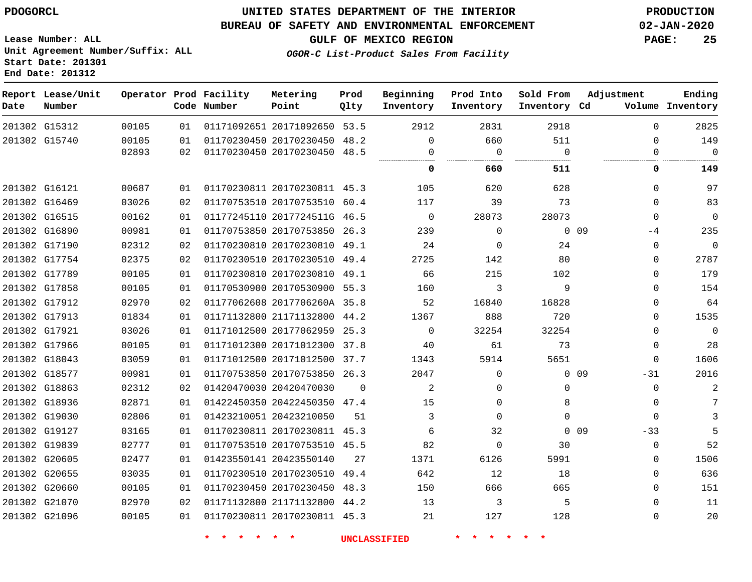**Report Lease/Unit**

**Number**

G15312

**Date**

### **UNITED STATES DEPARTMENT OF THE INTERIOR PDOGORCL PRODUCTION**

#### **BUREAU OF SAFETY AND ENVIRONMENTAL ENFORCEMENT 02-JAN-2020**

**Lease Number: ALL Unit Agreement Number/Suffix: ALL Start Date: 201301**

**OGOR-C List-Product Sales From Facility**

**GULF OF MEXICO REGION PAGE: 25**

**Ending**

|       |    | Operator Prod Facility<br>Code Number | Metering<br>Point       | Prod<br>01ty | Beginning<br>Inventory | Prod Into<br>Inventory | Sold From<br>Inventory | Adjustment<br>Volume<br>Cd. | Ending<br>Inventory |
|-------|----|---------------------------------------|-------------------------|--------------|------------------------|------------------------|------------------------|-----------------------------|---------------------|
| 00105 | 01 |                                       | 01171092651 20171092650 | 53.5         | 2912                   | 2831                   | 2918                   | 0                           | 2825                |
| 00105 | 01 |                                       | 01170230450 20170230450 | 48.2         |                        | 660                    | 511                    |                             | 149                 |
| 02893 | 02 |                                       | 01170230450 20170230450 | 48.5         |                        |                        |                        |                             | 0                   |
|       |    |                                       |                         |              | 0                      | 660                    | 511                    |                             | 149                 |
| 00687 | 01 |                                       | 01170230811 20170230811 | 45.3         | 105                    | 620                    | 628                    | $\Omega$                    | 97                  |
| 03026 | 02 |                                       | 01170753510 20170753510 | 60.4         | 117                    | 39                     | 73                     |                             | 83                  |
| 00162 | 01 |                                       | 01177245110 2017724511G | 46.5         | $\Omega$               | 28073                  | 28073                  | $\Omega$                    | $\Omega$            |
| 00981 | 01 |                                       | 01170753850 20170753850 | 26.3         | 239                    | $\Omega$               |                        | 0 <sub>09</sub><br>$-4$     | 235                 |
| 02312 | 02 |                                       | 01170230810 20170230810 | 49.1         | 24                     | $\Omega$               | 24                     | $\Omega$                    | 0                   |
| 02375 | 02 |                                       | 01170230510 20170230510 | 49.4         | 2725                   | 142                    | 80                     | 0                           | 2787                |
| 00105 | 01 |                                       | 01170230810 20170230810 | 49.1         | 66                     | 215                    | 102                    |                             | 179                 |
|       |    |                                       |                         |              |                        |                        |                        |                             |                     |

| 201302 G15740 | 00105<br>02893 | 01<br>02 | 01170230450 20170230450 48.2<br>01170230450 20170230450 48.5 |          | $\Omega$       | 660<br>$\Omega$ | 511<br>$\Omega$ | $\Omega$<br>0            | 149<br>$\Omega$ |
|---------------|----------------|----------|--------------------------------------------------------------|----------|----------------|-----------------|-----------------|--------------------------|-----------------|
|               |                |          |                                                              |          | 0              | 660             | <br>511         | 0                        | 149             |
| 201302 G16121 | 00687          | 01       | 01170230811 20170230811 45.3                                 |          | 105            | 620             | 628             | $\Omega$                 | 97              |
| 201302 G16469 | 03026          | 02       | 01170753510 20170753510 60.4                                 |          | 117            | 39              | 73              | $\Omega$                 | 83              |
| 201302 G16515 | 00162          | 01       | 01177245110 2017724511G 46.5                                 |          | $\overline{0}$ | 28073           | 28073           | $\Omega$                 | $\mathbf 0$     |
| 201302 G16890 | 00981          | 01       | 01170753850 20170753850 26.3                                 |          | 239            | $\Omega$        |                 | $0\quad09$<br>$-4$       | 235             |
| 201302 G17190 | 02312          | 02       | 01170230810 20170230810 49.1                                 |          | 24             | $\Omega$        | 24              | 0                        | $\overline{0}$  |
| 201302 G17754 | 02375          | 02       | 01170230510 20170230510                                      | 49.4     | 2725           | 142             | 80              | $\Omega$                 | 2787            |
| 201302 G17789 | 00105          | 01       | 01170230810 20170230810 49.1                                 |          | 66             | 215             | 102             | $\Omega$                 | 179             |
| 201302 G17858 | 00105          | 01       | 01170530900 20170530900 55.3                                 |          | 160            | 3               | 9               | $\Omega$                 | 154             |
| 201302 G17912 | 02970          | 02       | 01177062608 2017706260A 35.8                                 |          | 52             | 16840           | 16828           | 0                        | 64              |
| 201302 G17913 | 01834          | 01       | 01171132800 21171132800 44.2                                 |          | 1367           | 888             | 720             | 0                        | 1535            |
| 201302 G17921 | 03026          | 01       | 01171012500 20177062959 25.3                                 |          | $\Omega$       | 32254           | 32254           | $\Omega$                 | $\Omega$        |
| 201302 G17966 | 00105          | 01       | 01171012300 20171012300 37.8                                 |          | 40             | 61              | 73              | $\Omega$                 | 28              |
| 201302 G18043 | 03059          | 01       | 01171012500 20171012500 37.7                                 |          | 1343           | 5914            | 5651            | $\Omega$                 | 1606            |
| 201302 G18577 | 00981          | 01       | 01170753850 20170753850 26.3                                 |          | 2047           | $\Omega$        |                 | 0 <sub>09</sub><br>$-31$ | 2016            |
| 201302 G18863 | 02312          | 02       | 01420470030 20420470030                                      | $\Omega$ | 2              | $\Omega$        | $\Omega$        | $\Omega$                 | 2               |
| 201302 G18936 | 02871          | 01       | 01422450350 20422450350 47.4                                 |          | 15             | $\Omega$        | 8               | 0                        | 7               |
| 201302 G19030 | 02806          | 01       | 01423210051 20423210050                                      | 51       | 3              | $\Omega$        | $\Omega$        | $\Omega$                 | 3               |
| 201302 G19127 | 03165          | 01       | 01170230811 20170230811 45.3                                 |          | 6              | 32              |                 | 0 0 9<br>-33             | 5               |
| 201302 G19839 | 02777          | 01       | 01170753510 20170753510 45.5                                 |          | 82             | $\Omega$        | 30              | 0                        | 52              |
| 201302 G20605 | 02477          | 01       | 01423550141 20423550140                                      | 27       | 1371           | 6126            | 5991            | $\Omega$                 | 1506            |
| 201302 G20655 | 03035          | 01       | 01170230510 20170230510 49.4                                 |          | 642            | 12              | 18              | $\Omega$                 | 636             |
| 201302 G20660 | 00105          | 01       | 01170230450 20170230450 48.3                                 |          | 150            | 666             | 665             | $\Omega$                 | 151             |
| 201302 G21070 | 02970          | 02       | 01171132800 21171132800 44.2                                 |          | 13             | 3               | 5               | 0                        | 11              |
| 201302 G21096 | 00105          | 01       | 01170230811 20170230811 45.3                                 |          | 21             | 127             | 128             | 0                        | 20              |
|               |                |          |                                                              |          |                |                 |                 |                          |                 |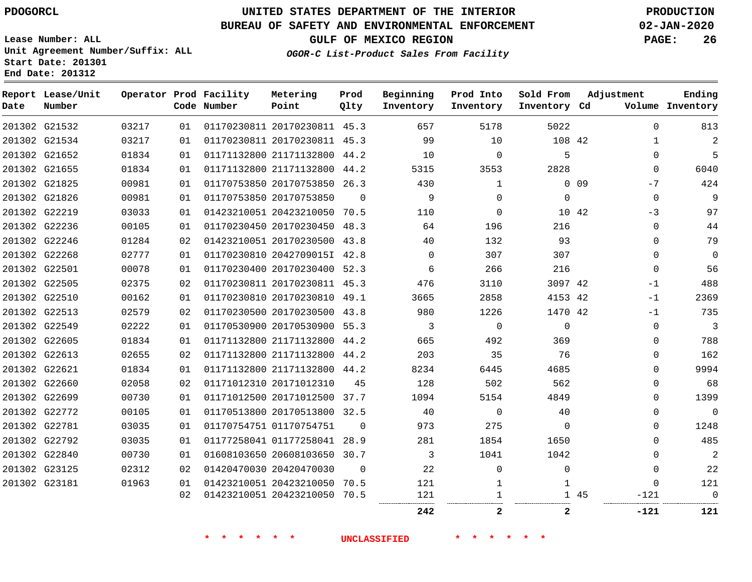**Report Lease/Unit**

**Number**

## **UNITED STATES DEPARTMENT OF THE INTERIOR PDOGORCL PRODUCTION**

**Prod Qlty**

#### **BUREAU OF SAFETY AND ENVIRONMENTAL ENFORCEMENT 02-JAN-2020**

**Lease Number: ALL Unit Agreement Number/Suffix: ALL Start Date: 201301 End Date: 201312**

**Operator Prod Facility**

**Code Number**

**OGOR-C List-Product Sales From Facility**

**Beginning Inventory** **Prod Into Inventory**

**Sold From Inventory**

**GULF OF MEXICO REGION PAGE: 26**

**Inventory Cd Volume**

**Adjustment**

**Ending**

| 201302 G21532<br>201302 G21534<br>201302 G21652<br>201302 G21655<br>201302 G21825<br>201302 G21826<br>201302 G22219 | 03217<br>03217<br>01834<br>01834<br>00981 | 01<br>01<br>01<br>01 | 01170230811 20170230811 45.3<br>01170230811 20170230811 45.3<br>01171132800 21171132800 44.2 |          | 657<br>99<br>10                                                                                                                                                                                                                                                                                                                                                                                                                                                                                                                                                                                               | 5178<br>10   | 5022<br>108 42 | $\mathbf{0}$<br>$\mathbf{1}$ | 813<br>2                                              |
|---------------------------------------------------------------------------------------------------------------------|-------------------------------------------|----------------------|----------------------------------------------------------------------------------------------|----------|---------------------------------------------------------------------------------------------------------------------------------------------------------------------------------------------------------------------------------------------------------------------------------------------------------------------------------------------------------------------------------------------------------------------------------------------------------------------------------------------------------------------------------------------------------------------------------------------------------------|--------------|----------------|------------------------------|-------------------------------------------------------|
|                                                                                                                     |                                           |                      |                                                                                              |          |                                                                                                                                                                                                                                                                                                                                                                                                                                                                                                                                                                                                               |              |                |                              |                                                       |
|                                                                                                                     |                                           |                      |                                                                                              |          |                                                                                                                                                                                                                                                                                                                                                                                                                                                                                                                                                                                                               |              |                |                              |                                                       |
|                                                                                                                     |                                           |                      |                                                                                              |          |                                                                                                                                                                                                                                                                                                                                                                                                                                                                                                                                                                                                               | $\mathbf 0$  | 5              | $\mathbf{0}$                 | 5                                                     |
|                                                                                                                     |                                           |                      | 01171132800 21171132800 44.2                                                                 |          | 5315                                                                                                                                                                                                                                                                                                                                                                                                                                                                                                                                                                                                          | 3553         | 2828           | $\Omega$                     | 6040                                                  |
|                                                                                                                     |                                           | 01                   | 01170753850 20170753850 26.3                                                                 |          | 430                                                                                                                                                                                                                                                                                                                                                                                                                                                                                                                                                                                                           | 1            |                | 0 <sub>09</sub><br>$-7$      | 424                                                   |
|                                                                                                                     | 00981                                     | 01                   | 01170753850 20170753850                                                                      | $\Omega$ | 9                                                                                                                                                                                                                                                                                                                                                                                                                                                                                                                                                                                                             | 0            | $\mathbf 0$    | $\mathbf 0$                  | 9                                                     |
|                                                                                                                     | 03033                                     | 01                   | 01423210051 20423210050 70.5                                                                 |          | 110                                                                                                                                                                                                                                                                                                                                                                                                                                                                                                                                                                                                           | $\mathbf 0$  | 10 42          | $-3$                         | 97                                                    |
| 201302 G22236                                                                                                       | 00105                                     | 01                   | 01170230450 20170230450 48.3                                                                 |          | 64                                                                                                                                                                                                                                                                                                                                                                                                                                                                                                                                                                                                            | 196          | 216            | 0                            | 44                                                    |
| 201302 G22246                                                                                                       | 01284                                     | 02                   |                                                                                              |          | 40                                                                                                                                                                                                                                                                                                                                                                                                                                                                                                                                                                                                            | 132          | 93             | $\Omega$                     | 79                                                    |
| 201302 G22268                                                                                                       | 02777                                     | 01                   |                                                                                              |          | $\Omega$                                                                                                                                                                                                                                                                                                                                                                                                                                                                                                                                                                                                      | 307          | 307            | $\Omega$                     | $\mathbf 0$                                           |
| 201302 G22501                                                                                                       | 00078                                     | O 1                  |                                                                                              |          | 6                                                                                                                                                                                                                                                                                                                                                                                                                                                                                                                                                                                                             | 266          | 216            | $\mathbf 0$                  | 56                                                    |
| 201302 G22505                                                                                                       | 02375                                     | 02                   |                                                                                              |          | 476                                                                                                                                                                                                                                                                                                                                                                                                                                                                                                                                                                                                           | 3110         |                | $-1$                         | 488                                                   |
| 201302 G22510                                                                                                       | 00162                                     | 01                   |                                                                                              |          | 3665                                                                                                                                                                                                                                                                                                                                                                                                                                                                                                                                                                                                          | 2858         |                |                              | 2369                                                  |
| 201302 G22513                                                                                                       | 02579                                     | 02                   |                                                                                              |          | 980                                                                                                                                                                                                                                                                                                                                                                                                                                                                                                                                                                                                           | 1226         |                |                              | 735                                                   |
| 201302 G22549                                                                                                       | 02222                                     | 01                   |                                                                                              |          | 3                                                                                                                                                                                                                                                                                                                                                                                                                                                                                                                                                                                                             | $\Omega$     | $\Omega$       | $\Omega$                     | 3                                                     |
| 201302 G22605                                                                                                       | 01834                                     | 01                   |                                                                                              |          | 665                                                                                                                                                                                                                                                                                                                                                                                                                                                                                                                                                                                                           | 492          | 369            | $\Omega$                     | 788                                                   |
| 201302 G22613                                                                                                       | 02655                                     | 02                   |                                                                                              |          | 203                                                                                                                                                                                                                                                                                                                                                                                                                                                                                                                                                                                                           | 35           | 76             | 0                            | 162                                                   |
| 201302 G22621                                                                                                       | 01834                                     | 01                   |                                                                                              |          | 8234                                                                                                                                                                                                                                                                                                                                                                                                                                                                                                                                                                                                          | 6445         | 4685           | $\Omega$                     | 9994                                                  |
| 201302 G22660                                                                                                       | 02058                                     | 02                   |                                                                                              | 45       | 128                                                                                                                                                                                                                                                                                                                                                                                                                                                                                                                                                                                                           | 502          | 562            | $\Omega$                     | 68                                                    |
| 201302 G22699                                                                                                       | 00730                                     | 01                   |                                                                                              |          | 1094                                                                                                                                                                                                                                                                                                                                                                                                                                                                                                                                                                                                          | 5154         | 4849           | 0                            | 1399                                                  |
| 201302 G22772                                                                                                       | 00105                                     | 01                   |                                                                                              |          | 40                                                                                                                                                                                                                                                                                                                                                                                                                                                                                                                                                                                                            | $\mathbf{0}$ | 40             | 0                            | $\mathbf 0$                                           |
| 201302 G22781                                                                                                       | 03035                                     | 01                   |                                                                                              | $\Omega$ | 973                                                                                                                                                                                                                                                                                                                                                                                                                                                                                                                                                                                                           | 275          | $\Omega$       | $\Omega$                     | 1248                                                  |
| 201302 G22792                                                                                                       | 03035                                     | 01                   |                                                                                              |          | 281                                                                                                                                                                                                                                                                                                                                                                                                                                                                                                                                                                                                           | 1854         | 1650           | $\Omega$                     | 485                                                   |
| 201302 G22840                                                                                                       | 00730                                     | 01                   |                                                                                              |          | 3                                                                                                                                                                                                                                                                                                                                                                                                                                                                                                                                                                                                             | 1041         | 1042           | $\Omega$                     | $\overline{2}$                                        |
| 201302 G23125                                                                                                       | 02312                                     | 02                   |                                                                                              | $\Omega$ | 22                                                                                                                                                                                                                                                                                                                                                                                                                                                                                                                                                                                                            | 0            | 0              | 0                            | 22                                                    |
| 201302 G23181                                                                                                       | 01963                                     | 01                   |                                                                                              |          | 121                                                                                                                                                                                                                                                                                                                                                                                                                                                                                                                                                                                                           | 1            | 1              | $\Omega$                     | 121                                                   |
|                                                                                                                     |                                           | 02                   |                                                                                              |          | 121                                                                                                                                                                                                                                                                                                                                                                                                                                                                                                                                                                                                           |              |                | -121                         | $\Omega$<br>                                          |
|                                                                                                                     |                                           |                      |                                                                                              |          | 242                                                                                                                                                                                                                                                                                                                                                                                                                                                                                                                                                                                                           | 2            | $\mathbf{2}$   | -121                         | 121                                                   |
|                                                                                                                     |                                           |                      |                                                                                              |          | 01423210051 20170230500 43.8<br>01170230810 2042709015I 42.8<br>01170230400 20170230400 52.3<br>01170230811 20170230811 45.3<br>01170230810 20170230810 49.1<br>01170230500 20170230500 43.8<br>01170530900 20170530900 55.3<br>01171132800 21171132800 44.2<br>01171132800 21171132800 44.2<br>01171132800 21171132800 44.2<br>01171012310 20171012310<br>01171012500 20171012500 37.7<br>01170513800 20170513800 32.5<br>01170754751 01170754751<br>01177258041 01177258041 28.9<br>01608103650 20608103650 30.7<br>01420470030 20420470030<br>01423210051 20423210050 70.5<br>01423210051 20423210050 70.5 |              |                |                              | 3097 42<br>4153 42<br>$-1$<br>1470 42<br>$-1$<br>1 45 |

**Metering Point**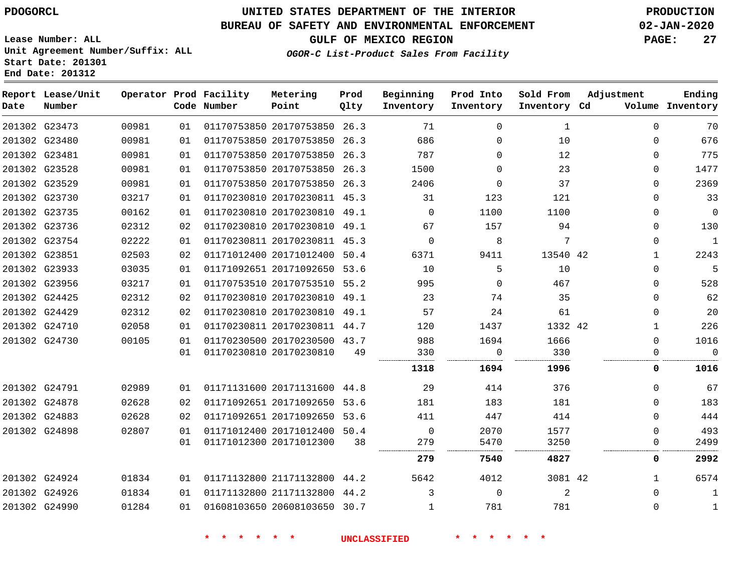**Report Lease/Unit**

**Number**

## **UNITED STATES DEPARTMENT OF THE INTERIOR PDOGORCL PRODUCTION**

#### **BUREAU OF SAFETY AND ENVIRONMENTAL ENFORCEMENT 02-JAN-2020**

**Beginning Inventory** **Prod Into Inventory** **Sold From Inventory**

**Lease Number: ALL Unit Agreement Number/Suffix: ALL Start Date: 201301 End Date: 201312**

**Operator Prod Facility**

**Code Number**

**OGOR-C List-Product Sales From Facility**

**Prod Qlty**

**Metering Point**

**GULF OF MEXICO REGION PAGE: 27**

**Inventory Cd Volume**

**Adjustment**

**Ending**

| 201302 G23473 | 00981 | 01 | 01170753850 20170753850 26.3 |      | 71           | $\Omega$    | 1        | $\Omega$     | 70             |
|---------------|-------|----|------------------------------|------|--------------|-------------|----------|--------------|----------------|
| 201302 G23480 | 00981 | 01 | 01170753850 20170753850 26.3 |      | 686          | $\mathbf 0$ | 10       | $\Omega$     | 676            |
| 201302 G23481 | 00981 | 01 | 01170753850 20170753850      | 26.3 | 787          | $\Omega$    | 12       | 0            | 775            |
| 201302 G23528 | 00981 | 01 | 01170753850 20170753850 26.3 |      | 1500         | $\Omega$    | 23       | 0            | 1477           |
| 201302 G23529 | 00981 | 01 | 01170753850 20170753850 26.3 |      | 2406         | $\Omega$    | 37       | $\Omega$     | 2369           |
| 201302 G23730 | 03217 | 01 | 01170230810 20170230811 45.3 |      | 31           | 123         | 121      | 0            | 33             |
| 201302 G23735 | 00162 | 01 | 01170230810 20170230810 49.1 |      | $\mathbf{0}$ | 1100        | 1100     | $\Omega$     | $\overline{0}$ |
| 201302 G23736 | 02312 | 02 | 01170230810 20170230810 49.1 |      | 67           | 157         | 94       | $\Omega$     | 130            |
| 201302 G23754 | 02222 | 01 | 01170230811 20170230811 45.3 |      | $\mathbf 0$  | 8           | 7        | $\Omega$     | -1             |
| 201302 G23851 | 02503 | 02 | 01171012400 20171012400      | 50.4 | 6371         | 9411        | 13540 42 | 1            | 2243           |
| 201302 G23933 | 03035 | 01 | 01171092651 20171092650 53.6 |      | 10           | 5           | 10       | $\Omega$     | -5             |
| 201302 G23956 | 03217 | 01 | 01170753510 20170753510 55.2 |      | 995          | $\mathbf 0$ | 467      | 0            | 528            |
| 201302 G24425 | 02312 | 02 | 01170230810 20170230810 49.1 |      | 23           | 74          | 35       | 0            | 62             |
| 201302 G24429 | 02312 | 02 | 01170230810 20170230810 49.1 |      | 57           | 24          | 61       | 0            | 20             |
| 201302 G24710 | 02058 | 01 | 01170230811 20170230811 44.7 |      | 120          | 1437        | 1332 42  | $\mathbf{1}$ | 226            |
| 201302 G24730 | 00105 | 01 | 01170230500 20170230500 43.7 |      | 988          | 1694        | 1666     | 0            | 1016           |
|               |       | 01 | 01170230810 20170230810      | 49   | 330<br>      | 0<br>.      | 330<br>. | O            | $\Omega$<br>   |
|               |       |    |                              |      | 1318         | 1694        | 1996     | 0            | 1016           |
| 201302 G24791 | 02989 | 01 | 01171131600 20171131600 44.8 |      | -29          | 414         | 376      | 0            | 67             |
| 201302 G24878 | 02628 | 02 | 01171092651 20171092650      | 53.6 | 181          | 183         | 181      | 0            | 183            |
| 201302 G24883 | 02628 | 02 | 01171092651 20171092650 53.6 |      | 411          | 447         | 414      | 0            | 444            |
| 201302 G24898 | 02807 | 01 | 01171012400 20171012400 50.4 |      | $\mathbf{0}$ | 2070        | 1577     | $\Omega$     | 493            |
|               |       | 01 | 01171012300 20171012300      | 38   | 279          | 5470        | 3250     | $\Omega$     | 2499           |
|               |       |    |                              |      | 279          | 7540        | 4827     | 0            | 2992           |
| 201302 G24924 | 01834 | 01 | 01171132800 21171132800 44.2 |      | 5642         | 4012        | 3081 42  | 1            | 6574           |
| 201302 G24926 | 01834 | 01 | 01171132800 21171132800 44.2 |      | 3            | $\mathbf 0$ | 2        | 0            | 1              |
| 201302 G24990 | 01284 | 01 | 01608103650 20608103650      | 30.7 | 1            | 781         | 781      | $\Omega$     | $\mathbf{1}$   |
|               |       |    |                              |      |              |             |          |              |                |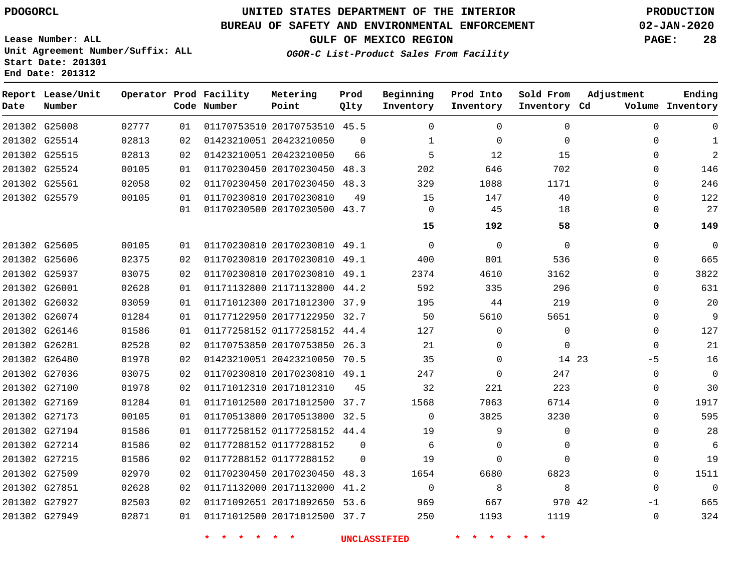#### **BUREAU OF SAFETY AND ENVIRONMENTAL ENFORCEMENT 02-JAN-2020**

**Lease Number: ALL Unit Agreement Number/Suffix: ALL Start Date: 201301**

**End Date: 201312**

**GULF OF MEXICO REGION PAGE: 28**

**OGOR-C List-Product Sales From Facility**

| Date | Report Lease/Unit<br>Number |       |    | Operator Prod Facility<br>Code Number | Metering<br>Point            | Prod<br>Qlty | Beginning<br>Inventory | Prod Into<br>Inventory | Sold From<br>Inventory Cd | Adjustment  | Ending<br>Volume Inventory |
|------|-----------------------------|-------|----|---------------------------------------|------------------------------|--------------|------------------------|------------------------|---------------------------|-------------|----------------------------|
|      | 201302 G25008               | 02777 | 01 |                                       | 01170753510 20170753510 45.5 |              | $\Omega$               | $\Omega$               | $\Omega$                  | $\Omega$    | $\Omega$                   |
|      | 201302 G25514               | 02813 | 02 |                                       | 01423210051 20423210050      | $\Omega$     | 1                      | $\mathbf 0$            | $\Omega$                  | $\Omega$    | $\mathbf{1}$               |
|      | 201302 G25515               | 02813 | 02 |                                       | 01423210051 20423210050      | 66           | 5                      | 12                     | 15                        | $\Omega$    | 2                          |
|      | 201302 G25524               | 00105 | 01 |                                       | 01170230450 20170230450 48.3 |              | 202                    | 646                    | 702                       | $\Omega$    | 146                        |
|      | 201302 G25561               | 02058 | 02 |                                       | 01170230450 20170230450 48.3 |              | 329                    | 1088                   | 1171                      | 0           | 246                        |
|      | 201302 G25579               | 00105 | 01 |                                       | 01170230810 20170230810      | 49           | 15                     | 147                    | 40                        | $\mathbf 0$ | 122                        |
|      |                             |       | 01 |                                       | 01170230500 20170230500 43.7 |              | $\mathbf 0$            | 45                     | 18                        | 0           | 27                         |
|      |                             |       |    |                                       |                              |              | 15                     | 192                    | 58                        | 0           | 149                        |
|      | 201302 G25605               | 00105 | 01 |                                       | 01170230810 20170230810 49.1 |              | $\Omega$               | $\mathbf 0$            | $\mathbf 0$               | $\Omega$    | $\overline{0}$             |
|      | 201302 G25606               | 02375 | 02 |                                       | 01170230810 20170230810 49.1 |              | 400                    | 801                    | 536                       | $\Omega$    | 665                        |
|      | 201302 G25937               | 03075 | 02 |                                       | 01170230810 20170230810 49.1 |              | 2374                   | 4610                   | 3162                      | $\Omega$    | 3822                       |
|      | 201302 G26001               | 02628 | 01 |                                       | 01171132800 21171132800 44.2 |              | 592                    | 335                    | 296                       | $\Omega$    | 631                        |
|      | 201302 G26032               | 03059 | 01 |                                       | 01171012300 20171012300 37.9 |              | 195                    | 44                     | 219                       | $\Omega$    | 20                         |
|      | 201302 G26074               | 01284 | 01 |                                       | 01177122950 20177122950 32.7 |              | 50                     | 5610                   | 5651                      | 0           | 9                          |
|      | 201302 G26146               | 01586 | 01 |                                       | 01177258152 01177258152 44.4 |              | 127                    | $\mathbf 0$            | $\mathbf 0$               | $\mathbf 0$ | 127                        |
|      | 201302 G26281               | 02528 | 02 |                                       | 01170753850 20170753850 26.3 |              | 21                     | $\mathbf 0$            | $\mathbf{0}$              | $\Omega$    | 21                         |
|      | 201302 G26480               | 01978 | 02 |                                       | 01423210051 20423210050 70.5 |              | 35                     | $\mathbf 0$            | 14 23                     | -5          | 16                         |
|      | 201302 G27036               | 03075 | 02 |                                       | 01170230810 20170230810 49.1 |              | 247                    | $\mathbf 0$            | 247                       | $\mathbf 0$ | $\mathbf 0$                |
|      | 201302 G27100               | 01978 | 02 |                                       | 01171012310 20171012310      | 45           | 32                     | 221                    | 223                       | 0           | 30                         |
|      | 201302 G27169               | 01284 | 01 |                                       | 01171012500 20171012500 37.7 |              | 1568                   | 7063                   | 6714                      | 0           | 1917                       |
|      | 201302 G27173               | 00105 | 01 |                                       | 01170513800 20170513800 32.5 |              | $\mathbf 0$            | 3825                   | 3230                      | $\Omega$    | 595                        |
|      | 201302 G27194               | 01586 | 01 |                                       | 01177258152 01177258152 44.4 |              | 19                     | 9                      | $\Omega$                  | $\Omega$    | 28                         |
|      | 201302 G27214               | 01586 | 02 |                                       | 01177288152 01177288152      | $\Omega$     | 6                      | $\Omega$               | $\Omega$                  | $\Omega$    | 6                          |
|      | 201302 G27215               | 01586 | 02 |                                       | 01177288152 01177288152      | $\Omega$     | 19                     | $\mathbf 0$            | $\Omega$                  | $\Omega$    | 19                         |
|      | 201302 G27509               | 02970 | 02 |                                       | 01170230450 20170230450 48.3 |              | 1654                   | 6680                   | 6823                      | $\Omega$    | 1511                       |
|      | 201302 G27851               | 02628 | 02 |                                       | 01171132000 20171132000 41.2 |              | $\Omega$               | 8                      | 8                         | $\Omega$    | $\mathbf 0$                |
|      | 201302 G27927               | 02503 | 02 |                                       | 01171092651 20171092650 53.6 |              | 969                    | 667                    | 970 42                    | $-1$        | 665                        |
|      | 201302 G27949               | 02871 | 01 |                                       | 01171012500 20171012500 37.7 |              | 250                    | 1193                   | 1119                      | $\mathbf 0$ | 324                        |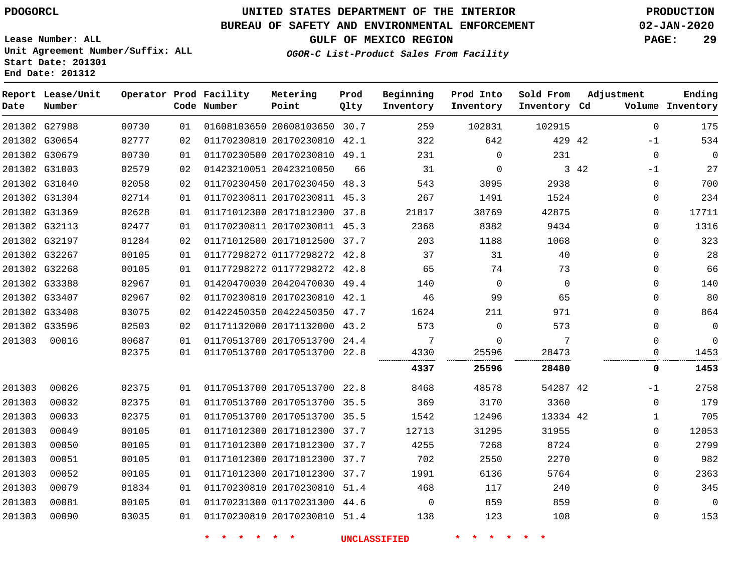**Report Lease/Unit**

**Number**

## **UNITED STATES DEPARTMENT OF THE INTERIOR PDOGORCL PRODUCTION**

**Prod Qlty**

#### **BUREAU OF SAFETY AND ENVIRONMENTAL ENFORCEMENT 02-JAN-2020**

**Lease Number: ALL Unit Agreement Number/Suffix: ALL Start Date: 201301 End Date: 201312**

**Operator Prod Facility**

**Code Number**

**OGOR-C List-Product Sales From Facility**

**Beginning Inventory**

**Prod Into Inventory** **Sold From Inventory**

**GULF OF MEXICO REGION PAGE: 29**

**Inventory Cd Volume**

**Adjustment**

**Ending**

|        | 201302 G27988 | 00730 | 01 | 01608103650 20608103650 30.7 |    | 259                 | 102831       | 102915         |      | 0            | 175            |
|--------|---------------|-------|----|------------------------------|----|---------------------|--------------|----------------|------|--------------|----------------|
|        | 201302 G30654 | 02777 | 02 | 01170230810 20170230810 42.1 |    | 322                 | 642          | 429 42         |      | $-1$         | 534            |
|        | 201302 G30679 | 00730 | 01 | 01170230500 20170230810 49.1 |    | 231                 | $\mathbf 0$  | 231            |      | 0            | 0              |
|        | 201302 G31003 | 02579 | 02 | 01423210051 20423210050      | 66 | 31                  | $\mathbf 0$  |                | 3 42 | -1           | 27             |
|        | 201302 G31040 | 02058 | 02 | 01170230450 20170230450 48.3 |    | 543                 | 3095         | 2938           |      | 0            | 700            |
|        | 201302 G31304 | 02714 | 01 | 01170230811 20170230811 45.3 |    | 267                 | 1491         | 1524           |      | 0            | 234            |
|        | 201302 G31369 | 02628 | 01 | 01171012300 20171012300 37.8 |    | 21817               | 38769        | 42875          |      | 0            | 17711          |
|        | 201302 G32113 | 02477 | 01 | 01170230811 20170230811 45.3 |    | 2368                | 8382         | 9434           |      | $\Omega$     | 1316           |
|        | 201302 G32197 | 01284 | 02 | 01171012500 20171012500 37.7 |    | 203                 | 1188         | 1068           |      | $\Omega$     | 323            |
|        | 201302 G32267 | 00105 | 01 | 01177298272 01177298272 42.8 |    | 37                  | 31           | 40             |      | 0            | 28             |
|        | 201302 G32268 | 00105 | 01 | 01177298272 01177298272 42.8 |    | 65                  | 74           | 73             |      | $\Omega$     | 66             |
|        | 201302 G33388 | 02967 | 01 | 01420470030 20420470030 49.4 |    | 140                 | $\mathbf{0}$ | $\overline{0}$ |      | 0            | 140            |
|        | 201302 G33407 | 02967 | 02 | 01170230810 20170230810 42.1 |    | 46                  | 99           | 65             |      | $\Omega$     | 80             |
|        | 201302 G33408 | 03075 | 02 | 01422450350 20422450350 47.7 |    | 1624                | 211          | 971            |      | 0            | 864            |
|        | 201302 G33596 | 02503 | 02 | 01171132000 20171132000 43.2 |    | 573                 | $\mathbf 0$  | 573            |      | $\Omega$     | $\mathbf 0$    |
| 201303 | 00016         | 00687 | 01 | 01170513700 20170513700 24.4 |    | 7                   | 0            | 7              |      | 0            | 0              |
|        |               | 02375 | 01 | 01170513700 20170513700 22.8 |    | 4330                | 25596        | 28473          |      | 0            | 1453           |
|        |               |       |    |                              |    | 4337                | 25596        | 28480          |      | 0            | 1453           |
| 201303 | 00026         | 02375 | 01 | 01170513700 20170513700 22.8 |    | 8468                | 48578        | 54287 42       |      | $-1$         | 2758           |
| 201303 | 00032         | 02375 | 01 | 01170513700 20170513700 35.5 |    | 369                 | 3170         | 3360           |      | $\mathbf 0$  | 179            |
| 201303 | 00033         | 02375 | 01 | 01170513700 20170513700 35.5 |    | 1542                | 12496        | 13334 42       |      | $\mathbf{1}$ | 705            |
| 201303 | 00049         | 00105 | 01 | 01171012300 20171012300 37.7 |    | 12713               | 31295        | 31955          |      | $\mathbf{0}$ | 12053          |
| 201303 | 00050         | 00105 | 01 | 01171012300 20171012300 37.7 |    | 4255                | 7268         | 8724           |      | $\Omega$     | 2799           |
| 201303 | 00051         | 00105 | 01 | 01171012300 20171012300 37.7 |    | 702                 | 2550         | 2270           |      | 0            | 982            |
| 201303 | 00052         | 00105 | 01 | 01171012300 20171012300 37.7 |    | 1991                | 6136         | 5764           |      | 0            | 2363           |
| 201303 | 00079         | 01834 | 01 | 01170230810 20170230810 51.4 |    | 468                 | 117          | 240            |      | $\Omega$     | 345            |
| 201303 | 00081         | 00105 | 01 | 01170231300 01170231300 44.6 |    | $\overline{0}$      | 859          | 859            |      | 0            | $\overline{0}$ |
| 201303 | 00090         | 03035 | 01 | 01170230810 20170230810 51.4 |    | 138                 | 123          | 108            |      | 0            | 153            |
|        |               |       |    |                              |    | <b>UNCLASSIFIED</b> |              |                |      |              |                |

**Metering Point**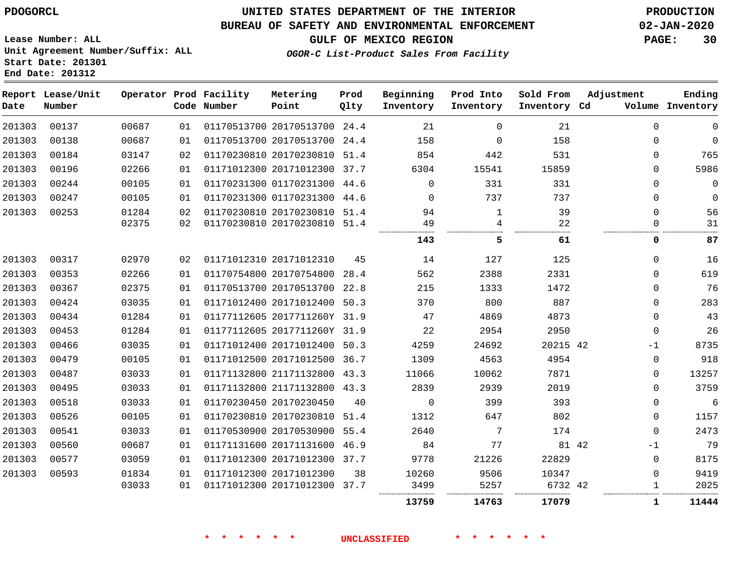### **UNITED STATES DEPARTMENT OF THE INTERIOR PDOGORCL PRODUCTION**

#### **BUREAU OF SAFETY AND ENVIRONMENTAL ENFORCEMENT 02-JAN-2020**

**Lease Number: ALL Unit Agreement Number/Suffix: ALL Start Date: 201301**

**GULF OF MEXICO REGION PAGE: 30**

**OGOR-C List-Product Sales From Facility**

| Date   | Report Lease/Unit<br>Number |       |    | Operator Prod Facility<br>Code Number | Metering<br>Point            | Prod<br>Qlty | Beginning<br>Inventory | Prod Into<br>Inventory | Sold From<br>Inventory Cd | Adjustment  | Ending<br>Volume Inventory |
|--------|-----------------------------|-------|----|---------------------------------------|------------------------------|--------------|------------------------|------------------------|---------------------------|-------------|----------------------------|
| 201303 | 00137                       | 00687 | 01 |                                       | 01170513700 20170513700 24.4 |              | 21                     | $\Omega$               | 21                        | $\Omega$    | $\mathbf 0$                |
| 201303 | 00138                       | 00687 | 01 |                                       | 01170513700 20170513700 24.4 |              | 158                    | $\mathbf 0$            | 158                       | 0           | $\mathbf 0$                |
| 201303 | 00184                       | 03147 | 02 |                                       | 01170230810 20170230810 51.4 |              | 854                    | 442                    | 531                       | $\Omega$    | 765                        |
| 201303 | 00196                       | 02266 | 01 |                                       | 01171012300 20171012300 37.7 |              | 6304                   | 15541                  | 15859                     | $\Omega$    | 5986                       |
| 201303 | 00244                       | 00105 | 01 |                                       | 01170231300 01170231300 44.6 |              | $\Omega$               | 331                    | 331                       | $\Omega$    | $\Omega$                   |
| 201303 | 00247                       | 00105 | 01 |                                       | 01170231300 01170231300 44.6 |              | $\Omega$               | 737                    | 737                       | $\mathbf 0$ | $\mathbf 0$                |
| 201303 | 00253                       | 01284 | 02 |                                       | 01170230810 20170230810 51.4 |              | 94                     | 1                      | 39                        | $\Omega$    | 56                         |
|        |                             | 02375 | 02 |                                       | 01170230810 20170230810 51.4 |              | 49                     | 4                      | 22                        | $\Omega$    | 31                         |
|        |                             |       |    |                                       |                              |              | 143                    | 5                      | 61                        | 0           | 87                         |
| 201303 | 00317                       | 02970 | 02 |                                       | 01171012310 20171012310      | 45           | 14                     | 127                    | 125                       | $\mathbf 0$ | 16                         |
| 201303 | 00353                       | 02266 | 01 |                                       | 01170754800 20170754800 28.4 |              | 562                    | 2388                   | 2331                      | $\Omega$    | 619                        |
| 201303 | 00367                       | 02375 | 01 |                                       | 01170513700 20170513700 22.8 |              | 215                    | 1333                   | 1472                      | $\Omega$    | 76                         |
| 201303 | 00424                       | 03035 | 01 |                                       | 01171012400 20171012400 50.3 |              | 370                    | 800                    | 887                       | $\Omega$    | 283                        |
| 201303 | 00434                       | 01284 | 01 |                                       | 01177112605 2017711260Y 31.9 |              | 47                     | 4869                   | 4873                      | $\Omega$    | 43                         |
| 201303 | 00453                       | 01284 | 01 |                                       | 01177112605 2017711260Y 31.9 |              | 22                     | 2954                   | 2950                      | $\Omega$    | 26                         |
| 201303 | 00466                       | 03035 | 01 |                                       | 01171012400 20171012400 50.3 |              | 4259                   | 24692                  | 20215 42                  | $-1$        | 8735                       |
| 201303 | 00479                       | 00105 | 01 |                                       | 01171012500 20171012500 36.7 |              | 1309                   | 4563                   | 4954                      | $\mathbf 0$ | 918                        |
| 201303 | 00487                       | 03033 | 01 |                                       | 01171132800 21171132800 43.3 |              | 11066                  | 10062                  | 7871                      | $\Omega$    | 13257                      |
| 201303 | 00495                       | 03033 | 01 |                                       | 01171132800 21171132800 43.3 |              | 2839                   | 2939                   | 2019                      | $\Omega$    | 3759                       |
| 201303 | 00518                       | 03033 | 01 |                                       | 01170230450 20170230450      | 40           | $\mathbf 0$            | 399                    | 393                       | $\Omega$    | 6                          |
| 201303 | 00526                       | 00105 | 01 |                                       | 01170230810 20170230810 51.4 |              | 1312                   | 647                    | 802                       | $\Omega$    | 1157                       |
| 201303 | 00541                       | 03033 | 01 |                                       | 01170530900 20170530900 55.4 |              | 2640                   | 7                      | 174                       | $\mathbf 0$ | 2473                       |
| 201303 | 00560                       | 00687 | 01 |                                       | 01171131600 20171131600 46.9 |              | 84                     | 77                     | 81 42                     | $-1$        | 79                         |
| 201303 | 00577                       | 03059 | 01 |                                       | 01171012300 20171012300 37.7 |              | 9778                   | 21226                  | 22829                     | $\mathbf 0$ | 8175                       |
| 201303 | 00593                       | 01834 | 01 |                                       | 01171012300 20171012300      | 38           | 10260                  | 9506                   | 10347                     | $\Omega$    | 9419                       |
|        |                             | 03033 | 01 |                                       | 01171012300 20171012300 37.7 |              | 3499                   | 5257                   | 6732 42                   | 1           | 2025                       |
|        |                             |       |    |                                       |                              |              | 13759                  | 14763                  | 17079                     | 1           | 11444                      |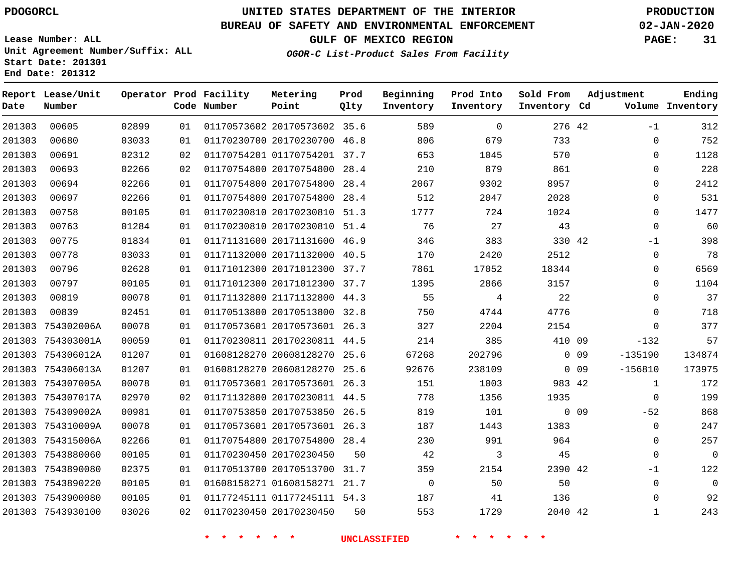7543930100

# **UNITED STATES DEPARTMENT OF THE INTERIOR PDOGORCL PRODUCTION**

#### **BUREAU OF SAFETY AND ENVIRONMENTAL ENFORCEMENT 02-JAN-2020**

**Lease Number: ALL Unit Agreement Number/Suffix: ALL Start Date: 201301 End Date: 201312**

**OGOR-C List-Product Sales From Facility**

 

**GULF OF MEXICO REGION PAGE: 31**

| Ending<br>Volume Inventory | Adjustment   |                 | Sold From<br>Inventory Cd | Prod Into<br>Inventory | Beginning<br>Inventory | Prod<br>Qlty | Metering<br>Point            | Operator Prod Facility<br>Code Number |    |       | Report Lease/Unit<br>Number | Date   |
|----------------------------|--------------|-----------------|---------------------------|------------------------|------------------------|--------------|------------------------------|---------------------------------------|----|-------|-----------------------------|--------|
| 312                        | $-1$         |                 | 276 42                    | $\Omega$               | 589                    |              | 01170573602 20170573602 35.6 |                                       | 01 | 02899 | 00605                       | 201303 |
| 752                        | $\mathbf 0$  |                 | 733                       | 679                    | 806                    |              | 01170230700 20170230700 46.8 |                                       | 01 | 03033 | 00680                       | 201303 |
| 1128                       | $\Omega$     |                 | 570                       | 1045                   | 653                    |              | 01170754201 01170754201 37.7 |                                       | 02 | 02312 | 00691                       | 201303 |
| 228                        | $\mathbf 0$  |                 | 861                       | 879                    | 210                    | 28.4         | 01170754800 20170754800      |                                       | 02 | 02266 | 00693                       | 201303 |
| 2412                       | $\mathbf 0$  |                 | 8957                      | 9302                   | 2067                   | 28.4         | 01170754800 20170754800      |                                       | 01 | 02266 | 00694                       | 201303 |
| 531                        | $\Omega$     |                 | 2028                      | 2047                   | 512                    | 28.4         | 01170754800 20170754800      |                                       | 01 | 02266 | 00697                       | 201303 |
| 1477                       | $\Omega$     |                 | 1024                      | 724                    | 1777                   | 51.3         | 01170230810 20170230810      |                                       | 01 | 00105 | 00758                       | 201303 |
| 60                         | $\mathbf 0$  |                 | 43                        | 27                     | 76                     |              | 01170230810 20170230810 51.4 |                                       | 01 | 01284 | 00763                       | 201303 |
| 398                        | $-1$         |                 | 330 42                    | 383                    | 346                    | 46.9         | 01171131600 20171131600      |                                       | 01 | 01834 | 00775                       | 201303 |
| 78                         | $\mathbf{0}$ |                 | 2512                      | 2420                   | 170                    |              | 01171132000 20171132000 40.5 |                                       | 01 | 03033 | 00778                       | 201303 |
| 6569                       | $\mathbf 0$  |                 | 18344                     | 17052                  | 7861                   |              | 01171012300 20171012300 37.7 |                                       | 01 | 02628 | 00796                       | 201303 |
| 1104                       | $\mathbf 0$  |                 | 3157                      | 2866                   | 1395                   |              | 01171012300 20171012300 37.7 |                                       | 01 | 00105 | 00797                       | 201303 |
| 37                         | $\Omega$     |                 | 22                        | 4                      | 55                     | 44.3         | 01171132800 21171132800      |                                       | 01 | 00078 | 00819                       | 201303 |
| 718                        | $\Omega$     |                 | 4776                      | 4744                   | 750                    | 32.8         | 01170513800 20170513800      |                                       | 01 | 02451 | 00839                       | 201303 |
| 377                        | $\Omega$     |                 | 2154                      | 2204                   | 327                    |              | 01170573601 20170573601 26.3 |                                       | 01 | 00078 | 754302006A                  | 201303 |
| 57                         | $-132$       |                 | 410 09                    | 385                    | 214                    |              | 01170230811 20170230811 44.5 |                                       | 01 | 00059 | 754303001A                  | 201303 |
| 134874                     | $-135190$    | 0 <sub>09</sub> |                           | 202796                 | 67268                  |              | 01608128270 20608128270 25.6 |                                       | 01 | 01207 | 201303 754306012A           |        |
| 173975                     | $-156810$    | 0 <sub>09</sub> |                           | 238109                 | 92676                  |              | 01608128270 20608128270 25.6 |                                       | 01 | 01207 | 754306013A                  | 201303 |
| 172                        | 1            |                 | 983 42                    | 1003                   | 151                    |              | 01170573601 20170573601 26.3 |                                       | 01 | 00078 | 201303 754307005A           |        |
| 199                        | $\mathbf 0$  |                 | 1935                      | 1356                   | 778                    |              | 01171132800 20170230811 44.5 |                                       | 02 | 02970 | 754307017A                  | 201303 |
| 868                        | $-52$        | 0 <sub>09</sub> |                           | 101                    | 819                    |              | 01170753850 20170753850 26.5 |                                       | 01 | 00981 | 201303 754309002A           |        |
| 247                        | $\mathbf 0$  |                 | 1383                      | 1443                   | 187                    |              | 01170573601 20170573601 26.3 |                                       | 01 | 00078 | 754310009A                  | 201303 |
| 257                        | $\Omega$     |                 | 964                       | 991                    | 230                    | 28.4         | 01170754800 20170754800      |                                       | 01 | 02266 | 754315006A                  | 201303 |
| $\overline{0}$             | $\Omega$     |                 | 45                        | 3                      | 42                     | 50           |                              | 01170230450 20170230450               | 01 | 00105 | 201303 7543880060           |        |
| 122                        | $-1$         |                 | 2390 42                   | 2154                   | 359                    |              | 01170513700 20170513700 31.7 |                                       | 01 | 02375 | 201303 7543890080           |        |
| $\mathbf 0$                | $\mathbf 0$  |                 | 50                        | 50                     | $\mathbf 0$            |              | 01608158271 01608158271 21.7 |                                       | 01 | 00105 | 201303 7543890220           |        |
| 92                         | $\mathbf 0$  |                 | 136                       | 41                     | 187                    |              | 01177245111 01177245111 54.3 |                                       | 01 | 00105 | 201303 7543900080           |        |

**\* \* \* \* \* \* UNCLASSIFIED \* \* \* \* \* \***

20170230450

42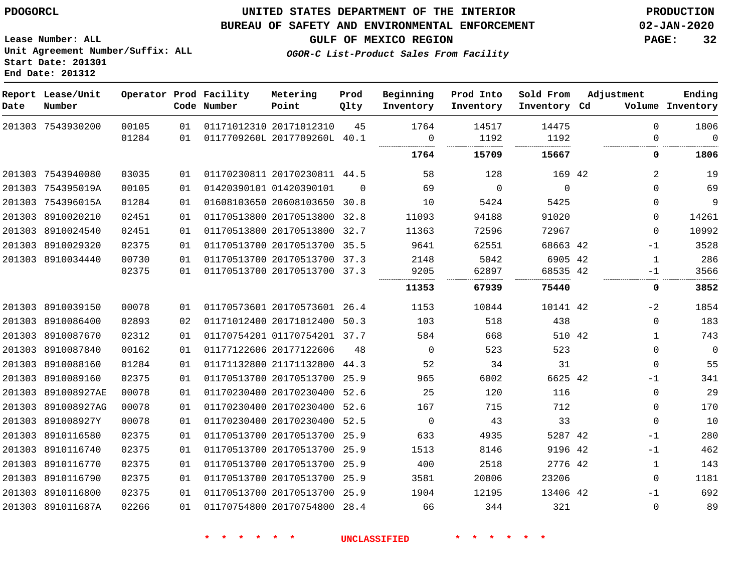#### **BUREAU OF SAFETY AND ENVIRONMENTAL ENFORCEMENT 02-JAN-2020**

**GULF OF MEXICO REGION PAGE: 32**

**Lease Number: ALL Unit Agreement Number/Suffix: ALL Start Date: 201301 End Date: 201312**

**OGOR-C List-Product Sales From Facility**

| Ending<br>Volume Inventory | Adjustment       | Sold From<br>Inventory Cd | Prod Into<br>Inventory | Beginning<br>Inventory | Prod<br>Qlty | Metering<br>Point            | Operator Prod Facility<br>Code Number |          |                | Report Lease/Unit<br>Number | Date |
|----------------------------|------------------|---------------------------|------------------------|------------------------|--------------|------------------------------|---------------------------------------|----------|----------------|-----------------------------|------|
| 1806<br>$\mathbf 0$        | $\mathbf 0$<br>0 | 14475<br>1192             | 14517<br>1192          | 1764<br>$\mathbf 0$    | 45           | 0117709260L 2017709260L 40.1 | 01171012310 20171012310               | 01<br>01 | 00105<br>01284 | 201303 7543930200           |      |
| 1806                       | 0                | 15667                     | 15709                  | 1764                   |              |                              |                                       |          |                |                             |      |
| 19                         | 2                | 169 42                    | 128                    | 58                     |              | 01170230811 20170230811 44.5 |                                       | 01       | 03035          | 201303 7543940080           |      |
| 69                         | $\Omega$         | $\overline{0}$            | $\overline{0}$         | 69                     | $\Omega$     |                              | 01420390101 01420390101               | 01       | 00105          | 201303 754395019A           |      |
| 9                          | $\Omega$         | 5425                      | 5424                   | 10                     |              | 01608103650 20608103650 30.8 |                                       | 01       | 01284          | 201303 754396015A           |      |
| 14261                      | $\Omega$         | 91020                     | 94188                  | 11093                  |              | 01170513800 20170513800 32.8 |                                       | 01       | 02451          | 201303 8910020210           |      |
| 10992                      | $\Omega$         | 72967                     | 72596                  | 11363                  |              | 01170513800 20170513800 32.7 |                                       | 01       | 02451          | 201303 8910024540           |      |
| 3528                       | $-1$             | 68663 42                  | 62551                  | 9641                   | 35.5         | 01170513700 20170513700      |                                       | 01       | 02375          | 201303 8910029320           |      |
| 286                        | $\mathbf{1}$     | 6905 42                   | 5042                   | 2148                   |              | 01170513700 20170513700 37.3 |                                       | 01       | 00730          | 201303 8910034440           |      |
| 3566                       | $-1$             | 68535 42                  | 62897                  | 9205                   |              | 01170513700 20170513700 37.3 |                                       | 01       | 02375          |                             |      |
| 3852                       | 0                | 75440                     | 67939                  | 11353                  |              |                              |                                       |          |                |                             |      |
| 1854                       | $-2$             | 10141 42                  | 10844                  | 1153                   |              | 01170573601 20170573601 26.4 |                                       | 01       | 00078          | 201303 8910039150           |      |
| 183                        | $\mathbf 0$      | 438                       | 518                    | 103                    |              | 01171012400 20171012400 50.3 |                                       | 02       | 02893          | 201303 8910086400           |      |
| 743                        | $\mathbf{1}$     | 510 42                    | 668                    | 584                    |              | 01170754201 01170754201 37.7 |                                       | 01       | 02312          | 201303 8910087670           |      |
| $\overline{0}$             | $\mathbf 0$      | 523                       | 523                    | 0                      | 48           |                              | 01177122606 20177122606               | 01       | 00162          | 201303 8910087840           |      |
| 55                         | $\mathbf 0$      | 31                        | 34                     | 52                     |              | 01171132800 21171132800 44.3 |                                       | 01       | 01284          | 201303 8910088160           |      |
| 341                        | $-1$             | 6625 42                   | 6002                   | 965                    |              | 01170513700 20170513700 25.9 |                                       | 01       | 02375          | 201303 8910089160           |      |
| 29                         | $\mathbf 0$      | 116                       | 120                    | 25                     |              | 01170230400 20170230400 52.6 |                                       | 01       | 00078          | 201303 891008927AE          |      |
| 170                        | $\Omega$         | 712                       | 715                    | 167                    | 52.6         | 01170230400 20170230400      |                                       | 01       | 00078          | 201303 891008927AG          |      |
| 10                         | $\Omega$         | 33                        | 43                     | 0                      |              | 01170230400 20170230400 52.5 |                                       | 01       | 00078          | 201303 891008927Y           |      |
| 280                        | $-1$             | 5287 42                   | 4935                   | 633                    |              | 01170513700 20170513700 25.9 |                                       | 01       | 02375          | 201303 8910116580           |      |
| 462                        | $-1$             | 9196 42                   | 8146                   | 1513                   |              | 01170513700 20170513700 25.9 |                                       | 01       | 02375          | 201303 8910116740           |      |
| 143                        | $\mathbf{1}$     | 2776 42                   | 2518                   | 400                    | 25.9         | 01170513700 20170513700      |                                       | 01       | 02375          | 201303 8910116770           |      |
| 1181                       | $\Omega$         | 23206                     | 20806                  | 3581                   |              | 01170513700 20170513700 25.9 |                                       | 01       | 02375          | 201303 8910116790           |      |
| 692                        | $-1$             | 13406 42                  | 12195                  | 1904                   |              | 01170513700 20170513700 25.9 |                                       | 01       | 02375          | 201303 8910116800           |      |
| 89                         | $\Omega$         | 321                       | 344                    | 66                     |              | 01170754800 20170754800 28.4 |                                       | 01       | 02266          | 201303 891011687A           |      |
|                            |                  |                           |                        |                        |              |                              |                                       |          |                |                             |      |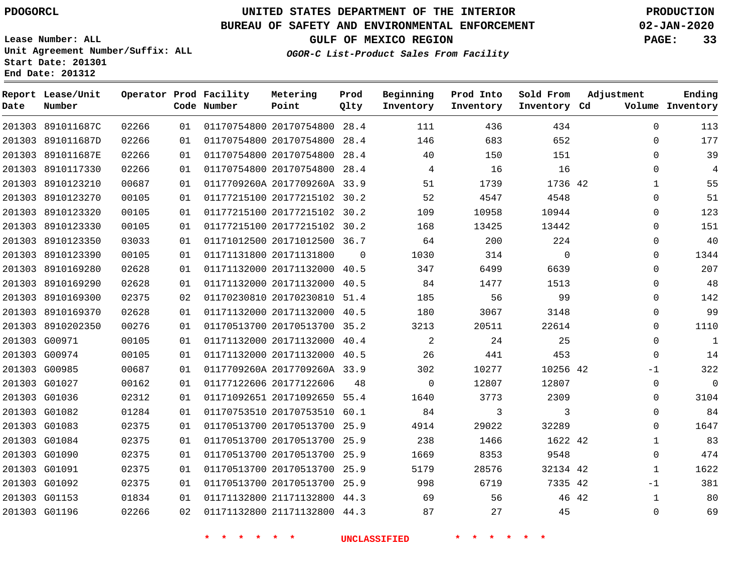**Report Lease/Unit**

**Number**

# **UNITED STATES DEPARTMENT OF THE INTERIOR PDOGORCL PRODUCTION**

**Prod Qlty**

#### **BUREAU OF SAFETY AND ENVIRONMENTAL ENFORCEMENT 02-JAN-2020**

**Lease Number: ALL Unit Agreement Number/Suffix: ALL Start Date: 201301 End Date: 201312**

**Operator Prod Facility**

**Code Number**

**OGOR-C List-Product Sales From Facility**

**Beginning Inventory**

**Prod Into Inventory**

**Sold From Inventory**

**GULF OF MEXICO REGION PAGE: 33**

**Inventory Cd Volume**

**Adjustment**

  $\Omega$   $\Omega$  $\Omega$  $\Omega$  $\Omega$  $\overline{0}$  $\overline{0}$ -1  $\Omega$  $\Omega$  -1  $\Omega$ 

**Ending**

| 01170754800 20170754800 28.4<br>01<br>02266<br>01170754800 20170754800 28.4<br>683<br>652<br>01<br>146<br>02266<br>01170754800 20170754800 28.4<br>40<br>01<br>150<br>151<br>02266<br>01170754800 20170754800 28.4<br>$4\overline{4}$<br>16<br>16<br>01<br>00687<br>0117709260A 2017709260A 33.9<br>1739<br>1736 42<br>01<br>51<br>00105<br>01177215100 20177215102 30.2<br>52<br>4547<br>4548<br>01<br>01177215100 20177215102 30.2<br>00105<br>10958<br>10944<br>01<br>109<br>00105<br>01177215100 20177215102 30.2<br>168<br>01<br>13425<br>13442<br>03033<br>01171012500 20171012500 36.7<br>64<br>200<br>224<br>01<br>$\overline{0}$<br>00105<br>01171131800 20171131800 0<br>1030<br>314<br>01<br>02628<br>01171132000 20171132000 40.5<br>6639<br>01<br>347<br>6499<br>02628<br>01171132000 20171132000 40.5<br>01<br>84<br>1477<br>1513<br>99<br>02375<br>01170230810 20170230810 51.4<br>185<br>56<br>02<br>02628<br>01171132000 20171132000 40.5<br>180<br>3067<br>3148<br>01<br>00276<br>01170513700 20170513700 35.2<br>3213<br>20511<br>22614<br>01<br>01171132000 20171132000 40.4<br>$\overline{\phantom{a}}$ 2<br>25<br>00105<br>01<br>24<br>01171132000 20171132000 40.5<br>00105<br>26<br>441<br>453<br>01<br>00687<br>0117709260A 2017709260A 33.9<br>302<br>10277<br>10256 42<br>01<br>$\overline{0}$<br>00162<br>01177122606 20177122606 48<br>12807<br>12807<br>01<br>01171092651 20171092650 55.4<br>02312<br>1640<br>3773<br>2309<br>01<br>$\overline{\mathbf{3}}$<br>$\overline{\mathbf{3}}$<br>01284<br>01170753510 20170753510 60.1<br>84<br>01<br>02375<br>01170513700 20170513700 25.9<br>4914<br>29022<br>32289<br>01<br>02375<br>01170513700 20170513700 25.9<br>238<br>1466<br>1622 42<br>01<br>01170513700 20170513700 25.9<br>9548<br>02375<br>1669<br>8353<br>01<br>01170513700 20170513700 25.9<br>02375<br>01<br>5179<br>28576<br>32134 42<br>998<br>02375<br>01170513700 20170513700 25.9<br>6719<br>7335 42<br>01<br>01171132800 21171132800 44.3 69<br>01834<br>56<br>46 42<br>01<br>201303 G01196<br>02266<br>01171132800 21171132800 44.3 87<br>27<br>45<br>02 |  |       |  |  | <b>UNCLASSIFIED</b> |     |     |  |
|----------------------------------------------------------------------------------------------------------------------------------------------------------------------------------------------------------------------------------------------------------------------------------------------------------------------------------------------------------------------------------------------------------------------------------------------------------------------------------------------------------------------------------------------------------------------------------------------------------------------------------------------------------------------------------------------------------------------------------------------------------------------------------------------------------------------------------------------------------------------------------------------------------------------------------------------------------------------------------------------------------------------------------------------------------------------------------------------------------------------------------------------------------------------------------------------------------------------------------------------------------------------------------------------------------------------------------------------------------------------------------------------------------------------------------------------------------------------------------------------------------------------------------------------------------------------------------------------------------------------------------------------------------------------------------------------------------------------------------------------------------------------------------------------------------------------------------------------------------------------------------------------------------------------------------------------------------------------------------------------------------------------------------------------------------------------------------------------------------|--|-------|--|--|---------------------|-----|-----|--|
| 201303 891011687C<br>201303 891011687D<br>201303 891011687E<br>201303 8910117330<br>201303 8910123210<br>201303 8910123270<br>201303 8910123320<br>201303 8910123330<br>201303 8910123350<br>201303 8910123390<br>201303 8910169280<br>201303 8910169290<br>201303 8910169300<br>201303 8910169370<br>201303 8910202350<br>201303 G00971<br>201303 G00974<br>201303 G00985<br>201303 G01027<br>201303 G01036<br>201303 G01082<br>201303 G01083<br>201303 G01084<br>201303 G01090<br>201303 G01091<br>201303 G01092<br>201303 G01153                                                                                                                                                                                                                                                                                                                                                                                                                                                                                                                                                                                                                                                                                                                                                                                                                                                                                                                                                                                                                                                                                                                                                                                                                                                                                                                                                                                                                                                                                                                                                                      |  |       |  |  |                     |     |     |  |
|                                                                                                                                                                                                                                                                                                                                                                                                                                                                                                                                                                                                                                                                                                                                                                                                                                                                                                                                                                                                                                                                                                                                                                                                                                                                                                                                                                                                                                                                                                                                                                                                                                                                                                                                                                                                                                                                                                                                                                                                                                                                                                          |  |       |  |  |                     |     |     |  |
|                                                                                                                                                                                                                                                                                                                                                                                                                                                                                                                                                                                                                                                                                                                                                                                                                                                                                                                                                                                                                                                                                                                                                                                                                                                                                                                                                                                                                                                                                                                                                                                                                                                                                                                                                                                                                                                                                                                                                                                                                                                                                                          |  |       |  |  |                     |     |     |  |
|                                                                                                                                                                                                                                                                                                                                                                                                                                                                                                                                                                                                                                                                                                                                                                                                                                                                                                                                                                                                                                                                                                                                                                                                                                                                                                                                                                                                                                                                                                                                                                                                                                                                                                                                                                                                                                                                                                                                                                                                                                                                                                          |  |       |  |  |                     |     |     |  |
|                                                                                                                                                                                                                                                                                                                                                                                                                                                                                                                                                                                                                                                                                                                                                                                                                                                                                                                                                                                                                                                                                                                                                                                                                                                                                                                                                                                                                                                                                                                                                                                                                                                                                                                                                                                                                                                                                                                                                                                                                                                                                                          |  |       |  |  |                     |     |     |  |
|                                                                                                                                                                                                                                                                                                                                                                                                                                                                                                                                                                                                                                                                                                                                                                                                                                                                                                                                                                                                                                                                                                                                                                                                                                                                                                                                                                                                                                                                                                                                                                                                                                                                                                                                                                                                                                                                                                                                                                                                                                                                                                          |  |       |  |  |                     |     |     |  |
|                                                                                                                                                                                                                                                                                                                                                                                                                                                                                                                                                                                                                                                                                                                                                                                                                                                                                                                                                                                                                                                                                                                                                                                                                                                                                                                                                                                                                                                                                                                                                                                                                                                                                                                                                                                                                                                                                                                                                                                                                                                                                                          |  |       |  |  |                     |     |     |  |
|                                                                                                                                                                                                                                                                                                                                                                                                                                                                                                                                                                                                                                                                                                                                                                                                                                                                                                                                                                                                                                                                                                                                                                                                                                                                                                                                                                                                                                                                                                                                                                                                                                                                                                                                                                                                                                                                                                                                                                                                                                                                                                          |  |       |  |  |                     |     |     |  |
|                                                                                                                                                                                                                                                                                                                                                                                                                                                                                                                                                                                                                                                                                                                                                                                                                                                                                                                                                                                                                                                                                                                                                                                                                                                                                                                                                                                                                                                                                                                                                                                                                                                                                                                                                                                                                                                                                                                                                                                                                                                                                                          |  |       |  |  |                     |     |     |  |
|                                                                                                                                                                                                                                                                                                                                                                                                                                                                                                                                                                                                                                                                                                                                                                                                                                                                                                                                                                                                                                                                                                                                                                                                                                                                                                                                                                                                                                                                                                                                                                                                                                                                                                                                                                                                                                                                                                                                                                                                                                                                                                          |  |       |  |  |                     |     |     |  |
|                                                                                                                                                                                                                                                                                                                                                                                                                                                                                                                                                                                                                                                                                                                                                                                                                                                                                                                                                                                                                                                                                                                                                                                                                                                                                                                                                                                                                                                                                                                                                                                                                                                                                                                                                                                                                                                                                                                                                                                                                                                                                                          |  |       |  |  |                     |     |     |  |
|                                                                                                                                                                                                                                                                                                                                                                                                                                                                                                                                                                                                                                                                                                                                                                                                                                                                                                                                                                                                                                                                                                                                                                                                                                                                                                                                                                                                                                                                                                                                                                                                                                                                                                                                                                                                                                                                                                                                                                                                                                                                                                          |  |       |  |  |                     |     |     |  |
|                                                                                                                                                                                                                                                                                                                                                                                                                                                                                                                                                                                                                                                                                                                                                                                                                                                                                                                                                                                                                                                                                                                                                                                                                                                                                                                                                                                                                                                                                                                                                                                                                                                                                                                                                                                                                                                                                                                                                                                                                                                                                                          |  |       |  |  |                     |     |     |  |
|                                                                                                                                                                                                                                                                                                                                                                                                                                                                                                                                                                                                                                                                                                                                                                                                                                                                                                                                                                                                                                                                                                                                                                                                                                                                                                                                                                                                                                                                                                                                                                                                                                                                                                                                                                                                                                                                                                                                                                                                                                                                                                          |  |       |  |  |                     |     |     |  |
|                                                                                                                                                                                                                                                                                                                                                                                                                                                                                                                                                                                                                                                                                                                                                                                                                                                                                                                                                                                                                                                                                                                                                                                                                                                                                                                                                                                                                                                                                                                                                                                                                                                                                                                                                                                                                                                                                                                                                                                                                                                                                                          |  |       |  |  |                     |     |     |  |
|                                                                                                                                                                                                                                                                                                                                                                                                                                                                                                                                                                                                                                                                                                                                                                                                                                                                                                                                                                                                                                                                                                                                                                                                                                                                                                                                                                                                                                                                                                                                                                                                                                                                                                                                                                                                                                                                                                                                                                                                                                                                                                          |  |       |  |  |                     |     |     |  |
|                                                                                                                                                                                                                                                                                                                                                                                                                                                                                                                                                                                                                                                                                                                                                                                                                                                                                                                                                                                                                                                                                                                                                                                                                                                                                                                                                                                                                                                                                                                                                                                                                                                                                                                                                                                                                                                                                                                                                                                                                                                                                                          |  |       |  |  |                     |     |     |  |
|                                                                                                                                                                                                                                                                                                                                                                                                                                                                                                                                                                                                                                                                                                                                                                                                                                                                                                                                                                                                                                                                                                                                                                                                                                                                                                                                                                                                                                                                                                                                                                                                                                                                                                                                                                                                                                                                                                                                                                                                                                                                                                          |  |       |  |  |                     |     |     |  |
|                                                                                                                                                                                                                                                                                                                                                                                                                                                                                                                                                                                                                                                                                                                                                                                                                                                                                                                                                                                                                                                                                                                                                                                                                                                                                                                                                                                                                                                                                                                                                                                                                                                                                                                                                                                                                                                                                                                                                                                                                                                                                                          |  |       |  |  |                     |     |     |  |
|                                                                                                                                                                                                                                                                                                                                                                                                                                                                                                                                                                                                                                                                                                                                                                                                                                                                                                                                                                                                                                                                                                                                                                                                                                                                                                                                                                                                                                                                                                                                                                                                                                                                                                                                                                                                                                                                                                                                                                                                                                                                                                          |  |       |  |  |                     |     |     |  |
|                                                                                                                                                                                                                                                                                                                                                                                                                                                                                                                                                                                                                                                                                                                                                                                                                                                                                                                                                                                                                                                                                                                                                                                                                                                                                                                                                                                                                                                                                                                                                                                                                                                                                                                                                                                                                                                                                                                                                                                                                                                                                                          |  |       |  |  |                     |     |     |  |
|                                                                                                                                                                                                                                                                                                                                                                                                                                                                                                                                                                                                                                                                                                                                                                                                                                                                                                                                                                                                                                                                                                                                                                                                                                                                                                                                                                                                                                                                                                                                                                                                                                                                                                                                                                                                                                                                                                                                                                                                                                                                                                          |  |       |  |  |                     |     |     |  |
|                                                                                                                                                                                                                                                                                                                                                                                                                                                                                                                                                                                                                                                                                                                                                                                                                                                                                                                                                                                                                                                                                                                                                                                                                                                                                                                                                                                                                                                                                                                                                                                                                                                                                                                                                                                                                                                                                                                                                                                                                                                                                                          |  |       |  |  |                     |     |     |  |
|                                                                                                                                                                                                                                                                                                                                                                                                                                                                                                                                                                                                                                                                                                                                                                                                                                                                                                                                                                                                                                                                                                                                                                                                                                                                                                                                                                                                                                                                                                                                                                                                                                                                                                                                                                                                                                                                                                                                                                                                                                                                                                          |  |       |  |  |                     |     |     |  |
|                                                                                                                                                                                                                                                                                                                                                                                                                                                                                                                                                                                                                                                                                                                                                                                                                                                                                                                                                                                                                                                                                                                                                                                                                                                                                                                                                                                                                                                                                                                                                                                                                                                                                                                                                                                                                                                                                                                                                                                                                                                                                                          |  |       |  |  |                     |     |     |  |
|                                                                                                                                                                                                                                                                                                                                                                                                                                                                                                                                                                                                                                                                                                                                                                                                                                                                                                                                                                                                                                                                                                                                                                                                                                                                                                                                                                                                                                                                                                                                                                                                                                                                                                                                                                                                                                                                                                                                                                                                                                                                                                          |  |       |  |  |                     |     |     |  |
|                                                                                                                                                                                                                                                                                                                                                                                                                                                                                                                                                                                                                                                                                                                                                                                                                                                                                                                                                                                                                                                                                                                                                                                                                                                                                                                                                                                                                                                                                                                                                                                                                                                                                                                                                                                                                                                                                                                                                                                                                                                                                                          |  | 02266 |  |  | 111                 | 436 | 434 |  |

**Metering Point**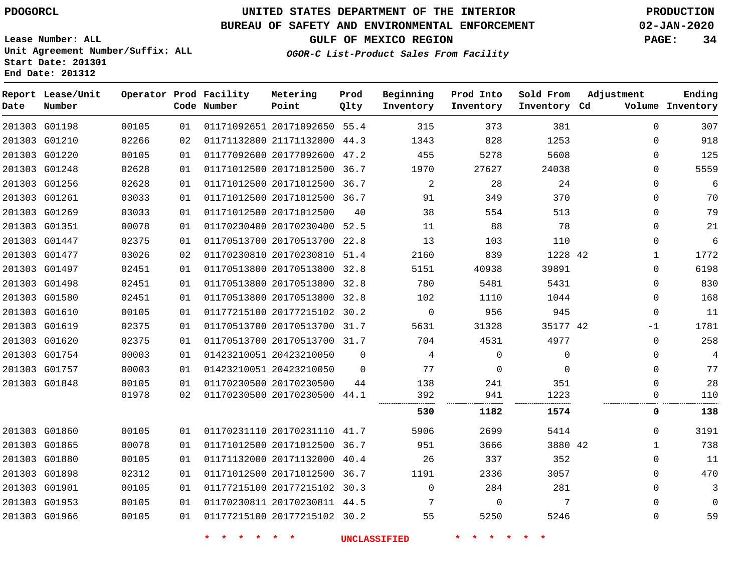G01198 G01210 G01220 G01248 G01256 G01261 G01269 G01351 G01447 G01477 G01497 G01498 G01580 G01610 G01619 G01620 G01754 G01757 G01848

**Date**

**Report Lease/Unit**

**Number**

 G01860 G01865 G01880 G01898 G01901 G01953 G01966

## **UNITED STATES DEPARTMENT OF THE INTERIOR PDOGORCL PRODUCTION**

44.3

**Prod Qlty**

#### **BUREAU OF SAFETY AND ENVIRONMENTAL ENFORCEMENT 02-JAN-2020**

**Lease Number: ALL Unit Agreement Number/Suffix: ALL Start Date: 201301 End Date: 201312**

**Operator Prod Facility**

**Code Number**

20171092650 55.4

**Metering Point**

 20177092600 47.2 20171012500 36.7 20171012500 36.7 20171012500 36.7

21171132800

 

  **OGOR-C List-Product Sales From Facility**

**Prod Into Inventory**

**Beginning Inventory**

**GULF OF MEXICO REGION PAGE: 34**

**Inventory Cd Volume**

**Adjustment**

 $\Omega$  $\Omega$  $\Omega$  $\Omega$  $\Omega$  $\Omega$  $\Omega$  $\Omega$  $\Omega$   $\Omega$  $\Omega$  $\Omega$   $-1$  $\overline{0}$  $\Omega$  $\cap$  $\Omega$  $\Omega$ 

**Ending**

 $\Omega$   $\Omega$  $\Omega$  $\Omega$  $\Omega$  $\Omega$ 

| 03033 | 01 | 01171012500 20171012500 | 40           | 38   | 554      | 513     |    |              | 79   |
|-------|----|-------------------------|--------------|------|----------|---------|----|--------------|------|
| 00078 | 01 | 01170230400 20170230400 | 52.5         | 11   | 88       | 78      |    |              | 21   |
| 02375 | 01 | 01170513700 20170513700 | 22.8         | 13   | 103      | 110     |    | 0            | 6    |
| 03026 | 02 | 01170230810 20170230810 | 51.4         | 2160 | 839      | 1228 42 |    |              | 1772 |
| 02451 | 01 | 01170513800 20170513800 | 32.8         | 5151 | 40938    | 39891   |    | Λ            | 6198 |
| 02451 | 01 | 01170513800 20170513800 | 32.8         | 780  | 5481     | 5431    |    | O            | 830  |
| 02451 | 01 | 01170513800 20170513800 | 32.8         | 102  | 1110     | 1044    |    | O            | 168  |
| 00105 | 01 | 01177215100 20177215102 | 30.2         | 0    | 956      | 945     |    | O            | 11   |
| 02375 | 01 | 01170513700 20170513700 | 31.7         | 5631 | 31328    | 35177   | 42 | $-1$         | 1781 |
| 02375 | 01 | 01170513700 20170513700 | 31.7         | 704  | 4531     | 4977    |    | O            | 258  |
| 00003 | 01 | 01423210051 20423210050 | $\mathbf{0}$ | 4    | 0        |         |    | O            | 4    |
| 00003 | 01 | 01423210051 20423210050 | $\Omega$     | 77   | $\Omega$ |         |    | O            | 77   |
| 00105 | 01 | 01170230500 20170230500 | 44           | 138  | 241      | 351     |    |              | 28   |
| 01978 | 02 | 01170230500 20170230500 | 44.1         | 392  | 941      | 1223    |    |              | 110  |
|       |    |                         |              | 530  | 1182     | 1574    |    | 0            | 138  |
| 00105 | 01 | 01170231110 20170231110 | 41.7         | 5906 | 2699     | 5414    |    | <sup>n</sup> | 3191 |
| 00078 | 01 | 01171012500 20171012500 | 36.7         | 951  | 3666     | 3880 42 |    |              | 738  |
| 00105 | 01 | 01171132000 20171132000 | 40.4         | 26   | 337      | 352     |    | Λ            | 11   |
| 02312 | 01 | 01171012500 20171012500 | 36.7         | 1191 | 2336     | 3057    |    |              | 470  |

**\* \* \* \* \* \* UNCLASSIFIED \* \* \* \* \* \***

 20177215102 30.3 20170230811 44.5 20177215102 30.2

 $\Omega$  

  $\Omega$ 

**Sold From Inventory**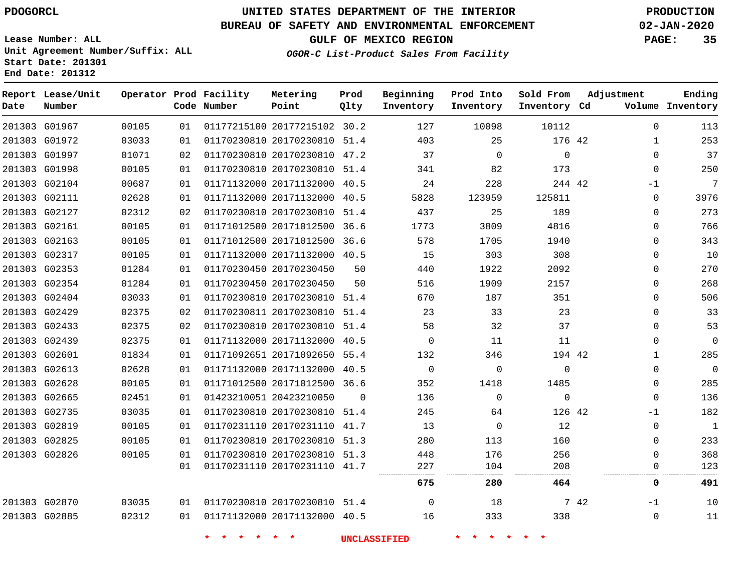**Date**

**End Date: 201312**

**Report Lease/Unit**

# **UNITED STATES DEPARTMENT OF THE INTERIOR PDOGORCL PRODUCTION**

**Prod**

#### **BUREAU OF SAFETY AND ENVIRONMENTAL ENFORCEMENT 02-JAN-2020**

**Lease Number: ALL Unit Agreement Number/Suffix: ALL Start Date: 201301**

**Operator Prod Facility**

**OGOR-C List-Product Sales From Facility**

**Beginning**

**Prod Into**

**Sold From**

**GULF OF MEXICO REGION PAGE: 35**

**Adjustment**

**Ending**

 

-1  $\Omega$ 

| Number |       |    | Code Number | Point                        | Qlty     | Inventory | Inventory   | Inventory Cd |              | Volume Inventory |
|--------|-------|----|-------------|------------------------------|----------|-----------|-------------|--------------|--------------|------------------|
| G01967 | 00105 | 01 |             | 01177215100 20177215102 30.2 |          | 127       | 10098       | 10112        | $\Omega$     | 113              |
| G01972 | 03033 | 01 |             | 01170230810 20170230810 51.4 |          | 403       | 25          | 176 42       | $\mathbf{1}$ | 253              |
| G01997 | 01071 | 02 |             | 01170230810 20170230810 47.2 |          | 37        | $\Omega$    | $\mathbf 0$  | $\Omega$     | 37               |
| G01998 | 00105 | 01 |             | 01170230810 20170230810 51.4 |          | 341       | 82          | 173          | $\mathbf 0$  | 250              |
| G02104 | 00687 | 01 |             | 01171132000 20171132000 40.5 |          | 24        | 228         | 244 42       | $-1$         | $\overline{7}$   |
| G02111 | 02628 | 01 |             | 01171132000 20171132000 40.5 |          | 5828      | 123959      | 125811       | $\mathbf 0$  | 3976             |
| G02127 | 02312 | 02 |             | 01170230810 20170230810 51.4 |          | 437       | 25          | 189          | $\Omega$     | 273              |
| G02161 | 00105 | 01 |             | 01171012500 20171012500 36.6 |          | 1773      | 3809        | 4816         | 0            | 766              |
| G02163 | 00105 | 01 |             | 01171012500 20171012500 36.6 |          | 578       | 1705        | 1940         | $\Omega$     | 343              |
| G02317 | 00105 | 01 |             | 01171132000 20171132000 40.5 |          | 15        | 303         | 308          | 0            | 10               |
| G02353 | 01284 | 01 |             | 01170230450 20170230450      | 50       | 440       | 1922        | 2092         | $\Omega$     | 270              |
| G02354 | 01284 | 01 |             | 01170230450 20170230450      | 50       | 516       | 1909        | 2157         | 0            | 268              |
| G02404 | 03033 | 01 |             | 01170230810 20170230810 51.4 |          | 670       | 187         | 351          | 0            | 506              |
| G02429 | 02375 | 02 |             | 01170230811 20170230810 51.4 |          | 23        | 33          | 23           | $\Omega$     | 33               |
| G02433 | 02375 | 02 |             | 01170230810 20170230810 51.4 |          | 58        | 32          | 37           | 0            | 53               |
| G02439 | 02375 | 01 |             | 01171132000 20171132000 40.5 |          | $\Omega$  | 11          | 11           | $\Omega$     | $\mathbf 0$      |
| G02601 | 01834 | 01 |             | 01171092651 20171092650 55.4 |          | 132       | 346         | 194 42       | $\mathbf 1$  | 285              |
| G02613 | 02628 | 01 |             | 01171132000 20171132000 40.5 |          | $\Omega$  | $\Omega$    | $\Omega$     | $\Omega$     | $\mathbf 0$      |
| G02628 | 00105 | 01 |             | 01171012500 20171012500 36.6 |          | 352       | 1418        | 1485         | 0            | 285              |
| G02665 | 02451 | 01 |             | 01423210051 20423210050      | $\Omega$ | 136       | $\Omega$    | $\Omega$     | $\Omega$     | 136              |
| G02735 | 03035 | 01 |             | 01170230810 20170230810 51.4 |          | 245       | 64          | 126 42       | $-1$         | 182              |
| G02819 | 00105 | 01 |             | 01170231110 20170231110 41.7 |          | 13        | $\mathbf 0$ | 12           | $\mathbf 0$  | $\mathbf{1}$     |
| G02825 | 00105 | 01 |             | 01170230810 20170230810 51.3 |          | 280       | 113         | 160          | $\Omega$     | 233              |
| G02826 | 00105 | 01 |             | 01170230810 20170230810 51.3 |          | 448       | 176         | 256          | $\Omega$     | 368              |
|        |       | 01 |             | 01170231110 20170231110 41.7 |          | 227<br>   | 104         | 208<br>      | 0<br>        | 123              |
|        |       |    |             |                              |          | 675       | 280         | 464          | 0            | 491              |
|        |       |    |             |                              |          |           |             |              |              |                  |

**Metering**

 G02870 G02885    

 20170230810 51.4 20171132000 40.5

**\* \* \* \* \* \* UNCLASSIFIED \* \* \* \* \* \***

 

 

42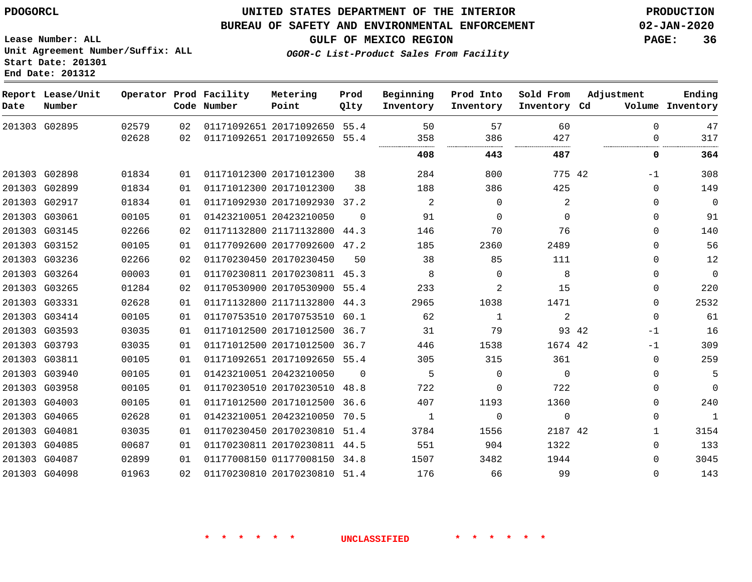### **UNITED STATES DEPARTMENT OF THE INTERIOR PDOGORCL PRODUCTION**

#### **BUREAU OF SAFETY AND ENVIRONMENTAL ENFORCEMENT 02-JAN-2020**

**Lease Number: ALL Unit Agreement Number/Suffix: ALL Start Date: 201301**

**GULF OF MEXICO REGION PAGE: 36**

**OGOR-C List-Product Sales From Facility**

| Date | Report Lease/Unit<br>Number |       |    | Operator Prod Facility<br>Code Number | Metering<br>Point            | Prod<br>Qlty | Beginning<br>Inventory | Prod Into<br>Inventory | Sold From<br>Inventory Cd | Adjustment    | Ending<br>Volume Inventory |
|------|-----------------------------|-------|----|---------------------------------------|------------------------------|--------------|------------------------|------------------------|---------------------------|---------------|----------------------------|
|      | 201303 G02895               | 02579 | 02 |                                       | 01171092651 20171092650 55.4 |              | 50                     | 57                     | 60                        | $\Omega$      | 47                         |
|      |                             | 02628 | 02 |                                       | 01171092651 20171092650      | 55.4         | 358<br>                | 386                    | 427                       | $\Omega$      | 317                        |
|      |                             |       |    |                                       |                              |              | 408                    | 443                    | 487                       | 0             | 364                        |
|      | 201303 G02898               | 01834 | 01 |                                       | 01171012300 20171012300      | 38           | 284                    | 800                    | 775 42                    | -1            | 308                        |
|      | 201303 G02899               | 01834 | 01 |                                       | 01171012300 20171012300      | 38           | 188                    | 386                    | 425                       | $\Omega$      | 149                        |
|      | 201303 G02917               | 01834 | 01 |                                       | 01171092930 20171092930      | 37.2         | 2                      | $\Omega$               | 2                         | $\Omega$      | $\mathbf 0$                |
|      | 201303 G03061               | 00105 | 01 |                                       | 01423210051 20423210050      | $\Omega$     | 91                     | $\Omega$               | $\Omega$                  | $\Omega$      | 91                         |
|      | 201303 G03145               | 02266 | 02 |                                       | 01171132800 21171132800 44.3 |              | 146                    | 70                     | 76                        | 0             | 140                        |
|      | 201303 G03152               | 00105 | 01 |                                       | 01177092600 20177092600      | 47.2         | 185                    | 2360                   | 2489                      | $\Omega$      | 56                         |
|      | 201303 G03236               | 02266 | 02 |                                       | 01170230450 20170230450      | 50           | 38                     | 85                     | 111                       | 0             | 12                         |
|      | 201303 G03264               | 00003 | 01 |                                       | 01170230811 20170230811 45.3 |              | 8                      | $\Omega$               | 8                         | $\Omega$      | $\mathbf 0$                |
|      | 201303 G03265               | 01284 | 02 |                                       | 01170530900 20170530900      | 55.4         | 233                    | 2                      | 15                        | 0             | 220                        |
|      | 201303 G03331               | 02628 | 01 |                                       | 01171132800 21171132800      | 44.3         | 2965                   | 1038                   | 1471                      | $\Omega$      | 2532                       |
|      | 201303 G03414               | 00105 | 01 |                                       | 01170753510 20170753510      | 60.1         | 62                     | $\mathbf{1}$           | $\overline{2}$            | $\mathbf 0$   | 61                         |
|      | 201303 G03593               | 03035 | 01 |                                       | 01171012500 20171012500      | 36.7         | 31                     | 79                     |                           | 93 42<br>$-1$ | 16                         |
|      | 201303 G03793               | 03035 | 01 |                                       | 01171012500 20171012500      | 36.7         | 446                    | 1538                   | 1674 42                   | $-1$          | 309                        |
|      | 201303 G03811               | 00105 | 01 |                                       | 01171092651 20171092650 55.4 |              | 305                    | 315                    | 361                       | 0             | 259                        |
|      | 201303 G03940               | 00105 | 01 |                                       | 01423210051 20423210050      | $\Omega$     | 5                      | $\Omega$               | $\Omega$                  | $\Omega$      | 5                          |
|      | 201303 G03958               | 00105 | 01 |                                       | 01170230510 20170230510 48.8 |              | 722                    | $\Omega$               | 722                       | 0             | $\Omega$                   |
|      | 201303 G04003               | 00105 | 01 |                                       | 01171012500 20171012500      | 36.6         | 407                    | 1193                   | 1360                      | 0             | 240                        |
|      | 201303 G04065               | 02628 | 01 |                                       | 01423210051 20423210050      | 70.5         | 1                      | $\Omega$               | $\Omega$                  | 0             | $\mathbf{1}$               |
|      | 201303 G04081               | 03035 | 01 |                                       | 01170230450 20170230810      | 51.4         | 3784                   | 1556                   | 2187 42                   | 1             | 3154                       |
|      | 201303 G04085               | 00687 | 01 |                                       | 01170230811 20170230811      | 44.5         | 551                    | 904                    | 1322                      | $\Omega$      | 133                        |
|      | 201303 G04087               | 02899 | 01 |                                       | 01177008150 01177008150 34.8 |              | 1507                   | 3482                   | 1944                      | $\Omega$      | 3045                       |
|      | 201303 G04098               | 01963 | 02 |                                       | 01170230810 20170230810      | 51.4         | 176                    | 66                     | 99                        | $\Omega$      | 143                        |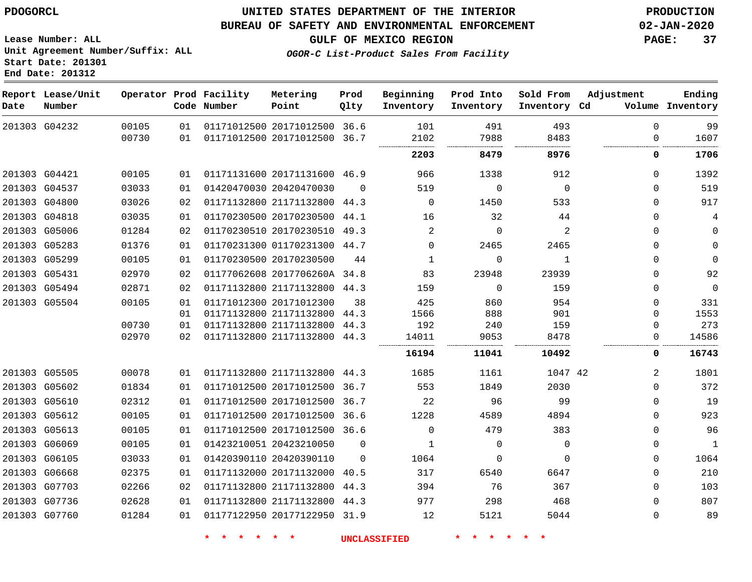#### **BUREAU OF SAFETY AND ENVIRONMENTAL ENFORCEMENT 02-JAN-2020**

**GULF OF MEXICO REGION PAGE: 37**

**Lease Number: ALL Unit Agreement Number/Suffix: ALL Start Date: 201301 End Date: 201312**

**OGOR-C List-Product Sales From Facility**

 G04232 G04421 G04537 G04800 G04818 G05006 G05283 G05299 G05431 G05494 G05504 G05505 G05602 G05610 G05612 G05613 G06069 G06105 G06668 G07703 G07736 G07760 **Report Lease/Unit Date Number Operator Prod Facility Code Number** 20171012500 36.6 20171012500 20171131600 46.9 20420470030 21171132800 44.3 20170230500 44.1 20170230510 01170231300 44.7 20170230500 2017706260A 34.8 21171132800 44.3 20171012300 21171132800 21171132800 21171132800 44.3 21171132800 20171012500 36.7 20171012500 36.7 20171012500 36.6 20171012500 36.6 20423210050 20420390110 20171132000 21171132800 21171132800 44.3 20177122950 31.9 **Metering Point** 42 36.7  $\Omega$ 49.3 44.3 44.3 44.3  $\Omega$  40.5 44.3 **Prod Qlty**  $\Omega$   $\Omega$   $\Omega$  **Beginning Inventory**  $\Omega$  $\Omega$  $\Omega$   $\Omega$  **Ending Inventory Cd Volume**  $\Omega$   $\Omega$   $\Omega$   $\Omega$   $\Omega$  $\Omega$  **Prod Into Inventory**  $\Omega$   $\Omega$  $\Omega$  **Sold From Inventory**  $\Omega$  $\Omega$  $\Omega$   $\Omega$  $\Omega$  $\Omega$  $\Omega$   $\Omega$  $\Omega$  $\Omega$   $\Omega$  $\Omega$   $\Omega$  $\Omega$  $\Omega$ **Adjustment**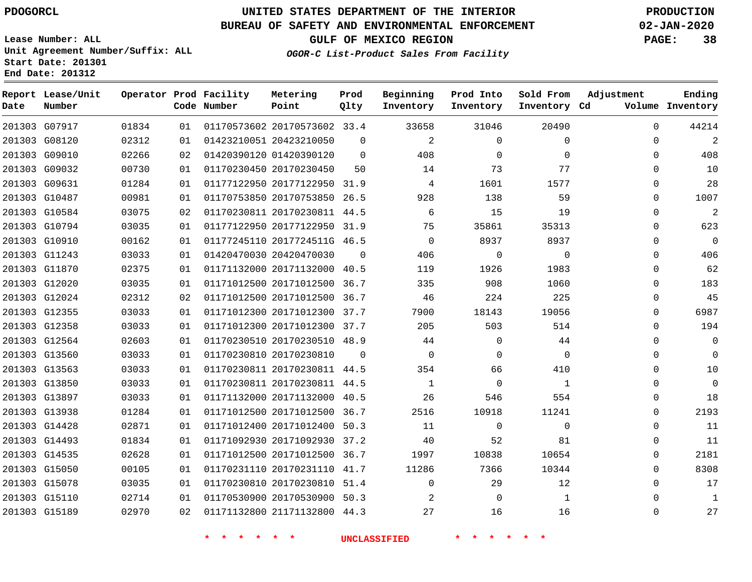**End Date: 201312**

**Report Lease/Unit**

**Number**

G07917

**Date**

### **UNITED STATES DEPARTMENT OF THE INTERIOR PDOGORCL PRODUCTION**

**Prod Qlty**

#### **BUREAU OF SAFETY AND ENVIRONMENTAL ENFORCEMENT 02-JAN-2020**

**Lease Number: ALL Unit Agreement Number/Suffix: ALL Start Date: 201301**

**Operator Prod Facility**

**Code Number**

20170573602 33.4

**Metering Point**

 

**OGOR-C List-Product Sales From Facility**

**Sold From Inventory**

**Prod Into Inventory**

**Beginning Inventory**

**GULF OF MEXICO REGION PAGE: 38**

**Inventory Cd Volume**

**Adjustment**

  $\Omega$  $\Omega$   $\Omega$  $\Omega$  $\Omega$  $\Omega$  $\Omega$  $\Omega$  $\Omega$  $\Omega$  $\overline{0}$   $\Omega$  $\overline{0}$  $\Omega$  $\Omega$  $\Omega$  $\Omega$  $\Omega$  $\Omega$  $\Omega$   $\Omega$  $\Omega$   $\Omega$ 

**Ending**

| 201303 G08120 | 02312 | 01 |                         | 01423210051 20423210050      | $\Omega$       | 2              | $\mathbf 0$    | $\mathbf 0$    |  |
|---------------|-------|----|-------------------------|------------------------------|----------------|----------------|----------------|----------------|--|
| 201303 G09010 | 02266 | 02 |                         | 01420390120 01420390120      | $\Omega$       | 408            | $\mathbf 0$    | $\mathbf 0$    |  |
| 201303 G09032 | 00730 | 01 | 01170230450 20170230450 |                              | 50             | 14             | 73             | 77             |  |
| 201303 G09631 | 01284 | 01 |                         | 01177122950 20177122950 31.9 |                | $\overline{4}$ | 1601           | 1577           |  |
| 201303 G10487 | 00981 | 01 |                         | 01170753850 20170753850 26.5 |                | 928            | 138            | 59             |  |
| 201303 G10584 | 03075 | 02 |                         | 01170230811 20170230811 44.5 |                | 6              | 15             | 19             |  |
| 201303 G10794 | 03035 | 01 |                         | 01177122950 20177122950 31.9 |                | 75             | 35861          | 35313          |  |
| 201303 G10910 | 00162 | 01 |                         | 01177245110 2017724511G 46.5 |                | $\overline{0}$ | 8937           | 8937           |  |
| 201303 G11243 | 03033 | 01 | 01420470030 20420470030 |                              | $\overline{0}$ | 406            | $\Omega$       | $\overline{0}$ |  |
| 201303 G11870 | 02375 | 01 |                         | 01171132000 20171132000 40.5 |                | 119            | 1926           | 1983           |  |
| 201303 G12020 | 03035 | 01 |                         | 01171012500 20171012500 36.7 |                | 335            | 908            | 1060           |  |
| 201303 G12024 | 02312 | 02 |                         | 01171012500 20171012500 36.7 |                | 46             | 224            | 225            |  |
| 201303 G12355 | 03033 | 01 |                         | 01171012300 20171012300 37.7 |                | 7900           | 18143          | 19056          |  |
| 201303 G12358 | 03033 | 01 |                         | 01171012300 20171012300 37.7 |                | 205            | 503            | 514            |  |
| 201303 G12564 | 02603 | 01 |                         | 01170230510 20170230510 48.9 |                | 44             | $\Omega$       | 44             |  |
| 201303 G13560 | 03033 | 01 | 01170230810 20170230810 |                              | $\Omega$       | $\overline{0}$ | $\mathbf 0$    | $\overline{0}$ |  |
| 201303 G13563 | 03033 | 01 |                         | 01170230811 20170230811 44.5 |                | 354            | 66             | 410            |  |
| 201303 G13850 | 03033 | 01 |                         | 01170230811 20170230811 44.5 |                | $\overline{1}$ | $\overline{0}$ | $\mathbf{1}$   |  |
| 201303 G13897 | 03033 | 01 |                         | 01171132000 20171132000 40.5 |                | 26             | 546            | 554            |  |
| 201303 G13938 | 01284 | 01 |                         | 01171012500 20171012500 36.7 |                | 2516           | 10918          | 11241          |  |
| 201303 G14428 | 02871 | 01 |                         | 01171012400 20171012400 50.3 |                | 11             | $\overline{0}$ | $\mathbf 0$    |  |
| 201303 G14493 | 01834 | 01 |                         | 01171092930 20171092930 37.2 |                | 40             | 52             | 81             |  |
| 201303 G14535 | 02628 | 01 |                         | 01171012500 20171012500 36.7 |                | 1997           | 10838          | 10654          |  |
| 201303 G15050 | 00105 | 01 |                         | 01170231110 20170231110 41.7 |                | 11286          | 7366           | 10344          |  |
| 201303 G15078 | 03035 | 01 |                         | 01170230810 20170230810 51.4 |                | $\Omega$       | 29             | 12             |  |
| 201303 G15110 | 02714 | 01 |                         | 01170530900 20170530900 50.3 |                | $\overline{2}$ | $\overline{0}$ | 1              |  |
| 201303 G15189 | 02970 | 02 |                         | 01171132800 21171132800 44.3 |                | 27             | 16             | 16             |  |
|               |       |    |                         |                              |                |                |                |                |  |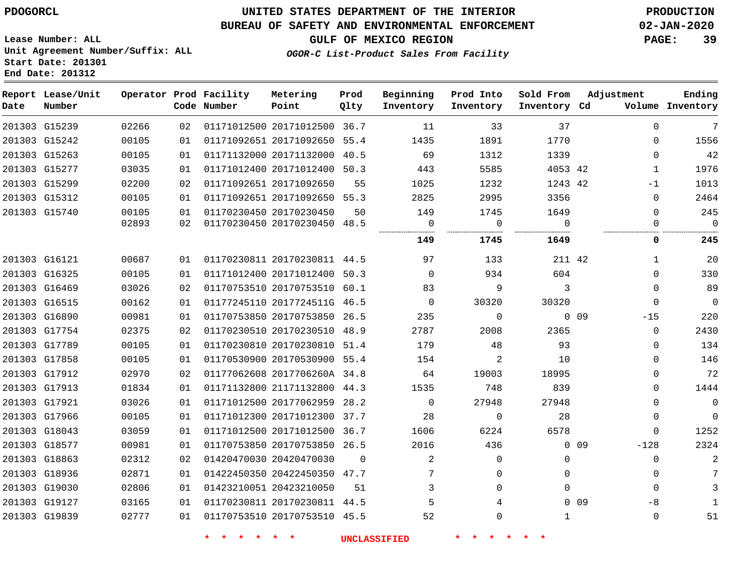#### **BUREAU OF SAFETY AND ENVIRONMENTAL ENFORCEMENT 02-JAN-2020**

**Lease Number: ALL Unit Agreement Number/Suffix: ALL Start Date: 201301 End Date: 201312**

### **OGOR-C List-Product Sales From Facility**

**GULF OF MEXICO REGION PAGE: 39**

| Date | Report Lease/Unit<br>Number |       |    | Operator Prod Facility<br>Code Number | Metering<br>Point            | Prod<br>Qlty | Beginning<br>Inventory | Prod Into<br>Inventory | Sold From<br>Inventory Cd |        | Adjustment   | Ending<br>Volume Inventory |
|------|-----------------------------|-------|----|---------------------------------------|------------------------------|--------------|------------------------|------------------------|---------------------------|--------|--------------|----------------------------|
|      | 201303 G15239               | 02266 | 02 |                                       | 01171012500 20171012500 36.7 |              | 11                     | 33                     | 37                        |        | $\Omega$     | 7                          |
|      | 201303 G15242               | 00105 | 01 |                                       | 01171092651 20171092650 55.4 |              | 1435                   | 1891                   | 1770                      |        | $\Omega$     | 1556                       |
|      | 201303 G15263               | 00105 | 01 |                                       | 01171132000 20171132000 40.5 |              | 69                     | 1312                   | 1339                      |        | $\Omega$     | 42                         |
|      | 201303 G15277               | 03035 | 01 |                                       | 01171012400 20171012400 50.3 |              | 443                    | 5585                   | 4053 42                   |        | 1            | 1976                       |
|      | 201303 G15299               | 02200 | 02 |                                       | 01171092651 20171092650      | 55           | 1025                   | 1232                   | 1243 42                   |        | $-1$         | 1013                       |
|      | 201303 G15312               | 00105 | 01 |                                       | 01171092651 20171092650 55.3 |              | 2825                   | 2995                   | 3356                      |        | 0            | 2464                       |
|      | 201303 G15740               | 00105 | 01 |                                       | 01170230450 20170230450      | 50           | 149                    | 1745                   | 1649                      |        | $\Omega$     | 245                        |
|      |                             | 02893 | 02 |                                       | 01170230450 20170230450 48.5 |              | 0                      | $\mathbf 0$            | $\Omega$                  |        | 0            | $\overline{0}$             |
|      |                             |       |    |                                       |                              |              | 149                    | 1745                   | 1649                      |        | 0            | 245                        |
|      | 201303 G16121               | 00687 | 01 |                                       | 01170230811 20170230811 44.5 |              | 97                     | 133                    | 211 42                    |        | $\mathbf{1}$ | 20                         |
|      | 201303 G16325               | 00105 | 01 |                                       | 01171012400 20171012400 50.3 |              | $\mathbf{0}$           | 934                    | 604                       |        | $\Omega$     | 330                        |
|      | 201303 G16469               | 03026 | 02 |                                       | 01170753510 20170753510 60.1 |              | 83                     | 9                      | 3                         |        | $\Omega$     | 89                         |
|      | 201303 G16515               | 00162 | 01 |                                       | 01177245110 2017724511G 46.5 |              | $\mathbf{0}$           | 30320                  | 30320                     |        | $\Omega$     | $\overline{0}$             |
|      | 201303 G16890               | 00981 | 01 |                                       | 01170753850 20170753850 26.5 |              | 235                    | $\mathbf 0$            |                           | $0$ 09 | $-15$        | 220                        |
|      | 201303 G17754               | 02375 | 02 |                                       | 01170230510 20170230510 48.9 |              | 2787                   | 2008                   | 2365                      |        | $\mathbf{0}$ | 2430                       |
|      | 201303 G17789               | 00105 | 01 |                                       | 01170230810 20170230810 51.4 |              | 179                    | 48                     | 93                        |        | $\mathbf{0}$ | 134                        |
|      | 201303 G17858               | 00105 | 01 |                                       | 01170530900 20170530900 55.4 |              | 154                    | 2                      | 10                        |        | $\Omega$     | 146                        |
|      | 201303 G17912               | 02970 | 02 |                                       | 01177062608 2017706260A 34.8 |              | 64                     | 19003                  | 18995                     |        | 0            | 72                         |
|      | 201303 G17913               | 01834 | 01 |                                       | 01171132800 21171132800 44.3 |              | 1535                   | 748                    | 839                       |        | $\Omega$     | 1444                       |
|      | 201303 G17921               | 03026 | 01 |                                       | 01171012500 20177062959 28.2 |              | $\mathbf{0}$           | 27948                  | 27948                     |        | 0            | $\overline{0}$             |
|      | 201303 G17966               | 00105 | 01 |                                       | 01171012300 20171012300 37.7 |              | 28                     | $\Omega$               | 28                        |        | $\Omega$     | $\mathbf 0$                |
|      | 201303 G18043               | 03059 | 01 |                                       | 01171012500 20171012500 36.7 |              | 1606                   | 6224                   | 6578                      |        | 0            | 1252                       |
|      | 201303 G18577               | 00981 | 01 |                                       | 01170753850 20170753850 26.5 |              | 2016                   | 436                    |                           | $0$ 09 | $-128$       | 2324                       |
|      | 201303 G18863               | 02312 | 02 |                                       | 01420470030 20420470030      | $\Omega$     | 2                      | $\mathbf 0$            | $\mathbf{0}$              |        | $\mathbf 0$  | $\overline{2}$             |
|      | 201303 G18936               | 02871 | 01 |                                       | 01422450350 20422450350 47.7 |              | 7                      | $\Omega$               | $\Omega$                  |        | $\Omega$     | 7                          |
|      | 201303 G19030               | 02806 | 01 |                                       | 01423210051 20423210050      | 51           | 3                      | $\Omega$               | $\Omega$                  |        | $\Omega$     | 3                          |
|      | 201303 G19127               | 03165 | 01 |                                       | 01170230811 20170230811 44.5 |              | 5                      | 4                      |                           | $0$ 09 | $-8$         | 1                          |
|      | 201303 G19839               | 02777 | 01 |                                       | 01170753510 20170753510 45.5 |              | 52                     | $\Omega$               | 1                         |        | $\Omega$     | 51                         |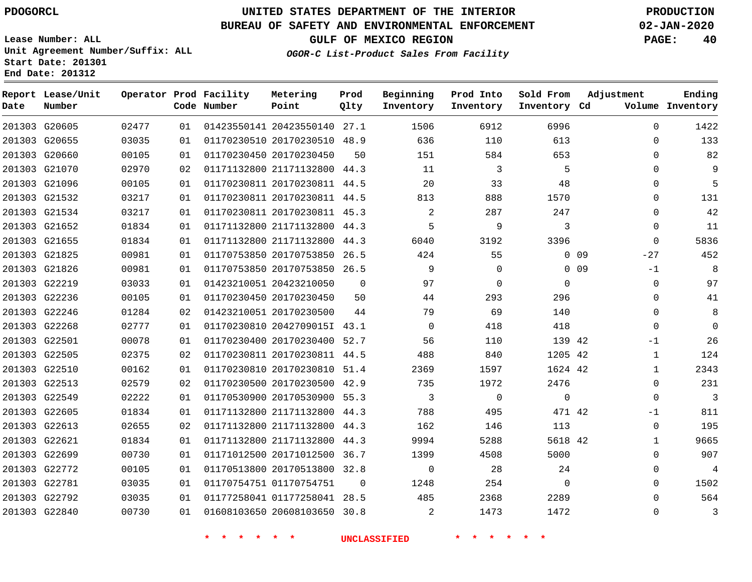G20605

**Date**

**Report Lease/Unit**

**Number**

## **UNITED STATES DEPARTMENT OF THE INTERIOR PDOGORCL PRODUCTION**

**Prod Qlty**

#### **BUREAU OF SAFETY AND ENVIRONMENTAL ENFORCEMENT 02-JAN-2020**

**Lease Number: ALL Unit Agreement Number/Suffix: ALL Start Date: 201301 End Date: 201312**

**Operator Prod Facility**

**Code Number**

20423550140 27.1

**Metering Point**

**OGOR-C List-Product Sales From Facility**

**Sold From Inventory**

**Prod Into Inventory**

**Beginning Inventory**

**GULF OF MEXICO REGION PAGE: 40**

**Inventory Cd Volume**

**Adjustment**

  $\Omega$  $\Omega$   $\Omega$  $\Omega$  $\Omega$   $-27$  $-1$  $\Omega$  $\overline{0}$   $\Omega$ -1  $\Omega$  $\Omega$ -1  $\Omega$   $\Omega$ 

**Ending**

|                 | 613         | 110      | 636            |                | 01170230510 20170230510 48.9 | 01 | 03035 | 201303 G20655 |  |
|-----------------|-------------|----------|----------------|----------------|------------------------------|----|-------|---------------|--|
|                 | 653         | 584      | 151            | 50             | 01170230450 20170230450      | 01 | 00105 | 201303 G20660 |  |
|                 | 5           | 3        | 11             |                | 01171132800 21171132800 44.3 | 02 | 02970 | 201303 G21070 |  |
|                 | 48          | 33       | 20             |                | 01170230811 20170230811 44.5 | 01 | 00105 | 201303 G21096 |  |
|                 | 1570        | 888      | 813            |                | 01170230811 20170230811 44.5 | 01 | 03217 | 201303 G21532 |  |
|                 | 247         | 287      | 2              |                | 01170230811 20170230811 45.3 | 01 | 03217 | 201303 G21534 |  |
|                 | 3           | 9        | 5              |                | 01171132800 21171132800 44.3 | 01 | 01834 | 201303 G21652 |  |
|                 | 3396        | 3192     | 6040           |                | 01171132800 21171132800 44.3 | 01 | 01834 | 201303 G21655 |  |
| 0 <sub>09</sub> |             | 55       | 424            |                | 01170753850 20170753850 26.5 | 01 | 00981 | 201303 G21825 |  |
| 0 <sub>09</sub> |             | $\Omega$ | 9              |                | 01170753850 20170753850 26.5 | 01 | 00981 | 201303 G21826 |  |
|                 | $\mathbf 0$ | $\Omega$ | 97             | $\Omega$       | 01423210051 20423210050      | 01 | 03033 | 201303 G22219 |  |
|                 | 296         | 293      | 44             | 50             | 01170230450 20170230450      | 01 | 00105 | 201303 G22236 |  |
|                 | 140         | 69       | 79             | 44             | 01423210051 20170230500      | 02 | 01284 | 201303 G22246 |  |
|                 | 418         | 418      | $\overline{0}$ |                | 01170230810 2042709015I 43.1 | 01 | 02777 | 201303 G22268 |  |
|                 | 139 42      | 110      | 56             |                | 01170230400 20170230400 52.7 | 01 | 00078 | 201303 G22501 |  |
|                 | 1205 42     | 840      | 488            |                | 01170230811 20170230811 44.5 | 02 | 02375 | 201303 G22505 |  |
|                 | 1624 42     | 1597     | 2369           |                | 01170230810 20170230810 51.4 | 01 | 00162 | 201303 G22510 |  |
|                 | 2476        | 1972     | 735            |                | 01170230500 20170230500 42.9 | 02 | 02579 | 201303 G22513 |  |
|                 | $\mathbf 0$ | $\Omega$ | 3              |                | 01170530900 20170530900 55.3 | 01 | 02222 | 201303 G22549 |  |
|                 | 471 42      | 495      | 788            |                | 01171132800 21171132800 44.3 | 01 | 01834 | 201303 G22605 |  |
|                 | 113         | 146      | 162            |                | 01171132800 21171132800 44.3 | 02 | 02655 | 201303 G22613 |  |
|                 | 5618 42     | 5288     | 9994           |                | 01171132800 21171132800 44.3 | 01 | 01834 | 201303 G22621 |  |
|                 | 5000        | 4508     | 1399           |                | 01171012500 20171012500 36.7 | 01 | 00730 | 201303 G22699 |  |
|                 | 24          | 28       | $\mathbf 0$    |                | 01170513800 20170513800 32.8 | 01 | 00105 | 201303 G22772 |  |
|                 | $\mathbf 0$ | 254      | 1248           | $\overline{0}$ | 01170754751 01170754751      | 01 | 03035 | 201303 G22781 |  |
|                 | 2289        | 2368     | 485            |                | 01177258041 01177258041 28.5 | 01 | 03035 | 201303 G22792 |  |
|                 | 1472        | 1473     | 2              |                | 01608103650 20608103650 30.8 | 01 | 00730 | 201303 G22840 |  |
|                 |             |          |                |                |                              |    |       |               |  |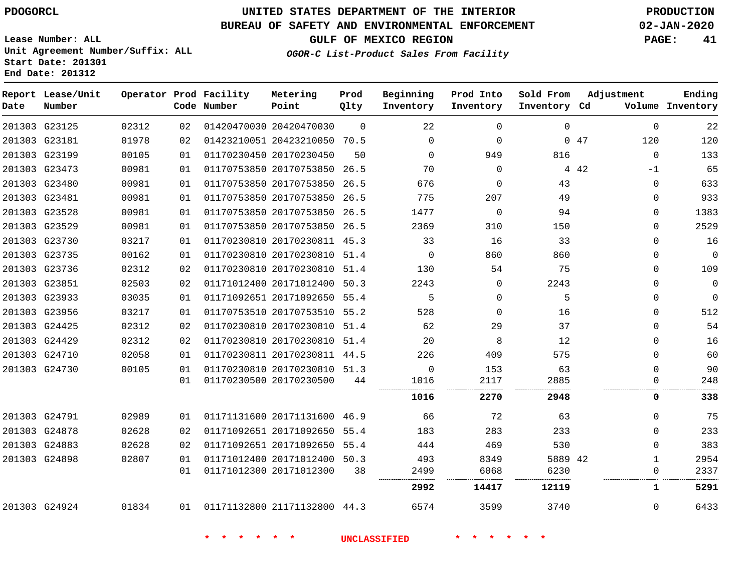**Start Date: 201301 End Date: 201312**

## **UNITED STATES DEPARTMENT OF THE INTERIOR PDOGORCL PRODUCTION**

### **BUREAU OF SAFETY AND ENVIRONMENTAL ENFORCEMENT 02-JAN-2020**

**Lease Number: ALL Unit Agreement Number/Suffix: ALL**

**GULF OF MEXICO REGION PAGE: 41**

**OGOR-C List-Product Sales From Facility**

| Date | Report Lease/Unit<br>Number |       |    | Operator Prod Facility<br>Code Number | Metering<br>Point            | Prod<br>Qlty | Beginning<br>Inventory | Prod Into<br>Inventory | Sold From<br>Inventory Cd | Adjustment    | Ending<br>Volume Inventory |
|------|-----------------------------|-------|----|---------------------------------------|------------------------------|--------------|------------------------|------------------------|---------------------------|---------------|----------------------------|
|      | 201303 G23125               | 02312 | 02 |                                       | 01420470030 20420470030      | $\Omega$     | 22                     | $\Omega$               | $\mathbf 0$               | $\Omega$      | 22                         |
|      | 201303 G23181               | 01978 | 02 |                                       | 01423210051 20423210050 70.5 |              | $\mathbf 0$            | $\Omega$               |                           | 0.47<br>120   | 120                        |
|      | 201303 G23199               | 00105 | 01 |                                       | 01170230450 20170230450      | 50           | $\mathbf{0}$           | 949                    | 816                       | $\Omega$      | 133                        |
|      | 201303 G23473               | 00981 | 01 |                                       | 01170753850 20170753850 26.5 |              | 70                     | $\mathbf 0$            |                           | 4 4 2<br>$-1$ | 65                         |
|      | 201303 G23480               | 00981 | 01 |                                       | 01170753850 20170753850 26.5 |              | 676                    | $\mathbf 0$            | 43                        | $\Omega$      | 633                        |
|      | 201303 G23481               | 00981 | 01 |                                       | 01170753850 20170753850 26.5 |              | 775                    | 207                    | 49                        | $\Omega$      | 933                        |
|      | 201303 G23528               | 00981 | 01 |                                       | 01170753850 20170753850 26.5 |              | 1477                   | $\mathbf 0$            | 94                        | $\Omega$      | 1383                       |
|      | 201303 G23529               | 00981 | 01 |                                       | 01170753850 20170753850 26.5 |              | 2369                   | 310                    | 150                       | $\Omega$      | 2529                       |
|      | 201303 G23730               | 03217 | 01 |                                       | 01170230810 20170230811 45.3 |              | 33                     | 16                     | 33                        | $\Omega$      | 16                         |
|      | 201303 G23735               | 00162 | 01 |                                       | 01170230810 20170230810 51.4 |              | $\overline{0}$         | 860                    | 860                       | $\Omega$      | $\overline{0}$             |
|      | 201303 G23736               | 02312 | 02 |                                       | 01170230810 20170230810 51.4 |              | 130                    | 54                     | 75                        | $\Omega$      | 109                        |
|      | 201303 G23851               | 02503 | 02 |                                       | 01171012400 20171012400 50.3 |              | 2243                   | $\Omega$               | 2243                      | $\Omega$      | $\overline{0}$             |
|      | 201303 G23933               | 03035 | 01 |                                       | 01171092651 20171092650 55.4 |              | 5                      | $\Omega$               | 5                         | $\Omega$      | $\overline{0}$             |
|      | 201303 G23956               | 03217 | 01 |                                       | 01170753510 20170753510 55.2 |              | 528                    | $\Omega$               | 16                        | $\Omega$      | 512                        |
|      | 201303 G24425               | 02312 | 02 |                                       | 01170230810 20170230810 51.4 |              | 62                     | 29                     | 37                        | $\Omega$      | 54                         |
|      | 201303 G24429               | 02312 | 02 |                                       | 01170230810 20170230810 51.4 |              | 20                     | 8                      | 12                        | $\Omega$      | 16                         |
|      | 201303 G24710               | 02058 | 01 |                                       | 01170230811 20170230811 44.5 |              | 226                    | 409                    | 575                       | $\Omega$      | 60                         |
|      | 201303 G24730               | 00105 | 01 |                                       | 01170230810 20170230810 51.3 |              | $\Omega$               | 153                    | 63                        | $\Omega$      | 90                         |
|      |                             |       | 01 |                                       | 01170230500 20170230500      | 44           | 1016<br>.              | 2117                   | 2885<br>.                 | $\Omega$      | 248                        |
|      |                             |       |    |                                       |                              |              | 1016                   | 2270                   | 2948                      | 0             | 338                        |
|      | 201303 G24791               | 02989 | 01 |                                       | 01171131600 20171131600 46.9 |              | 66                     | 72                     | 63                        | $\Omega$      | 75                         |
|      | 201303 G24878               | 02628 | 02 |                                       | 01171092651 20171092650 55.4 |              | 183                    | 283                    | 233                       | $\Omega$      | 233                        |
|      | 201303 G24883               | 02628 | 02 |                                       | 01171092651 20171092650 55.4 |              | 444                    | 469                    | 530                       | $\Omega$      | 383                        |
|      | 201303 G24898               | 02807 | 01 |                                       | 01171012400 20171012400 50.3 |              | 493                    | 8349                   | 5889 42                   | $\mathbf{1}$  | 2954                       |
|      |                             |       | 01 |                                       | 01171012300 20171012300      | 38           | 2499                   | 6068                   | 6230                      | 0             | 2337                       |
|      |                             |       |    |                                       |                              |              | 2992                   | 14417                  | 12119                     | 1             | 5291                       |
|      | 201303 G24924               | 01834 | 01 |                                       | 01171132800 21171132800 44.3 |              | 6574                   | 3599                   | 3740                      | $\Omega$      | 6433                       |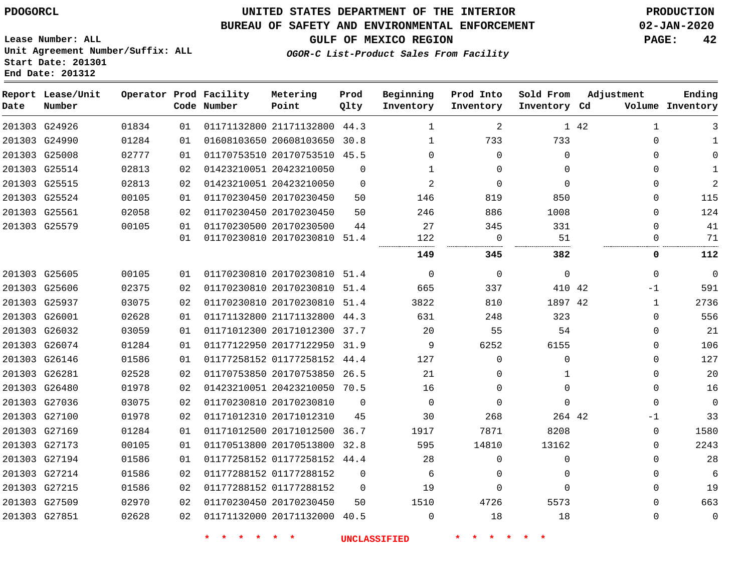**Lease Number: ALL**

# **UNITED STATES DEPARTMENT OF THE INTERIOR PDOGORCL PRODUCTION**

### **BUREAU OF SAFETY AND ENVIRONMENTAL ENFORCEMENT 02-JAN-2020**

**GULF OF MEXICO REGION PAGE: 42**

**OGOR-C List-Product Sales From Facility**

**Unit Agreement Number/Suffix: ALL Start Date: 201301 End Date: 201312**

| Date          | Report Lease/Unit<br>Number |       |    | Operator Prod Facility<br>Code Number | Metering<br>Point            | Prod<br>Qlty | Beginning<br>Inventory | Prod Into<br>Inventory | Sold From<br>Inventory Cd | Adjustment           | Ending<br>Volume Inventory |
|---------------|-----------------------------|-------|----|---------------------------------------|------------------------------|--------------|------------------------|------------------------|---------------------------|----------------------|----------------------------|
| 201303 G24926 |                             | 01834 | 01 |                                       | 01171132800 21171132800 44.3 |              | 1                      | 2                      |                           | 1 42<br>$\mathbf{1}$ | 3                          |
| 201303 G24990 |                             | 01284 | 01 |                                       | 01608103650 20608103650 30.8 |              | $\mathbf{1}$           | 733                    | 733                       | $\Omega$             | $\mathbf{1}$               |
| 201303 G25008 |                             | 02777 | 01 |                                       | 01170753510 20170753510 45.5 |              | $\Omega$               | $\mathbf 0$            | $\Omega$                  | $\Omega$             | $\mathbf 0$                |
| 201303 G25514 |                             | 02813 | 02 |                                       | 01423210051 20423210050      | $\mathbf{0}$ | $\mathbf{1}$           | $\Omega$               | $\Omega$                  | $\Omega$             | $\mathbf{1}$               |
| 201303 G25515 |                             | 02813 | 02 |                                       | 01423210051 20423210050      | $\mathbf{0}$ | $\overline{a}$         | $\mathbf 0$            | $\Omega$                  | 0                    | $\overline{a}$             |
| 201303 G25524 |                             | 00105 | 01 |                                       | 01170230450 20170230450      | 50           | 146                    | 819                    | 850                       | $\Omega$             | 115                        |
| 201303 G25561 |                             | 02058 | 02 | 01170230450 20170230450               |                              | 50           | 246                    | 886                    | 1008                      | $\Omega$             | 124                        |
| 201303 G25579 |                             | 00105 | 01 |                                       | 01170230500 20170230500      | 44           | 27                     | 345                    | 331                       | $\Omega$             | 41                         |
|               |                             |       | 01 |                                       | 01170230810 20170230810 51.4 |              | 122                    | $\overline{0}$         | 51                        | $\mathbf{0}$         | 71                         |
|               |                             |       |    |                                       |                              |              | 149                    | 345                    | 382                       | 0                    | 112                        |
| 201303 G25605 |                             | 00105 | 01 |                                       | 01170230810 20170230810 51.4 |              | $\mathbf 0$            | 0                      | $\Omega$                  | $\Omega$             | $\overline{0}$             |
| 201303 G25606 |                             | 02375 | 02 |                                       | 01170230810 20170230810 51.4 |              | 665                    | 337                    | 410 42                    | $-1$                 | 591                        |
| 201303 G25937 |                             | 03075 | 02 |                                       | 01170230810 20170230810 51.4 |              | 3822                   | 810                    | 1897 42                   | 1                    | 2736                       |
| 201303 G26001 |                             | 02628 | 01 |                                       | 01171132800 21171132800 44.3 |              | 631                    | 248                    | 323                       | $\mathbf{0}$         | 556                        |
| 201303 G26032 |                             | 03059 | 01 |                                       | 01171012300 20171012300 37.7 |              | 20                     | 55                     | 54                        | $\mathbf{0}$         | 21                         |
| 201303 G26074 |                             | 01284 | 01 |                                       | 01177122950 20177122950 31.9 |              | 9                      | 6252                   | 6155                      | $\Omega$             | 106                        |
| 201303 G26146 |                             | 01586 | 01 |                                       | 01177258152 01177258152 44.4 |              | 127                    | $\Omega$               | $\Omega$                  | $\Omega$             | 127                        |
| 201303 G26281 |                             | 02528 | 02 |                                       | 01170753850 20170753850 26.5 |              | 21                     | $\Omega$               | 1                         | $\Omega$             | 20                         |
| 201303 G26480 |                             | 01978 | 02 |                                       | 01423210051 20423210050 70.5 |              | 16                     | $\Omega$               | $\Omega$                  | $\Omega$             | 16                         |
| 201303 G27036 |                             | 03075 | 02 |                                       | 01170230810 20170230810      | $\Omega$     | $\Omega$               | $\Omega$               | $\Omega$                  | $\Omega$             | $\overline{0}$             |
| 201303 G27100 |                             | 01978 | 02 |                                       | 01171012310 20171012310      | 45           | 30                     | 268                    | 264 42                    | $-1$                 | 33                         |
| 201303 G27169 |                             | 01284 | 01 |                                       | 01171012500 20171012500 36.7 |              | 1917                   | 7871                   | 8208                      | $\Omega$             | 1580                       |
| 201303 G27173 |                             | 00105 | 01 |                                       | 01170513800 20170513800 32.8 |              | 595                    | 14810                  | 13162                     | $\mathbf{0}$         | 2243                       |
| 201303 G27194 |                             | 01586 | 01 |                                       | 01177258152 01177258152 44.4 |              | 28                     | 0                      | $\Omega$                  | $\Omega$             | 28                         |
| 201303 G27214 |                             | 01586 | 02 |                                       | 01177288152 01177288152      | $\Omega$     | 6                      | $\Omega$               | $\Omega$                  | $\Omega$             | 6                          |
| 201303 G27215 |                             | 01586 | 02 |                                       | 01177288152 01177288152      | $\Omega$     | 19                     | $\Omega$               | $\Omega$                  | $\Omega$             | 19                         |
| 201303 G27509 |                             | 02970 | 02 |                                       | 01170230450 20170230450      | 50           | 1510                   | 4726                   | 5573                      | $\Omega$             | 663                        |
| 201303 G27851 |                             | 02628 | 02 |                                       | 01171132000 20171132000 40.5 |              | $\mathbf 0$            | 18                     | 18                        | $\mathbf 0$          | $\mathbf 0$                |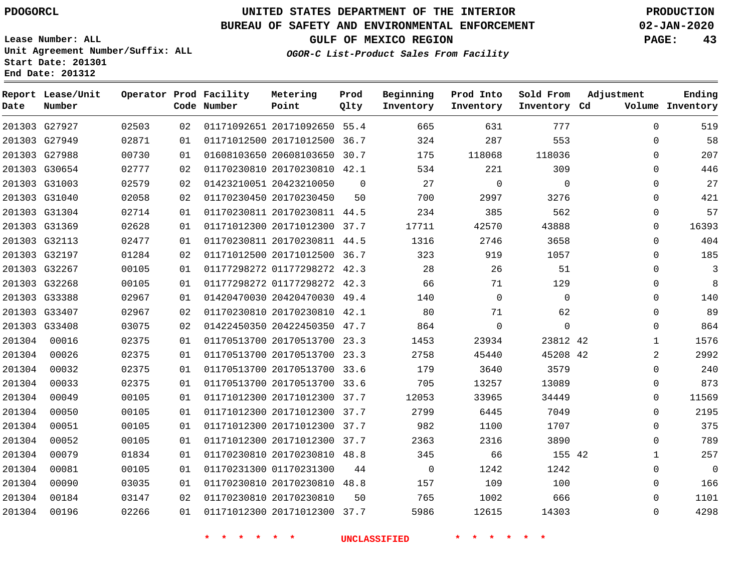# **UNITED STATES DEPARTMENT OF THE INTERIOR PDOGORCL PRODUCTION**

#### **BUREAU OF SAFETY AND ENVIRONMENTAL ENFORCEMENT 02-JAN-2020**

**Lease Number: ALL Unit Agreement Number/Suffix: ALL Start Date: 201301**

**Operator Prod Facility**

**Code Number**

**End Date: 201312**

**Report Lease/Unit**

**Number**

**GULF OF MEXICO REGION PAGE: 43**

**Prod Qlty**

**OGOR-C List-Product Sales From Facility**

**Beginning Inventory** **Prod Into Inventory** **Sold From Inventory**

**Inventory Cd Volume**

**Adjustment**

  $\Omega$   $\Omega$   $\Omega$  $\Omega$  $\Omega$  $\overline{0}$  $\overline{0}$  $\Omega$   $\Omega$  $\Omega$  $\Omega$   $\Omega$ 

**Ending**

|        | 201303 G27927 | 02503 | 02              | 01171092651 20171092650 55.4     |                | 665                                                                                                                                                                                                                             | 631                    | 777         |  |
|--------|---------------|-------|-----------------|----------------------------------|----------------|---------------------------------------------------------------------------------------------------------------------------------------------------------------------------------------------------------------------------------|------------------------|-------------|--|
|        | 201303 G27949 | 02871 | 01              | 01171012500 20171012500 36.7     |                | 324                                                                                                                                                                                                                             | 287                    | 553         |  |
|        | 201303 G27988 | 00730 | 01              | 01608103650 20608103650 30.7     |                | 175                                                                                                                                                                                                                             | 118068                 | 118036      |  |
|        | 201303 G30654 | 02777 | 02              | 01170230810 20170230810 42.1     |                | 534                                                                                                                                                                                                                             | 221                    | 309         |  |
|        | 201303 G31003 | 02579 | 02              | 01423210051 20423210050          | $\overline{0}$ | 27                                                                                                                                                                                                                              | $\overline{0}$         | 0           |  |
|        | 201303 G31040 | 02058 | 02              | 01170230450 20170230450          | 50             | 700 — 100                                                                                                                                                                                                                       | 2997                   | 3276        |  |
|        | 201303 G31304 | 02714 | 01              | 01170230811 20170230811 44.5     |                | 234                                                                                                                                                                                                                             | 385                    | 562         |  |
|        | 201303 G31369 | 02628 | 01              | 01171012300 20171012300 37.7     |                | 17711                                                                                                                                                                                                                           | 42570                  | 43888       |  |
|        | 201303 G32113 | 02477 | 01              | 01170230811 20170230811 44.5     |                | 1316                                                                                                                                                                                                                            | 2746                   | 3658        |  |
|        | 201303 G32197 | 01284 | 02              | 01171012500 20171012500 36.7     |                |                                                                                                                                                                                                                                 | 323 and $\overline{a}$ | 919<br>1057 |  |
|        | 201303 G32267 | 00105 | 01              | 01177298272 01177298272 42.3 28  |                |                                                                                                                                                                                                                                 | 26                     | 51          |  |
|        | 201303 G32268 | 00105 | 01              | 01177298272 01177298272 42.3     |                | 66                                                                                                                                                                                                                              | 71                     | 129         |  |
|        | 201303 G33388 | 02967 | 01              | 01420470030 20420470030 49.4     |                | 140                                                                                                                                                                                                                             | $\overline{0}$         | $\mathbf 0$ |  |
|        | 201303 G33407 | 02967 | 02              | 01170230810 20170230810 42.1 80  |                |                                                                                                                                                                                                                                 | 71                     | 62          |  |
|        | 201303 G33408 | 03075 | 02              | 01422450350 20422450350 47.7     |                | 864                                                                                                                                                                                                                             | $\overline{0}$         | 0           |  |
|        | 201304 00016  | 02375 | 01              | 01170513700 20170513700 23.3     |                | 1453                                                                                                                                                                                                                            | 23934                  | 23812 42    |  |
| 201304 | 00026         | 02375 | 01              | 01170513700 20170513700 23.3     |                | 2758                                                                                                                                                                                                                            | 45440                  | 45208 42    |  |
| 201304 | 00032         | 02375 | 01              | 01170513700 20170513700 33.6 179 |                |                                                                                                                                                                                                                                 | 3640                   | 3579        |  |
| 201304 | 00033         | 02375 | 01              | 01170513700 20170513700 33.6 705 |                |                                                                                                                                                                                                                                 | 13257                  | 13089       |  |
| 201304 | 00049         | 00105 | 01              | 01171012300 20171012300 37.7     |                | 12053                                                                                                                                                                                                                           | 33965                  | 34449       |  |
| 201304 | 00050         | 00105 | 01              | 01171012300 20171012300 37.7     |                | 2799 — 200                                                                                                                                                                                                                      | 6445                   | 7049        |  |
| 201304 | 00051         | 00105 | 01              | 01171012300 20171012300 37.7     |                | 982                                                                                                                                                                                                                             | 1100                   | 1707        |  |
| 201304 | 00052         | 00105 | 01              | 01171012300 20171012300 37.7     |                | 2363                                                                                                                                                                                                                            | 2316                   | 3890        |  |
| 201304 | 00079         | 01834 | 01              | 01170230810 20170230810 48.8     |                | 345                                                                                                                                                                                                                             | 66                     | 155 42      |  |
| 201304 | 00081         | 00105 | 01              | 01170231300 01170231300 44       |                | $\overline{0}$                                                                                                                                                                                                                  | 1242                   | 1242        |  |
| 201304 | 00090         | 03035 | 01              | 01170230810 20170230810 48.8     |                | 157                                                                                                                                                                                                                             | 109                    | 100         |  |
| 201304 | 00184         | 03147 | 02 <sub>o</sub> | 01170230810 20170230810          |                | 50 30 30 31 32 33 40 34 35 40 35 40 35 40 35 40 35 40 35 40 35 40 35 40 35 40 35 40 35 40 35 40 35 40 35 40 35 40 35 40 35 40 35 40 35 40 35 40 35 40 35 40 35 40 35 40 35 40 35 40 35 40 35 40 35 40 35 40 35 40 35 40 35 40 3 | 765<br>1002            | 666         |  |
| 201304 | 00196         | 02266 | 01              | 01171012300 20171012300 37.7     |                | 5986                                                                                                                                                                                                                            | 12615                  | 14303       |  |

**Metering Point**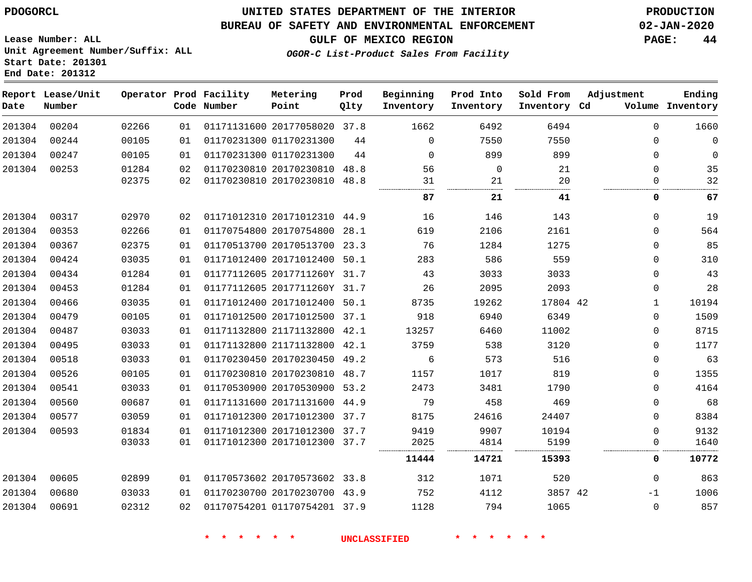#### **BUREAU OF SAFETY AND ENVIRONMENTAL ENFORCEMENT 02-JAN-2020**

**GULF OF MEXICO REGION PAGE: 44**

**Lease Number: ALL Unit Agreement Number/Suffix: ALL Start Date: 201301 End Date: 201312**

**OGOR-C List-Product Sales From Facility**

| Date   | Report Lease/Unit<br>Number |       |    | Operator Prod Facility<br>Code Number | Metering<br>Point            | Prod<br>Qlty | Beginning<br>Inventory | Prod Into<br>Inventory | Sold From<br>Inventory Cd | Adjustment   | Ending<br>Volume Inventory |
|--------|-----------------------------|-------|----|---------------------------------------|------------------------------|--------------|------------------------|------------------------|---------------------------|--------------|----------------------------|
| 201304 | 00204                       | 02266 | 01 |                                       | 01171131600 20177058020 37.8 |              | 1662                   | 6492                   | 6494                      | $\Omega$     | 1660                       |
| 201304 | 00244                       | 00105 | 01 |                                       | 01170231300 01170231300      | 44           | $\Omega$               | 7550                   | 7550                      | 0            | $\mathbf 0$                |
| 201304 | 00247                       | 00105 | 01 |                                       | 01170231300 01170231300      | 44           | $\Omega$               | 899                    | 899                       | $\mathbf{0}$ | $\mathbf 0$                |
| 201304 | 00253                       | 01284 | 02 |                                       | 01170230810 20170230810      | 48.8         | 56                     | $\mathbf 0$            | 21                        | $\mathbf{0}$ | 35                         |
|        |                             | 02375 | 02 |                                       | 01170230810 20170230810 48.8 |              | 31                     | 21                     | 20                        | $\mathbf 0$  | 32                         |
|        |                             |       |    |                                       |                              |              | 87                     | 21                     | 41                        | 0            | 67                         |
| 201304 | 00317                       | 02970 | 02 |                                       | 01171012310 20171012310 44.9 |              | 16                     | 146                    | 143                       | $\mathbf{0}$ | 19                         |
| 201304 | 00353                       | 02266 | 01 |                                       | 01170754800 20170754800      | 28.1         | 619                    | 2106                   | 2161                      | $\mathbf 0$  | 564                        |
| 201304 | 00367                       | 02375 | 01 |                                       | 01170513700 20170513700 23.3 |              | 76                     | 1284                   | 1275                      | $\mathbf{0}$ | 85                         |
| 201304 | 00424                       | 03035 | 01 |                                       | 01171012400 20171012400      | 50.1         | 283                    | 586                    | 559                       | $\mathbf 0$  | 310                        |
| 201304 | 00434                       | 01284 | 01 |                                       | 01177112605 2017711260Y 31.7 |              | 43                     | 3033                   | 3033                      | $\Omega$     | 43                         |
| 201304 | 00453                       | 01284 | 01 |                                       | 01177112605 2017711260Y 31.7 |              | 26                     | 2095                   | 2093                      | 0            | 28                         |
| 201304 | 00466                       | 03035 | 01 |                                       | 01171012400 20171012400 50.1 |              | 8735                   | 19262                  | 17804 42                  | $\mathbf{1}$ | 10194                      |
| 201304 | 00479                       | 00105 | 01 |                                       | 01171012500 20171012500      | 37.1         | 918                    | 6940                   | 6349                      | $\mathbf{0}$ | 1509                       |
| 201304 | 00487                       | 03033 | 01 |                                       | 01171132800 21171132800 42.1 |              | 13257                  | 6460                   | 11002                     | 0            | 8715                       |
| 201304 | 00495                       | 03033 | 01 |                                       | 01171132800 21171132800 42.1 |              | 3759                   | 538                    | 3120                      | 0            | 1177                       |
| 201304 | 00518                       | 03033 | 01 |                                       | 01170230450 20170230450 49.2 |              | 6                      | 573                    | 516                       | $\mathbf 0$  | 63                         |
| 201304 | 00526                       | 00105 | 01 |                                       | 01170230810 20170230810      | 48.7         | 1157                   | 1017                   | 819                       | 0            | 1355                       |
| 201304 | 00541                       | 03033 | 01 |                                       | 01170530900 20170530900 53.2 |              | 2473                   | 3481                   | 1790                      | 0            | 4164                       |
| 201304 | 00560                       | 00687 | 01 |                                       | 01171131600 20171131600 44.9 |              | 79                     | 458                    | 469                       | $\mathbf 0$  | 68                         |
| 201304 | 00577                       | 03059 | 01 |                                       | 01171012300 20171012300 37.7 |              | 8175                   | 24616                  | 24407                     | $\Omega$     | 8384                       |
| 201304 | 00593                       | 01834 | 01 |                                       | 01171012300 20171012300      | 37.7         | 9419                   | 9907                   | 10194                     | 0            | 9132                       |
|        |                             | 03033 | 01 |                                       | 01171012300 20171012300      | 37.7         | 2025                   | 4814                   | 5199                      | 0            | 1640                       |
|        |                             |       |    |                                       |                              |              | 11444                  | 14721                  | 15393                     | 0            | 10772                      |
| 201304 | 00605                       | 02899 | 01 |                                       | 01170573602 20170573602 33.8 |              | 312                    | 1071                   | 520                       | $\mathbf 0$  | 863                        |
| 201304 | 00680                       | 03033 | 01 |                                       | 01170230700 20170230700 43.9 |              | 752                    | 4112                   | 3857 42                   | $-1$         | 1006                       |
| 201304 | 00691                       | 02312 | 02 |                                       | 01170754201 01170754201 37.9 |              | 1128                   | 794                    | 1065                      | $\mathbf 0$  | 857                        |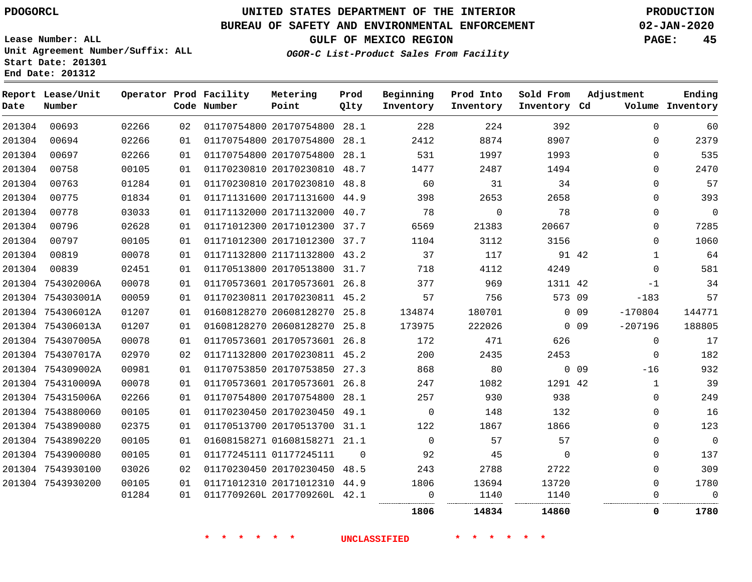**End Date: 201312**

# **UNITED STATES DEPARTMENT OF THE INTERIOR PDOGORCL PRODUCTION**

### **BUREAU OF SAFETY AND ENVIRONMENTAL ENFORCEMENT 02-JAN-2020**

**Lease Number: ALL Unit Agreement Number/Suffix: ALL Start Date: 201301**

**GULF OF MEXICO REGION PAGE: 45**

**OGOR-C List-Product Sales From Facility**

| Date   | Report Lease/Unit<br>Number |       |    | Operator Prod Facility<br>Code Number | Metering<br>Point            | Prod<br>Qlty | Beginning<br>Inventory | Prod Into<br>Inventory | Sold From<br>Inventory Cd | Adjustment              | Ending<br>Volume Inventory |
|--------|-----------------------------|-------|----|---------------------------------------|------------------------------|--------------|------------------------|------------------------|---------------------------|-------------------------|----------------------------|
| 201304 | 00693                       | 02266 | 02 |                                       | 01170754800 20170754800 28.1 |              | 228                    | 224                    | 392                       | $\Omega$                | 60                         |
| 201304 | 00694                       | 02266 | 01 |                                       | 01170754800 20170754800 28.1 |              | 2412                   | 8874                   | 8907                      | $\Omega$                | 2379                       |
| 201304 | 00697                       | 02266 | 01 |                                       | 01170754800 20170754800 28.1 |              | 531                    | 1997                   | 1993                      | $\Omega$                | 535                        |
| 201304 | 00758                       | 00105 | 01 |                                       | 01170230810 20170230810 48.7 |              | 1477                   | 2487                   | 1494                      | 0                       | 2470                       |
| 201304 | 00763                       | 01284 | 01 |                                       | 01170230810 20170230810 48.8 |              | 60                     | 31                     | 34                        | 0                       | 57                         |
| 201304 | 00775                       | 01834 | 01 |                                       | 01171131600 20171131600 44.9 |              | 398                    | 2653                   | 2658                      |                         | 393<br>$\Omega$            |
| 201304 | 00778                       | 03033 | 01 |                                       | 01171132000 20171132000 40.7 |              | 78                     | $\mathbf 0$            | 78                        |                         | $\Omega$<br>$\mathbf 0$    |
| 201304 | 00796                       | 02628 | 01 |                                       | 01171012300 20171012300 37.7 |              | 6569                   | 21383                  | 20667                     | $\Omega$                | 7285                       |
| 201304 | 00797                       | 00105 | 01 |                                       | 01171012300 20171012300 37.7 |              | 1104                   | 3112                   | 3156                      | 0                       | 1060                       |
| 201304 | 00819                       | 00078 | 01 |                                       | 01171132800 21171132800 43.2 |              | 37                     | 117                    |                           | 91 42<br>1              | 64                         |
| 201304 | 00839                       | 02451 | 01 |                                       | 01170513800 20170513800 31.7 |              | 718                    | 4112                   | 4249                      | $\Omega$                | 581                        |
|        | 201304 754302006A           | 00078 | 01 |                                       | 01170573601 20170573601 26.8 |              | 377                    | 969                    | 1311 42                   | $-1$                    | 34                         |
|        | 201304 754303001A           | 00059 | 01 |                                       | 01170230811 20170230811 45.2 |              | 57                     | 756                    | 573 09                    | $-183$                  | 57                         |
|        | 201304 754306012A           | 01207 | 01 |                                       | 01608128270 20608128270 25.8 |              | 134874                 | 180701                 |                           | $0$ 09<br>$-170804$     | 144771                     |
|        | 201304 754306013A           | 01207 | 01 |                                       | 01608128270 20608128270 25.8 |              | 173975                 | 222026                 |                           | $-207196$<br>$0\quad09$ | 188805                     |
|        | 201304 754307005A           | 00078 | 01 |                                       | 01170573601 20170573601 26.8 |              | 172                    | 471                    | 626                       | $\mathbf 0$             | 17                         |
|        | 201304 754307017A           | 02970 | 02 |                                       | 01171132800 20170230811 45.2 |              | 200                    | 2435                   | 2453                      | $\Omega$                | 182                        |
|        | 201304 754309002A           | 00981 | 01 |                                       | 01170753850 20170753850 27.3 |              | 868                    | 80                     |                           | $0$ 09<br>$-16$         | 932                        |
|        | 201304 754310009A           | 00078 | 01 |                                       | 01170573601 20170573601 26.8 |              | 247                    | 1082                   | 1291 42                   |                         | 39<br>$\mathbf{1}$         |
|        | 201304 754315006A           | 02266 | 01 |                                       | 01170754800 20170754800 28.1 |              | 257                    | 930                    | 938                       |                         | 249<br>0                   |
|        | 201304 7543880060           | 00105 | 01 |                                       | 01170230450 20170230450 49.1 |              | $\mathbf 0$            | 148                    | 132                       |                         | 16<br>0                    |
|        | 201304 7543890080           | 02375 | 01 |                                       | 01170513700 20170513700 31.1 |              | 122                    | 1867                   | 1866                      |                         | 123<br>0                   |
|        | 201304 7543890220           | 00105 | 01 |                                       | 01608158271 01608158271 21.1 |              | $\Omega$               | 57                     | 57                        |                         | $\overline{0}$<br>$\Omega$ |
|        | 201304 7543900080           | 00105 | 01 |                                       | 01177245111 01177245111      | -0           | 92                     | 45                     | $\mathbf 0$               | 0                       | 137                        |
|        | 201304 7543930100           | 03026 | 02 |                                       | 01170230450 20170230450 48.5 |              | 243                    | 2788                   | 2722                      |                         | 309<br>$\Omega$            |
|        | 201304 7543930200           | 00105 | 01 |                                       | 01171012310 20171012310 44.9 |              | 1806                   | 13694                  | 13720                     |                         | 1780<br>0                  |
|        |                             | 01284 | 01 |                                       | 0117709260L 2017709260L 42.1 |              | 0                      | 1140                   | 1140                      | 0                       | $\Omega$                   |
|        |                             |       |    |                                       |                              |              | 1806                   | 14834                  | 14860                     |                         | 0<br>1780                  |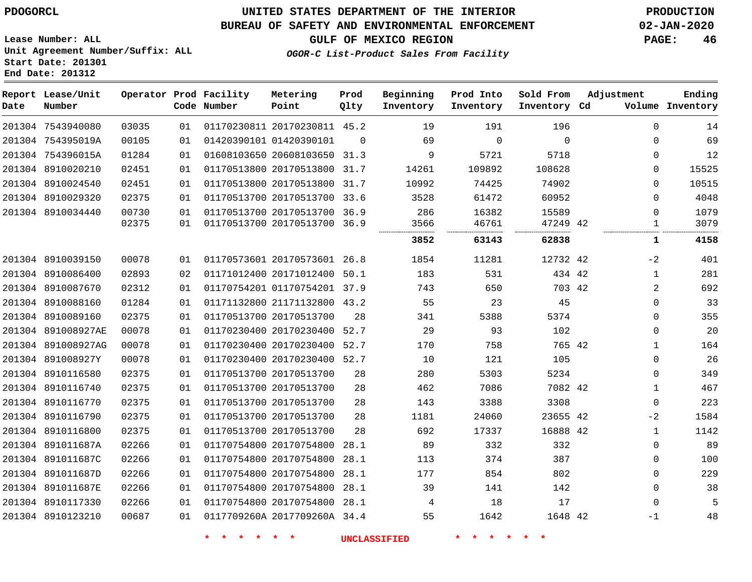**End Date: 201312**

**Report Lease/Unit**

**Number**

# **UNITED STATES DEPARTMENT OF THE INTERIOR PDOGORCL PRODUCTION**

**Prod Qlty**

#### **BUREAU OF SAFETY AND ENVIRONMENTAL ENFORCEMENT 02-JAN-2020**

**Lease Number: ALL Unit Agreement Number/Suffix: ALL Start Date: 201301**

**Operator Prod Facility**

**Code Number**

**OGOR-C List-Product Sales From Facility**

**Sold From Inventory**

**Prod Into Inventory**

**Beginning Inventory**

**GULF OF MEXICO REGION PAGE: 46**

**Inventory Cd Volume**

**Adjustment**

**Ending**

| 201304 7543940080  | 03035 | 01 |                         | 01170230811 20170230811 45.2 |          | 19                  | 191      | 196      | $\mathbf 0$  | 14    |
|--------------------|-------|----|-------------------------|------------------------------|----------|---------------------|----------|----------|--------------|-------|
| 201304 754395019A  | 00105 | 01 | 01420390101 01420390101 |                              | $\Omega$ | 69                  | $\Omega$ | 0        | 0            | 69    |
| 201304 754396015A  | 01284 | 01 |                         | 01608103650 20608103650 31.3 |          | 9                   | 5721     | 5718     | $\mathbf 0$  | 12    |
| 201304 8910020210  | 02451 | 01 |                         | 01170513800 20170513800 31.7 |          | 14261               | 109892   | 108628   | 0            | 15525 |
| 201304 8910024540  | 02451 | 01 |                         | 01170513800 20170513800 31.7 |          | 10992               | 74425    | 74902    | 0            | 10515 |
| 201304 8910029320  | 02375 | 01 |                         | 01170513700 20170513700 33.6 |          | 3528                | 61472    | 60952    | 0            | 4048  |
| 201304 8910034440  | 00730 | 01 |                         | 01170513700 20170513700 36.9 |          | 286                 | 16382    | 15589    | 0            | 1079  |
|                    | 02375 | 01 |                         | 01170513700 20170513700 36.9 |          | 3566                | 46761    | 47249 42 | 1            | 3079  |
|                    |       |    |                         |                              |          | 3852                | 63143    | 62838    | 1            | 4158  |
| 201304 8910039150  | 00078 | 01 |                         | 01170573601 20170573601 26.8 |          | 1854                | 11281    | 12732 42 | $-2$         | 401   |
| 201304 8910086400  | 02893 | 02 |                         | 01171012400 20171012400 50.1 |          | 183                 | 531      | 434 42   | $\mathbf{1}$ | 281   |
| 201304 8910087670  | 02312 | 01 |                         | 01170754201 01170754201 37.9 |          | 743                 | 650      | 703 42   | 2            | 692   |
| 201304 8910088160  | 01284 | 01 |                         | 01171132800 21171132800 43.2 |          | 55                  | 23       | 45       | 0            | 33    |
| 201304 8910089160  | 02375 | 01 | 01170513700 20170513700 |                              | 28       | 341                 | 5388     | 5374     | 0            | 355   |
| 201304 891008927AE | 00078 | 01 |                         | 01170230400 20170230400 52.7 |          | 29                  | 93       | 102      | 0            | 20    |
| 201304 891008927AG | 00078 | 01 |                         | 01170230400 20170230400 52.7 |          | 170                 | 758      | 765 42   | 1            | 164   |
| 201304 891008927Y  | 00078 | 01 |                         | 01170230400 20170230400 52.7 |          | 10                  | 121      | 105      | 0            | 26    |
| 201304 8910116580  | 02375 | 01 |                         | 01170513700 20170513700      | 28       | 280                 | 5303     | 5234     | 0            | 349   |
| 201304 8910116740  | 02375 | 01 |                         | 01170513700 20170513700      | 28       | 462                 | 7086     | 7082 42  | 1            | 467   |
| 201304 8910116770  | 02375 | 01 |                         | 01170513700 20170513700      | 28       | 143                 | 3388     | 3308     | $\mathbf 0$  | 223   |
| 201304 8910116790  | 02375 | 01 |                         | 01170513700 20170513700      | 28       | 1181                | 24060    | 23655 42 | $-2$         | 1584  |
| 201304 8910116800  | 02375 | 01 |                         | 01170513700 20170513700      | 28       | 692                 | 17337    | 16888 42 | $\mathbf{1}$ | 1142  |
| 201304 891011687A  | 02266 | 01 |                         | 01170754800 20170754800 28.1 |          | 89                  | 332      | 332      | $\Omega$     | 89    |
| 201304 891011687C  | 02266 | 01 |                         | 01170754800 20170754800 28.1 |          | 113                 | 374      | 387      | 0            | 100   |
| 201304 891011687D  | 02266 | 01 |                         | 01170754800 20170754800 28.1 |          | 177                 | 854      | 802      | 0            | 229   |
| 201304 891011687E  | 02266 | 01 |                         | 01170754800 20170754800 28.1 |          | 39                  | 141      | 142      | 0            | 38    |
| 201304 8910117330  | 02266 | 01 |                         | 01170754800 20170754800 28.1 |          | 4                   | 18       | 17       | 0            | 5     |
| 201304 8910123210  | 00687 | 01 |                         | 0117709260A 2017709260A 34.4 |          | 55                  | 1642     | 1648 42  | -1           | 48    |
|                    |       |    | — <del>*</del>          | $\star$                      |          | <b>UNCLASSIFIED</b> |          |          |              |       |

**Metering Point**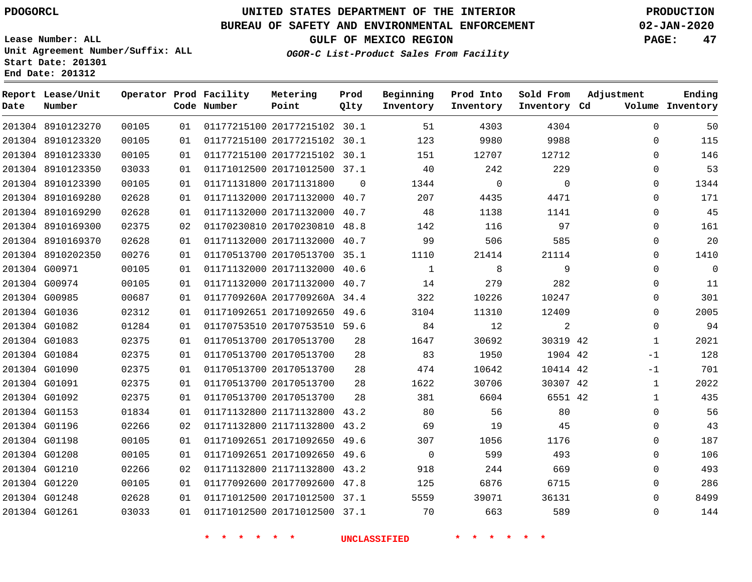**End Date: 201312**

 8910123270 8910123320 8910123330

**Report Lease/Unit**

**Number**

# **UNITED STATES DEPARTMENT OF THE INTERIOR PDOGORCL PRODUCTION**

**Prod Qlty**

#### **BUREAU OF SAFETY AND ENVIRONMENTAL ENFORCEMENT 02-JAN-2020**

**Lease Number: ALL Unit Agreement Number/Suffix: ALL Start Date: 201301**

**Operator Prod Facility**

**Code Number**

 20177215102 30.1 20177215102 30.1 20177215102 30.1

**Metering Point**

**OGOR-C List-Product Sales From Facility**

**Prod Into Inventory**

**Beginning Inventory**

**GULF OF MEXICO REGION PAGE: 47**

**Inventory Cd Volume**

**Adjustment**

  $\Omega$  $\Omega$   $\Omega$  $\Omega$  $\Omega$  $\Omega$  $\Omega$  $\Omega$  $\Omega$  $\Omega$  $\overline{0}$   $\Omega$   $-1$ -1  $\Omega$  $\Omega$   $\Omega$ 

**Ending**

**Sold From Inventory**

|               | 201304 8910123350 | 03033 | 01 | 01171012500 20171012500 37.1 |          | 40                  | 242         | 229            |
|---------------|-------------------|-------|----|------------------------------|----------|---------------------|-------------|----------------|
|               | 201304 8910123390 | 00105 | 01 | 01171131800 20171131800      | $\Omega$ | 1344                | $\mathbf 0$ | $\overline{0}$ |
|               | 201304 8910169280 | 02628 | 01 | 01171132000 20171132000      | 40.7     | 207                 | 4435        | 4471           |
|               | 201304 8910169290 | 02628 | 01 | 01171132000 20171132000      | 40.7     | 48                  | 1138        | 1141           |
|               | 201304 8910169300 | 02375 | 02 | 01170230810 20170230810      | 48.8     | 142                 | 116         | 97             |
|               | 201304 8910169370 | 02628 | 01 | 01171132000 20171132000      | 40.7     | 99                  | 506         | 585            |
|               | 201304 8910202350 | 00276 | 01 | 01170513700 20170513700      | 35.1     | 1110                | 21414       | 21114          |
|               | 201304 G00971     | 00105 | 01 | 01171132000 20171132000      | 40.6     | $\mathbf{1}$        | 8           | $\mathsf 9$    |
|               | 201304 G00974     | 00105 | 01 | 01171132000 20171132000      | 40.7     | 14                  | 279         | 282            |
|               | 201304 G00985     | 00687 | 01 | 0117709260A 2017709260A 34.4 |          | 322                 | 10226       | 10247          |
| 201304 G01036 |                   | 02312 | 01 | 01171092651 20171092650      | 49.6     | 3104                | 11310       | 12409          |
|               | 201304 G01082     | 01284 | 01 | 01170753510 20170753510 59.6 |          | 84                  | 12          | 2              |
| 201304 G01083 |                   | 02375 | 01 | 01170513700 20170513700      | 28       | 1647                | 30692       | 30319          |
|               | 201304 G01084     | 02375 | 01 | 01170513700 20170513700      | 28       | 83                  | 1950        | 1904           |
| 201304 G01090 |                   | 02375 | 01 | 01170513700 20170513700      | 28       | 474                 | 10642       | 10414          |
| 201304 G01091 |                   | 02375 | 01 | 01170513700 20170513700      | 28       | 1622                | 30706       | 30307          |
|               | 201304 G01092     | 02375 | 01 | 01170513700 20170513700      | 28       | 381                 | 6604        | 6551           |
| 201304 G01153 |                   | 01834 | 01 | 01171132800 21171132800      | 43.2     | 80                  | 56          | 80             |
|               | 201304 G01196     | 02266 | 02 | 01171132800 21171132800      | 43.2     | 69                  | 19          | 45             |
|               | 201304 G01198     | 00105 | 01 | 01171092651 20171092650      | 49.6     | 307                 | 1056        | 1176           |
| 201304 G01208 |                   | 00105 | 01 | 01171092651 20171092650      | 49.6     | $\mathbf 0$         | 599         | 493            |
| 201304 G01210 |                   | 02266 | 02 | 01171132800 21171132800      | 43.2     | 918                 | 244         | 669            |
| 201304 G01220 |                   | 00105 | 01 | 01177092600 20177092600      | 47.8     | 125                 | 6876        | 6715           |
|               | 201304 G01248     | 02628 | 01 | 01171012500 20171012500 37.1 |          | 5559                | 39071       | 36131          |
|               | 201304 G01261     | 03033 | 01 | 01171012500 20171012500 37.1 |          | 70                  | 663         | 589            |
|               |                   |       |    |                              |          | <b>UNCLASSIFIED</b> |             |                |
|               |                   |       |    |                              |          |                     |             |                |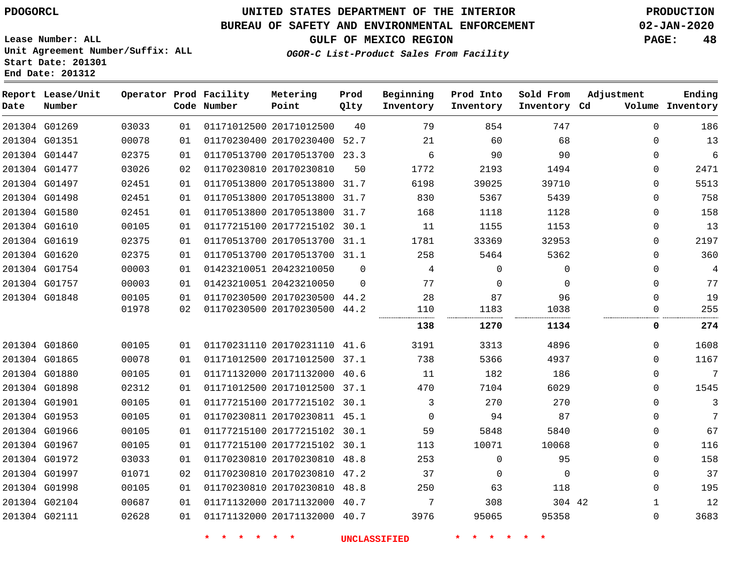**Lease Number: ALL**

**Start Date: 201301 End Date: 201312**

# **UNITED STATES DEPARTMENT OF THE INTERIOR PDOGORCL PRODUCTION**

#### **BUREAU OF SAFETY AND ENVIRONMENTAL ENFORCEMENT 02-JAN-2020**

**Unit Agreement Number/Suffix: ALL**

**GULF OF MEXICO REGION PAGE: 48**

**OGOR-C List-Product Sales From Facility**

| Date | Report Lease/Unit<br>Number |       |    | Operator Prod Facility<br>Code Number | Metering<br>Point            | Prod<br>Qlty | Beginning<br>Inventory | Prod Into<br>Inventory | Sold From<br>Inventory Cd | Adjustment   | Ending<br>Volume Inventory |
|------|-----------------------------|-------|----|---------------------------------------|------------------------------|--------------|------------------------|------------------------|---------------------------|--------------|----------------------------|
|      | 201304 G01269               | 03033 | 01 |                                       | 01171012500 20171012500      | 40           | 79                     | 854                    | 747                       | $\Omega$     | 186                        |
|      | 201304 G01351               | 00078 | 01 |                                       | 01170230400 20170230400 52.7 |              | 21                     | 60                     | 68                        | $\mathbf 0$  | 13                         |
|      | 201304 G01447               | 02375 | 01 |                                       | 01170513700 20170513700 23.3 |              | 6                      | 90                     | 90                        | $\mathbf 0$  | $\overline{6}$             |
|      | 201304 G01477               | 03026 | 02 |                                       | 01170230810 20170230810      | 50           | 1772                   | 2193                   | 1494                      | $\mathbf 0$  | 2471                       |
|      | 201304 G01497               | 02451 | 01 |                                       | 01170513800 20170513800 31.7 |              | 6198                   | 39025                  | 39710                     | $\Omega$     | 5513                       |
|      | 201304 G01498               | 02451 | 01 |                                       | 01170513800 20170513800 31.7 |              | 830                    | 5367                   | 5439                      | $\Omega$     | 758                        |
|      | 201304 G01580               | 02451 | 01 |                                       | 01170513800 20170513800      | 31.7         | 168                    | 1118                   | 1128                      | $\mathbf 0$  | 158                        |
|      | 201304 G01610               | 00105 | 01 |                                       | 01177215100 20177215102 30.1 |              | 11                     | 1155                   | 1153                      | $\mathbf 0$  | 13                         |
|      | 201304 G01619               | 02375 | 01 |                                       | 01170513700 20170513700 31.1 |              | 1781                   | 33369                  | 32953                     | $\Omega$     | 2197                       |
|      | 201304 G01620               | 02375 | 01 |                                       | 01170513700 20170513700 31.1 |              | 258                    | 5464                   | 5362                      | $\mathbf 0$  | 360                        |
|      | 201304 G01754               | 00003 | 01 |                                       | 01423210051 20423210050      | $\Omega$     | 4                      | $\Omega$               | $\Omega$                  | $\Omega$     | 4                          |
|      | 201304 G01757               | 00003 | 01 |                                       | 01423210051 20423210050      | $\Omega$     | 77                     | $\Omega$               | $\Omega$                  | $\mathbf 0$  | 77                         |
|      | 201304 G01848               | 00105 | 01 |                                       | 01170230500 20170230500 44.2 |              | 28                     | 87                     | 96                        | $\mathbf 0$  | 19                         |
|      |                             | 01978 | 02 |                                       | 01170230500 20170230500 44.2 |              | 110                    | 1183                   | 1038                      | $\Omega$     | 255                        |
|      |                             |       |    |                                       |                              |              | 138                    | 1270                   | 1134                      | 0            | 274                        |
|      | 201304 G01860               | 00105 | 01 |                                       | 01170231110 20170231110 41.6 |              | 3191                   | 3313                   | 4896                      | $\Omega$     | 1608                       |
|      | 201304 G01865               | 00078 | 01 |                                       | 01171012500 20171012500 37.1 |              | 738                    | 5366                   | 4937                      | $\Omega$     | 1167                       |
|      | 201304 G01880               | 00105 | 01 |                                       | 01171132000 20171132000 40.6 |              | 11                     | 182                    | 186                       | $\Omega$     | 7                          |
|      | 201304 G01898               | 02312 | 01 |                                       | 01171012500 20171012500      | 37.1         | 470                    | 7104                   | 6029                      | $\Omega$     | 1545                       |
|      | 201304 G01901               | 00105 | 01 |                                       | 01177215100 20177215102 30.1 |              | 3                      | 270                    | 270                       | $\Omega$     | 3                          |
|      | 201304 G01953               | 00105 | 01 |                                       | 01170230811 20170230811 45.1 |              | $\Omega$               | 94                     | 87                        | $\Omega$     | 7                          |
|      | 201304 G01966               | 00105 | 01 |                                       | 01177215100 20177215102 30.1 |              | 59                     | 5848                   | 5840                      | $\mathbf 0$  | 67                         |
|      | 201304 G01967               | 00105 | 01 |                                       | 01177215100 20177215102 30.1 |              | 113                    | 10071                  | 10068                     | $\mathbf 0$  | 116                        |
|      | 201304 G01972               | 03033 | 01 |                                       | 01170230810 20170230810      | 48.8         | 253                    | $\Omega$               | 95                        | $\Omega$     | 158                        |
|      | 201304 G01997               | 01071 | 02 |                                       | 01170230810 20170230810      | 47.2         | 37                     | $\Omega$               | $\Omega$                  | $\Omega$     | 37                         |
|      | 201304 G01998               | 00105 | 01 |                                       | 01170230810 20170230810      | 48.8         | 250                    | 63                     | 118                       | $\mathbf 0$  | 195                        |
|      | 201304 G02104               | 00687 | 01 |                                       | 01171132000 20171132000      | 40.7         | 7                      | 308                    | 304 42                    | $\mathbf{1}$ | 12                         |
|      | 201304 G02111               | 02628 | 01 |                                       | 01171132000 20171132000 40.7 |              | 3976                   | 95065                  | 95358                     | $\mathbf 0$  | 3683                       |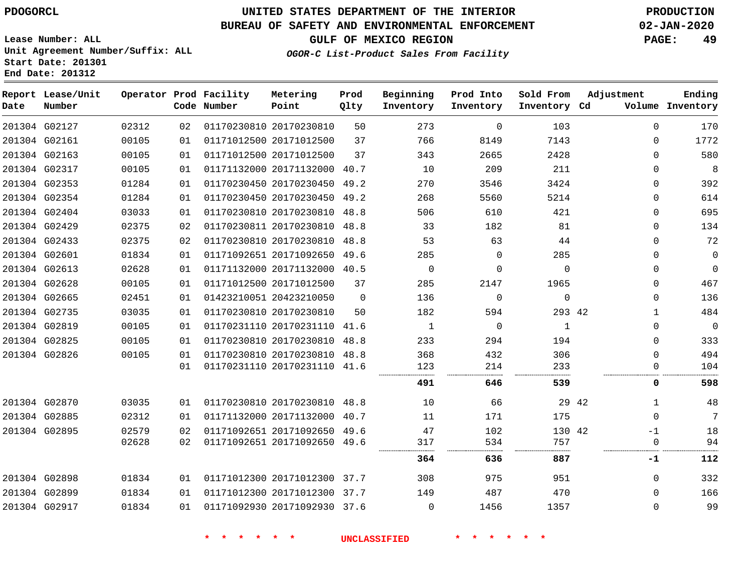**End Date: 201312**

# **UNITED STATES DEPARTMENT OF THE INTERIOR PDOGORCL PRODUCTION**

### **BUREAU OF SAFETY AND ENVIRONMENTAL ENFORCEMENT 02-JAN-2020**

**Lease Number: ALL Unit Agreement Number/Suffix: ALL Start Date: 201301**

# **GULF OF MEXICO REGION PAGE: 49**

**OGOR-C List-Product Sales From Facility**

| Date | Report Lease/Unit<br>Number |       |    | Operator Prod Facility<br>Code Number | Metering<br>Point            | Prod<br>Qlty | Beginning<br>Inventory | Prod Into<br>Inventory | Sold From<br>Inventory Cd | Adjustment   | Ending<br>Volume Inventory |
|------|-----------------------------|-------|----|---------------------------------------|------------------------------|--------------|------------------------|------------------------|---------------------------|--------------|----------------------------|
|      | 201304 G02127               | 02312 | 02 |                                       | 01170230810 20170230810      | 50           | 273                    | $\mathbf 0$            | 103                       | $\mathbf 0$  | 170                        |
|      | 201304 G02161               | 00105 | 01 |                                       | 01171012500 20171012500      | 37           | 766                    | 8149                   | 7143                      | $\Omega$     | 1772                       |
|      | 201304 G02163               | 00105 | 01 |                                       | 01171012500 20171012500      | 37           | 343                    | 2665                   | 2428                      | $\mathbf{0}$ | 580                        |
|      | 201304 G02317               | 00105 | 01 |                                       | 01171132000 20171132000 40.7 |              | 10                     | 209                    | 211                       | $\mathbf{0}$ | 8                          |
|      | 201304 G02353               | 01284 | 01 |                                       | 01170230450 20170230450 49.2 |              | 270                    | 3546                   | 3424                      | $\Omega$     | 392                        |
|      | 201304 G02354               | 01284 | 01 |                                       | 01170230450 20170230450 49.2 |              | 268                    | 5560                   | 5214                      | $\Omega$     | 614                        |
|      | 201304 G02404               | 03033 | 01 |                                       | 01170230810 20170230810      | 48.8         | 506                    | 610                    | 421                       | $\mathbf{0}$ | 695                        |
|      | 201304 G02429               | 02375 | 02 |                                       | 01170230811 20170230810 48.8 |              | 33                     | 182                    | 81                        | $\Omega$     | 134                        |
|      | 201304 G02433               | 02375 | 02 |                                       | 01170230810 20170230810      | 48.8         | 53                     | 63                     | 44                        | $\Omega$     | 72                         |
|      | 201304 G02601               | 01834 | 01 |                                       | 01171092651 20171092650 49.6 |              | 285                    | 0                      | 285                       | 0            | $\mathbf 0$                |
|      | 201304 G02613               | 02628 | 01 |                                       | 01171132000 20171132000 40.5 |              | $\mathbf 0$            | $\Omega$               | $\Omega$                  | 0            | $\mathbf 0$                |
|      | 201304 G02628               | 00105 | 01 |                                       | 01171012500 20171012500      | 37           | 285                    | 2147                   | 1965                      | 0            | 467                        |
|      | 201304 G02665               | 02451 | 01 |                                       | 01423210051 20423210050      | $\Omega$     | 136                    | $\mathbf 0$            | $\mathbf 0$               | 0            | 136                        |
|      | 201304 G02735               | 03035 | 01 |                                       | 01170230810 20170230810      | 50           | 182                    | 594                    | 293 42                    | $\mathbf 1$  | 484                        |
|      | 201304 G02819               | 00105 | 01 |                                       | 01170231110 20170231110 41.6 |              | $\mathbf{1}$           | $\Omega$               | 1                         | $\mathbf{0}$ | $\mathbf 0$                |
|      | 201304 G02825               | 00105 | 01 |                                       | 01170230810 20170230810      | 48.8         | 233                    | 294                    | 194                       | $\mathbf{0}$ | 333                        |
|      | 201304 G02826               | 00105 | 01 |                                       | 01170230810 20170230810 48.8 |              | 368                    | 432                    | 306                       | $\mathbf 0$  | 494                        |
|      |                             |       | 01 |                                       | 01170231110 20170231110 41.6 |              | 123                    | 214                    | 233                       | $\Omega$     | 104                        |
|      |                             |       |    |                                       |                              |              | 491                    | 646                    | 539                       | 0            | 598                        |
|      | 201304 G02870               | 03035 | 01 |                                       | 01170230810 20170230810 48.8 |              | 10                     | 66                     | 29 42                     | 1            | 48                         |
|      | 201304 G02885               | 02312 | 01 |                                       | 01171132000 20171132000 40.7 |              | 11                     | 171                    | 175                       | $\mathbf{0}$ | $7\phantom{.0}$            |
|      | 201304 G02895               | 02579 | 02 |                                       | 01171092651 20171092650 49.6 |              | 47                     | 102                    | 130 42                    | $-1$         | 18                         |
|      |                             | 02628 | 02 |                                       | 01171092651 20171092650 49.6 |              | 317                    | 534                    | 757                       | 0            | 94                         |
|      |                             |       |    |                                       |                              |              | 364                    | 636                    | 887                       | -1           | 112                        |
|      | 201304 G02898               | 01834 | 01 |                                       | 01171012300 20171012300 37.7 |              | 308                    | 975                    | 951                       | 0            | 332                        |
|      | 201304 G02899               | 01834 | 01 |                                       | 01171012300 20171012300 37.7 |              | 149                    | 487                    | 470                       | 0            | 166                        |
|      | 201304 G02917               | 01834 | 01 |                                       | 01171092930 20171092930 37.6 |              | 0                      | 1456                   | 1357                      | 0            | 99                         |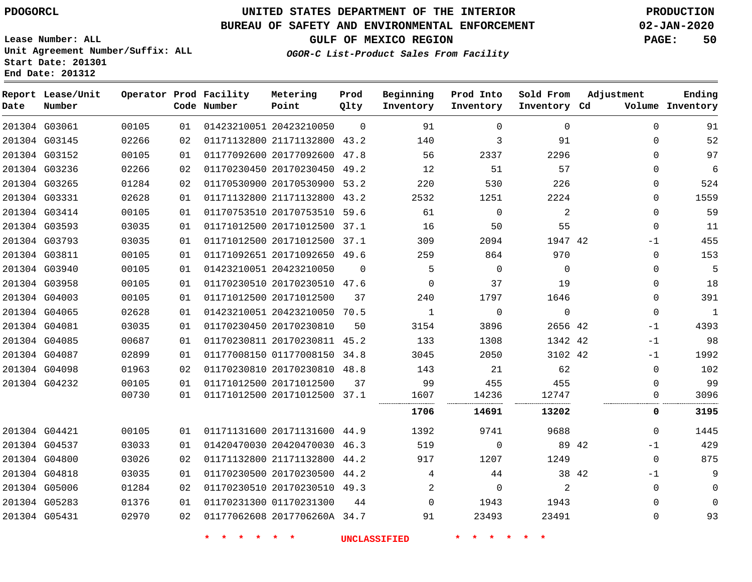# **UNITED STATES DEPARTMENT OF THE INTERIOR PDOGORCL PRODUCTION**

#### **BUREAU OF SAFETY AND ENVIRONMENTAL ENFORCEMENT 02-JAN-2020**

**Lease Number: ALL Unit Agreement Number/Suffix: ALL Start Date: 201301**

**End Date: 201312**

**OGOR-C List-Product Sales From Facility**

**GULF OF MEXICO REGION PAGE: 50**

**Prod Into Sold From Adjustment Inventory Cd Volume**

| Date | Report Lease/Unit<br>Number |       |    | Operator Prod Facility<br>Code Number | Metering<br>Point            | Prod<br>Qlty | Beginning<br>Inventory | Prod Into<br>Inventory | Sold From<br>Inventory Cd | Adjustment | Ending<br>Volume Inventory   |
|------|-----------------------------|-------|----|---------------------------------------|------------------------------|--------------|------------------------|------------------------|---------------------------|------------|------------------------------|
|      | 201304 G03061               | 00105 | 01 |                                       | 01423210051 20423210050      | $\Omega$     | 91                     | $\Omega$               | $\Omega$                  |            | $\Omega$<br>91               |
|      | 201304 G03145               | 02266 | 02 |                                       | 01171132800 21171132800 43.2 |              | 140                    | 3                      | 91                        |            | 52<br>$\Omega$               |
|      | 201304 G03152               | 00105 | 01 |                                       | 01177092600 20177092600 47.8 |              | 56                     | 2337                   | 2296                      |            | 97<br>$\Omega$               |
|      | 201304 G03236               | 02266 | 02 |                                       | 01170230450 20170230450 49.2 |              | 12                     | 51                     | 57                        |            | 6<br>0                       |
|      | 201304 G03265               | 01284 | 02 |                                       | 01170530900 20170530900      | 53.2         | 220                    | 530                    | 226                       |            | 524<br>$\mathbf{0}$          |
|      | 201304 G03331               | 02628 | 01 |                                       | 01171132800 21171132800 43.2 |              | 2532                   | 1251                   | 2224                      |            | 1559<br>$\mathbf{0}$         |
|      | 201304 G03414               | 00105 | 01 |                                       | 01170753510 20170753510 59.6 |              | 61                     | $\mathbf 0$            | $\overline{2}$            |            | $\mathbf{0}$<br>59           |
|      | 201304 G03593               | 03035 | 01 |                                       | 01171012500 20171012500 37.1 |              | 16                     | 50                     | 55                        |            | $\mathbf 0$<br>11            |
|      | 201304 G03793               | 03035 | 01 |                                       | 01171012500 20171012500      | 37.1         | 309                    | 2094                   | 1947 42                   |            | 455<br>$-1$                  |
|      | 201304 G03811               | 00105 | 01 |                                       | 01171092651 20171092650 49.6 |              | 259                    | 864                    | 970                       |            | 153<br>$\mathbf 0$           |
|      | 201304 G03940               | 00105 | 01 |                                       | 01423210051 20423210050      | $\mathbf 0$  | 5                      | $\Omega$               | $\Omega$                  |            | 5<br>$\Omega$                |
|      | 201304 G03958               | 00105 | 01 |                                       | 01170230510 20170230510 47.6 |              | $\Omega$               | 37                     | 19                        |            | 18<br>0                      |
|      | 201304 G04003               | 00105 | 01 |                                       | 01171012500 20171012500      | 37           | 240                    | 1797                   | 1646                      |            | 391<br>$\mathbf 0$           |
|      | 201304 G04065               | 02628 | 01 |                                       | 01423210051 20423210050      | 70.5         | $\mathbf{1}$           | $\mathbf 0$            | $\mathbf 0$               |            | $\mathbf{0}$<br>$\mathbf{1}$ |
|      | 201304 G04081               | 03035 | 01 |                                       | 01170230450 20170230810      | 50           | 3154                   | 3896                   | 2656 42                   |            | 4393<br>$-1$                 |
|      | 201304 G04085               | 00687 | 01 |                                       | 01170230811 20170230811 45.2 |              | 133                    | 1308                   | 1342 42                   |            | 98<br>$-1$                   |
|      | 201304 G04087               | 02899 | 01 |                                       | 01177008150 01177008150 34.8 |              | 3045                   | 2050                   | 3102 42                   |            | 1992<br>-1                   |
|      | 201304 G04098               | 01963 | 02 |                                       | 01170230810 20170230810 48.8 |              | 143                    | 21                     | 62                        |            | 102<br>$\mathbf 0$           |
|      | 201304 G04232               | 00105 | 01 |                                       | 01171012500 20171012500      | 37           | 99                     | 455                    | 455                       |            | 99<br>$\Omega$               |
|      |                             | 00730 | 01 |                                       | 01171012500 20171012500 37.1 |              | 1607                   | 14236                  | 12747                     |            | 3096<br>0                    |
|      |                             |       |    |                                       |                              |              | 1706                   | 14691                  | 13202                     |            | 0<br>3195                    |
|      | 201304 G04421               | 00105 | 01 |                                       | 01171131600 20171131600 44.9 |              | 1392                   | 9741                   | 9688                      |            | 1445<br>$\mathbf 0$          |
|      | 201304 G04537               | 03033 | 01 |                                       | 01420470030 20420470030 46.3 |              | 519                    | $\mathbf 0$            |                           | 89 42      | 429<br>$-1$                  |
|      | 201304 G04800               | 03026 | 02 |                                       | 01171132800 21171132800 44.2 |              | 917                    | 1207                   | 1249                      |            | 875<br>$\mathbf 0$           |
|      | 201304 G04818               | 03035 | 01 |                                       | 01170230500 20170230500 44.2 |              | 4                      | 44                     |                           | 38 42      | 9<br>$-1$                    |
|      | 201304 G05006               | 01284 | 02 |                                       | 01170230510 20170230510 49.3 |              | 2                      | $\mathbf 0$            | $\overline{2}$            |            | $\mathbf 0$<br>$\mathbf 0$   |
|      | 201304 G05283               | 01376 | 01 |                                       | 01170231300 01170231300      | 44           | $\Omega$               | 1943                   | 1943                      |            | $\Omega$<br>$\Omega$         |
|      | 201304 G05431               | 02970 | 02 |                                       | 01177062608 2017706260A 34.7 |              | 91                     | 23493                  | 23491                     |            | 93<br>0                      |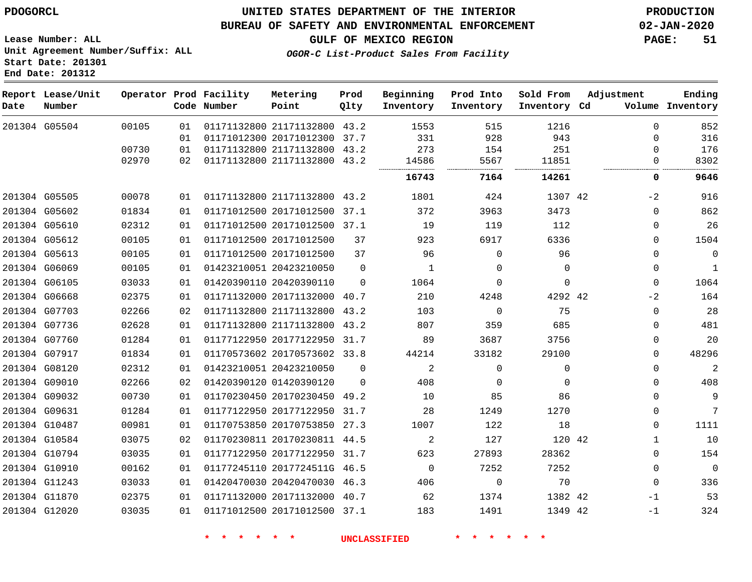G05504

**Date**

**Report Lease/Unit**

**Number**

 G05505 G05602 G05610 G05612 G05613 G06069 G06105 G06668 G07703 G07736 G07760 G07917 G08120 G09010 G09032 G09631 G10487 G10584 G10794 G10910 G11243 G11870 G12020

### **UNITED STATES DEPARTMENT OF THE INTERIOR PDOGORCL PRODUCTION**

**Prod Qlty**

#### **BUREAU OF SAFETY AND ENVIRONMENTAL ENFORCEMENT 02-JAN-2020**

**Lease Number: ALL Unit Agreement Number/Suffix: ALL Start Date: 201301 End Date: 201312**

**Operator Prod Facility**

**OGOR-C List-Product Sales From Facility**

**Beginning Inventory** **Prod Into Inventory** **Sold From Inventory**

**Adjustment**

 $-2$  $\Omega$  $\Omega$   $\Omega$  $\Omega$   $-2$   $\Omega$  $\Omega$  $\Omega$  $\Omega$   $\Omega$  $\Omega$   $\Omega$  $\Omega$  $\Omega$ -1  $-1$ 

**GULF OF MEXICO REGION PAGE: 51**

**Ending**

| Volume Inventory |          | Inventory Cd | Inventory | Inventory      | Qlty     | Point                        | Code Number             |    |       |  |
|------------------|----------|--------------|-----------|----------------|----------|------------------------------|-------------------------|----|-------|--|
| 852              | $\Omega$ | 1216         | 515       | 1553           | 43.2     | 01171132800 21171132800      |                         | 01 | 00105 |  |
| 316              | 0        | 943          | 928       | 331            | 37.7     | 01171012300 20171012300      |                         | 01 |       |  |
| 176              | 0        | 251          | 154       | 273            | 43.2     | 01171132800 21171132800      |                         | 01 | 00730 |  |
| 8302             | 0        | 11851        | 5567      | 14586          |          | 01171132800 21171132800 43.2 |                         | 02 | 02970 |  |
| 9646             | 0        | 14261        | 7164      | 16743          |          |                              |                         |    |       |  |
| 916              | $-2$     | 1307 42      | 424       | 1801           | 43.2     | 01171132800 21171132800      |                         | 01 | 00078 |  |
| 862              | $\Omega$ | 3473         | 3963      | 372            | 37.1     | 01171012500 20171012500      |                         | 01 | 01834 |  |
| 26               | $\Omega$ | 112          | 119       | 19             | 37.1     | 01171012500 20171012500      |                         | 01 | 02312 |  |
| 1504             | $\Omega$ | 6336         | 6917      | 923            | 37       |                              | 01171012500 20171012500 | 01 | 00105 |  |
| 0                | $\Omega$ | 96           | $\Omega$  | 96             | 37       |                              | 01171012500 20171012500 | 01 | 00105 |  |
| 1                | $\Omega$ | $\Omega$     | 0         | 1              | $\Omega$ |                              | 01423210051 20423210050 | 01 | 00105 |  |
| 1064             | $\Omega$ | $\Omega$     | $\Omega$  | 1064           | $\Omega$ |                              | 01420390110 20420390110 | 01 | 03033 |  |
| 164              | $-2$     | 4292 42      | 4248      | 210            | 40.7     | 01171132000 20171132000      |                         | 01 | 02375 |  |
| 28               | $\Omega$ | 75           | $\Omega$  | 103            | 43.2     | 01171132800 21171132800      |                         | 02 | 02266 |  |
| 481              | 0        | 685          | 359       | 807            | 43.2     | 01171132800 21171132800      |                         | 01 | 02628 |  |
| 20               | $\Omega$ | 3756         | 3687      | 89             | 31.7     | 01177122950 20177122950      |                         | 01 | 01284 |  |
| 48296            | $\Omega$ | 29100        | 33182     | 44214          |          | 01170573602 20170573602 33.8 |                         | 01 | 01834 |  |
| $\overline{a}$   | $\Omega$ | $\Omega$     | $\Omega$  | $\overline{a}$ | $\Omega$ |                              | 01423210051 20423210050 | 01 | 02312 |  |
| 408              | $\Omega$ | 0            | 0         | 408            | $\Omega$ |                              | 01420390120 01420390120 | 02 | 02266 |  |
| 9                | $\Omega$ | 86           | 85        | 10             |          | 01170230450 20170230450 49.2 |                         | 01 | 00730 |  |
| 7                | $\Omega$ | 1270         | 1249      | 28             | 31.7     | 01177122950 20177122950      |                         | 01 | 01284 |  |
| 1111             | $\Omega$ | 18           | 122       | 1007           | 27.3     | 01170753850 20170753850      |                         | 01 | 00981 |  |
| 10               | 1        | 120 42       | 127       | 2              | 44.5     | 01170230811 20170230811      |                         | 02 | 03075 |  |

**\* \* \* \* \* \* UNCLASSIFIED \* \* \* \* \* \***

 20177122950 31.7 2017724511G 46.5 20420470030 46.3 20171132000 40.7 20171012500 37.1

**Metering Point**

42 42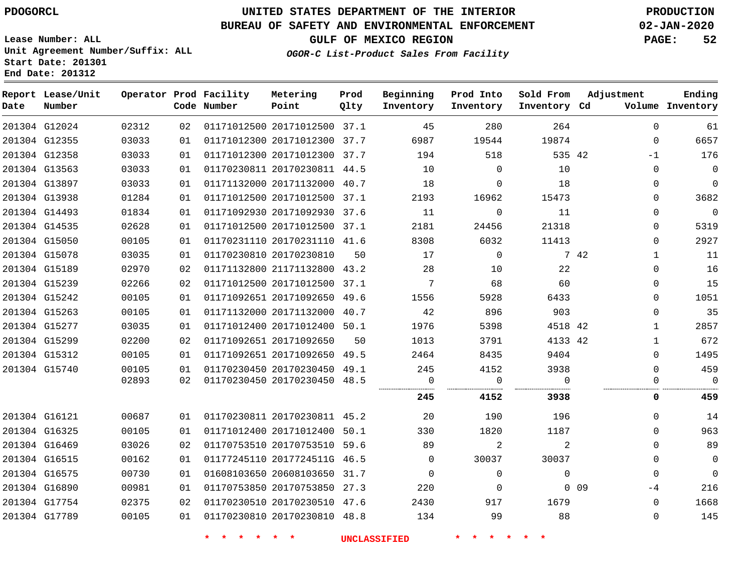#### **BUREAU OF SAFETY AND ENVIRONMENTAL ENFORCEMENT 02-JAN-2020**

**Lease Number: ALL Unit Agreement Number/Suffix: ALL Start Date: 201301**

**OGOR-C List-Product Sales From Facility**

**GULF OF MEXICO REGION PAGE: 52**

**End Date: 201312**

| Date | Report Lease/Unit<br>Number |       |    | Operator Prod Facility<br>Code Number | Metering<br>Point            | Prod<br>Qlty | Beginning<br>Inventory | Prod Into<br>Inventory | Sold From<br>Inventory Cd | Adjustment           | Ending<br>Volume Inventory |
|------|-----------------------------|-------|----|---------------------------------------|------------------------------|--------------|------------------------|------------------------|---------------------------|----------------------|----------------------------|
|      | 201304 G12024               | 02312 | 02 |                                       | 01171012500 20171012500 37.1 |              | 45                     | 280                    | 264                       | $\Omega$             | 61                         |
|      | 201304 G12355               | 03033 | 01 |                                       | 01171012300 20171012300 37.7 |              | 6987                   | 19544                  | 19874                     | $\mathbf 0$          | 6657                       |
|      | 201304 G12358               | 03033 | 01 |                                       | 01171012300 20171012300 37.7 |              | 194                    | 518                    | 535 42                    | $-1$                 | 176                        |
|      | 201304 G13563               | 03033 | 01 |                                       | 01170230811 20170230811 44.5 |              | 10                     | $\Omega$               | 10                        | $\Omega$             | $\mathbf 0$                |
|      | 201304 G13897               | 03033 | 01 |                                       | 01171132000 20171132000 40.7 |              | 18                     | $\mathbf 0$            | 18                        | $\mathbf 0$          | $\mathbf 0$                |
|      | 201304 G13938               | 01284 | 01 |                                       | 01171012500 20171012500 37.1 |              | 2193                   | 16962                  | 15473                     | $\Omega$             | 3682                       |
|      | 201304 G14493               | 01834 | 01 |                                       | 01171092930 20171092930 37.6 |              | 11                     | $\mathbf 0$            | 11                        | $\Omega$             | $\mathsf 0$                |
|      | 201304 G14535               | 02628 | 01 |                                       | 01171012500 20171012500 37.1 |              | 2181                   | 24456                  | 21318                     | $\Omega$             | 5319                       |
|      | 201304 G15050               | 00105 | 01 |                                       | 01170231110 20170231110 41.6 |              | 8308                   | 6032                   | 11413                     | $\mathbf 0$          | 2927                       |
|      | 201304 G15078               | 03035 | 01 |                                       | 01170230810 20170230810      | 50           | 17                     | $\mathbf 0$            |                           | 7 42<br>$\mathbf{1}$ | 11                         |
|      | 201304 G15189               | 02970 | 02 |                                       | 01171132800 21171132800 43.2 |              | 28                     | 10                     | 22                        | $\Omega$             | 16                         |
|      | 201304 G15239               | 02266 | 02 |                                       | 01171012500 20171012500 37.1 |              | $7\phantom{.0}$        | 68                     | 60                        | $\mathbf 0$          | 15                         |
|      | 201304 G15242               | 00105 | 01 |                                       | 01171092651 20171092650 49.6 |              | 1556                   | 5928                   | 6433                      | $\Omega$             | 1051                       |
|      | 201304 G15263               | 00105 | 01 |                                       | 01171132000 20171132000 40.7 |              | 42                     | 896                    | 903                       | $\Omega$             | 35                         |
|      | 201304 G15277               | 03035 | 01 |                                       | 01171012400 20171012400 50.1 |              | 1976                   | 5398                   | 4518 42                   | $\mathbf{1}$         | 2857                       |
|      | 201304 G15299               | 02200 | 02 |                                       | 01171092651 20171092650      | 50           | 1013                   | 3791                   | 4133 42                   | $\mathbf{1}$         | 672                        |
|      | 201304 G15312               | 00105 | 01 |                                       | 01171092651 20171092650 49.5 |              | 2464                   | 8435                   | 9404                      | $\Omega$             | 1495                       |
|      | 201304 G15740               | 00105 | 01 |                                       | 01170230450 20170230450 49.1 |              | 245                    | 4152                   | 3938                      | $\Omega$             | 459                        |
|      |                             | 02893 | 02 |                                       | 01170230450 20170230450 48.5 |              | 0                      | $\mathbf 0$            | $\Omega$                  | $\Omega$             | $\Omega$                   |
|      |                             |       |    |                                       |                              |              | 245                    | 4152                   | 3938                      | 0                    | 459                        |
|      | 201304 G16121               | 00687 | 01 |                                       | 01170230811 20170230811 45.2 |              | 20                     | 190                    | 196                       | $\Omega$             | 14                         |
|      | 201304 G16325               | 00105 | 01 |                                       | 01171012400 20171012400 50.1 |              | 330                    | 1820                   | 1187                      | $\Omega$             | 963                        |
|      | 201304 G16469               | 03026 | 02 |                                       | 01170753510 20170753510 59.6 |              | 89                     | 2                      | 2                         | $\Omega$             | 89                         |
|      | 201304 G16515               | 00162 | 01 |                                       | 01177245110 2017724511G 46.5 |              | $\Omega$               | 30037                  | 30037                     | $\Omega$             | $\mathbf 0$                |
|      | 201304 G16575               | 00730 | 01 |                                       | 01608103650 20608103650 31.7 |              | $\overline{0}$         | $\mathbf 0$            | $\mathbf 0$               | $\mathbf 0$          | $\mathbf 0$                |
|      | 201304 G16890               | 00981 | 01 |                                       | 01170753850 20170753850 27.3 |              | 220                    | $\mathbf 0$            |                           | $0$ 09<br>-4         | 216                        |
|      | 201304 G17754               | 02375 | 02 |                                       | 01170230510 20170230510 47.6 |              | 2430                   | 917                    | 1679                      | $\Omega$             | 1668                       |
|      | 201304 G17789               | 00105 | 01 |                                       | 01170230810 20170230810 48.8 |              | 134                    | 99                     | 88                        | $\mathbf 0$          | 145                        |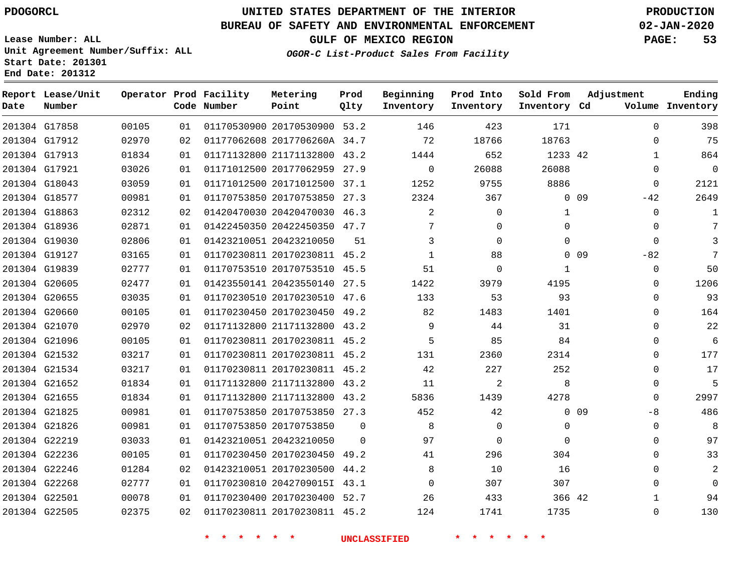G17858 G17912

**Date**

**Report Lease/Unit**

**Number**

### **UNITED STATES DEPARTMENT OF THE INTERIOR PDOGORCL PRODUCTION**

#### **BUREAU OF SAFETY AND ENVIRONMENTAL ENFORCEMENT 02-JAN-2020**

**Lease Number: ALL Unit Agreement Number/Suffix: ALL Start Date: 201301 End Date: 201312**

> 

**Operator Prod Facility**

**Code Number**

**OGOR-C List-Product Sales From Facility**

**Beginning Inventory** **Prod Into Inventory**

**GULF OF MEXICO REGION PAGE: 53**

**Inventory Cd Volume**

**Adjustment**

 

**Sold From Inventory**

> 

**Ending**

|    | 01 01170530900 20170530900 53.2                | 146              | 423   | 171        |
|----|------------------------------------------------|------------------|-------|------------|
| 02 | 01177062608 2017706260A 34.7                   | 72               | 18766 | 18763      |
|    | 01 01171132800 21171132800 43.2                | 1444             | 652   | 1233       |
|    | 01 01171012500 20177062959 27.9                | $\left( \right)$ | 26088 | 26088      |
| 01 | 01171012500 20171012500 37.1                   | 1252             | 9755  | 8886       |
|    | $0.1$ $0.1170752050$ $0.170752050$ $0.7$ $0.7$ | ດລດ∧             | 2007  | $\sqrt{ }$ |

**Prod Qlty**

**Metering Point**

|               | 201304 G17913 | 01834 | 01 | 01171132800 21171132800      | 43.2     | 1444 | 652         | 1233 42  |                          | 864                        |
|---------------|---------------|-------|----|------------------------------|----------|------|-------------|----------|--------------------------|----------------------------|
| 201304 G17921 |               | 03026 | 01 | 01171012500 20177062959      | 27.9     | 0    | 26088       | 26088    |                          | $\overline{0}$<br>$\Omega$ |
| 201304 G18043 |               | 03059 | 01 | 01171012500 20171012500 37.1 |          | 1252 | 9755        | 8886     |                          | 2121<br>$\Omega$           |
| 201304 G18577 |               | 00981 | 01 | 01170753850 20170753850 27.3 |          | 2324 | 367         |          | $0\quad09$<br>$-42$      | 2649                       |
| 201304 G18863 |               | 02312 | 02 | 01420470030 20420470030 46.3 |          | 2    | $\Omega$    | 1        |                          | $\Omega$                   |
| 201304 G18936 |               | 02871 | 01 | 01422450350 20422450350 47.7 |          | 7    | $\Omega$    | $\Omega$ |                          | 0                          |
| 201304 G19030 |               | 02806 | 01 | 01423210051 20423210050      | 51       | 3    | $\Omega$    | $\Omega$ |                          | 3<br>$\Omega$              |
| 201304 G19127 |               | 03165 | 01 | 01170230811 20170230811 45.2 |          | 1    | 88          |          | 0 <sub>09</sub><br>$-82$ | 7                          |
| 201304 G19839 |               | 02777 | 01 | 01170753510 20170753510 45.5 |          | 51   | $\mathbf 0$ | 1        |                          | 50<br>0                    |
| 201304 G20605 |               | 02477 | 01 | 01423550141 20423550140 27.5 |          | 1422 | 3979        | 4195     |                          | 1206<br>0                  |
| 201304 G20655 |               | 03035 | 01 | 01170230510 20170230510 47.6 |          | 133  | 53          | 93       |                          | 93<br>$\Omega$             |
| 201304 G20660 |               | 00105 | 01 | 01170230450 20170230450 49.2 |          | 82   | 1483        | 1401     |                          | 164<br>0                   |
| 201304 G21070 |               | 02970 | 02 | 01171132800 21171132800 43.2 |          | 9    | 44          | 31       |                          | 22<br>0                    |
| 201304 G21096 |               | 00105 | 01 | 01170230811 20170230811 45.2 |          | 5    | 85          | 84       |                          | 6<br>$\Omega$              |
| 201304 G21532 |               | 03217 | 01 | 01170230811 20170230811 45.2 |          | 131  | 2360        | 2314     |                          | 177<br>$\Omega$            |
| 201304 G21534 |               | 03217 | 01 | 01170230811 20170230811 45.2 |          | 42   | 227         | 252      |                          | 17<br>0                    |
| 201304 G21652 |               | 01834 | 01 | 01171132800 21171132800 43.2 |          | 11   | 2           | 8        |                          | 5<br>$\Omega$              |
| 201304 G21655 |               | 01834 | 01 | 01171132800 21171132800 43.2 |          | 5836 | 1439        | 4278     |                          | 2997<br>0                  |
| 201304 G21825 |               | 00981 | 01 | 01170753850 20170753850 27.3 |          | 452  | 42          |          | 0.09                     | 486<br>$-8$                |
| 201304 G21826 |               | 00981 | 01 | 01170753850 20170753850      | $\Omega$ | 8    | $\Omega$    | 0        |                          | 8<br>$\Omega$              |
| 201304 G22219 |               | 03033 | 01 | 01423210051 20423210050      | $\Omega$ | 97   | 0           | $\Omega$ |                          | 97<br>0                    |
| 201304 G22236 |               | 00105 | 01 | 01170230450 20170230450 49.2 |          | 41   | 296         | 304      |                          | 33<br>0                    |
| 201304 G22246 |               | 01284 | 02 | 01423210051 20170230500 44.2 |          | 8    | 10          | 16       |                          | 2<br>$\Omega$              |
| 201304 G22268 |               | 02777 | 01 | 01170230810 2042709015I 43.1 |          | 0    | 307         | 307      |                          | $\Omega$<br>$\overline{0}$ |
| 201304 G22501 |               | 00078 | 01 | 01170230400 20170230400 52.7 |          | 26   | 433         | 366 42   |                          | 94                         |
| 201304 G22505 |               | 02375 | 02 | 01170230811 20170230811 45.2 |          | 124  | 1741        | 1735     |                          | 130<br>$\Omega$            |
|               |               |       |    |                              |          |      |             |          |                          |                            |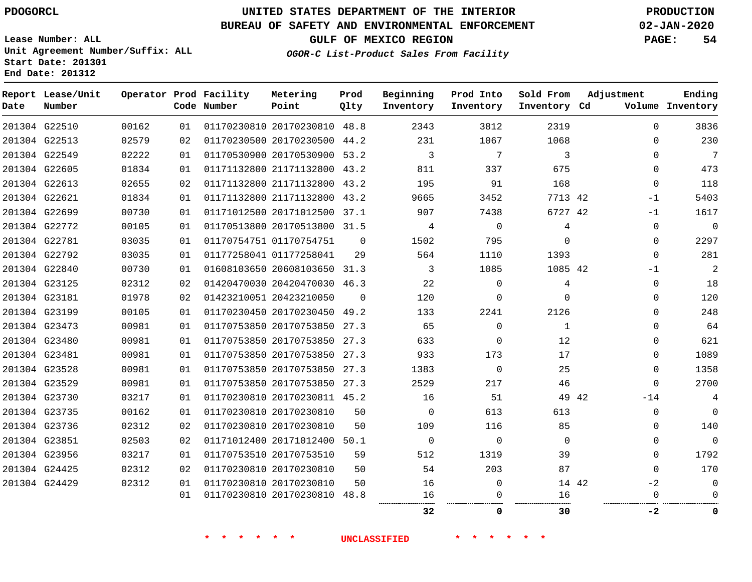**Prod**

### **BUREAU OF SAFETY AND ENVIRONMENTAL ENFORCEMENT 02-JAN-2020**

**Lease Number: ALL Unit Agreement Number/Suffix: ALL Start Date: 201301**

**End Date: 201312**

**GULF OF MEXICO REGION PAGE: 54**

**Adjustment**

**Ending**

**OGOR-C List-Product Sales From Facility**

| Date | Report Lease/Unit<br>Number |       |    | Operator Prod Facility<br>Code Number | Metering<br>Point            | Prod<br>Qlty | Beginning<br>Inventory | Prod Into<br>Inventory | Sold From<br>Inventory Cd | Adjustment     | Ending<br>Volume Inventory |
|------|-----------------------------|-------|----|---------------------------------------|------------------------------|--------------|------------------------|------------------------|---------------------------|----------------|----------------------------|
|      | 201304 G22510               | 00162 | 01 |                                       | 01170230810 20170230810 48.8 |              | 2343                   | 3812                   | 2319                      |                | 3836<br>$\Omega$           |
|      | 201304 G22513               | 02579 | 02 |                                       | 01170230500 20170230500 44.2 |              | 231                    | 1067                   | 1068                      |                | 230<br>$\Omega$            |
|      | 201304 G22549               | 02222 | 01 |                                       | 01170530900 20170530900 53.2 |              | 3                      | 7                      | 3                         |                | 7<br>$\Omega$              |
|      | 201304 G22605               | 01834 | 01 |                                       | 01171132800 21171132800 43.2 |              | 811                    | 337                    | 675                       |                | 473<br>0                   |
|      | 201304 G22613               | 02655 | 02 |                                       | 01171132800 21171132800 43.2 |              | 195                    | 91                     | 168                       |                | 118<br>0                   |
|      | 201304 G22621               | 01834 | 01 |                                       | 01171132800 21171132800 43.2 |              | 9665                   | 3452                   | 7713 42                   | $-1$           | 5403                       |
|      | 201304 G22699               | 00730 | 01 |                                       | 01171012500 20171012500 37.1 |              | 907                    | 7438                   | 6727 42                   | $-1$           | 1617                       |
|      | 201304 G22772               | 00105 | 01 |                                       | 01170513800 20170513800 31.5 |              | 4                      | $\mathbf 0$            | 4                         |                | $\overline{0}$<br>0        |
|      | 201304 G22781               | 03035 | 01 |                                       | 01170754751 01170754751      | $\Omega$     | 1502                   | 795                    | $\Omega$                  |                | 2297<br>0                  |
|      | 201304 G22792               | 03035 | 01 |                                       | 01177258041 01177258041      | 29           | 564                    | 1110                   | 1393                      |                | 281<br>0                   |
|      | 201304 G22840               | 00730 | 01 |                                       | 01608103650 20608103650 31.3 |              | 3                      | 1085                   | 1085 42                   | $-1$           | 2                          |
|      | 201304 G23125               | 02312 | 02 |                                       | 01420470030 20420470030 46.3 |              | 22                     | $\mathbf 0$            | 4                         |                | 18<br>0                    |
|      | 201304 G23181               | 01978 | 02 |                                       | 01423210051 20423210050      | $\mathbf 0$  | 120                    | 0                      | $\Omega$                  |                | 120<br>0                   |
|      | 201304 G23199               | 00105 | 01 |                                       | 01170230450 20170230450 49.2 |              | 133                    | 2241                   | 2126                      |                | 248<br>$\Omega$            |
|      | 201304 G23473               | 00981 | 01 |                                       | 01170753850 20170753850 27.3 |              | 65                     | $\Omega$               | $\mathbf{1}$              |                | 64<br>0                    |
|      | 201304 G23480               | 00981 | 01 |                                       | 01170753850 20170753850      | 27.3         | 633                    | $\mathbf 0$            | 12                        |                | 621<br>0                   |
|      | 201304 G23481               | 00981 | 01 |                                       | 01170753850 20170753850 27.3 |              | 933                    | 173                    | 17                        |                | 1089<br>0                  |
|      | 201304 G23528               | 00981 | 01 |                                       | 01170753850 20170753850 27.3 |              | 1383                   | $\mathbf 0$            | 25                        |                | 1358<br>0                  |
|      | 201304 G23529               | 00981 | 01 |                                       | 01170753850 20170753850 27.3 |              | 2529                   | 217                    | 46                        |                | 2700<br>$\Omega$           |
|      | 201304 G23730               | 03217 | 01 |                                       | 01170230810 20170230811 45.2 |              | 16                     | 51                     |                           | 49 42<br>$-14$ | 4                          |
|      | 201304 G23735               | 00162 | 01 |                                       | 01170230810 20170230810      | 50           | $\Omega$               | 613                    | 613                       |                | $\mathbf 0$<br>$\Omega$    |
|      | 201304 G23736               | 02312 | 02 |                                       | 01170230810 20170230810      | 50           | 109                    | 116                    | 85                        |                | 140<br>$\Omega$            |
|      | 201304 G23851               | 02503 | 02 |                                       | 01171012400 20171012400 50.1 |              | $\mathbf 0$            | $\Omega$               | $\Omega$                  |                | $\mathbf 0$<br>0           |
|      | 201304 G23956               | 03217 | 01 |                                       | 01170753510 20170753510      | 59           | 512                    | 1319                   | 39                        |                | 1792<br>0                  |
|      | 201304 G24425               | 02312 | 02 |                                       | 01170230810 20170230810      | 50           | 54                     | 203                    | 87                        |                | 170<br>$\Omega$            |
|      | 201304 G24429               | 02312 | 01 |                                       | 01170230810 20170230810      | 50           | 16                     | 0                      |                           | $-2$<br>14 42  | 0                          |
|      |                             |       | 01 |                                       | 01170230810 20170230810 48.8 |              | 16                     | 0                      | 16                        |                | $\Omega$<br>$\Omega$       |
|      |                             |       |    |                                       |                              |              | 32                     | 0                      | 30                        | -2             | 0                          |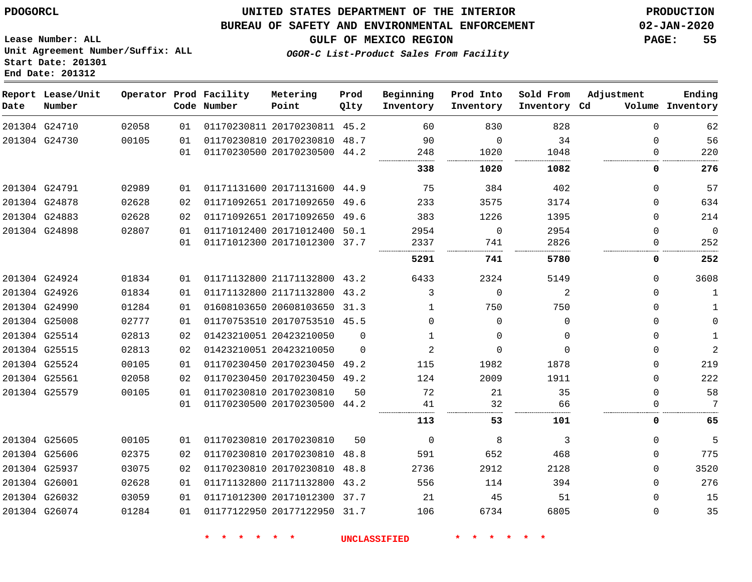G24710

**Date**

**Report Lease/Unit**

**Number**

### **UNITED STATES DEPARTMENT OF THE INTERIOR PDOGORCL PRODUCTION**

#### **BUREAU OF SAFETY AND ENVIRONMENTAL ENFORCEMENT 02-JAN-2020**

**GULF OF MEXICO REGION PAGE: 55**

**Ending**

**Lease Number: ALL Unit Agreement Number/Suffix: ALL Start Date: 201301 End Date: 201312**

|       |    | Operator Prod Facility<br>Code Number | Metering<br>Point            | Prod<br>Olty | Beginning<br>Inventory | Prod Into<br>Inventory | Sold From<br>Inventory Cd | Adjustment | Ending<br>Volume Inventory |
|-------|----|---------------------------------------|------------------------------|--------------|------------------------|------------------------|---------------------------|------------|----------------------------|
| 02058 | 01 |                                       | 01170230811 20170230811 45.2 |              | 60                     | 830                    | 828                       |            | 62                         |
|       |    |                                       |                              |              |                        |                        |                           |            |                            |

**OGOR-C List-Product Sales From Facility**

|               | 201304 G24730 | 00105 | 01 | 01170230810 20170230810 48.7 |          | 90             | 0           | 34       | U | 56           |
|---------------|---------------|-------|----|------------------------------|----------|----------------|-------------|----------|---|--------------|
|               |               |       | 01 | 01170230500 20170230500 44.2 |          | 248            | 1020        | 1048     |   | 220          |
|               |               |       |    |                              |          | 338            | 1020        | 1082     | 0 | 276          |
|               | 201304 G24791 | 02989 | 01 | 01171131600 20171131600 44.9 |          | 75             | 384         | 402      | 0 | 57           |
|               | 201304 G24878 | 02628 | 02 | 01171092651 20171092650 49.6 |          | 233            | 3575        | 3174     | 0 | 634          |
|               | 201304 G24883 | 02628 | 02 | 01171092651 20171092650      | 49.6     | 383            | 1226        | 1395     | 0 | 214          |
|               | 201304 G24898 | 02807 | 01 | 01171012400 20171012400      | 50.1     | 2954           | $\mathbf 0$ | 2954     | 0 | $\mathbf 0$  |
|               |               |       | 01 | 01171012300 20171012300 37.7 |          | 2337           | 741         | 2826     | 0 | 252          |
|               |               |       |    |                              |          | 5291           | 741         | 5780     | 0 | 252          |
|               | 201304 G24924 | 01834 | 01 | 01171132800 21171132800 43.2 |          | 6433           | 2324        | 5149     | 0 | 3608         |
|               | 201304 G24926 | 01834 | 01 | 01171132800 21171132800 43.2 |          | 3              | 0           | 2        | 0 | 1            |
|               | 201304 G24990 | 01284 | 01 | 01608103650 20608103650 31.3 |          |                | 750         | 750      | 0 | 1            |
|               | 201304 G25008 | 02777 | 01 | 01170753510 20170753510 45.5 |          | $\Omega$       | $\Omega$    | $\Omega$ | 0 | 0            |
|               | 201304 G25514 | 02813 | 02 | 01423210051 20423210050      | $\Omega$ |                | 0           | $\Omega$ | 0 | 1            |
|               | 201304 G25515 | 02813 | 02 | 01423210051 20423210050      | $\Omega$ | $\overline{2}$ | 0           | $\Omega$ | 0 | $\mathbf{2}$ |
|               | 201304 G25524 | 00105 | 01 | 01170230450 20170230450      | 49.2     | 115            | 1982        | 1878     | 0 | 219          |
| 201304 G25561 |               | 02058 | 02 | 01170230450 20170230450 49.2 |          | 124            | 2009        | 1911     | 0 | 222          |
| 201304 G25579 |               | 00105 | 01 | 01170230810 20170230810      | 50       | 72             | 21          | 35       | 0 | 58           |
|               |               |       | 01 | 01170230500 20170230500 44.2 |          | 41             | 32          | 66       |   | 7            |
|               |               |       |    |                              |          | 113            | 53          | 101      | 0 | 65           |
|               | 201304 G25605 | 00105 | 01 | 01170230810 20170230810      | 50       | $\Omega$       | 8           | 3        | 0 | 5            |
|               | 201304 G25606 | 02375 | 02 | 01170230810 20170230810      | 48.8     | 591            | 652         | 468      | 0 | 775          |
|               | 201304 G25937 | 03075 | 02 | 01170230810 20170230810      | 48.8     | 2736           | 2912        | 2128     | 0 | 3520         |
|               | 201304 G26001 | 02628 | 01 | 01171132800 21171132800      | 43.2     | 556            | 114         | 394      | 0 | 276          |
|               | 201304 G26032 | 03059 | 01 | 01171012300 20171012300      | 37.7     | 21             | 45          | 51       | 0 | 15           |
|               | 201304 G26074 | 01284 | 01 | 01177122950 20177122950 31.7 |          | 106            | 6734        | 6805     | 0 | 35           |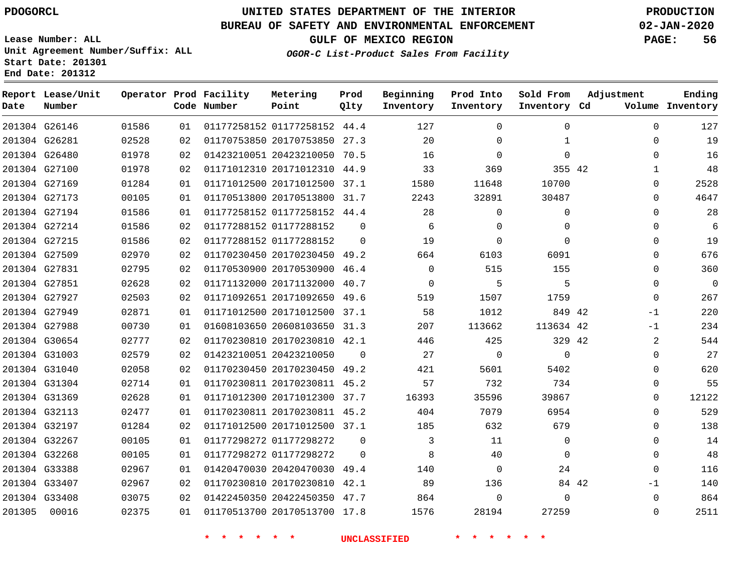### **BUREAU OF SAFETY AND ENVIRONMENTAL ENFORCEMENT 02-JAN-2020**

**Lease Number: ALL Unit Agreement Number/Suffix: ALL Start Date: 201301 End Date: 201312**

**OGOR-C List-Product Sales From Facility**

**GULF OF MEXICO REGION PAGE: 56**

| Date   | Report Lease/Unit<br>Number |       |    | Operator Prod Facility<br>Code Number | Metering<br>Point            | Prod<br>Qlty | Beginning<br>Inventory | Prod Into<br>Inventory | Sold From<br>Inventory Cd | Adjustment |              | Ending<br>Volume Inventory |
|--------|-----------------------------|-------|----|---------------------------------------|------------------------------|--------------|------------------------|------------------------|---------------------------|------------|--------------|----------------------------|
|        | 201304 G26146               | 01586 | 01 |                                       | 01177258152 01177258152 44.4 |              | 127                    | $\Omega$               | $\Omega$                  |            | $\Omega$     | 127                        |
|        | 201304 G26281               | 02528 | 02 |                                       | 01170753850 20170753850      | 27.3         | 20                     | 0                      | $\mathbf{1}$              |            | $\mathbf{0}$ | 19                         |
|        | 201304 G26480               | 01978 | 02 |                                       | 01423210051 20423210050      | 70.5         | 16                     | $\Omega$               | $\Omega$                  |            | 0            | 16                         |
|        | 201304 G27100               | 01978 | 02 |                                       | 01171012310 20171012310      | 44.9         | 33                     | 369                    | 355 42                    |            | $\mathbf 1$  | 48                         |
|        | 201304 G27169               | 01284 | 01 |                                       | 01171012500 20171012500 37.1 |              | 1580                   | 11648                  | 10700                     |            | $\Omega$     | 2528                       |
|        | 201304 G27173               | 00105 | 01 |                                       | 01170513800 20170513800 31.7 |              | 2243                   | 32891                  | 30487                     |            | $\Omega$     | 4647                       |
|        | 201304 G27194               | 01586 | 01 |                                       | 01177258152 01177258152      | 44.4         | 28                     | 0                      | 0                         |            | $\Omega$     | 28                         |
|        | 201304 G27214               | 01586 | 02 |                                       | 01177288152 01177288152      | $\Omega$     | 6                      | 0                      | $\mathbf 0$               |            | $\Omega$     | 6                          |
|        | 201304 G27215               | 01586 | 02 |                                       | 01177288152 01177288152      | $\Omega$     | 19                     | $\Omega$               | $\Omega$                  |            | $\Omega$     | 19                         |
|        | 201304 G27509               | 02970 | 02 |                                       | 01170230450 20170230450 49.2 |              | 664                    | 6103                   | 6091                      |            | $\mathbf{0}$ | 676                        |
|        | 201304 G27831               | 02795 | 02 |                                       | 01170530900 20170530900      | 46.4         | $\Omega$               | 515                    | 155                       |            | 0            | 360                        |
|        | 201304 G27851               | 02628 | 02 |                                       | 01171132000 20171132000      | 40.7         | $\mathbf 0$            | 5                      | 5                         |            | $\mathbf{0}$ | $\mathbf{0}$               |
|        | 201304 G27927               | 02503 | 02 |                                       | 01171092651 20171092650      | 49.6         | 519                    | 1507                   | 1759                      |            | $\mathbf 0$  | 267                        |
|        | 201304 G27949               | 02871 | 01 |                                       | 01171012500 20171012500 37.1 |              | 58                     | 1012                   | 849 42                    |            | $-1$         | 220                        |
|        | 201304 G27988               | 00730 | 01 |                                       | 01608103650 20608103650 31.3 |              | 207                    | 113662                 | 113634 42                 |            | $-1$         | 234                        |
|        | 201304 G30654               | 02777 | 02 |                                       | 01170230810 20170230810 42.1 |              | 446                    | 425                    | 329 42                    |            | 2            | 544                        |
|        | 201304 G31003               | 02579 | 02 |                                       | 01423210051 20423210050      | $\Omega$     | 27                     | $\mathbf 0$            | $\Omega$                  |            | $\Omega$     | 27                         |
|        | 201304 G31040               | 02058 | 02 |                                       | 01170230450 20170230450 49.2 |              | 421                    | 5601                   | 5402                      |            | $\Omega$     | 620                        |
|        | 201304 G31304               | 02714 | 01 |                                       | 01170230811 20170230811      | 45.2         | 57                     | 732                    | 734                       |            | $\mathbf 0$  | 55                         |
|        | 201304 G31369               | 02628 | 01 |                                       | 01171012300 20171012300 37.7 |              | 16393                  | 35596                  | 39867                     |            | $\Omega$     | 12122                      |
|        | 201304 G32113               | 02477 | 01 |                                       | 01170230811 20170230811 45.2 |              | 404                    | 7079                   | 6954                      |            | $\Omega$     | 529                        |
|        | 201304 G32197               | 01284 | 02 |                                       | 01171012500 20171012500 37.1 |              | 185                    | 632                    | 679                       |            | $\Omega$     | 138                        |
|        | 201304 G32267               | 00105 | 01 |                                       | 01177298272 01177298272      | $\Omega$     | 3                      | 11                     | $\mathbf 0$               |            | $\Omega$     | 14                         |
|        | 201304 G32268               | 00105 | 01 |                                       | 01177298272 01177298272      | $\Omega$     | 8                      | 40                     | $\Omega$                  |            | $\Omega$     | 48                         |
|        | 201304 G33388               | 02967 | 01 |                                       | 01420470030 20420470030 49.4 |              | 140                    | $\Omega$               | 24                        |            | $\Omega$     | 116                        |
|        | 201304 G33407               | 02967 | 02 |                                       | 01170230810 20170230810      | 42.1         | 89                     | 136                    |                           | 84 42      | $-1$         | 140                        |
|        | 201304 G33408               | 03075 | 02 |                                       | 01422450350 20422450350 47.7 |              | 864                    | 0                      | $\Omega$                  |            | $\Omega$     | 864                        |
| 201305 | 00016                       | 02375 | 01 |                                       | 01170513700 20170513700 17.8 |              | 1576                   | 28194                  | 27259                     |            | $\Omega$     | 2511                       |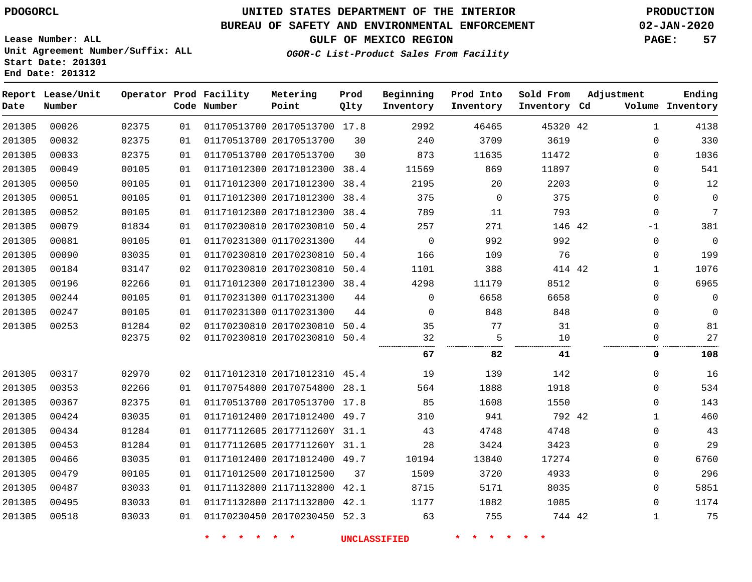### **BUREAU OF SAFETY AND ENVIRONMENTAL ENFORCEMENT 02-JAN-2020**

**OGOR-C List-Product Sales From Facility**

**GULF OF MEXICO REGION PAGE: 57**

**Lease Number: ALL Unit Agreement Number/Suffix: ALL Start Date: 201301 End Date: 201312**

| Date   | Report Lease/Unit<br>Number |       |    | Operator Prod Facility<br>Code Number | Metering<br>Point            | Prod<br>Qlty | Beginning<br>Inventory | Prod Into<br>Inventory | Sold From<br>Inventory Cd | Adjustment   | Ending<br>Volume Inventory |
|--------|-----------------------------|-------|----|---------------------------------------|------------------------------|--------------|------------------------|------------------------|---------------------------|--------------|----------------------------|
| 201305 | 00026                       | 02375 | 01 |                                       | 01170513700 20170513700 17.8 |              | 2992                   | 46465                  | 45320 42                  | $\mathbf 1$  | 4138                       |
| 201305 | 00032                       | 02375 | 01 |                                       | 01170513700 20170513700      | 30           | 240                    | 3709                   | 3619                      | $\Omega$     | 330                        |
| 201305 | 00033                       | 02375 | 01 |                                       | 01170513700 20170513700      | 30           | 873                    | 11635                  | 11472                     | 0            | 1036                       |
| 201305 | 00049                       | 00105 | 01 |                                       | 01171012300 20171012300 38.4 |              | 11569                  | 869                    | 11897                     | $\mathbf{0}$ | 541                        |
| 201305 | 00050                       | 00105 | 01 |                                       | 01171012300 20171012300 38.4 |              | 2195                   | 20                     | 2203                      | 0            | 12                         |
| 201305 | 00051                       | 00105 | 01 |                                       | 01171012300 20171012300 38.4 |              | 375                    | 0                      | 375                       | $\mathbf{0}$ | 0                          |
| 201305 | 00052                       | 00105 | 01 |                                       | 01171012300 20171012300 38.4 |              | 789                    | 11                     | 793                       | $\mathbf{0}$ | $7\overline{ }$            |
| 201305 | 00079                       | 01834 | 01 |                                       | 01170230810 20170230810 50.4 |              | 257                    | 271                    | 146 42                    | $-1$         | 381                        |
| 201305 | 00081                       | 00105 | 01 |                                       | 01170231300 01170231300      | 44           | $\overline{0}$         | 992                    | 992                       | $\mathbf{0}$ | $\overline{0}$             |
| 201305 | 00090                       | 03035 | 01 |                                       | 01170230810 20170230810      | 50.4         | 166                    | 109                    | 76                        | $\mathbf{0}$ | 199                        |
| 201305 | 00184                       | 03147 | 02 |                                       | 01170230810 20170230810      | 50.4         | 1101                   | 388                    | 414 42                    | $\mathbf 1$  | 1076                       |
| 201305 | 00196                       | 02266 | 01 |                                       | 01171012300 20171012300 38.4 |              | 4298                   | 11179                  | 8512                      | $\mathbf 0$  | 6965                       |
| 201305 | 00244                       | 00105 | 01 |                                       | 01170231300 01170231300      | 44           | $\mathbf 0$            | 6658                   | 6658                      | 0            | $\mathsf 0$                |
| 201305 | 00247                       | 00105 | 01 |                                       | 01170231300 01170231300      | 44           | 0                      | 848                    | 848                       | 0            | $\mathbf 0$                |
| 201305 | 00253                       | 01284 | 02 |                                       | 01170230810 20170230810 50.4 |              | 35                     | 77                     | 31                        | $\mathbf{0}$ | 81                         |
|        |                             | 02375 | 02 |                                       | 01170230810 20170230810 50.4 |              | 32<br>                 | 5                      | 10                        | $\Omega$     | 27                         |
|        |                             |       |    |                                       |                              |              | 67                     | 82                     | 41                        | 0            | 108                        |
| 201305 | 00317                       | 02970 | 02 |                                       | 01171012310 20171012310 45.4 |              | 19                     | 139                    | 142                       | $\mathbf{0}$ | 16                         |
| 201305 | 00353                       | 02266 | 01 |                                       | 01170754800 20170754800 28.1 |              | 564                    | 1888                   | 1918                      | 0            | 534                        |
| 201305 | 00367                       | 02375 | 01 |                                       | 01170513700 20170513700 17.8 |              | 85                     | 1608                   | 1550                      | 0            | 143                        |
| 201305 | 00424                       | 03035 | 01 |                                       | 01171012400 20171012400 49.7 |              | 310                    | 941                    | 792 42                    | $\mathbf 1$  | 460                        |
| 201305 | 00434                       | 01284 | 01 |                                       | 01177112605 2017711260Y 31.1 |              | 43                     | 4748                   | 4748                      | $\Omega$     | 43                         |
| 201305 | 00453                       | 01284 | 01 |                                       | 01177112605 2017711260Y 31.1 |              | 28                     | 3424                   | 3423                      | 0            | 29                         |
| 201305 | 00466                       | 03035 | 01 |                                       | 01171012400 20171012400 49.7 |              | 10194                  | 13840                  | 17274                     | $\mathbf 0$  | 6760                       |
| 201305 | 00479                       | 00105 | 01 |                                       | 01171012500 20171012500      | 37           | 1509                   | 3720                   | 4933                      | $\mathbf{0}$ | 296                        |
| 201305 | 00487                       | 03033 | 01 |                                       | 01171132800 21171132800 42.1 |              | 8715                   | 5171                   | 8035                      | 0            | 5851                       |
| 201305 | 00495                       | 03033 | 01 |                                       | 01171132800 21171132800 42.1 |              | 1177                   | 1082                   | 1085                      | 0            | 1174                       |
| 201305 | 00518                       | 03033 | 01 |                                       | 01170230450 20170230450 52.3 |              | 63                     | 755                    | 744 42                    | 1            | 75                         |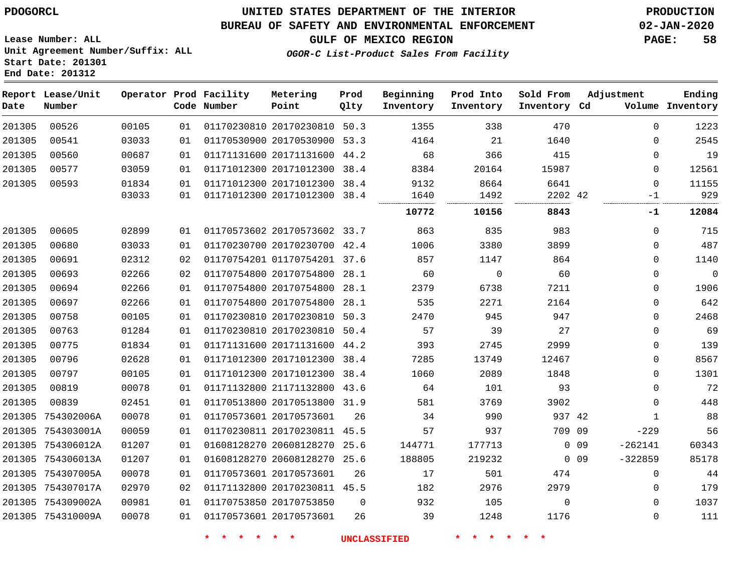#### **BUREAU OF SAFETY AND ENVIRONMENTAL ENFORCEMENT 02-JAN-2020**

**GULF OF MEXICO REGION PAGE: 58**

**Lease Number: ALL Unit Agreement Number/Suffix: ALL Start Date: 201301 End Date: 201312**

| OGOR-C List-Product Sales From Facility |  |  |
|-----------------------------------------|--|--|
|                                         |  |  |

| Date   | Report Lease/Unit<br>Number |       |    | Operator Prod Facility<br>Code Number | Metering<br>Point            | Prod<br>Qlty | Beginning<br>Inventory | Prod Into<br>Inventory | Sold From<br>Inventory Cd | Adjustment      |              | Ending<br>Volume Inventory |
|--------|-----------------------------|-------|----|---------------------------------------|------------------------------|--------------|------------------------|------------------------|---------------------------|-----------------|--------------|----------------------------|
| 201305 | 00526                       | 00105 | 01 |                                       | 01170230810 20170230810 50.3 |              | 1355                   | 338                    | 470                       |                 | $\mathbf 0$  | 1223                       |
| 201305 | 00541                       | 03033 | 01 |                                       | 01170530900 20170530900 53.3 |              | 4164                   | 21                     | 1640                      |                 | $\Omega$     | 2545                       |
| 201305 | 00560                       | 00687 | 01 |                                       | 01171131600 20171131600 44.2 |              | 68                     | 366                    | 415                       |                 | 0            | 19                         |
| 201305 | 00577                       | 03059 | 01 |                                       | 01171012300 20171012300      | 38.4         | 8384                   | 20164                  | 15987                     |                 | 0            | 12561                      |
| 201305 | 00593                       | 01834 | 01 |                                       | 01171012300 20171012300 38.4 |              | 9132                   | 8664                   | 6641                      |                 | $\mathbf 0$  | 11155                      |
|        |                             | 03033 | 01 |                                       | 01171012300 20171012300 38.4 |              | 1640                   | 1492                   | 2202 42                   |                 | $-1$         | 929                        |
|        |                             |       |    |                                       |                              |              | 10772                  | 10156                  | 8843                      |                 | -1           | 12084                      |
| 201305 | 00605                       | 02899 | 01 |                                       | 01170573602 20170573602 33.7 |              | 863                    | 835                    | 983                       |                 | $\mathbf 0$  | 715                        |
| 201305 | 00680                       | 03033 | 01 |                                       | 01170230700 20170230700 42.4 |              | 1006                   | 3380                   | 3899                      |                 | 0            | 487                        |
| 201305 | 00691                       | 02312 | 02 |                                       | 01170754201 01170754201 37.6 |              | 857                    | 1147                   | 864                       |                 | $\mathbf 0$  | 1140                       |
| 201305 | 00693                       | 02266 | 02 |                                       | 01170754800 20170754800      | 28.1         | 60                     | $\mathbf 0$            | 60                        |                 | $\mathbf 0$  | $\mathbf 0$                |
| 201305 | 00694                       | 02266 | 01 |                                       | 01170754800 20170754800      | 28.1         | 2379                   | 6738                   | 7211                      |                 | 0            | 1906                       |
| 201305 | 00697                       | 02266 | 01 |                                       | 01170754800 20170754800      | 28.1         | 535                    | 2271                   | 2164                      |                 | 0            | 642                        |
| 201305 | 00758                       | 00105 | 01 |                                       | 01170230810 20170230810      | 50.3         | 2470                   | 945                    | 947                       |                 | 0            | 2468                       |
| 201305 | 00763                       | 01284 | 01 |                                       | 01170230810 20170230810      | 50.4         | 57                     | 39                     | 27                        |                 | $\mathbf 0$  | 69                         |
| 201305 | 00775                       | 01834 | 01 |                                       | 01171131600 20171131600 44.2 |              | 393                    | 2745                   | 2999                      |                 | $\mathbf 0$  | 139                        |
| 201305 | 00796                       | 02628 | 01 |                                       | 01171012300 20171012300 38.4 |              | 7285                   | 13749                  | 12467                     |                 | 0            | 8567                       |
| 201305 | 00797                       | 00105 | 01 |                                       | 01171012300 20171012300      | 38.4         | 1060                   | 2089                   | 1848                      |                 | 0            | 1301                       |
| 201305 | 00819                       | 00078 | 01 |                                       | 01171132800 21171132800 43.6 |              | 64                     | 101                    | 93                        |                 | $\mathbf 0$  | 72                         |
| 201305 | 00839                       | 02451 | 01 |                                       | 01170513800 20170513800 31.9 |              | 581                    | 3769                   | 3902                      |                 | $\mathbf 0$  | 448                        |
| 201305 | 754302006A                  | 00078 | 01 |                                       | 01170573601 20170573601      | 26           | 34                     | 990                    | 937 42                    |                 | $\mathbf{1}$ | 88                         |
|        | 201305 754303001A           | 00059 | 01 |                                       | 01170230811 20170230811 45.5 |              | 57                     | 937                    | 709 09                    |                 | $-229$       | 56                         |
|        | 201305 754306012A           | 01207 | 01 |                                       | 01608128270 20608128270      | 25.6         | 144771                 | 177713                 |                           | 0 <sub>09</sub> | $-262141$    | 60343                      |
|        | 201305 754306013A           | 01207 | 01 |                                       | 01608128270 20608128270      | 25.6         | 188805                 | 219232                 |                           | $0\quad09$      | $-322859$    | 85178                      |
|        | 201305 754307005A           | 00078 | 01 |                                       | 01170573601 20170573601      | 26           | 17                     | 501                    | 474                       |                 | 0            | 44                         |
|        | 201305 754307017A           | 02970 | 02 |                                       | 01171132800 20170230811 45.5 |              | 182                    | 2976                   | 2979                      |                 | $\mathbf 0$  | 179                        |
|        | 201305 754309002A           | 00981 | 01 |                                       | 01170753850 20170753850      | $\Omega$     | 932                    | 105                    | $\Omega$                  |                 | $\mathbf 0$  | 1037                       |
|        | 201305 754310009A           | 00078 | 01 |                                       | 01170573601 20170573601      | 26           | 39                     | 1248                   | 1176                      |                 | $\mathbf 0$  | 111                        |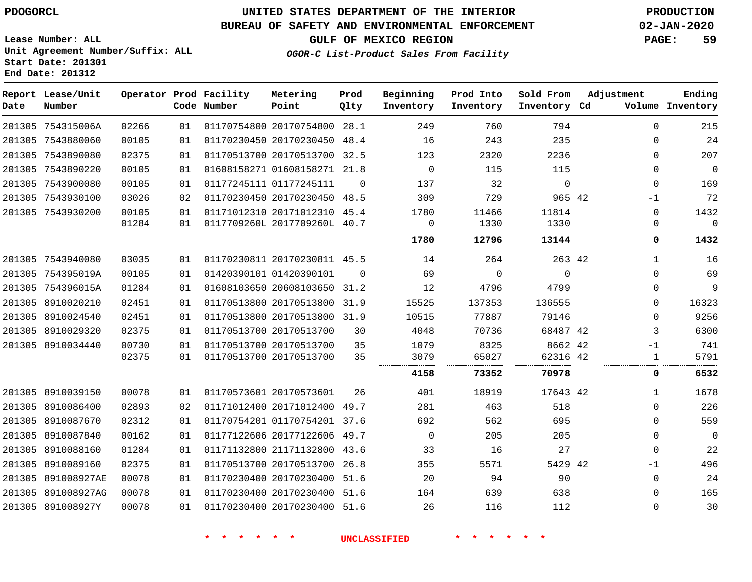#### **BUREAU OF SAFETY AND ENVIRONMENTAL ENFORCEMENT 02-JAN-2020**

**OGOR-C List-Product Sales From Facility**

**GULF OF MEXICO REGION PAGE: 59**

**Lease Number: ALL Unit Agreement Number/Suffix: ALL Start Date: 201301 End Date: 201312**

| Date | Report Lease/Unit<br>Number |                |          | Operator Prod Facility<br>Code Number | Metering<br>Point                                       | Prod<br>Qlty | Beginning<br>Inventory | Prod Into<br>Inventory | Sold From<br>Inventory Cd | Adjustment           | Ending<br>Volume Inventory |
|------|-----------------------------|----------------|----------|---------------------------------------|---------------------------------------------------------|--------------|------------------------|------------------------|---------------------------|----------------------|----------------------------|
|      | 201305 754315006A           | 02266          | 01       |                                       | 01170754800 20170754800                                 | 28.1         | 249                    | 760                    | 794                       | $\Omega$             | 215                        |
|      | 201305 7543880060           | 00105          | 01       |                                       | 01170230450 20170230450                                 | 48.4         | 16                     | 243                    | 235                       | $\Omega$             | 24                         |
|      | 201305 7543890080           | 02375          | 01       |                                       | 01170513700 20170513700                                 | 32.5         | 123                    | 2320                   | 2236                      | $\Omega$             | 207                        |
|      | 201305 7543890220           | 00105          | 01       |                                       | 01608158271 01608158271 21.8                            |              | $\Omega$               | 115                    | 115                       | $\Omega$             | $\overline{0}$             |
|      | 201305 7543900080           | 00105          | 01       |                                       | 01177245111 01177245111                                 | $\Omega$     | 137                    | 32                     | $\mathbf 0$               | 0                    | 169                        |
|      | 201305 7543930100           | 03026          | 02       |                                       | 01170230450 20170230450                                 | 48.5         | 309                    | 729                    | 965 42                    | $-1$                 | 72                         |
|      | 201305 7543930200           | 00105<br>01284 | 01<br>01 |                                       | 01171012310 20171012310<br>0117709260L 2017709260L 40.7 | 45.4         | 1780<br>0              | 11466<br>1330          | 11814<br>1330             | $\Omega$<br>$\Omega$ | 1432<br>$\Omega$           |
|      |                             |                |          |                                       |                                                         |              | 1780                   | 12796                  | 13144                     | 0                    | .<br>1432                  |
|      | 201305 7543940080           | 03035          | 01       |                                       | 01170230811 20170230811 45.5                            |              | 14                     | 264                    | 263 42                    | 1                    | 16                         |
|      | 201305 754395019A           | 00105          | 01       |                                       | 01420390101 01420390101                                 | $\Omega$     | 69                     | $\Omega$               | $\Omega$                  | $\Omega$             | 69                         |
|      | 201305 754396015A           | 01284          | 01       |                                       | 01608103650 20608103650                                 | 31.2         | 12                     | 4796                   | 4799                      | $\Omega$             | 9                          |
|      | 201305 8910020210           | 02451          | 01       |                                       | 01170513800 20170513800                                 | 31.9         | 15525                  | 137353                 | 136555                    | 0                    | 16323                      |
|      | 201305 8910024540           | 02451          | 01       |                                       | 01170513800 20170513800                                 | 31.9         | 10515                  | 77887                  | 79146                     | $\Omega$             | 9256                       |
|      | 201305 8910029320           | 02375          | 01       |                                       | 01170513700 20170513700                                 | 30           | 4048                   | 70736                  | 68487 42                  | 3                    | 6300                       |
|      | 201305 8910034440           | 00730          | 01       |                                       | 01170513700 20170513700                                 | 35           | 1079                   | 8325                   | 8662 42                   | $-1$                 | 741                        |
|      |                             | 02375          | 01       |                                       | 01170513700 20170513700                                 | 35           | 3079                   | 65027                  | 62316 42                  | 1                    | 5791                       |
|      |                             |                |          |                                       |                                                         |              | 4158                   | 73352                  | 70978                     | 0                    | 6532                       |
|      | 201305 8910039150           | 00078          | 01       |                                       | 01170573601 20170573601                                 | 26           | 401                    | 18919                  | 17643 42                  | $\mathbf{1}$         | 1678                       |
|      | 201305 8910086400           | 02893          | 02       |                                       | 01171012400 20171012400                                 | 49.7         | 281                    | 463                    | 518                       | $\Omega$             | 226                        |
|      | 201305 8910087670           | 02312          | 01       |                                       | 01170754201 01170754201 37.6                            |              | 692                    | 562                    | 695                       | $\Omega$             | 559                        |
|      | 201305 8910087840           | 00162          | 01       |                                       | 01177122606 20177122606                                 | 49.7         | 0                      | 205                    | 205                       | 0                    | $\mathbf 0$                |
|      | 201305 8910088160           | 01284          | 01       |                                       | 01171132800 21171132800                                 | 43.6         | 33                     | 16                     | 27                        | 0                    | 22                         |
|      | 201305 8910089160           | 02375          | 01       |                                       | 01170513700 20170513700                                 | 26.8         | 355                    | 5571                   | 5429 42                   | $-1$                 | 496                        |
|      | 201305 891008927AE          | 00078          | 01       |                                       | 01170230400 20170230400                                 | 51.6         | 20                     | 94                     | 90                        | 0                    | 24                         |
|      | 201305 891008927AG          | 00078          | 01       |                                       | 01170230400 20170230400                                 | 51.6         | 164                    | 639                    | 638                       | $\Omega$             | 165                        |
|      | 201305 891008927Y           | 00078          | 01       |                                       | 01170230400 20170230400 51.6                            |              | 26                     | 116                    | 112                       | $\Omega$             | 30                         |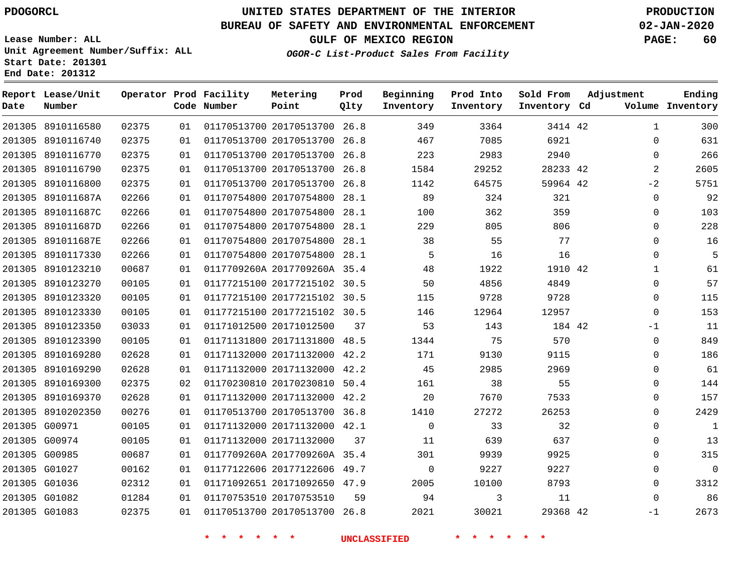**Report Lease/Unit**

# **UNITED STATES DEPARTMENT OF THE INTERIOR PDOGORCL PRODUCTION**

**Prod Qlty**

#### **BUREAU OF SAFETY AND ENVIRONMENTAL ENFORCEMENT 02-JAN-2020**

**Lease Number: ALL Unit Agreement Number/Suffix: ALL Start Date: 201301 End Date: 201312**

**Operator Prod Facility**

**OGOR-C List-Product Sales From Facility**

**Beginning**

**Prod Into Inventory**

**Sold From Inventory**

**GULF OF MEXICO REGION PAGE: 60**

**Adjustment**

**Ending**

| Date | Number            |       |    | Code Number | Point                        | Qlty | Inventory           | Inventory | Inventory Cd    |              | Volume Inventory |
|------|-------------------|-------|----|-------------|------------------------------|------|---------------------|-----------|-----------------|--------------|------------------|
|      | 201305 8910116580 | 02375 | 01 |             | 01170513700 20170513700 26.8 |      | 349                 | 3364      | 3414 42         | $\mathbf{1}$ | 300              |
|      | 201305 8910116740 | 02375 | 01 |             | 01170513700 20170513700 26.8 |      | 467                 | 7085      | 6921            | $\Omega$     | 631              |
|      | 201305 8910116770 | 02375 | 01 |             | 01170513700 20170513700 26.8 |      | 223                 | 2983      | 2940            | $\Omega$     | 266              |
|      | 201305 8910116790 | 02375 | 01 |             | 01170513700 20170513700 26.8 |      | 1584                | 29252     | 28233 42        | 2            | 2605             |
|      | 201305 8910116800 | 02375 | 01 |             | 01170513700 20170513700 26.8 |      | 1142                | 64575     | 59964 42        | $-2$         | 5751             |
|      | 201305 891011687A | 02266 | 01 |             | 01170754800 20170754800 28.1 |      | 89                  | 324       | 321             | $\Omega$     | 92               |
|      | 201305 891011687C | 02266 | 01 |             | 01170754800 20170754800 28.1 |      | 100                 | 362       | 359             | $\Omega$     | 103              |
|      | 201305 891011687D | 02266 | 01 |             | 01170754800 20170754800 28.1 |      | 229                 | 805       | 806             | $\Omega$     | 228              |
|      | 201305 891011687E | 02266 | 01 |             | 01170754800 20170754800 28.1 |      | 38                  | 55        | 77              | $\Omega$     | 16               |
|      | 201305 8910117330 | 02266 | 01 |             | 01170754800 20170754800 28.1 |      | 5                   | 16        | 16              | $\Omega$     | 5                |
|      | 201305 8910123210 | 00687 | 01 |             | 0117709260A 2017709260A 35.4 |      | 48                  | 1922      | 1910 42         | $\mathbf{1}$ | 61               |
|      | 201305 8910123270 | 00105 | 01 |             | 01177215100 20177215102 30.5 |      | 50                  | 4856      | 4849            | $\Omega$     | 57               |
|      | 201305 8910123320 | 00105 | 01 |             | 01177215100 20177215102 30.5 |      | 115                 | 9728      | 9728            | $\Omega$     | 115              |
|      | 201305 8910123330 | 00105 | 01 |             | 01177215100 20177215102 30.5 |      | 146                 | 12964     | 12957           | $\Omega$     | 153              |
|      | 201305 8910123350 | 03033 | 01 |             | 01171012500 20171012500      | 37   | 53                  | 143       | 184 42          | $-1$         | 11               |
|      | 201305 8910123390 | 00105 | 01 |             | 01171131800 20171131800 48.5 |      | 1344                | 75        | 570             | $\Omega$     | 849              |
|      | 201305 8910169280 | 02628 | 01 |             | 01171132000 20171132000 42.2 |      | 171                 | 9130      | 9115            | $\Omega$     | 186              |
|      | 201305 8910169290 | 02628 | 01 |             | 01171132000 20171132000 42.2 |      | 45                  | 2985      | 2969            | $\Omega$     | 61               |
|      | 201305 8910169300 | 02375 | 02 |             | 01170230810 20170230810 50.4 |      | 161                 | 38        | 55              | $\Omega$     | 144              |
|      | 201305 8910169370 | 02628 | 01 |             | 01171132000 20171132000 42.2 |      | 20                  | 7670      | 7533            | $\mathbf 0$  | 157              |
|      | 201305 8910202350 | 00276 | 01 |             | 01170513700 20170513700 36.8 |      | 1410                | 27272     | 26253           | $\Omega$     | 2429             |
|      | 201305 G00971     | 00105 | 01 |             | 01171132000 20171132000 42.1 |      | $\overline{0}$      | 33        | 32              | $\Omega$     | $\mathbf{1}$     |
|      | 201305 G00974     | 00105 | 01 |             | 01171132000 20171132000      | 37   | 11                  | 639       | 637             | 0            | 13               |
|      | 201305 G00985     | 00687 | 01 |             | 0117709260A 2017709260A 35.4 |      | 301                 | 9939      | 9925            | $\Omega$     | 315              |
|      | 201305 G01027     | 00162 | 01 |             | 01177122606 20177122606 49.7 |      | $\overline{0}$      | 9227      | 9227            | $\mathbf 0$  | $\overline{0}$   |
|      | 201305 G01036     | 02312 | 01 |             | 01171092651 20171092650 47.9 |      | 2005                | 10100     | 8793            | $\Omega$     | 3312             |
|      | 201305 G01082     | 01284 | 01 |             | 01170753510 20170753510      | 59   | 94                  | 3         | 11              | $\Omega$     | 86               |
|      | 201305 G01083     | 02375 | 01 |             | 01170513700 20170513700 26.8 |      | 2021                | 30021     | 29368 42        | $-1$         | 2673             |
|      |                   |       |    | * * * * * * |                              |      | <b>UNCLASSIFIED</b> | * * * *   | $\star$ $\star$ |              |                  |

**Metering Point**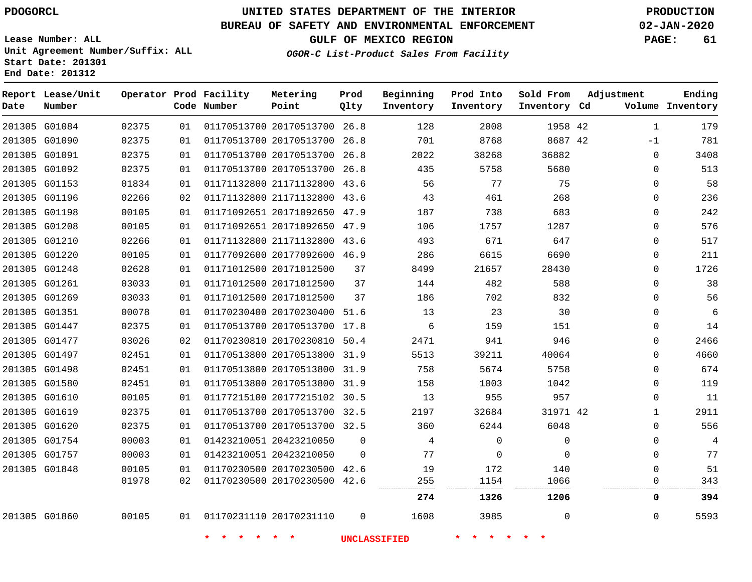**Report Lease/Unit**

**Number**

# **UNITED STATES DEPARTMENT OF THE INTERIOR PDOGORCL PRODUCTION**

**Prod Qlty**

#### **BUREAU OF SAFETY AND ENVIRONMENTAL ENFORCEMENT 02-JAN-2020**

**Lease Number: ALL Unit Agreement Number/Suffix: ALL Start Date: 201301 End Date: 201312**

**Operator Prod Facility**

**Code Number**

**Metering Point**

**OGOR-C List-Product Sales From Facility**

**Beginning Inventory** **Prod Into Inventory** **Sold From Inventory**

**GULF OF MEXICO REGION PAGE: 61**

**Inventory Cd Volume**

**Adjustment**

**Ending**

| 201305 G01084 | 02375 | 01 |                         | 01170513700 20170513700 26.8 |             | 128                 | 2008     | 1958 42  | $\mathbf{1}$ | 179            |
|---------------|-------|----|-------------------------|------------------------------|-------------|---------------------|----------|----------|--------------|----------------|
| 201305 G01090 | 02375 | 01 |                         | 01170513700 20170513700 26.8 |             | 701                 | 8768     | 8687 42  | $-1$         | 781            |
| 201305 G01091 | 02375 | 01 |                         | 01170513700 20170513700 26.8 |             | 2022                | 38268    | 36882    | $\mathbf{0}$ | 3408           |
| 201305 G01092 | 02375 | 01 |                         | 01170513700 20170513700 26.8 |             | 435                 | 5758     | 5680     | 0            | 513            |
| 201305 G01153 | 01834 | 01 |                         | 01171132800 21171132800 43.6 |             | 56                  | 77       | 75       | 0            | 58             |
| 201305 G01196 | 02266 | 02 |                         | 01171132800 21171132800 43.6 |             | 43                  | 461      | 268      | 0            | 236            |
| 201305 G01198 | 00105 | 01 |                         | 01171092651 20171092650 47.9 |             | 187                 | 738      | 683      | 0            | 242            |
| 201305 G01208 | 00105 | 01 |                         | 01171092651 20171092650 47.9 |             | 106                 | 1757     | 1287     | 0            | 576            |
| 201305 G01210 | 02266 | 01 |                         | 01171132800 21171132800 43.6 |             | 493                 | 671      | 647      | 0            | 517            |
| 201305 G01220 | 00105 | 01 |                         | 01177092600 20177092600 46.9 |             | 286                 | 6615     | 6690     | 0            | 211            |
| 201305 G01248 | 02628 | 01 |                         | 01171012500 20171012500      | 37          | 8499                | 21657    | 28430    | 0            | 1726           |
| 201305 G01261 | 03033 | 01 |                         | 01171012500 20171012500      | 37          | 144                 | 482      | 588      | 0            | 38             |
| 201305 G01269 | 03033 | 01 |                         | 01171012500 20171012500      | 37          | 186                 | 702      | 832      | 0            | 56             |
| 201305 G01351 | 00078 | 01 |                         | 01170230400 20170230400 51.6 |             | 13                  | 23       | 30       | 0            | 6              |
| 201305 G01447 | 02375 | 01 |                         | 01170513700 20170513700 17.8 |             | 6                   | 159      | 151      | $\Omega$     | 14             |
| 201305 G01477 | 03026 | 02 |                         | 01170230810 20170230810 50.4 |             | 2471                | 941      | 946      | $\Omega$     | 2466           |
| 201305 G01497 | 02451 | 01 |                         | 01170513800 20170513800 31.9 |             | 5513                | 39211    | 40064    | $\Omega$     | 4660           |
| 201305 G01498 | 02451 | 01 |                         | 01170513800 20170513800 31.9 |             | 758                 | 5674     | 5758     | $\Omega$     | 674            |
| 201305 G01580 | 02451 | 01 |                         | 01170513800 20170513800 31.9 |             | 158                 | 1003     | 1042     | $\Omega$     | 119            |
| 201305 G01610 | 00105 | 01 |                         | 01177215100 20177215102 30.5 |             | 13                  | 955      | 957      | $\Omega$     | 11             |
| 201305 G01619 | 02375 | 01 |                         | 01170513700 20170513700 32.5 |             | 2197                | 32684    | 31971 42 | $\mathbf{1}$ | 2911           |
| 201305 G01620 | 02375 | 01 |                         | 01170513700 20170513700 32.5 |             | 360                 | 6244     | 6048     | $\Omega$     | 556            |
| 201305 G01754 | 00003 | 01 |                         | 01423210051 20423210050      | $\Omega$    | $\overline{4}$      | $\Omega$ | $\Omega$ | $\Omega$     | $\overline{4}$ |
| 201305 G01757 | 00003 | 01 | 01423210051 20423210050 |                              | $\Omega$    | 77                  | $\Omega$ | $\Omega$ | $\Omega$     | 77             |
| 201305 G01848 | 00105 | 01 |                         | 01170230500 20170230500 42.6 |             | 19                  | 172      | 140      | $\Omega$     | 51             |
|               | 01978 | 02 |                         | 01170230500 20170230500 42.6 |             | 255                 | 1154     | 1066     | 0            | 343            |
|               |       |    |                         |                              |             | 274                 | 1326     | 1206     | 0            | 394            |
| 201305 G01860 | 00105 |    |                         | 01  01170231110  20170231110 | $\mathbf 0$ | 1608                | 3985     | $\Omega$ | $\mathbf{0}$ | 5593           |
|               |       |    | <b>水</b><br>一大          | $\star$ $\star$              |             | <b>UNCLASSIFIED</b> | * * * *  |          |              |                |
|               |       |    |                         |                              |             |                     |          |          |              |                |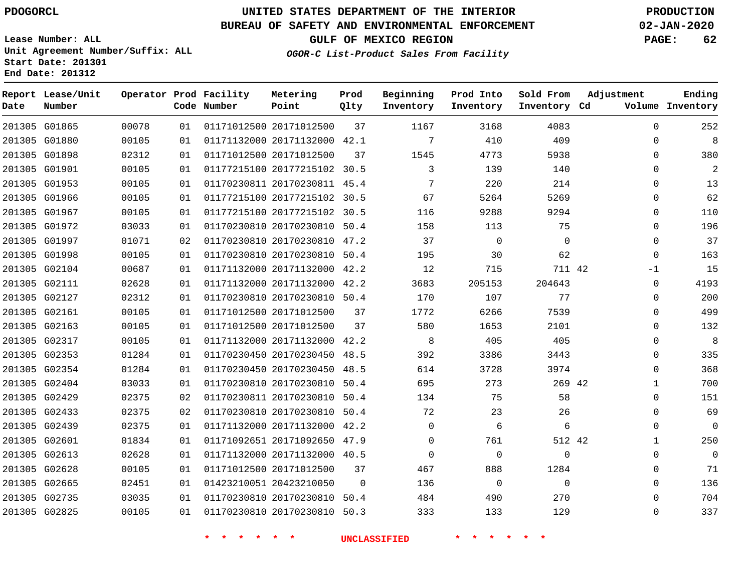**Lease Number: ALL**

**Start Date: 201301 End Date: 201312**

# **UNITED STATES DEPARTMENT OF THE INTERIOR PDOGORCL PRODUCTION**

### **BUREAU OF SAFETY AND ENVIRONMENTAL ENFORCEMENT 02-JAN-2020**

**Unit Agreement Number/Suffix: ALL**

**GULF OF MEXICO REGION PAGE: 62**

**OGOR-C List-Product Sales From Facility**

| Date | Report Lease/Unit<br>Number |       |    | Operator Prod Facility<br>Code Number | Metering<br>Point            | Prod<br>Qlty | Beginning<br>Inventory | Prod Into<br>Inventory | Sold From<br>Inventory Cd | Adjustment   | Ending<br>Volume Inventory |
|------|-----------------------------|-------|----|---------------------------------------|------------------------------|--------------|------------------------|------------------------|---------------------------|--------------|----------------------------|
|      | 201305 G01865               | 00078 | 01 |                                       | 01171012500 20171012500      | 37           | 1167                   | 3168                   | 4083                      | $\mathbf 0$  | 252                        |
|      | 201305 G01880               | 00105 | 01 |                                       | 01171132000 20171132000 42.1 |              | 7                      | 410                    | 409                       | 0            | 8                          |
|      | 201305 G01898               | 02312 | 01 |                                       | 01171012500 20171012500      | 37           | 1545                   | 4773                   | 5938                      | 0            | 380                        |
|      | 201305 G01901               | 00105 | 01 |                                       | 01177215100 20177215102 30.5 |              | 3                      | 139                    | 140                       | 0            | 2                          |
|      | 201305 G01953               | 00105 | 01 |                                       | 01170230811 20170230811 45.4 |              | 7                      | 220                    | 214                       | 0            | 13                         |
|      | 201305 G01966               | 00105 | 01 |                                       | 01177215100 20177215102 30.5 |              | 67                     | 5264                   | 5269                      | 0            | 62                         |
|      | 201305 G01967               | 00105 | 01 |                                       | 01177215100 20177215102 30.5 |              | 116                    | 9288                   | 9294                      | 0            | 110                        |
|      | 201305 G01972               | 03033 | 01 |                                       | 01170230810 20170230810 50.4 |              | 158                    | 113                    | 75                        | $\Omega$     | 196                        |
|      | 201305 G01997               | 01071 | 02 |                                       | 01170230810 20170230810 47.2 |              | 37                     | $\Omega$               | $\Omega$                  | $\Omega$     | 37                         |
|      | 201305 G01998               | 00105 | 01 |                                       | 01170230810 20170230810 50.4 |              | 195                    | 30                     | 62                        | $\mathbf{0}$ | 163                        |
|      | 201305 G02104               | 00687 | 01 |                                       | 01171132000 20171132000 42.2 |              | 12                     | 715                    | 711 42                    | $-1$         | 15                         |
|      | 201305 G02111               | 02628 | 01 |                                       | 01171132000 20171132000 42.2 |              | 3683                   | 205153                 | 204643                    | 0            | 4193                       |
|      | 201305 G02127               | 02312 | 01 |                                       | 01170230810 20170230810 50.4 |              | 170                    | 107                    | 77                        | 0            | 200                        |
|      | 201305 G02161               | 00105 | 01 |                                       | 01171012500 20171012500      | 37           | 1772                   | 6266                   | 7539                      | 0            | 499                        |
|      | 201305 G02163               | 00105 | 01 |                                       | 01171012500 20171012500      | 37           | 580                    | 1653                   | 2101                      | 0            | 132                        |
|      | 201305 G02317               | 00105 | 01 |                                       | 01171132000 20171132000 42.2 |              | 8                      | 405                    | 405                       | 0            | 8                          |
|      | 201305 G02353               | 01284 | 01 |                                       | 01170230450 20170230450 48.5 |              | 392                    | 3386                   | 3443                      | $\Omega$     | 335                        |
|      | 201305 G02354               | 01284 | 01 |                                       | 01170230450 20170230450 48.5 |              | 614                    | 3728                   | 3974                      | 0            | 368                        |
|      | 201305 G02404               | 03033 | 01 |                                       | 01170230810 20170230810 50.4 |              | 695                    | 273                    | 269 42                    | $\mathbf{1}$ | 700                        |
|      | 201305 G02429               | 02375 | 02 |                                       | 01170230811 20170230810 50.4 |              | 134                    | 75                     | 58                        | $\Omega$     | 151                        |
|      | 201305 G02433               | 02375 | 02 |                                       | 01170230810 20170230810 50.4 |              | 72                     | 23                     | 26                        | 0            | 69                         |
|      | 201305 G02439               | 02375 | 01 |                                       | 01171132000 20171132000 42.2 |              | $\Omega$               | 6                      | 6                         | 0            | $\Omega$                   |
|      | 201305 G02601               | 01834 | 01 |                                       | 01171092651 20171092650 47.9 |              | $\mathbf 0$            | 761                    | 512 42                    | $\mathbf 1$  | 250                        |
|      | 201305 G02613               | 02628 | 01 |                                       | 01171132000 20171132000 40.5 |              | $\mathbf 0$            | $\mathbf 0$            | 0                         | 0            | $\mathbf 0$                |
|      | 201305 G02628               | 00105 | 01 |                                       | 01171012500 20171012500      | 37           | 467                    | 888                    | 1284                      | $\Omega$     | 71                         |
|      | 201305 G02665               | 02451 | 01 |                                       | 01423210051 20423210050      | 0            | 136                    | $\overline{0}$         | $\mathbf{0}$              | 0            | 136                        |
|      | 201305 G02735               | 03035 | 01 |                                       | 01170230810 20170230810 50.4 |              | 484                    | 490                    | 270                       | 0            | 704                        |
|      | 201305 G02825               | 00105 | 01 |                                       | 01170230810 20170230810 50.3 |              | 333                    | 133                    | 129                       | $\Omega$     | 337                        |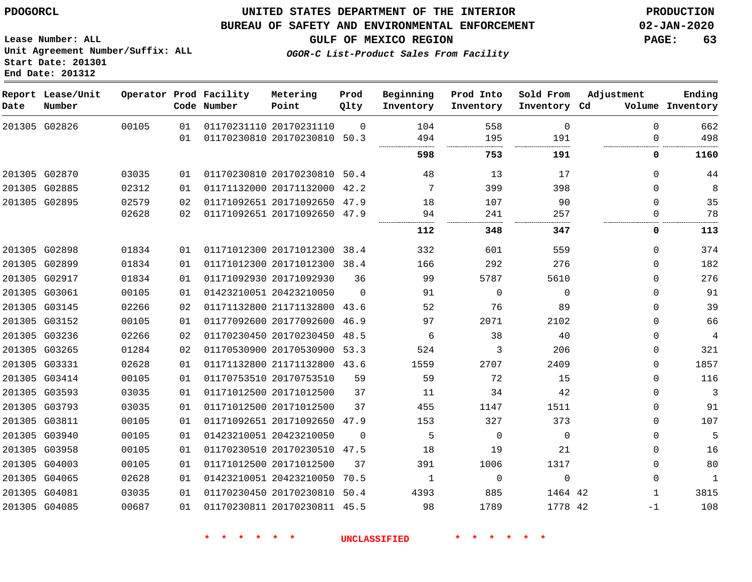**Report Lease/Unit**

**Number**

### **UNITED STATES DEPARTMENT OF THE INTERIOR PDOGORCL PRODUCTION**

**Prod Qlty**

#### **BUREAU OF SAFETY AND ENVIRONMENTAL ENFORCEMENT 02-JAN-2020**

**Lease Number: ALL Unit Agreement Number/Suffix: ALL Start Date: 201301 End Date: 201312**

**Operator Prod Facility**

**Code Number**

**OGOR-C List-Product Sales From Facility**

**Beginning Inventory** **Prod Into Inventory**

**Sold From Inventory**

**GULF OF MEXICO REGION PAGE: 63**

**Inventory Cd Volume**

**Adjustment**

  $\begin{matrix}0\\0\end{matrix}$ 

  $\Omega$   $\overline{0}$ 

 $\Omega$  $\Omega$   $\Omega$  $\Omega$  $\Omega$  $\Omega$  $\Omega$  $\Omega$  $\Omega$  $\Omega$  $\Omega$   $-1$ 

 

**Ending**

|               | 201305 G02826 | 00105 | 01<br>01 | 01170231110 20170231110<br>01170230810 20170230810 50.3 | $\Omega$ | 104<br>494 | 558<br>195 | $\mathbf 0$<br>191 |  |
|---------------|---------------|-------|----------|---------------------------------------------------------|----------|------------|------------|--------------------|--|
|               |               |       |          |                                                         |          | 598        | 753        | .<br>191           |  |
| 201305 G02870 |               | 03035 | 01       | 01170230810 20170230810 50.4                            |          | 48         | 13         | 17                 |  |
| 201305 G02885 |               | 02312 | 01       | 01171132000 20171132000 42.2                            |          | 7          | 399        | 398                |  |
| 201305 G02895 |               | 02579 | 02       | 01171092651 20171092650 47.9                            |          | 18         | 107        | 90                 |  |
|               |               | 02628 | 02       | 01171092651 20171092650 47.9                            |          | 94         | 241        | 257                |  |
|               |               |       |          |                                                         |          | 112        | 348        | 347                |  |
| 201305 G02898 |               | 01834 | 01       | 01171012300 20171012300 38.4                            |          | 332        | 601        | 559                |  |
| 201305 G02899 |               | 01834 | 01       | 01171012300 20171012300 38.4                            |          | 166        | 292        | 276                |  |
| 201305 G02917 |               | 01834 | 01       | 01171092930 20171092930                                 | 36       | 99         | 5787       | 5610               |  |
| 201305 G03061 |               | 00105 | 01       | 01423210051 20423210050                                 | $\Omega$ | 91         | $\Omega$   | $\Omega$           |  |
| 201305 G03145 |               | 02266 | 02       | 01171132800 21171132800 43.6                            |          | 52         | 76         | 89                 |  |
| 201305 G03152 |               | 00105 | 01       | 01177092600 20177092600                                 | 46.9     | 97         | 2071       | 2102               |  |
| 201305 G03236 |               | 02266 | 02       | 01170230450 20170230450                                 | 48.5     | 6          | 38         | 40                 |  |
| 201305 G03265 |               | 01284 | 02       | 01170530900 20170530900 53.3                            |          | 524        | 3          | 206                |  |
| 201305 G03331 |               | 02628 | 01       | 01171132800 21171132800 43.6                            |          | 1559       | 2707       | 2409               |  |
| 201305 G03414 |               | 00105 | 01       | 01170753510 20170753510                                 | 59       | 59         | 72         | 15                 |  |
| 201305 G03593 |               | 03035 | 01       | 01171012500 20171012500                                 | 37       | 11         | 34         | 42                 |  |
| 201305 G03793 |               | 03035 | 01       | 01171012500 20171012500                                 | 37       | 455        | 1147       | 1511               |  |
| 201305 G03811 |               | 00105 | 01       | 01171092651 20171092650 47.9                            |          | 153        | 327        | 373                |  |
| 201305 G03940 |               | 00105 | 01       | 01423210051 20423210050                                 | $\Omega$ | 5          | $\Omega$   | $\Omega$           |  |
| 201305 G03958 |               | 00105 | 01       | 01170230510 20170230510                                 | 47.5     | 18         | 19         | 21                 |  |
| 201305 G04003 |               | 00105 | 01       | 01171012500 20171012500                                 | 37       | 391        | 1006       | 1317               |  |
| 201305 G04065 |               | 02628 | 01       | 01423210051 20423210050                                 | 70.5     | 1          | 0          | 0                  |  |
| 201305 G04081 |               | 03035 | 01       | 01170230450 20170230810 50.4                            |          | 4393       | 885        | 1464 42            |  |
| 201305 G04085 |               | 00687 | 01       | 01170230811 20170230811 45.5                            |          | 98         | 1789       | 1778 42            |  |

**Metering Point**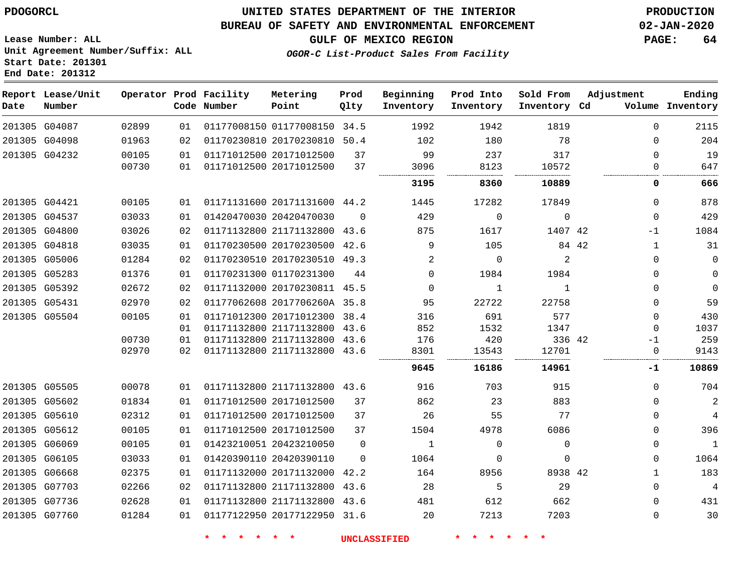**Report Lease/Unit**

**Number**

### **UNITED STATES DEPARTMENT OF THE INTERIOR PDOGORCL PRODUCTION**

**Prod Qlty**

#### **BUREAU OF SAFETY AND ENVIRONMENTAL ENFORCEMENT 02-JAN-2020**

**Lease Number: ALL Unit Agreement Number/Suffix: ALL Start Date: 201301 End Date: 201312**

**Operator Prod Facility**

**Code Number**

**Metering Point**

**OGOR-C List-Product Sales From Facility**

**Beginning Inventory**

**Prod Into Inventory**

**Sold From Inventory**

**Inventory Cd Volume**

**Adjustment**

**GULF OF MEXICO REGION PAGE: 64**

**Ending**

| 201305 G04087 | 02899 | 01 | 01177008150 01177008150 34.5 |          | 1992        | 1942        | 1819        | $\Omega$     | 2115        |
|---------------|-------|----|------------------------------|----------|-------------|-------------|-------------|--------------|-------------|
| 201305 G04098 | 01963 | 02 | 01170230810 20170230810 50.4 |          | 102         | 180         | 78          | $\Omega$     | 204         |
| 201305 G04232 | 00105 | 01 | 01171012500 20171012500      | 37       | 99          | 237         | 317         | $\Omega$     | 19          |
|               | 00730 | 01 | 01171012500 20171012500      | 37       | 3096        | 8123        | 10572       |              | 647         |
|               |       |    |                              |          | 3195        | 8360        | 10889       | 0            | 666         |
| 201305 G04421 | 00105 | 01 | 01171131600 20171131600 44.2 |          | 1445        | 17282       | 17849       | $\Omega$     | 878         |
| 201305 G04537 | 03033 | 01 | 01420470030 20420470030      | $\Omega$ | 429         | $\Omega$    | $\Omega$    | $\Omega$     | 429         |
| 201305 G04800 | 03026 | 02 | 01171132800 21171132800 43.6 |          | 875         | 1617        | 1407 42     | $-1$         | 1084        |
| 201305 G04818 | 03035 | 01 | 01170230500 20170230500 42.6 |          | 9           | 105         | 84 42       | 1            | 31          |
| 201305 G05006 | 01284 | 02 | 01170230510 20170230510 49.3 |          | 2           | $\Omega$    | 2           | 0            | 0           |
| 201305 G05283 | 01376 | 01 | 01170231300 01170231300      | 44       | $\Omega$    | 1984        | 1984        | $\Omega$     | $\mathbf 0$ |
| 201305 G05392 | 02672 | 02 | 01171132000 20170230811 45.5 |          | $\mathbf 0$ | 1           | 1           | $\Omega$     | $\Omega$    |
| 201305 G05431 | 02970 | 02 | 01177062608 2017706260A 35.8 |          | 95          | 22722       | 22758       | $\Omega$     | 59          |
| 201305 G05504 | 00105 | 01 | 01171012300 20171012300 38.4 |          | 316         | 691         | 577         | $\Omega$     | 430         |
|               |       | 01 | 01171132800 21171132800 43.6 |          | 852         | 1532        | 1347        | $\Omega$     | 1037        |
|               | 00730 | 01 | 01171132800 21171132800 43.6 |          | 176         | 420         | 336 42      | $-1$         | 259         |
|               | 02970 | 02 | 01171132800 21171132800 43.6 |          | 8301        | 13543       | 12701       | $\mathbf{0}$ | 9143        |
|               |       |    |                              |          | 9645        | 16186       | 14961       | -1           | 10869       |
| 201305 G05505 | 00078 | 01 | 01171132800 21171132800 43.6 |          | 916         | 703         | 915         | $\Omega$     | 704         |
| 201305 G05602 | 01834 | 01 | 01171012500 20171012500      | 37       | 862         | 23          | 883         | $\Omega$     | 2           |
| 201305 G05610 | 02312 | 01 | 01171012500 20171012500      | 37       | 26          | 55          | 77          | $\Omega$     | 4           |
| 201305 G05612 | 00105 | 01 | 01171012500 20171012500      | 37       | 1504        | 4978        | 6086        | $\Omega$     | 396         |
| 201305 G06069 | 00105 | 01 | 01423210051 20423210050      | $\Omega$ | 1           | $\mathbf 0$ | $\mathbf 0$ | 0            | 1           |
| 201305 G06105 | 03033 | 01 | 01420390110 20420390110      | $\Omega$ | 1064        | $\Omega$    | 0           | $\Omega$     | 1064        |
| 201305 G06668 | 02375 | 01 | 01171132000 20171132000 42.2 |          | 164         | 8956        | 8938 42     | 1            | 183         |
| 201305 G07703 | 02266 | 02 | 01171132800 21171132800      | 43.6     | 28          | 5           | 29          | $\Omega$     | 4           |
| 201305 G07736 | 02628 | 01 | 01171132800 21171132800 43.6 |          | 481         | 612         | 662         | $\Omega$     | 431         |
| 201305 G07760 | 01284 | 01 | 01177122950 20177122950 31.6 |          | 20          | 7213        | 7203        | $\Omega$     | 30          |
|               |       |    |                              |          |             |             |             |              |             |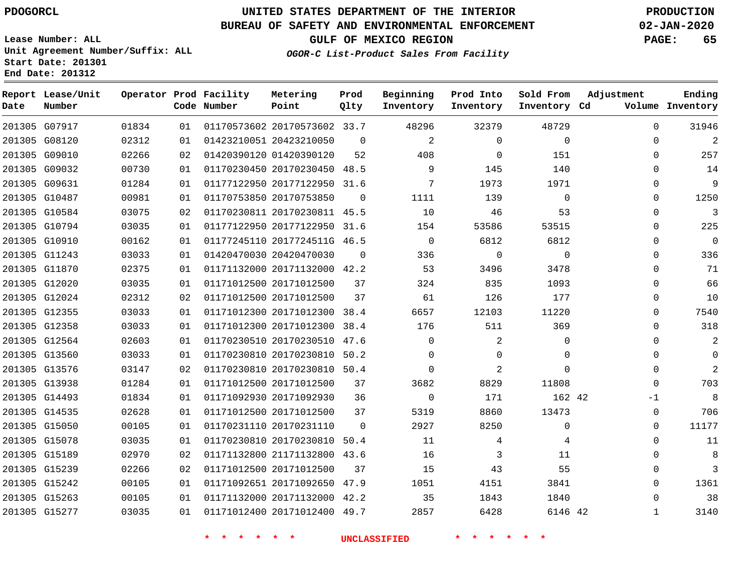**Report Lease/Unit**

### **UNITED STATES DEPARTMENT OF THE INTERIOR PDOGORCL PRODUCTION**

**Prod**

#### **BUREAU OF SAFETY AND ENVIRONMENTAL ENFORCEMENT 02-JAN-2020**

**Lease Number: ALL Unit Agreement Number/Suffix: ALL Start Date: 201301 End Date: 201312**

**Operator Prod Facility Metering**

**OGOR-C List-Product Sales From Facility**

**Beginning Prod Into Sold From Adjustment**

**GULF OF MEXICO REGION PAGE: 65**

**Ending**

| Date | Number        |       |    | Code Number                        | Point                        | Qlty        | Inventory           | Inventory      | Inventory Cd | Volume Inventory           |
|------|---------------|-------|----|------------------------------------|------------------------------|-------------|---------------------|----------------|--------------|----------------------------|
|      | 201305 G07917 | 01834 | 01 |                                    | 01170573602 20170573602 33.7 |             | 48296               | 32379          | 48729        | 31946<br>$\mathbf 0$       |
|      | 201305 G08120 | 02312 | 01 |                                    | 01423210051 20423210050      | $\mathbf 0$ | $\overline{2}$      | $\mathbf 0$    | $\mathbf 0$  | $\overline{2}$<br>0        |
|      | 201305 G09010 | 02266 | 02 |                                    | 01420390120 01420390120      | 52          | 408                 | $\mathbf 0$    | 151          | 257<br>0                   |
|      | 201305 G09032 | 00730 | 01 |                                    | 01170230450 20170230450 48.5 |             | 9                   | 145            | 140          | 14<br>0                    |
|      | 201305 G09631 | 01284 | 01 |                                    | 01177122950 20177122950 31.6 |             | $7\phantom{.0}$     | 1973           | 1971         | $\mathsf 9$<br>0           |
|      | 201305 G10487 | 00981 | 01 |                                    | 01170753850 20170753850      | $\Omega$    | 1111                | 139            | $\mathbf 0$  | 1250<br>$\mathbf 0$        |
|      | 201305 G10584 | 03075 | 02 |                                    | 01170230811 20170230811 45.5 |             | 10                  | 46             | 53           | $\overline{3}$<br>$\Omega$ |
|      | 201305 G10794 | 03035 | 01 |                                    | 01177122950 20177122950 31.6 |             | 154                 | 53586          | 53515        | 225<br>$\Omega$            |
|      | 201305 G10910 | 00162 | 01 |                                    | 01177245110 2017724511G 46.5 |             | $\overline{0}$      | 6812           | 6812         | $\mathbf 0$<br>$\mathbf 0$ |
|      | 201305 G11243 | 03033 | 01 |                                    | 01420470030 20420470030      | $\Omega$    | 336                 | $\Omega$       | $\Omega$     | 336<br>$\Omega$            |
|      | 201305 G11870 | 02375 | 01 |                                    | 01171132000 20171132000 42.2 |             | 53                  | 3496           | 3478         | 71<br>$\Omega$             |
|      | 201305 G12020 | 03035 | 01 |                                    | 01171012500 20171012500      | 37          | 324                 | 835            | 1093         | 66<br>0                    |
|      | 201305 G12024 | 02312 | 02 |                                    | 01171012500 20171012500      | 37          | 61                  | 126            | 177          | 10<br>0                    |
|      | 201305 G12355 | 03033 | 01 |                                    | 01171012300 20171012300 38.4 |             | 6657                | 12103          | 11220        | $\mathbf 0$<br>7540        |
|      | 201305 G12358 | 03033 | 01 |                                    | 01171012300 20171012300 38.4 |             | 176                 | 511            | 369          | 318<br>0                   |
|      | 201305 G12564 | 02603 | 01 |                                    | 01170230510 20170230510 47.6 |             | $\Omega$            | $\overline{a}$ | $\mathbf 0$  | $\overline{2}$<br>$\Omega$ |
|      | 201305 G13560 | 03033 | 01 |                                    | 01170230810 20170230810 50.2 |             | $\mathbf 0$         | $\mathbf 0$    | $\mathbf 0$  | $\overline{0}$<br>0        |
|      | 201305 G13576 | 03147 | 02 |                                    | 01170230810 20170230810 50.4 |             | $\Omega$            | $\overline{a}$ | $\Omega$     | $\overline{2}$<br>$\Omega$ |
|      | 201305 G13938 | 01284 | 01 |                                    | 01171012500 20171012500      | 37          | 3682                | 8829           | 11808        | 703<br>$\Omega$            |
|      | 201305 G14493 | 01834 | 01 |                                    | 01171092930 20171092930      | 36          | $\overline{0}$      | 171            | 162 42       | 8<br>$-1$                  |
|      | 201305 G14535 | 02628 | 01 |                                    | 01171012500 20171012500      | 37          | 5319                | 8860           | 13473        | 706<br>$\mathbf 0$         |
|      | 201305 G15050 | 00105 | 01 |                                    | 01170231110 20170231110      | $\Omega$    | 2927                | 8250           | $\mathbf 0$  | 11177<br>$\Omega$          |
|      | 201305 G15078 | 03035 | 01 |                                    | 01170230810 20170230810 50.4 |             | 11                  | 4              | 4            | $\Omega$<br>11             |
|      | 201305 G15189 | 02970 | 02 |                                    | 01171132800 21171132800 43.6 |             | 16                  | 3              | 11           | $\,8\,$<br>0               |
|      | 201305 G15239 | 02266 | 02 |                                    | 01171012500 20171012500      | 37          | 15                  | 43             | 55           | $\mathbf{3}$<br>0          |
|      | 201305 G15242 | 00105 | 01 |                                    | 01171092651 20171092650 47.9 |             | 1051                | 4151           | 3841         | 1361<br>$\mathbf 0$        |
|      | 201305 G15263 | 00105 | 01 |                                    | 01171132000 20171132000 42.2 |             | 35                  | 1843           | 1840         | 38<br>0                    |
|      | 201305 G15277 | 03035 | 01 |                                    | 01171012400 20171012400 49.7 |             | 2857                | 6428           | 6146 42      | 3140<br>$\mathbf{1}$       |
|      |               |       |    | <b>水</b><br><b>The State State</b> | $\star$ $\star$              |             | <b>UNCLASSIFIED</b> |                |              |                            |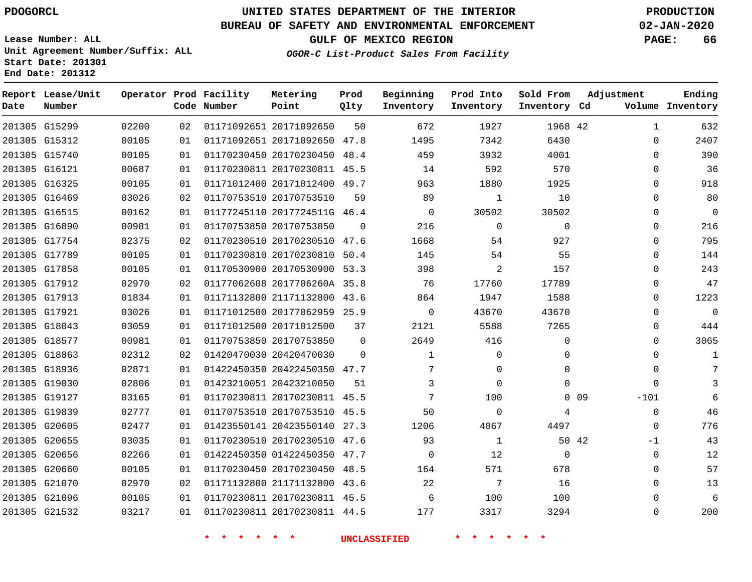### **BUREAU OF SAFETY AND ENVIRONMENTAL ENFORCEMENT 02-JAN-2020**

**Lease Number: ALL Unit Agreement Number/Suffix: ALL**

**OGOR-C List-Product Sales From Facility**

**GULF OF MEXICO REGION PAGE: 66**

**Start Date: 201301 End Date: 201312**

| Date | Report Lease/Unit<br>Number |       |    | Operator Prod Facility<br>Code Number | Metering<br>Point            | Prod<br>Qlty | Beginning<br>Inventory | Prod Into<br>Inventory | Sold From<br>Inventory Cd | Adjustment                | Ending<br>Volume Inventory |
|------|-----------------------------|-------|----|---------------------------------------|------------------------------|--------------|------------------------|------------------------|---------------------------|---------------------------|----------------------------|
|      | 201305 G15299               | 02200 | 02 |                                       | 01171092651 20171092650      | 50           | 672                    | 1927                   | 1968 42                   | $\mathbf 1$               | 632                        |
|      | 201305 G15312               | 00105 | 01 |                                       | 01171092651 20171092650      | 47.8         | 1495                   | 7342                   | 6430                      | $\mathbf{0}$              | 2407                       |
|      | 201305 G15740               | 00105 | 01 |                                       | 01170230450 20170230450 48.4 |              | 459                    | 3932                   | 4001                      | $\Omega$                  | 390                        |
|      | 201305 G16121               | 00687 | 01 |                                       | 01170230811 20170230811 45.5 |              | 14                     | 592                    | 570                       | $\Omega$                  | 36                         |
|      | 201305 G16325               | 00105 | 01 |                                       | 01171012400 20171012400 49.7 |              | 963                    | 1880                   | 1925                      | $\Omega$                  | 918                        |
|      | 201305 G16469               | 03026 | 02 |                                       | 01170753510 20170753510      | 59           | 89                     | $\mathbf 1$            | 10                        | $\mathbf 0$               | 80                         |
|      | 201305 G16515               | 00162 | 01 |                                       | 01177245110 2017724511G 46.4 |              | $\mathbf 0$            | 30502                  | 30502                     | 0                         | 0                          |
|      | 201305 G16890               | 00981 | 01 |                                       | 01170753850 20170753850      | $\Omega$     | 216                    | $\mathbf 0$            | 0                         | 0                         | 216                        |
|      | 201305 G17754               | 02375 | 02 |                                       | 01170230510 20170230510 47.6 |              | 1668                   | 54                     | 927                       | 0                         | 795                        |
|      | 201305 G17789               | 00105 | 01 |                                       | 01170230810 20170230810      | 50.4         | 145                    | 54                     | 55                        | 0                         | 144                        |
|      | 201305 G17858               | 00105 | 01 |                                       | 01170530900 20170530900 53.3 |              | 398                    | 2                      | 157                       | 0                         | 243                        |
|      | 201305 G17912               | 02970 | 02 |                                       | 01177062608 2017706260A 35.8 |              | 76                     | 17760                  | 17789                     | $\Omega$                  | 47                         |
|      | 201305 G17913               | 01834 | 01 |                                       | 01171132800 21171132800 43.6 |              | 864                    | 1947                   | 1588                      | $\Omega$                  | 1223                       |
|      | 201305 G17921               | 03026 | 01 |                                       | 01171012500 20177062959 25.9 |              | $\mathbf 0$            | 43670                  | 43670                     | 0                         | $\mathbf 0$                |
|      | 201305 G18043               | 03059 | 01 |                                       | 01171012500 20171012500      | 37           | 2121                   | 5588                   | 7265                      | 0                         | 444                        |
|      | 201305 G18577               | 00981 | 01 |                                       | 01170753850 20170753850      | $\mathbf 0$  | 2649                   | 416                    | 0                         | $\Omega$                  | 3065                       |
|      | 201305 G18863               | 02312 | 02 |                                       | 01420470030 20420470030      | $\Omega$     | 1                      | 0                      | 0                         | 0                         | 1                          |
|      | 201305 G18936               | 02871 | 01 |                                       | 01422450350 20422450350 47.7 |              | 7                      | 0                      | $\Omega$                  | 0                         | 7                          |
|      | 201305 G19030               | 02806 | 01 |                                       | 01423210051 20423210050      | 51           | 3                      | $\Omega$               | $\Omega$                  | $\Omega$                  | 3                          |
|      | 201305 G19127               | 03165 | 01 |                                       | 01170230811 20170230811 45.5 |              | 7                      | 100                    |                           | 0 <sub>09</sub><br>$-101$ | 6                          |
|      | 201305 G19839               | 02777 | 01 |                                       | 01170753510 20170753510 45.5 |              | 50                     | $\mathsf{O}$           | 4                         | 0                         | 46                         |
|      | 201305 G20605               | 02477 | 01 |                                       | 01423550141 20423550140 27.3 |              | 1206                   | 4067                   | 4497                      | 0                         | 776                        |
|      | 201305 G20655               | 03035 | 01 |                                       | 01170230510 20170230510 47.6 |              | 93                     | $\mathbf 1$            | 50 42                     | $-1$                      | 43                         |
|      | 201305 G20656               | 02266 | 01 |                                       | 01422450350 01422450350 47.7 |              | $\Omega$               | 12                     | 0                         | 0                         | 12                         |
|      | 201305 G20660               | 00105 | 01 |                                       | 01170230450 20170230450 48.5 |              | 164                    | 571                    | 678                       | 0                         | 57                         |
|      | 201305 G21070               | 02970 | 02 |                                       | 01171132800 21171132800 43.6 |              | 22                     | 7                      | 16                        | $\Omega$                  | 13                         |
|      | 201305 G21096               | 00105 | 01 |                                       | 01170230811 20170230811 45.5 |              | 6                      | 100                    | 100                       | $\Omega$                  | 6                          |
|      | 201305 G21532               | 03217 | 01 |                                       | 01170230811 20170230811 44.5 |              | 177                    | 3317                   | 3294                      | $\Omega$                  | 200                        |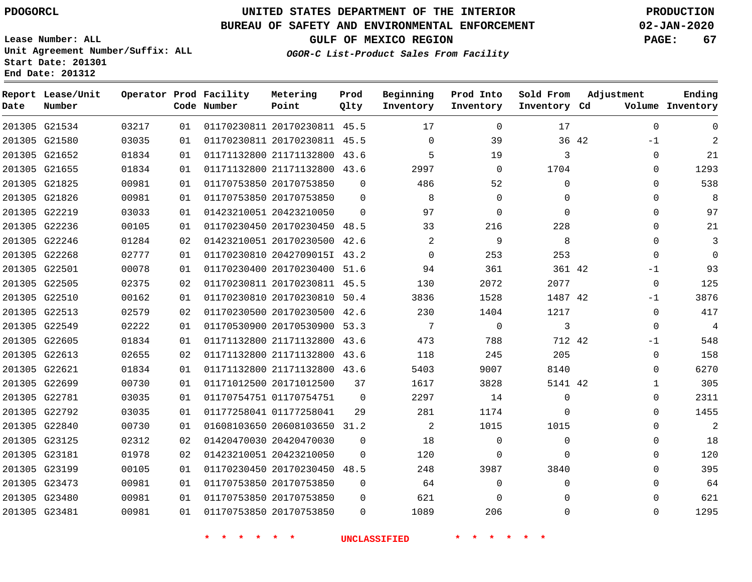G21534

**Date**

**Report Lease/Unit**

**Number**

### **UNITED STATES DEPARTMENT OF THE INTERIOR PDOGORCL PRODUCTION**

**Prod Qlty**

#### **BUREAU OF SAFETY AND ENVIRONMENTAL ENFORCEMENT 02-JAN-2020**

**Lease Number: ALL Unit Agreement Number/Suffix: ALL Start Date: 201301 End Date: 201312**

**Operator Prod Facility**

**Code Number**

20170230811 45.5

**Metering Point**

**OGOR-C List-Product Sales From Facility**

**Sold From Inventory**

**Prod Into Inventory**

**Beginning Inventory**

**GULF OF MEXICO REGION PAGE: 67**

**Inventory Cd Volume**

**Adjustment**

 -1  $\Omega$   $\Omega$  $\Omega$  $\Omega$  $\Omega$  -1  $\Omega$ -1  $\overline{0}$ -1  $\Omega$  $\Omega$   $\Omega$   $\Omega$   $\Omega$ 

**Ending**

|                                |                |          | * * * * * * |                                                         |          | <b>INCLASSIFIED</b> | * * * *           |                     |       |
|--------------------------------|----------------|----------|-------------|---------------------------------------------------------|----------|---------------------|-------------------|---------------------|-------|
| 201305 G23481                  | 00981          | 01       |             | 01170753850 20170753850                                 | 0        | 1089                | 206               | 0                   |       |
| 201305 G23480                  | 00981          | 01       |             | 01170753850 20170753850                                 | 0        | 621                 | $\mathbf 0$       | 0                   |       |
| 201305 G23473                  | 00981          | 01       |             | 01170753850 20170753850                                 | 0        | 64                  | 0                 | 0                   |       |
| 201305 G23199                  | 00105          | 01       |             | 01170230450 20170230450 48.5                            |          | 248                 | 3987              | 3840                |       |
| 201305 G23181                  | 01978          | 02       |             | 01423210051 20423210050                                 | $\Omega$ | 120                 | 0                 | $\mathbf 0$         |       |
| 201305 G23125                  | 02312          | 02       |             | 01420470030 20420470030                                 | $\Omega$ | 18                  | $\Omega$          | $\mathbf 0$         |       |
| 201305 G22840                  | 00730          | 01       |             | 01608103650 20608103650 31.2                            |          | 2                   | 1015              | 1015                |       |
| 201305 G22792                  | 03035          | 01       |             | 01177258041 01177258041                                 | 29       | 281                 | 1174              | 0                   |       |
| 201305 G22781                  | 03035          | 01       |             | 01170754751 01170754751                                 | 0        | 2297                | 14                | 0                   |       |
| 201305 G22699                  | 00730          | 01       |             | 01171012500 20171012500                                 | 37       | 1617                | 3828              | 5141 42             |       |
| 201305 G22621                  | 01834          | 01       |             | 01171132800 21171132800 43.6                            |          | 5403                | 9007              | 8140                |       |
| 201305 G22613                  | 02655          | 02       |             | 01171132800 21171132800 43.6                            |          | 118                 | 245               | 205                 |       |
| 201305 G22605                  | 01834          | 01       |             | 01171132800 21171132800 43.6                            |          | 473                 | 788               | 712 42              |       |
| 201305 G22549                  | 02222          | 01       |             | 01170530900 20170530900 53.3                            |          | 7                   | $\mathbf 0$       | 3                   |       |
| 201305 G22513                  | 02579          | 02       |             | 01170230500 20170230500 42.6                            |          | 230                 | 1404              | 1217                |       |
| 201305 G22510                  | 00162          | 01       |             | 01170230810 20170230810 50.4                            |          | 3836                | 1528              | 1487 42             |       |
| 201305 G22505                  | 02375          | 02       |             | 01170230811 20170230811 45.5                            |          | 130                 | 2072              | 2077                |       |
| 201305 G22501                  | 00078          | 01       |             | 01170230400 20170230400 51.6                            |          | 94                  | 361               | 361 42              |       |
| 201305 G22268                  | 02777          | 01       |             | 01170230810 2042709015I 43.2                            |          | $\mathbf 0$         | 253               | 253                 |       |
| 201305 G22246                  | 01284          | 02       |             | 01423210051 20170230500 42.6                            |          | $\overline{2}$      | 9                 | 8                   |       |
| 201305 G22236                  | 00105          | 01       |             | 01170230450 20170230450 48.5                            |          | 33                  | 216               | 228                 |       |
| 201305 G22219                  | 03033          | 01       |             | 01423210051 20423210050                                 | $\Omega$ | 97                  | 0                 | $\mathbf{0}$        |       |
| 201305 G21826                  | 00981          | 01       |             | 01170753850 20170753850                                 | $\Omega$ | 8                   | $\mathbf 0$       | 0                   |       |
| 201305 G21655<br>201305 G21825 | 01834<br>00981 | 01<br>01 |             | 01171132800 21171132800 43.6<br>01170753850 20170753850 | $\Omega$ | 2997<br>486         | $\mathbf 0$<br>52 | 1704<br>$\mathbf 0$ |       |
| 201305 G21652                  | 01834          | 01       |             | 01171132800 21171132800 43.6                            |          | 5                   | 19                | 3                   |       |
| 201305 G21580                  | 03035          | 01       |             | 01170230811 20170230811 45.5                            |          | $\mathbf 0$         | 39                |                     | 36 42 |
|                                |                |          |             |                                                         |          |                     |                   |                     |       |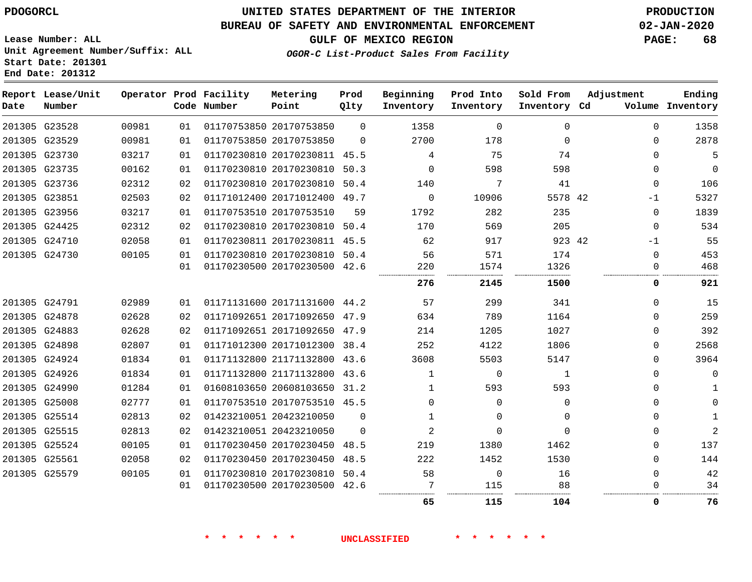### **BUREAU OF SAFETY AND ENVIRONMENTAL ENFORCEMENT 02-JAN-2020**

**OGOR-C List-Product Sales From Facility**

**GULF OF MEXICO REGION PAGE: 68**

**Lease Number: ALL Unit Agreement Number/Suffix: ALL Start Date: 201301 End Date: 201312**

| Date | Report Lease/Unit<br>Number |       |    | Operator Prod Facility<br>Code Number | Metering<br>Point            | Prod<br>Qlty | Beginning<br>Inventory | Prod Into<br>Inventory | Sold From<br>Inventory Cd | Adjustment   | Ending<br>Volume Inventory |
|------|-----------------------------|-------|----|---------------------------------------|------------------------------|--------------|------------------------|------------------------|---------------------------|--------------|----------------------------|
|      | 201305 G23528               | 00981 | 01 |                                       | 01170753850 20170753850      | $\Omega$     | 1358                   | $\Omega$               | $\Omega$                  | $\Omega$     | 1358                       |
|      | 201305 G23529               | 00981 | 01 |                                       | 01170753850 20170753850      | $\Omega$     | 2700                   | 178                    | $\Omega$                  | $\Omega$     | 2878                       |
|      | 201305 G23730               | 03217 | 01 |                                       | 01170230810 20170230811 45.5 |              | 4                      | 75                     | 74                        | $\Omega$     | 5                          |
|      | 201305 G23735               | 00162 | 01 |                                       | 01170230810 20170230810      | 50.3         | $\Omega$               | 598                    | 598                       | 0            | $\Omega$                   |
|      | 201305 G23736               | 02312 | 02 |                                       | 01170230810 20170230810 50.4 |              | 140                    | 7                      | 41                        | $\mathbf 0$  | 106                        |
|      | 201305 G23851               | 02503 | 02 |                                       | 01171012400 20171012400 49.7 |              | $\mathbf 0$            | 10906                  | 5578 42                   | -1           | 5327                       |
|      | 201305 G23956               | 03217 | 01 |                                       | 01170753510 20170753510      | 59           | 1792                   | 282                    | 235                       | $\Omega$     | 1839                       |
|      | 201305 G24425               | 02312 | 02 |                                       | 01170230810 20170230810 50.4 |              | 170                    | 569                    | 205                       | $\mathbf 0$  | 534                        |
|      | 201305 G24710               | 02058 | 01 |                                       | 01170230811 20170230811 45.5 |              | 62                     | 917                    | 923 42                    | -1           | 55                         |
|      | 201305 G24730               | 00105 | 01 |                                       | 01170230810 20170230810 50.4 |              | 56                     | 571                    | 174                       | 0            | 453                        |
|      |                             |       | 01 |                                       | 01170230500 20170230500 42.6 |              | 220                    | 1574                   | 1326                      | 0            | 468                        |
|      |                             |       |    |                                       |                              |              | 276                    | 2145                   | 1500                      | 0            | 921                        |
|      | 201305 G24791               | 02989 | 01 |                                       | 01171131600 20171131600 44.2 |              | 57                     | 299                    | 341                       | $\Omega$     | 15                         |
|      | 201305 G24878               | 02628 | 02 |                                       | 01171092651 20171092650 47.9 |              | 634                    | 789                    | 1164                      | $\Omega$     | 259                        |
|      | 201305 G24883               | 02628 | 02 |                                       | 01171092651 20171092650 47.9 |              | 214                    | 1205                   | 1027                      | 0            | 392                        |
|      | 201305 G24898               | 02807 | 01 |                                       | 01171012300 20171012300 38.4 |              | 252                    | 4122                   | 1806                      | $\Omega$     | 2568                       |
|      | 201305 G24924               | 01834 | 01 |                                       | 01171132800 21171132800 43.6 |              | 3608                   | 5503                   | 5147                      | $\Omega$     | 3964                       |
|      | 201305 G24926               | 01834 | 01 |                                       | 01171132800 21171132800 43.6 |              | 1                      | $\mathbf 0$            | 1                         | 0            | $\mathbf 0$                |
|      | 201305 G24990               | 01284 | 01 |                                       | 01608103650 20608103650 31.2 |              | 1                      | 593                    | 593                       | 0            | 1                          |
|      | 201305 G25008               | 02777 | 01 |                                       | 01170753510 20170753510 45.5 |              | $\Omega$               | $\Omega$               | $\Omega$                  | $\Omega$     | $\Omega$                   |
|      | 201305 G25514               | 02813 | 02 |                                       | 01423210051 20423210050      | $\Omega$     | 1                      | $\Omega$               | $\Omega$                  | 0            | 1                          |
|      | 201305 G25515               | 02813 | 02 |                                       | 01423210051 20423210050      | $\Omega$     | 2                      | $\Omega$               | $\Omega$                  | $\Omega$     | $\overline{a}$             |
|      | 201305 G25524               | 00105 | 01 |                                       | 01170230450 20170230450      | 48.5         | 219                    | 1380                   | 1462                      | $\Omega$     | 137                        |
|      | 201305 G25561               | 02058 | 02 |                                       | 01170230450 20170230450 48.5 |              | 222                    | 1452                   | 1530                      | 0            | 144                        |
|      | 201305 G25579               | 00105 | 01 |                                       | 01170230810 20170230810 50.4 |              | 58                     | $\mathsf{O}$           | 16                        | $\mathbf{0}$ | 42                         |
|      |                             |       | 01 |                                       | 01170230500 20170230500 42.6 |              |                        | 115                    | 88                        | $\Omega$     | 34                         |
|      |                             |       |    |                                       |                              |              | 65                     | 115                    | 104                       | 0            | 76                         |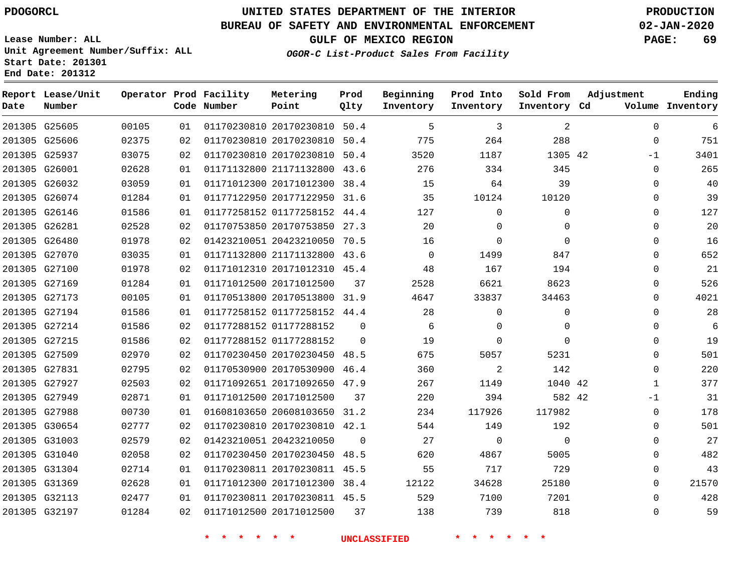**Report Lease/Unit**

**Date**

## **UNITED STATES DEPARTMENT OF THE INTERIOR PDOGORCL PRODUCTION**

**Prod**

**Metering**

#### **BUREAU OF SAFETY AND ENVIRONMENTAL ENFORCEMENT 02-JAN-2020**

**Lease Number: ALL Unit Agreement Number/Suffix: ALL Start Date: 201301 End Date: 201312**

**Operator Prod Facility**

**OGOR-C List-Product Sales From Facility**

**Beginning**

**Prod Into**

**Sold From**

**GULF OF MEXICO REGION PAGE: 69**

**Adjustment**

**Ending**

| Number |       |    | Code Number | <b>Point</b>                 | Qlty     | Inventory           | Inventory                     | Inventory Cd |              | Volume Inventory |
|--------|-------|----|-------------|------------------------------|----------|---------------------|-------------------------------|--------------|--------------|------------------|
| G25605 | 00105 | 01 |             | 01170230810 20170230810 50.4 |          | 5                   | 3                             | 2            | 0            | 6                |
| G25606 | 02375 | 02 |             | 01170230810 20170230810 50.4 |          | 775                 | 264                           | 288          | 0            | 751              |
| G25937 | 03075 | 02 |             | 01170230810 20170230810 50.4 |          | 3520                | 1187                          | 1305 42      | $-1$         | 3401             |
| G26001 | 02628 | 01 |             | 01171132800 21171132800 43.6 |          | 276                 | 334                           | 345          | $\mathbf{0}$ | 265              |
| G26032 | 03059 | 01 |             | 01171012300 20171012300 38.4 |          | 15                  | 64                            | 39           | 0            | 40               |
| G26074 | 01284 | 01 |             | 01177122950 20177122950 31.6 |          | 35                  | 10124                         | 10120        | 0            | 39               |
| G26146 | 01586 | 01 |             | 01177258152 01177258152 44.4 |          | 127                 | $\Omega$                      | $\mathbf 0$  | 0            | 127              |
| G26281 | 02528 | 02 |             | 01170753850 20170753850 27.3 |          | 20                  | $\Omega$                      | $\Omega$     | 0            | 20               |
| G26480 | 01978 | 02 |             | 01423210051 20423210050 70.5 |          | 16                  | $\Omega$                      | $\mathbf 0$  | 0            | 16               |
| G27070 | 03035 | 01 |             | 01171132800 21171132800 43.6 |          | $\mathbf 0$         | 1499                          | 847          | 0            | 652              |
| G27100 | 01978 | 02 |             | 01171012310 20171012310 45.4 |          | 48                  | 167                           | 194          | 0            | 21               |
| G27169 | 01284 | 01 |             | 01171012500 20171012500      | 37       | 2528                | 6621                          | 8623         | 0            | 526              |
| G27173 | 00105 | 01 |             | 01170513800 20170513800 31.9 |          | 4647                | 33837                         | 34463        | 0            | 4021             |
| G27194 | 01586 | 01 |             | 01177258152 01177258152 44.4 |          | 28                  | $\mathbf 0$                   | 0            | 0            | 28               |
| G27214 | 01586 | 02 |             | 01177288152 01177288152      | $\Omega$ | 6                   | $\Omega$                      | $\mathbf 0$  | 0            | 6                |
| G27215 | 01586 | 02 |             | 01177288152 01177288152      | $\Omega$ | 19                  | $\Omega$                      | $\Omega$     | 0            | 19               |
| G27509 | 02970 | 02 |             | 01170230450 20170230450 48.5 |          | 675                 | 5057                          | 5231         | 0            | 501              |
| G27831 | 02795 | 02 |             | 01170530900 20170530900 46.4 |          | 360                 | 2                             | 142          | 0            | 220              |
| G27927 | 02503 | 02 |             | 01171092651 20171092650 47.9 |          | 267                 | 1149                          | 1040 42      | $\mathbf{1}$ | 377              |
| G27949 | 02871 | 01 |             | 01171012500 20171012500      | 37       | 220                 | 394                           | 582 42       | $-1$         | 31               |
| G27988 | 00730 | 01 |             | 01608103650 20608103650 31.2 |          | 234                 | 117926                        | 117982       | 0            | 178              |
| G30654 | 02777 | 02 |             | 01170230810 20170230810 42.1 |          | 544                 | 149                           | 192          | 0            | 501              |
| G31003 | 02579 | 02 |             | 01423210051 20423210050      | $\Omega$ | 27                  | $\Omega$                      | $\mathbf 0$  | 0            | 27               |
| G31040 | 02058 | 02 |             | 01170230450 20170230450 48.5 |          | 620                 | 4867                          | 5005         | 0            | 482              |
| G31304 | 02714 | 01 |             | 01170230811 20170230811 45.5 |          | 55                  | 717                           | 729          | 0            | 43               |
| G31369 | 02628 | 01 |             | 01171012300 20171012300 38.4 |          | 12122               | 34628                         | 25180        | 0            | 21570            |
| G32113 | 02477 | 01 |             | 01170230811 20170230811 45.5 |          | 529                 | 7100                          | 7201         | 0            | 428              |
| G32197 | 01284 | 02 |             | 01171012500 20171012500      | 37       | 138                 | 739                           | 818          | 0            | 59               |
|        |       |    | $\star$     | $\star$<br>一大                |          | <b>UNCLASSIFIED</b> | $\star$<br>$\star$<br>$\star$ |              |              |                  |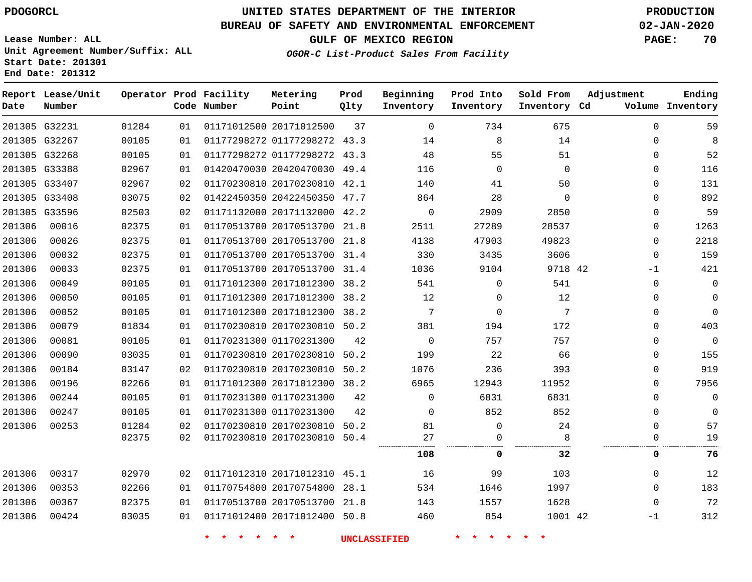**End Date: 201312**

**Report Lease/Unit**

# **UNITED STATES DEPARTMENT OF THE INTERIOR PDOGORCL PRODUCTION**

#### **BUREAU OF SAFETY AND ENVIRONMENTAL ENFORCEMENT 02-JAN-2020**

**Lease Number: ALL Unit Agreement Number/Suffix: ALL Start Date: 201301**

**Operator Prod Facility**

**GULF OF MEXICO REGION PAGE: 70**

**Prod**

**Metering**

**Ending**

**OGOR-C List-Product Sales From Facility**

**Beginning**

**Prod Into**

**Sold From Adjustment**

| Date   | Number        |       |    | Code Number | Point                        | Qlty | Inventory   | Inventory | Inventory Cd |          | Volume Inventory |
|--------|---------------|-------|----|-------------|------------------------------|------|-------------|-----------|--------------|----------|------------------|
|        | 201305 G32231 | 01284 | 01 |             | 01171012500 20171012500      | 37   | $\mathbf 0$ | 734       | 675          | $\Omega$ | 59               |
|        | 201305 G32267 | 00105 | 01 |             | 01177298272 01177298272 43.3 |      | 14          | 8         | 14           | 0        | 8                |
|        | 201305 G32268 | 00105 | 01 |             | 01177298272 01177298272 43.3 |      | 48          | 55        | 51           | 0        | 52               |
|        | 201305 G33388 | 02967 | 01 |             | 01420470030 20420470030 49.4 |      | 116         | $\Omega$  | $\Omega$     | $\Omega$ | 116              |
|        | 201305 G33407 | 02967 | 02 |             | 01170230810 20170230810 42.1 |      | 140         | 41        | 50           | 0        | 131              |
|        | 201305 G33408 | 03075 | 02 |             | 01422450350 20422450350 47.7 |      | 864         | 28        | $\Omega$     | $\Omega$ | 892              |
|        | 201305 G33596 | 02503 | 02 |             | 01171132000 20171132000      | 42.2 | $\mathbf 0$ | 2909      | 2850         | $\Omega$ | 59               |
| 201306 | 00016         | 02375 | 01 |             | 01170513700 20170513700 21.8 |      | 2511        | 27289     | 28537        | 0        | 1263             |
| 201306 | 00026         | 02375 | 01 |             | 01170513700 20170513700      | 21.8 | 4138        | 47903     | 49823        | 0        | 2218             |
| 201306 | 00032         | 02375 | 01 |             | 01170513700 20170513700 31.4 |      | 330         | 3435      | 3606         | 0        | 159              |
| 201306 | 00033         | 02375 | 01 |             | 01170513700 20170513700 31.4 |      | 1036        | 9104      | 9718 42      | -1       | 421              |
| 201306 | 00049         | 00105 | 01 |             | 01171012300 20171012300      | 38.2 | 541         | 0         | 541          | 0        | $\mathbf 0$      |
| 201306 | 00050         | 00105 | 01 |             | 01171012300 20171012300      | 38.2 | 12          | 0         | 12           | 0        | 0                |
| 201306 | 00052         | 00105 | 01 |             | 01171012300 20171012300      | 38.2 | 7           | 0         | 7            | 0        | $\mathbf 0$      |
| 201306 | 00079         | 01834 | 01 |             | 01170230810 20170230810 50.2 |      | 381         | 194       | 172          | $\Omega$ | 403              |
| 201306 | 00081         | 00105 | 01 |             | 01170231300 01170231300      | 42   | 0           | 757       | 757          | O        | $\mathbf 0$      |
| 201306 | 00090         | 03035 | 01 |             | 01170230810 20170230810 50.2 |      | 199         | 22        | 66           | O        | 155              |
| 201306 | 00184         | 03147 | 02 |             | 01170230810 20170230810 50.2 |      | 1076        | 236       | 393          | 0        | 919              |
| 201306 | 00196         | 02266 | 01 |             | 01171012300 20171012300 38.2 |      | 6965        | 12943     | 11952        | 0        | 7956             |
| 201306 | 00244         | 00105 | 01 |             | 01170231300 01170231300      | 42   | 0           | 6831      | 6831         | 0        | $\mathbf 0$      |
| 201306 | 00247         | 00105 | 01 |             | 01170231300 01170231300      | 42   | 0           | 852       | 852          | 0        | $\mathbf 0$      |
| 201306 | 00253         | 01284 | 02 |             | 01170230810 20170230810 50.2 |      | 81          | 0         | 24           | $\Omega$ | 57               |
|        |               | 02375 | 02 |             | 01170230810 20170230810 50.4 |      | 27          | 0         | 8            | 0        | 19               |
|        |               |       |    |             |                              |      | 108         | 0         | 32           | 0        | 76               |
| 201306 | 00317         | 02970 | 02 |             | 01171012310 20171012310 45.1 |      | 16          | 99        | 103          | 0        | 12               |
| 201306 | 00353         | 02266 | 01 |             | 01170754800 20170754800      | 28.1 | 534         | 1646      | 1997         | 0        | 183              |
| 201306 | 00367         | 02375 | 01 |             | 01170513700 20170513700 21.8 |      | 143         | 1557      | 1628         | 0        | 72               |
| 201306 | 00424         | 03035 | 01 |             | 01171012400 20171012400 50.8 |      | 460         | 854       | 1001 42      | $-1$     | 312              |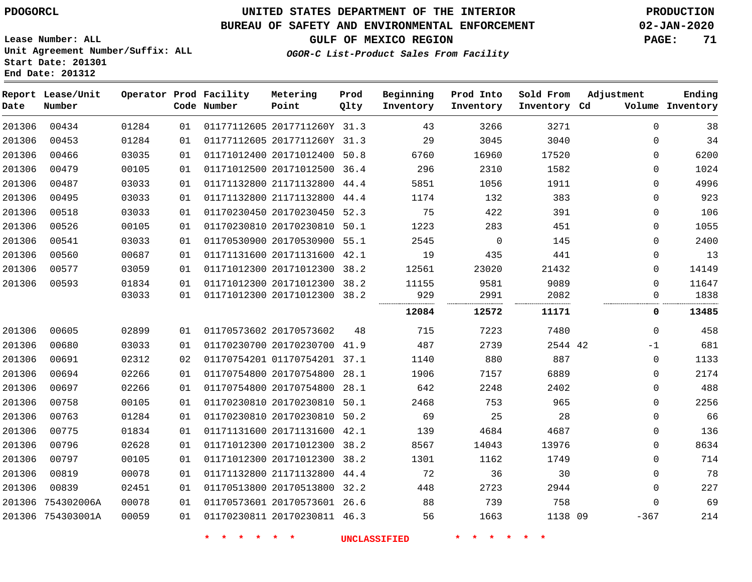### **BUREAU OF SAFETY AND ENVIRONMENTAL ENFORCEMENT 02-JAN-2020**

**OGOR-C List-Product Sales From Facility**

**GULF OF MEXICO REGION PAGE: 71**

**Lease Number: ALL Unit Agreement Number/Suffix: ALL Start Date: 201301 End Date: 201312**

| Date   | Report Lease/Unit<br>Number |       |    | Operator Prod Facility<br>Code Number | Metering<br>Point            | Prod<br>Qlty | Beginning<br>Inventory | Prod Into<br>Inventory | Sold From<br>Inventory Cd | Adjustment  | Ending<br>Volume Inventory |
|--------|-----------------------------|-------|----|---------------------------------------|------------------------------|--------------|------------------------|------------------------|---------------------------|-------------|----------------------------|
| 201306 | 00434                       | 01284 | 01 |                                       | 01177112605 2017711260Y 31.3 |              | 43                     | 3266                   | 3271                      | $\Omega$    | 38                         |
| 201306 | 00453                       | 01284 | 01 |                                       | 01177112605 2017711260Y 31.3 |              | 29                     | 3045                   | 3040                      | 0           | 34                         |
| 201306 | 00466                       | 03035 | 01 |                                       | 01171012400 20171012400 50.8 |              | 6760                   | 16960                  | 17520                     | $\mathbf 0$ | 6200                       |
| 201306 | 00479                       | 00105 | 01 |                                       | 01171012500 20171012500 36.4 |              | 296                    | 2310                   | 1582                      | 0           | 1024                       |
| 201306 | 00487                       | 03033 | 01 |                                       | 01171132800 21171132800 44.4 |              | 5851                   | 1056                   | 1911                      | 0           | 4996                       |
| 201306 | 00495                       | 03033 | 01 |                                       | 01171132800 21171132800 44.4 |              | 1174                   | 132                    | 383                       | 0           | 923                        |
| 201306 | 00518                       | 03033 | 01 |                                       | 01170230450 20170230450 52.3 |              | 75                     | 422                    | 391                       | 0           | 106                        |
| 201306 | 00526                       | 00105 | 01 |                                       | 01170230810 20170230810 50.1 |              | 1223                   | 283                    | 451                       | 0           | 1055                       |
| 201306 | 00541                       | 03033 | 01 |                                       | 01170530900 20170530900 55.1 |              | 2545                   | 0                      | 145                       | 0           | 2400                       |
| 201306 | 00560                       | 00687 | 01 |                                       | 01171131600 20171131600 42.1 |              | 19                     | 435                    | 441                       | 0           | 13                         |
| 201306 | 00577                       | 03059 | 01 |                                       | 01171012300 20171012300 38.2 |              | 12561                  | 23020                  | 21432                     | 0           | 14149                      |
| 201306 | 00593                       | 01834 | 01 |                                       | 01171012300 20171012300 38.2 |              | 11155                  | 9581                   | 9089                      | $\Omega$    | 11647                      |
|        |                             | 03033 | 01 |                                       | 01171012300 20171012300 38.2 |              | 929                    | 2991                   | 2082                      | 0           | 1838                       |
|        |                             |       |    |                                       |                              |              | 12084                  | 12572                  | 11171                     | 0           | 13485                      |
| 201306 | 00605                       | 02899 | 01 |                                       | 01170573602 20170573602      | 48           | 715                    | 7223                   | 7480                      | $\Omega$    | 458                        |
| 201306 | 00680                       | 03033 | 01 |                                       | 01170230700 20170230700 41.9 |              | 487                    | 2739                   | 2544 42                   | $-1$        | 681                        |
| 201306 | 00691                       | 02312 | 02 |                                       | 01170754201 01170754201 37.1 |              | 1140                   | 880                    | 887                       | $\mathbf 0$ | 1133                       |
| 201306 | 00694                       | 02266 | 01 |                                       | 01170754800 20170754800 28.1 |              | 1906                   | 7157                   | 6889                      | $\mathbf 0$ | 2174                       |
| 201306 | 00697                       | 02266 | 01 |                                       | 01170754800 20170754800 28.1 |              | 642                    | 2248                   | 2402                      | 0           | 488                        |
| 201306 | 00758                       | 00105 | 01 |                                       | 01170230810 20170230810 50.1 |              | 2468                   | 753                    | 965                       | 0           | 2256                       |
| 201306 | 00763                       | 01284 | 01 |                                       | 01170230810 20170230810 50.2 |              | 69                     | 25                     | 28                        | $\mathbf 0$ | 66                         |
| 201306 | 00775                       | 01834 | 01 |                                       | 01171131600 20171131600 42.1 |              | 139                    | 4684                   | 4687                      | 0           | 136                        |
| 201306 | 00796                       | 02628 | 01 |                                       | 01171012300 20171012300 38.2 |              | 8567                   | 14043                  | 13976                     | $\mathbf 0$ | 8634                       |
| 201306 | 00797                       | 00105 | 01 |                                       | 01171012300 20171012300      | 38.2         | 1301                   | 1162                   | 1749                      | $\mathbf 0$ | 714                        |
| 201306 | 00819                       | 00078 | 01 |                                       | 01171132800 21171132800 44.4 |              | 72                     | 36                     | 30                        | $\mathbf 0$ | 78                         |
| 201306 | 00839                       | 02451 | 01 |                                       | 01170513800 20170513800 32.2 |              | 448                    | 2723                   | 2944                      | $\mathbf 0$ | 227                        |
|        | 201306 754302006A           | 00078 | 01 |                                       | 01170573601 20170573601 26.6 |              | 88                     | 739                    | 758                       | $\mathbf 0$ | 69                         |
|        | 201306 754303001A           | 00059 | 01 |                                       | 01170230811 20170230811 46.3 |              | 56                     | 1663                   | 1138 09                   | $-367$      | 214                        |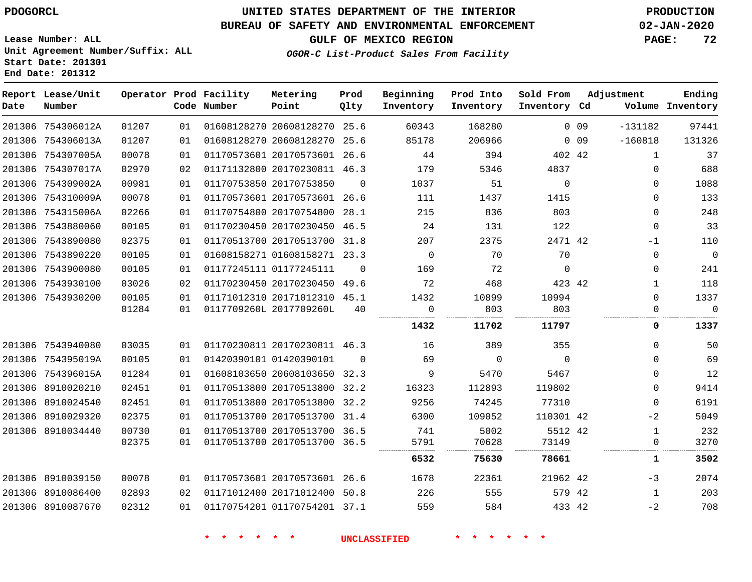**Lease Number: ALL**

**Start Date: 201301 End Date: 201312**

# **UNITED STATES DEPARTMENT OF THE INTERIOR PDOGORCL PRODUCTION**

#### **BUREAU OF SAFETY AND ENVIRONMENTAL ENFORCEMENT 02-JAN-2020**

**Unit Agreement Number/Suffix: ALL**

**GULF OF MEXICO REGION PAGE: 72**

**OGOR-C List-Product Sales From Facility**

| Date | Report Lease/Unit<br>Number |       |    | Operator Prod Facility<br>Code Number | Metering<br>Point            | Prod<br>Qlty | Beginning<br>Inventory | Prod Into<br>Inventory | Sold From<br>Inventory Cd |                 | Adjustment   | Ending<br>Volume Inventory |
|------|-----------------------------|-------|----|---------------------------------------|------------------------------|--------------|------------------------|------------------------|---------------------------|-----------------|--------------|----------------------------|
|      | 201306 754306012A           | 01207 | 01 |                                       | 01608128270 20608128270      | 25.6         | 60343                  | 168280                 |                           | 0 <sub>09</sub> | $-131182$    | 97441                      |
|      | 201306 754306013A           | 01207 | 01 |                                       | 01608128270 20608128270      | 25.6         | 85178                  | 206966                 |                           | 0 09            | $-160818$    | 131326                     |
|      | 201306 754307005A           | 00078 | 01 |                                       | 01170573601 20170573601      | 26.6         | 44                     | 394                    | 402 42                    |                 | 1            | 37                         |
|      | 201306 754307017A           | 02970 | 02 |                                       | 01171132800 20170230811 46.3 |              | 179                    | 5346                   | 4837                      |                 | $\Omega$     | 688                        |
|      | 201306 754309002A           | 00981 | 01 |                                       | 01170753850 20170753850      | $\Omega$     | 1037                   | 51                     | $\Omega$                  |                 | $\Omega$     | 1088                       |
|      | 201306 754310009A           | 00078 | 01 |                                       | 01170573601 20170573601      | 26.6         | 111                    | 1437                   | 1415                      |                 | 0            | 133                        |
|      | 201306 754315006A           | 02266 | 01 |                                       | 01170754800 20170754800      | 28.1         | 215                    | 836                    | 803                       |                 | $\Omega$     | 248                        |
|      | 201306 7543880060           | 00105 | 01 |                                       | 01170230450 20170230450      | 46.5         | 24                     | 131                    | 122                       |                 | $\Omega$     | 33                         |
|      | 201306 7543890080           | 02375 | 01 |                                       | 01170513700 20170513700      | 31.8         | 207                    | 2375                   | 2471 42                   |                 | $-1$         | 110                        |
|      | 201306 7543890220           | 00105 | 01 |                                       | 01608158271 01608158271      | 23.3         | $\overline{0}$         | 70                     | 70                        |                 | 0            | $\overline{0}$             |
|      | 201306 7543900080           | 00105 | 01 |                                       | 01177245111 01177245111      | $\Omega$     | 169                    | 72                     | $\Omega$                  |                 | $\Omega$     | 241                        |
|      | 201306 7543930100           | 03026 | 02 |                                       | 01170230450 20170230450 49.6 |              | 72                     | 468                    | 423 42                    |                 | 1            | 118                        |
|      | 201306 7543930200           | 00105 | 01 |                                       | 01171012310 20171012310 45.1 |              | 1432                   | 10899                  | 10994                     |                 | $\Omega$     | 1337                       |
|      |                             | 01284 | 01 |                                       | 0117709260L 2017709260L      | 40           | 0                      | 803                    | 803                       |                 | 0            | $\mathbf 0$                |
|      |                             |       |    |                                       |                              |              | 1432                   | 11702                  | 11797                     |                 | 0            | 1337                       |
|      | 201306 7543940080           | 03035 | 01 |                                       | 01170230811 20170230811 46.3 |              | 16                     | 389                    | 355                       |                 | $\Omega$     | 50                         |
|      | 201306 754395019A           | 00105 | 01 |                                       | 01420390101 01420390101      | $\Omega$     | 69                     | $\overline{0}$         | $\overline{0}$            |                 | $\Omega$     | 69                         |
|      | 201306 754396015A           | 01284 | 01 |                                       | 01608103650 20608103650 32.3 |              | 9                      | 5470                   | 5467                      |                 | $\Omega$     | 12                         |
|      | 201306 8910020210           | 02451 | 01 |                                       | 01170513800 20170513800      | 32.2         | 16323                  | 112893                 | 119802                    |                 | $\Omega$     | 9414                       |
|      | 201306 8910024540           | 02451 | 01 |                                       | 01170513800 20170513800      | 32.2         | 9256                   | 74245                  | 77310                     |                 | $\mathbf{0}$ | 6191                       |
|      | 201306 8910029320           | 02375 | 01 |                                       | 01170513700 20170513700      | 31.4         | 6300                   | 109052                 | 110301 42                 |                 | $-2$         | 5049                       |
|      | 201306 8910034440           | 00730 | 01 |                                       | 01170513700 20170513700      | 36.5         | 741                    | 5002                   | 5512 42                   |                 | $\mathbf{1}$ | 232                        |
|      |                             | 02375 | 01 |                                       | 01170513700 20170513700      | 36.5         | 5791                   | 70628                  | 73149                     |                 | 0            | 3270                       |
|      |                             |       |    |                                       |                              |              | 6532                   | 75630                  | 78661                     |                 | 1            | 3502                       |
|      | 201306 8910039150           | 00078 | 01 |                                       | 01170573601 20170573601      | 26.6         | 1678                   | 22361                  | 21962 42                  |                 | $-3$         | 2074                       |
|      | 201306 8910086400           | 02893 | 02 |                                       | 01171012400 20171012400      | 50.8         | 226                    | 555                    | 579 42                    |                 | 1            | 203                        |
|      | 201306 8910087670           | 02312 | 01 |                                       | 01170754201 01170754201 37.1 |              | 559                    | 584                    | 433 42                    |                 | $-2$         | 708                        |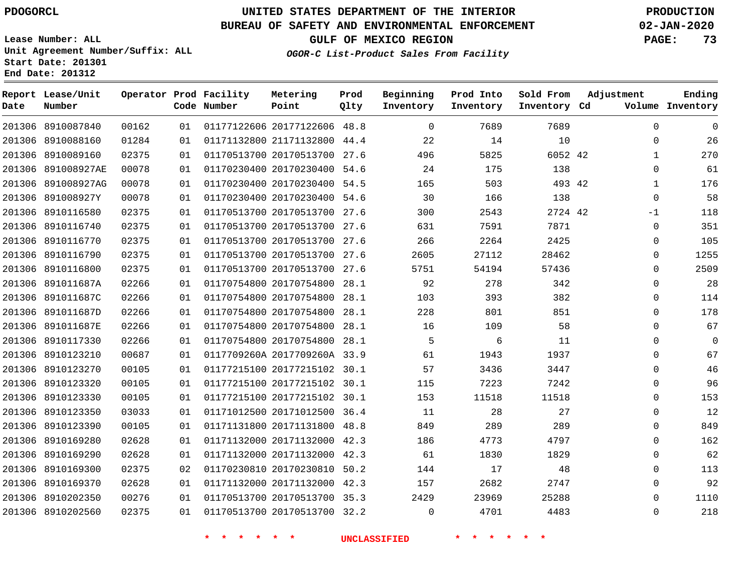8910087840 8910088160

**Report Lease/Unit**

**Number**

## **UNITED STATES DEPARTMENT OF THE INTERIOR PDOGORCL PRODUCTION**

**Prod Qlty**

#### **BUREAU OF SAFETY AND ENVIRONMENTAL ENFORCEMENT 02-JAN-2020**

**Lease Number: ALL Unit Agreement Number/Suffix: ALL Start Date: 201301 End Date: 201312**

> 

**Operator Prod Facility**

**Code Number**

**Metering Point**

 

**GULF OF MEXICO REGION PAGE: 73**

**Inventory Cd Volume**

**Adjustment**

 

 

**Ending**

# **OGOR-C List-Product Sales From Facility**

**Beginning Inventory**

 20177122606 48.8 21171132800 44.4 20170513700 27.6 42 54.6 54.5 54.6 27.6 27.6 

**Prod Into Inventory** **Sold From Inventory**

| 201306 8910089160  | 02375 | 01 | 01170513700 20170513700 27.6 |      | 496  | 5825  | 6052 42 | 1           | 270            |
|--------------------|-------|----|------------------------------|------|------|-------|---------|-------------|----------------|
| 201306 891008927AE | 00078 | 01 | 01170230400 20170230400 54.6 |      | 24   | 175   | 138     | $\Omega$    | 61             |
| 201306 891008927AG | 00078 | 01 | 01170230400 20170230400 54.5 |      | 165  | 503   | 493 42  | 1           | 176            |
| 201306 891008927Y  | 00078 | 01 | 01170230400 20170230400 54.6 |      | 30   | 166   | 138     | $\Omega$    | 58             |
| 201306 8910116580  | 02375 | 01 | 01170513700 20170513700 27.6 |      | 300  | 2543  | 2724 42 | -1          | 118            |
| 201306 8910116740  | 02375 | 01 | 01170513700 20170513700 27.6 |      | 631  | 7591  | 7871    | $\Omega$    | 351            |
| 201306 8910116770  | 02375 | 01 | 01170513700 20170513700 27.6 |      | 266  | 2264  | 2425    | $\Omega$    | 105            |
| 201306 8910116790  | 02375 | 01 | 01170513700 20170513700 27.6 |      | 2605 | 27112 | 28462   | $\Omega$    | 1255           |
| 201306 8910116800  | 02375 | 01 | 01170513700 20170513700 27.6 |      | 5751 | 54194 | 57436   | $\Omega$    | 2509           |
| 201306 891011687A  | 02266 | 01 | 01170754800 20170754800 28.1 |      | 92   | 278   | 342     | $\mathbf 0$ | 28             |
| 201306 891011687C  | 02266 | 01 | 01170754800 20170754800      | 28.1 | 103  | 393   | 382     | 0           | 114            |
| 201306 891011687D  | 02266 | 01 | 01170754800 20170754800 28.1 |      | 228  | 801   | 851     | $\Omega$    | 178            |
| 201306 891011687E  | 02266 | 01 | 01170754800 20170754800 28.1 |      | 16   | 109   | 58      | $\Omega$    | 67             |
| 201306 8910117330  | 02266 | 01 | 01170754800 20170754800 28.1 |      | 5    | 6     | 11      | $\Omega$    | $\overline{0}$ |
| 201306 8910123210  | 00687 | 01 | 0117709260A 2017709260A 33.9 |      | 61   | 1943  | 1937    | $\Omega$    | 67             |
| 201306 8910123270  | 00105 | 01 | 01177215100 20177215102 30.1 |      | 57   | 3436  | 3447    | $\Omega$    | 46             |
| 201306 8910123320  | 00105 | 01 | 01177215100 20177215102 30.1 |      | 115  | 7223  | 7242    | $\mathbf 0$ | 96             |
| 201306 8910123330  | 00105 | 01 | 01177215100 20177215102 30.1 |      | 153  | 11518 | 11518   | $\Omega$    | 153            |
| 201306 8910123350  | 03033 | 01 | 01171012500 20171012500 36.4 |      | 11   | 28    | 27      | $\Omega$    | 12             |
| 201306 8910123390  | 00105 | 01 | 01171131800 20171131800 48.8 |      | 849  | 289   | 289     | $\Omega$    | 849            |
| 201306 8910169280  | 02628 | 01 | 01171132000 20171132000 42.3 |      | 186  | 4773  | 4797    | $\Omega$    | 162            |
| 201306 8910169290  | 02628 | 01 | 01171132000 20171132000 42.3 |      | 61   | 1830  | 1829    | $\Omega$    | 62             |
| 201306 8910169300  | 02375 | 02 | 01170230810 20170230810      | 50.2 | 144  | 17    | 48      | $\Omega$    | 113            |
| 201306 8910169370  | 02628 | 01 | 01171132000 20171132000 42.3 |      | 157  | 2682  | 2747    | $\Omega$    | 92             |
| 201306 8910202350  | 00276 | 01 | 01170513700 20170513700 35.3 |      | 2429 | 23969 | 25288   | $\Omega$    | 1110           |
| 201306 8910202560  | 02375 | 01 | 01170513700 20170513700 32.2 |      | 0    | 4701  | 4483    | $\Omega$    | 218            |
|                    |       |    |                              |      |      |       |         |             |                |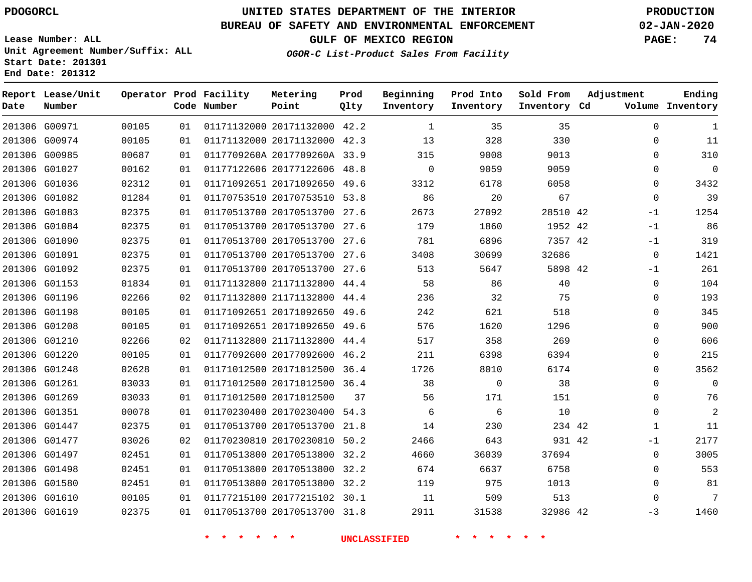## **UNITED STATES DEPARTMENT OF THE INTERIOR PDOGORCL PRODUCTION**

**Prod Qlty**

#### **BUREAU OF SAFETY AND ENVIRONMENTAL ENFORCEMENT 02-JAN-2020**

**Lease Number: ALL Unit Agreement Number/Suffix: ALL Start Date: 201301**

**Operator Prod Facility**

**Code Number**

**Metering Point**

**End Date: 201312**

**Report Lease/Unit**

**Number**

**GULF OF MEXICO REGION PAGE: 74**

**Inventory Cd Volume**

**Adjustment**

**Ending**

**OGOR-C List-Product Sales From Facility**

**Beginning Inventory**

**Prod Into Inventory**

**Sold From Inventory**

| 201306 G00971 | 00105 | 01 | 01171132000 20171132000 42.2 |    | 1        | 35             | 35       | 0            | 1              |
|---------------|-------|----|------------------------------|----|----------|----------------|----------|--------------|----------------|
| 201306 G00974 | 00105 | 01 | 01171132000 20171132000 42.3 |    | 13       | 328            | 330      | 0            | 11             |
| 201306 G00985 | 00687 | 01 | 0117709260A 2017709260A 33.9 |    | 315      | 9008           | 9013     | $\Omega$     | 310            |
| 201306 G01027 | 00162 | 01 | 01177122606 20177122606 48.8 |    | $\Omega$ | 9059           | 9059     | $\Omega$     | $\mathbf 0$    |
| 201306 G01036 | 02312 | 01 | 01171092651 20171092650 49.6 |    | 3312     | 6178           | 6058     | 0            | 3432           |
| 201306 G01082 | 01284 | 01 | 01170753510 20170753510 53.8 |    | 86       | 20             | 67       | $\mathbf 0$  | 39             |
| 201306 G01083 | 02375 | 01 | 01170513700 20170513700 27.6 |    | 2673     | 27092          | 28510 42 | $-1$         | 1254           |
| 201306 G01084 | 02375 | 01 | 01170513700 20170513700 27.6 |    | 179      | 1860           | 1952 42  | $-1$         | 86             |
| 201306 G01090 | 02375 | 01 | 01170513700 20170513700 27.6 |    | 781      | 6896           | 7357 42  | $-1$         | 319            |
| 201306 G01091 | 02375 | 01 | 01170513700 20170513700 27.6 |    | 3408     | 30699          | 32686    | 0            | 1421           |
| 201306 G01092 | 02375 | 01 | 01170513700 20170513700 27.6 |    | 513      | 5647           | 5898 42  | $-1$         | 261            |
| 201306 G01153 | 01834 | 01 | 01171132800 21171132800 44.4 |    | 58       | 86             | 40       | $\mathbf{0}$ | 104            |
| 201306 G01196 | 02266 | 02 | 01171132800 21171132800 44.4 |    | 236      | 32             | 75       | $\Omega$     | 193            |
| 201306 G01198 | 00105 | 01 | 01171092651 20171092650 49.6 |    | 242      | 621            | 518      | 0            | 345            |
| 201306 G01208 | 00105 | 01 | 01171092651 20171092650 49.6 |    | 576      | 1620           | 1296     | $\Omega$     | 900            |
| 201306 G01210 | 02266 | 02 | 01171132800 21171132800 44.4 |    | 517      | 358            | 269      | $\Omega$     | 606            |
| 201306 G01220 | 00105 | 01 | 01177092600 20177092600 46.2 |    | 211      | 6398           | 6394     | 0            | 215            |
| 201306 G01248 | 02628 | 01 | 01171012500 20171012500 36.4 |    | 1726     | 8010           | 6174     | $\Omega$     | 3562           |
| 201306 G01261 | 03033 | 01 | 01171012500 20171012500 36.4 |    | 38       | $\overline{0}$ | 38       | 0            | 0              |
| 201306 G01269 | 03033 | 01 | 01171012500 20171012500      | 37 | 56       | 171            | 151      | $\Omega$     | 76             |
| 201306 G01351 | 00078 | 01 | 01170230400 20170230400 54.3 |    | 6        | 6              | 10       | $\Omega$     | $\overline{c}$ |
| 201306 G01447 | 02375 | 01 | 01170513700 20170513700 21.8 |    | 14       | 230            | 234 42   | 1            | 11             |
| 201306 G01477 | 03026 | 02 | 01170230810 20170230810 50.2 |    | 2466     | 643            | 931 42   | -1           | 2177           |
| 201306 G01497 | 02451 | 01 | 01170513800 20170513800 32.2 |    | 4660     | 36039          | 37694    | 0            | 3005           |
| 201306 G01498 | 02451 | 01 | 01170513800 20170513800 32.2 |    | 674      | 6637           | 6758     | $\Omega$     | 553            |
| 201306 G01580 | 02451 | 01 | 01170513800 20170513800 32.2 |    | 119      | 975            | 1013     | $\Omega$     | 81             |
| 201306 G01610 | 00105 | 01 | 01177215100 20177215102 30.1 |    | 11       | 509            | 513      | $\Omega$     | 7              |
| 201306 G01619 | 02375 | 01 | 01170513700 20170513700 31.8 |    | 2911     | 31538          | 32986 42 | $-3$         | 1460           |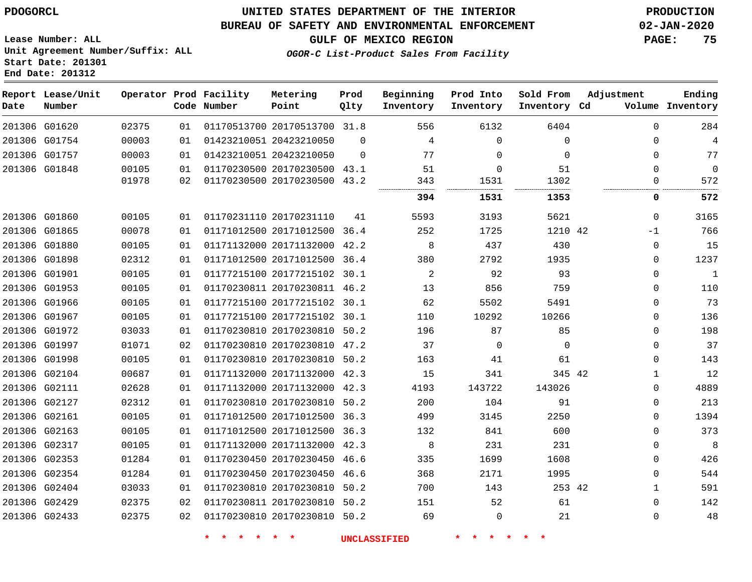#### **BUREAU OF SAFETY AND ENVIRONMENTAL ENFORCEMENT 02-JAN-2020**

**Lease Number: ALL Unit Agreement Number/Suffix: ALL Start Date: 201301 End Date: 201312**

**GULF OF MEXICO REGION PAGE: 75**

| OGOR-C List-Product Sales From Facility |
|-----------------------------------------|
|-----------------------------------------|

| Date | Report Lease/Unit<br>Number |       |    | Operator Prod Facility<br>Code Number | Metering<br>Point            | Prod<br>Qlty | Beginning<br>Inventory | Prod Into<br>Inventory | Sold From<br>Inventory Cd | Adjustment   | Ending<br>Volume Inventory |
|------|-----------------------------|-------|----|---------------------------------------|------------------------------|--------------|------------------------|------------------------|---------------------------|--------------|----------------------------|
|      | 201306 G01620               | 02375 | 01 |                                       | 01170513700 20170513700 31.8 |              | 556                    | 6132                   | 6404                      | $\Omega$     | 284                        |
|      | 201306 G01754               | 00003 | 01 |                                       | 01423210051 20423210050      | $\Omega$     | 4                      | $\mathbf 0$            | $\mathbf 0$               | $\mathbf 0$  | $\overline{4}$             |
|      | 201306 G01757               | 00003 | 01 |                                       | 01423210051 20423210050      | $\Omega$     | 77                     | $\Omega$               | $\Omega$                  | $\mathbf 0$  | 77                         |
|      | 201306 G01848               | 00105 | 01 |                                       | 01170230500 20170230500 43.1 |              | 51                     | $\Omega$               | 51                        | $\Omega$     | $\overline{0}$             |
|      |                             | 01978 | 02 |                                       | 01170230500 20170230500 43.2 |              | 343                    | 1531                   | 1302                      | $\mathbf 0$  | 572                        |
|      |                             |       |    |                                       |                              |              | 394                    | 1531                   | 1353                      | 0            | 572                        |
|      | 201306 G01860               | 00105 | 01 |                                       | 01170231110 20170231110      | 41           | 5593                   | 3193                   | 5621                      | $\mathbf 0$  | 3165                       |
|      | 201306 G01865               | 00078 | 01 |                                       | 01171012500 20171012500 36.4 |              | 252                    | 1725                   | 1210 42                   | -1           | 766                        |
|      | 201306 G01880               | 00105 | 01 |                                       | 01171132000 20171132000 42.2 |              | 8                      | 437                    | 430                       | $\mathbf 0$  | 15                         |
|      | 201306 G01898               | 02312 | 01 |                                       | 01171012500 20171012500 36.4 |              | 380                    | 2792                   | 1935                      | $\mathbf 0$  | 1237                       |
|      | 201306 G01901               | 00105 | 01 |                                       | 01177215100 20177215102 30.1 |              | $\overline{a}$         | 92                     | 93                        | 0            | $\mathbf{1}$               |
|      | 201306 G01953               | 00105 | 01 |                                       | 01170230811 20170230811 46.2 |              | 13                     | 856                    | 759                       | $\mathbf 0$  | 110                        |
|      | 201306 G01966               | 00105 | 01 |                                       | 01177215100 20177215102 30.1 |              | 62                     | 5502                   | 5491                      | $\mathbf 0$  | 73                         |
|      | 201306 G01967               | 00105 | 01 |                                       | 01177215100 20177215102 30.1 |              | 110                    | 10292                  | 10266                     | $\mathbf 0$  | 136                        |
|      | 201306 G01972               | 03033 | 01 |                                       | 01170230810 20170230810 50.2 |              | 196                    | 87                     | 85                        | $\mathbf 0$  | 198                        |
|      | 201306 G01997               | 01071 | 02 |                                       | 01170230810 20170230810 47.2 |              | 37                     | $\mathbf 0$            | $\mathbf{0}$              | $\mathbf 0$  | 37                         |
|      | 201306 G01998               | 00105 | 01 |                                       | 01170230810 20170230810 50.2 |              | 163                    | 41                     | 61                        | $\Omega$     | 143                        |
|      | 201306 G02104               | 00687 | 01 |                                       | 01171132000 20171132000 42.3 |              | 15                     | 341                    | 345 42                    | $\mathbf{1}$ | 12                         |
|      | 201306 G02111               | 02628 | 01 |                                       | 01171132000 20171132000 42.3 |              | 4193                   | 143722                 | 143026                    | $\mathbf 0$  | 4889                       |
|      | 201306 G02127               | 02312 | 01 |                                       | 01170230810 20170230810      | 50.2         | 200                    | 104                    | 91                        | 0            | 213                        |
|      | 201306 G02161               | 00105 | 01 |                                       | 01171012500 20171012500 36.3 |              | 499                    | 3145                   | 2250                      | $\mathbf 0$  | 1394                       |
|      | 201306 G02163               | 00105 | 01 |                                       | 01171012500 20171012500 36.3 |              | 132                    | 841                    | 600                       | $\mathbf 0$  | 373                        |
|      | 201306 G02317               | 00105 | 01 |                                       | 01171132000 20171132000 42.3 |              | 8                      | 231                    | 231                       | 0            | 8                          |
|      | 201306 G02353               | 01284 | 01 |                                       | 01170230450 20170230450 46.6 |              | 335                    | 1699                   | 1608                      | 0            | 426                        |
|      | 201306 G02354               | 01284 | 01 |                                       | 01170230450 20170230450 46.6 |              | 368                    | 2171                   | 1995                      | $\mathbf 0$  | 544                        |
|      | 201306 G02404               | 03033 | 01 |                                       | 01170230810 20170230810 50.2 |              | 700                    | 143                    | 253 42                    | $\mathbf{1}$ | 591                        |
|      | 201306 G02429               | 02375 | 02 |                                       | 01170230811 20170230810      | 50.2         | 151                    | 52                     | 61                        | $\mathbf 0$  | 142                        |
|      | 201306 G02433               | 02375 | 02 |                                       | 01170230810 20170230810 50.2 |              | 69                     | $\mathbf 0$            | 21                        | $\mathbf 0$  | 48                         |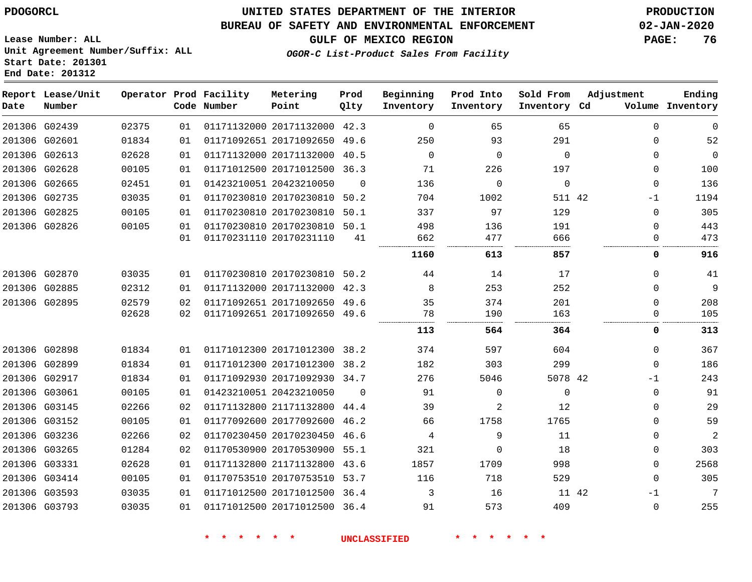#### **BUREAU OF SAFETY AND ENVIRONMENTAL ENFORCEMENT 02-JAN-2020**

**GULF OF MEXICO REGION PAGE: 76**

**Lease Number: ALL Unit Agreement Number/Suffix: ALL Start Date: 201301 End Date: 201312**

### **OGOR-C List-Product Sales From Facility**

| Date | Report Lease/Unit<br>Number |       |    | Operator Prod Facility<br>Code Number | Metering<br>Point            | Prod<br>Qlty | Beginning<br>Inventory | Prod Into<br>Inventory | Sold From<br>Inventory Cd | Adjustment  | Ending<br>Volume Inventory |
|------|-----------------------------|-------|----|---------------------------------------|------------------------------|--------------|------------------------|------------------------|---------------------------|-------------|----------------------------|
|      | 201306 G02439               | 02375 | 01 |                                       | 01171132000 20171132000 42.3 |              | $\mathbf 0$            | 65                     | 65                        | $\mathbf 0$ | $\mathbf 0$                |
|      | 201306 G02601               | 01834 | 01 |                                       | 01171092651 20171092650 49.6 |              | 250                    | 93                     | 291                       | $\mathbf 0$ | 52                         |
|      | 201306 G02613               | 02628 | 01 |                                       | 01171132000 20171132000      | 40.5         | $\mathbf 0$            | 0                      | $\Omega$                  | $\mathbf 0$ | $\mathbf 0$                |
|      | 201306 G02628               | 00105 | 01 |                                       | 01171012500 20171012500 36.3 |              | 71                     | 226                    | 197                       | $\Omega$    | 100                        |
|      | 201306 G02665               | 02451 | 01 |                                       | 01423210051 20423210050      | $\Omega$     | 136                    | $\mathbf 0$            | $\Omega$                  | $\mathbf 0$ | 136                        |
|      | 201306 G02735               | 03035 | 01 |                                       | 01170230810 20170230810 50.2 |              | 704                    | 1002                   | 511 42                    | $-1$        | 1194                       |
|      | 201306 G02825               | 00105 | 01 |                                       | 01170230810 20170230810      | 50.1         | 337                    | 97                     | 129                       | $\mathbf 0$ | 305                        |
|      | 201306 G02826               | 00105 | 01 |                                       | 01170230810 20170230810 50.1 |              | 498                    | 136                    | 191                       | $\mathbf 0$ | 443                        |
|      |                             |       | 01 |                                       | 01170231110 20170231110      | 41           | 662                    | 477                    | 666                       | $\Omega$    | 473                        |
|      |                             |       |    |                                       |                              |              | 1160                   | 613                    | 857                       | 0           | 916                        |
|      | 201306 G02870               | 03035 | 01 |                                       | 01170230810 20170230810      | 50.2         | 44                     | 14                     | 17                        | $\mathbf 0$ | 41                         |
|      | 201306 G02885               | 02312 | 01 |                                       | 01171132000 20171132000 42.3 |              | 8                      | 253                    | 252                       | $\mathbf 0$ | 9                          |
|      | 201306 G02895               | 02579 | 02 |                                       | 01171092651 20171092650 49.6 |              | 35                     | 374                    | 201                       | $\Omega$    | 208                        |
|      |                             | 02628 | 02 |                                       | 01171092651 20171092650 49.6 |              | 78                     | 190                    | 163                       | $\mathbf 0$ | 105                        |
|      |                             |       |    |                                       |                              |              | 113                    | 564                    | 364                       | 0           | 313                        |
|      | 201306 G02898               | 01834 | 01 |                                       | 01171012300 20171012300 38.2 |              | 374                    | 597                    | 604                       | $\mathbf 0$ | 367                        |
|      | 201306 G02899               | 01834 | 01 |                                       | 01171012300 20171012300 38.2 |              | 182                    | 303                    | 299                       | $\Omega$    | 186                        |
|      | 201306 G02917               | 01834 | 01 |                                       | 01171092930 20171092930 34.7 |              | 276                    | 5046                   | 5078 42                   | $-1$        | 243                        |
|      | 201306 G03061               | 00105 | 01 |                                       | 01423210051 20423210050      | $\Omega$     | 91                     | $\mathbf 0$            | $\Omega$                  | $\mathbf 0$ | 91                         |
|      | 201306 G03145               | 02266 | 02 |                                       | 01171132800 21171132800      | 44.4         | 39                     | 2                      | 12                        | $\mathbf 0$ | 29                         |
|      | 201306 G03152               | 00105 | 01 |                                       | 01177092600 20177092600 46.2 |              | 66                     | 1758                   | 1765                      | $\Omega$    | 59                         |
|      | 201306 G03236               | 02266 | 02 |                                       | 01170230450 20170230450 46.6 |              | 4                      | 9                      | 11                        | $\Omega$    | $\overline{2}$             |
|      | 201306 G03265               | 01284 | 02 |                                       | 01170530900 20170530900      | 55.1         | 321                    | $\Omega$               | 18                        | $\Omega$    | 303                        |
|      | 201306 G03331               | 02628 | 01 |                                       | 01171132800 21171132800      | 43.6         | 1857                   | 1709                   | 998                       | $\mathbf 0$ | 2568                       |
|      | 201306 G03414               | 00105 | 01 |                                       | 01170753510 20170753510 53.7 |              | 116                    | 718                    | 529                       | $\Omega$    | 305                        |
|      | 201306 G03593               | 03035 | 01 |                                       | 01171012500 20171012500      | 36.4         | 3                      | 16                     | 11 42                     | $-1$        | 7                          |
|      | 201306 G03793               | 03035 | 01 |                                       | 01171012500 20171012500 36.4 |              | 91                     | 573                    | 409                       | $\mathbf 0$ | 255                        |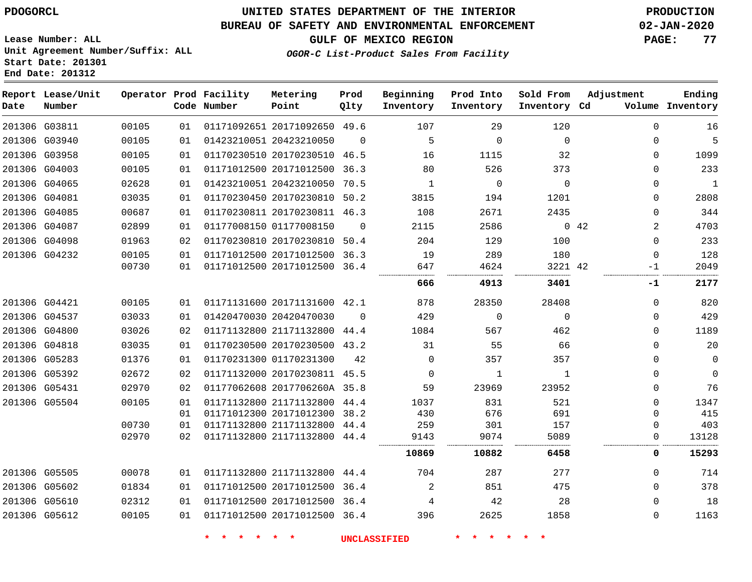**Start Date: 201301 End Date: 201312**

## **UNITED STATES DEPARTMENT OF THE INTERIOR PDOGORCL PRODUCTION**

#### **BUREAU OF SAFETY AND ENVIRONMENTAL ENFORCEMENT 02-JAN-2020**

**Lease Number: ALL Unit Agreement Number/Suffix: ALL**

## **GULF OF MEXICO REGION PAGE: 77**

**OGOR-C List-Product Sales From Facility**

| Date          | Report Lease/Unit<br>Number |       |    | Operator Prod Facility<br>Code Number | Metering<br>Point            | Prod<br>Qlty | Beginning<br>Inventory | Prod Into<br>Inventory | Sold From<br>Inventory Cd | Adjustment  | Ending<br>Volume Inventory |
|---------------|-----------------------------|-------|----|---------------------------------------|------------------------------|--------------|------------------------|------------------------|---------------------------|-------------|----------------------------|
|               | 201306 G03811               | 00105 | 01 |                                       | 01171092651 20171092650 49.6 |              | 107                    | 29                     | 120                       | $\Omega$    | 16                         |
|               | 201306 G03940               | 00105 | 01 |                                       | 01423210051 20423210050      | $\Omega$     | 5                      | $\Omega$               | $\Omega$                  | 0           | 5                          |
| 201306 G03958 |                             | 00105 | 01 |                                       | 01170230510 20170230510 46.5 |              | 16                     | 1115                   | 32                        | $\Omega$    | 1099                       |
| 201306 G04003 |                             | 00105 | 01 |                                       | 01171012500 20171012500      | 36.3         | 80                     | 526                    | 373                       | $\Omega$    | 233                        |
| 201306 G04065 |                             | 02628 | 01 |                                       | 01423210051 20423210050 70.5 |              | 1                      | $\Omega$               | $\Omega$                  | $\Omega$    | $\mathbf{1}$               |
| 201306 G04081 |                             | 03035 | 01 |                                       | 01170230450 20170230810      | 50.2         | 3815                   | 194                    | 1201                      | $\mathbf 0$ | 2808                       |
| 201306 G04085 |                             | 00687 | 01 |                                       | 01170230811 20170230811 46.3 |              | 108                    | 2671                   | 2435                      | 0           | 344                        |
|               | 201306 G04087               | 02899 | 01 |                                       | 01177008150 01177008150      | $\Omega$     | 2115                   | 2586                   |                           | 0.42<br>2   | 4703                       |
| 201306 G04098 |                             | 01963 | 02 |                                       | 01170230810 20170230810      | 50.4         | 204                    | 129                    | 100                       | $\mathbf 0$ | 233                        |
|               | 201306 G04232               | 00105 | 01 |                                       | 01171012500 20171012500 36.3 |              | 19                     | 289                    | 180                       | $\Omega$    | 128                        |
|               |                             | 00730 | 01 |                                       | 01171012500 20171012500 36.4 |              | 647                    | 4624                   | 3221 42                   | $-1$        | 2049                       |
|               |                             |       |    |                                       |                              |              | 666                    | 4913                   | 3401                      | -1          | 2177                       |
|               | 201306 G04421               | 00105 | 01 |                                       | 01171131600 20171131600 42.1 |              | 878                    | 28350                  | 28408                     | 0           | 820                        |
| 201306 G04537 |                             | 03033 | 01 |                                       | 01420470030 20420470030      | $\Omega$     | 429                    | $\mathbf 0$            | $\Omega$                  | 0           | 429                        |
| 201306 G04800 |                             | 03026 | 02 |                                       | 01171132800 21171132800 44.4 |              | 1084                   | 567                    | 462                       | $\Omega$    | 1189                       |
| 201306 G04818 |                             | 03035 | 01 |                                       | 01170230500 20170230500 43.2 |              | 31                     | 55                     | 66                        | $\Omega$    | 20                         |
| 201306 G05283 |                             | 01376 | 01 |                                       | 01170231300 01170231300      | 42           | $\Omega$               | 357                    | 357                       | $\Omega$    | $\mathbf 0$                |
| 201306 G05392 |                             | 02672 | 02 |                                       | 01171132000 20170230811 45.5 |              | $\Omega$               | 1                      | 1                         | $\mathbf 0$ | $\mathbf 0$                |
|               | 201306 G05431               | 02970 | 02 |                                       | 01177062608 2017706260A 35.8 |              | 59                     | 23969                  | 23952                     | 0           | 76                         |
| 201306 G05504 |                             | 00105 | 01 |                                       | 01171132800 21171132800 44.4 |              | 1037                   | 831                    | 521                       | $\Omega$    | 1347                       |
|               |                             |       | 01 |                                       | 01171012300 20171012300 38.2 |              | 430                    | 676                    | 691                       | $\Omega$    | 415                        |
|               |                             | 00730 | 01 |                                       | 01171132800 21171132800      | 44.4         | 259                    | 301                    | 157                       | 0           | 403                        |
|               |                             | 02970 | 02 |                                       | 01171132800 21171132800 44.4 |              | 9143                   | 9074                   | 5089                      | 0           | 13128                      |
|               |                             |       |    |                                       |                              |              | 10869                  | 10882                  | 6458                      | 0           | 15293                      |
| 201306 G05505 |                             | 00078 | 01 |                                       | 01171132800 21171132800 44.4 |              | 704                    | 287                    | 277                       | 0           | 714                        |
| 201306 G05602 |                             | 01834 | 01 |                                       | 01171012500 20171012500      | 36.4         | 2                      | 851                    | 475                       | $\Omega$    | 378                        |
| 201306 G05610 |                             | 02312 | 01 |                                       | 01171012500 20171012500 36.4 |              | 4                      | 42                     | 28                        | 0           | 18                         |
| 201306 G05612 |                             | 00105 | 01 |                                       | 01171012500 20171012500 36.4 |              | 396                    | 2625                   | 1858                      | 0           | 1163                       |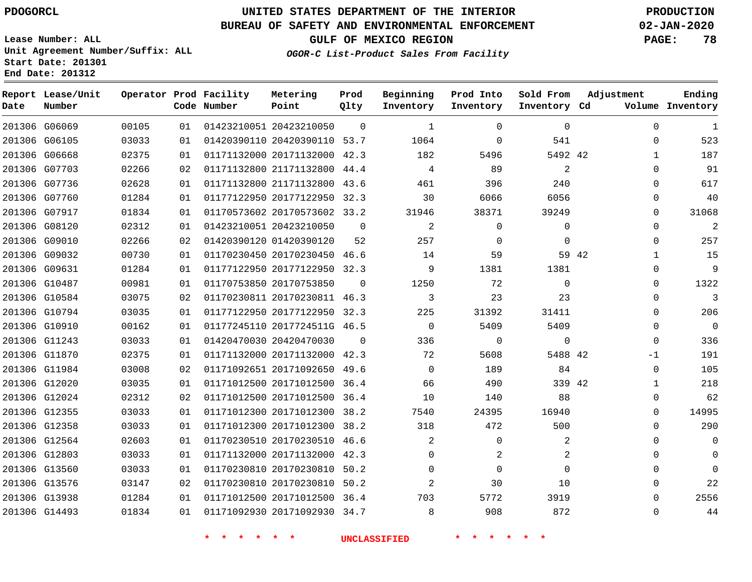**End Date: 201312**

 G12803 G13560 G13576 G13938 G14493

## **UNITED STATES DEPARTMENT OF THE INTERIOR PDOGORCL PRODUCTION**

#### **BUREAU OF SAFETY AND ENVIRONMENTAL ENFORCEMENT 02-JAN-2020**

**Lease Number: ALL Unit Agreement Number/Suffix: ALL Start Date: 201301**

**OGOR-C List-Product Sales From Facility**

**Sold From**

**GULF OF MEXICO REGION PAGE: 78**

  $\Omega$   $\Omega$  $\Omega$  $\Omega$  $\Omega$  $\Omega$   $\Omega$  $\Omega$  $\overline{0}$   $\Omega$  $\overline{0}$ -1  $\Omega$   $\Omega$   $\Omega$  $\Omega$   $\Omega$   $\Omega$ 

**Adjustment**

| Date | Report Lease/Unit<br>Number |       |    | Operator Prod Facility<br>Code Number | Metering<br>Point            | Prod<br>Qlty | Beginning<br>Inventory | Prod Into<br>Inventory | Sold From<br>Inventory Cd | Adjustment |              | Ending<br>Volume Inventory |
|------|-----------------------------|-------|----|---------------------------------------|------------------------------|--------------|------------------------|------------------------|---------------------------|------------|--------------|----------------------------|
|      | 201306 G06069               | 00105 | 01 |                                       | 01423210051 20423210050      | $\Omega$     | $\mathbf{1}$           | $\Omega$               | $\Omega$                  |            | $\Omega$     | 1                          |
|      | 201306 G06105               | 03033 | 01 |                                       | 01420390110 20420390110 53.7 |              | 1064                   | $\Omega$               | 541                       |            | $\Omega$     | 523                        |
|      | 201306 G06668               | 02375 | 01 |                                       | 01171132000 20171132000 42.3 |              | 182                    | 5496                   | 5492 42                   |            |              | 187                        |
|      | 201306 G07703               | 02266 | 02 |                                       | 01171132800 21171132800      | 44.4         | 4                      | 89                     | $\overline{2}$            |            | $\Omega$     | 91                         |
|      | 201306 G07736               | 02628 | 01 |                                       | 01171132800 21171132800 43.6 |              | 461                    | 396                    | 240                       |            | $\Omega$     | 617                        |
|      | 201306 G07760               | 01284 | 01 |                                       | 01177122950 20177122950      | 32.3         | 30                     | 6066                   | 6056                      |            | $\Omega$     | 40                         |
|      | 201306 G07917               | 01834 | 01 |                                       | 01170573602 20170573602 33.2 |              | 31946                  | 38371                  | 39249                     |            | $\Omega$     | 31068                      |
|      | 201306 G08120               | 02312 | 01 |                                       | 01423210051 20423210050      | $\Omega$     | 2                      | $\Omega$               | $\Omega$                  |            | $\Omega$     | $\overline{c}$             |
|      | 201306 G09010               | 02266 | 02 |                                       | 01420390120 01420390120      | 52           | 257                    | $\Omega$               | $\Omega$                  |            | $\Omega$     | 257                        |
|      | 201306 G09032               | 00730 | 01 |                                       | 01170230450 20170230450      | 46.6         | 14                     | 59                     | 59 42                     |            | $\mathbf{1}$ | 15                         |
|      | 201306 G09631               | 01284 | 01 |                                       | 01177122950 20177122950 32.3 |              | 9                      | 1381                   | 1381                      |            | $\Omega$     | 9                          |
|      | 201306 G10487               | 00981 | 01 |                                       | 01170753850 20170753850      | $\Omega$     | 1250                   | 72                     | $\Omega$                  |            | $\Omega$     | 1322                       |
|      | 201306 G10584               | 03075 | 02 |                                       | 01170230811 20170230811 46.3 |              | 3                      | 23                     | 23                        |            | $\Omega$     | 3                          |
|      | 201306 G10794               | 03035 | 01 |                                       | 01177122950 20177122950 32.3 |              | 225                    | 31392                  | 31411                     |            | $\Omega$     | 206                        |
|      | 201306 G10910               | 00162 | 01 |                                       | 01177245110 2017724511G 46.5 |              | $\mathbf 0$            | 5409                   | 5409                      |            | 0            | $\mathbf 0$                |
|      | 201306 G11243               | 03033 | 01 |                                       | 01420470030 20420470030      | $\Omega$     | 336                    | 0                      | 0                         |            | $\mathbf 0$  | 336                        |
|      | 201306 G11870               | 02375 | 01 |                                       | 01171132000 20171132000 42.3 |              | 72                     | 5608                   | 5488 42                   |            | $-1$         | 191                        |
|      | 201306 G11984               | 03008 | 02 |                                       | 01171092651 20171092650 49.6 |              | $\Omega$               | 189                    | 84                        |            | $\Omega$     | 105                        |
|      | 201306 G12020               | 03035 | 01 |                                       | 01171012500 20171012500      | 36.4         | 66                     | 490                    | 339 42                    |            | $\mathbf{1}$ | 218                        |
|      | 201306 G12024               | 02312 | 02 |                                       | 01171012500 20171012500 36.4 |              | 10                     | 140                    | 88                        |            | $\Omega$     | 62                         |
|      | 201306 G12355               | 03033 | 01 |                                       | 01171012300 20171012300      | 38.2         | 7540                   | 24395                  | 16940                     |            | $\Omega$     | 14995                      |
|      | 201306 G12358               | 03033 | 01 |                                       | 01171012300 20171012300 38.2 |              | 318                    | 472                    | 500                       |            | $\Omega$     | 290                        |
|      | 201306 G12564               | 02603 | 01 |                                       | 01170230510 20170230510 46.6 |              | 2                      | $\Omega$               | $\overline{2}$            |            | $\Omega$     | $\overline{0}$             |

**\* \* \* \* \* \* UNCLASSIFIED \* \* \* \* \* \***

 20171132000 42.3 20170230810 50.2 20170230810 50.2 20171012500 36.4 20171092930 34.7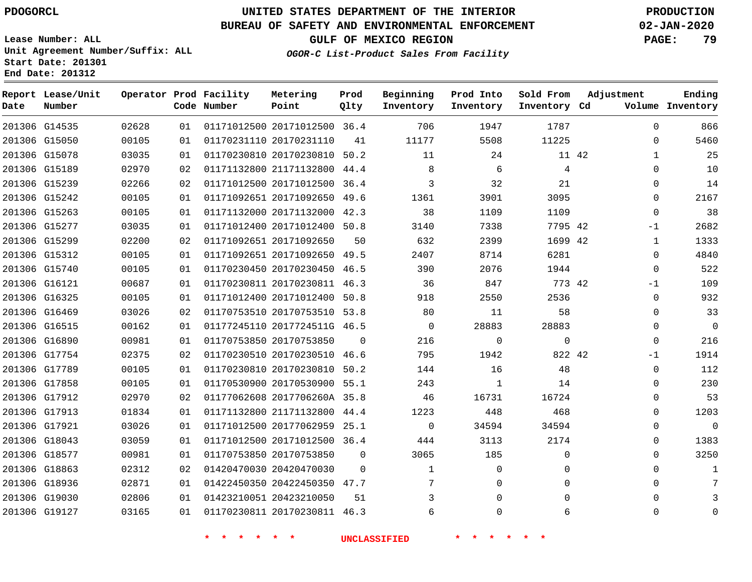**Lease Number: ALL**

**Start Date: 201301 End Date: 201312**

## **UNITED STATES DEPARTMENT OF THE INTERIOR PDOGORCL PRODUCTION**

#### **BUREAU OF SAFETY AND ENVIRONMENTAL ENFORCEMENT 02-JAN-2020**

**Unit Agreement Number/Suffix: ALL**

**GULF OF MEXICO REGION PAGE: 79**

**OGOR-C List-Product Sales From Facility**

| Date          | Report Lease/Unit<br>Number |       |    | Operator Prod Facility<br>Code Number | Metering<br>Point            | Prod<br>Qlty | Beginning<br>Inventory | Prod Into<br>Inventory | Sold From<br>Inventory Cd | Adjustment | Ending<br>Volume Inventory |
|---------------|-----------------------------|-------|----|---------------------------------------|------------------------------|--------------|------------------------|------------------------|---------------------------|------------|----------------------------|
|               | 201306 G14535               | 02628 | 01 |                                       | 01171012500 20171012500 36.4 |              | 706                    | 1947                   | 1787                      |            | $\mathbf 0$<br>866         |
| 201306 G15050 |                             | 00105 | 01 |                                       | 01170231110 20170231110      | 41           | 11177                  | 5508                   | 11225                     |            | 5460<br>$\Omega$           |
| 201306 G15078 |                             | 03035 | 01 |                                       | 01170230810 20170230810 50.2 |              | 11                     | 24                     | 11 42                     |            | 25<br>$\mathbf{1}$         |
|               | 201306 G15189               | 02970 | 02 |                                       | 01171132800 21171132800 44.4 |              | 8                      | 6                      | 4                         |            | 10<br>$\Omega$             |
|               | 201306 G15239               | 02266 | 02 |                                       | 01171012500 20171012500      | 36.4         | 3                      | 32                     | 21                        |            | 14<br>$\Omega$             |
|               | 201306 G15242               | 00105 | 01 |                                       | 01171092651 20171092650 49.6 |              | 1361                   | 3901                   | 3095                      |            | 2167<br>0                  |
| 201306 G15263 |                             | 00105 | 01 |                                       | 01171132000 20171132000 42.3 |              | 38                     | 1109                   | 1109                      |            | 38<br>$\Omega$             |
| 201306 G15277 |                             | 03035 | 01 |                                       | 01171012400 20171012400 50.8 |              | 3140                   | 7338                   | 7795 42                   | -1         | 2682                       |
| 201306 G15299 |                             | 02200 | 02 |                                       | 01171092651 20171092650      | 50           | 632                    | 2399                   | 1699 42                   |            | 1333<br>1                  |
|               | 201306 G15312               | 00105 | 01 |                                       | 01171092651 20171092650      | 49.5         | 2407                   | 8714                   | 6281                      |            | 4840<br>0                  |
| 201306 G15740 |                             | 00105 | 01 |                                       | 01170230450 20170230450 46.5 |              | 390                    | 2076                   | 1944                      |            | 522<br>$\Omega$            |
| 201306 G16121 |                             | 00687 | 01 |                                       | 01170230811 20170230811 46.3 |              | 36                     | 847                    | 773 42                    | -1         | 109                        |
|               | 201306 G16325               | 00105 | 01 |                                       | 01171012400 20171012400 50.8 |              | 918                    | 2550                   | 2536                      |            | 932<br>0                   |
| 201306 G16469 |                             | 03026 | 02 |                                       | 01170753510 20170753510 53.8 |              | 80                     | 11                     | 58                        |            | 33<br>0                    |
| 201306 G16515 |                             | 00162 | 01 |                                       | 01177245110 2017724511G 46.5 |              | $\Omega$               | 28883                  | 28883                     |            | $\mathbf 0$<br>$\Omega$    |
|               | 201306 G16890               | 00981 | 01 |                                       | 01170753850 20170753850      | $\Omega$     | 216                    | $\mathbf{0}$           | $\mathbf 0$               |            | 216<br>$\Omega$            |
|               | 201306 G17754               | 02375 | 02 |                                       | 01170230510 20170230510 46.6 |              | 795                    | 1942                   | 822 42                    | -1         | 1914                       |
| 201306 G17789 |                             | 00105 | 01 |                                       | 01170230810 20170230810      | 50.2         | 144                    | 16                     | 48                        |            | 112<br>0                   |
| 201306 G17858 |                             | 00105 | 01 |                                       | 01170530900 20170530900 55.1 |              | 243                    | $\mathbf{1}$           | 14                        |            | 230<br>$\Omega$            |
|               | 201306 G17912               | 02970 | 02 |                                       | 01177062608 2017706260A 35.8 |              | 46                     | 16731                  | 16724                     |            | 53<br>$\Omega$             |
| 201306 G17913 |                             | 01834 | 01 |                                       | 01171132800 21171132800      | 44.4         | 1223                   | 448                    | 468                       |            | 1203<br>$\Omega$           |
| 201306 G17921 |                             | 03026 | 01 |                                       | 01171012500 20177062959 25.1 |              | $\mathbf 0$            | 34594                  | 34594                     |            | $\mathbf 0$<br>0           |
| 201306 G18043 |                             | 03059 | 01 |                                       | 01171012500 20171012500 36.4 |              | 444                    | 3113                   | 2174                      |            | 1383<br>$\Omega$           |
| 201306 G18577 |                             | 00981 | 01 |                                       | 01170753850 20170753850      | $\Omega$     | 3065                   | 185                    | $\mathbf 0$               |            | 3250<br>$\Omega$           |
| 201306 G18863 |                             | 02312 | 02 |                                       | 01420470030 20420470030      | $\Omega$     | $\mathbf 1$            | 0                      | $\mathbf 0$               |            | $\Omega$<br>1              |
| 201306 G18936 |                             | 02871 | 01 |                                       | 01422450350 20422450350 47.7 |              | 7                      | 0                      | $\mathbf 0$               |            | $\Omega$<br>7              |
|               | 201306 G19030               | 02806 | 01 |                                       | 01423210051 20423210050      | 51           | 3                      | $\Omega$               | $\Omega$                  |            | $\Omega$                   |
| 201306 G19127 |                             | 03165 | 01 |                                       | 01170230811 20170230811 46.3 |              | 6                      | $\Omega$               | 6                         |            | $\Omega$<br>0              |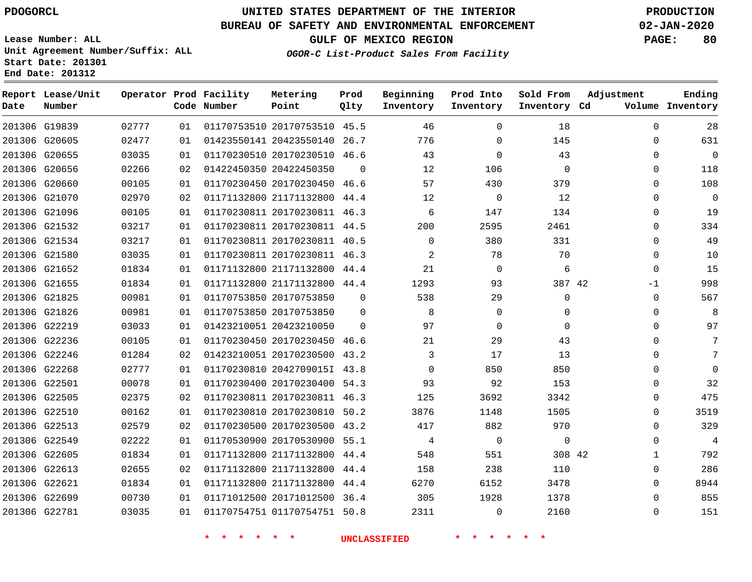**Report Lease/Unit**

**Number**

## **UNITED STATES DEPARTMENT OF THE INTERIOR PDOGORCL PRODUCTION**

**Prod Qlty**

#### **BUREAU OF SAFETY AND ENVIRONMENTAL ENFORCEMENT 02-JAN-2020**

**Lease Number: ALL Unit Agreement Number/Suffix: ALL Start Date: 201301 End Date: 201312**

**Operator Prod Facility**

**Code Number**

**OGOR-C List-Product Sales From Facility**

**Beginning Inventory** **Prod Into Inventory** **Sold From Inventory**

**GULF OF MEXICO REGION PAGE: 80**

**Inventory Cd Volume**

**Adjustment**

**Ending**

| 201306 G21652<br>201306 G21655 | 01834<br>01834 | 01<br>01 | 01171132800 21171132800 44.4<br>01171132800 21171132800 44.4 |          | 21<br>1293                 | $\mathbf{0}$<br>93 | 6<br>387 42    |  |
|--------------------------------|----------------|----------|--------------------------------------------------------------|----------|----------------------------|--------------------|----------------|--|
|                                |                |          |                                                              |          |                            |                    |                |  |
| 201306 G21825                  | 00981          | 01       | 01170753850 20170753850                                      | $\Omega$ | 538                        | 29                 | $\mathbf 0$    |  |
| 201306 G21826                  | 00981          | 01       | 01170753850 20170753850 0                                    |          | 8 <sup>8</sup>             | $\overline{0}$     | $\mathsf{O}$   |  |
| 201306 G22219                  | 03033          | 01       | 01423210051 20423210050 0                                    |          | 97                         | 0                  | 0              |  |
| 201306 G22236                  | 00105          | 01       | 01170230450 20170230450 46.6                                 |          | 21                         | 29                 | 43             |  |
| 201306 G22246                  | 01284          | 02       | 01423210051 20170230500 43.2                                 |          | $\overline{\phantom{a}}$ 3 | 17                 | 13             |  |
| 201306 G22268                  | 02777          | 01       | 01170230810 2042709015I 43.8                                 |          | $\overline{0}$             | 850                | 850            |  |
| 201306 G22501                  | 00078          | 01       | 01170230400 20170230400 54.3                                 |          | 93                         | 92                 | 153            |  |
| 201306 G22505                  | 02375          | 02       | 01170230811 20170230811 46.3                                 |          | 125                        | 3692               | 3342           |  |
| 201306 G22510                  | 00162          | 01       | 01170230810 20170230810 50.2                                 |          | 3876                       | 1148               | 1505           |  |
| 201306 G22513                  | 02579          | 02       | 01170230500 20170230500 43.2                                 |          | 417                        | 882                | 970            |  |
| 201306 G22549                  | 02222          | 01       | 01170530900 20170530900 55.1                                 |          | 4                          | $\overline{0}$     | $\overline{0}$ |  |
| 201306 G22605                  | 01834          | 01       | 01171132800 21171132800 44.4                                 |          | 548                        | 551                | 308 42         |  |
| 201306 G22613                  | 02655          | 02       | 01171132800 21171132800 44.4                                 |          | 158                        | 238                | 110            |  |
| 201306 G22621                  | 01834          | 01       | 01171132800 21171132800 44.4                                 |          | 6270                       | 6152               | 3478           |  |
| 201306 G22699                  | 00730          | 01       | 01171012500 20171012500 36.4                                 |          | 305                        | 1928               | 1378           |  |
|                                |                |          | 01170754751 01170754751 50.8                                 |          | 2311                       | $\mathbf{0}$       | 2160           |  |
| 201306 G22781                  | 03035          | 01       |                                                              |          |                            |                    |                |  |

**Metering Point**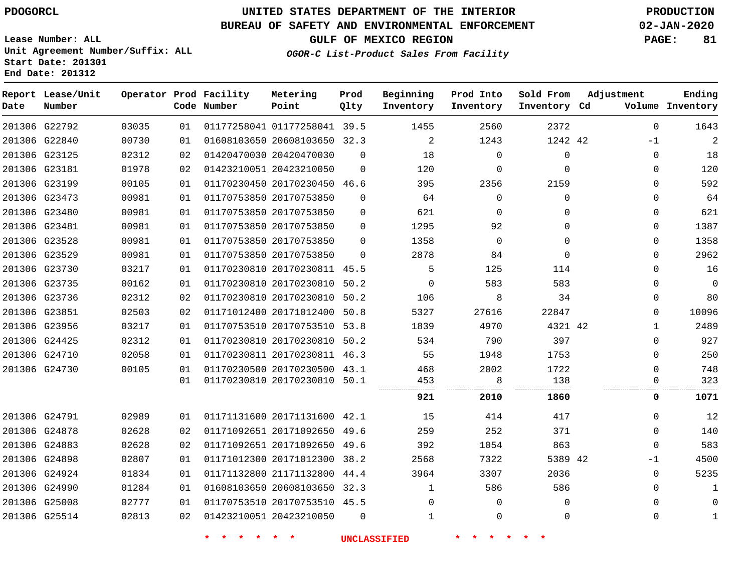**Start Date: 201301 End Date: 201312**

## **UNITED STATES DEPARTMENT OF THE INTERIOR PDOGORCL PRODUCTION**

#### **BUREAU OF SAFETY AND ENVIRONMENTAL ENFORCEMENT 02-JAN-2020**

**Lease Number: ALL Unit Agreement Number/Suffix: ALL**

**GULF OF MEXICO REGION PAGE: 81**

**OGOR-C List-Product Sales From Facility**

| Date | Report Lease/Unit<br>Number |       |    | Operator Prod Facility<br>Code Number | Metering<br>Point            | Prod<br>Qlty | Beginning<br>Inventory | Prod Into<br>Inventory | Sold From<br>Inventory Cd | Adjustment   | Ending<br>Volume Inventory |
|------|-----------------------------|-------|----|---------------------------------------|------------------------------|--------------|------------------------|------------------------|---------------------------|--------------|----------------------------|
|      | 201306 G22792               | 03035 | 01 |                                       | 01177258041 01177258041 39.5 |              | 1455                   | 2560                   | 2372                      | $\Omega$     | 1643                       |
|      | 201306 G22840               | 00730 | 01 |                                       | 01608103650 20608103650 32.3 |              | 2                      | 1243                   | 1242 42                   | $-1$         | $\overline{2}$             |
|      | 201306 G23125               | 02312 | 02 | 01420470030 20420470030               |                              | $\Omega$     | 18                     | $\Omega$               | $\mathbf 0$               | $\Omega$     | 18                         |
|      | 201306 G23181               | 01978 | 02 |                                       | 01423210051 20423210050      | $\mathbf 0$  | 120                    | $\mathbf 0$            | $\Omega$                  | $\Omega$     | 120                        |
|      | 201306 G23199               | 00105 | 01 |                                       | 01170230450 20170230450 46.6 |              | 395                    | 2356                   | 2159                      | $\Omega$     | 592                        |
|      | 201306 G23473               | 00981 | 01 |                                       | 01170753850 20170753850      | $\Omega$     | 64                     | $\Omega$               | $\Omega$                  | $\Omega$     | 64                         |
|      | 201306 G23480               | 00981 | 01 |                                       | 01170753850 20170753850      | $\Omega$     | 621                    | $\Omega$               | $\Omega$                  | $\Omega$     | 621                        |
|      | 201306 G23481               | 00981 | 01 |                                       | 01170753850 20170753850      | $\Omega$     | 1295                   | 92                     | $\Omega$                  | $\Omega$     | 1387                       |
|      | 201306 G23528               | 00981 | 01 |                                       | 01170753850 20170753850      | $\Omega$     | 1358                   | $\Omega$               | $\Omega$                  | $\Omega$     | 1358                       |
|      | 201306 G23529               | 00981 | 01 |                                       | 01170753850 20170753850      | $\Omega$     | 2878                   | 84                     | $\Omega$                  | $\Omega$     | 2962                       |
|      | 201306 G23730               | 03217 | 01 |                                       | 01170230810 20170230811 45.5 |              | 5                      | 125                    | 114                       | $\Omega$     | 16                         |
|      | 201306 G23735               | 00162 | 01 |                                       | 01170230810 20170230810 50.2 |              | $\mathbf 0$            | 583                    | 583                       | $\Omega$     | $\overline{0}$             |
|      | 201306 G23736               | 02312 | 02 |                                       | 01170230810 20170230810 50.2 |              | 106                    | 8                      | 34                        | $\mathbf{0}$ | 80                         |
|      | 201306 G23851               | 02503 | 02 |                                       | 01171012400 20171012400 50.8 |              | 5327                   | 27616                  | 22847                     | $\Omega$     | 10096                      |
|      | 201306 G23956               | 03217 | 01 |                                       | 01170753510 20170753510 53.8 |              | 1839                   | 4970                   | 4321 42                   | $\mathbf{1}$ | 2489                       |
|      | 201306 G24425               | 02312 | 01 |                                       | 01170230810 20170230810 50.2 |              | 534                    | 790                    | 397                       | $\Omega$     | 927                        |
|      | 201306 G24710               | 02058 | 01 |                                       | 01170230811 20170230811 46.3 |              | 55                     | 1948                   | 1753                      | $\Omega$     | 250                        |
|      | 201306 G24730               | 00105 | 01 |                                       | 01170230500 20170230500 43.1 |              | 468                    | 2002                   | 1722                      | $\Omega$     | 748                        |
|      |                             |       | 01 |                                       | 01170230810 20170230810 50.1 |              | 453                    | 8                      | 138                       | 0            | 323                        |
|      |                             |       |    |                                       |                              |              | 921                    | 2010                   | 1860                      | 0            | 1071                       |
|      | 201306 G24791               | 02989 | 01 |                                       | 01171131600 20171131600 42.1 |              | 15                     | 414                    | 417                       | $\Omega$     | 12                         |
|      | 201306 G24878               | 02628 | 02 |                                       | 01171092651 20171092650 49.6 |              | 259                    | 252                    | 371                       | $\Omega$     | 140                        |
|      | 201306 G24883               | 02628 | 02 |                                       | 01171092651 20171092650 49.6 |              | 392                    | 1054                   | 863                       | $\Omega$     | 583                        |
|      | 201306 G24898               | 02807 | 01 |                                       | 01171012300 20171012300 38.2 |              | 2568                   | 7322                   | 5389 42                   | $-1$         | 4500                       |
|      | 201306 G24924               | 01834 | 01 |                                       | 01171132800 21171132800 44.4 |              | 3964                   | 3307                   | 2036                      | $\mathbf 0$  | 5235                       |
|      | 201306 G24990               | 01284 | 01 |                                       | 01608103650 20608103650 32.3 |              | 1                      | 586                    | 586                       | $\Omega$     | $\mathbf{1}$               |
|      | 201306 G25008               | 02777 | 01 |                                       | 01170753510 20170753510 45.5 |              | 0                      | 0                      | $\mathbf 0$               | $\mathbf{0}$ | $\mathbf 0$                |
|      | 201306 G25514               | 02813 | 02 |                                       | 01423210051 20423210050      | $\Omega$     | 1                      | $\Omega$               | $\Omega$                  | $\Omega$     | $\mathbf{1}$               |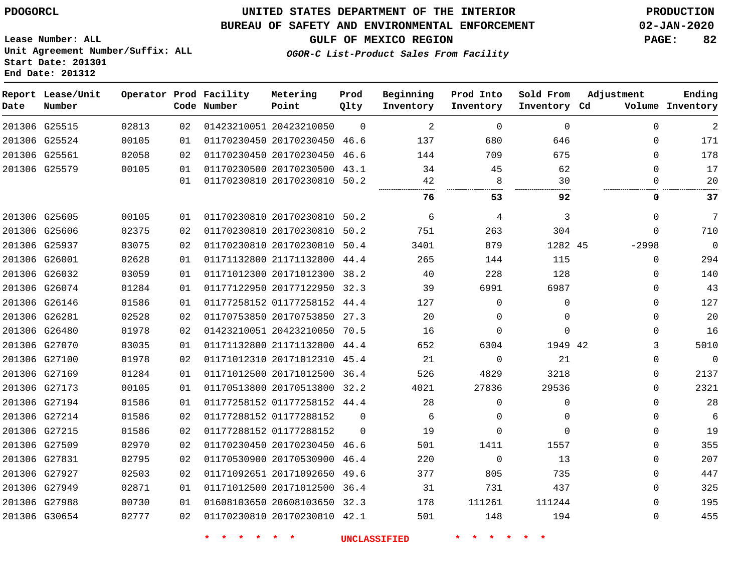#### **BUREAU OF SAFETY AND ENVIRONMENTAL ENFORCEMENT 02-JAN-2020**

**Lease Number: ALL Unit Agreement Number/Suffix: ALL Start Date: 201301 End Date: 201312**

**OGOR-C List-Product Sales From Facility**

**Report Lease/Unit Operator Prod Facility Metering Prod Beginning Prod Into Sold From Adjustment Ending Number Point Date Code Number Qlty Inventory Inventory Inventory Inventory Cd Volume** G25515 20423210050  $\cap$   $\Omega$  $\Omega$  $\Omega$  G25524 20170230450 46.6  $\Omega$  G25561 20170230450 46.6  $\Omega$  G25579 20170230500 43.1  $\Omega$   $\Omega$  20170230810 50.2 . . . . . . . **53 92 0 37** G25605 20170230810 50.2 G25606 20170230810 50.2 G25937 20170230810 50.4 45 -2998  $\Omega$  G26001 21171132800 44.4  $\Omega$  G26032 20171012300 38.2  $\Omega$  G26074 20177122950 32.3 G26146 01177258152 44.4  $\Omega$  $\Omega$  $\Omega$  G26281 20170753850 27.3  $\Omega$  $\Omega$  $\Omega$  G26480 20423210050 70.5  $\Omega$  $\Omega$  $\Omega$  G27070 21171132800 44.4 42 G27100 20171012310 45.4  $\Omega$   $\Omega$  $\Omega$  G27169 20171012500 36.4  $\Omega$  G27173 20170513800 32.2  $\Omega$  G27194 01177258152 44.4  $\Omega$   $\Omega$  G27214 01177288152  $\Omega$   $\Omega$  $\Omega$  $\Omega$  G27215 01177288152  $\Omega$   $\Omega$  $\Omega$  $\Omega$  G27509 20170230450 46.6 G27831 20170530900 46.4  $\Omega$   $\Omega$  G27927 20171092650 49.6  $\Omega$  G27949 20171012500 36.4  $\Omega$  G27988 20608103650 32.3  $\Omega$  G30654 20170230810 42.1  $\Omega$ 

**\* \* \* \* \* \* UNCLASSIFIED \* \* \* \* \* \***

**GULF OF MEXICO REGION PAGE: 82**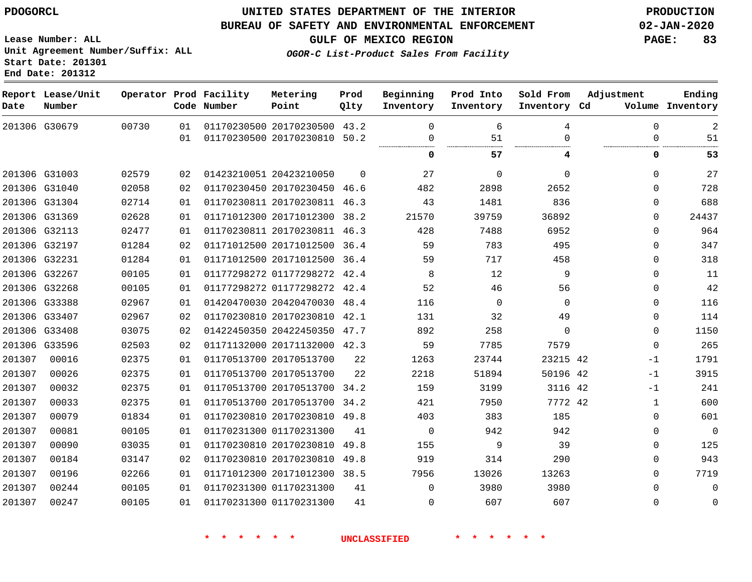**End Date: 201312**

## **UNITED STATES DEPARTMENT OF THE INTERIOR PDOGORCL PRODUCTION**

#### **BUREAU OF SAFETY AND ENVIRONMENTAL ENFORCEMENT 02-JAN-2020**

**Lease Number: ALL Unit Agreement Number/Suffix: ALL Start Date: 201301**

**GULF OF MEXICO REGION PAGE: 83**

**OGOR-C List-Product Sales From Facility**

| Date          | Report Lease/Unit<br>Number |       |    | Operator Prod Facility<br>Code Number | Metering<br>Point            | Prod<br>Qlty | Beginning<br>Inventory | Prod Into<br>Inventory | Sold From<br>Inventory Cd | Adjustment   | Ending<br>Volume Inventory |
|---------------|-----------------------------|-------|----|---------------------------------------|------------------------------|--------------|------------------------|------------------------|---------------------------|--------------|----------------------------|
| 201306 G30679 |                             | 00730 | 01 |                                       | 01170230500 20170230500      | 43.2         | $\Omega$               | 6                      | 4                         | $\Omega$     | 2                          |
|               |                             |       | 01 |                                       | 01170230500 20170230810      | 50.2         | 0                      | 51                     | $\Omega$                  | $\Omega$     | 51                         |
|               |                             |       |    |                                       |                              |              | 0                      | 57                     | 4                         | 0            | 53                         |
| 201306 G31003 |                             | 02579 | 02 |                                       | 01423210051 20423210050      | $\Omega$     | 27                     | $\Omega$               | $\Omega$                  | $\Omega$     | 27                         |
| 201306 G31040 |                             | 02058 | 02 |                                       | 01170230450 20170230450      | 46.6         | 482                    | 2898                   | 2652                      | $\Omega$     | 728                        |
| 201306 G31304 |                             | 02714 | 01 |                                       | 01170230811 20170230811 46.3 |              | 43                     | 1481                   | 836                       | $\Omega$     | 688                        |
| 201306 G31369 |                             | 02628 | 01 |                                       | 01171012300 20171012300      | 38.2         | 21570                  | 39759                  | 36892                     | $\Omega$     | 24437                      |
| 201306 G32113 |                             | 02477 | 01 |                                       | 01170230811 20170230811 46.3 |              | 428                    | 7488                   | 6952                      | $\Omega$     | 964                        |
| 201306 G32197 |                             | 01284 | 02 |                                       | 01171012500 20171012500      | 36.4         | 59                     | 783                    | 495                       | $\Omega$     | 347                        |
| 201306 G32231 |                             | 01284 | 01 |                                       | 01171012500 20171012500      | 36.4         | 59                     | 717                    | 458                       | $\Omega$     | 318                        |
| 201306 G32267 |                             | 00105 | 01 |                                       | 01177298272 01177298272      | 42.4         | 8                      | 12                     | 9                         | 0            | 11                         |
|               | 201306 G32268               | 00105 | 01 |                                       | 01177298272 01177298272      | 42.4         | 52                     | 46                     | 56                        | $\mathbf 0$  | 42                         |
| 201306 G33388 |                             | 02967 | 01 |                                       | 01420470030 20420470030      | 48.4         | 116                    | 0                      | $\mathbf 0$               | $\Omega$     | 116                        |
| 201306 G33407 |                             | 02967 | 02 |                                       | 01170230810 20170230810      | 42.1         | 131                    | 32                     | 49                        | $\Omega$     | 114                        |
| 201306 G33408 |                             | 03075 | 02 |                                       | 01422450350 20422450350      | 47.7         | 892                    | 258                    | $\Omega$                  | $\Omega$     | 1150                       |
| 201306 G33596 |                             | 02503 | 02 |                                       | 01171132000 20171132000      | 42.3         | 59                     | 7785                   | 7579                      | $\Omega$     | 265                        |
| 201307        | 00016                       | 02375 | 01 |                                       | 01170513700 20170513700      | 22           | 1263                   | 23744                  | 23215 42                  | $-1$         | 1791                       |
| 201307        | 00026                       | 02375 | 01 |                                       | 01170513700 20170513700      | 22           | 2218                   | 51894                  | 50196 42                  | $-1$         | 3915                       |
| 201307        | 00032                       | 02375 | 01 |                                       | 01170513700 20170513700 34.2 |              | 159                    | 3199                   | 3116 42                   | $-1$         | 241                        |
| 201307        | 00033                       | 02375 | 01 |                                       | 01170513700 20170513700      | 34.2         | 421                    | 7950                   | 7772 42                   | $\mathbf{1}$ | 600                        |
| 201307        | 00079                       | 01834 | 01 |                                       | 01170230810 20170230810 49.8 |              | 403                    | 383                    | 185                       | $\mathbf 0$  | 601                        |
| 201307        | 00081                       | 00105 | 01 |                                       | 01170231300 01170231300      | 41           | 0                      | 942                    | 942                       | 0            | $\overline{0}$             |
| 201307        | 00090                       | 03035 | 01 |                                       | 01170230810 20170230810      | 49.8         | 155                    | 9                      | 39                        | $\Omega$     | 125                        |
| 201307        | 00184                       | 03147 | 02 |                                       | 01170230810 20170230810      | 49.8         | 919                    | 314                    | 290                       | 0            | 943                        |
| 201307        | 00196                       | 02266 | 01 |                                       | 01171012300 20171012300      | 38.5         | 7956                   | 13026                  | 13263                     | $\Omega$     | 7719                       |
| 201307        | 00244                       | 00105 | 01 |                                       | 01170231300 01170231300      | 41           | $\Omega$               | 3980                   | 3980                      | $\Omega$     | $\mathbf 0$                |
| 201307        | 00247                       | 00105 | 01 |                                       | 01170231300 01170231300      | 41           | 0                      | 607                    | 607                       | $\Omega$     | 0                          |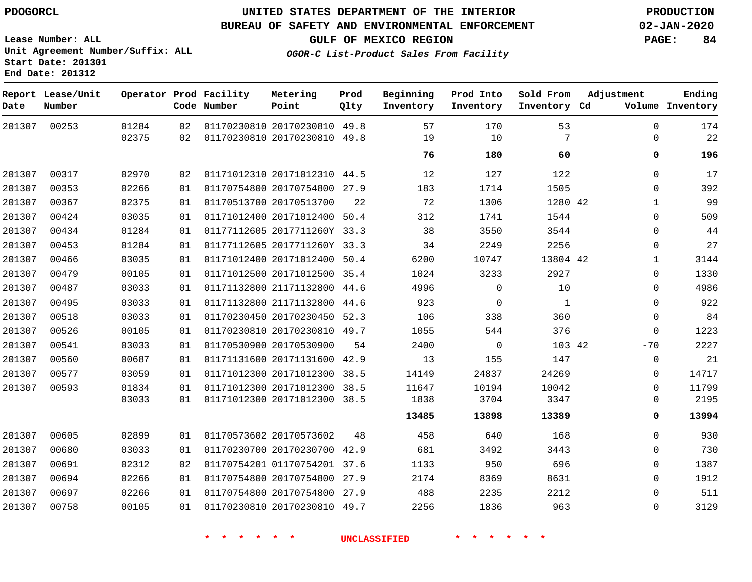**Lease Number: ALL**

**Start Date: 201301 End Date: 201312**

## **UNITED STATES DEPARTMENT OF THE INTERIOR PDOGORCL PRODUCTION**

#### **BUREAU OF SAFETY AND ENVIRONMENTAL ENFORCEMENT 02-JAN-2020**

**Unit Agreement Number/Suffix: ALL**

**GULF OF MEXICO REGION PAGE: 84**

**OGOR-C List-Product Sales From Facility**

| Date   | Report Lease/Unit<br>Number |       |    | Operator Prod Facility<br>Code Number | Metering<br>Point            | Prod<br>Qlty | Beginning<br>Inventory | Prod Into<br>Inventory | Sold From<br>Inventory Cd | Adjustment |              | Ending<br>Volume Inventory |
|--------|-----------------------------|-------|----|---------------------------------------|------------------------------|--------------|------------------------|------------------------|---------------------------|------------|--------------|----------------------------|
| 201307 | 00253                       | 01284 | 02 |                                       | 01170230810 20170230810 49.8 |              | 57                     | 170                    | 53                        |            | $\Omega$     | 174                        |
|        |                             | 02375 | 02 |                                       | 01170230810 20170230810 49.8 |              | 19                     | 10                     | 7                         |            | $\Omega$     | 22                         |
|        |                             |       |    |                                       |                              |              | 76                     | 180                    | 60                        |            | 0            | 196                        |
| 201307 | 00317                       | 02970 | 02 |                                       | 01171012310 20171012310 44.5 |              | 12                     | 127                    | 122                       |            | 0            | 17                         |
| 201307 | 00353                       | 02266 | 01 |                                       | 01170754800 20170754800 27.9 |              | 183                    | 1714                   | 1505                      |            | 0            | 392                        |
| 201307 | 00367                       | 02375 | 01 |                                       | 01170513700 20170513700      | 22           | 72                     | 1306                   | 1280 42                   |            | $\mathbf{1}$ | 99                         |
| 201307 | 00424                       | 03035 | 01 |                                       | 01171012400 20171012400      | 50.4         | 312                    | 1741                   | 1544                      |            | $\Omega$     | 509                        |
| 201307 | 00434                       | 01284 | 01 |                                       | 01177112605 2017711260Y 33.3 |              | 38                     | 3550                   | 3544                      |            | 0            | 44                         |
| 201307 | 00453                       | 01284 | 01 |                                       | 01177112605 2017711260Y 33.3 |              | 34                     | 2249                   | 2256                      |            | 0            | 27                         |
| 201307 | 00466                       | 03035 | 01 |                                       | 01171012400 20171012400 50.4 |              | 6200                   | 10747                  | 13804 42                  |            | $\mathbf{1}$ | 3144                       |
| 201307 | 00479                       | 00105 | 01 |                                       | 01171012500 20171012500 35.4 |              | 1024                   | 3233                   | 2927                      |            | 0            | 1330                       |
| 201307 | 00487                       | 03033 | 01 |                                       | 01171132800 21171132800 44.6 |              | 4996                   | $\mathbf 0$            | 10                        |            | $\Omega$     | 4986                       |
| 201307 | 00495                       | 03033 | 01 |                                       | 01171132800 21171132800      | 44.6         | 923                    | 0                      | $\mathbf{1}$              |            | $\mathbf{0}$ | 922                        |
| 201307 | 00518                       | 03033 | 01 |                                       | 01170230450 20170230450 52.3 |              | 106                    | 338                    | 360                       |            | 0            | 84                         |
| 201307 | 00526                       | 00105 | 01 |                                       | 01170230810 20170230810 49.7 |              | 1055                   | 544                    | 376                       |            | 0            | 1223                       |
| 201307 | 00541                       | 03033 | 01 |                                       | 01170530900 20170530900      | 54           | 2400                   | $\mathbf 0$            | 103 42                    |            | $-70$        | 2227                       |
| 201307 | 00560                       | 00687 | 01 |                                       | 01171131600 20171131600      | 42.9         | 13                     | 155                    | 147                       |            | $\mathbf{0}$ | 21                         |
| 201307 | 00577                       | 03059 | 01 |                                       | 01171012300 20171012300 38.5 |              | 14149                  | 24837                  | 24269                     |            | 0            | 14717                      |
| 201307 | 00593                       | 01834 | 01 |                                       | 01171012300 20171012300 38.5 |              | 11647                  | 10194                  | 10042                     |            | $\mathbf{0}$ | 11799                      |
|        |                             | 03033 | 01 |                                       | 01171012300 20171012300 38.5 |              | 1838                   | 3704                   | 3347                      |            | 0            | 2195                       |
|        |                             |       |    |                                       |                              |              | 13485                  | 13898                  | 13389                     |            | 0            | 13994                      |
| 201307 | 00605                       | 02899 | 01 |                                       | 01170573602 20170573602      | 48           | 458                    | 640                    | 168                       |            | $\Omega$     | 930                        |
| 201307 | 00680                       | 03033 | 01 |                                       | 01170230700 20170230700 42.9 |              | 681                    | 3492                   | 3443                      |            | 0            | 730                        |
| 201307 | 00691                       | 02312 | 02 |                                       | 01170754201 01170754201 37.6 |              | 1133                   | 950                    | 696                       |            | 0            | 1387                       |
| 201307 | 00694                       | 02266 | 01 |                                       | 01170754800 20170754800      | 27.9         | 2174                   | 8369                   | 8631                      |            | 0            | 1912                       |
| 201307 | 00697                       | 02266 | 01 |                                       | 01170754800 20170754800      | 27.9         | 488                    | 2235                   | 2212                      |            | $\Omega$     | 511                        |
| 201307 | 00758                       | 00105 | 01 |                                       | 01170230810 20170230810 49.7 |              | 2256                   | 1836                   | 963                       |            | $\Omega$     | 3129                       |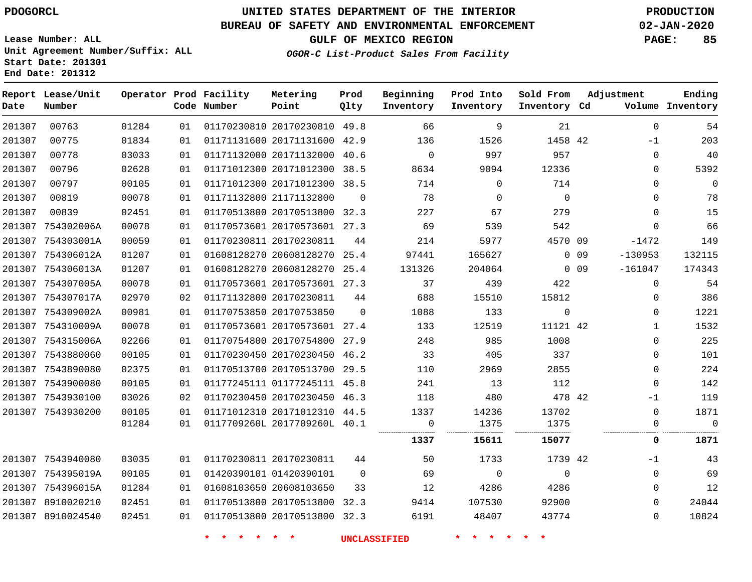**End Date: 201312**

**Report Lease/Unit**

**Number**

## **UNITED STATES DEPARTMENT OF THE INTERIOR PDOGORCL PRODUCTION**

**Prod Qlty**

#### **BUREAU OF SAFETY AND ENVIRONMENTAL ENFORCEMENT 02-JAN-2020**

**Lease Number: ALL Unit Agreement Number/Suffix: ALL Start Date: 201301**

**Operator Prod Facility**

**Code Number**

**Metering Point**

**OGOR-C List-Product Sales From Facility**

**Beginning Inventory** **Prod Into Inventory**

**Sold From Inventory**

**GULF OF MEXICO REGION PAGE: 85**

**Inventory Cd Volume**

**Adjustment**

**Ending**

| 201307 | 00763             | 01284 | 01 | 01170230810 20170230810 49.8 |          | 66          | 9        | 21          |       | $\Omega$     | 54          |
|--------|-------------------|-------|----|------------------------------|----------|-------------|----------|-------------|-------|--------------|-------------|
| 201307 | 00775             | 01834 | 01 | 01171131600 20171131600 42.9 |          | 136         | 1526     | 1458 42     |       | $-1$         | 203         |
| 201307 | 00778             | 03033 | 01 | 01171132000 20171132000      | 40.6     | $\mathbf 0$ | 997      | 957         |       | 0            | 40          |
| 201307 | 00796             | 02628 | 01 | 01171012300 20171012300 38.5 |          | 8634        | 9094     | 12336       |       | $\Omega$     | 5392        |
| 201307 | 00797             | 00105 | 01 | 01171012300 20171012300 38.5 |          | 714         | 0        | 714         |       | $\Omega$     | $\Omega$    |
| 201307 | 00819             | 00078 | 01 | 01171132800 21171132800      | $\Omega$ | 78          | $\Omega$ | $\Omega$    |       | 0            | 78          |
| 201307 | 00839             | 02451 | 01 | 01170513800 20170513800      | 32.3     | 227         | 67       | 279         |       | 0            | 15          |
| 201307 | 754302006A        | 00078 | 01 | 01170573601 20170573601 27.3 |          | 69          | 539      | 542         |       | $\Omega$     | 66          |
|        | 201307 754303001A | 00059 | 01 | 01170230811 20170230811      | 44       | 214         | 5977     | 4570 09     |       | -1472        | 149         |
| 201307 | 754306012A        | 01207 | 01 | 01608128270 20608128270      | 25.4     | 97441       | 165627   |             | 0 0 9 | $-130953$    | 132115      |
| 201307 | 754306013A        | 01207 | 01 | 01608128270 20608128270      | 25.4     | 131326      | 204064   |             | 0 0 9 | $-161047$    | 174343      |
| 201307 | 754307005A        | 00078 | 01 | 01170573601 20170573601 27.3 |          | 37          | 439      | 422         |       | $\Omega$     | 54          |
| 201307 | 754307017A        | 02970 | 02 | 01171132800 20170230811      | 44       | 688         | 15510    | 15812       |       | 0            | 386         |
| 201307 | 754309002A        | 00981 | 01 | 01170753850 20170753850      | $\Omega$ | 1088        | 133      | $\mathbf 0$ |       | $\Omega$     | 1221        |
| 201307 | 754310009A        | 00078 | 01 | 01170573601 20170573601 27.4 |          | 133         | 12519    | 11121 42    |       | 1            | 1532        |
| 201307 | 754315006A        | 02266 | 01 | 01170754800 20170754800      | 27.9     | 248         | 985      | 1008        |       | $\Omega$     | 225         |
| 201307 | 7543880060        | 00105 | 01 | 01170230450 20170230450      | 46.2     | 33          | 405      | 337         |       | $\Omega$     | 101         |
|        | 201307 7543890080 | 02375 | 01 | 01170513700 20170513700 29.5 |          | 110         | 2969     | 2855        |       | $\Omega$     | 224         |
|        | 201307 7543900080 | 00105 | 01 | 01177245111 01177245111 45.8 |          | 241         | 13       | 112         |       | $\Omega$     | 142         |
|        | 201307 7543930100 | 03026 | 02 | 01170230450 20170230450      | 46.3     | 118         | 480      | 478 42      |       | -1           | 119         |
|        | 201307 7543930200 | 00105 | 01 | 01171012310 20171012310 44.5 |          | 1337        | 14236    | 13702       |       | $\Omega$     | 1871        |
|        |                   | 01284 | 01 | 0117709260L 2017709260L 40.1 |          | 0           | 1375     | 1375        |       | $\Omega$<br> | $\mathbf 0$ |
|        |                   |       |    |                              |          | 1337        | 15611    | 15077       |       | 0            | 1871        |
|        | 201307 7543940080 | 03035 | 01 | 01170230811 20170230811      | 44       | 50          | 1733     | 1739 42     |       | $-1$         | 43          |
|        | 201307 754395019A | 00105 | 01 | 01420390101 01420390101      | $\Omega$ | 69          | 0        | 0           |       | 0            | 69          |
| 201307 | 754396015A        | 01284 | 01 | 01608103650 20608103650      | 33       | 12          | 4286     | 4286        |       | 0            | 12          |
| 201307 | 8910020210        | 02451 | 01 | 01170513800 20170513800      | 32.3     | 9414        | 107530   | 92900       |       | $\Omega$     | 24044       |
|        | 201307 8910024540 | 02451 | 01 | 01170513800 20170513800 32.3 |          | 6191        | 48407    | 43774       |       | $\Omega$     | 10824       |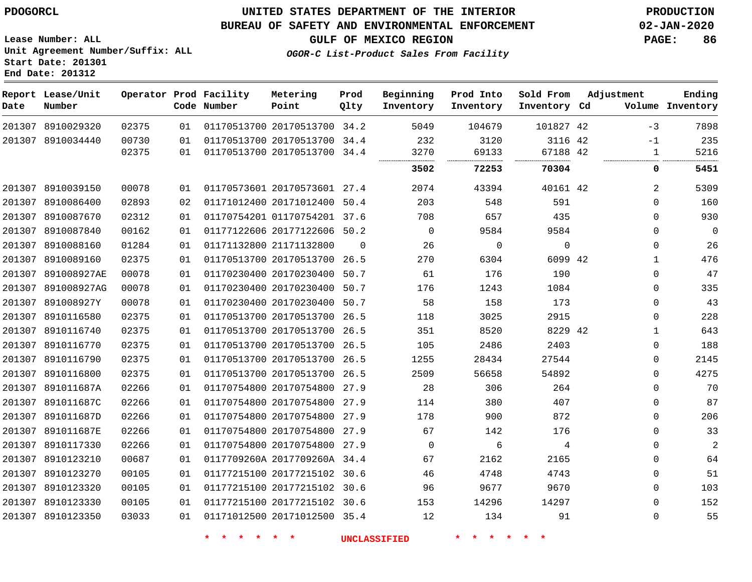**End Date: 201312**

## **UNITED STATES DEPARTMENT OF THE INTERIOR PDOGORCL PRODUCTION**

#### **BUREAU OF SAFETY AND ENVIRONMENTAL ENFORCEMENT 02-JAN-2020**

**Lease Number: ALL Unit Agreement Number/Suffix: ALL Start Date: 201301**

**OGOR-C List-Product Sales From Facility**

**GULF OF MEXICO REGION PAGE: 86**

| Date   | Report Lease/Unit<br>Number |                |          | Operator Prod Facility<br>Code Number | Metering<br>Point                                            | Prod<br>Olty | Beginning<br>Inventory | Prod Into<br>Inventory | Sold From<br>Inventory Cd | Adjustment   | Ending<br>Volume Inventory |
|--------|-----------------------------|----------------|----------|---------------------------------------|--------------------------------------------------------------|--------------|------------------------|------------------------|---------------------------|--------------|----------------------------|
|        | 201307 8910029320           | 02375          | 01       |                                       | 01170513700 20170513700 34.2                                 |              | 5049                   | 104679                 | 101827 42                 | $-3$         | 7898                       |
|        | 201307 8910034440           | 00730<br>02375 | 01<br>01 |                                       | 01170513700 20170513700 34.4<br>01170513700 20170513700 34.4 |              | 232<br>3270            | 3120<br>69133          | 3116 42<br>67188 42       | $-1$<br>1    | 235<br>5216                |
|        |                             |                |          |                                       |                                                              |              | <br>3502               | <br>72253              | 70304                     | 0            | 5451                       |
|        | 201307 8910039150           | 00078          | 01       |                                       | 01170573601 20170573601 27.4                                 |              | 2074                   | 43394                  | 40161 42                  | 2            | 5309                       |
|        | 201307 8910086400           | 02893          | 02       |                                       | 01171012400 20171012400                                      | 50.4         | 203                    | 548                    | 591                       | $\mathbf 0$  | 160                        |
|        | 201307 8910087670           | 02312          | 01       |                                       | 01170754201 01170754201 37.6                                 |              | 708                    | 657                    | 435                       | $\Omega$     | 930                        |
|        | 201307 8910087840           | 00162          | 01       |                                       | 01177122606 20177122606 50.2                                 |              | $\mathbf 0$            | 9584                   | 9584                      | $\mathbf 0$  | $\overline{0}$             |
| 201307 | 8910088160                  | 01284          | 01       |                                       | 01171132800 21171132800                                      | $\Omega$     | 26                     | $\mathbf 0$            | $\mathbf 0$               | $\mathbf 0$  | 26                         |
|        | 201307 8910089160           | 02375          | 01       |                                       | 01170513700 20170513700 26.5                                 |              | 270                    | 6304                   | 6099 42                   | $\mathbf{1}$ | 476                        |
| 201307 | 891008927AE                 | 00078          | 01       |                                       | 01170230400 20170230400                                      | 50.7         | 61                     | 176                    | 190                       | $\Omega$     | 47                         |
|        | 201307 891008927AG          | 00078          | 01       |                                       | 01170230400 20170230400 50.7                                 |              | 176                    | 1243                   | 1084                      | $\Omega$     | 335                        |
|        | 201307 891008927Y           | 00078          | 01       |                                       | 01170230400 20170230400                                      | 50.7         | 58                     | 158                    | 173                       | $\mathbf 0$  | 43                         |
|        | 201307 8910116580           | 02375          | 01       |                                       | 01170513700 20170513700 26.5                                 |              | 118                    | 3025                   | 2915                      | $\mathbf 0$  | 228                        |
| 201307 | 8910116740                  | 02375          | 01       |                                       | 01170513700 20170513700                                      | 26.5         | 351                    | 8520                   | 8229 42                   | $\mathbf{1}$ | 643                        |
|        | 201307 8910116770           | 02375          | 01       |                                       | 01170513700 20170513700 26.5                                 |              | 105                    | 2486                   | 2403                      | $\Omega$     | 188                        |
| 201307 | 8910116790                  | 02375          | 01       |                                       | 01170513700 20170513700 26.5                                 |              | 1255                   | 28434                  | 27544                     | $\Omega$     | 2145                       |
| 201307 | 8910116800                  | 02375          | 01       |                                       | 01170513700 20170513700 26.5                                 |              | 2509                   | 56658                  | 54892                     | $\Omega$     | 4275                       |
|        | 201307 891011687A           | 02266          | 01       |                                       | 01170754800 20170754800 27.9                                 |              | 28                     | 306                    | 264                       | $\Omega$     | 70                         |
|        | 201307 891011687C           | 02266          | 01       |                                       | 01170754800 20170754800                                      | 27.9         | 114                    | 380                    | 407                       | $\mathbf 0$  | 87                         |
|        | 201307 891011687D           | 02266          | 01       |                                       | 01170754800 20170754800 27.9                                 |              | 178                    | 900                    | 872                       | $\Omega$     | 206                        |
| 201307 | 891011687E                  | 02266          | 01       |                                       | 01170754800 20170754800 27.9                                 |              | 67                     | 142                    | 176                       | $\Omega$     | 33                         |
|        | 201307 8910117330           | 02266          | 01       |                                       | 01170754800 20170754800 27.9                                 |              | $\mathbf 0$            | 6                      | 4                         | $\Omega$     | 2                          |
| 201307 | 8910123210                  | 00687          | 01       |                                       | 0117709260A 2017709260A 34.4                                 |              | 67                     | 2162                   | 2165                      | $\mathbf 0$  | 64                         |
| 201307 | 8910123270                  | 00105          | 01       |                                       | 01177215100 20177215102 30.6                                 |              | 46                     | 4748                   | 4743                      | $\mathbf 0$  | 51                         |
| 201307 | 8910123320                  | 00105          | 01       |                                       | 01177215100 20177215102 30.6                                 |              | 96                     | 9677                   | 9670                      | $\Omega$     | 103                        |
|        | 201307 8910123330           | 00105          | 01       |                                       | 01177215100 20177215102 30.6                                 |              | 153                    | 14296                  | 14297                     | $\Omega$     | 152                        |
|        | 201307 8910123350           | 03033          | 01       |                                       | 01171012500 20171012500 35.4                                 |              | 12                     | 134                    | 91                        | $\Omega$     | 55                         |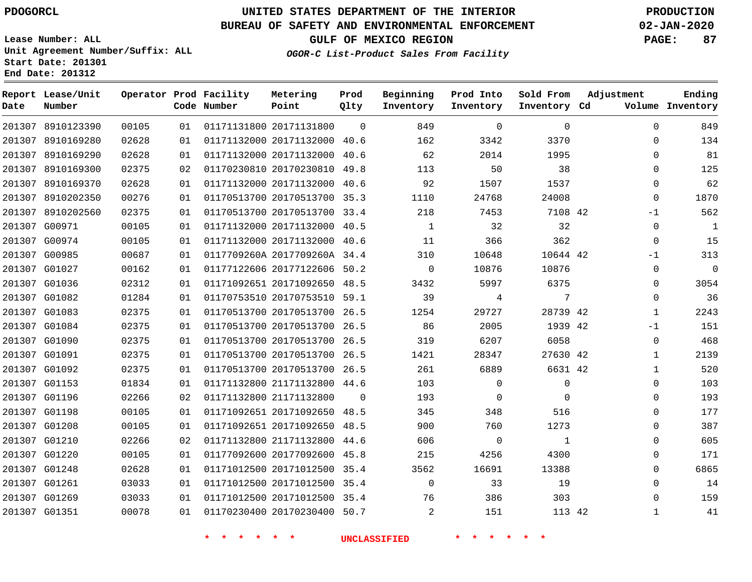## **UNITED STATES DEPARTMENT OF THE INTERIOR PDOGORCL PRODUCTION**

 $\Omega$ 

**Prod Qlty**

#### **BUREAU OF SAFETY AND ENVIRONMENTAL ENFORCEMENT 02-JAN-2020**

**Lease Number: ALL Unit Agreement Number/Suffix: ALL Start Date: 201301**

**Operator Prod Facility**

**Code Number**

20171131800

**Metering Point**

   

**End Date: 201312**

8910123390

**Report Lease/Unit**

**Number**

 G01261 G01269 G01351 **GULF OF MEXICO REGION PAGE: 87**

**Inventory Cd Volume**

**Adjustment**

**Ending**

 

 

**OGOR-C List-Product Sales From Facility**

**Beginning Inventory**

**Sold From Inventory**

**Prod Into Inventory**

|        | 201307 8910169280 | 02628 | 01 | 01171132000 20171132000 40.6 | 162             | 3342                    | 3370     | 134<br>0         |
|--------|-------------------|-------|----|------------------------------|-----------------|-------------------------|----------|------------------|
|        | 201307 8910169290 | 02628 | 01 | 01171132000 20171132000 40.6 | 62              | 2014                    | 1995     | 81<br>0          |
|        | 201307 8910169300 | 02375 | 02 | 01170230810 20170230810 49.8 | 113             | 50                      | 38       | 125<br>$\Omega$  |
| 201307 | 8910169370        | 02628 | 01 | 01171132000 20171132000 40.6 | 92              | 1507                    | 1537     | 62<br>$\Omega$   |
| 201307 | 8910202350        | 00276 | 01 | 01170513700 20170513700 35.3 | 1110            | 24768                   | 24008    | 1870<br>0        |
|        | 201307 8910202560 | 02375 | 01 | 01170513700 20170513700 33.4 | 218             | 7453                    | 7108 42  | 562<br>$-1$      |
|        | 201307 G00971     | 00105 | 01 | 01171132000 20171132000 40.5 | 1               | 32                      | 32       | $\Omega$<br>1    |
|        | 201307 G00974     | 00105 | 01 | 01171132000 20171132000 40.6 | 11              | 366                     | 362      | 15<br>$\Omega$   |
|        | 201307 G00985     | 00687 | 01 | 0117709260A 2017709260A 34.4 | 310             | 10648                   | 10644 42 | 313<br>$-1$      |
|        | 201307 G01027     | 00162 | 01 | 01177122606 20177122606 50.2 |                 | $\overline{0}$<br>10876 | 10876    | $\mathbf 0$<br>0 |
|        | 201307 G01036     | 02312 | 01 | 01171092651 20171092650 48.5 | 3432            | 5997                    | 6375     | 3054<br>$\Omega$ |
| 201307 | G01082            | 01284 | 01 | 01170753510 20170753510 59.1 | 39              | 4                       | 7        | 36<br>$\Omega$   |
|        | 201307 G01083     | 02375 | 01 | 01170513700 20170513700 26.5 | 1254            | 29727                   | 28739 42 | 2243<br>1        |
|        | 201307 G01084     | 02375 | 01 | 01170513700 20170513700 26.5 | 86              | 2005                    | 1939 42  | 151<br>$-1$      |
|        | 201307 G01090     | 02375 | 01 | 01170513700 20170513700 26.5 | 319             | 6207                    | 6058     | 468<br>0         |
|        | 201307 G01091     | 02375 | 01 | 01170513700 20170513700 26.5 | 1421            | 28347                   | 27630 42 | 2139             |
|        | 201307 G01092     | 02375 | 01 | 01170513700 20170513700 26.5 | 261             | 6889                    | 6631 42  | 520<br>1         |
|        | 201307 G01153     | 01834 | 01 | 01171132800 21171132800 44.6 | 103             | $\Omega$                | 0        | 103<br>$\Omega$  |
| 201307 | G01196            | 02266 | 02 | 01171132800 21171132800      | 193<br>$\Omega$ | $\Omega$                | $\Omega$ | 193<br>$\Omega$  |
|        | 201307 G01198     | 00105 | 01 | 01171092651 20171092650 48.5 | 345             | 348                     | 516      | 177<br>$\Omega$  |
|        | 201307 G01208     | 00105 | 01 | 01171092651 20171092650 48.5 | 900             | 760                     | 1273     | 387<br>$\Omega$  |
|        | 201307 G01210     | 02266 | 02 | 01171132800 21171132800 44.6 | 606             | $\Omega$                | 1        | 605<br>0         |
|        | 201307 G01220     | 00105 | 01 | 01177092600 20177092600 45.8 | 215             | 4256                    | 4300     | 171<br>0         |
|        | 201307 G01248     | 02628 | 01 | 01171012500 20171012500 35.4 | 3562            | 16691                   | 13388    | 6865<br>$\Omega$ |

**\* \* \* \* \* \* UNCLASSIFIED \* \* \* \* \* \***

 20171012500 35.4 20171012500 35.4 20170230400 50.7

 

 

42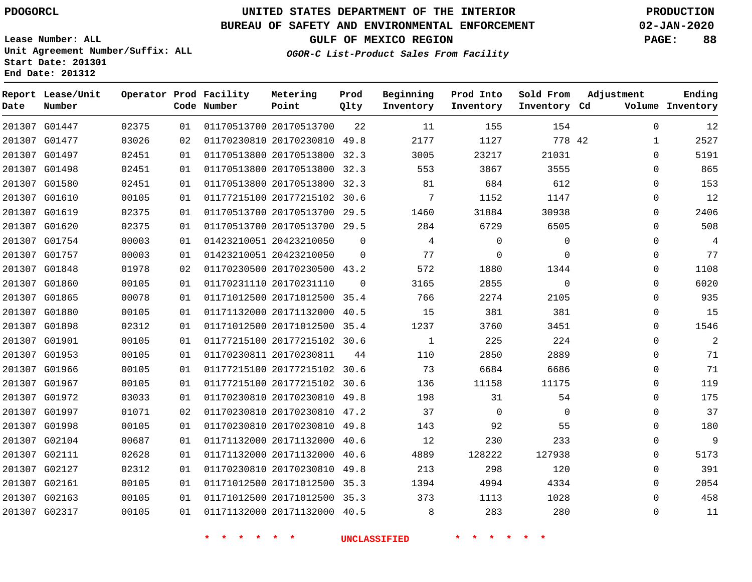**End Date: 201312**

## **UNITED STATES DEPARTMENT OF THE INTERIOR PDOGORCL PRODUCTION**

#### **BUREAU OF SAFETY AND ENVIRONMENTAL ENFORCEMENT 02-JAN-2020**

**Lease Number: ALL Unit Agreement Number/Suffix: ALL Start Date: 201301**

**GULF OF MEXICO REGION PAGE: 88**

**OGOR-C List-Product Sales From Facility**

| Date          | Report Lease/Unit<br>Number |       |    | Operator Prod Facility<br>Code Number | Metering<br>Point            | Prod<br>Qlty | Beginning<br>Inventory | Prod Into<br>Inventory | Sold From<br>Inventory Cd | Adjustment   | Ending<br>Volume Inventory |
|---------------|-----------------------------|-------|----|---------------------------------------|------------------------------|--------------|------------------------|------------------------|---------------------------|--------------|----------------------------|
|               | 201307 G01447               | 02375 | 01 |                                       | 01170513700 20170513700      | 22           | 11                     | 155                    | 154                       | $\mathbf 0$  | 12                         |
|               | 201307 G01477               | 03026 | 02 |                                       | 01170230810 20170230810 49.8 |              | 2177                   | 1127                   | 778 42                    | $\mathbf{1}$ | 2527                       |
|               | 201307 G01497               | 02451 | 01 |                                       | 01170513800 20170513800      | 32.3         | 3005                   | 23217                  | 21031                     | $\mathbf 0$  | 5191                       |
| 201307 G01498 |                             | 02451 | 01 |                                       | 01170513800 20170513800 32.3 |              | 553                    | 3867                   | 3555                      | $\mathbf 0$  | 865                        |
|               | 201307 G01580               | 02451 | 01 |                                       | 01170513800 20170513800 32.3 |              | 81                     | 684                    | 612                       | $\mathbf 0$  | 153                        |
|               | 201307 G01610               | 00105 | 01 |                                       | 01177215100 20177215102 30.6 |              | 7                      | 1152                   | 1147                      | $\mathbf 0$  | 12                         |
| 201307 G01619 |                             | 02375 | 01 |                                       | 01170513700 20170513700 29.5 |              | 1460                   | 31884                  | 30938                     | $\mathbf 0$  | 2406                       |
| 201307 G01620 |                             | 02375 | 01 |                                       | 01170513700 20170513700 29.5 |              | 284                    | 6729                   | 6505                      | $\Omega$     | 508                        |
|               | 201307 G01754               | 00003 | 01 |                                       | 01423210051 20423210050      | $\Omega$     | 4                      | $\Omega$               | $\mathbf 0$               | $\mathbf 0$  | 4                          |
| 201307 G01757 |                             | 00003 | 01 |                                       | 01423210051 20423210050      | $\Omega$     | 77                     | $\mathbf 0$            | $\mathbf 0$               | $\mathbf 0$  | 77                         |
|               | 201307 G01848               | 01978 | 02 |                                       | 01170230500 20170230500 43.2 |              | 572                    | 1880                   | 1344                      | $\mathbf 0$  | 1108                       |
| 201307 G01860 |                             | 00105 | 01 |                                       | 01170231110 20170231110      | $\mathbf 0$  | 3165                   | 2855                   | $\mathbf 0$               | $\mathbf 0$  | 6020                       |
| 201307 G01865 |                             | 00078 | 01 |                                       | 01171012500 20171012500 35.4 |              | 766                    | 2274                   | 2105                      | $\Omega$     | 935                        |
|               | 201307 G01880               | 00105 | 01 |                                       | 01171132000 20171132000 40.5 |              | 15                     | 381                    | 381                       | $\mathbf 0$  | 15                         |
| 201307 G01898 |                             | 02312 | 01 |                                       | 01171012500 20171012500 35.4 |              | 1237                   | 3760                   | 3451                      | $\mathbf 0$  | 1546                       |
|               | 201307 G01901               | 00105 | 01 |                                       | 01177215100 20177215102 30.6 |              | $\mathbf{1}$           | 225                    | 224                       | $\mathbf 0$  | $\overline{2}$             |
|               | 201307 G01953               | 00105 | 01 |                                       | 01170230811 20170230811      | 44           | 110                    | 2850                   | 2889                      | $\mathbf 0$  | 71                         |
|               | 201307 G01966               | 00105 | 01 |                                       | 01177215100 20177215102 30.6 |              | 73                     | 6684                   | 6686                      | $\Omega$     | 71                         |
|               | 201307 G01967               | 00105 | 01 |                                       | 01177215100 20177215102 30.6 |              | 136                    | 11158                  | 11175                     | $\mathbf 0$  | 119                        |
|               | 201307 G01972               | 03033 | 01 |                                       | 01170230810 20170230810 49.8 |              | 198                    | 31                     | 54                        | $\mathbf 0$  | 175                        |
| 201307 G01997 |                             | 01071 | 02 |                                       | 01170230810 20170230810 47.2 |              | 37                     | $\overline{0}$         | $\mathbf 0$               | $\mathbf 0$  | 37                         |
| 201307 G01998 |                             | 00105 | 01 |                                       | 01170230810 20170230810 49.8 |              | 143                    | 92                     | 55                        | $\Omega$     | 180                        |
|               | 201307 G02104               | 00687 | 01 |                                       | 01171132000 20171132000 40.6 |              | 12                     | 230                    | 233                       | $\mathbf 0$  | 9                          |
| 201307 G02111 |                             | 02628 | 01 |                                       | 01171132000 20171132000 40.6 |              | 4889                   | 128222                 | 127938                    | 0            | 5173                       |
| 201307 G02127 |                             | 02312 | 01 |                                       | 01170230810 20170230810 49.8 |              | 213                    | 298                    | 120                       | 0            | 391                        |
|               | 201307 G02161               | 00105 | 01 |                                       | 01171012500 20171012500 35.3 |              | 1394                   | 4994                   | 4334                      | $\mathbf 0$  | 2054                       |
|               | 201307 G02163               | 00105 | 01 |                                       | 01171012500 20171012500 35.3 |              | 373                    | 1113                   | 1028                      | $\Omega$     | 458                        |
|               | 201307 G02317               | 00105 | 01 |                                       | 01171132000 20171132000 40.5 |              | 8                      | 283                    | 280                       | $\Omega$     | 11                         |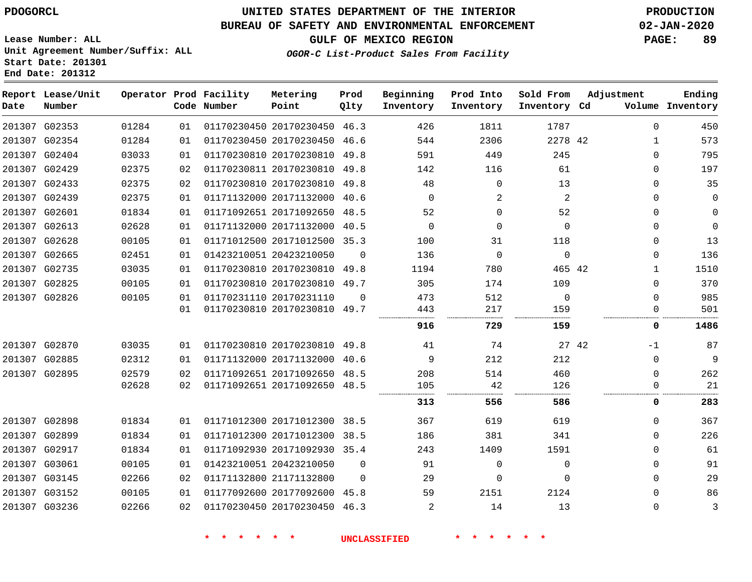G03236

## **UNITED STATES DEPARTMENT OF THE INTERIOR PDOGORCL PRODUCTION**

#### **BUREAU OF SAFETY AND ENVIRONMENTAL ENFORCEMENT 02-JAN-2020**

**Lease Number: ALL Unit Agreement Number/Suffix: ALL Start Date: 201301 End Date: 201312**

**OGOR-C List-Product Sales From Facility**

**GULF OF MEXICO REGION PAGE: 89**

| Date | Report Lease/Unit<br>Number |       |                 | Operator Prod Facility<br>Code Number | Metering<br>Point            | Prod<br>Qlty | Beginning<br>Inventory | Prod Into<br>Inventory | Sold From<br>Inventory Cd | Adjustment   | Ending<br>Volume Inventory |
|------|-----------------------------|-------|-----------------|---------------------------------------|------------------------------|--------------|------------------------|------------------------|---------------------------|--------------|----------------------------|
|      | 201307 G02353               | 01284 | 01              |                                       | 01170230450 20170230450 46.3 |              | 426                    | 1811                   | 1787                      | $\Omega$     | 450                        |
|      | 201307 G02354               | 01284 | 01              |                                       | 01170230450 20170230450 46.6 |              | 544                    | 2306                   | 2278 42                   | 1            | 573                        |
|      | 201307 G02404               | 03033 | 01              |                                       | 01170230810 20170230810 49.8 |              | 591                    | 449                    | 245                       | $\Omega$     | 795                        |
|      | 201307 G02429               | 02375 | 02              |                                       | 01170230811 20170230810 49.8 |              | 142                    | 116                    | 61                        | 0            | 197                        |
|      | 201307 G02433               | 02375 | 02              |                                       | 01170230810 20170230810 49.8 |              | 48                     | $\mathbf 0$            | 13                        | $\Omega$     | 35                         |
|      | 201307 G02439               | 02375 | 01              |                                       | 01171132000 20171132000 40.6 |              | 0                      | 2                      | 2                         | 0            | 0                          |
|      | 201307 G02601               | 01834 | 01              |                                       | 01171092651 20171092650 48.5 |              | 52                     | 0                      | 52                        | <sup>n</sup> | $\mathbf 0$                |
|      | 201307 G02613               | 02628 | 01              |                                       | 01171132000 20171132000 40.5 |              | $\Omega$               | $\mathbf 0$            | $\Omega$                  | 0            | $\mathbf 0$                |
|      | 201307 G02628               | 00105 | 01              |                                       | 01171012500 20171012500 35.3 |              | 100                    | 31                     | 118                       | $\Omega$     | 13                         |
|      | 201307 G02665               | 02451 | 01              |                                       | 01423210051 20423210050      | $\Omega$     | 136                    | $\Omega$               | $\mathbf 0$               | $\Omega$     | 136                        |
|      | 201307 G02735               | 03035 | 01              |                                       | 01170230810 20170230810 49.8 |              | 1194                   | 780                    | 465 42                    | 1            | 1510                       |
|      | 201307 G02825               | 00105 | 01              |                                       | 01170230810 20170230810 49.7 |              | 305                    | 174                    | 109                       | $\Omega$     | 370                        |
|      | 201307 G02826               | 00105 | 01              |                                       | 01170231110 20170231110      | $\Omega$     | 473                    | 512                    | $\Omega$                  | $\Omega$     | 985                        |
|      |                             |       | 01              |                                       | 01170230810 20170230810 49.7 |              | 443                    | 217                    | 159                       | 0            | 501                        |
|      |                             |       |                 |                                       |                              |              | 916                    | 729                    | 159                       | 0            | 1486                       |
|      | 201307 G02870               | 03035 | 01              |                                       | 01170230810 20170230810 49.8 |              | 41                     | 74                     | 27 42                     | $-1$         | 87                         |
|      | 201307 G02885               | 02312 | 01              |                                       | 01171132000 20171132000 40.6 |              | 9                      | 212                    | 212                       | $\Omega$     | 9                          |
|      | 201307 G02895               | 02579 | 02 <sub>2</sub> |                                       | 01171092651 20171092650 48.5 |              | 208                    | 514                    | 460                       | 0            | 262                        |
|      |                             | 02628 | 02              |                                       | 01171092651 20171092650 48.5 |              | 105                    | 42                     | 126                       | 0            | 21                         |
|      |                             |       |                 |                                       |                              |              | 313                    | 556                    | 586                       | 0            | 283                        |
|      | 201307 G02898               | 01834 | 01              |                                       | 01171012300 20171012300 38.5 |              | 367                    | 619                    | 619                       | $\Omega$     | 367                        |
|      | 201307 G02899               | 01834 | 01              |                                       | 01171012300 20171012300 38.5 |              | 186                    | 381                    | 341                       | $\Omega$     | 226                        |
|      | 201307 G02917               | 01834 | 01              |                                       | 01171092930 20171092930 35.4 |              | 243                    | 1409                   | 1591                      | 0            | 61                         |
|      | 201307 G03061               | 00105 | 01              |                                       | 01423210051 20423210050      | $\Omega$     | 91                     | $\mathbf 0$            | $\Omega$                  | $\Omega$     | 91                         |
|      | 201307 G03145               | 02266 | 02              |                                       | 01171132800 21171132800      | $\Omega$     | 29                     | $\mathbf 0$            | $\Omega$                  | 0            | 29                         |
|      | 201307 G03152               | 00105 | 01              |                                       | 01177092600 20177092600 45.8 |              | 59                     | 2151                   | 2124                      | $\Omega$     | 86                         |

20170230450 46.3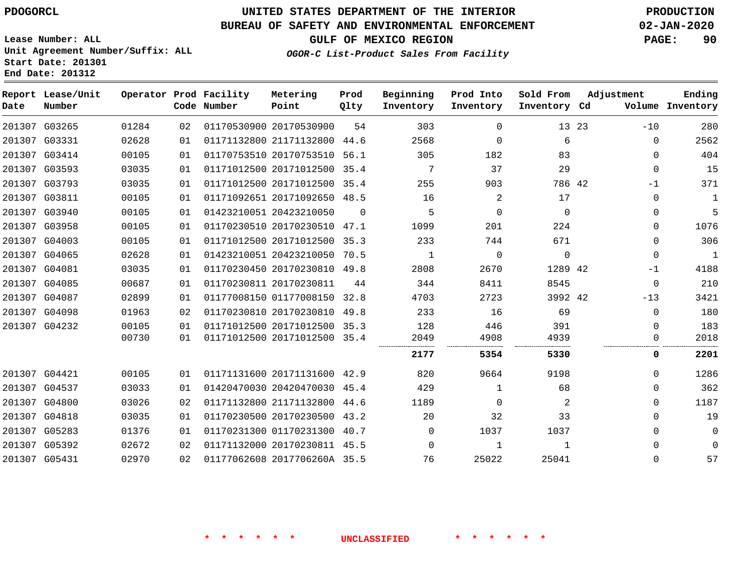**End Date: 201312**

## **UNITED STATES DEPARTMENT OF THE INTERIOR PDOGORCL PRODUCTION**

#### **BUREAU OF SAFETY AND ENVIRONMENTAL ENFORCEMENT 02-JAN-2020**

**Lease Number: ALL Unit Agreement Number/Suffix: ALL Start Date: 201301**

## **GULF OF MEXICO REGION PAGE: 90**

**OGOR-C List-Product Sales From Facility**

| Date   | Report Lease/Unit<br>Number |       |    | Operator Prod Facility<br>Code Number | Metering<br>Point            | Prod<br>Qlty | Beginning<br>Inventory | Prod Into<br>Inventory | Sold From<br>Inventory Cd | Adjustment     | Ending<br>Volume Inventory |
|--------|-----------------------------|-------|----|---------------------------------------|------------------------------|--------------|------------------------|------------------------|---------------------------|----------------|----------------------------|
| 201307 | G03265                      | 01284 | 02 |                                       | 01170530900 20170530900      | 54           | 303                    | $\Omega$               |                           | 13 23<br>$-10$ | 280                        |
| 201307 | G03331                      | 02628 | 01 |                                       | 01171132800 21171132800      | 44.6         | 2568                   | $\Omega$               | 6                         |                | 2562<br>$\mathbf 0$        |
| 201307 | G03414                      | 00105 | 01 |                                       | 01170753510 20170753510      | 56.1         | 305                    | 182                    | 83                        |                | 404<br>$\mathbf 0$         |
| 201307 | G03593                      | 03035 | 01 |                                       | 01171012500 20171012500      | 35.4         | 7                      | 37                     | 29                        |                | 15<br>$\Omega$             |
|        | 201307 G03793               | 03035 | 01 |                                       | 01171012500 20171012500 35.4 |              | 255                    | 903                    | 786 42                    |                | 371<br>$-1$                |
| 201307 | G03811                      | 00105 | 01 |                                       | 01171092651 20171092650      | 48.5         | 16                     | 2                      | 17                        |                | $\mathbf 1$<br>$\Omega$    |
| 201307 | G03940                      | 00105 | 01 |                                       | 01423210051 20423210050      | $\Omega$     | 5                      | $\Omega$               | $\Omega$                  |                | 5<br>0                     |
| 201307 | G03958                      | 00105 | 01 |                                       | 01170230510 20170230510      | 47.1         | 1099                   | 201                    | 224                       |                | $\mathbf 0$<br>1076        |
| 201307 | G04003                      | 00105 | 01 |                                       | 01171012500 20171012500      | 35.3         | 233                    | 744                    | 671                       |                | 306<br>$\Omega$            |
|        | 201307 G04065               | 02628 | 01 |                                       | 01423210051 20423210050      | 70.5         | 1                      | $\Omega$               | $\Omega$                  |                | $\mathbf{1}$<br>$\Omega$   |
| 201307 | G04081                      | 03035 | 01 |                                       | 01170230450 20170230810      | 49.8         | 2808                   | 2670                   | 1289 42                   |                | 4188<br>$-1$               |
| 201307 | G04085                      | 00687 | 01 |                                       | 01170230811 20170230811      | 44           | 344                    | 8411                   | 8545                      |                | 210<br>$\mathbf 0$         |
| 201307 | G04087                      | 02899 | 01 |                                       | 01177008150 01177008150      | 32.8         | 4703                   | 2723                   | 3992 42                   | $-13$          | 3421                       |
| 201307 | G04098                      | 01963 | 02 |                                       | 01170230810 20170230810      | 49.8         | 233                    | 16                     | 69                        |                | 180<br>$\mathbf 0$         |
|        | 201307 G04232               | 00105 | 01 |                                       | 01171012500 20171012500 35.3 |              | 128                    | 446                    | 391                       |                | 183<br>$\Omega$            |
|        |                             | 00730 | 01 |                                       | 01171012500 20171012500      | 35.4         | 2049                   | 4908                   | 4939                      |                | 2018<br>$\mathbf 0$        |
|        |                             |       |    |                                       |                              |              | 2177                   | 5354                   | 5330                      |                | 0<br>2201                  |
| 201307 | G04421                      | 00105 | 01 |                                       | 01171131600 20171131600      | 42.9         | 820                    | 9664                   | 9198                      |                | $\mathbf 0$<br>1286        |
| 201307 | G04537                      | 03033 | 01 |                                       | 01420470030 20420470030      | 45.4         | 429                    | 1                      | 68                        |                | 362<br>$\mathbf 0$         |
| 201307 | G04800                      | 03026 | 02 |                                       | 01171132800 21171132800 44.6 |              | 1189                   | $\Omega$               | 2                         |                | 1187<br>$\Omega$           |
| 201307 | G04818                      | 03035 | 01 |                                       | 01170230500 20170230500      | 43.2         | 20                     | 32                     | 33                        |                | 19<br>$\Omega$             |
| 201307 | G05283                      | 01376 | 01 |                                       | 01170231300 01170231300      | 40.7         | $\Omega$               | 1037                   | 1037                      |                | $\Omega$<br>0              |
| 201307 | G05392                      | 02672 | 02 |                                       | 01171132000 20170230811 45.5 |              | $\Omega$               | $\mathbf{1}$           | $\mathbf{1}$              |                | $\Omega$<br>$\Omega$       |
|        | 201307 G05431               | 02970 | 02 |                                       | 01177062608 2017706260A 35.5 |              | 76                     | 25022                  | 25041                     |                | 57<br>$\Omega$             |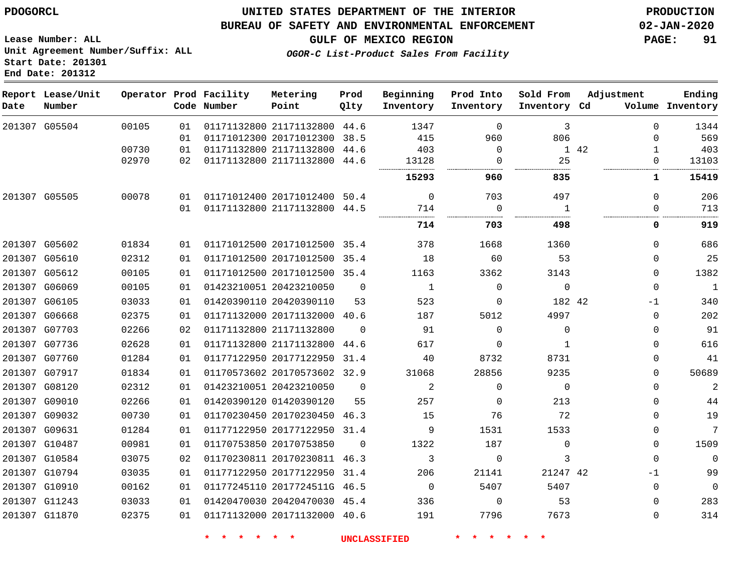#### **BUREAU OF SAFETY AND ENVIRONMENTAL ENFORCEMENT 02-JAN-2020**

**Lease Number: ALL Unit Agreement Number/Suffix: ALL Start Date: 201301 End Date: 201312**

**GULF OF MEXICO REGION PAGE: 91**

**OGOR-C List-Product Sales From Facility**

| Date | Report Lease/Unit<br>Number |       |     | Operator Prod Facility<br>Code Number | Metering<br>Point            | Prod<br>Qlty | Beginning<br>Inventory | Prod Into<br>Inventory | Sold From<br>Inventory Cd | Adjustment |              | Ending<br>Volume Inventory |
|------|-----------------------------|-------|-----|---------------------------------------|------------------------------|--------------|------------------------|------------------------|---------------------------|------------|--------------|----------------------------|
|      | 201307 G05504               | 00105 | 01  |                                       | 01171132800 21171132800 44.6 |              | 1347                   | $\mathbf 0$            | 3                         |            | $\mathbf{0}$ | 1344                       |
|      |                             |       | 01  |                                       | 01171012300 20171012300 38.5 |              | 415                    | 960                    | 806                       |            | 0            | 569                        |
|      |                             | 00730 | 01  |                                       | 01171132800 21171132800 44.6 |              | 403                    | $\mathbf 0$            |                           | 1 42       | $\mathbf{1}$ | 403                        |
|      |                             | 02970 | 02  |                                       | 01171132800 21171132800 44.6 |              | 13128                  | $\Omega$               | 25                        |            | $\Omega$     | 13103                      |
|      |                             |       |     |                                       |                              |              | 15293                  | 960                    | 835                       |            | 1            | 15419                      |
|      | 201307 G05505               | 00078 | 01  |                                       | 01171012400 20171012400 50.4 |              | $\mathbf 0$            | 703                    | 497                       |            | $\Omega$     | 206                        |
|      |                             |       | 01  |                                       | 01171132800 21171132800 44.5 |              | 714                    | $\mathbf 0$            | $\mathbf{1}$              |            | 0            | 713                        |
|      |                             |       |     |                                       |                              |              | 714                    | 703                    | 498                       |            | 0            | 919                        |
|      | 201307 G05602               | 01834 | 01  |                                       | 01171012500 20171012500 35.4 |              | 378                    | 1668                   | 1360                      |            | $\Omega$     | 686                        |
|      | 201307 G05610               | 02312 | 01  |                                       | 01171012500 20171012500 35.4 |              | 18                     | 60                     | 53                        |            | $\Omega$     | 25                         |
|      | 201307 G05612               | 00105 | 01  |                                       | 01171012500 20171012500 35.4 |              | 1163                   | 3362                   | 3143                      |            | $\Omega$     | 1382                       |
|      | 201307 G06069               | 00105 | 01  |                                       | 01423210051 20423210050      | $\Omega$     | 1                      | $\Omega$               | $\mathbf 0$               |            | $\Omega$     | $\mathbf{1}$               |
|      | 201307 G06105               | 03033 | 01  |                                       | 01420390110 20420390110      | 53           | 523                    | $\mathbf 0$            | 182 42                    |            | -1           | 340                        |
|      | 201307 G06668               | 02375 | 01  |                                       | 01171132000 20171132000 40.6 |              | 187                    | 5012                   | 4997                      |            | $\Omega$     | 202                        |
|      | 201307 G07703               | 02266 | 02  |                                       | 01171132800 21171132800      | $\Omega$     | 91                     | $\Omega$               | $\mathbf 0$               |            | $\mathbf{0}$ | 91                         |
|      | 201307 G07736               | 02628 | 01  |                                       | 01171132800 21171132800      | 44.6         | 617                    | $\Omega$               | 1                         |            | $\mathbf{0}$ | 616                        |
|      | 201307 G07760               | 01284 | 01  |                                       | 01177122950 20177122950      | 31.4         | 40                     | 8732                   | 8731                      |            | 0            | 41                         |
|      | 201307 G07917               | 01834 | 01  |                                       | 01170573602 20170573602 32.9 |              | 31068                  | 28856                  | 9235                      |            | 0            | 50689                      |
|      | 201307 G08120               | 02312 | 01  |                                       | 01423210051 20423210050      | $\mathbf 0$  | 2                      | $\Omega$               | $\mathbf 0$               |            | $\mathbf{0}$ | $\mathbf{2}$               |
|      | 201307 G09010               | 02266 | 01  |                                       | 01420390120 01420390120      | 55           | 257                    | $\mathbf 0$            | 213                       |            | $\mathbf{0}$ | 44                         |
|      | 201307 G09032               | 00730 | 01  |                                       | 01170230450 20170230450 46.3 |              | 15                     | 76                     | 72                        |            | $\Omega$     | 19                         |
|      | 201307 G09631               | 01284 | 01  |                                       | 01177122950 20177122950 31.4 |              | 9                      | 1531                   | 1533                      |            | $\mathbf{0}$ | 7                          |
|      | 201307 G10487               | 00981 | 01  |                                       | 01170753850 20170753850      | $\Omega$     | 1322                   | 187                    | $\Omega$                  |            | $\mathbf{0}$ | 1509                       |
|      | 201307 G10584               | 03075 | 02  |                                       | 01170230811 20170230811 46.3 |              | 3                      | $\Omega$               | 3                         |            | $\mathbf{0}$ | $\mathbf 0$                |
|      | 201307 G10794               | 03035 | 01  |                                       | 01177122950 20177122950      | 31.4         | 206                    | 21141                  | 21247 42                  |            | -1           | 99                         |
|      | 201307 G10910               | 00162 | 01  |                                       | 01177245110 2017724511G 46.5 |              | $\mathbf 0$            | 5407                   | 5407                      |            | $\Omega$     | $\mathbf 0$                |
|      | 201307 G11243               | 03033 | 01  |                                       | 01420470030 20420470030 45.4 |              | 336                    | $\Omega$               | 53                        |            | 0            | 283                        |
|      | 201307 G11870               | 02375 | 0 1 |                                       | 01171132000 20171132000 40.6 |              | 191                    | 7796                   | 7673                      |            | $\Omega$     | 314                        |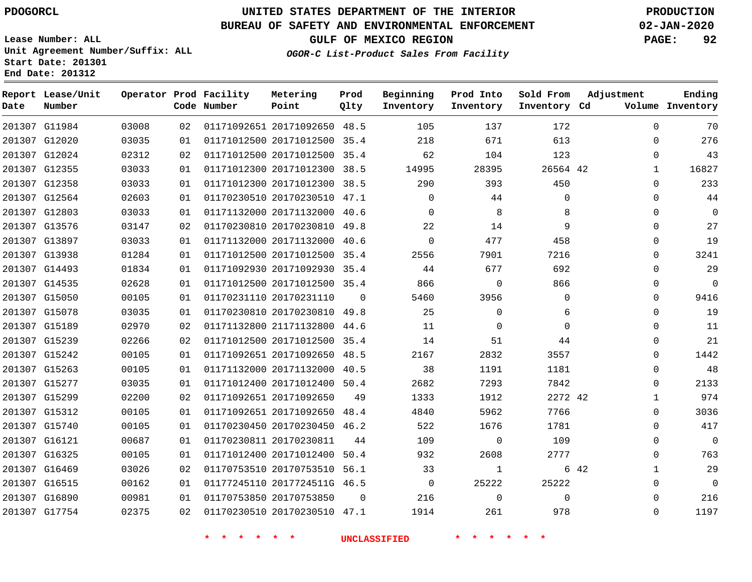G11984 G12020 G12024 G12355 G12358 G12564 G12803 G13576 G13897 G13938 G14493 G14535 G15050 G15078 G15189 G15239 G15242 G15263 G15277 G15299 G15312 G15740 G16121 G16325 G16469 G16515 G16890 G17754

**Date**

**Report Lease/Unit**

**Number**

## **UNITED STATES DEPARTMENT OF THE INTERIOR PDOGORCL PRODUCTION**

**Prod Qlty**

#### **BUREAU OF SAFETY AND ENVIRONMENTAL ENFORCEMENT 02-JAN-2020**

**Lease Number: ALL Unit Agreement Number/Suffix: ALL Start Date: 201301 End Date: 201312**

**Operator Prod Facility**

**Code Number**

**OGOR-C List-Product Sales From Facility**

**Beginning Inventory** **Prod Into Inventory** **Sold From Inventory**

**GULF OF MEXICO REGION PAGE: 92**

**Inventory Cd Volume**

**Adjustment**

  $\Omega$  $\Omega$   $\Omega$  $\Omega$  $\Omega$  $\Omega$  $\Omega$  $\Omega$  $\Omega$  $\Omega$  $\Omega$   $\Omega$  $\overline{0}$  $\Omega$  $\Omega$  $\Omega$   $\Omega$  $\Omega$  $\Omega$   $\Omega$  $\Omega$ 

**Ending**

| 03008 | 02 | 01171092651 20171092650 | 48.5     | 105      | 137      | 172      |  |
|-------|----|-------------------------|----------|----------|----------|----------|--|
| 03035 | 01 | 01171012500 20171012500 | 35.4     | 218      | 671      | 613      |  |
| 02312 | 02 | 01171012500 20171012500 | 35.4     | 62       | 104      | 123      |  |
| 03033 | 01 | 01171012300 20171012300 | 38.5     | 14995    | 28395    | 26564 42 |  |
| 03033 | 01 | 01171012300 20171012300 | 38.5     | 290      | 393      | 450      |  |
| 02603 | 01 | 01170230510 20170230510 | 47.1     | $\Omega$ | 44       | $\Omega$ |  |
| 03033 | 01 | 01171132000 20171132000 | 40.6     | $\Omega$ | 8        | 8        |  |
| 03147 | 02 | 01170230810 20170230810 | 49.8     | 22       | 14       | 9        |  |
| 03033 | 01 | 01171132000 20171132000 | 40.6     | $\Omega$ | 477      | 458      |  |
| 01284 | 01 | 01171012500 20171012500 | 35.4     | 2556     | 7901     | 7216     |  |
| 01834 | 01 | 01171092930 20171092930 | 35.4     | 44       | 677      | 692      |  |
| 02628 | 01 | 01171012500 20171012500 | 35.4     | 866      | $\Omega$ | 866      |  |
| 00105 | 01 | 01170231110 20170231110 | $\Omega$ | 5460     | 3956     | $\Omega$ |  |
| 03035 | 01 | 01170230810 20170230810 | 49.8     | 25       | $\Omega$ | 6        |  |
| 02970 | 02 | 01171132800 21171132800 | 44.6     | 11       | $\Omega$ | $\Omega$ |  |
| 02266 | 02 | 01171012500 20171012500 | 35.4     | 14       | 51       | 44       |  |
| 00105 | 01 | 01171092651 20171092650 | 48.5     | 2167     | 2832     | 3557     |  |
| 00105 | 01 | 01171132000 20171132000 | 40.5     | 38       | 1191     | 1181     |  |
| 03035 | 01 | 01171012400 20171012400 | 50.4     | 2682     | 7293     | 7842     |  |
| 02200 | 02 | 01171092651 20171092650 | 49       | 1333     | 1912     | 2272 42  |  |
| 00105 | 01 | 01171092651 20171092650 | 48.4     | 4840     | 5962     | 7766     |  |
| 00105 | 01 | 01170230450 20170230450 | 46.2     | 522      | 1676     | 1781     |  |

20170230811

20170753850

 20171012400 50.4 20170753510 56.1 2017724511G 46.5

**Metering Point**

20170230510 47.1

 $\Omega$ 

**\* \* \* \* \* \* UNCLASSIFIED \* \* \* \* \* \***

42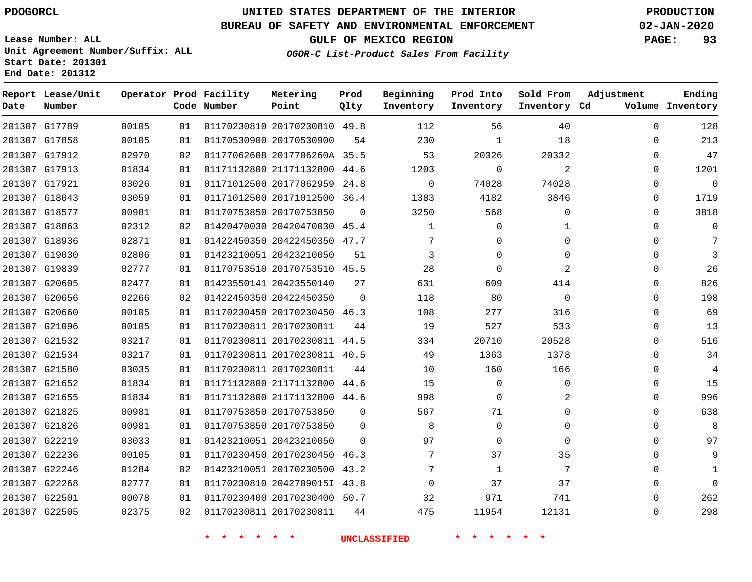G17789 G17858

**Date**

**Report Lease/Unit**

**Number**

 G22501 G22505

## **UNITED STATES DEPARTMENT OF THE INTERIOR PDOGORCL PRODUCTION**

**Prod Qlty**

#### **BUREAU OF SAFETY AND ENVIRONMENTAL ENFORCEMENT 02-JAN-2020**

**Lease Number: ALL Unit Agreement Number/Suffix: ALL Start Date: 201301 End Date: 201312**

> 

**Operator Prod Facility**

**Code Number**

 

    **OGOR-C List-Product Sales From Facility**

 

 

 

**Sold From Inventory**

**Prod Into Inventory**

**Beginning Inventory**

**GULF OF MEXICO REGION PAGE: 93**

**Inventory Cd Volume**

**Adjustment**

  $\Omega$  $\Omega$  $\Omega$  $\Omega$  $\Omega$  $\Omega$  $\Omega$  $\Omega$  $\Omega$  $\Omega$  $\Omega$  $\Omega$   $\Omega$  $\overline{0}$  $\Omega$  $\Omega$  $\Omega$  $\Omega$   $\Omega$  $\Omega$   $\Omega$   $\Omega$ 

**Ending**

| 20332    | 20326    | 53           |          | 01177062608 2017706260A 35.5 | 02 | 02970 | 201307 G17912 |  |
|----------|----------|--------------|----------|------------------------------|----|-------|---------------|--|
| 2        | 0        | 1203         | 44.6     | 01171132800 21171132800      | 01 | 01834 | 201307 G17913 |  |
| 74028    | 74028    | $\Omega$     | 24.8     | 01171012500 20177062959      | 01 | 03026 | 201307 G17921 |  |
| 3846     | 4182     | 1383         | 36.4     | 01171012500 20171012500      | 01 | 03059 | 201307 G18043 |  |
| 0        | 568      | 3250         | $\Omega$ | 01170753850 20170753850      | 01 | 00981 | 201307 G18577 |  |
| 1        | $\Omega$ | $\mathbf{1}$ | 45.4     | 01420470030 20420470030      | 02 | 02312 | 201307 G18863 |  |
| $\Omega$ | $\Omega$ | 7            | 47.7     | 01422450350 20422450350      | 01 | 02871 | 201307 G18936 |  |
| $\Omega$ | 0        | 3            | 51       | 01423210051 20423210050      | 01 | 02806 | 201307 G19030 |  |
| 2        | $\Omega$ | 28           | 45.5     | 01170753510 20170753510      | 01 | 02777 | 201307 G19839 |  |
| 414      | 609      | 631          | 27       | 01423550141 20423550140      | 01 | 02477 | 201307 G20605 |  |
| $\Omega$ | 80       | 118          | $\Omega$ | 01422450350 20422450350      | 02 | 02266 | 201307 G20656 |  |
| 316      | 277      | 108          | 46.3     | 01170230450 20170230450      | 01 | 00105 | 201307 G20660 |  |
| 533      | 527      | 19           | 44       | 01170230811 20170230811      | 01 | 00105 | 201307 G21096 |  |
| 20528    | 20710    | 334          | 44.5     | 01170230811 20170230811      | 01 | 03217 | 201307 G21532 |  |
| 1378     | 1363     | 49           | 40.5     | 01170230811 20170230811      | 01 | 03217 | 201307 G21534 |  |
| 166      | 160      | 10           | 44       | 01170230811 20170230811      | 01 | 03035 | 201307 G21580 |  |
| $\Omega$ | 0        | 15           | 44.6     | 01171132800 21171132800      | 01 | 01834 | 201307 G21652 |  |
| 2        | $\Omega$ | 998          | 44.6     | 01171132800 21171132800      | 01 | 01834 | 201307 G21655 |  |
| $\Omega$ | 71       | 567          | $\Omega$ | 01170753850 20170753850      | 01 | 00981 | 201307 G21825 |  |
| $\Omega$ | 0        | 8            | $\Omega$ | 01170753850 20170753850      | 01 | 00981 | 201307 G21826 |  |
| $\Omega$ | $\Omega$ | 97           | $\Omega$ | 01423210051 20423210050      | 01 | 03033 | 201307 G22219 |  |
| 35       | 37       | 7            | 46.3     | 01170230450 20170230450      | 01 | 00105 | 201307 G22236 |  |
| 7        | 1        | 7            | 43.2     | 01423210051 20170230500      | 02 | 01284 | 201307 G22246 |  |
| 37       | 37       | $\Omega$     |          | 01170230810 2042709015I 43.8 | 01 | 02777 | 201307 G22268 |  |

20170230810 49.8

**Metering Point**

20170530900

20170230400 50.7

20170230811

 

**\* \* \* \* \* \* UNCLASSIFIED \* \* \* \* \* \***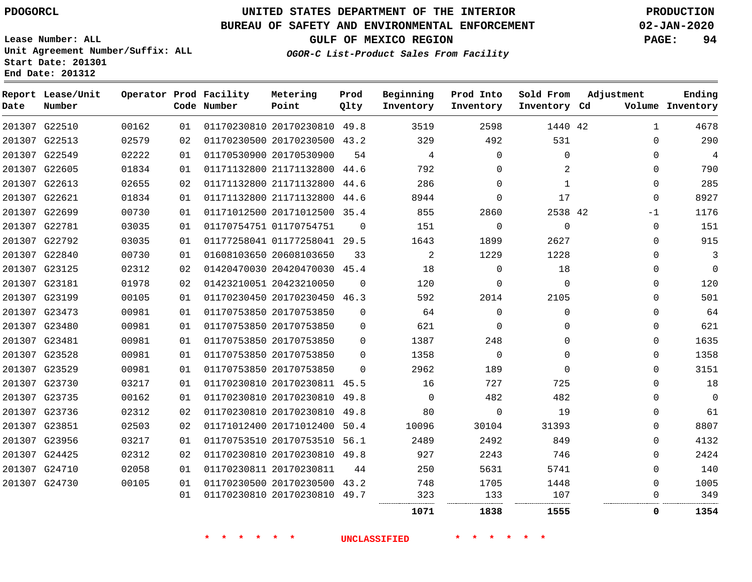**Prod Qlty**

 $\Omega$ 

#### **BUREAU OF SAFETY AND ENVIRONMENTAL ENFORCEMENT 02-JAN-2020**

**Lease Number: ALL Unit Agreement Number/Suffix: ALL Start Date: 201301**

**Operator Prod Facility**

**Code Number**

 20170230810 49.8 20170230500 43.2

**Metering Point**

 21171132800 44.6 21171132800 44.6 21171132800 44.6 20171012500 35.4

01177258041 29.5

20170530900

01170754751

20608103650

**End Date: 201312**

**Report Lease/Unit**

**Number**

 G22510 G22513 G22549 G22605 G22613 G22621 G22699 G22781 G22792 G22840

**Date**

**GULF OF MEXICO REGION PAGE: 94 OGOR-C List-Product Sales From Facility**

> **Beginning Inventory**

**Prod Into Inventory**

**Inventory Cd Volume**

**Adjustment**

  $\Omega$  $\Omega$  $\Omega$  $\Omega$  $\Omega$  $-1$  $\Omega$  $\Omega$  $\Omega$ 

**Ending**

42

**Sold From Inventory**

42

 

**1838 1555 0 1354**

|        | 201307 G23125 | 02312 | 02  | 01420470030 20420470030 45.4 |          | 18       |          | 18       | $\Omega$ |      |
|--------|---------------|-------|-----|------------------------------|----------|----------|----------|----------|----------|------|
| 201307 | G23181        | 01978 | 02  | 01423210051 20423210050      | $\Omega$ | 120      | $\Omega$ | $\Omega$ | $\Omega$ | 120  |
| 201307 | G23199        | 00105 | 01  | 01170230450 20170230450      | 46.3     | 592      | 2014     | 2105     | $\Omega$ | 501  |
|        | 201307 G23473 | 00981 | 01  | 01170753850 20170753850      | $\Omega$ | 64       | $\Omega$ | 0        |          | 64   |
|        | 201307 G23480 | 00981 | 01  | 01170753850 20170753850      | $\Omega$ | 621      | $\Omega$ | 0        | 0        | 621  |
|        | 201307 G23481 | 00981 | 01  | 01170753850 20170753850      | $\Omega$ | 1387     | 248      | 0        | $\Omega$ | 1635 |
|        | 201307 G23528 | 00981 | 01  | 01170753850 20170753850      | $\Omega$ | 1358     | $\Omega$ |          | $\Omega$ | 1358 |
| 201307 | G23529        | 00981 | 01  | 01170753850 20170753850      | 0        | 2962     | 189      |          | $\Omega$ | 3151 |
| 201307 | G23730        | 03217 | 01  | 01170230810 20170230811 45.5 |          | 16       | 727      | 725      | $\Omega$ | 18   |
|        | 201307 G23735 | 00162 | 01  | 01170230810 20170230810 49.8 |          | $\Omega$ | 482      | 482      | 0        | 0    |
|        | 201307 G23736 | 02312 | 02. | 01170230810 20170230810      | 49.8     | 80       | $\Omega$ | 19       | $\Omega$ | 61   |
| 201307 | G23851        | 02503 | 02  | 01171012400 20171012400      | 50.4     | 10096    | 30104    | 31393    | $\Omega$ | 8807 |
| 201307 | G23956        | 03217 | 01  | 01170753510 20170753510      | 56.1     | 2489     | 2492     | 849      | $\Omega$ | 4132 |
| 201307 | G24425        | 02312 | 02  | 01170230810 20170230810      | 49.8     | 927      | 2243     | 746      | $\Omega$ | 2424 |
|        | 201307 G24710 | 02058 | 01  | 01170230811 20170230811      | 44       | 250      | 5631     | 5741     | $\Omega$ | 140  |
| 201307 | G24730        | 00105 | 01  | 01170230500 20170230500      | 43.2     | 748      | 1705     | 1448     | $\Omega$ | 1005 |
|        |               |       | 01  | 01170230810 20170230810      | 49.7     | 323<br>  | 133<br>  | 107<br>  |          | 349  |
|        |               |       |     |                              |          |          |          |          |          |      |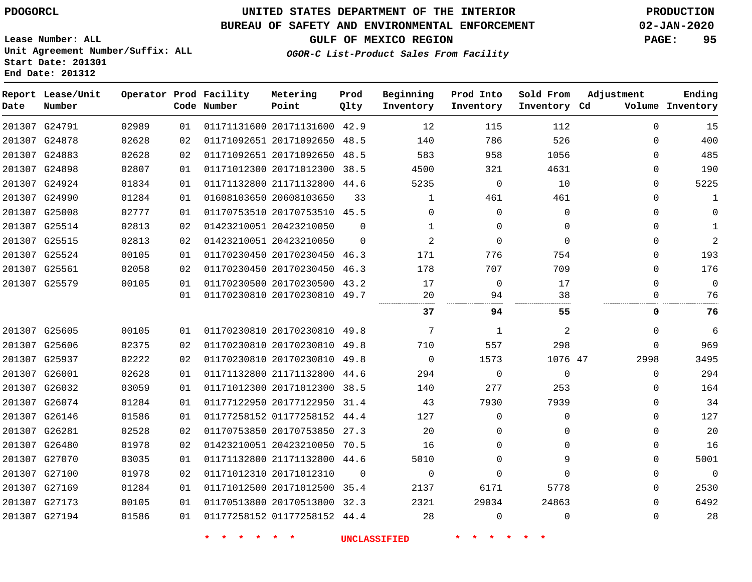## **UNITED STATES DEPARTMENT OF THE INTERIOR PDOGORCL PRODUCTION**

#### **BUREAU OF SAFETY AND ENVIRONMENTAL ENFORCEMENT 02-JAN-2020**

**Lease Number: ALL Unit Agreement Number/Suffix: ALL Start Date: 201301**

**Operator Prod Facility**

**Code Number**

**Metering Point**

**End Date: 201312**

**Report Lease/Unit**

**Number**

**GULF OF MEXICO REGION PAGE: 95**

**Prod Qlty**

**Inventory Cd Volume**

**Adjustment**

**Ending**

**OGOR-C List-Product Sales From Facility**

**Beginning Inventory**

**Prod Into Inventory** **Sold From Inventory**

| 201307 G24791 | 02989 | 01  | 01171131600 20171131600 42.9 |          | 12           | 115            | 112         | $\Omega$    | 15             |
|---------------|-------|-----|------------------------------|----------|--------------|----------------|-------------|-------------|----------------|
| 201307 G24878 | 02628 | 02  | 01171092651 20171092650 48.5 |          | 140          | 786            | 526         | $\Omega$    | 400            |
| 201307 G24883 | 02628 | 02  | 01171092651 20171092650 48.5 |          | 583          | 958            | 1056        | $\Omega$    | 485            |
| 201307 G24898 | 02807 | 01  | 01171012300 20171012300      | 38.5     | 4500         | 321            | 4631        | $\Omega$    | 190            |
| 201307 G24924 | 01834 | 01  | 01171132800 21171132800 44.6 |          | 5235         | $\Omega$       | 10          | 0           | 5225           |
| 201307 G24990 | 01284 | 01  | 01608103650 20608103650      | 33       | 1            | 461            | 461         | $\Omega$    | 1              |
| 201307 G25008 | 02777 | 01  | 01170753510 20170753510 45.5 |          | $\Omega$     | $\Omega$       | 0           | $\Omega$    | $\Omega$       |
| 201307 G25514 | 02813 | 02  | 01423210051 20423210050      | $\Omega$ | $\mathbf{1}$ | $\Omega$       | $\Omega$    | $\Omega$    | 1              |
| 201307 G25515 | 02813 | 02  | 01423210051 20423210050      | $\Omega$ | 2            | $\Omega$       | $\Omega$    | $\Omega$    | $\overline{2}$ |
| 201307 G25524 | 00105 | 01  | 01170230450 20170230450 46.3 |          | 171          | 776            | 754         | $\Omega$    | 193            |
| 201307 G25561 | 02058 | 02  | 01170230450 20170230450      | 46.3     | 178          | 707            | 709         | $\Omega$    | 176            |
| 201307 G25579 | 00105 | 01  | 01170230500 20170230500 43.2 |          | 17           | $\overline{0}$ | 17          | $\Omega$    | $\Omega$       |
|               |       | 01  | 01170230810 20170230810 49.7 |          | 20           | 94             | 38          | 0           | 76             |
|               |       |     |                              |          | 37           | 94.            | 55          | 0           | 76             |
| 201307 G25605 | 00105 | 01  | 01170230810 20170230810 49.8 |          | 7            | 1              | 2           | $\Omega$    | 6              |
| 201307 G25606 | 02375 | 02  | 01170230810 20170230810 49.8 |          | 710          | 557            | 298         | $\mathbf 0$ | 969            |
| 201307 G25937 | 02222 | 02. | 01170230810 20170230810 49.8 |          | $\mathbf 0$  | 1573           | 1076 47     | 2998        | 3495           |
| 201307 G26001 | 02628 | 01  | 01171132800 21171132800 44.6 |          | 294          | $\Omega$       | $\mathbf 0$ | $\Omega$    | 294            |
| 201307 G26032 | 03059 | 01  | 01171012300 20171012300 38.5 |          | 140          | 277            | 253         | $\Omega$    | 164            |
| 201307 G26074 | 01284 | 01  | 01177122950 20177122950 31.4 |          | 43           | 7930           | 7939        | $\Omega$    | 34             |
| 201307 G26146 | 01586 | 01  | 01177258152 01177258152 44.4 |          | 127          | 0              | $\Omega$    | $\Omega$    | 127            |
| 201307 G26281 | 02528 | 02  | 01170753850 20170753850      | 27.3     | 20           | 0              | 0           | $\Omega$    | 20             |
| 201307 G26480 | 01978 | 02  | 01423210051 20423210050 70.5 |          | 16           | 0              | $\Omega$    | $\Omega$    | 16             |
| 201307 G27070 | 03035 | 01. | 01171132800 21171132800 44.6 |          | 5010         | 0              | 9           | $\Omega$    | 5001           |
| 201307 G27100 | 01978 | 02  | 01171012310 20171012310      | $\Omega$ | $\Omega$     | 0              | $\Omega$    | $\Omega$    | $\Omega$       |
| 201307 G27169 | 01284 | 01  | 01171012500 20171012500 35.4 |          | 2137         | 6171           | 5778        | $\Omega$    | 2530           |
| 201307 G27173 | 00105 | 01  | 01170513800 20170513800      | 32.3     | 2321         | 29034          | 24863       | $\Omega$    | 6492           |
| 201307 G27194 | 01586 | 01  | 01177258152 01177258152 44.4 |          | 28           | $\Omega$       | $\Omega$    | $\Omega$    | 28             |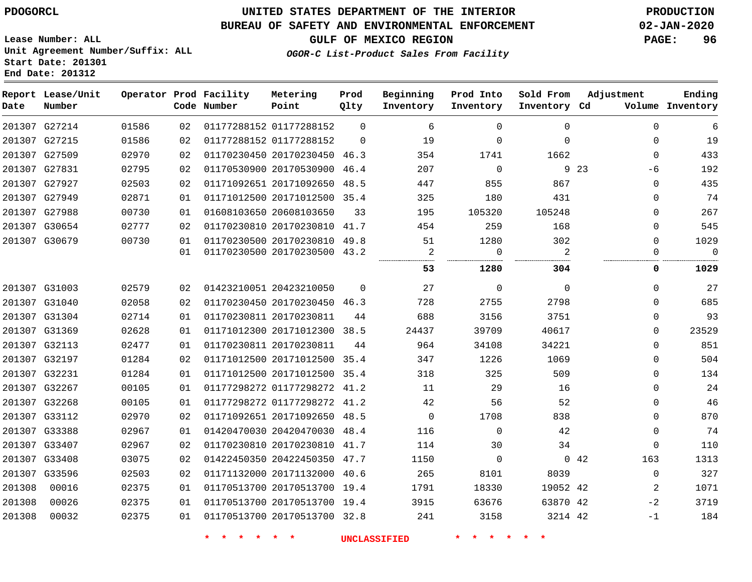#### **BUREAU OF SAFETY AND ENVIRONMENTAL ENFORCEMENT 02-JAN-2020**

**GULF OF MEXICO REGION PAGE: 96**

**Lease Number: ALL Unit Agreement Number/Suffix: ALL Start Date: 201301 End Date: 201312**

| OGOR-C List-Product Sales From Facility |  |  |
|-----------------------------------------|--|--|
|                                         |  |  |

| Date          | Report Lease/Unit<br>Number |       |    | Operator Prod Facility<br>Code Number | Metering<br>Point            | Prod<br>Qlty | Beginning<br>Inventory | Prod Into<br>Inventory | Sold From<br>Inventory Cd | Adjustment   | Ending<br>Volume Inventory |
|---------------|-----------------------------|-------|----|---------------------------------------|------------------------------|--------------|------------------------|------------------------|---------------------------|--------------|----------------------------|
|               | 201307 G27214               | 01586 | 02 |                                       | 01177288152 01177288152      | $\Omega$     | 6                      | $\Omega$               | $\Omega$                  | $\mathbf 0$  | 6                          |
|               | 201307 G27215               | 01586 | 02 |                                       | 01177288152 01177288152      | $\Omega$     | 19                     | $\Omega$               | $\mathbf 0$               | $\mathbf 0$  | 19                         |
| 201307 G27509 |                             | 02970 | 02 |                                       | 01170230450 20170230450 46.3 |              | 354                    | 1741                   | 1662                      | $\mathbf 0$  | 433                        |
|               | 201307 G27831               | 02795 | 02 |                                       | 01170530900 20170530900 46.4 |              | 207                    | $\mathbf 0$            |                           | 9 23<br>-6   | 192                        |
| 201307 G27927 |                             | 02503 | 02 |                                       | 01171092651 20171092650 48.5 |              | 447                    | 855                    | 867                       | $\Omega$     | 435                        |
|               | 201307 G27949               | 02871 | 01 |                                       | 01171012500 20171012500 35.4 |              | 325                    | 180                    | 431                       | $\mathbf 0$  | 74                         |
| 201307 G27988 |                             | 00730 | 01 |                                       | 01608103650 20608103650      | 33           | 195                    | 105320                 | 105248                    | $\Omega$     | 267                        |
|               | 201307 G30654               | 02777 | 02 |                                       | 01170230810 20170230810 41.7 |              | 454                    | 259                    | 168                       | $\mathbf 0$  | 545                        |
| 201307 G30679 |                             | 00730 | 01 |                                       | 01170230500 20170230810 49.8 |              | 51                     | 1280                   | 302                       | $\mathbf 0$  | 1029                       |
|               |                             |       | 01 |                                       | 01170230500 20170230500 43.2 |              | $\overline{a}$         | $\Omega$               | 2                         | $\Omega$     | $\Omega$                   |
|               |                             |       |    |                                       |                              |              | 53                     | 1280                   | 304                       | 0            | 1029                       |
|               | 201307 G31003               | 02579 | 02 |                                       | 01423210051 20423210050      | $\Omega$     | 27                     | $\mathbf 0$            | $\mathbf 0$               | $\mathbf 0$  | 27                         |
|               | 201307 G31040               | 02058 | 02 |                                       | 01170230450 20170230450 46.3 |              | 728                    | 2755                   | 2798                      | $\Omega$     | 685                        |
|               | 201307 G31304               | 02714 | 01 |                                       | 01170230811 20170230811      | 44           | 688                    | 3156                   | 3751                      | $\Omega$     | 93                         |
|               | 201307 G31369               | 02628 | 01 |                                       | 01171012300 20171012300 38.5 |              | 24437                  | 39709                  | 40617                     | $\Omega$     | 23529                      |
|               | 201307 G32113               | 02477 | 01 |                                       | 01170230811 20170230811      | 44           | 964                    | 34108                  | 34221                     | $\Omega$     | 851                        |
|               | 201307 G32197               | 01284 | 02 |                                       | 01171012500 20171012500 35.4 |              | 347                    | 1226                   | 1069                      | $\mathbf 0$  | 504                        |
|               | 201307 G32231               | 01284 | 01 |                                       | 01171012500 20171012500 35.4 |              | 318                    | 325                    | 509                       | $\mathbf 0$  | 134                        |
|               | 201307 G32267               | 00105 | 01 |                                       | 01177298272 01177298272 41.2 |              | 11                     | 29                     | 16                        | $\mathbf 0$  | 24                         |
|               | 201307 G32268               | 00105 | 01 |                                       | 01177298272 01177298272 41.2 |              | 42                     | 56                     | 52                        | $\Omega$     | 46                         |
|               | 201307 G33112               | 02970 | 02 |                                       | 01171092651 20171092650 48.5 |              | $\Omega$               | 1708                   | 838                       | $\Omega$     | 870                        |
| 201307 G33388 |                             | 02967 | 01 |                                       | 01420470030 20420470030 48.4 |              | 116                    | $\mathbf 0$            | 42                        | $\mathbf 0$  | 74                         |
| 201307 G33407 |                             | 02967 | 02 |                                       | 01170230810 20170230810 41.7 |              | 114                    | 30                     | 34                        | $\mathbf{0}$ | 110                        |
|               | 201307 G33408               | 03075 | 02 |                                       | 01422450350 20422450350 47.7 |              | 1150                   | $\mathbf 0$            |                           | 163<br>042   | 1313                       |
|               | 201307 G33596               | 02503 | 02 |                                       | 01171132000 20171132000 40.6 |              | 265                    | 8101                   | 8039                      | $\mathbf 0$  | 327                        |
| 201308        | 00016                       | 02375 | 01 |                                       | 01170513700 20170513700 19.4 |              | 1791                   | 18330                  | 19052 42                  | 2            | 1071                       |
| 201308        | 00026                       | 02375 | 01 |                                       | 01170513700 20170513700 19.4 |              | 3915                   | 63676                  | 63870 42                  | $-2$         | 3719                       |
| 201308        | 00032                       | 02375 | 01 |                                       | 01170513700 20170513700 32.8 |              | 241                    | 3158                   | 3214 42                   | -1           | 184                        |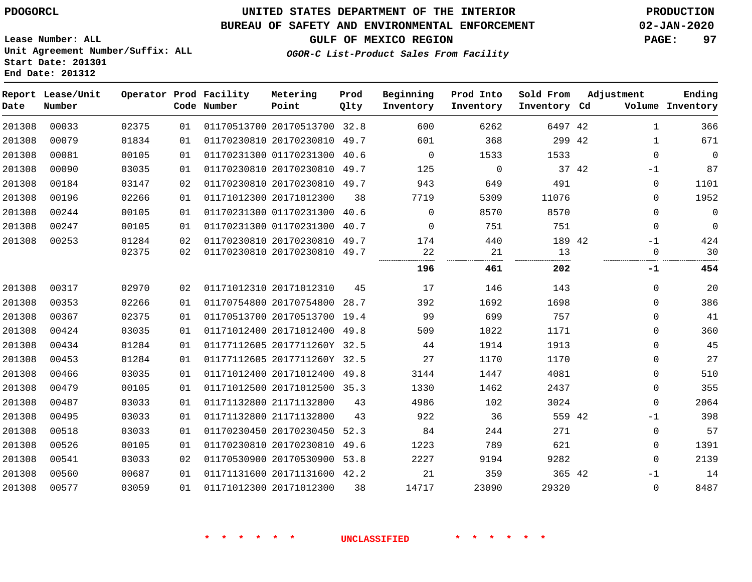**End Date: 201312**

## **UNITED STATES DEPARTMENT OF THE INTERIOR PDOGORCL PRODUCTION**

#### **BUREAU OF SAFETY AND ENVIRONMENTAL ENFORCEMENT 02-JAN-2020**

**Lease Number: ALL Unit Agreement Number/Suffix: ALL Start Date: 201301**

**GULF OF MEXICO REGION PAGE: 97**

**OGOR-C List-Product Sales From Facility**

| Date   | Report Lease/Unit<br>Number |       |    | Operator Prod Facility<br>Code Number | Metering<br>Point            | Prod<br>Qlty | Beginning<br>Inventory | Prod Into<br>Inventory | Sold From<br>Inventory Cd | Adjustment |              | Ending<br>Volume Inventory |
|--------|-----------------------------|-------|----|---------------------------------------|------------------------------|--------------|------------------------|------------------------|---------------------------|------------|--------------|----------------------------|
| 201308 | 00033                       | 02375 | 01 |                                       | 01170513700 20170513700 32.8 |              | 600                    | 6262                   | 6497 42                   |            | $\mathbf{1}$ | 366                        |
| 201308 | 00079                       | 01834 | 01 |                                       | 01170230810 20170230810 49.7 |              | 601                    | 368                    | 299 42                    |            | 1            | 671                        |
| 201308 | 00081                       | 00105 | 01 |                                       | 01170231300 01170231300      | 40.6         | $\Omega$               | 1533                   | 1533                      |            | $\mathbf 0$  | 0                          |
| 201308 | 00090                       | 03035 | 01 |                                       | 01170230810 20170230810 49.7 |              | 125                    | 0                      | 37 42                     |            | $-1$         | 87                         |
| 201308 | 00184                       | 03147 | 02 |                                       | 01170230810 20170230810 49.7 |              | 943                    | 649                    | 491                       |            | 0            | 1101                       |
| 201308 | 00196                       | 02266 | 01 |                                       | 01171012300 20171012300      | 38           | 7719                   | 5309                   | 11076                     |            | $\mathbf 0$  | 1952                       |
| 201308 | 00244                       | 00105 | 01 |                                       | 01170231300 01170231300      | 40.6         | $\Omega$               | 8570                   | 8570                      |            | $\Omega$     | $\mathbf 0$                |
| 201308 | 00247                       | 00105 | 01 |                                       | 01170231300 01170231300 40.7 |              | $\Omega$               | 751                    | 751                       |            | $\mathbf{0}$ | $\mathbf 0$                |
| 201308 | 00253                       | 01284 | 02 |                                       | 01170230810 20170230810 49.7 |              | 174                    | 440                    | 189 42                    |            | -1           | 424                        |
|        |                             | 02375 | 02 |                                       | 01170230810 20170230810 49.7 |              | 22<br>                 | 21<br>                 | 13<br>                    |            | $\mathbf 0$  | 30                         |
|        |                             |       |    |                                       |                              |              | 196                    | 461                    | 202                       |            | -1           | 454                        |
| 201308 | 00317                       | 02970 | 02 |                                       | 01171012310 20171012310      | 45           | 17                     | 146                    | 143                       |            | $\mathbf 0$  | 20                         |
| 201308 | 00353                       | 02266 | 01 |                                       | 01170754800 20170754800 28.7 |              | 392                    | 1692                   | 1698                      |            | 0            | 386                        |
| 201308 | 00367                       | 02375 | 01 |                                       | 01170513700 20170513700 19.4 |              | 99                     | 699                    | 757                       |            | $\Omega$     | 41                         |
| 201308 | 00424                       | 03035 | 01 |                                       | 01171012400 20171012400 49.8 |              | 509                    | 1022                   | 1171                      |            | $\Omega$     | 360                        |
| 201308 | 00434                       | 01284 | 01 |                                       | 01177112605 2017711260Y 32.5 |              | 44                     | 1914                   | 1913                      |            | $\Omega$     | 45                         |
| 201308 | 00453                       | 01284 | 01 |                                       | 01177112605 2017711260Y 32.5 |              | 27                     | 1170                   | 1170                      |            | 0            | 27                         |
| 201308 | 00466                       | 03035 | 01 |                                       | 01171012400 20171012400 49.8 |              | 3144                   | 1447                   | 4081                      |            | $\Omega$     | 510                        |
| 201308 | 00479                       | 00105 | 01 |                                       | 01171012500 20171012500 35.3 |              | 1330                   | 1462                   | 2437                      |            | 0            | 355                        |
| 201308 | 00487                       | 03033 | 01 |                                       | 01171132800 21171132800      | 43           | 4986                   | 102                    | 3024                      |            | $\mathbf{0}$ | 2064                       |
| 201308 | 00495                       | 03033 | 01 |                                       | 01171132800 21171132800      | 43           | 922                    | 36                     | 559 42                    |            | -1           | 398                        |
| 201308 | 00518                       | 03033 | 01 |                                       | 01170230450 20170230450 52.3 |              | 84                     | 244                    | 271                       |            | $\mathbf 0$  | 57                         |
| 201308 | 00526                       | 00105 | 01 |                                       | 01170230810 20170230810      | 49.6         | 1223                   | 789                    | 621                       |            | 0            | 1391                       |
| 201308 | 00541                       | 03033 | 02 |                                       | 01170530900 20170530900      | 53.8         | 2227                   | 9194                   | 9282                      |            | $\Omega$     | 2139                       |
| 201308 | 00560                       | 00687 | 01 |                                       | 01171131600 20171131600 42.2 |              | 21                     | 359                    | 365 42                    |            | $-1$         | 14                         |
| 201308 | 00577                       | 03059 | 01 |                                       | 01171012300 20171012300      | 38           | 14717                  | 23090                  | 29320                     |            | $\mathbf 0$  | 8487                       |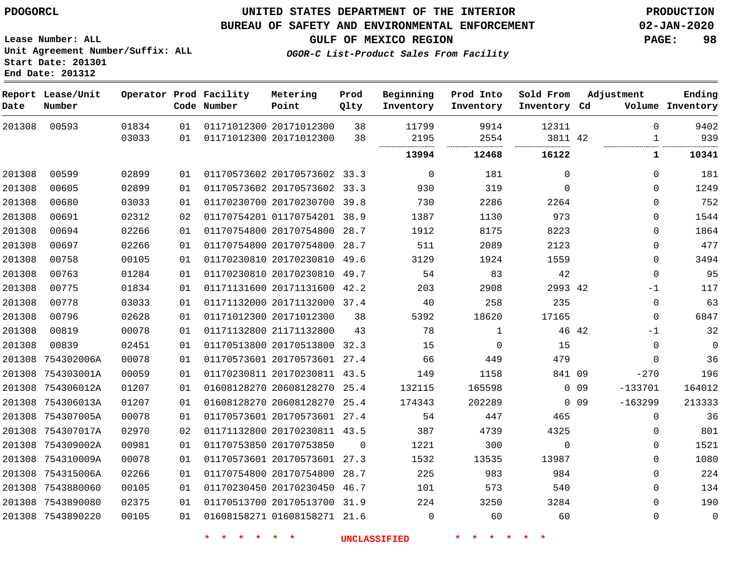#### **BUREAU OF SAFETY AND ENVIRONMENTAL ENFORCEMENT 02-JAN-2020**

**Lease Number: ALL Unit Agreement Number/Suffix: ALL Start Date: 201301 End Date: 201312**

**GULF OF MEXICO REGION PAGE: 98**

**OGOR-C List-Product Sales From Facility**

| Date   | Report Lease/Unit<br>Number |       |    | Operator Prod Facility<br>Code Number | Metering<br>Point            | Prod<br>Qlty | Beginning<br>Inventory | Prod Into<br>Inventory | Sold From<br>Inventory Cd |                 | Adjustment   | Ending<br>Volume Inventory |
|--------|-----------------------------|-------|----|---------------------------------------|------------------------------|--------------|------------------------|------------------------|---------------------------|-----------------|--------------|----------------------------|
| 201308 | 00593                       | 01834 | 01 |                                       | 01171012300 20171012300      | 38           | 11799                  | 9914                   | 12311                     |                 | $\Omega$     | 9402                       |
|        |                             | 03033 | 01 |                                       | 01171012300 20171012300      | 38           | 2195                   | 2554                   | 3811 42                   |                 | $\mathbf{1}$ | 939                        |
|        |                             |       |    |                                       |                              |              | 13994                  | 12468                  | 16122                     |                 | 1            | 10341                      |
| 201308 | 00599                       | 02899 | 01 |                                       | 01170573602 20170573602 33.3 |              | 0                      | 181                    | $\Omega$                  |                 | 0            | 181                        |
| 201308 | 00605                       | 02899 | 01 |                                       | 01170573602 20170573602 33.3 |              | 930                    | 319                    | $\Omega$                  |                 | $\Omega$     | 1249                       |
| 201308 | 00680                       | 03033 | 01 |                                       | 01170230700 20170230700 39.8 |              | 730                    | 2286                   | 2264                      |                 | 0            | 752                        |
| 201308 | 00691                       | 02312 | 02 |                                       | 01170754201 01170754201 38.9 |              | 1387                   | 1130                   | 973                       |                 | 0            | 1544                       |
| 201308 | 00694                       | 02266 | 01 |                                       | 01170754800 20170754800 28.7 |              | 1912                   | 8175                   | 8223                      |                 | $\Omega$     | 1864                       |
| 201308 | 00697                       | 02266 | 01 |                                       | 01170754800 20170754800      | 28.7         | 511                    | 2089                   | 2123                      |                 | 0            | 477                        |
| 201308 | 00758                       | 00105 | 01 |                                       | 01170230810 20170230810 49.6 |              | 3129                   | 1924                   | 1559                      |                 | 0            | 3494                       |
| 201308 | 00763                       | 01284 | 01 |                                       | 01170230810 20170230810      | 49.7         | 54                     | 83                     | 42                        |                 | 0            | 95                         |
| 201308 | 00775                       | 01834 | 01 |                                       | 01171131600 20171131600 42.2 |              | 203                    | 2908                   | 2993 42                   |                 | $-1$         | 117                        |
| 201308 | 00778                       | 03033 | 01 |                                       | 01171132000 20171132000 37.4 |              | 40                     | 258                    | 235                       |                 | 0            | 63                         |
| 201308 | 00796                       | 02628 | 01 |                                       | 01171012300 20171012300      | 38           | 5392                   | 18620                  | 17165                     |                 | 0            | 6847                       |
| 201308 | 00819                       | 00078 | 01 |                                       | 01171132800 21171132800      | 43           | 78                     | 1                      |                           | 46 42           | -1           | 32                         |
| 201308 | 00839                       | 02451 | 01 |                                       | 01170513800 20170513800      | 32.3         | 15                     | 0                      | 15                        |                 | 0            | $\mathbb O$                |
|        | 201308 754302006A           | 00078 | 01 |                                       | 01170573601 20170573601 27.4 |              | 66                     | 449                    | 479                       |                 | $\Omega$     | 36                         |
|        | 201308 754303001A           | 00059 | 01 |                                       | 01170230811 20170230811 43.5 |              | 149                    | 1158                   | 841 09                    |                 | $-270$       | 196                        |
|        | 201308 754306012A           | 01207 | 01 |                                       | 01608128270 20608128270 25.4 |              | 132115                 | 165598                 |                           | 0 <sub>09</sub> | $-133701$    | 164012                     |
|        | 201308 754306013A           | 01207 | 01 |                                       | 01608128270 20608128270      | 25.4         | 174343                 | 202289                 |                           | $0$ 09          | $-163299$    | 213333                     |
|        | 201308 754307005A           | 00078 | 01 |                                       | 01170573601 20170573601 27.4 |              | 54                     | 447                    | 465                       |                 | 0            | 36                         |
|        | 201308 754307017A           | 02970 | 02 |                                       | 01171132800 20170230811 43.5 |              | 387                    | 4739                   | 4325                      |                 | 0            | 801                        |
|        | 201308 754309002A           | 00981 | 01 |                                       | 01170753850 20170753850      | $\Omega$     | 1221                   | 300                    | $\mathbf 0$               |                 | 0            | 1521                       |
|        | 201308 754310009A           | 00078 | 01 |                                       | 01170573601 20170573601 27.3 |              | 1532                   | 13535                  | 13987                     |                 | 0            | 1080                       |
|        | 201308 754315006A           | 02266 | 01 |                                       | 01170754800 20170754800 28.7 |              | 225                    | 983                    | 984                       |                 | 0            | 224                        |
|        | 201308 7543880060           | 00105 | 01 |                                       | 01170230450 20170230450 46.7 |              | 101                    | 573                    | 540                       |                 | 0            | 134                        |
|        | 201308 7543890080           | 02375 | 01 |                                       | 01170513700 20170513700 31.9 |              | 224                    | 3250                   | 3284                      |                 | 0            | 190                        |
|        | 201308 7543890220           | 00105 | 01 |                                       | 01608158271 01608158271 21.6 |              | $\mathbf 0$            | 60                     | 60                        |                 | 0            | $\mathbf 0$                |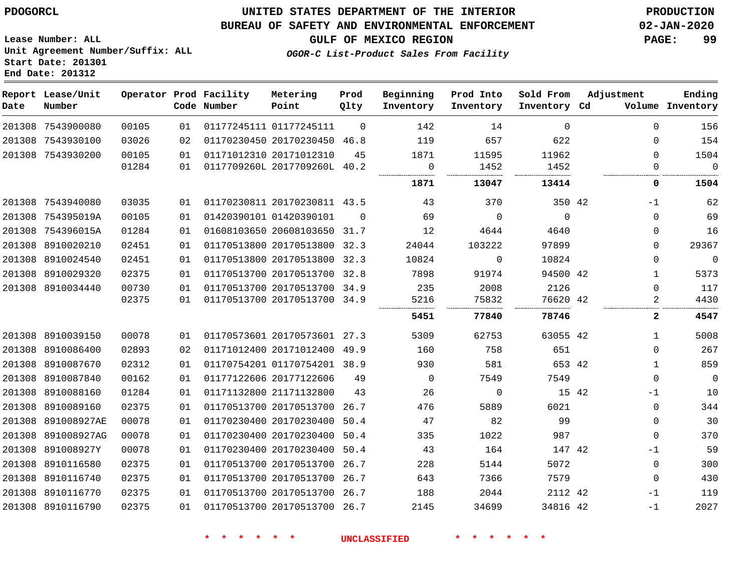**End Date: 201312**

## **UNITED STATES DEPARTMENT OF THE INTERIOR PDOGORCL PRODUCTION**

#### **BUREAU OF SAFETY AND ENVIRONMENTAL ENFORCEMENT 02-JAN-2020**

**Lease Number: ALL Unit Agreement Number/Suffix: ALL Start Date: 201301**

**GULF OF MEXICO REGION PAGE: 99**

**OGOR-C List-Product Sales From Facility**

| Date | Report Lease/Unit<br>Number |       |    | Operator Prod Facility<br>Code Number | Metering<br>Point            | Prod<br>Qlty | Beginning<br>Inventory | Prod Into<br>Inventory | Sold From<br>Inventory Cd | Adjustment |              | Ending<br>Volume Inventory |
|------|-----------------------------|-------|----|---------------------------------------|------------------------------|--------------|------------------------|------------------------|---------------------------|------------|--------------|----------------------------|
|      | 201308 7543900080           | 00105 | 01 |                                       | 01177245111 01177245111      | $\Omega$     | 142                    | 14                     | $\Omega$                  |            | $\Omega$     | 156                        |
|      | 201308 7543930100           | 03026 | 02 |                                       | 01170230450 20170230450 46.8 |              | 119                    | 657                    | 622                       |            | $\Omega$     | 154                        |
|      | 201308 7543930200           | 00105 | 01 |                                       | 01171012310 20171012310      | 45           | 1871                   | 11595                  | 11962                     |            | $\Omega$     | 1504                       |
|      |                             | 01284 | 01 |                                       | 0117709260L 2017709260L 40.2 |              | 0                      | 1452                   | 1452                      |            | $\mathbf 0$  | $\overline{0}$             |
|      |                             |       |    |                                       |                              |              | 1871                   | 13047                  | 13414                     |            | 0            | 1504                       |
|      | 201308 7543940080           | 03035 | 01 |                                       | 01170230811 20170230811 43.5 |              | 43                     | 370                    | 350 42                    |            | $-1$         | 62                         |
|      | 201308 754395019A           | 00105 | 01 |                                       | 01420390101 01420390101      | $\Omega$     | 69                     | $\Omega$               | $\overline{0}$            |            | $\Omega$     | 69                         |
|      | 201308 754396015A           | 01284 | 01 |                                       | 01608103650 20608103650 31.7 |              | 12                     | 4644                   | 4640                      |            | 0            | 16                         |
|      | 201308 8910020210           | 02451 | 01 |                                       | 01170513800 20170513800 32.3 |              | 24044                  | 103222                 | 97899                     |            | $\Omega$     | 29367                      |
|      | 201308 8910024540           | 02451 | 01 |                                       | 01170513800 20170513800 32.3 |              | 10824                  | $\mathbf 0$            | 10824                     |            | $\Omega$     | $\overline{0}$             |
|      | 201308 8910029320           | 02375 | 01 |                                       | 01170513700 20170513700 32.8 |              | 7898                   | 91974                  | 94500 42                  |            | 1            | 5373                       |
|      | 201308 8910034440           | 00730 | 01 |                                       | 01170513700 20170513700 34.9 |              | 235                    | 2008                   | 2126                      |            | $\mathbf 0$  | 117                        |
|      |                             | 02375 | 01 |                                       | 01170513700 20170513700 34.9 |              | 5216                   | 75832                  | 76620 42                  |            | 2            | 4430                       |
|      |                             |       |    |                                       |                              |              | 5451                   | 77840                  | 78746                     |            | 2            | 4547                       |
|      | 201308 8910039150           | 00078 | 01 |                                       | 01170573601 20170573601 27.3 |              | 5309                   | 62753                  | 63055 42                  |            | 1            | 5008                       |
|      | 201308 8910086400           | 02893 | 02 |                                       | 01171012400 20171012400 49.9 |              | 160                    | 758                    | 651                       |            | $\mathbf 0$  | 267                        |
|      | 201308 8910087670           | 02312 | 01 |                                       | 01170754201 01170754201 38.9 |              | 930                    | 581                    | 653 42                    |            | $\mathbf{1}$ | 859                        |
|      | 201308 8910087840           | 00162 | 01 |                                       | 01177122606 20177122606      | 49           | $\overline{0}$         | 7549                   | 7549                      |            | $\mathbf 0$  | $\mathbb O$                |
|      | 201308 8910088160           | 01284 | 01 |                                       | 01171132800 21171132800      | 43           | 26                     | $\mathbf 0$            | 15 42                     |            | -1           | 10                         |
|      | 201308 8910089160           | 02375 | 01 |                                       | 01170513700 20170513700 26.7 |              | 476                    | 5889                   | 6021                      |            | $\Omega$     | 344                        |
|      | 201308 891008927AE          | 00078 | 01 |                                       | 01170230400 20170230400 50.4 |              | 47                     | 82                     | 99                        |            | $\Omega$     | 30                         |
|      | 201308 891008927AG          | 00078 | 01 |                                       | 01170230400 20170230400 50.4 |              | 335                    | 1022                   | 987                       |            | $\mathbf 0$  | 370                        |
|      | 201308 891008927Y           | 00078 | 01 |                                       | 01170230400 20170230400      | 50.4         | 43                     | 164                    | 147 42                    |            | -1           | 59                         |
|      | 201308 8910116580           | 02375 | 01 |                                       | 01170513700 20170513700 26.7 |              | 228                    | 5144                   | 5072                      |            | $\Omega$     | 300                        |
|      | 201308 8910116740           | 02375 | 01 |                                       | 01170513700 20170513700 26.7 |              | 643                    | 7366                   | 7579                      |            | $\Omega$     | 430                        |
|      | 201308 8910116770           | 02375 | 01 |                                       | 01170513700 20170513700 26.7 |              | 188                    | 2044                   | 2112 42                   |            | -1           | 119                        |
|      | 201308 8910116790           | 02375 | 01 |                                       | 01170513700 20170513700 26.7 |              | 2145                   | 34699                  | 34816 42                  |            | $-1$         | 2027                       |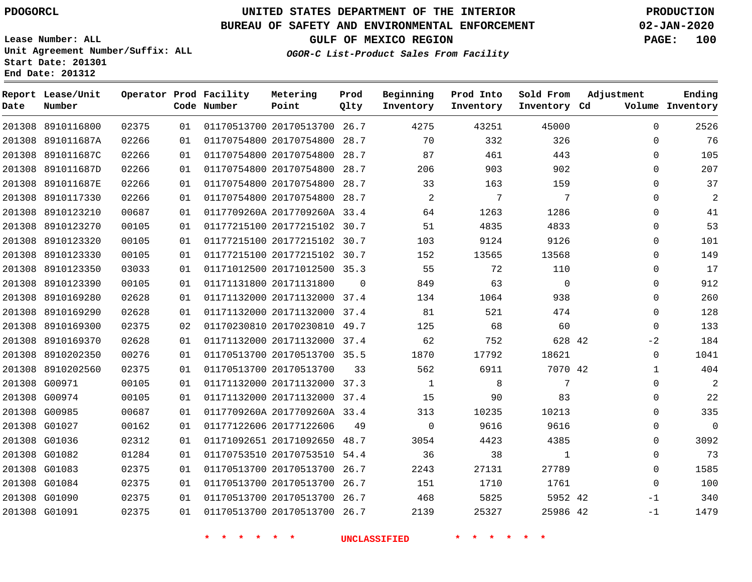**Report Lease/Unit**

**Number**

G01091

## **UNITED STATES DEPARTMENT OF THE INTERIOR PDOGORCL PRODUCTION**

**Prod Qlty**

#### **BUREAU OF SAFETY AND ENVIRONMENTAL ENFORCEMENT 02-JAN-2020**

**OGOR-C List-Product Sales From Facility**

**Beginning**

**Lease Number: ALL Unit Agreement Number/Suffix: ALL Start Date: 201301 End Date: 201312**

**Operator Prod Facility**

**GULF OF MEXICO REGION PAGE: 100**

**Prod Into**

 $\Omega$  $\Omega$  $\Omega$  $\Omega$  $\Omega$  $\Omega$  $\Omega$  $\Omega$  $\Omega$  $\Omega$  $\Omega$  $\Omega$  $\Omega$  $\Omega$  $\Omega$  $-2$  $\Omega$   $\Omega$  $\Omega$  $\Omega$  $\Omega$  $\Omega$   $\Omega$  -1 -1

**Adjustment**

**Ending**

|    | Code Number | Point                        | Olty | Inventory      | Inventory | Inventory Cd |          | Volume Inventory |
|----|-------------|------------------------------|------|----------------|-----------|--------------|----------|------------------|
| 01 |             | 01170513700 20170513700 26.7 |      | 4275           | 43251     | 45000        | $\Omega$ | 2526             |
| 01 |             | 01170754800 20170754800 28.7 |      | 70             | 332       | 326          | $\Omega$ | 76               |
| 01 |             | 01170754800 20170754800 28.7 |      | 87             | 461       | 443          | 0        | 105              |
| 01 |             | 01170754800 20170754800 28.7 |      | 206            | 903       | 902          | $\Omega$ | 207              |
| 01 |             | 01170754800 20170754800 28.7 |      | 33             | 163       | 159          | $\Omega$ | 37               |
| 01 |             | 01170754800 20170754800 28.7 |      | $\mathfrak{D}$ | 7         | 7            | $\Omega$ | $\overline{c}$   |
| 01 |             | 0117709260A 2017709260A 33.4 |      | 64             | 1263      | 1286         | $\Omega$ | 41               |
| 01 |             | 01177215100 20177215102 30.7 |      | 51             | 4835      | 4833         | $\Omega$ | 53               |
| 01 |             | 01177215100 20177215102 30.7 |      | 103            | 9124      | 9126         | $\Omega$ | 101              |
| 01 |             | 01177215100 20177215102 30.7 |      | 152            | 13565     | 13568        | $\Omega$ | 149              |
| 01 |             | 01171012500 20171012500 35.3 |      | 55             | 72        | 110          |          | 17               |

 $\Omega$ 

 

 8910169300 8910169370 8910202350 8910202560 G00971 G00974 G00985 G01027 G01036 G01082 G01083 G01084 G01090 20170230810 49.7 20171132000 37.4 20170513700 35.5 20170513700 20171132000 37.3 20171132000 37.4 0117709260A 2017709260A 33.4 20177122606 20171092650 48.7 20170753510 54.4 20170513700 26.7 20170513700 26.7 20170513700 26.7 42 42  $\Omega$   $9<sub>0</sub>$  

20171012500 35.3

**Metering Point**

 20171132000 37.4 20171132000 37.4

20170513700 26.7

20171131800

**\* \* \* \* \* \* UNCLASSIFIED \* \* \* \* \* \***

 

42

 

**Sold From**

42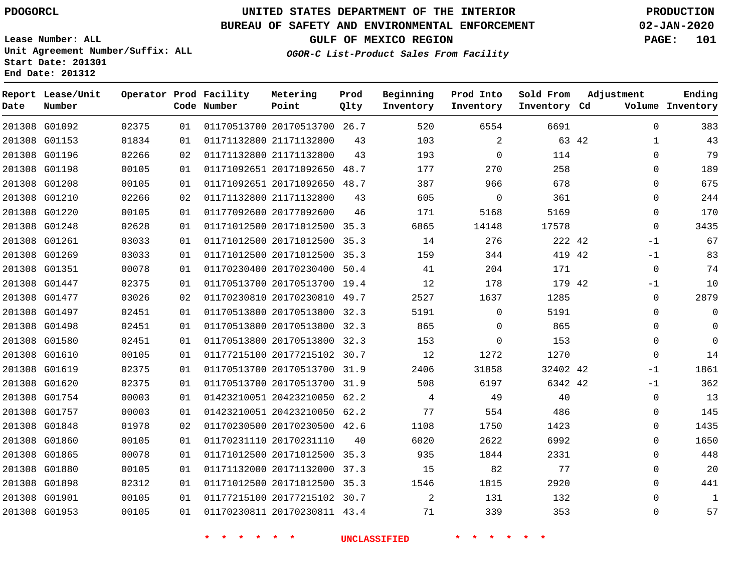G01092 G01153 G01196 G01198 G01208 G01210

**Date**

**Report Lease/Unit**

**Number**

## **UNITED STATES DEPARTMENT OF THE INTERIOR PDOGORCL PRODUCTION**

 

**Prod Qlty**

#### **BUREAU OF SAFETY AND ENVIRONMENTAL ENFORCEMENT 02-JAN-2020**

**Lease Number: ALL Unit Agreement Number/Suffix: ALL Start Date: 201301 End Date: 201312**

**Operator Prod Facility**

**Code Number**

20170513700 26.7

**Metering Point**

 20171092650 48.7 20171092650 48.7

 21171132800 21171132800

21171132800

**OGOR-C List-Product Sales From Facility**

**Prod Into Inventory**

**Beginning Inventory**

**GULF OF MEXICO REGION PAGE: 101**

**Inventory Cd Volume**

**Adjustment**

  $\Omega$   $\Omega$  $\Omega$  $\Omega$   $-1$  $-1$  $\overline{0}$ -1  $\overline{0}$   $\Omega$  $\overline{0}$  $\Omega$ -1 -1  $\Omega$   $\Omega$  $\Omega$   $\Omega$   $\Omega$ 

**Ending**

42

**Sold From Inventory**

| 201308 G01220 | 00105 | 01 | 01177092600 20177092600      | 46                  | 171  | 5168        | 5169     |  |
|---------------|-------|----|------------------------------|---------------------|------|-------------|----------|--|
| 201308 G01248 | 02628 | 01 | 01171012500 20171012500 35.3 |                     | 6865 | 14148       | 17578    |  |
| 201308 G01261 | 03033 | 01 | 01171012500 20171012500 35.3 |                     | 14   | 276         | 222 42   |  |
| 201308 G01269 | 03033 | 01 | 01171012500 20171012500 35.3 |                     | 159  | 344         | 419 42   |  |
| 201308 G01351 | 00078 | 01 | 01170230400 20170230400 50.4 |                     | 41   | 204         | 171      |  |
| 201308 G01447 | 02375 | 01 | 01170513700 20170513700 19.4 |                     | 12   | 178         | 179 42   |  |
| 201308 G01477 | 03026 | 02 | 01170230810 20170230810 49.7 |                     | 2527 | 1637        | 1285     |  |
| 201308 G01497 | 02451 | 01 | 01170513800 20170513800 32.3 |                     | 5191 | $\mathbf 0$ | 5191     |  |
| 201308 G01498 | 02451 | 01 | 01170513800 20170513800 32.3 |                     | 865  | $\Omega$    | 865      |  |
| 201308 G01580 | 02451 | 01 | 01170513800 20170513800 32.3 |                     | 153  | $\mathbf 0$ | 153      |  |
| 201308 G01610 | 00105 | 01 | 01177215100 20177215102 30.7 |                     | 12   | 1272        | 1270     |  |
| 201308 G01619 | 02375 | 01 | 01170513700 20170513700 31.9 |                     | 2406 | 31858       | 32402 42 |  |
| 201308 G01620 | 02375 | 01 | 01170513700 20170513700 31.9 |                     | 508  | 6197        | 6342 42  |  |
| 201308 G01754 | 00003 | 01 | 01423210051 20423210050 62.2 |                     | 4    | 49          | 40       |  |
| 201308 G01757 | 00003 | 01 | 01423210051 20423210050 62.2 |                     | 77   | 554         | 486      |  |
| 201308 G01848 | 01978 | 02 | 01170230500 20170230500 42.6 |                     | 1108 | 1750        | 1423     |  |
| 201308 G01860 | 00105 | 01 | 01170231110 20170231110      | 40                  | 6020 | 2622        | 6992     |  |
| 201308 G01865 | 00078 | 01 | 01171012500 20171012500 35.3 |                     | 935  | 1844        | 2331     |  |
| 201308 G01880 | 00105 | 01 | 01171132000 20171132000 37.3 |                     | 15   | 82          | 77       |  |
| 201308 G01898 | 02312 | 01 | 01171012500 20171012500 35.3 |                     | 1546 | 1815        | 2920     |  |
| 201308 G01901 | 00105 | 01 | 01177215100 20177215102 30.7 |                     | 2    | 131         | 132      |  |
| 201308 G01953 | 00105 | 01 | 01170230811 20170230811 43.4 |                     | 71   | 339         | 353      |  |
|               |       |    |                              |                     |      |             |          |  |
|               |       |    | * * *                        | <b>UNCLASSIFIED</b> |      |             |          |  |
|               |       |    |                              |                     |      |             |          |  |
|               |       |    |                              |                     |      |             |          |  |
|               |       |    |                              |                     |      |             |          |  |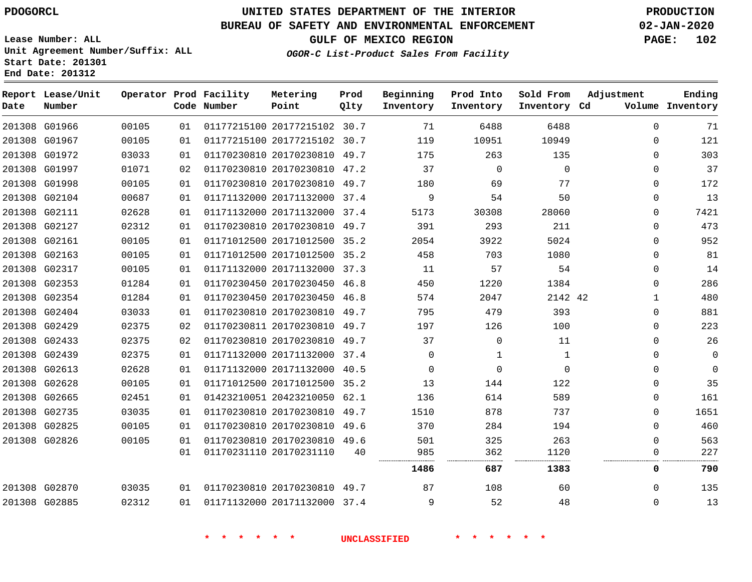#### **BUREAU OF SAFETY AND ENVIRONMENTAL ENFORCEMENT 02-JAN-2020**

**Lease Number: ALL Unit Agreement Number/Suffix: ALL Start Date: 201301 End Date: 201312**

**OGOR-C List-Product Sales From Facility**

**GULF OF MEXICO REGION PAGE: 102**

 

 $\Omega$ 

| Date   | Report Lease/Unit<br>Number |       |    | Operator Prod Facility<br>Code Number | Metering<br>Point            | Prod<br>Qlty | Beginning<br>Inventory | Prod Into<br>Inventory | Sold From<br>Inventory | Adjustment<br>Cd | Ending<br>Volume Inventory |
|--------|-----------------------------|-------|----|---------------------------------------|------------------------------|--------------|------------------------|------------------------|------------------------|------------------|----------------------------|
|        | 201308 G01966               | 00105 | 01 |                                       | 01177215100 20177215102 30.7 |              | 71                     | 6488                   | 6488                   | $\Omega$         | 71                         |
|        | 201308 G01967               | 00105 | 01 |                                       | 01177215100 20177215102      | 30.7         | 119                    | 10951                  | 10949                  | $\Omega$         | 121                        |
|        | 201308 G01972               | 03033 | 01 |                                       | 01170230810 20170230810 49.7 |              | 175                    | 263                    | 135                    | $\Omega$         | 303                        |
|        | 201308 G01997               | 01071 | 02 |                                       | 01170230810 20170230810 47.2 |              | 37                     | $\Omega$               | 0                      | 0                | 37                         |
|        | 201308 G01998               | 00105 | 01 |                                       | 01170230810 20170230810 49.7 |              | 180                    | 69                     | 77                     | $\Omega$         | 172                        |
|        | 201308 G02104               | 00687 | 01 |                                       | 01171132000 20171132000      | 37.4         | 9                      | 54                     | 50                     | 0                | 13                         |
| 201308 | G02111                      | 02628 | 01 |                                       | 01171132000 20171132000      | 37.4         | 5173                   | 30308                  | 28060                  | 0                | 7421                       |
|        | 201308 G02127               | 02312 | 01 |                                       | 01170230810 20170230810      | 49.7         | 391                    | 293                    | 211                    | $\Omega$         | 473                        |
|        | 201308 G02161               | 00105 | 01 |                                       | 01171012500 20171012500 35.2 |              | 2054                   | 3922                   | 5024                   | 0                | 952                        |
|        | 201308 G02163               | 00105 | 01 |                                       | 01171012500 20171012500 35.2 |              | 458                    | 703                    | 1080                   | $\Omega$         | 81                         |
|        | 201308 G02317               | 00105 | 01 |                                       | 01171132000 20171132000      | 37.3         | 11                     | 57                     | 54                     | 0                | 14                         |
|        | 201308 G02353               | 01284 | 01 |                                       | 01170230450 20170230450      | 46.8         | 450                    | 1220                   | 1384                   | $\Omega$         | 286                        |
|        | 201308 G02354               | 01284 | 01 |                                       | 01170230450 20170230450 46.8 |              | 574                    | 2047                   | 2142 42                | 1                | 480                        |
|        | 201308 G02404               | 03033 | 01 |                                       | 01170230810 20170230810      | 49.7         | 795                    | 479                    | 393                    | 0                | 881                        |
|        | 201308 G02429               | 02375 | 02 |                                       | 01170230811 20170230810 49.7 |              | 197                    | 126                    | 100                    | $\Omega$         | 223                        |
|        | 201308 G02433               | 02375 | 02 |                                       | 01170230810 20170230810      | 49.7         | 37                     | 0                      | 11                     | $\Omega$         | 26                         |
| 201308 | G02439                      | 02375 | 01 |                                       | 01171132000 20171132000      | 37.4         | $\Omega$               | 1                      | $\mathbf{1}$           | $\Omega$         | $\mathbf 0$                |
|        | 201308 G02613               | 02628 | 01 |                                       | 01171132000 20171132000      | 40.5         | $\Omega$               | $\Omega$               | $\Omega$               | $\Omega$         | $\mathbf 0$                |
|        | 201308 G02628               | 00105 | 01 |                                       | 01171012500 20171012500      | 35.2         | 13                     | 144                    | 122                    | $\mathbf{0}$     | 35                         |
|        | 201308 G02665               | 02451 | 01 |                                       | 01423210051 20423210050 62.1 |              | 136                    | 614                    | 589                    | 0                | 161                        |
| 201308 | G02735                      | 03035 | 01 |                                       | 01170230810 20170230810      | 49.7         | 1510                   | 878                    | 737                    | 0                | 1651                       |
|        | 201308 G02825               | 00105 | 01 |                                       | 01170230810 20170230810      | 49.6         | 370                    | 284                    | 194                    | $\Omega$         | 460                        |
|        | 201308 G02826               | 00105 | 01 |                                       | 01170230810 20170230810 49.6 |              | 501                    | 325                    | 263                    | $\Omega$         | 563                        |
|        |                             |       | 01 |                                       | 01170231110 20170231110      | 40           | 985                    | 362<br>                | 1120                   | 0                | 227                        |
|        |                             |       |    |                                       |                              |              | 1486                   | 687                    | 1383                   | 0                | 790                        |
|        | 201308 G02870               | 03035 | 01 |                                       | 01170230810 20170230810 49.7 |              | 87                     | 108                    | 60                     | $\Omega$         | 135                        |

 G02870 G02885

20171132000 37.4

**\* \* \* \* \* \* UNCLASSIFIED \* \* \* \* \* \***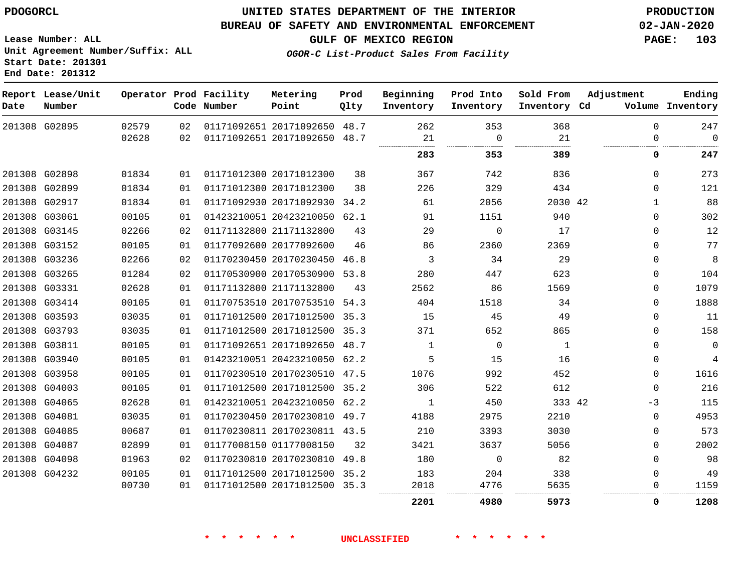**End Date: 201312**

## **UNITED STATES DEPARTMENT OF THE INTERIOR PDOGORCL PRODUCTION**

#### **BUREAU OF SAFETY AND ENVIRONMENTAL ENFORCEMENT 02-JAN-2020**

**Lease Number: ALL Unit Agreement Number/Suffix: ALL Start Date: 201301**

**GULF OF MEXICO REGION PAGE: 103**

**OGOR-C List-Product Sales From Facility**

| Date | Report Lease/Unit<br>Number |       |    | Operator Prod Facility<br>Code Number | Metering<br>Point            | Prod<br>Qlty | Beginning<br>Inventory | Prod Into<br>Inventory | Sold From<br>Inventory Cd | Adjustment   | Ending<br>Volume Inventory |
|------|-----------------------------|-------|----|---------------------------------------|------------------------------|--------------|------------------------|------------------------|---------------------------|--------------|----------------------------|
|      | 201308 G02895               | 02579 | 02 |                                       | 01171092651 20171092650 48.7 |              | 262                    | 353                    | 368                       | $\Omega$     | 247                        |
|      |                             | 02628 | 02 |                                       | 01171092651 20171092650 48.7 |              | 21                     | $\mathbf 0$            | 21                        | 0            | $\mathbf 0$                |
|      |                             |       |    |                                       |                              |              | 283                    | 353                    | 389                       | 0            | 247                        |
|      | 201308 G02898               | 01834 | 01 |                                       | 01171012300 20171012300      | 38           | 367                    | 742                    | 836                       | $\Omega$     | 273                        |
|      | 201308 G02899               | 01834 | 01 |                                       | 01171012300 20171012300      | 38           | 226                    | 329                    | 434                       | $\mathbf 0$  | 121                        |
|      | 201308 G02917               | 01834 | 01 |                                       | 01171092930 20171092930 34.2 |              | 61                     | 2056                   | 2030 42                   | $\mathbf{1}$ | 88                         |
|      | 201308 G03061               | 00105 | 01 |                                       | 01423210051 20423210050 62.1 |              | 91                     | 1151                   | 940                       | $\mathbf 0$  | 302                        |
|      | 201308 G03145               | 02266 | 02 |                                       | 01171132800 21171132800      | 43           | 29                     | $\Omega$               | 17                        | $\mathbf 0$  | 12                         |
|      | 201308 G03152               | 00105 | 01 |                                       | 01177092600 20177092600      | 46           | 86                     | 2360                   | 2369                      | $\Omega$     | 77                         |
|      | 201308 G03236               | 02266 | 02 |                                       | 01170230450 20170230450      | 46.8         | 3                      | 34                     | 29                        | $\mathbf 0$  | 8                          |
|      | 201308 G03265               | 01284 | 02 |                                       | 01170530900 20170530900 53.8 |              | 280                    | 447                    | 623                       | 0            | 104                        |
|      | 201308 G03331               | 02628 | 01 |                                       | 01171132800 21171132800      | 43           | 2562                   | 86                     | 1569                      | $\mathbf 0$  | 1079                       |
|      | 201308 G03414               | 00105 | 01 |                                       | 01170753510 20170753510 54.3 |              | 404                    | 1518                   | 34                        | $\Omega$     | 1888                       |
|      | 201308 G03593               | 03035 | 01 |                                       | 01171012500 20171012500 35.3 |              | 15                     | 45                     | 49                        | $\mathbf 0$  | 11                         |
|      | 201308 G03793               | 03035 | 01 |                                       | 01171012500 20171012500 35.3 |              | 371                    | 652                    | 865                       | $\mathbf 0$  | 158                        |
|      | 201308 G03811               | 00105 | 01 |                                       | 01171092651 20171092650 48.7 |              | $\mathbf{1}$           | $\Omega$               | 1                         | $\Omega$     | $\mathbf 0$                |
|      | 201308 G03940               | 00105 | 01 |                                       | 01423210051 20423210050 62.2 |              | 5                      | 15                     | 16                        | 0            | 4                          |
|      | 201308 G03958               | 00105 | 01 |                                       | 01170230510 20170230510 47.5 |              | 1076                   | 992                    | 452                       | $\Omega$     | 1616                       |
|      | 201308 G04003               | 00105 | 01 |                                       | 01171012500 20171012500 35.2 |              | 306                    | 522                    | 612                       | $\Omega$     | 216                        |
|      | 201308 G04065               | 02628 | 01 |                                       | 01423210051 20423210050 62.2 |              | 1                      | 450                    | 333 42                    | $-3$         | 115                        |
|      | 201308 G04081               | 03035 | 01 |                                       | 01170230450 20170230810 49.7 |              | 4188                   | 2975                   | 2210                      | $\mathbf 0$  | 4953                       |
|      | 201308 G04085               | 00687 | 01 |                                       | 01170230811 20170230811 43.5 |              | 210                    | 3393                   | 3030                      | $\Omega$     | 573                        |
|      | 201308 G04087               | 02899 | 01 |                                       | 01177008150 01177008150      | 32           | 3421                   | 3637                   | 5056                      | $\Omega$     | 2002                       |
|      | 201308 G04098               | 01963 | 02 |                                       | 01170230810 20170230810 49.8 |              | 180                    | $\Omega$               | 82                        | $\Omega$     | 98                         |
|      | 201308 G04232               | 00105 | 01 |                                       | 01171012500 20171012500 35.2 |              | 183                    | 204                    | 338                       | 0            | 49                         |
|      |                             | 00730 | 01 |                                       | 01171012500 20171012500 35.3 |              | 2018                   | 4776                   | 5635                      | 0            | 1159                       |
|      |                             |       |    |                                       |                              |              | 2201                   | 4980                   | 5973                      | 0            | 1208                       |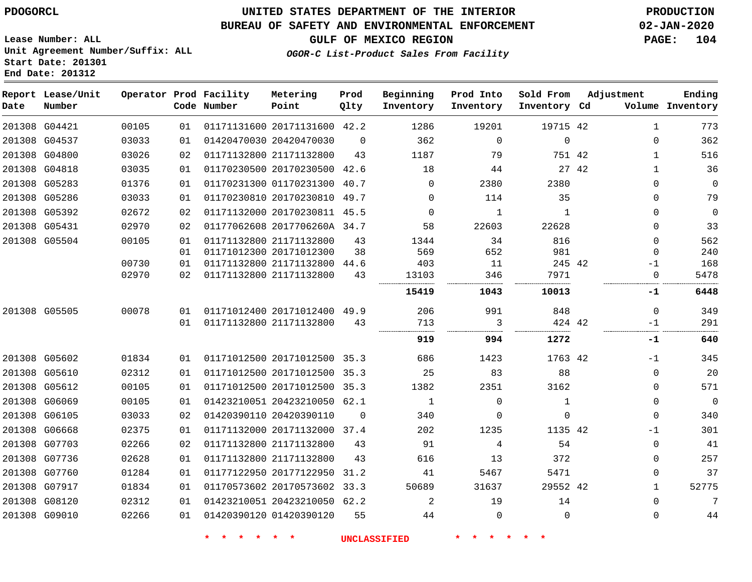#### **BUREAU OF SAFETY AND ENVIRONMENTAL ENFORCEMENT 02-JAN-2020**

**Lease Number: ALL Unit Agreement Number/Suffix: ALL Start Date: 201301 End Date: 201312**

**OGOR-C List-Product Sales From Facility**

| Date          | Report Lease/Unit<br>Number |       |    | Operator Prod Facility<br>Code Number | Metering<br>Point            | Prod<br>Qlty | Beginning<br>Inventory | Prod Into<br>Inventory | Sold From<br>Inventory Cd |       | Adjustment   | Ending<br>Volume Inventory |
|---------------|-----------------------------|-------|----|---------------------------------------|------------------------------|--------------|------------------------|------------------------|---------------------------|-------|--------------|----------------------------|
|               | 201308 G04421               | 00105 | 01 |                                       | 01171131600 20171131600 42.2 |              | 1286                   | 19201                  | 19715 42                  |       | 1            | 773                        |
|               | 201308 G04537               | 03033 | 01 |                                       | 01420470030 20420470030      | $\Omega$     | 362                    | $\mathbf 0$            | $\mathbf{0}$              |       | $\Omega$     | 362                        |
|               | 201308 G04800               | 03026 | 02 |                                       | 01171132800 21171132800      | 43           | 1187                   | 79                     | 751 42                    |       | $\mathbf{1}$ | 516                        |
|               | 201308 G04818               | 03035 | 01 |                                       | 01170230500 20170230500      | 42.6         | 18                     | 44                     |                           | 27 42 | $\mathbf{1}$ | 36                         |
| 201308 G05283 |                             | 01376 | 01 |                                       | 01170231300 01170231300      | 40.7         | $\Omega$               | 2380                   | 2380                      |       | 0            | $\mathsf 0$                |
|               | 201308 G05286               | 03033 | 01 |                                       | 01170230810 20170230810 49.7 |              | 0                      | 114                    | 35                        |       | 0            | 79                         |
|               | 201308 G05392               | 02672 | 02 |                                       | 01171132000 20170230811 45.5 |              | $\Omega$               | $\mathbf{1}$           | $\mathbf{1}$              |       | $\Omega$     | $\mathbf 0$                |
|               | 201308 G05431               | 02970 | 02 |                                       | 01177062608 2017706260A 34.7 |              | 58                     | 22603                  | 22628                     |       | $\Omega$     | 33                         |
|               | 201308 G05504               | 00105 | 01 |                                       | 01171132800 21171132800      | 43           | 1344                   | 34                     | 816                       |       | $\Omega$     | 562                        |
|               |                             |       | 01 |                                       | 01171012300 20171012300      | 38           | 569                    | 652                    | 981                       |       | $\mathbf 0$  | 240                        |
|               |                             | 00730 | 01 |                                       | 01171132800 21171132800      | 44.6         | 403                    | 11                     | 245 42                    |       | $-1$         | 168                        |
|               |                             | 02970 | 02 |                                       | 01171132800 21171132800      | 43           | 13103                  | 346                    | 7971                      |       | $\Omega$     | 5478                       |
|               |                             |       |    |                                       |                              |              | 15419                  | 1043                   | 10013                     |       | -1           | 6448                       |
| 201308 G05505 |                             | 00078 | 01 |                                       | 01171012400 20171012400 49.9 |              | 206                    | 991                    | 848                       |       | $\mathbf 0$  | 349                        |
|               |                             |       | 01 |                                       | 01171132800 21171132800      | 43           | 713<br>                | 3<br>                  | 424 42                    |       | $-1$         | 291                        |
|               |                             |       |    |                                       |                              |              | 919                    | 994                    | 1272                      |       | -1           | 640                        |
|               | 201308 G05602               | 01834 | 01 |                                       | 01171012500 20171012500 35.3 |              | 686                    | 1423                   | 1763 42                   |       | $-1$         | 345                        |
|               | 201308 G05610               | 02312 | 01 |                                       | 01171012500 20171012500      | 35.3         | 25                     | 83                     | 88                        |       | $\mathbf 0$  | 20                         |
|               | 201308 G05612               | 00105 | 01 |                                       | 01171012500 20171012500 35.3 |              | 1382                   | 2351                   | 3162                      |       | $\Omega$     | 571                        |
|               | 201308 G06069               | 00105 | 01 |                                       | 01423210051 20423210050 62.1 |              | $\mathbf{1}$           | $\mathbf 0$            | $\mathbf{1}$              |       | $\mathbf 0$  | $\overline{0}$             |
|               | 201308 G06105               | 03033 | 02 |                                       | 01420390110 20420390110      | $\Omega$     | 340                    | $\mathbf 0$            | 0                         |       | $\Omega$     | 340                        |
|               | 201308 G06668               | 02375 | 01 |                                       | 01171132000 20171132000      | 37.4         | 202                    | 1235                   | 1135 42                   |       | $-1$         | 301                        |
|               | 201308 G07703               | 02266 | 02 |                                       | 01171132800 21171132800      | 43           | 91                     | 4                      | 54                        |       | $\mathbf 0$  | 41                         |
|               | 201308 G07736               | 02628 | 01 |                                       | 01171132800 21171132800      | 43           | 616                    | 13                     | 372                       |       | 0            | 257                        |
|               | 201308 G07760               | 01284 | 01 |                                       | 01177122950 20177122950      | 31.2         | 41                     | 5467                   | 5471                      |       | $\Omega$     | 37                         |
|               | 201308 G07917               | 01834 | 01 |                                       | 01170573602 20170573602 33.3 |              | 50689                  | 31637                  | 29552 42                  |       | $\mathbf{1}$ | 52775                      |
|               | 201308 G08120               | 02312 | 01 |                                       | 01423210051 20423210050 62.2 |              | 2                      | 19                     | 14                        |       | $\Omega$     | 7                          |
|               | 201308 G09010               | 02266 | 01 |                                       | 01420390120 01420390120      | 55           | 44                     | $\mathbf 0$            | $\mathbf{0}$              |       | 0            | 44                         |

**\* \* \* \* \* \* UNCLASSIFIED \* \* \* \* \* \***

**GULF OF MEXICO REGION PAGE: 104**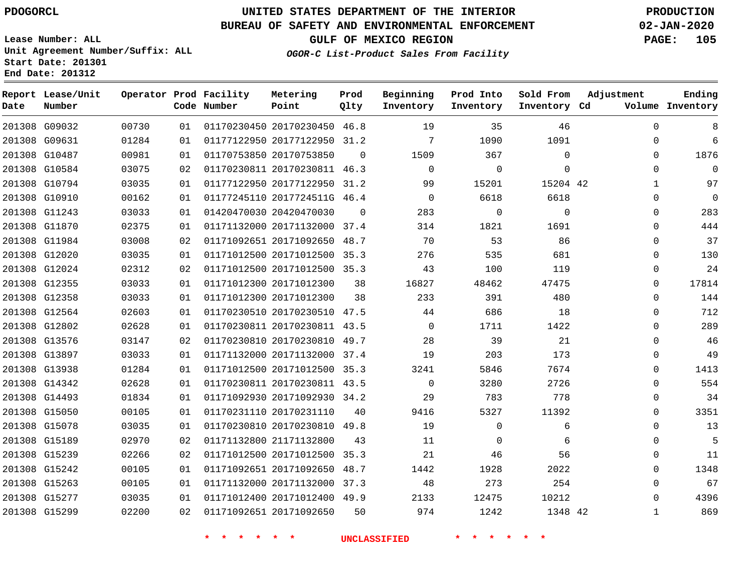#### **BUREAU OF SAFETY AND ENVIRONMENTAL ENFORCEMENT 02-JAN-2020**

**Lease Number: ALL Unit Agreement Number/Suffix: ALL Start Date: 201301 End Date: 201312**

**OGOR-C List-Product Sales From Facility**

**GULF OF MEXICO REGION PAGE: 105**

| Number |                                                                                                                                                                                                                                                                                                                                                                                                                                                                                                               |    | Metering<br>Point                     | Prod<br>Qlty                                                                                                                                                                              | Beginning<br>Inventory                                                                                                                                                                                                                                                                                                                                                                                                                                                                                                                                                                                                                                                                  | Prod Into<br>Inventory | Sold From   | Adjustment   | Ending<br>Volume Inventory          |
|--------|---------------------------------------------------------------------------------------------------------------------------------------------------------------------------------------------------------------------------------------------------------------------------------------------------------------------------------------------------------------------------------------------------------------------------------------------------------------------------------------------------------------|----|---------------------------------------|-------------------------------------------------------------------------------------------------------------------------------------------------------------------------------------------|-----------------------------------------------------------------------------------------------------------------------------------------------------------------------------------------------------------------------------------------------------------------------------------------------------------------------------------------------------------------------------------------------------------------------------------------------------------------------------------------------------------------------------------------------------------------------------------------------------------------------------------------------------------------------------------------|------------------------|-------------|--------------|-------------------------------------|
|        | 00730                                                                                                                                                                                                                                                                                                                                                                                                                                                                                                         | 01 |                                       |                                                                                                                                                                                           | 19                                                                                                                                                                                                                                                                                                                                                                                                                                                                                                                                                                                                                                                                                      | 35                     | 46          | $\mathbf 0$  | 8                                   |
|        | 01284                                                                                                                                                                                                                                                                                                                                                                                                                                                                                                         | 01 |                                       |                                                                                                                                                                                           | 7                                                                                                                                                                                                                                                                                                                                                                                                                                                                                                                                                                                                                                                                                       | 1090                   | 1091        | 0            | 6                                   |
|        | 00981                                                                                                                                                                                                                                                                                                                                                                                                                                                                                                         | 01 |                                       | $\mathbf 0$                                                                                                                                                                               | 1509                                                                                                                                                                                                                                                                                                                                                                                                                                                                                                                                                                                                                                                                                    | 367                    | $\Omega$    | 0            | 1876                                |
|        | 03075                                                                                                                                                                                                                                                                                                                                                                                                                                                                                                         | 02 |                                       |                                                                                                                                                                                           | $\mathbf 0$                                                                                                                                                                                                                                                                                                                                                                                                                                                                                                                                                                                                                                                                             | $\mathbf 0$            | $\mathbf 0$ | 0            | $\mathbf 0$                         |
|        | 03035                                                                                                                                                                                                                                                                                                                                                                                                                                                                                                         | 01 |                                       |                                                                                                                                                                                           | 99                                                                                                                                                                                                                                                                                                                                                                                                                                                                                                                                                                                                                                                                                      | 15201                  |             | $\mathbf{1}$ | 97                                  |
|        | 00162                                                                                                                                                                                                                                                                                                                                                                                                                                                                                                         | 01 |                                       |                                                                                                                                                                                           | 0                                                                                                                                                                                                                                                                                                                                                                                                                                                                                                                                                                                                                                                                                       | 6618                   | 6618        | 0            | $\mathbf 0$                         |
|        | 03033                                                                                                                                                                                                                                                                                                                                                                                                                                                                                                         | 01 |                                       | $\Omega$                                                                                                                                                                                  | 283                                                                                                                                                                                                                                                                                                                                                                                                                                                                                                                                                                                                                                                                                     | $\Omega$               | $\Omega$    | 0            | 283                                 |
|        | 02375                                                                                                                                                                                                                                                                                                                                                                                                                                                                                                         | 01 |                                       |                                                                                                                                                                                           | 314                                                                                                                                                                                                                                                                                                                                                                                                                                                                                                                                                                                                                                                                                     | 1821                   | 1691        | 0            | 444                                 |
|        | 03008                                                                                                                                                                                                                                                                                                                                                                                                                                                                                                         | 02 |                                       |                                                                                                                                                                                           | 70                                                                                                                                                                                                                                                                                                                                                                                                                                                                                                                                                                                                                                                                                      | 53                     | 86          | $\Omega$     | 37                                  |
|        | 03035                                                                                                                                                                                                                                                                                                                                                                                                                                                                                                         | 01 |                                       |                                                                                                                                                                                           | 276                                                                                                                                                                                                                                                                                                                                                                                                                                                                                                                                                                                                                                                                                     | 535                    | 681         | $\mathbf 0$  | 130                                 |
|        | 02312                                                                                                                                                                                                                                                                                                                                                                                                                                                                                                         | 02 |                                       |                                                                                                                                                                                           | 43                                                                                                                                                                                                                                                                                                                                                                                                                                                                                                                                                                                                                                                                                      | 100                    | 119         | $\mathbf 0$  | 24                                  |
|        | 03033                                                                                                                                                                                                                                                                                                                                                                                                                                                                                                         | 01 |                                       | 38                                                                                                                                                                                        | 16827                                                                                                                                                                                                                                                                                                                                                                                                                                                                                                                                                                                                                                                                                   | 48462                  | 47475       | $\Omega$     | 17814                               |
|        | 03033                                                                                                                                                                                                                                                                                                                                                                                                                                                                                                         | 01 |                                       | 38                                                                                                                                                                                        | 233                                                                                                                                                                                                                                                                                                                                                                                                                                                                                                                                                                                                                                                                                     | 391                    | 480         | $\mathbf 0$  | 144                                 |
|        | 02603                                                                                                                                                                                                                                                                                                                                                                                                                                                                                                         | 01 |                                       |                                                                                                                                                                                           | 44                                                                                                                                                                                                                                                                                                                                                                                                                                                                                                                                                                                                                                                                                      | 686                    | 18          | 0            | 712                                 |
|        | 02628                                                                                                                                                                                                                                                                                                                                                                                                                                                                                                         | 01 |                                       |                                                                                                                                                                                           | $\Omega$                                                                                                                                                                                                                                                                                                                                                                                                                                                                                                                                                                                                                                                                                | 1711                   | 1422        | 0            | 289                                 |
|        | 03147                                                                                                                                                                                                                                                                                                                                                                                                                                                                                                         | 02 |                                       |                                                                                                                                                                                           | 28                                                                                                                                                                                                                                                                                                                                                                                                                                                                                                                                                                                                                                                                                      | 39                     | 21          | $\Omega$     | 46                                  |
|        | 03033                                                                                                                                                                                                                                                                                                                                                                                                                                                                                                         | 01 |                                       |                                                                                                                                                                                           | 19                                                                                                                                                                                                                                                                                                                                                                                                                                                                                                                                                                                                                                                                                      | 203                    | 173         | $\mathbf 0$  | 49                                  |
|        | 01284                                                                                                                                                                                                                                                                                                                                                                                                                                                                                                         | 01 |                                       |                                                                                                                                                                                           | 3241                                                                                                                                                                                                                                                                                                                                                                                                                                                                                                                                                                                                                                                                                    | 5846                   | 7674        | $\Omega$     | 1413                                |
|        | 02628                                                                                                                                                                                                                                                                                                                                                                                                                                                                                                         | 01 |                                       |                                                                                                                                                                                           | $\Omega$                                                                                                                                                                                                                                                                                                                                                                                                                                                                                                                                                                                                                                                                                | 3280                   | 2726        | 0            | 554                                 |
|        | 01834                                                                                                                                                                                                                                                                                                                                                                                                                                                                                                         | 01 |                                       |                                                                                                                                                                                           | 29                                                                                                                                                                                                                                                                                                                                                                                                                                                                                                                                                                                                                                                                                      | 783                    | 778         | 0            | 34                                  |
|        | 00105                                                                                                                                                                                                                                                                                                                                                                                                                                                                                                         | 01 |                                       | 40                                                                                                                                                                                        | 9416                                                                                                                                                                                                                                                                                                                                                                                                                                                                                                                                                                                                                                                                                    | 5327                   | 11392       | 0            | 3351                                |
|        | 03035                                                                                                                                                                                                                                                                                                                                                                                                                                                                                                         | 01 |                                       |                                                                                                                                                                                           | 19                                                                                                                                                                                                                                                                                                                                                                                                                                                                                                                                                                                                                                                                                      | 0                      | 6           | 0            | 13                                  |
|        | 02970                                                                                                                                                                                                                                                                                                                                                                                                                                                                                                         | 02 |                                       | 43                                                                                                                                                                                        | 11                                                                                                                                                                                                                                                                                                                                                                                                                                                                                                                                                                                                                                                                                      | $\Omega$               | 6           | 0            | 5                                   |
|        | 02266                                                                                                                                                                                                                                                                                                                                                                                                                                                                                                         | 02 |                                       |                                                                                                                                                                                           | 21                                                                                                                                                                                                                                                                                                                                                                                                                                                                                                                                                                                                                                                                                      | 46                     | 56          | 0            | 11                                  |
|        | 00105                                                                                                                                                                                                                                                                                                                                                                                                                                                                                                         | 01 |                                       | 48.7                                                                                                                                                                                      | 1442                                                                                                                                                                                                                                                                                                                                                                                                                                                                                                                                                                                                                                                                                    | 1928                   | 2022        | 0            | 1348                                |
|        | 00105                                                                                                                                                                                                                                                                                                                                                                                                                                                                                                         | 01 |                                       |                                                                                                                                                                                           | 48                                                                                                                                                                                                                                                                                                                                                                                                                                                                                                                                                                                                                                                                                      | 273                    | 254         | $\Omega$     | 67                                  |
|        | 03035                                                                                                                                                                                                                                                                                                                                                                                                                                                                                                         | 01 |                                       |                                                                                                                                                                                           | 2133                                                                                                                                                                                                                                                                                                                                                                                                                                                                                                                                                                                                                                                                                    | 12475                  | 10212       | 0            | 4396                                |
|        | 02200                                                                                                                                                                                                                                                                                                                                                                                                                                                                                                         | 02 |                                       | 50                                                                                                                                                                                        | 974                                                                                                                                                                                                                                                                                                                                                                                                                                                                                                                                                                                                                                                                                     | 1242                   |             | $\mathbf{1}$ | 869                                 |
|        | Report Lease/Unit<br>201308 G09032<br>201308 G09631<br>201308 G10487<br>201308 G10584<br>201308 G10794<br>201308 G10910<br>201308 G11243<br>201308 G11870<br>201308 G11984<br>201308 G12020<br>201308 G12024<br>201308 G12355<br>201308 G12358<br>201308 G12564<br>201308 G12802<br>201308 G13576<br>201308 G13897<br>201308 G13938<br>201308 G14342<br>201308 G14493<br>201308 G15050<br>201308 G15078<br>201308 G15189<br>201308 G15239<br>201308 G15242<br>201308 G15263<br>201308 G15277<br>201308 G15299 |    | Operator Prod Facility<br>Code Number | 01170753850 20170753850<br>01420470030 20420470030<br>01171012300 20171012300<br>01171012300 20171012300<br>01170231110 20170231110<br>01171132800 21171132800<br>01171092651 20171092650 | 01170230450 20170230450 46.8<br>01177122950 20177122950 31.2<br>01170230811 20170230811 46.3<br>01177122950 20177122950 31.2<br>01177245110 2017724511G 46.4<br>01171132000 20171132000 37.4<br>01171092651 20171092650 48.7<br>01171012500 20171012500 35.3<br>01171012500 20171012500 35.3<br>01170230510 20170230510 47.5<br>01170230811 20170230811 43.5<br>01170230810 20170230810 49.7<br>01171132000 20171132000 37.4<br>01171012500 20171012500 35.3<br>01170230811 20170230811 43.5<br>01171092930 20171092930 34.2<br>01170230810 20170230810 49.8<br>01171012500 20171012500 35.3<br>01171092651 20171092650<br>01171132000 20171132000 37.3<br>01171012400 20171012400 49.9 |                        |             |              | Inventory Cd<br>15204 42<br>1348 42 |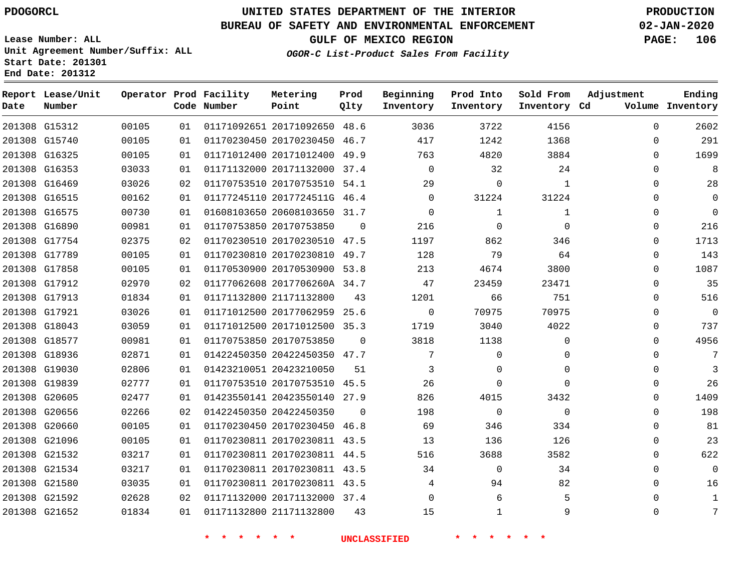G15312 G15740 G16325 G16353 G16469 G16515 G16575 G16890 G17754 G17789 G17858 G17912 G17913 G17921 G18043 G18577 G18936 G19030 G19839 G20605 G20656 G20660 G21096 G21532 G21534 G21580 G21592 G21652

**Date**

**Report Lease/Unit**

**Number**

## **UNITED STATES DEPARTMENT OF THE INTERIOR PDOGORCL PRODUCTION**

48.6 46.7

**Prod Qlty**

#### **BUREAU OF SAFETY AND ENVIRONMENTAL ENFORCEMENT 02-JAN-2020**

**Lease Number: ALL**

 

**Operator Prod Facility**

**Code Number**

 20171092650 20170230450

**Metering Point**

 

**OGOR-C List-Product Sales From Facility**

 

**Beginning Inventory**

**Inventory Cd Volume**

**Adjustment**

 $\Omega$  $\Omega$   

**Ending**

 $\Omega$  $\Omega$ 

 $\Omega$ 

 

**GULF OF MEXICO REGION PAGE: 106**

 

**Sold From Inventory**

 

**Prod Into Inventory**

 20170230811 43.5 20170230811 44.5 20170230811 43.5 27.9 46.8  $\Omega$   $\Omega$ 

#### **\* \* \* \* \* \* UNCLASSIFIED \* \* \* \* \* \***

 20170230811 43.5 20171132000 37.4 21171132800  $\Omega$   $\Omega$   $\Omega$   $\Omega$   $\Omega$  $\Omega$   $\Omega$  $\Omega$   $\Omega$   $\Omega$ 

 20171012400 20171132000 37.4 20170753510 54.1 2017724511G 46.4 20608103650 31.7 20170753850 20170230510 20170230810 20170530900 53.8 2017706260A 34.7 21171132800 20177062959 20171012500 35.3 20170753850 20422450350 47.7 20423210050 20170753510 45.5 20423550140 20422450350 20170230450 49.9  $\Omega$ 47.5 49.7 25.6  $\Omega$   $\Omega$   $\Omega$  $\Omega$   $\Omega$   $\Omega$   $\Omega$   $\Omega$  $\Omega$   $\Omega$   $\Omega$  $\Omega$  $\Omega$  $\Omega$  $\Omega$  $\Omega$  $\Omega$  $\Omega$  $\Omega$  $\Omega$  $\Omega$  $\Omega$  $\Omega$  $\Omega$   $\Omega$  $\Omega$  $\Omega$  $\cap$ 

**Unit Agreement Number/Suffix: ALL Start Date: 201301 End Date: 201312**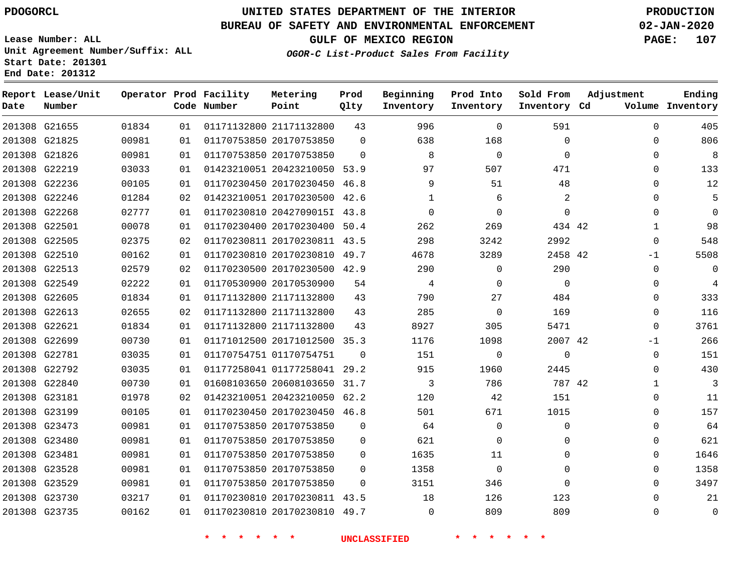**End Date: 201312**

**Report Lease/Unit**

**Number**

G23735

## **UNITED STATES DEPARTMENT OF THE INTERIOR PDOGORCL PRODUCTION**

#### **BUREAU OF SAFETY AND ENVIRONMENTAL ENFORCEMENT 02-JAN-2020**

**Lease Number: ALL Unit Agreement Number/Suffix: ALL Start Date: 201301**

**Operator Prod Facility**

**Code Number**

**OGOR-C List-Product Sales From Facility**

**Beginning Inventory** **Prod Into Inventory** **Sold From Inventory**

**GULF OF MEXICO REGION PAGE: 107**

**Inventory Cd Volume**

**Adjustment**

  $\Omega$   $\Omega$  $\Omega$  $\Omega$  -1  $\overline{0}$  $\Omega$  $\overline{0}$   $\overline{0}$ -1  $\Omega$  $\Omega$   $\Omega$   $\Omega$   $\Omega$ 

**Ending**

| 201308 G21655 | 01834 | 01 | 01171132800 21171132800 |                              | 43       | 996          | 0        | 591          |  |
|---------------|-------|----|-------------------------|------------------------------|----------|--------------|----------|--------------|--|
| 201308 G21825 | 00981 | 01 | 01170753850 20170753850 |                              | $\Omega$ | 638          | 168      | $\mathbf 0$  |  |
| 201308 G21826 | 00981 | 01 | 01170753850 20170753850 |                              | 0        | 8            | $\Omega$ | $\Omega$     |  |
| 201308 G22219 | 03033 | 01 |                         | 01423210051 20423210050 53.9 |          | 97           | 507      | 471          |  |
| 201308 G22236 | 00105 | 01 |                         | 01170230450 20170230450 46.8 |          | 9            | 51       | 48           |  |
| 201308 G22246 | 01284 | 02 |                         | 01423210051 20170230500 42.6 |          | $\mathbf{1}$ | 6        | 2            |  |
| 201308 G22268 | 02777 | 01 |                         | 01170230810 2042709015I 43.8 |          | $\Omega$     | $\Omega$ | $\mathbf{0}$ |  |
| 201308 G22501 | 00078 | 01 |                         | 01170230400 20170230400 50.4 |          | 262          | 269      | 434 42       |  |
| 201308 G22505 | 02375 | 02 |                         | 01170230811 20170230811 43.5 |          | 298          | 3242     | 2992         |  |
| 201308 G22510 | 00162 | 01 |                         | 01170230810 20170230810 49.7 |          | 4678         | 3289     | 2458 42      |  |
| 201308 G22513 | 02579 | 02 |                         | 01170230500 20170230500 42.9 |          | 290          | $\Omega$ | 290          |  |
| 201308 G22549 | 02222 | 01 | 01170530900 20170530900 |                              | 54       | 4            | $\Omega$ | $\Omega$     |  |
| 201308 G22605 | 01834 | 01 | 01171132800 21171132800 |                              | 43       | 790          | 27       | 484          |  |
| 201308 G22613 | 02655 | 02 | 01171132800 21171132800 |                              | 43       | 285          | 0        | 169          |  |
| 201308 G22621 | 01834 | 01 | 01171132800 21171132800 |                              | 43       | 8927         | 305      | 5471         |  |
| 201308 G22699 | 00730 | 01 |                         | 01171012500 20171012500 35.3 |          | 1176         | 1098     | 2007 42      |  |
| 201308 G22781 | 03035 | 01 | 01170754751 01170754751 |                              | $\Omega$ | 151          | 0        | $\mathbf 0$  |  |
| 201308 G22792 | 03035 | 01 |                         | 01177258041 01177258041 29.2 |          | 915          | 1960     | 2445         |  |
| 201308 G22840 | 00730 | 01 |                         | 01608103650 20608103650 31.7 |          | 3            | 786      | 787 42       |  |
| 201308 G23181 | 01978 | 02 |                         | 01423210051 20423210050 62.2 |          | 120          | 42       | 151          |  |
| 201308 G23199 | 00105 | 01 |                         | 01170230450 20170230450 46.8 |          | 501          | 671      | 1015         |  |
| 201308 G23473 | 00981 | 01 | 01170753850 20170753850 |                              | $\Omega$ | 64           | 0        | 0            |  |
| 201308 G23480 | 00981 | 01 | 01170753850 20170753850 |                              | $\Omega$ | 621          | $\Omega$ | 0            |  |
| 201308 G23481 | 00981 | 01 | 01170753850 20170753850 |                              | $\Omega$ | 1635         | 11       | 0            |  |
| 201308 G23528 | 00981 | 01 | 01170753850 20170753850 |                              | 0        | 1358         | $\Omega$ | 0            |  |
| 201308 G23529 | 00981 | 01 | 01170753850 20170753850 |                              | $\Omega$ | 3151         | 346      | $\Omega$     |  |
| 201308 G23730 | 03217 | 01 |                         | 01170230810 20170230811 43.5 |          | 18           | 126      | 123          |  |

**Metering Point**

**Prod Qlty**

**\* \* \* \* \* \* UNCLASSIFIED \* \* \* \* \* \***

20170230810 49.7

 $\Omega$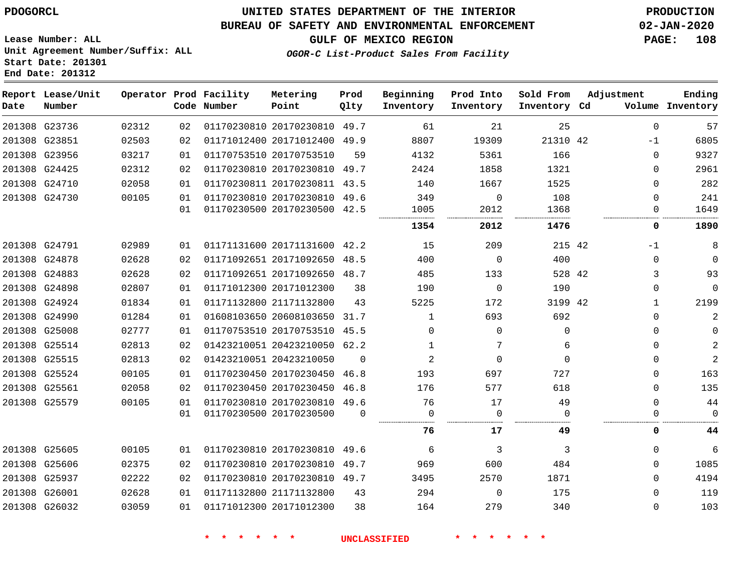#### **BUREAU OF SAFETY AND ENVIRONMENTAL ENFORCEMENT 02-JAN-2020**

**Lease Number: ALL Unit Agreement Number/Suffix: ALL Start Date: 201301 End Date: 201312**

**GULF OF MEXICO REGION PAGE: 108**

**OGOR-C List-Product Sales From Facility**

| Date          | Report Lease/Unit<br>Number |       |                 | Operator Prod Facility<br>Code Number | Metering<br>Point            | Prod<br>Qlty | Beginning<br>Inventory | Prod Into<br>Inventory | Sold From<br>Inventory Cd | Adjustment   | Ending<br>Volume Inventory |
|---------------|-----------------------------|-------|-----------------|---------------------------------------|------------------------------|--------------|------------------------|------------------------|---------------------------|--------------|----------------------------|
|               | 201308 G23736               | 02312 | 02              |                                       | 01170230810 20170230810 49.7 |              | 61                     | 21                     | 25                        | 0            | 57                         |
| 201308 G23851 |                             | 02503 | 02              |                                       | 01171012400 20171012400 49.9 |              | 8807                   | 19309                  | 21310 42                  | -1           | 6805                       |
|               | 201308 G23956               | 03217 | 01              |                                       | 01170753510 20170753510      | 59           | 4132                   | 5361                   | 166                       | 0            | 9327                       |
|               | 201308 G24425               | 02312 | 02              |                                       | 01170230810 20170230810 49.7 |              | 2424                   | 1858                   | 1321                      | 0            | 2961                       |
| 201308 G24710 |                             | 02058 | 01              |                                       | 01170230811 20170230811 43.5 |              | 140                    | 1667                   | 1525                      | 0            | 282                        |
| 201308 G24730 |                             | 00105 | 01              |                                       | 01170230810 20170230810 49.6 |              | 349                    | $\mathbf 0$            | 108                       | 0            | 241                        |
|               |                             |       | 01              |                                       | 01170230500 20170230500 42.5 |              | 1005                   | 2012                   | 1368                      | 0            | 1649                       |
|               |                             |       |                 |                                       |                              |              | 1354                   | 2012                   | 1476                      | 0            | 1890                       |
| 201308 G24791 |                             | 02989 | 01              |                                       | 01171131600 20171131600 42.2 |              | 15                     | 209                    | 215 42                    | $-1$         | 8                          |
|               | 201308 G24878               | 02628 | 02              |                                       | 01171092651 20171092650 48.5 |              | 400                    | $\mathbf 0$            | 400                       | 0            | $\mathbf 0$                |
|               | 201308 G24883               | 02628 | 02 <sub>2</sub> |                                       | 01171092651 20171092650 48.7 |              | 485                    | 133                    | 528 42                    | 3            | 93                         |
|               | 201308 G24898               | 02807 | 01              |                                       | 01171012300 20171012300      | 38           | 190                    | $\mathbf 0$            | 190                       | 0            | $\Omega$                   |
|               | 201308 G24924               | 01834 | 01              |                                       | 01171132800 21171132800      | 43           | 5225                   | 172                    | 3199 42                   | $\mathbf{1}$ | 2199                       |
|               | 201308 G24990               | 01284 | 01              |                                       | 01608103650 20608103650 31.7 |              | 1                      | 693                    | 692                       | 0            | $\overline{c}$             |
|               | 201308 G25008               | 02777 | 01              |                                       | 01170753510 20170753510 45.5 |              | $\Omega$               | $\Omega$               | $\Omega$                  | 0            | $\mathbf 0$                |
|               | 201308 G25514               | 02813 | 02              |                                       | 01423210051 20423210050 62.2 |              | 1                      | 7                      | 6                         | 0            | $\sqrt{2}$                 |
|               | 201308 G25515               | 02813 | 02              |                                       | 01423210051 20423210050      | $\Omega$     | 2                      | $\Omega$               | $\Omega$                  | 0            | $\overline{a}$             |
|               | 201308 G25524               | 00105 | 01              |                                       | 01170230450 20170230450 46.8 |              | 193                    | 697                    | 727                       | 0            | 163                        |
| 201308 G25561 |                             | 02058 | 02              |                                       | 01170230450 20170230450 46.8 |              | 176                    | 577                    | 618                       | $\Omega$     | 135                        |
|               | 201308 G25579               | 00105 | 01              |                                       | 01170230810 20170230810 49.6 |              | 76                     | 17                     | 49                        | $\Omega$     | 44                         |
|               |                             |       | 01              |                                       | 01170230500 20170230500      | $\Omega$     | 0                      | 0                      | $\Omega$                  | 0            | 0                          |
|               |                             |       |                 |                                       |                              |              | 76                     | 17                     | 49                        | 0            | 44                         |
| 201308 G25605 |                             | 00105 | 01              |                                       | 01170230810 20170230810 49.6 |              | 6                      | 3                      | 3                         | 0            | 6                          |
| 201308 G25606 |                             | 02375 | 02              |                                       | 01170230810 20170230810 49.7 |              | 969                    | 600                    | 484                       | 0            | 1085                       |
|               | 201308 G25937               | 02222 | 02              |                                       | 01170230810 20170230810 49.7 |              | 3495                   | 2570                   | 1871                      | 0            | 4194                       |
| 201308 G26001 |                             | 02628 | 01              |                                       | 01171132800 21171132800      | 43           | 294                    | $\Omega$               | 175                       | $\Omega$     | 119                        |
|               | 201308 G26032               | 03059 | 01              |                                       | 01171012300 20171012300      | 38           | 164                    | 279                    | 340                       | 0            | 103                        |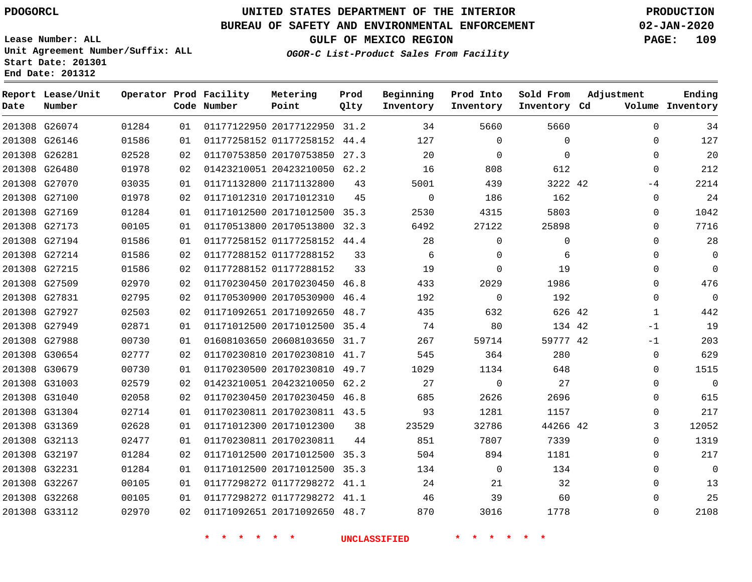**Report Lease/Unit**

**Number**

**Date**

# **UNITED STATES DEPARTMENT OF THE INTERIOR PDOGORCL PRODUCTION**

**Prod Qlty**

**Metering Point**

#### **BUREAU OF SAFETY AND ENVIRONMENTAL ENFORCEMENT 02-JAN-2020**

**Lease Number: ALL Unit Agreement Number/Suffix: ALL Start Date: 201301 End Date: 201312**

**Operator Prod Facility**

**OGOR-C List-Product Sales From Facility**

**Beginning Inventory** **Prod Into Inventory** **Sold From Inventory**

**Adjustment**

**GULF OF MEXICO REGION PAGE: 109**

**Ending**

| Number |       |    | Code Number                         | Point                        | Qlty | Inventory           | Inventory    | Inventory Cd                 |              | Volume Inventory |
|--------|-------|----|-------------------------------------|------------------------------|------|---------------------|--------------|------------------------------|--------------|------------------|
| G26074 | 01284 | 01 |                                     | 01177122950 20177122950 31.2 |      | 34                  | 5660         | 5660                         | $\mathbf 0$  | 34               |
| G26146 | 01586 | 01 |                                     | 01177258152 01177258152 44.4 |      | 127                 | $\Omega$     | $\mathbf 0$                  | 0            | 127              |
| G26281 | 02528 | 02 |                                     | 01170753850 20170753850 27.3 |      | 20                  | $\mathbf 0$  | $\mathbf 0$                  | 0            | 20               |
| G26480 | 01978 | 02 |                                     | 01423210051 20423210050 62.2 |      | 16                  | 808          | 612                          | $\mathbf 0$  | 212              |
| G27070 | 03035 | 01 |                                     | 01171132800 21171132800      | 43   | 5001                | 439          | 3222 42                      | $-4$         | 2214             |
| G27100 | 01978 | 02 |                                     | 01171012310 20171012310      | 45   | $\mathbf 0$         | 186          | 162                          | 0            | 24               |
| G27169 | 01284 | 01 |                                     | 01171012500 20171012500 35.3 |      | 2530                | 4315         | 5803                         | 0            | 1042             |
| G27173 | 00105 | 01 |                                     | 01170513800 20170513800 32.3 |      | 6492                | 27122        | 25898                        | 0            | 7716             |
| G27194 | 01586 | 01 |                                     | 01177258152 01177258152 44.4 |      | 28                  | 0            | $\mathbf 0$                  | 0            | 28               |
| G27214 | 01586 | 02 |                                     | 01177288152 01177288152      | 33   | 6                   | $\mathbf 0$  | 6                            | 0            | $\overline{0}$   |
| G27215 | 01586 | 02 |                                     | 01177288152 01177288152      | 33   | 19                  | $\Omega$     | 19                           | 0            | $\mathbf 0$      |
| G27509 | 02970 | 02 |                                     | 01170230450 20170230450 46.8 |      | 433                 | 2029         | 1986                         | 0            | 476              |
| G27831 | 02795 | 02 |                                     | 01170530900 20170530900 46.4 |      | 192                 | $\mathbf 0$  | 192                          | 0            | $\mathbf 0$      |
| G27927 | 02503 | 02 |                                     | 01171092651 20171092650 48.7 |      | 435                 | 632          | 626 42                       | $\mathbf{1}$ | 442              |
| G27949 | 02871 | 01 |                                     | 01171012500 20171012500 35.4 |      | 74                  | 80           | 134 42                       | $-1$         | 19               |
| G27988 | 00730 | 01 |                                     | 01608103650 20608103650 31.7 |      | 267                 | 59714        | 59777 42                     | $-1$         | 203              |
| G30654 | 02777 | 02 |                                     | 01170230810 20170230810 41.7 |      | 545                 | 364          | 280                          | 0            | 629              |
| G30679 | 00730 | 01 |                                     | 01170230500 20170230810 49.7 |      | 1029                | 1134         | 648                          | 0            | 1515             |
| G31003 | 02579 | 02 |                                     | 01423210051 20423210050 62.2 |      | 27                  | $\mathbf{0}$ | 27                           | 0            | $\overline{0}$   |
| G31040 | 02058 | 02 |                                     | 01170230450 20170230450 46.8 |      | 685                 | 2626         | 2696                         | 0            | 615              |
| G31304 | 02714 | 01 |                                     | 01170230811 20170230811 43.5 |      | 93                  | 1281         | 1157                         | 0            | 217              |
| G31369 | 02628 | 01 |                                     | 01171012300 20171012300      | 38   | 23529               | 32786        | 44266 42                     | 3            | 12052            |
| G32113 | 02477 | 01 |                                     | 01170230811 20170230811      | 44   | 851                 | 7807         | 7339                         | 0            | 1319             |
| G32197 | 01284 | 02 |                                     | 01171012500 20171012500 35.3 |      | 504                 | 894          | 1181                         | 0            | 217              |
| G32231 | 01284 | 01 |                                     | 01171012500 20171012500 35.3 |      | 134                 | $\mathbf 0$  | 134                          | 0            | $\mathbf 0$      |
| G32267 | 00105 | 01 |                                     | 01177298272 01177298272 41.1 |      | 24                  | 21           | 32                           | 0            | 13               |
| G32268 | 00105 | 01 |                                     | 01177298272 01177298272 41.1 |      | 46                  | 39           | 60                           | 0            | 25               |
| G33112 | 02970 | 02 |                                     | 01171092651 20171092650 48.7 |      | 870                 | 3016         | 1778                         | 0            | 2108             |
|        |       |    | $\star$<br>一大<br>$\star$<br>$\star$ | $\star$<br>$\star$           |      | <b>UNCLASSIFIED</b> | $\star$      | $\star$<br>$\ast$<br>$\star$ |              |                  |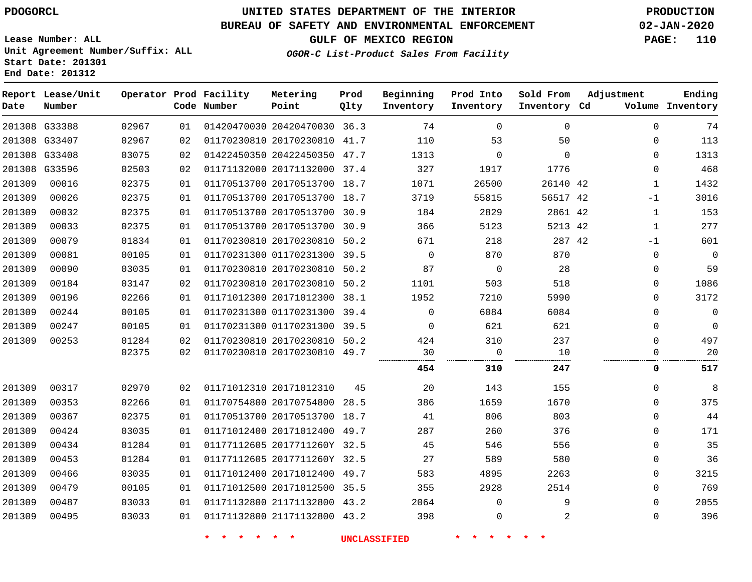**Report Lease/Unit**

# **UNITED STATES DEPARTMENT OF THE INTERIOR PDOGORCL PRODUCTION**

### **BUREAU OF SAFETY AND ENVIRONMENTAL ENFORCEMENT 02-JAN-2020**

**Lease Number: ALL Unit Agreement Number/Suffix: ALL Start Date: 201301**

**OGOR-C List-Product Sales From Facility**

**Ending**

**GULF OF MEXICO REGION PAGE: 110**

**Adjustment**

|  | Operator Prod Facility | Metering | Prod | Beginning           | Prod Into | Sold From |
|--|------------------------|----------|------|---------------------|-----------|-----------|
|  |                        |          |      |                     |           |           |
|  | Code Number            | Point    | Oltv | Inventory Inventory |           | Inventory |

| Date   | Number        |       |    | Code Number | Point                        | Qlty | Inventory   | Inventory   | Inventory Cd |              | Volume Inventory |
|--------|---------------|-------|----|-------------|------------------------------|------|-------------|-------------|--------------|--------------|------------------|
|        | 201308 G33388 | 02967 | 01 |             | 01420470030 20420470030 36.3 |      | 74          | $\Omega$    | $\mathbf 0$  | $\Omega$     | 74               |
|        | 201308 G33407 | 02967 | 02 |             | 01170230810 20170230810 41.7 |      | 110         | 53          | 50           | $\Omega$     | 113              |
|        | 201308 G33408 | 03075 | 02 |             | 01422450350 20422450350 47.7 |      | 1313        | $\mathbf 0$ | $\mathbf 0$  | $\Omega$     | 1313             |
|        | 201308 G33596 | 02503 | 02 |             | 01171132000 20171132000 37.4 |      | 327         | 1917        | 1776         | $\Omega$     | 468              |
| 201309 | 00016         | 02375 | 01 |             | 01170513700 20170513700 18.7 |      | 1071        | 26500       | 26140 42     | 1            | 1432             |
| 201309 | 00026         | 02375 | 01 |             | 01170513700 20170513700 18.7 |      | 3719        | 55815       | 56517 42     | $-1$         | 3016             |
| 201309 | 00032         | 02375 | 01 |             | 01170513700 20170513700 30.9 |      | 184         | 2829        | 2861 42      | 1            | 153              |
| 201309 | 00033         | 02375 | 01 |             | 01170513700 20170513700 30.9 |      | 366         | 5123        | 5213 42      | $\mathbf{1}$ | 277              |
| 201309 | 00079         | 01834 | 01 |             | 01170230810 20170230810 50.2 |      | 671         | 218         | 287 42       | -1           | 601              |
| 201309 | 00081         | 00105 | 01 |             | 01170231300 01170231300 39.5 |      | $\mathbf 0$ | 870         | 870          | $\Omega$     | $\Omega$         |
| 201309 | 00090         | 03035 | 01 |             | 01170230810 20170230810 50.2 |      | 87          | $\mathbf 0$ | 28           | $\Omega$     | 59               |
| 201309 | 00184         | 03147 | 02 |             | 01170230810 20170230810 50.2 |      | 1101        | 503         | 518          | $\Omega$     | 1086             |
| 201309 | 00196         | 02266 | 01 |             | 01171012300 20171012300 38.1 |      | 1952        | 7210        | 5990         | $\Omega$     | 3172             |
| 201309 | 00244         | 00105 | 01 |             | 01170231300 01170231300 39.4 |      | 0           | 6084        | 6084         | $\Omega$     | $\Omega$         |
| 201309 | 00247         | 00105 | 01 |             | 01170231300 01170231300      | 39.5 | $\Omega$    | 621         | 621          | $\Omega$     | $\Omega$         |
| 201309 | 00253         | 01284 | 02 |             | 01170230810 20170230810 50.2 |      | 424         | 310         | 237          | $\Omega$     | 497              |
|        |               | 02375 | 02 |             | 01170230810 20170230810 49.7 |      | 30          | 0           | 10           | $\Omega$     | 20               |
|        |               |       |    |             |                              |      | 454         | 310         | 247          | 0            | 517              |
| 201309 | 00317         | 02970 | 02 |             | 01171012310 20171012310      | 45   | 20          | 143         | 155          | $\Omega$     | 8                |
| 201309 | 00353         | 02266 | 01 |             | 01170754800 20170754800 28.5 |      | 386         | 1659        | 1670         | $\Omega$     | 375              |
| 201309 | 00367         | 02375 | 01 |             | 01170513700 20170513700 18.7 |      | 41          | 806         | 803          | $\Omega$     | 44               |
| 201309 | 00424         | 03035 | 01 |             | 01171012400 20171012400 49.7 |      | 287         | 260         | 376          | $\Omega$     | 171              |
| 201309 | 00434         | 01284 | 01 |             | 01177112605 2017711260Y 32.5 |      | 45          | 546         | 556          | $\Omega$     | 35               |
| 201309 | 00453         | 01284 | 01 |             | 01177112605 2017711260Y 32.5 |      | 27          | 589         | 580          | $\Omega$     | 36               |
| 201309 | 00466         | 03035 | 01 |             | 01171012400 20171012400 49.7 |      | 583         | 4895        | 2263         | $\Omega$     | 3215             |
| 201309 | 00479         | 00105 | 01 |             | 01171012500 20171012500 35.5 |      | 355         | 2928        | 2514         | $\Omega$     | 769              |
| 201309 | 00487         | 03033 | 01 |             | 01171132800 21171132800 43.2 |      | 2064        | $\Omega$    | 9            | $\Omega$     | 2055             |
| 201309 | 00495         | 03033 | 01 |             | 01171132800 21171132800 43.2 |      | 398         | $\mathbf 0$ | 2            | $\Omega$     | 396              |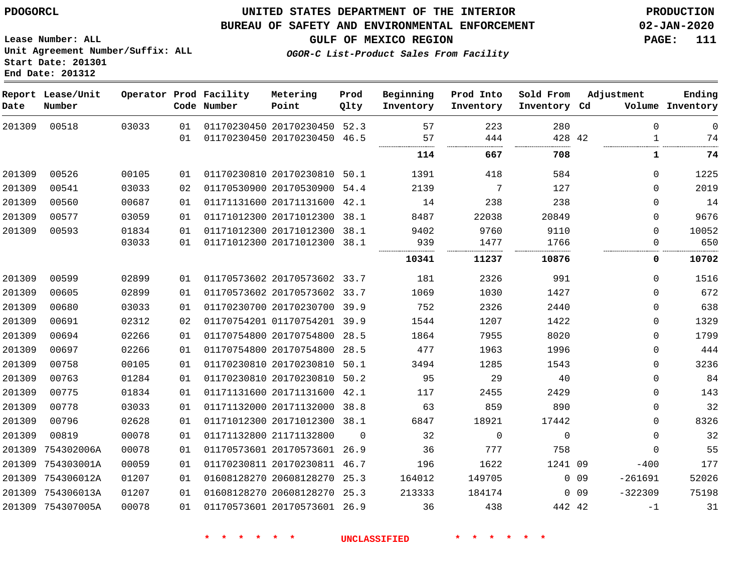754302006A 754303001A 754306012A 754306013A 754307005A

### **UNITED STATES DEPARTMENT OF THE INTERIOR PDOGORCL PRODUCTION**

**Prod Qlty**

#### **BUREAU OF SAFETY AND ENVIRONMENTAL ENFORCEMENT 02-JAN-2020**

**Lease Number: ALL Unit Agreement Number/Suffix: ALL**

**OGOR-C List-Product Sales From Facility**

**Beginning Inventory** **Prod Into Inventory** **Sold From Inventory**

**GULF OF MEXICO REGION PAGE: 111**

**Inventory Cd Volume**

**Adjustment**

 $\Omega$  $\Omega$  $\Omega$  -400 -261691 -322309

-1

 

**Ending**

|      | Start Date: 201301<br>End Date: 201312 |                        |             |  |
|------|----------------------------------------|------------------------|-------------|--|
| Date | Report Lease/Unit<br>Number            | Operator Prod Facility | Code Number |  |

| 00518 | 03033 | 01 | 01170230450 20170230450 | 52.3 | 57     | 223   | 280   |    |   |
|-------|-------|----|-------------------------|------|--------|-------|-------|----|---|
|       |       | 01 | 01170230450 20170230450 | 46.5 | 57<br> | 444   | 428   | 42 |   |
|       |       |    |                         |      | 114    | 667   | 708   |    |   |
| 00526 | 00105 | 01 | 01170230810 20170230810 | 50.1 | 1391   | 418   | 584   |    | 0 |
| 00541 | 03033 | 02 | 01170530900 20170530900 | 54.4 | 2139   | 7     | 127   |    | 0 |
| 00560 | 00687 | 01 | 01171131600 20171131600 | 42.1 | 14     | 238   | 238   |    | 0 |
| 00577 | 03059 | 01 | 01171012300 20171012300 | 38.1 | 8487   | 22038 | 20849 |    | 0 |
| 00593 | 01834 | 01 | 01171012300 20171012300 | 38.1 | 9402   | 9760  | 9110  |    |   |
|       | 03033 | 01 | 01171012300 20171012300 | 38.1 | 939    | 1477  | 1766  |    |   |
|       |       |    |                         |      | 10341  | 11237 | 10876 |    | 0 |
| 00599 | 02899 | 01 | 01170573602 20170573602 | 33.7 | 181    | 2326  | 991   |    | 0 |
| 00605 | 02899 | 01 | 01170573602 20170573602 | 33.7 | 1069   | 1030  | 1427  |    | 0 |
| 00680 | 03033 | 01 | 01170230700 20170230700 | 39.9 | 752    | 2326  | 2440  |    | 0 |
| 00691 | 02312 | 02 | 01170754201 01170754201 | 39.9 | 1544   | 1207  | 1422  |    | 0 |
| 00694 | 02266 | 01 | 01170754800 20170754800 | 28.5 | 1864   | 7955  | 8020  |    | 0 |
| 00697 | 02266 | 01 | 01170754800 20170754800 | 28.5 | 477    | 1963  | 1996  |    | 0 |
| 00758 | 00105 | 01 | 01170230810 20170230810 | 50.1 | 3494   | 1285  | 1543  |    | 0 |
| 00763 | 01284 | 01 | 01170230810 20170230810 | 50.2 | 95     | 29    | 40    |    | 0 |
|       |       |    |                         |      |        |       |       |    |   |

 $\Omega$ 

 20171131600 42.1 20171132000 38.8 20171012300 38.1

**Metering Point**

 20170573601 26.9 20170230811 46.7 20608128270 25.3 20608128270 25.3 20170573601 26.9

21171132800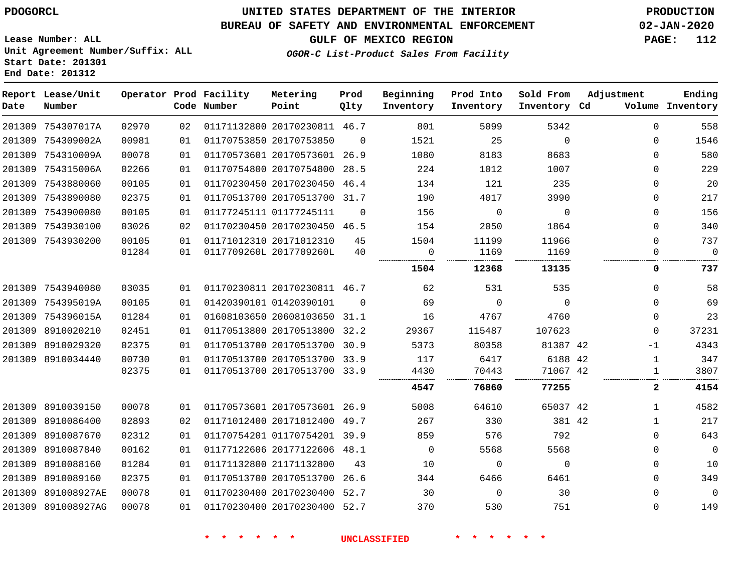# **UNITED STATES DEPARTMENT OF THE INTERIOR PDOGORCL PRODUCTION**

### **BUREAU OF SAFETY AND ENVIRONMENTAL ENFORCEMENT 02-JAN-2020**

**Lease Number: ALL Unit Agreement Number/Suffix: ALL Start Date: 201301**

### **GULF OF MEXICO REGION PAGE: 112**

**OGOR-C List-Product Sales From Facility**

| Date   | Report Lease/Unit<br>Number |       |    | Operator Prod Facility<br>Code Number | Metering<br>Point            | Prod<br>Qlty | Beginning<br>Inventory | Prod Into<br>Inventory | Sold From<br>Inventory Cd | Adjustment | Ending<br>Volume Inventory |
|--------|-----------------------------|-------|----|---------------------------------------|------------------------------|--------------|------------------------|------------------------|---------------------------|------------|----------------------------|
|        | 201309 754307017A           | 02970 | 02 |                                       | 01171132800 20170230811 46.7 |              | 801                    | 5099                   | 5342                      | 0          | 558                        |
|        | 201309 754309002A           | 00981 | 01 |                                       | 01170753850 20170753850      | $\Omega$     | 1521                   | 25                     | $\mathbf 0$               | 0          | 1546                       |
|        | 201309 754310009A           | 00078 | 01 |                                       | 01170573601 20170573601 26.9 |              | 1080                   | 8183                   | 8683                      | 0          | 580                        |
|        | 201309 754315006A           | 02266 | 01 |                                       | 01170754800 20170754800 28.5 |              | 224                    | 1012                   | 1007                      | 0          | 229                        |
|        | 201309 7543880060           | 00105 | 01 |                                       | 01170230450 20170230450 46.4 |              | 134                    | 121                    | 235                       | 0          | 20                         |
|        | 201309 7543890080           | 02375 | 01 |                                       | 01170513700 20170513700 31.7 |              | 190                    | 4017                   | 3990                      | 0          | 217                        |
|        | 201309 7543900080           | 00105 | 01 |                                       | 01177245111 01177245111      | $\mathbf 0$  | 156                    | 0                      | $\mathbf 0$               | 0          | 156                        |
|        | 201309 7543930100           | 03026 | 02 |                                       | 01170230450 20170230450 46.5 |              | 154                    | 2050                   | 1864                      | 0          | 340                        |
|        | 201309 7543930200           | 00105 | 01 |                                       | 01171012310 20171012310      | 45           | 1504                   | 11199                  | 11966                     | 0          | 737                        |
|        |                             | 01284 | 01 |                                       | 0117709260L 2017709260L      | 40           | 0<br>.                 | 1169                   | 1169                      | 0          | $\mathbf 0$                |
|        |                             |       |    |                                       |                              |              | 1504                   | 12368                  | 13135                     | 0          | 737                        |
|        | 201309 7543940080           | 03035 | 01 |                                       | 01170230811 20170230811 46.7 |              | 62                     | 531                    | 535                       | 0          | 58                         |
|        | 201309 754395019A           | 00105 | 01 |                                       | 01420390101 01420390101      | $\Omega$     | 69                     | $\mathbf 0$            | $\mathbf 0$               | 0          | 69                         |
|        | 201309 754396015A           | 01284 | 01 |                                       | 01608103650 20608103650 31.1 |              | 16                     | 4767                   | 4760                      | 0          | 23                         |
|        | 201309 8910020210           | 02451 | 01 |                                       | 01170513800 20170513800 32.2 |              | 29367                  | 115487                 | 107623                    | 0          | 37231                      |
|        | 201309 8910029320           | 02375 | 01 |                                       | 01170513700 20170513700 30.9 |              | 5373                   | 80358                  | 81387 42                  | -1         | 4343                       |
|        | 201309 8910034440           | 00730 | 01 |                                       | 01170513700 20170513700 33.9 |              | 117                    | 6417                   | 6188 42                   | 1          | 347                        |
|        |                             | 02375 | 01 |                                       | 01170513700 20170513700 33.9 |              | 4430                   | 70443                  | 71067 42                  | 1          | 3807                       |
|        |                             |       |    |                                       |                              |              | 4547                   | 76860                  | 77255                     | 2          | 4154                       |
|        | 201309 8910039150           | 00078 | 01 |                                       | 01170573601 20170573601 26.9 |              | 5008                   | 64610                  | 65037 42                  | 1          | 4582                       |
|        | 201309 8910086400           | 02893 | 02 |                                       | 01171012400 20171012400 49.7 |              | 267                    | 330                    | 381 42                    | 1          | 217                        |
|        | 201309 8910087670           | 02312 | 01 |                                       | 01170754201 01170754201 39.9 |              | 859                    | 576                    | 792                       | 0          | 643                        |
|        | 201309 8910087840           | 00162 | 01 |                                       | 01177122606 20177122606 48.1 |              | 0                      | 5568                   | 5568                      | 0          | $\mathbf 0$                |
| 201309 | 8910088160                  | 01284 | 01 |                                       | 01171132800 21171132800      | 43           | 10                     | 0                      | $\mathbf 0$               | 0          | 10                         |
|        | 201309 8910089160           | 02375 | 01 |                                       | 01170513700 20170513700 26.6 |              | 344                    | 6466                   | 6461                      | 0          | 349                        |
|        | 201309 891008927AE          | 00078 | 01 |                                       | 01170230400 20170230400 52.7 |              | 30                     | 0                      | 30                        | 0          | $\mathbf 0$                |
|        | 201309 891008927AG          | 00078 | 01 |                                       | 01170230400 20170230400 52.7 |              | 370                    | 530                    | 751                       | 0          | 149                        |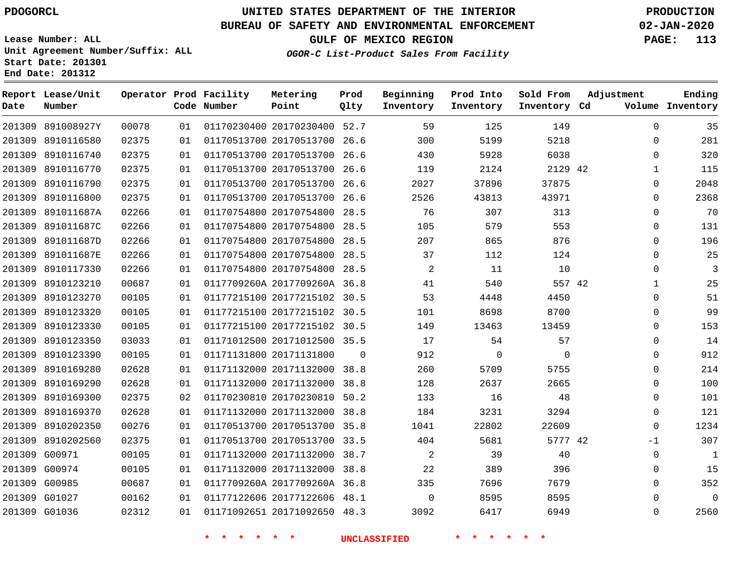**Report Lease/Unit**

# **UNITED STATES DEPARTMENT OF THE INTERIOR PDOGORCL PRODUCTION**

**Prod**

### **BUREAU OF SAFETY AND ENVIRONMENTAL ENFORCEMENT 02-JAN-2020**

**Lease Number: ALL Unit Agreement Number/Suffix: ALL Start Date: 201301 End Date: 201312**

**Operator Prod Facility Metering**

**OGOR-C List-Product Sales From Facility**

**Beginning Prod Into Sold From Adjustment**

**GULF OF MEXICO REGION PAGE: 113**

**Ending**

| Date | Number            |       |    | Code Number              | Point                        | Qlty        | Inventory           | Inventory   | Inventory Cd |              | Volume Inventory |
|------|-------------------|-------|----|--------------------------|------------------------------|-------------|---------------------|-------------|--------------|--------------|------------------|
|      | 201309 891008927Y | 00078 | 01 |                          | 01170230400 20170230400 52.7 |             | 59                  | 125         | 149          | 0            | 35               |
|      | 201309 8910116580 | 02375 | 01 |                          | 01170513700 20170513700      | 26.6        | 300                 | 5199        | 5218         | $\Omega$     | 281              |
|      | 201309 8910116740 | 02375 | 01 |                          | 01170513700 20170513700 26.6 |             | 430                 | 5928        | 6038         | $\mathbf 0$  | 320              |
|      | 201309 8910116770 | 02375 | 01 |                          | 01170513700 20170513700 26.6 |             | 119                 | 2124        | 2129 42      | $\mathbf{1}$ | 115              |
|      | 201309 8910116790 | 02375 | 01 |                          | 01170513700 20170513700      | 26.6        | 2027                | 37896       | 37875        | $\mathbf 0$  | 2048             |
|      | 201309 8910116800 | 02375 | 01 |                          | 01170513700 20170513700 26.6 |             | 2526                | 43813       | 43971        | $\mathbf 0$  | 2368             |
|      | 201309 891011687A | 02266 | 01 |                          | 01170754800 20170754800      | 28.5        | 76                  | 307         | 313          | $\mathbf 0$  | 70               |
|      | 201309 891011687C | 02266 | 01 |                          | 01170754800 20170754800 28.5 |             | 105                 | 579         | 553          | $\mathbf 0$  | 131              |
|      | 201309 891011687D | 02266 | 01 |                          | 01170754800 20170754800 28.5 |             | 207                 | 865         | 876          | $\Omega$     | 196              |
|      | 201309 891011687E | 02266 | 01 |                          | 01170754800 20170754800      | 28.5        | 37                  | 112         | 124          | $\mathbf 0$  | 25               |
|      | 201309 8910117330 | 02266 | 01 |                          | 01170754800 20170754800 28.5 |             | $\overline{a}$      | 11          | 10           | $\mathbf 0$  | $\mathbf{3}$     |
|      | 201309 8910123210 | 00687 | 01 |                          | 0117709260A 2017709260A 36.8 |             | 41                  | 540         | 557 42       | $\mathbf{1}$ | 25               |
|      | 201309 8910123270 | 00105 | 01 |                          | 01177215100 20177215102 30.5 |             | 53                  | 4448        | 4450         | $\mathbf 0$  | 51               |
|      | 201309 8910123320 | 00105 | 01 |                          | 01177215100 20177215102 30.5 |             | 101                 | 8698        | 8700         | $\mathbf 0$  | 99               |
|      | 201309 8910123330 | 00105 | 01 |                          | 01177215100 20177215102 30.5 |             | 149                 | 13463       | 13459        | $\Omega$     | 153              |
|      | 201309 8910123350 | 03033 | 01 |                          | 01171012500 20171012500 35.5 |             | 17                  | 54          | 57           | $\Omega$     | 14               |
|      | 201309 8910123390 | 00105 | 01 |                          | 01171131800 20171131800      | $\mathbf 0$ | 912                 | $\mathbf 0$ | $\mathbf 0$  | $\mathbf 0$  | 912              |
|      | 201309 8910169280 | 02628 | 01 |                          | 01171132000 20171132000 38.8 |             | 260                 | 5709        | 5755         | 0            | 214              |
|      | 201309 8910169290 | 02628 | 01 |                          | 01171132000 20171132000      | 38.8        | 128                 | 2637        | 2665         | $\mathbf 0$  | 100              |
|      | 201309 8910169300 | 02375 | 02 |                          | 01170230810 20170230810 50.2 |             | 133                 | 16          | 48           | $\mathbf 0$  | 101              |
|      | 201309 8910169370 | 02628 | 01 |                          | 01171132000 20171132000      | 38.8        | 184                 | 3231        | 3294         | $\mathbf 0$  | 121              |
|      | 201309 8910202350 | 00276 | 01 |                          | 01170513700 20170513700 35.8 |             | 1041                | 22802       | 22609        | $\mathbf 0$  | 1234             |
|      | 201309 8910202560 | 02375 | 01 |                          | 01170513700 20170513700 33.5 |             | 404                 | 5681        | 5777 42      | $-1$         | 307              |
|      | 201309 G00971     | 00105 | 01 |                          | 01171132000 20171132000 38.7 |             | $\overline{2}$      | 39          | 40           | 0            | $\mathbf{1}$     |
|      | 201309 G00974     | 00105 | 01 |                          | 01171132000 20171132000 38.8 |             | 22                  | 389         | 396          | 0            | 15               |
|      | 201309 G00985     | 00687 | 01 |                          | 0117709260A 2017709260A 36.8 |             | 335                 | 7696        | 7679         | $\Omega$     | 352              |
|      | 201309 G01027     | 00162 | 01 |                          | 01177122606 20177122606 48.1 |             | $\mathbf 0$         | 8595        | 8595         | $\mathbf 0$  | $\mathsf 0$      |
|      | 201309 G01036     | 02312 | 01 |                          | 01171092651 20171092650 48.3 |             | 3092                | 6417        | 6949         | 0            | 2560             |
|      |                   |       |    | $\star$<br>$\star$<br>一大 | $\star$ $\star$              |             | <b>UNCLASSIFIED</b> | 一大          |              |              |                  |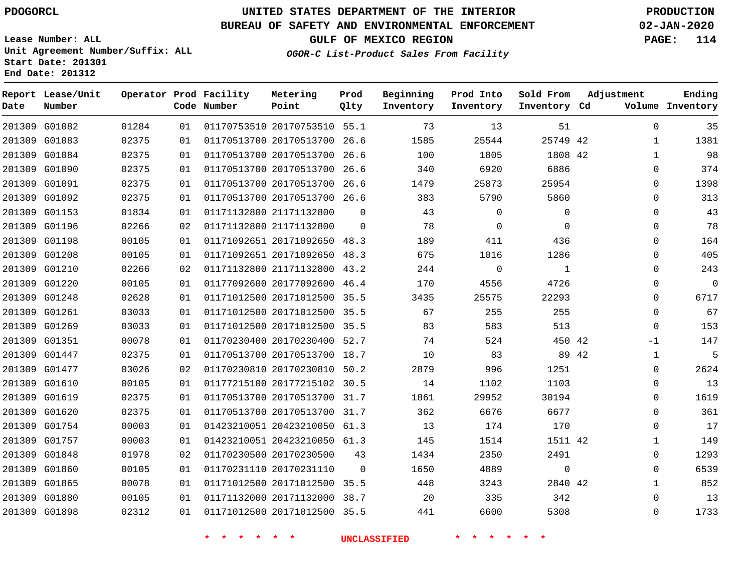G01082 G01083 G01084

**Date**

**Report Lease/Unit**

**Number**

# **UNITED STATES DEPARTMENT OF THE INTERIOR PDOGORCL PRODUCTION**

**Prod Qlty**

#### **BUREAU OF SAFETY AND ENVIRONMENTAL ENFORCEMENT 02-JAN-2020**

**Lease Number: ALL Unit Agreement Number/Suffix: ALL Start Date: 201301 End Date: 201312**

**Operator Prod Facility**

**Code Number**

 20170753510 55.1 20170513700 26.6 20170513700 26.6

**Metering Point**

**OGOR-C List-Product Sales From Facility**

**Prod Into Inventory**

**Beginning Inventory**

**GULF OF MEXICO REGION PAGE: 114**

**Inventory Cd Volume**

**Adjustment**

  $\Omega$  $\Omega$  $\Omega$  $\Omega$   $\Omega$   $\Omega$  $\overline{0}$   $\overline{0}$ -1  $\Omega$  $\Omega$  $\Omega$   $\Omega$   $\Omega$ 

**Ending**

42 42

**Sold From Inventory**

|               |       |    | $\ast$                       | <b>UNCLASSIFIED</b> |      |             |              |  |
|---------------|-------|----|------------------------------|---------------------|------|-------------|--------------|--|
| 201309 G01898 | 02312 | 01 | 01171012500 20171012500 35.5 |                     | 441  | 6600        | 5308         |  |
| 201309 G01880 | 00105 | 01 | 01171132000 20171132000 38.7 |                     | 20   | 335         | 342          |  |
| 201309 G01865 | 00078 | 01 | 01171012500 20171012500 35.5 |                     | 448  | 3243        | 2840 42      |  |
| 201309 G01860 | 00105 | 01 | 01170231110 20170231110      | $\Omega$            | 1650 | 4889        | $\Omega$     |  |
| 201309 G01848 | 01978 | 02 | 01170230500 20170230500      | 43                  | 1434 | 2350        | 2491         |  |
| 201309 G01757 | 00003 | 01 | 01423210051 20423210050 61.3 |                     | 145  | 1514        | 1511 42      |  |
| 201309 G01754 | 00003 | 01 | 01423210051 20423210050 61.3 |                     | 13   | 174         | 170          |  |
| 201309 G01620 | 02375 | 01 | 01170513700 20170513700 31.7 |                     | 362  | 6676        | 6677         |  |
| 201309 G01619 | 02375 | 01 | 01170513700 20170513700 31.7 |                     | 1861 | 29952       | 30194        |  |
| 201309 G01610 | 00105 | 01 | 01177215100 20177215102 30.5 |                     | 14   | 1102        | 1103         |  |
| 201309 G01477 | 03026 | 02 | 01170230810 20170230810 50.2 |                     | 2879 | 996         | 1251         |  |
| 201309 G01447 | 02375 | 01 | 01170513700 20170513700 18.7 |                     | 10   | 83          | 89 42        |  |
| 201309 G01351 | 00078 | 01 | 01170230400 20170230400 52.7 |                     | 74   | 524         | 450 42       |  |
| 201309 G01269 | 03033 | 01 | 01171012500 20171012500 35.5 |                     | 83   | 583         | 513          |  |
| 201309 G01261 | 03033 | 01 | 01171012500 20171012500 35.5 |                     | 67   | 255         | 255          |  |
| 201309 G01248 | 02628 | 01 | 01171012500 20171012500 35.5 |                     | 3435 | 25575       | 22293        |  |
| 201309 G01220 | 00105 | 01 | 01177092600 20177092600 46.4 |                     | 170  | 4556        | 4726         |  |
| 201309 G01210 | 02266 | 02 | 01171132800 21171132800 43.2 |                     | 244  | 0           | $\mathbf{1}$ |  |
| 201309 G01208 | 00105 | 01 | 01171092651 20171092650 48.3 |                     | 675  | 1016        | 1286         |  |
| 201309 G01198 | 00105 | 01 | 01171092651 20171092650      | 48.3                | 189  | 411         | 436          |  |
| 201309 G01196 | 02266 | 02 | 01171132800 21171132800      | $\Omega$            | 78   | $\mathbf 0$ | $\Omega$     |  |
| 201309 G01153 | 01834 | 01 | 01171132800 21171132800      | $\Omega$            | 43   | $\mathbf 0$ | $\mathbf 0$  |  |
| 201309 G01092 | 02375 | 01 | 01170513700 20170513700 26.6 |                     | 383  | 5790        | 5860         |  |
| 201309 G01091 | 02375 | 01 | 01170513700 20170513700 26.6 |                     | 1479 | 25873       | 25954        |  |
| 201309 G01090 | 02375 | 01 | 01170513700 20170513700      | 26.6                | 340  | 6920        | 6886         |  |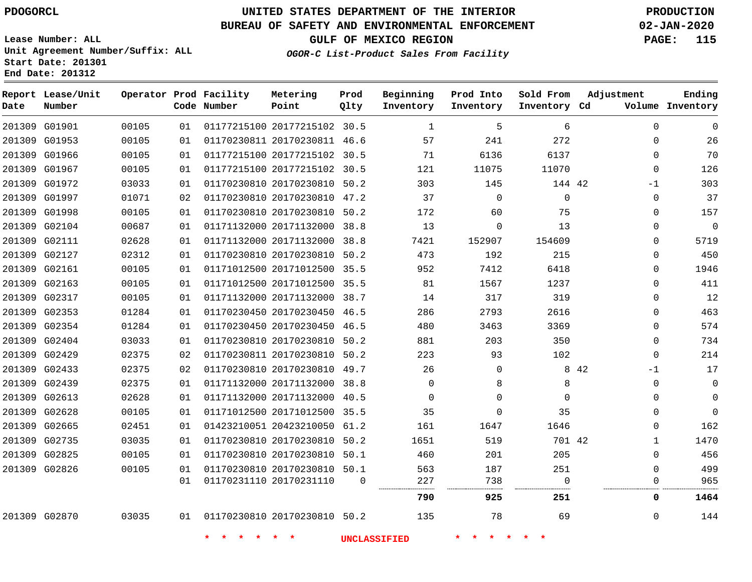**Report Lease/Unit**

**Number**

**Date**

# **UNITED STATES DEPARTMENT OF THE INTERIOR PDOGORCL PRODUCTION**

**Prod Qlty**

#### **BUREAU OF SAFETY AND ENVIRONMENTAL ENFORCEMENT 02-JAN-2020**

**Lease Number: ALL Unit Agreement Number/Suffix: ALL Start Date: 201301 End Date: 201312**

**Operator Prod Facility**

**Code Number**

**OGOR-C List-Product Sales From Facility**

**Beginning Inventory** **Prod Into Inventory** **Sold From Inventory**

**GULF OF MEXICO REGION PAGE: 115**

**Inventory Cd Volume**

**Adjustment**

**Ending**

| G01901 | 00105 | 01 | 01177215100 20177215102 30.5 |          | $\mathbf{1}$        | 5        | 6           |       | $\Omega$    | $\mathbf 0$ |
|--------|-------|----|------------------------------|----------|---------------------|----------|-------------|-------|-------------|-------------|
| G01953 | 00105 | 01 | 01170230811 20170230811 46.6 |          | 57                  | 241      | 272         |       | $\Omega$    | 26          |
| G01966 | 00105 | 01 | 01177215100 20177215102 30.5 |          | 71                  | 6136     | 6137        |       | $\Omega$    | 70          |
| G01967 | 00105 | 01 | 01177215100 20177215102 30.5 |          | 121                 | 11075    | 11070       |       | $\Omega$    | 126         |
| G01972 | 03033 | 01 | 01170230810 20170230810 50.2 |          | 303                 | 145      | 144 42      |       | -1          | 303         |
| G01997 | 01071 | 02 | 01170230810 20170230810 47.2 |          | 37                  | $\Omega$ | $\mathbf 0$ |       | $\mathbf 0$ | 37          |
| G01998 | 00105 | 01 | 01170230810 20170230810 50.2 |          | 172                 | 60       | 75          |       | $\Omega$    | 157         |
| G02104 | 00687 | 01 | 01171132000 20171132000 38.8 |          | 13                  | 0        | 13          |       | 0           | $\mathbf 0$ |
| G02111 | 02628 | 01 | 01171132000 20171132000 38.8 |          | 7421                | 152907   | 154609      |       | $\Omega$    | 5719        |
| G02127 | 02312 | 01 | 01170230810 20170230810 50.2 |          | 473                 | 192      | 215         |       | $\mathbf 0$ | 450         |
| G02161 | 00105 | 01 | 01171012500 20171012500 35.5 |          | 952                 | 7412     | 6418        |       | $\mathbf 0$ | 1946        |
| G02163 | 00105 | 01 | 01171012500 20171012500 35.5 |          | 81                  | 1567     | 1237        |       | $\Omega$    | 411         |
| G02317 | 00105 | 01 | 01171132000 20171132000 38.7 |          | 14                  | 317      | 319         |       | $\Omega$    | 12          |
| G02353 | 01284 | 01 | 01170230450 20170230450 46.5 |          | 286                 | 2793     | 2616        |       | $\Omega$    | 463         |
| G02354 | 01284 | 01 | 01170230450 20170230450 46.5 |          | 480                 | 3463     | 3369        |       | $\mathbf 0$ | 574         |
| G02404 | 03033 | 01 | 01170230810 20170230810 50.2 |          | 881                 | 203      | 350         |       | $\Omega$    | 734         |
| G02429 | 02375 | 02 | 01170230811 20170230810 50.2 |          | 223                 | 93       | 102         |       | $\Omega$    | 214         |
| G02433 | 02375 | 02 | 01170230810 20170230810 49.7 |          | 26                  | $\Omega$ |             | 8 4 2 | $-1$        | 17          |
| G02439 | 02375 | 01 | 01171132000 20171132000 38.8 |          | $\Omega$            | 8        | 8           |       | $\mathbf 0$ | 0           |
| G02613 | 02628 | 01 | 01171132000 20171132000 40.5 |          | $\mathbf 0$         | $\Omega$ | $\mathbf 0$ |       | $\mathbf 0$ | $\mathbf 0$ |
| G02628 | 00105 | 01 | 01171012500 20171012500 35.5 |          | 35                  | 0        | 35          |       | $\Omega$    | 0           |
| G02665 | 02451 | 01 | 01423210051 20423210050 61.2 |          | 161                 | 1647     | 1646        |       | $\Omega$    | 162         |
| G02735 | 03035 | 01 | 01170230810 20170230810 50.2 |          | 1651                | 519      | 701 42      |       | $\mathbf 1$ | 1470        |
| G02825 | 00105 | 01 | 01170230810 20170230810 50.1 |          | 460                 | 201      | 205         |       | $\Omega$    | 456         |
| G02826 | 00105 | 01 | 01170230810 20170230810 50.1 |          | 563                 | 187      | 251         |       | $\Omega$    | 499         |
|        |       | 01 | 01170231110 20170231110      | $\Omega$ | 227                 | 738      | $\Omega$    |       | $\Omega$    | 965         |
|        |       |    |                              |          | 790                 | 925      | 251         |       | 0           | 1464        |
| G02870 | 03035 | 01 | 01170230810 20170230810 50.2 |          | 135                 | 78       | 69          |       | $\Omega$    | 144         |
|        |       |    |                              |          | <b>UNCLASSIFIED</b> |          |             |       |             |             |

**Metering Point**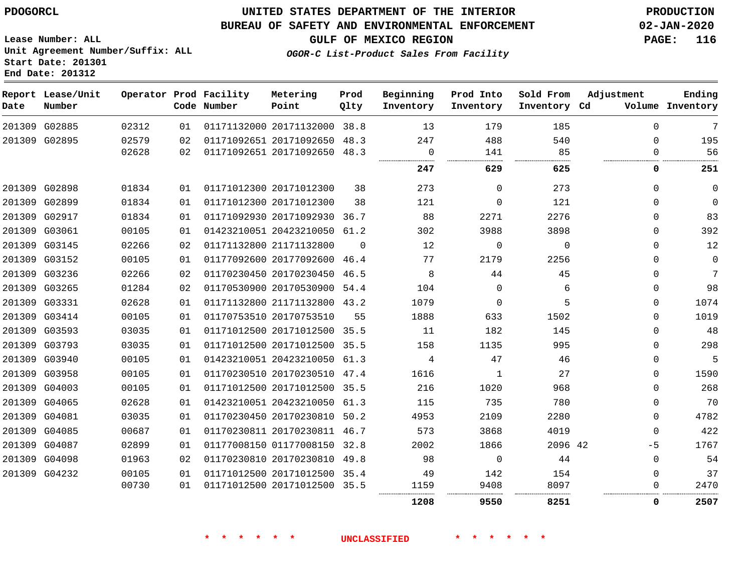G02885 G02895

**Date**

**Report Lease/Unit**

**Number**

 G02898 G02899 G02917 G03061

### **UNITED STATES DEPARTMENT OF THE INTERIOR PDOGORCL PRODUCTION**

#### **BUREAU OF SAFETY AND ENVIRONMENTAL ENFORCEMENT 02-JAN-2020**

**Lease Number: ALL Unit Agreement Number/Suffix: ALL Start Date: 201301 End Date: 201312**

**OGOR-C List-Product Sales From Facility**

  $\Omega$  $\Omega$  $\Omega$  $\Omega$  $\Omega$  $\Omega$  $\Omega$  $\Omega$  $\Omega$  $\Omega$  $\Omega$  $\Omega$  $\Omega$  $\Omega$  $\Omega$  $\Omega$  $-5$  $\Omega$  $\Omega$  $\Omega$ 

. . . . . . . . . . . .

**GULF OF MEXICO REGION PAGE: 116**

 

|        |             | Operator Prod Facility<br>Code Number | Metering<br>Point       | Prod<br>Qlty | Beginning<br>Inventory | Prod Into<br>Inventory | Sold From<br>Inventory Cd | Adjustment<br>Volume | Ending<br>Inventory |
|--------|-------------|---------------------------------------|-------------------------|--------------|------------------------|------------------------|---------------------------|----------------------|---------------------|
| 02312  | 01          |                                       | 01171132000 20171132000 | 38.8         | 13                     | 179                    | 185                       | 0                    | 7                   |
| 02579  | 02          |                                       | 01171092651 20171092650 | 48.3         | 247                    | 488                    | 540                       |                      | 195                 |
| 02628  | 02          |                                       | 01171092651 20171092650 | 48.3         |                        | 141                    | 85                        |                      | 56                  |
|        |             |                                       |                         |              | <br>247                | <br>629                | <br>625                   |                      | 251                 |
| 01834  | 01          |                                       | 01171012300 20171012300 | 38           | 273                    | $\Omega$               | 273                       | 0                    | 0                   |
| 01834  | 01          |                                       | 01171012300 20171012300 | 38           | 121                    | $\Omega$               | 121                       | 0                    | ი                   |
| 01834  | 01          |                                       | 01171092930 20171092930 | 36.7         | 88                     | 2271                   | 2276                      | $\Omega$             | 83                  |
| 00105  | 01          |                                       | 01423210051 20423210050 | 61.2         | 302                    | 3988                   | 3898                      | 0                    | 392                 |
| 02266  | 02          |                                       | 01171132800 21171132800 | $\Omega$     | 12                     | $\Omega$               |                           | O                    | 12                  |
| 0.010F | $\bigcap$ 1 |                                       |                         |              | 77                     | 2170                   | 225                       | $\sim$               |                     |

 G03145 G03152 G03236 G03265 G03331 G03414 G03593 G03793 G03940 G03958 G04003 G04065 G04081 G04085 G04087 G04098 G04232 20177092600 46.4 20170230450 46.5 20170530900 54.4 21171132800 43.2 20170753510 20171012500 35.5 20171012500 35.5 20423210050 61.3 20170230510 47.4 20171012500 35.5 20423210050 61.3 20170230810 50.2 20170230811 46.7 01177008150 32.8 20170230810 49.8 20171012500 35.4 42  $\Omega$  $\Omega$   $\Omega$  

**\* \* \* \* \* \* UNCLASSIFIED \* \* \* \* \* \***

20171012500 35.5

.............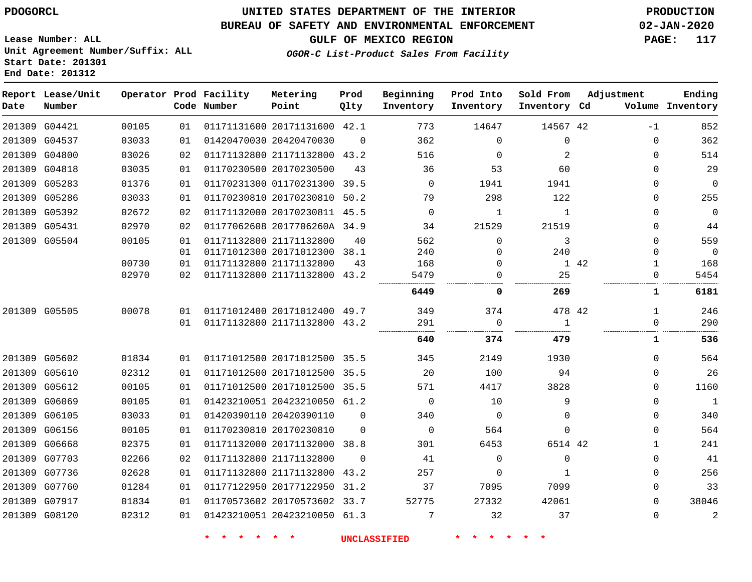### **BUREAU OF SAFETY AND ENVIRONMENTAL ENFORCEMENT 02-JAN-2020**

**OGOR-C List-Product Sales From Facility**

**GULF OF MEXICO REGION PAGE: 117**

**Lease Number: ALL Unit Agreement Number/Suffix: ALL Start Date: 201301 End Date: 201312**

| Date | Report Lease/Unit<br>Number |       |    | Operator Prod Facility<br>Code Number | Metering<br>Point            | Prod<br>Qlty | Beginning<br>Inventory | Prod Into<br>Inventory | Sold From<br>Inventory Cd | Adjustment           | Ending<br>Volume Inventory |
|------|-----------------------------|-------|----|---------------------------------------|------------------------------|--------------|------------------------|------------------------|---------------------------|----------------------|----------------------------|
|      | 201309 G04421               | 00105 | 01 |                                       | 01171131600 20171131600 42.1 |              | 773                    | 14647                  | 14567 42                  | $-1$                 | 852                        |
|      | 201309 G04537               | 03033 | 01 |                                       | 01420470030 20420470030      | $\Omega$     | 362                    | $\Omega$               | $\mathbf 0$               | 0                    | 362                        |
|      | 201309 G04800               | 03026 | 02 |                                       | 01171132800 21171132800 43.2 |              | 516                    | $\Omega$               | 2                         | 0                    | 514                        |
|      | 201309 G04818               | 03035 | 01 |                                       | 01170230500 20170230500      | 43           | 36                     | 53                     | 60                        | $\Omega$             | 29                         |
|      | 201309 G05283               | 01376 | 01 |                                       | 01170231300 01170231300 39.5 |              | $\Omega$               | 1941                   | 1941                      | 0                    | $\mathbf 0$                |
|      | 201309 G05286               | 03033 | 01 |                                       | 01170230810 20170230810      | 50.2         | 79                     | 298                    | 122                       | 0                    | 255                        |
|      | 201309 G05392               | 02672 | 02 |                                       | 01171132000 20170230811 45.5 |              | $\Omega$               | $\mathbf{1}$           | $\mathbf{1}$              | $\Omega$             | $\overline{0}$             |
|      | 201309 G05431               | 02970 | 02 |                                       | 01177062608 2017706260A 34.9 |              | 34                     | 21529                  | 21519                     | 0                    | 44                         |
|      | 201309 G05504               | 00105 | 01 |                                       | 01171132800 21171132800      | 40           | 562                    | $\mathbf 0$            | 3                         | $\Omega$             | 559                        |
|      |                             |       | 01 |                                       | 01171012300 20171012300 38.1 |              | 240                    | $\Omega$               | 240                       | 0                    | $\mathbf 0$                |
|      |                             | 00730 | 01 |                                       | 01171132800 21171132800      | 43           | 168                    | 0                      |                           | 1 42<br>$\mathbf{1}$ | 168                        |
|      |                             | 02970 | 02 |                                       | 01171132800 21171132800 43.2 |              | 5479                   | $\mathbf 0$            | 25                        | $\Omega$             | 5454                       |
|      |                             |       |    |                                       |                              |              | 6449                   | 0                      | 269                       | 1                    | 6181                       |
|      | 201309 G05505               | 00078 | 01 |                                       | 01171012400 20171012400 49.7 |              | 349                    | 374                    | 478 42                    | $\mathbf{1}$         | 246                        |
|      |                             |       | 01 |                                       | 01171132800 21171132800 43.2 |              | 291<br>                | $\Omega$               | $\overline{1}$            | $\Omega$             | 290                        |
|      |                             |       |    |                                       |                              |              | 640                    | 374                    | 479                       | 1                    | 536                        |
|      | 201309 G05602               | 01834 | 01 |                                       | 01171012500 20171012500 35.5 |              | 345                    | 2149                   | 1930                      | $\Omega$             | 564                        |
|      | 201309 G05610               | 02312 | 01 |                                       | 01171012500 20171012500 35.5 |              | 20                     | 100                    | 94                        | $\Omega$             | 26                         |
|      | 201309 G05612               | 00105 | 01 |                                       | 01171012500 20171012500 35.5 |              | 571                    | 4417                   | 3828                      | $\Omega$             | 1160                       |
|      | 201309 G06069               | 00105 | 01 |                                       | 01423210051 20423210050 61.2 |              | 0                      | 10                     | 9                         | 0                    | $\mathbf{1}$               |
|      | 201309 G06105               | 03033 | 01 |                                       | 01420390110 20420390110      | $\Omega$     | 340                    | $\mathbf 0$            | $\Omega$                  | $\Omega$             | 340                        |
|      | 201309 G06156               | 00105 | 01 |                                       | 01170230810 20170230810      | $\mathbf 0$  | 0                      | 564                    | $\Omega$                  | 0                    | 564                        |
|      | 201309 G06668               | 02375 | 01 |                                       | 01171132000 20171132000 38.8 |              | 301                    | 6453                   | 6514 42                   | $\mathbf{1}$         | 241                        |
|      | 201309 G07703               | 02266 | 02 |                                       | 01171132800 21171132800      | $\Omega$     | 41                     | $\mathbf 0$            | $\mathbf 0$               | 0                    | 41                         |
|      | 201309 G07736               | 02628 | 01 |                                       | 01171132800 21171132800      | 43.2         | 257                    | $\mathbf 0$            | $\mathbf{1}$              | 0                    | 256                        |
|      | 201309 G07760               | 01284 | 01 |                                       | 01177122950 20177122950      | 31.2         | 37                     | 7095                   | 7099                      | 0                    | 33                         |
|      | 201309 G07917               | 01834 | 01 |                                       | 01170573602 20170573602 33.7 |              | 52775                  | 27332                  | 42061                     | 0                    | 38046                      |
|      | 201309 G08120               | 02312 | 01 |                                       | 01423210051 20423210050 61.3 |              | 7                      | 32                     | 37                        | 0                    | $\overline{a}$             |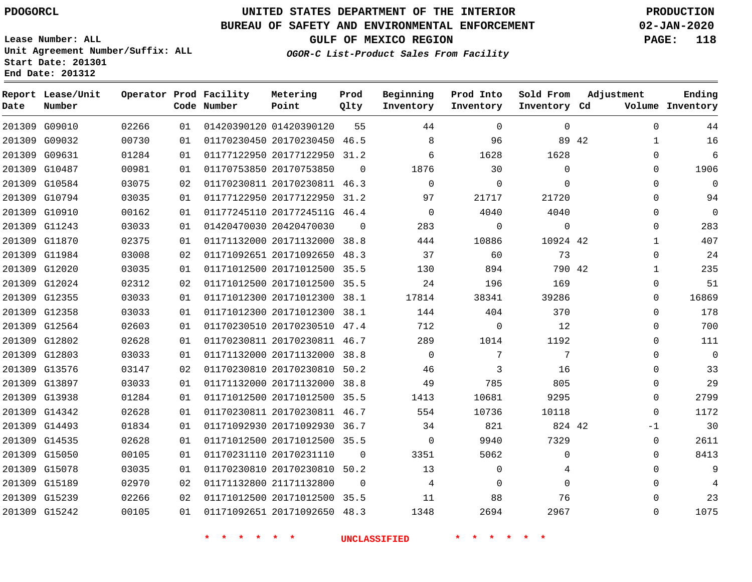### **BUREAU OF SAFETY AND ENVIRONMENTAL ENFORCEMENT 02-JAN-2020**

**Lease Number: ALL Unit Agreement Number/Suffix: ALL Start Date: 201301 End Date: 201312**

**OGOR-C List-Product Sales From Facility**

**GULF OF MEXICO REGION PAGE: 118**

| Date | Report Lease/Unit<br>Number |       |    | Operator Prod Facility<br>Code Number | Metering<br>Point            | Prod<br>Qlty | Beginning<br>Inventory | Prod Into<br>Inventory | Sold From<br>Inventory Cd | Adjustment   | Ending<br>Volume Inventory |
|------|-----------------------------|-------|----|---------------------------------------|------------------------------|--------------|------------------------|------------------------|---------------------------|--------------|----------------------------|
|      | 201309 G09010               | 02266 | 01 |                                       | 01420390120 01420390120      | 55           | 44                     | $\mathbf 0$            | 0                         | $\Omega$     | 44                         |
|      | 201309 G09032               | 00730 | 01 |                                       | 01170230450 20170230450 46.5 |              | 8                      | 96                     | 89 42                     | 1            | 16                         |
|      | 201309 G09631               | 01284 | 01 |                                       | 01177122950 20177122950 31.2 |              | 6                      | 1628                   | 1628                      | $\Omega$     | 6                          |
|      | 201309 G10487               | 00981 | 01 |                                       | 01170753850 20170753850      | $\Omega$     | 1876                   | 30                     | 0                         | $\Omega$     | 1906                       |
|      | 201309 G10584               | 03075 | 02 |                                       | 01170230811 20170230811 46.3 |              | $\Omega$               | 0                      | $\Omega$                  | $\Omega$     | $\Omega$                   |
|      | 201309 G10794               | 03035 | 01 |                                       | 01177122950 20177122950 31.2 |              | 97                     | 21717                  | 21720                     | 0            | 94                         |
|      | 201309 G10910               | 00162 | 01 |                                       | 01177245110 2017724511G 46.4 |              | $\Omega$               | 4040                   | 4040                      | $\Omega$     | $\mathbf{0}$               |
|      | 201309 G11243               | 03033 | 01 |                                       | 01420470030 20420470030      | 0            | 283                    | 0                      | 0                         | 0            | 283                        |
|      | 201309 G11870               | 02375 | 01 |                                       | 01171132000 20171132000 38.8 |              | 444                    | 10886                  | 10924 42                  | $\mathbf{1}$ | 407                        |
|      | 201309 G11984               | 03008 | 02 |                                       | 01171092651 20171092650      | 48.3         | 37                     | 60                     | 73                        | $\Omega$     | 24                         |
|      | 201309 G12020               | 03035 | 01 |                                       | 01171012500 20171012500 35.5 |              | 130                    | 894                    | 790 42                    | $\mathbf{1}$ | 235                        |
|      | 201309 G12024               | 02312 | 02 |                                       | 01171012500 20171012500 35.5 |              | 24                     | 196                    | 169                       | $\Omega$     | 51                         |
|      | 201309 G12355               | 03033 | 01 |                                       | 01171012300 20171012300 38.1 |              | 17814                  | 38341                  | 39286                     | $\Omega$     | 16869                      |
|      | 201309 G12358               | 03033 | 01 |                                       | 01171012300 20171012300 38.1 |              | 144                    | 404                    | 370                       | 0            | 178                        |
|      | 201309 G12564               | 02603 | 01 |                                       | 01170230510 20170230510 47.4 |              | 712                    | 0                      | 12                        | 0            | 700                        |
|      | 201309 G12802               | 02628 | 01 |                                       | 01170230811 20170230811 46.7 |              | 289                    | 1014                   | 1192                      | $\Omega$     | 111                        |
|      | 201309 G12803               | 03033 | 01 |                                       | 01171132000 20171132000 38.8 |              | $\Omega$               | 7                      | 7                         | $\Omega$     | $\mathbf{0}$               |
|      | 201309 G13576               | 03147 | 02 |                                       | 01170230810 20170230810 50.2 |              | 46                     | 3                      | 16                        | $\Omega$     | 33                         |
|      | 201309 G13897               | 03033 | 01 |                                       | 01171132000 20171132000 38.8 |              | 49                     | 785                    | 805                       | $\Omega$     | 29                         |
|      | 201309 G13938               | 01284 | 01 |                                       | 01171012500 20171012500      | 35.5         | 1413                   | 10681                  | 9295                      | $\Omega$     | 2799                       |
|      | 201309 G14342               | 02628 | 01 |                                       | 01170230811 20170230811 46.7 |              | 554                    | 10736                  | 10118                     | 0            | 1172                       |
|      | 201309 G14493               | 01834 | 01 |                                       | 01171092930 20171092930 36.7 |              | 34                     | 821                    | 824 42                    | $-1$         | 30                         |
|      | 201309 G14535               | 02628 | 01 |                                       | 01171012500 20171012500 35.5 |              | 0                      | 9940                   | 7329                      | 0            | 2611                       |
|      | 201309 G15050               | 00105 | 01 |                                       | 01170231110 20170231110      | $\Omega$     | 3351                   | 5062                   | 0                         | $\Omega$     | 8413                       |
|      | 201309 G15078               | 03035 | 01 |                                       | 01170230810 20170230810 50.2 |              | 13                     | 0                      | 4                         | $\Omega$     | 9                          |
|      | 201309 G15189               | 02970 | 02 |                                       | 01171132800 21171132800      | $\Omega$     | 4                      | $\mathbf 0$            | 0                         | 0            |                            |
|      | 201309 G15239               | 02266 | 02 |                                       | 01171012500 20171012500 35.5 |              | 11                     | 88                     | 76                        | $\Omega$     | 23                         |
|      | 201309 G15242               | 00105 | 01 |                                       | 01171092651 20171092650      | 48.3         | 1348                   | 2694                   | 2967                      | $\Omega$     | 1075                       |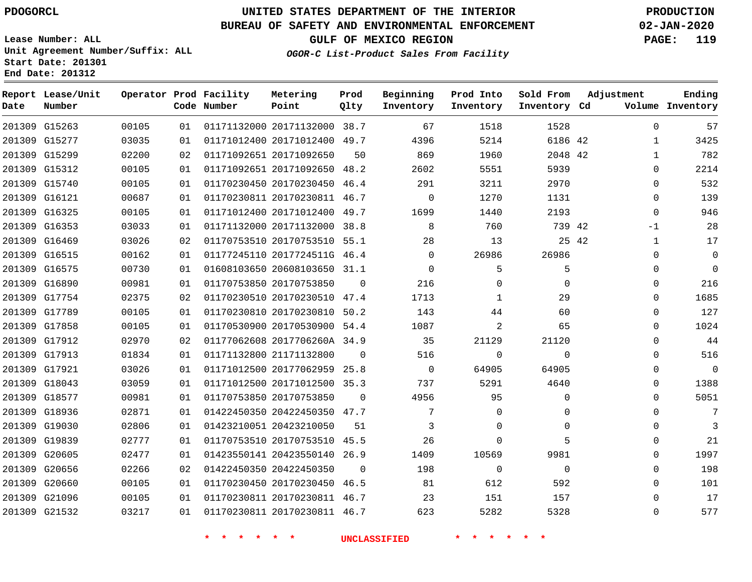G15263 G15277 G15299 G15312 G15740 G16121 G16325 G16353 G16469 G16515 G16575 G16890 G17754 G17789 G17858 G17912 G17913 G17921 G18043 G18577 G18936 G19030 G19839 G20605 G20656 G20660 G21096 G21532

**Date**

**Report Lease/Unit**

**Number**

# **UNITED STATES DEPARTMENT OF THE INTERIOR PDOGORCL PRODUCTION**

**Prod Qlty**

#### **BUREAU OF SAFETY AND ENVIRONMENTAL ENFORCEMENT 02-JAN-2020**

**Lease Number: ALL Unit Agreement Number/Suffix: ALL Start Date: 201301 End Date: 201312**

**Operator Prod Facility**

**Code Number**

#### **OGOR-C List-Product Sales From Facility**

**Beginning Inventory**

**GULF OF MEXICO REGION PAGE: 119**

**Inventory Cd Volume**

**Adjustment**

  $\Omega$  $\Omega$  $\Omega$  $\Omega$ -1  $\Omega$  $\Omega$  $\Omega$  $\Omega$  $\Omega$  $\Omega$  $\Omega$  $\Omega$  $\Omega$  $\Omega$  $\Omega$   $\Omega$  $\Omega$   $\Omega$   $\Omega$ 

**Ending**

|    | 1528     | 1518     | 67          | 38.7     | 01171132000 20171132000 |             | 01 | 00105 |
|----|----------|----------|-------------|----------|-------------------------|-------------|----|-------|
|    | 6186 42  | 5214     | 4396        | 49.7     | 01171012400 20171012400 |             | 01 | 03035 |
| 42 | 2048     | 1960     | 869         | 50       | 20171092650             | 01171092651 | 02 | 02200 |
|    | 5939     | 5551     | 2602        | 48.2     | 01171092651 20171092650 |             | 01 | 00105 |
|    | 2970     | 3211     | 291         | 46.4     | 20170230450             | 01170230450 | 01 | 00105 |
|    | 1131     | 1270     | $\Omega$    | 46.7     | 01170230811 20170230811 |             | 01 | 00687 |
|    | 2193     | 1440     | 1699        | 49.7     | 01171012400 20171012400 |             | 01 | 00105 |
| 42 | 739      | 760      | 8           | 38.8     | 01171132000 20171132000 |             | 01 | 03033 |
| 42 | 25       | 13       | 28          | 55.1     | 01170753510 20170753510 |             | 02 | 03026 |
|    | 26986    | 26986    | 0           | 46.4     | 2017724511G             | 01177245110 | 01 | 00162 |
|    | 5        | 5        | $\mathbf 0$ | 31.1     | 01608103650 20608103650 |             | 01 | 00730 |
|    | $\Omega$ | $\Omega$ | 216         | $\Omega$ | 20170753850             | 01170753850 | 01 | 00981 |
|    | 29       |          | 1713        | 47.4     | 01170230510 20170230510 |             | 02 | 02375 |
|    | 60       | 44       | 143         | 50.2     | 20170230810             | 01170230810 | 01 | 00105 |
|    | 65       | 2        | 1087        | 54.4     | 01170530900 20170530900 |             | 01 | 00105 |

**\* \* \* \* \* \* UNCLASSIFIED \* \* \* \* \* \***

2017706260A 34.9

**Metering Point**

 20177062959 25.8 20171012500 35.3

20422450350 47.7

 20170753510 45.5 20423550140 26.9

 20170230450 46.5 20170230811 46.7 20170230811 46.7

21171132800

20170753850

20423210050

20422450350

 $\Omega$ 

 $\Omega$ 

**Sold From Inventory**

**Prod Into Inventory**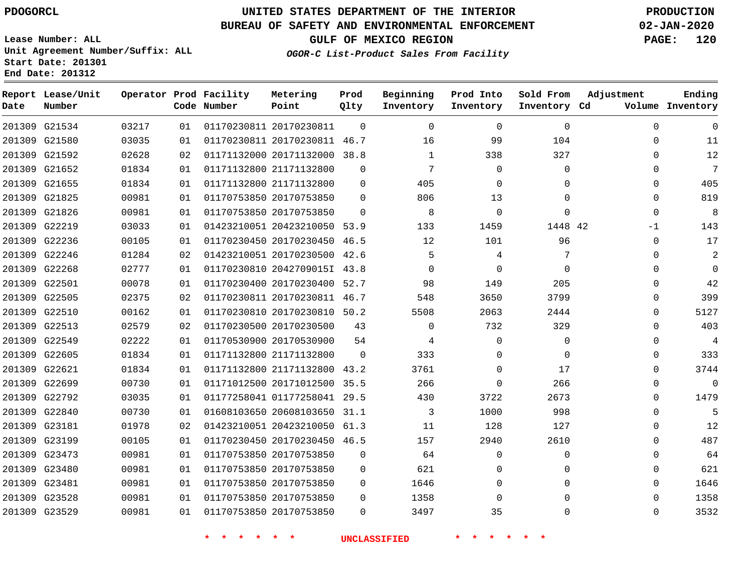### **BUREAU OF SAFETY AND ENVIRONMENTAL ENFORCEMENT 02-JAN-2020**

**Lease Number: ALL Unit Agreement Number/Suffix: ALL Start Date: 201301 End Date: 201312**

**GULF OF MEXICO REGION PAGE: 120**

**OGOR-C List-Product Sales From Facility**

| Date          | Report Lease/Unit<br>Number |       |    | Operator Prod Facility<br>Code Number | Metering<br>Point            | Prod<br>Qlty | Beginning<br>Inventory | Prod Into<br>Inventory | Sold From<br>Inventory Cd | Adjustment  | Ending<br>Volume Inventory |
|---------------|-----------------------------|-------|----|---------------------------------------|------------------------------|--------------|------------------------|------------------------|---------------------------|-------------|----------------------------|
|               | 201309 G21534               | 03217 | 01 |                                       | 01170230811 20170230811      | $\Omega$     | $\Omega$               | $\Omega$               | $\mathbf 0$               | $\mathbf 0$ | $\mathbf 0$                |
|               | 201309 G21580               | 03035 | 01 |                                       | 01170230811 20170230811 46.7 |              | 16                     | 99                     | 104                       | $\Omega$    | 11                         |
|               | 201309 G21592               | 02628 | 02 |                                       | 01171132000 20171132000 38.8 |              | $\mathbf{1}$           | 338                    | 327                       | $\Omega$    | 12                         |
|               | 201309 G21652               | 01834 | 01 |                                       | 01171132800 21171132800      | $\mathbf{0}$ | 7                      | $\mathbf 0$            | $\mathbf{0}$              | $\mathbf 0$ | 7                          |
|               | 201309 G21655               | 01834 | 01 |                                       | 01171132800 21171132800      | $\Omega$     | 405                    | $\mathbf 0$            | 0                         | $\mathbf 0$ | 405                        |
|               | 201309 G21825               | 00981 | 01 |                                       | 01170753850 20170753850      | $\Omega$     | 806                    | 13                     | $\Omega$                  | $\mathbf 0$ | 819                        |
|               | 201309 G21826               | 00981 | 01 |                                       | 01170753850 20170753850      | $\Omega$     | 8                      | $\mathbf 0$            | $\Omega$                  | $\mathbf 0$ | 8                          |
|               | 201309 G22219               | 03033 | 01 |                                       | 01423210051 20423210050      | 53.9         | 133                    | 1459                   | 1448 42                   | $-1$        | 143                        |
|               | 201309 G22236               | 00105 | 01 |                                       | 01170230450 20170230450 46.5 |              | 12                     | 101                    | 96                        | 0           | 17                         |
|               | 201309 G22246               | 01284 | 02 |                                       | 01423210051 20170230500 42.6 |              | 5                      | 4                      | 7                         | $\Omega$    | 2                          |
|               | 201309 G22268               | 02777 | 01 |                                       | 01170230810 2042709015I 43.8 |              | $\Omega$               | $\mathbf 0$            | $\Omega$                  | $\Omega$    | $\Omega$                   |
| 201309 G22501 |                             | 00078 | 01 |                                       | 01170230400 20170230400 52.7 |              | 98                     | 149                    | 205                       | $\Omega$    | 42                         |
|               | 201309 G22505               | 02375 | 02 |                                       | 01170230811 20170230811 46.7 |              | 548                    | 3650                   | 3799                      | $\Omega$    | 399                        |
|               | 201309 G22510               | 00162 | 01 |                                       | 01170230810 20170230810 50.2 |              | 5508                   | 2063                   | 2444                      | $\mathbf 0$ | 5127                       |
|               | 201309 G22513               | 02579 | 02 |                                       | 01170230500 20170230500      | 43           | $\mathbf 0$            | 732                    | 329                       | $\mathbf 0$ | 403                        |
|               | 201309 G22549               | 02222 | 01 |                                       | 01170530900 20170530900      | 54           | 4                      | $\mathbf 0$            | $\mathbf{0}$              | $\Omega$    | $\overline{4}$             |
|               | 201309 G22605               | 01834 | 01 |                                       | 01171132800 21171132800      | $\Omega$     | 333                    | 0                      | $\mathbf{0}$              | $\Omega$    | 333                        |
|               | 201309 G22621               | 01834 | 01 |                                       | 01171132800 21171132800 43.2 |              | 3761                   | $\Omega$               | 17                        | $\Omega$    | 3744                       |
|               | 201309 G22699               | 00730 | 01 |                                       | 01171012500 20171012500 35.5 |              | 266                    | $\mathbf 0$            | 266                       | $\mathbf 0$ | $\Omega$                   |
|               | 201309 G22792               | 03035 | 01 |                                       | 01177258041 01177258041 29.5 |              | 430                    | 3722                   | 2673                      | $\mathbf 0$ | 1479                       |
|               | 201309 G22840               | 00730 | 01 |                                       | 01608103650 20608103650 31.1 |              | 3                      | 1000                   | 998                       | $\mathbf 0$ | 5                          |
|               | 201309 G23181               | 01978 | 02 |                                       | 01423210051 20423210050 61.3 |              | 11                     | 128                    | 127                       | $\Omega$    | 12                         |
|               | 201309 G23199               | 00105 | 01 |                                       | 01170230450 20170230450 46.5 |              | 157                    | 2940                   | 2610                      | $\Omega$    | 487                        |
|               | 201309 G23473               | 00981 | 01 |                                       | 01170753850 20170753850      | 0            | 64                     | 0                      | $\mathbf{0}$              | 0           | 64                         |
|               | 201309 G23480               | 00981 | 01 |                                       | 01170753850 20170753850      | $\mathbf{0}$ | 621                    | 0                      | 0                         | $\mathbf 0$ | 621                        |
|               | 201309 G23481               | 00981 | 01 |                                       | 01170753850 20170753850      | $\mathbf{0}$ | 1646                   | 0                      | $\Omega$                  | $\Omega$    | 1646                       |
|               | 201309 G23528               | 00981 | 01 |                                       | 01170753850 20170753850      | $\Omega$     | 1358                   | $\mathbf 0$            | $\Omega$                  | $\Omega$    | 1358                       |
|               | 201309 G23529               | 00981 | 01 |                                       | 01170753850 20170753850      | $\Omega$     | 3497                   | 35                     | $\Omega$                  | $\Omega$    | 3532                       |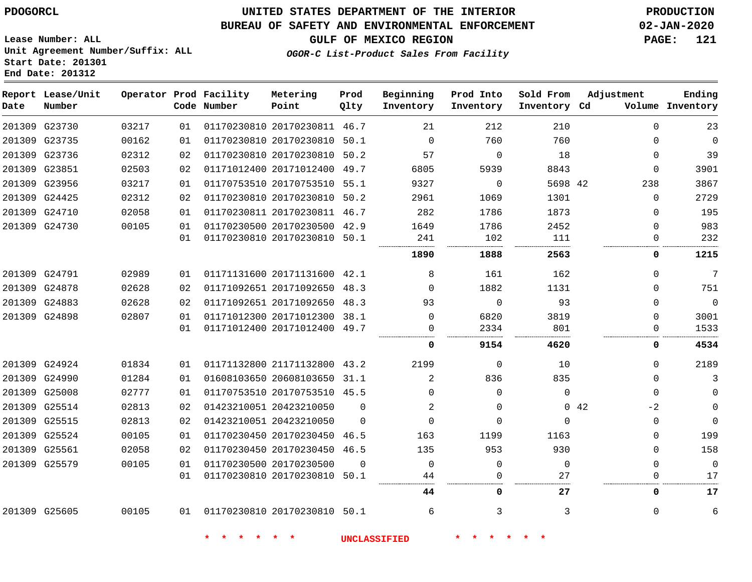### **UNITED STATES DEPARTMENT OF THE INTERIOR PDOGORCL PRODUCTION**

### **BUREAU OF SAFETY AND ENVIRONMENTAL ENFORCEMENT 02-JAN-2020**

**Lease Number: ALL Unit Agreement Number/Suffix: ALL Start Date: 201301**

**OGOR-C List-Product Sales From Facility**

**GULF OF MEXICO REGION PAGE: 121**

| Date          | Report Lease/Unit<br>Number |       |    | Operator Prod Facility<br>Code Number | Metering<br>Point            | Prod<br>Qlty | Beginning<br>Inventory | Prod Into<br>Inventory | Sold From<br>Inventory Cd | Adjustment   | Ending<br>Volume Inventory |
|---------------|-----------------------------|-------|----|---------------------------------------|------------------------------|--------------|------------------------|------------------------|---------------------------|--------------|----------------------------|
|               | 201309 G23730               | 03217 | 01 |                                       | 01170230810 20170230811 46.7 |              | 21                     | 212                    | 210                       | $\Omega$     | 23                         |
|               | 201309 G23735               | 00162 | 01 |                                       | 01170230810 20170230810 50.1 |              | $\Omega$               | 760                    | 760                       | $\Omega$     | $\mathbf 0$                |
|               | 201309 G23736               | 02312 | 02 |                                       | 01170230810 20170230810      | 50.2         | 57                     | $\mathbf 0$            | 18                        | $\mathbf{0}$ | 39                         |
| 201309 G23851 |                             | 02503 | 02 |                                       | 01171012400 20171012400 49.7 |              | 6805                   | 5939                   | 8843                      | $\Omega$     | 3901                       |
|               | 201309 G23956               | 03217 | 01 |                                       | 01170753510 20170753510 55.1 |              | 9327                   | 0                      | 5698 42                   | 238          | 3867                       |
|               | 201309 G24425               | 02312 | 02 |                                       | 01170230810 20170230810 50.2 |              | 2961                   | 1069                   | 1301                      | $\Omega$     | 2729                       |
|               | 201309 G24710               | 02058 | 01 |                                       | 01170230811 20170230811 46.7 |              | 282                    | 1786                   | 1873                      | $\Omega$     | 195                        |
|               | 201309 G24730               | 00105 | 01 |                                       | 01170230500 20170230500 42.9 |              | 1649                   | 1786                   | 2452                      | $\Omega$     | 983                        |
|               |                             |       | 01 |                                       | 01170230810 20170230810 50.1 |              | 241                    | 102                    | 111<br>.                  | $\Omega$     | 232                        |
|               |                             |       |    |                                       |                              |              | 1890                   | 1888                   | 2563                      | 0            | 1215                       |
|               | 201309 G24791               | 02989 | 01 |                                       | 01171131600 20171131600 42.1 |              | 8                      | 161                    | 162                       | $\Omega$     | 7                          |
|               | 201309 G24878               | 02628 | 02 |                                       | 01171092651 20171092650 48.3 |              | $\Omega$               | 1882                   | 1131                      | $\Omega$     | 751                        |
|               | 201309 G24883               | 02628 | 02 |                                       | 01171092651 20171092650 48.3 |              | 93                     | $\Omega$               | 93                        | $\Omega$     | $\mathbf 0$                |
|               | 201309 G24898               | 02807 | 01 |                                       | 01171012300 20171012300 38.1 |              | 0                      | 6820                   | 3819                      | $\Omega$     | 3001                       |
|               |                             |       | 01 |                                       | 01171012400 20171012400 49.7 |              | 0                      | 2334                   | 801                       | $\Omega$     | 1533                       |
|               |                             |       |    |                                       |                              |              | 0                      | 9154                   | 4620                      | 0            | 4534                       |
|               | 201309 G24924               | 01834 | 01 |                                       | 01171132800 21171132800 43.2 |              | 2199                   | $\Omega$               | 10                        |              | 2189<br>$\Omega$           |
|               | 201309 G24990               | 01284 | 01 |                                       | 01608103650 20608103650 31.1 |              | 2                      | 836                    | 835                       | $\Omega$     | 3                          |
|               | 201309 G25008               | 02777 | 01 |                                       | 01170753510 20170753510 45.5 |              | $\Omega$               | $\Omega$               | $\mathbf 0$               | $\Omega$     | $\mathbf 0$                |
|               | 201309 G25514               | 02813 | 02 |                                       | 01423210051 20423210050      | $\Omega$     | 2                      | $\Omega$               |                           | 042<br>$-2$  | $\mathbf 0$                |
|               | 201309 G25515               | 02813 | 02 |                                       | 01423210051 20423210050      | $\Omega$     | $\Omega$               | $\Omega$               | $\Omega$                  | $\mathbf 0$  | $\mathbf 0$                |
|               | 201309 G25524               | 00105 | 01 |                                       | 01170230450 20170230450 46.5 |              | 163                    | 1199                   | 1163                      | $\Omega$     | 199                        |
|               | 201309 G25561               | 02058 | 02 |                                       | 01170230450 20170230450 46.5 |              | 135                    | 953                    | 930                       | $\Omega$     | 158                        |
|               | 201309 G25579               | 00105 | 01 |                                       | 01170230500 20170230500      | $\Omega$     | 0                      | $\Omega$               | $\mathbf 0$               | $\Omega$     | $\mathbf 0$                |
|               |                             |       | 01 |                                       | 01170230810 20170230810 50.1 |              | 44                     | $\Omega$               | 27                        | $\Omega$     | 17                         |
|               |                             |       |    |                                       |                              |              | 44                     | 0                      | 27                        | 0            | 17                         |
|               | 201309 G25605               | 00105 | 01 | 01170230810 20170230810 50.1          |                              |              | 6                      | 3                      | 3                         | $\Omega$     | 6                          |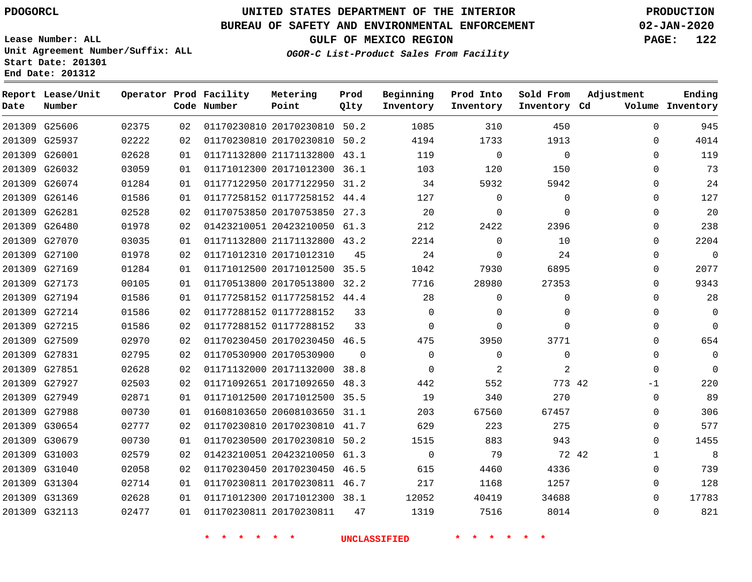**Report Lease/Unit**

**Number**

### **UNITED STATES DEPARTMENT OF THE INTERIOR PDOGORCL PRODUCTION**

**Prod Qlty**

#### **BUREAU OF SAFETY AND ENVIRONMENTAL ENFORCEMENT 02-JAN-2020**

**Lease Number: ALL Unit Agreement Number/Suffix: ALL Start Date: 201301 End Date: 201312**

**Operator Prod Facility**

**Code Number**

**OGOR-C List-Product Sales From Facility**

**Beginning Inventory** **Prod Into Inventory** **Sold From Inventory**

**GULF OF MEXICO REGION PAGE: 122**

**Inventory Cd Volume**

**Adjustment**

  $\Omega$   $\Omega$  $\Omega$  $\Omega$   $\Omega$   $\Omega$  $\overline{0}$  $\overline{0}$  $\Omega$  $\overline{0}$  $\Omega$  $\overline{0}$  $-1$  $\Omega$   $\Omega$   $\Omega$ 

**Ending**

|               | 201309 G25606 | 02375 | 02 |                         | 01170230810 20170230810 50.2 |          | 1085           | 310          | 450            |  |
|---------------|---------------|-------|----|-------------------------|------------------------------|----------|----------------|--------------|----------------|--|
| 201309 G25937 |               | 02222 | 02 |                         | 01170230810 20170230810 50.2 |          | 4194           | 1733         | 1913           |  |
| 201309 G26001 |               | 02628 | 01 |                         | 01171132800 21171132800 43.1 |          | 119            | 0            | $\overline{0}$ |  |
| 201309 G26032 |               | 03059 | 01 |                         | 01171012300 20171012300 36.1 |          | 103            | 120          | 150            |  |
| 201309 G26074 |               | 01284 | 01 |                         | 01177122950 20177122950 31.2 |          | 34             | 5932         | 5942           |  |
| 201309 G26146 |               | 01586 | 01 |                         | 01177258152 01177258152 44.4 |          | 127            | 0            | 0              |  |
| 201309 G26281 |               | 02528 | 02 |                         | 01170753850 20170753850 27.3 |          | 20             | $\mathbf 0$  | $\Omega$       |  |
| 201309 G26480 |               | 01978 | 02 |                         | 01423210051 20423210050 61.3 |          | 212            | 2422         | 2396           |  |
| 201309 G27070 |               | 03035 | 01 |                         | 01171132800 21171132800 43.2 |          | 2214           | $\mathbf 0$  | 10             |  |
| 201309 G27100 |               | 01978 | 02 | 01171012310 20171012310 |                              | 45       | 24             | 0            | 24             |  |
| 201309 G27169 |               | 01284 | 01 |                         | 01171012500 20171012500 35.5 |          | 1042           | 7930         | 6895           |  |
| 201309 G27173 |               | 00105 | 01 |                         | 01170513800 20170513800 32.2 |          | 7716           | 28980        | 27353          |  |
| 201309 G27194 |               | 01586 | 01 |                         | 01177258152 01177258152 44.4 |          | 28             | $\mathbf 0$  | 0              |  |
| 201309 G27214 |               | 01586 | 02 | 01177288152 01177288152 |                              | 33       | $\mathbf 0$    | 0            | $\mathbf{0}$   |  |
| 201309 G27215 |               | 01586 | 02 | 01177288152 01177288152 |                              | 33       | $\mathbf{0}$   | 0            | $\mathbf 0$    |  |
| 201309 G27509 |               | 02970 | 02 |                         | 01170230450 20170230450 46.5 |          | 475            | 3950         | 3771           |  |
| 201309 G27831 |               | 02795 | 02 | 01170530900 20170530900 |                              | $\Omega$ | $\overline{0}$ | $\mathbf{0}$ | $\overline{0}$ |  |
| 201309 G27851 |               | 02628 | 02 |                         | 01171132000 20171132000 38.8 |          | $\mathbf{0}$   | 2            | 2              |  |
| 201309 G27927 |               | 02503 | 02 |                         | 01171092651 20171092650 48.3 |          | 442            | 552          | 773 42         |  |
| 201309 G27949 |               | 02871 | 01 |                         | 01171012500 20171012500 35.5 |          | 19             | 340          | 270            |  |
| 201309 G27988 |               | 00730 | 01 |                         | 01608103650 20608103650 31.1 |          | 203            | 67560        | 67457          |  |
| 201309 G30654 |               | 02777 | 02 |                         | 01170230810 20170230810 41.7 |          | 629            | 223          | 275            |  |
| 201309 G30679 |               | 00730 | 01 |                         | 01170230500 20170230810 50.2 |          | 1515           | 883          | 943            |  |
| 201309 G31003 |               | 02579 | 02 |                         | 01423210051 20423210050 61.3 |          | $\overline{0}$ | 79           | 72 42          |  |
| 201309 G31040 |               | 02058 | 02 |                         | 01170230450 20170230450 46.5 |          | 615            | 4460         | 4336           |  |
| 201309 G31304 |               | 02714 | 01 |                         | 01170230811 20170230811 46.7 |          | 217            | 1168         | 1257           |  |
| 201309 G31369 |               | 02628 | 01 |                         | 01171012300 20171012300 38.1 |          | 12052          | 40419        | 34688          |  |
|               | 201309 G32113 | 02477 | 01 | 01170230811 20170230811 |                              | 47       | 1319           | 7516         | 8014           |  |
|               |               |       |    |                         |                              |          |                |              |                |  |

**Metering Point**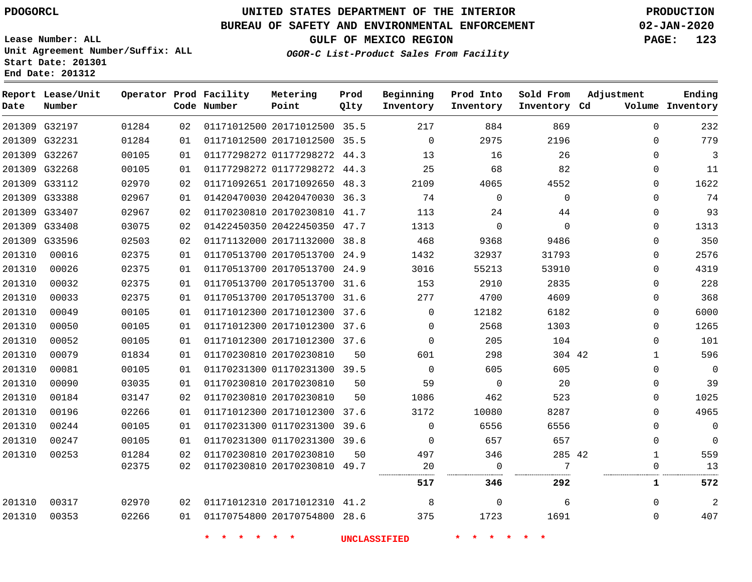**Report Lease/Unit**

**Number**

### **UNITED STATES DEPARTMENT OF THE INTERIOR PDOGORCL PRODUCTION**

**Prod Qlty**

#### **BUREAU OF SAFETY AND ENVIRONMENTAL ENFORCEMENT 02-JAN-2020**

**Lease Number: ALL Unit Agreement Number/Suffix: ALL Start Date: 201301 End Date: 201312**

**Operator Prod Facility**

**Code Number**

**Metering Point**

**GULF OF MEXICO REGION PAGE: 123**

**Inventory Cd Volume**

**Adjustment**

**Ending**

 

  $\Omega$ 

**OGOR-C List-Product Sales From Facility**

**Beginning Inventory** **Prod Into Inventory** **Sold From Inventory**

|        |                         |                |          |                                                         |      | 517      | 346      | 292      | 1                    | 572      |
|--------|-------------------------|----------------|----------|---------------------------------------------------------|------|----------|----------|----------|----------------------|----------|
|        |                         | 02375          | 02       | 01170230810 20170230810 49.7                            |      | 20       |          |          | O                    | 13       |
| 201310 | 00253                   | 01284          | 02       | 01170230810 20170230810                                 | 50   | 497      | 346      | 285 42   | 1                    | 559      |
| 201310 | 00247                   | 00105          | 01       | 01170231300 01170231300 39.6                            |      | $\Omega$ | 657      | 657      | $\Omega$             | $\Omega$ |
| 201310 | 00244                   | 00105          | 01       | 01170231300 01170231300                                 | 39.6 | $\Omega$ | 6556     | 6556     | $\Omega$             | 0        |
| 201310 | 00196                   | 02266          | 01       | 01171012300 20171012300 37.6                            |      | 3172     | 10080    | 8287     | $\Omega$             | 4965     |
| 201310 | 00184                   | 03147          | 02       | 01170230810 20170230810                                 | 50   | 1086     | 462      | 523      | $\Omega$             | 1025     |
| 201310 | 00090                   | 03035          | 01       | 01170230810 20170230810                                 | 50   | 59       | $\Omega$ | 20       | $\mathbf 0$          | 39       |
| 201310 | 00081                   | 00105          | 01       | 01170231300 01170231300 39.5                            |      | $\Omega$ | 605      | 605      | $\mathbf 0$          | $\Omega$ |
| 201310 | 00079                   | 01834          | 01       | 01170230810 20170230810                                 | 50   | 601      | 298      | 304 42   | $\mathbf{1}$         | 596      |
| 201310 | 00052                   | 00105          | 01       | 01171012300 20171012300 37.6                            |      | $\Omega$ | 205      | 104      | 0                    | 101      |
| 201310 | 00050                   | 00105          | 01       | 01171012300 20171012300                                 | 37.6 | $\Omega$ | 2568     | 1303     | $\Omega$             | 1265     |
| 201310 | 00049                   | 00105          | 01       | 01171012300 20171012300 37.6                            |      | $\Omega$ | 12182    | 6182     | $\Omega$             | 6000     |
| 201310 | 00033                   | 02375          | 01       | 01170513700 20170513700                                 | 31.6 | 277      | 4700     | 4609     | 0                    | 368      |
| 201310 | 00032                   | 02375          | 01       | 01170513700 20170513700 31.6                            |      | 153      | 2910     | 2835     | $\Omega$             | 228      |
| 201310 | 00026                   | 02375          | 01       | 01170513700 20170513700 24.9                            |      | 3016     | 55213    | 53910    | $\Omega$             | 4319     |
| 201310 | 00016                   | 02375          | 01       | 01170513700 20170513700 24.9                            |      | 1432     | 32937    | 31793    | 0                    | 2576     |
| 201309 | G33596                  | 02503          | 02       | 01171132000 20171132000                                 | 38.8 | 468      | 9368     | 9486     | $\Omega$             | 350      |
| 201309 | G33408                  | 03075          | 02       | 01422450350 20422450350                                 | 47.7 | 1313     | $\Omega$ | $\Omega$ | $\Omega$             | 1313     |
| 201309 | G33407                  | 02967          | 02       | 01170230810 20170230810                                 | 41.7 | 113      | 24       | 44       | $\mathbf 0$          | 93       |
| 201309 | G33388                  | 02967          | 01       | 01420470030 20420470030 36.3                            |      | 74       | $\Omega$ | $\Omega$ | $\Omega$             | 74       |
|        | 201309 G33112           | 02970          | 02       | 01171092651 20171092650 48.3                            |      | 2109     | 4065     | 4552     | $\Omega$             | 1622     |
| 201309 | 201309 G32267<br>G32268 | 00105<br>00105 | 01<br>01 | 01177298272 01177298272 44.3<br>01177298272 01177298272 | 44.3 | 13<br>25 | 16<br>68 | 26<br>82 | $\Omega$<br>$\Omega$ | 3<br>11  |
|        | 201309 G32231           | 01284          | 01       | 01171012500 20171012500 35.5                            |      | $\Omega$ | 2975     | 2196     | $\Omega$             | 779      |
|        | 201309 G32197           | 01284          | 02       | 01171012500 20171012500 35.5                            |      | 217      | 884      | 869      | $\Omega$             | 232      |
|        |                         |                |          |                                                         |      |          |          |          |                      |          |

 20171012310 41.2 20170754800 28.6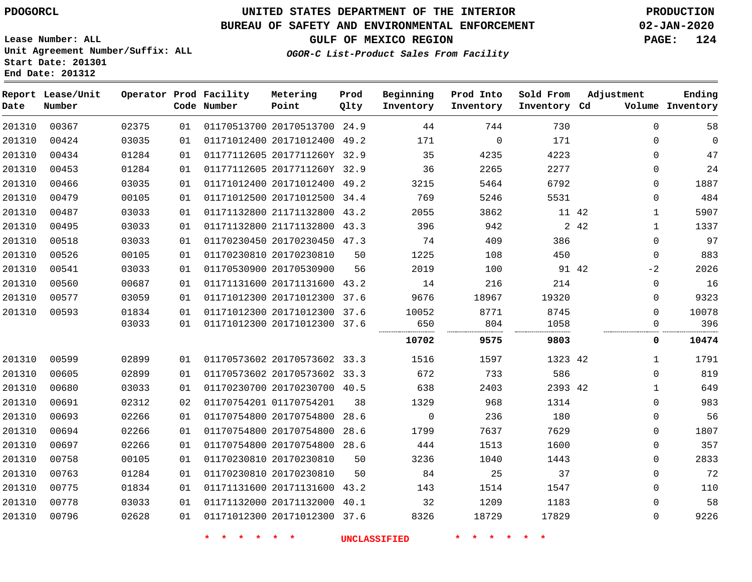# **UNITED STATES DEPARTMENT OF THE INTERIOR PDOGORCL PRODUCTION**

**Prod Qlty**

#### **BUREAU OF SAFETY AND ENVIRONMENTAL ENFORCEMENT 02-JAN-2020**

**Lease Number: ALL Unit Agreement Number/Suffix: ALL Start Date: 201301**

**Operator Prod Facility**

**Code Number**

**Metering Point**

**End Date: 201312**

**Report Lease/Unit**

**Number**

**GULF OF MEXICO REGION PAGE: 124**

**Inventory Cd Volume**

**Adjustment**

**Ending**

**OGOR-C List-Product Sales From Facility**

**Beginning Inventory** **Prod Into Inventory** **Sold From Inventory**

| 201310 | 00367 | 02375 | 01 | 01170513700 20170513700 24.9 |      | 44          | 744         | 730     |               | 58<br>$\mathbf 0$   |
|--------|-------|-------|----|------------------------------|------|-------------|-------------|---------|---------------|---------------------|
| 201310 | 00424 | 03035 | 01 | 01171012400 20171012400 49.2 |      | 171         | $\mathbf 0$ | 171     |               | $\mathbf 0$<br>0    |
| 201310 | 00434 | 01284 | 01 | 01177112605 2017711260Y 32.9 |      | 35          | 4235        | 4223    |               | 47<br>0             |
| 201310 | 00453 | 01284 | 01 | 01177112605 2017711260Y 32.9 |      | 36          | 2265        | 2277    |               | 24<br>0             |
| 201310 | 00466 | 03035 | 01 | 01171012400 20171012400 49.2 |      | 3215        | 5464        | 6792    |               | 1887<br>0           |
| 201310 | 00479 | 00105 | 01 | 01171012500 20171012500 34.4 |      | 769         | 5246        | 5531    |               | 484<br>$\Omega$     |
| 201310 | 00487 | 03033 | 01 | 01171132800 21171132800 43.2 |      | 2055        | 3862        |         | 11 42         | 5907<br>1           |
| 201310 | 00495 | 03033 | 01 | 01171132800 21171132800 43.3 |      | 396         | 942         |         | 2 42          | 1337<br>1           |
| 201310 | 00518 | 03033 | 01 | 01170230450 20170230450 47.3 |      | 74          | 409         | 386     |               | 97<br>$\mathbf 0$   |
| 201310 | 00526 | 00105 | 01 | 01170230810 20170230810      |      | 1225<br>50  | 108         | 450     |               | 883<br>$\mathbf 0$  |
| 201310 | 00541 | 03033 | 01 | 01170530900 20170530900      |      | 2019<br>56  | 100         |         | 91 42<br>$-2$ | 2026                |
| 201310 | 00560 | 00687 | 01 | 01171131600 20171131600 43.2 |      | 14          | 216         | 214     |               | 16<br>0             |
| 201310 | 00577 | 03059 | 01 | 01171012300 20171012300 37.6 |      | 9676        | 18967       | 19320   |               | 9323<br>0           |
| 201310 | 00593 | 01834 | 01 | 01171012300 20171012300 37.6 |      | 10052       | 8771        | 8745    |               | 10078<br>$\Omega$   |
|        |       | 03033 | 01 | 01171012300 20171012300 37.6 |      | 650         | 804         | 1058    |               | 396<br>0            |
|        |       |       |    |                              |      | 10702       | 9575        | 9803    |               | 10474<br>0          |
| 201310 | 00599 | 02899 | 01 | 01170573602 20170573602 33.3 |      | 1516        | 1597        | 1323 42 |               | 1791<br>1           |
| 201310 | 00605 | 02899 | 01 | 01170573602 20170573602 33.3 |      | 672         | 733         | 586     |               | 819<br>$\Omega$     |
| 201310 | 00680 | 03033 | 01 | 01170230700 20170230700 40.5 |      | 638         | 2403        | 2393 42 |               | 649<br>$\mathbf{1}$ |
| 201310 | 00691 | 02312 | 02 | 01170754201 01170754201      |      | 1329<br>38  | 968         | 1314    |               | 983<br>0            |
| 201310 | 00693 | 02266 | 01 | 01170754800 20170754800      | 28.6 | $\mathbf 0$ | 236         | 180     |               | 56<br>0             |
| 201310 | 00694 | 02266 | 01 | 01170754800 20170754800      | 28.6 | 1799        | 7637        | 7629    |               | 1807<br>$\mathbf 0$ |
| 201310 | 00697 | 02266 | 01 | 01170754800 20170754800 28.6 |      | 444         | 1513        | 1600    |               | 357<br>0            |
| 201310 | 00758 | 00105 | 01 | 01170230810 20170230810      |      | 3236<br>50  | 1040        | 1443    |               | 2833<br>0           |
| 201310 | 00763 | 01284 | 01 | 01170230810 20170230810      |      | 84<br>50    | 25          | 37      |               | 72<br>$\mathbf 0$   |
| 201310 | 00775 | 01834 | 01 | 01171131600 20171131600 43.2 |      | 143         | 1514        | 1547    |               | 110<br>$\Omega$     |
| 201310 | 00778 | 03033 | 01 | 01171132000 20171132000 40.1 |      | 32          | 1209        | 1183    |               | 58<br>0             |
| 201310 | 00796 | 02628 | 01 | 01171012300 20171012300 37.6 |      | 8326        | 18729       | 17829   |               | 9226<br>$\Omega$    |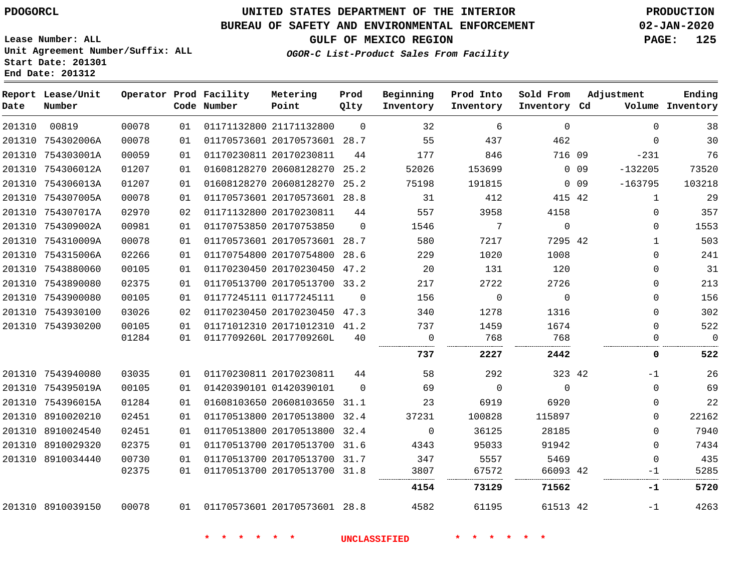### **BUREAU OF SAFETY AND ENVIRONMENTAL ENFORCEMENT 02-JAN-2020**

**Lease Number: ALL Unit Agreement Number/Suffix: ALL Start Date: 201301 End Date: 201312**

**GULF OF MEXICO REGION PAGE: 125**

**OGOR-C List-Product Sales From Facility**

| Date   | Report Lease/Unit<br>Number |       |    | Operator Prod Facility<br>Code Number | Metering<br>Point            | Prod<br>Qlty | Beginning<br>Inventory | Prod Into<br>Inventory | Sold From<br>Inventory Cd | Adjustment                   | Ending<br>Volume Inventory |
|--------|-----------------------------|-------|----|---------------------------------------|------------------------------|--------------|------------------------|------------------------|---------------------------|------------------------------|----------------------------|
| 201310 | 00819                       | 00078 | 01 |                                       | 01171132800 21171132800      | $\Omega$     | 32                     | 6                      | $\Omega$                  | $\Omega$                     | 38                         |
|        | 201310 754302006A           | 00078 | 01 |                                       | 01170573601 20170573601 28.7 |              | 55                     | 437                    | 462                       | $\Omega$                     | 30                         |
|        | 201310 754303001A           | 00059 | 01 |                                       | 01170230811 20170230811      | 44           | 177                    | 846                    | 716 09                    | $-231$                       | 76                         |
|        | 201310 754306012A           | 01207 | 01 |                                       | 01608128270 20608128270 25.2 |              | 52026                  | 153699                 |                           | 0 <sub>09</sub><br>$-132205$ | 73520                      |
|        | 201310 754306013A           | 01207 | 01 |                                       | 01608128270 20608128270      | 25.2         | 75198                  | 191815                 |                           | $-163795$<br>$0\quad09$      | 103218                     |
|        | 201310 754307005A           | 00078 | 01 |                                       | 01170573601 20170573601 28.8 |              | 31                     | 412                    | 415 42                    | $\mathbf{1}$                 | 29                         |
|        | 201310 754307017A           | 02970 | 02 |                                       | 01171132800 20170230811      | 44           | 557                    | 3958                   | 4158                      | $\Omega$                     | 357                        |
|        | 201310 754309002A           | 00981 | 01 |                                       | 01170753850 20170753850      | $\Omega$     | 1546                   | 7                      | $\mathbf 0$               | $\Omega$                     | 1553                       |
|        | 201310 754310009A           | 00078 | 01 |                                       | 01170573601 20170573601 28.7 |              | 580                    | 7217                   | 7295 42                   | $\mathbf{1}$                 | 503                        |
|        | 201310 754315006A           | 02266 | 01 |                                       | 01170754800 20170754800 28.6 |              | 229                    | 1020                   | 1008                      | $\Omega$                     | 241                        |
|        | 201310 7543880060           | 00105 | 01 |                                       | 01170230450 20170230450      | 47.2         | 20                     | 131                    | 120                       | $\mathbf 0$                  | 31                         |
|        | 201310 7543890080           | 02375 | 01 |                                       | 01170513700 20170513700 33.2 |              | 217                    | 2722                   | 2726                      | $\mathbf 0$                  | 213                        |
|        | 201310 7543900080           | 00105 | 01 |                                       | 01177245111 01177245111      | $\Omega$     | 156                    | $\mathbf 0$            | $\overline{0}$            | $\mathbf 0$                  | 156                        |
|        | 201310 7543930100           | 03026 | 02 |                                       | 01170230450 20170230450 47.3 |              | 340                    | 1278                   | 1316                      | $\mathbf 0$                  | 302                        |
|        | 201310 7543930200           | 00105 | 01 |                                       | 01171012310 20171012310 41.2 |              | 737                    | 1459                   | 1674                      | $\Omega$                     | 522                        |
|        |                             | 01284 | 01 |                                       | 0117709260L 2017709260L      | 40           | $\mathbf 0$            | 768                    | 768                       | 0                            | $\overline{0}$             |
|        |                             |       |    |                                       |                              |              | 737                    | 2227                   | 2442                      | 0                            | 522                        |
|        | 201310 7543940080           | 03035 | 01 |                                       | 01170230811 20170230811      | 44           | 58                     | 292                    | 323 42                    | $-1$                         | 26                         |
|        | 201310 754395019A           | 00105 | 01 |                                       | 01420390101 01420390101      | $\Omega$     | 69                     | $\Omega$               | $\Omega$                  | $\Omega$                     | 69                         |
|        | 201310 754396015A           | 01284 | 01 |                                       | 01608103650 20608103650      | 31.1         | 23                     | 6919                   | 6920                      | $\mathbf 0$                  | 22                         |
|        | 201310 8910020210           | 02451 | 01 |                                       | 01170513800 20170513800 32.4 |              | 37231                  | 100828                 | 115897                    | $\mathbf 0$                  | 22162                      |
|        | 201310 8910024540           | 02451 | 01 |                                       | 01170513800 20170513800      | 32.4         | $\overline{0}$         | 36125                  | 28185                     | $\mathbf 0$                  | 7940                       |
|        | 201310 8910029320           | 02375 | 01 |                                       | 01170513700 20170513700 31.6 |              | 4343                   | 95033                  | 91942                     | $\Omega$                     | 7434                       |
|        | 201310 8910034440           | 00730 | 01 |                                       | 01170513700 20170513700 31.7 |              | 347                    | 5557                   | 5469                      | $\Omega$                     | 435                        |
|        |                             | 02375 | 01 |                                       | 01170513700 20170513700 31.8 |              | 3807                   | 67572                  | 66093 42                  | -1                           | 5285                       |
|        |                             |       |    |                                       |                              |              | 4154                   | 73129                  | 71562                     | -1                           | 5720                       |
|        | 201310 8910039150           | 00078 | 01 |                                       | 01170573601 20170573601 28.8 |              | 4582                   | 61195                  | 61513 42                  | $-1$                         | 4263                       |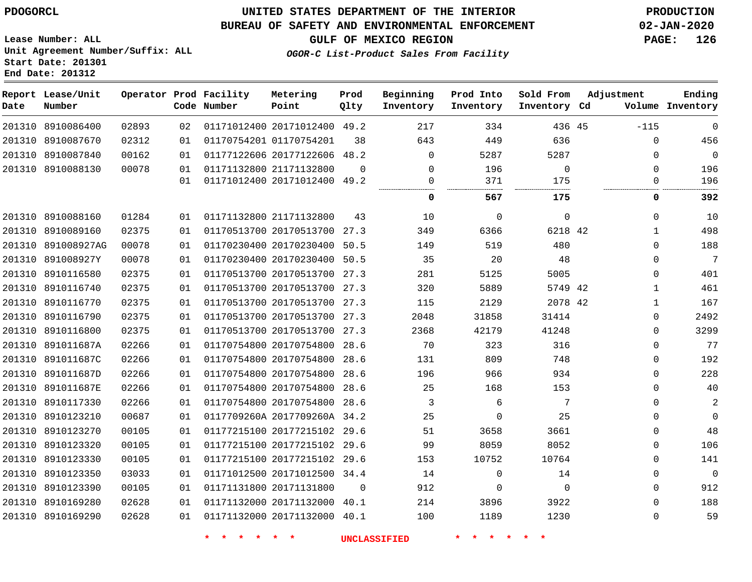### **UNITED STATES DEPARTMENT OF THE INTERIOR PDOGORCL PRODUCTION**

### **BUREAU OF SAFETY AND ENVIRONMENTAL ENFORCEMENT 02-JAN-2020**

**Lease Number: ALL Unit Agreement Number/Suffix: ALL Start Date: 201301**

**OGOR-C List-Product Sales From Facility**

**GULF OF MEXICO REGION PAGE: 126**

| Date   | Report Lease/Unit<br>Number |       |    | Operator Prod Facility<br>Code Number | Metering<br>Point            | Prod<br>Qlty | Beginning<br>Inventory | Prod Into<br>Inventory | Sold From<br>Inventory Cd | Adjustment   | Ending<br>Volume Inventory |
|--------|-----------------------------|-------|----|---------------------------------------|------------------------------|--------------|------------------------|------------------------|---------------------------|--------------|----------------------------|
|        | 201310 8910086400           | 02893 | 02 |                                       | 01171012400 20171012400 49.2 |              | 217                    | 334                    | 436 45                    | $-115$       | $\mathbf 0$                |
| 201310 | 8910087670                  | 02312 | 01 |                                       | 01170754201 01170754201      | 38           | 643                    | 449                    | 636                       | $\Omega$     | 456                        |
| 201310 | 8910087840                  | 00162 | 01 |                                       | 01177122606 20177122606      | 48.2         | $\Omega$               | 5287                   | 5287                      | $\Omega$     | $\mathbf 0$                |
|        | 201310 8910088130           | 00078 | 01 |                                       | 01171132800 21171132800      | $\Omega$     | $\Omega$               | 196                    | 0                         | $\Omega$     | 196                        |
|        |                             |       | 01 |                                       | 01171012400 20171012400 49.2 |              | 0<br>                  | 371<br>.               | 175<br>                   | $\Omega$     | 196                        |
|        |                             |       |    |                                       |                              |              | 0                      | 567                    | 175                       | 0            | 392                        |
|        | 201310 8910088160           | 01284 | 01 |                                       | 01171132800 21171132800      | 43           | 10                     | $\Omega$               | $\mathbf 0$               | $\Omega$     | 10                         |
|        | 201310 8910089160           | 02375 | 01 |                                       | 01170513700 20170513700      | 27.3         | 349                    | 6366                   | 6218 42                   | $\mathbf{1}$ | 498                        |
|        | 201310 891008927AG          | 00078 | 01 |                                       | 01170230400 20170230400      | 50.5         | 149                    | 519                    | 480                       | $\Omega$     | 188                        |
|        | 201310 891008927Y           | 00078 | 01 |                                       | 01170230400 20170230400      | 50.5         | 35                     | 20                     | 48                        | $\mathbf{0}$ | $\overline{7}$             |
|        | 201310 8910116580           | 02375 | 01 |                                       | 01170513700 20170513700 27.3 |              | 281                    | 5125                   | 5005                      | 0            | 401                        |
| 201310 | 8910116740                  | 02375 | 01 |                                       | 01170513700 20170513700      | 27.3         | 320                    | 5889                   | 5749 42                   | $\mathbf{1}$ | 461                        |
| 201310 | 8910116770                  | 02375 | 01 |                                       | 01170513700 20170513700 27.3 |              | 115                    | 2129                   | 2078 42                   | $\mathbf{1}$ | 167                        |
| 201310 | 8910116790                  | 02375 | 01 |                                       | 01170513700 20170513700      | 27.3         | 2048                   | 31858                  | 31414                     | $\mathbf{0}$ | 2492                       |
| 201310 | 8910116800                  | 02375 | 01 |                                       | 01170513700 20170513700      | 27.3         | 2368                   | 42179                  | 41248                     | $\Omega$     | 3299                       |
|        | 201310 891011687A           | 02266 | 01 |                                       | 01170754800 20170754800      | 28.6         | 70                     | 323                    | 316                       | $\Omega$     | 77                         |
| 201310 | 891011687C                  | 02266 | 01 |                                       | 01170754800 20170754800      | 28.6         | 131                    | 809                    | 748                       | $\mathbf{0}$ | 192                        |
|        | 201310 891011687D           | 02266 | 01 |                                       | 01170754800 20170754800      | 28.6         | 196                    | 966                    | 934                       | $\mathbf{0}$ | 228                        |
|        | 201310 891011687E           | 02266 | 01 |                                       | 01170754800 20170754800      | 28.6         | 25                     | 168                    | 153                       | $\mathbf{0}$ | 40                         |
|        | 201310 8910117330           | 02266 | 01 |                                       | 01170754800 20170754800      | 28.6         | 3                      | 6                      | 7                         | $\Omega$     | $\overline{c}$             |
| 201310 | 8910123210                  | 00687 | 01 |                                       | 0117709260A 2017709260A 34.2 |              | 25                     | $\mathbf 0$            | 25                        | $\Omega$     | $\Omega$                   |
| 201310 | 8910123270                  | 00105 | 01 |                                       | 01177215100 20177215102 29.6 |              | 51                     | 3658                   | 3661                      | 0            | 48                         |
| 201310 | 8910123320                  | 00105 | 01 |                                       | 01177215100 20177215102 29.6 |              | 99                     | 8059                   | 8052                      | $\Omega$     | 106                        |
| 201310 | 8910123330                  | 00105 | 01 |                                       | 01177215100 20177215102 29.6 |              | 153                    | 10752                  | 10764                     | $\Omega$     | 141                        |
| 201310 | 8910123350                  | 03033 | 01 |                                       | 01171012500 20171012500 34.4 |              | 14                     | $\mathbf 0$            | 14                        | $\Omega$     | $\Omega$                   |
|        | 201310 8910123390           | 00105 | 01 |                                       | 01171131800 20171131800      | $\Omega$     | 912                    | $\mathbf 0$            | $\mathbf 0$               | $\Omega$     | 912                        |
|        | 201310 8910169280           | 02628 | 01 |                                       | 01171132000 20171132000      | 40.1         | 214                    | 3896                   | 3922                      | $\Omega$     | 188                        |
|        | 201310 8910169290           | 02628 | 01 |                                       | 01171132000 20171132000 40.1 |              | 100                    | 1189                   | 1230                      | $\Omega$     | 59                         |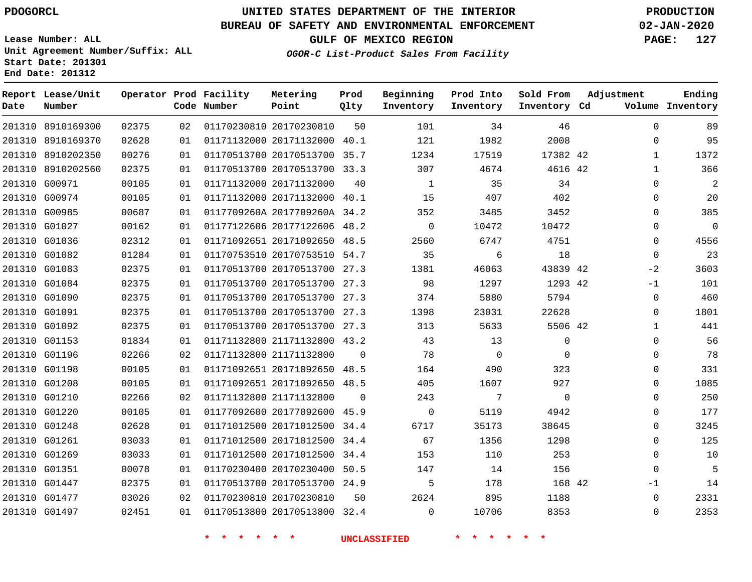**Report Lease/Unit**

**Number**

**Date**

# **UNITED STATES DEPARTMENT OF THE INTERIOR PDOGORCL PRODUCTION**

**Prod Qlty**

#### **BUREAU OF SAFETY AND ENVIRONMENTAL ENFORCEMENT 02-JAN-2020**

**Lease Number: ALL Unit Agreement Number/Suffix: ALL Start Date: 201301 End Date: 201312**

**Operator Prod Facility**

**Code Number**

**OGOR-C List-Product Sales From Facility**

**Beginning Inventory** **Prod Into Inventory** **Sold From Inventory**

**GULF OF MEXICO REGION PAGE: 127**

**Inventory Cd Volume**

**Adjustment**

  $\Omega$  $\Omega$  $\Omega$   $-2$  $-1$  $\Omega$  $\overline{0}$   $\overline{0}$  $\Omega$  $\overline{0}$  $\Omega$  $\Omega$  -1  $\Omega$ 

**Ending**

|               | 201310 8910169300 | 02375 | 02 |                         | 01170230810 20170230810      | 50             | 101            | 34             | 46             |  |
|---------------|-------------------|-------|----|-------------------------|------------------------------|----------------|----------------|----------------|----------------|--|
|               | 201310 8910169370 | 02628 | 01 |                         | 01171132000 20171132000 40.1 |                | 121            | 1982           | 2008           |  |
|               | 201310 8910202350 | 00276 | 01 |                         | 01170513700 20170513700 35.7 |                | 1234           | 17519          | 17382 42       |  |
|               | 201310 8910202560 | 02375 | 01 |                         | 01170513700 20170513700 33.3 |                | 307            | 4674           | 4616 42        |  |
| 201310 G00971 |                   | 00105 | 01 |                         | 01171132000 20171132000      | 40             | 1              | 35             | 34             |  |
| 201310 G00974 |                   | 00105 | 01 |                         | 01171132000 20171132000 40.1 |                | 15             | 407            | 402            |  |
| 201310 G00985 |                   | 00687 | 01 |                         | 0117709260A 2017709260A 34.2 |                | 352            | 3485           | 3452           |  |
|               | 201310 G01027     | 00162 | 01 |                         | 01177122606 20177122606 48.2 |                | $\overline{0}$ | 10472          | 10472          |  |
| 201310 G01036 |                   | 02312 | 01 |                         | 01171092651 20171092650 48.5 |                | 2560           | 6747           | 4751           |  |
|               | 201310 G01082     | 01284 | 01 |                         | 01170753510 20170753510 54.7 |                | 35             | 6              | 18             |  |
| 201310 G01083 |                   | 02375 | 01 |                         | 01170513700 20170513700 27.3 |                | 1381           | 46063          | 43839 42       |  |
| 201310 G01084 |                   | 02375 | 01 |                         | 01170513700 20170513700 27.3 |                | 98             | 1297           | 1293 42        |  |
|               | 201310 G01090     | 02375 | 01 |                         | 01170513700 20170513700 27.3 |                | 374            | 5880           | 5794           |  |
| 201310 G01091 |                   | 02375 | 01 |                         | 01170513700 20170513700 27.3 |                | 1398           | 23031          | 22628          |  |
|               | 201310 G01092     | 02375 | 01 |                         | 01170513700 20170513700 27.3 |                | 313            | 5633           | 5506 42        |  |
| 201310 G01153 |                   | 01834 | 01 |                         | 01171132800 21171132800 43.2 |                | 43             | 13             | $\Omega$       |  |
| 201310 G01196 |                   | 02266 | 02 |                         | 01171132800 21171132800      | $\overline{0}$ | 78             | $\overline{0}$ | $\overline{0}$ |  |
| 201310 G01198 |                   | 00105 | 01 |                         | 01171092651 20171092650 48.5 |                | 164            | 490            | 323            |  |
| 201310 G01208 |                   | 00105 | 01 |                         | 01171092651 20171092650 48.5 |                | 405            | 1607           | 927            |  |
| 201310 G01210 |                   | 02266 | 02 |                         | 01171132800 21171132800      | $\overline{0}$ | 243            | 7              | $\mathsf{O}$   |  |
| 201310 G01220 |                   | 00105 | 01 |                         | 01177092600 20177092600 45.9 |                | $\overline{0}$ | 5119           | 4942           |  |
| 201310 G01248 |                   | 02628 | 01 |                         | 01171012500 20171012500 34.4 |                | 6717           | 35173          | 38645          |  |
| 201310 G01261 |                   | 03033 | 01 |                         | 01171012500 20171012500 34.4 |                | 67             | 1356           | 1298           |  |
| 201310 G01269 |                   | 03033 | 01 |                         | 01171012500 20171012500 34.4 |                | 153            | 110            | 253            |  |
| 201310 G01351 |                   | 00078 | 01 |                         | 01170230400 20170230400 50.5 |                | 147            | 14             | 156            |  |
|               | 201310 G01447     | 02375 | 01 |                         | 01170513700 20170513700 24.9 |                | 5              | 178            | 168 42         |  |
|               | 201310 G01477     | 03026 | 02 | 01170230810 20170230810 |                              | 50             | 2624           | 895            | 1188           |  |
|               | 201310 G01497     | 02451 | 01 |                         | 01170513800 20170513800 32.4 |                | $\Omega$       | 10706          | 8353           |  |

**Metering Point**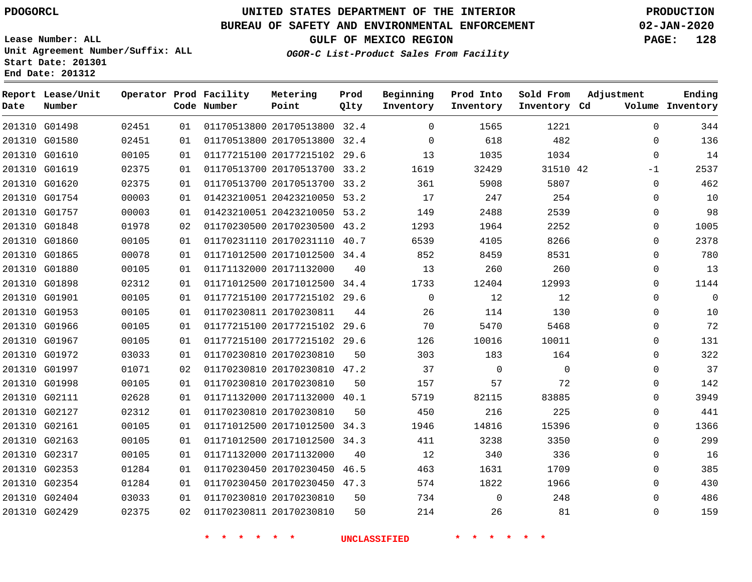### **BUREAU OF SAFETY AND ENVIRONMENTAL ENFORCEMENT 02-JAN-2020**

**Lease Number: ALL Unit Agreement Number/Suffix: ALL Start Date: 201301**

**OGOR-C List-Product Sales From Facility**

**GULF OF MEXICO REGION PAGE: 128**

**End Date: 201312**

| Date | Report Lease/Unit<br>Number |       |    | Operator Prod Facility<br>Code Number | Metering<br>Point            | Prod<br>Qlty | Beginning<br>Inventory | Prod Into<br>Inventory | Sold From<br>Inventory Cd | Adjustment  | Ending<br>Volume Inventory |
|------|-----------------------------|-------|----|---------------------------------------|------------------------------|--------------|------------------------|------------------------|---------------------------|-------------|----------------------------|
|      | 201310 G01498               | 02451 | 01 |                                       | 01170513800 20170513800 32.4 |              | $\Omega$               | 1565                   | 1221                      | $\Omega$    | 344                        |
|      | 201310 G01580               | 02451 | 01 |                                       | 01170513800 20170513800 32.4 |              | $\Omega$               | 618                    | 482                       | $\Omega$    | 136                        |
|      | 201310 G01610               | 00105 | 01 |                                       | 01177215100 20177215102 29.6 |              | 13                     | 1035                   | 1034                      | $\mathbf 0$ | 14                         |
|      | 201310 G01619               | 02375 | 01 |                                       | 01170513700 20170513700 33.2 |              | 1619                   | 32429                  | 31510 42                  | $-1$        | 2537                       |
|      | 201310 G01620               | 02375 | 01 |                                       | 01170513700 20170513700 33.2 |              | 361                    | 5908                   | 5807                      | $\mathbf 0$ | 462                        |
|      | 201310 G01754               | 00003 | 01 |                                       | 01423210051 20423210050 53.2 |              | 17                     | 247                    | 254                       | $\mathbf 0$ | 10                         |
|      | 201310 G01757               | 00003 | 01 |                                       | 01423210051 20423210050 53.2 |              | 149                    | 2488                   | 2539                      | $\mathbf 0$ | 98                         |
|      | 201310 G01848               | 01978 | 02 |                                       | 01170230500 20170230500      | 43.2         | 1293                   | 1964                   | 2252                      | 0           | 1005                       |
|      | 201310 G01860               | 00105 | 01 |                                       | 01170231110 20170231110 40.7 |              | 6539                   | 4105                   | 8266                      | $\mathbf 0$ | 2378                       |
|      | 201310 G01865               | 00078 | 01 |                                       | 01171012500 20171012500 34.4 |              | 852                    | 8459                   | 8531                      | $\mathbf 0$ | 780                        |
|      | 201310 G01880               | 00105 | 01 |                                       | 01171132000 20171132000      | 40           | 13                     | 260                    | 260                       | $\mathbf 0$ | 13                         |
|      | 201310 G01898               | 02312 | 01 |                                       | 01171012500 20171012500 34.4 |              | 1733                   | 12404                  | 12993                     | $\Omega$    | 1144                       |
|      | 201310 G01901               | 00105 | 01 |                                       | 01177215100 20177215102 29.6 |              | $\mathbf 0$            | 12                     | 12                        | $\mathbf 0$ | $\mathbf 0$                |
|      | 201310 G01953               | 00105 | 01 |                                       | 01170230811 20170230811      | 44           | 26                     | 114                    | 130                       | $\mathbf 0$ | 10                         |
|      | 201310 G01966               | 00105 | 01 |                                       | 01177215100 20177215102 29.6 |              | 70                     | 5470                   | 5468                      | $\mathbf 0$ | 72                         |
|      | 201310 G01967               | 00105 | 01 |                                       | 01177215100 20177215102 29.6 |              | 126                    | 10016                  | 10011                     | $\mathbf 0$ | 131                        |
|      | 201310 G01972               | 03033 | 01 |                                       | 01170230810 20170230810      | 50           | 303                    | 183                    | 164                       | $\Omega$    | 322                        |
|      | 201310 G01997               | 01071 | 02 |                                       | 01170230810 20170230810 47.2 |              | 37                     | $\Omega$               | $\Omega$                  | $\mathbf 0$ | 37                         |
|      | 201310 G01998               | 00105 | 01 |                                       | 01170230810 20170230810      | 50           | 157                    | 57                     | 72                        | $\mathbf 0$ | 142                        |
|      | 201310 G02111               | 02628 | 01 |                                       | 01171132000 20171132000      | 40.1         | 5719                   | 82115                  | 83885                     | $\Omega$    | 3949                       |
|      | 201310 G02127               | 02312 | 01 |                                       | 01170230810 20170230810      | 50           | 450                    | 216                    | 225                       | 0           | 441                        |
|      | 201310 G02161               | 00105 | 01 |                                       | 01171012500 20171012500 34.3 |              | 1946                   | 14816                  | 15396                     | $\mathbf 0$ | 1366                       |
|      | 201310 G02163               | 00105 | 01 |                                       | 01171012500 20171012500 34.3 |              | 411                    | 3238                   | 3350                      | $\mathbf 0$ | 299                        |
|      | 201310 G02317               | 00105 | 01 |                                       | 01171132000 20171132000      | 40           | 12                     | 340                    | 336                       | 0           | 16                         |
|      | 201310 G02353               | 01284 | 01 |                                       | 01170230450 20170230450      | 46.5         | 463                    | 1631                   | 1709                      | $\mathbf 0$ | 385                        |
|      | 201310 G02354               | 01284 | 01 |                                       | 01170230450 20170230450 47.3 |              | 574                    | 1822                   | 1966                      | $\Omega$    | 430                        |
|      | 201310 G02404               | 03033 | 01 |                                       | 01170230810 20170230810      | 50           | 734                    | 0                      | 248                       | $\mathbf 0$ | 486                        |
|      | 201310 G02429               | 02375 | 02 |                                       | 01170230811 20170230810      | 50           | 214                    | 26                     | 81                        | $\mathbf 0$ | 159                        |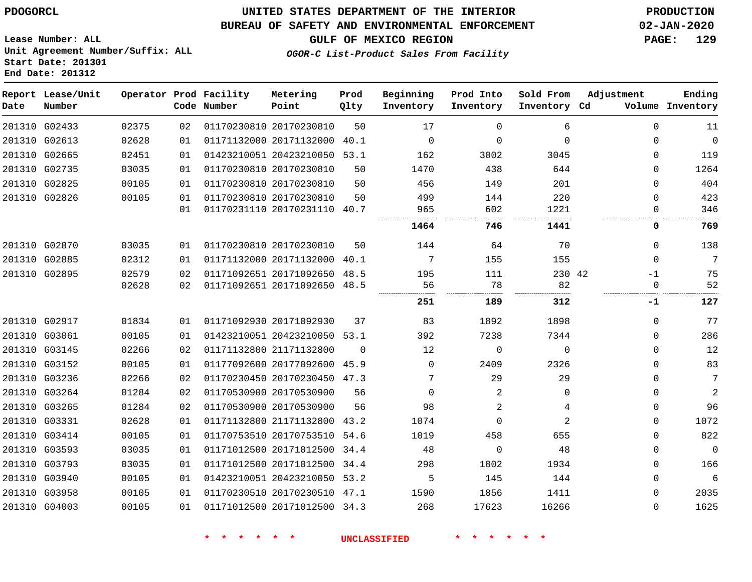### **UNITED STATES DEPARTMENT OF THE INTERIOR PDOGORCL PRODUCTION**

#### **BUREAU OF SAFETY AND ENVIRONMENTAL ENFORCEMENT 02-JAN-2020**

**Lease Number: ALL Unit Agreement Number/Suffix: ALL Start Date: 201301**

**GULF OF MEXICO REGION PAGE: 129**

**OGOR-C List-Product Sales From Facility**

| Date          | Report Lease/Unit<br>Number |       |    | Operator Prod Facility<br>Code Number | Metering<br>Point            | Prod<br>Qlty | Beginning<br>Inventory | Prod Into<br>Inventory | Sold From<br>Inventory Cd | Adjustment | Ending<br>Volume Inventory |
|---------------|-----------------------------|-------|----|---------------------------------------|------------------------------|--------------|------------------------|------------------------|---------------------------|------------|----------------------------|
|               | 201310 G02433               | 02375 | 02 |                                       | 01170230810 20170230810      | 50           | 17                     | $\Omega$               | 6                         | $\Omega$   | 11                         |
|               | 201310 G02613               | 02628 | 01 |                                       | 01171132000 20171132000 40.1 |              | 0                      | $\Omega$               | 0                         | 0          | $\mathbf 0$                |
|               | 201310 G02665               | 02451 | 01 |                                       | 01423210051 20423210050 53.1 |              | 162                    | 3002                   | 3045                      | 0          | 119                        |
|               | 201310 G02735               | 03035 | 01 |                                       | 01170230810 20170230810      | 50           | 1470                   | 438                    | 644                       | 0          | 1264                       |
|               | 201310 G02825               | 00105 | 01 |                                       | 01170230810 20170230810      | 50           | 456                    | 149                    | 201                       | 0          | 404                        |
|               | 201310 G02826               | 00105 | 01 |                                       | 01170230810 20170230810      | 50           | 499                    | 144                    | 220                       | 0          | 423                        |
|               |                             |       | 01 |                                       | 01170231110 20170231110 40.7 |              | 965                    | 602                    | 1221                      | 0          | 346                        |
|               |                             |       |    |                                       |                              |              | 1464                   | 746                    | 1441                      | 0          | 769                        |
|               | 201310 G02870               | 03035 | 01 |                                       | 01170230810 20170230810      | 50           | 144                    | 64                     | 70                        | $\Omega$   | 138                        |
|               | 201310 G02885               | 02312 | 01 |                                       | 01171132000 20171132000      | 40.1         | 7                      | 155                    | 155                       | $\Omega$   | 7                          |
| 201310 G02895 |                             | 02579 | 02 |                                       | 01171092651 20171092650 48.5 |              | 195                    | 111                    | 230 42                    | -1         | 75                         |
|               |                             | 02628 | 02 |                                       | 01171092651 20171092650 48.5 |              | 56<br>                 | 78                     | 82                        | $\Omega$   | 52                         |
|               |                             |       |    |                                       |                              |              | 251                    | 189                    | 312                       | -1         | 127                        |
|               | 201310 G02917               | 01834 | 01 |                                       | 01171092930 20171092930      | 37           | 83                     | 1892                   | 1898                      | 0          | 77                         |
| 201310 G03061 |                             | 00105 | 01 |                                       | 01423210051 20423210050 53.1 |              | 392                    | 7238                   | 7344                      | 0          | 286                        |
|               | 201310 G03145               | 02266 | 02 |                                       | 01171132800 21171132800      | $\Omega$     | 12                     | $\mathbf 0$            | 0                         | 0          | 12                         |
|               | 201310 G03152               | 00105 | 01 |                                       | 01177092600 20177092600 45.9 |              | 0                      | 2409                   | 2326                      | 0          | 83                         |
|               | 201310 G03236               | 02266 | 02 |                                       | 01170230450 20170230450 47.3 |              | 7                      | 29                     | 29                        | $\Omega$   | 7                          |
|               | 201310 G03264               | 01284 | 02 |                                       | 01170530900 20170530900      | 56           | $\Omega$               | 2                      | $\Omega$                  | 0          | $\overline{a}$             |
|               | 201310 G03265               | 01284 | 02 |                                       | 01170530900 20170530900      | 56           | 98                     | 2                      | 4                         | 0          | 96                         |
| 201310 G03331 |                             | 02628 | 01 |                                       | 01171132800 21171132800 43.2 |              | 1074                   | $\Omega$               | $\overline{2}$            | 0          | 1072                       |
|               | 201310 G03414               | 00105 | 01 |                                       | 01170753510 20170753510 54.6 |              | 1019                   | 458                    | 655                       | 0          | 822                        |
|               | 201310 G03593               | 03035 | 01 |                                       | 01171012500 20171012500 34.4 |              | 48                     | $\Omega$               | 48                        | $\Omega$   | $\mathbf 0$                |
|               | 201310 G03793               | 03035 | 01 |                                       | 01171012500 20171012500 34.4 |              | 298                    | 1802                   | 1934                      | 0          | 166                        |
|               | 201310 G03940               | 00105 | 01 |                                       | 01423210051 20423210050 53.2 |              | 5                      | 145                    | 144                       | 0          | 6                          |
|               | 201310 G03958               | 00105 | 01 |                                       | 01170230510 20170230510 47.1 |              | 1590                   | 1856                   | 1411                      | 0          | 2035                       |
|               | 201310 G04003               | 00105 | 01 |                                       | 01171012500 20171012500 34.3 |              | 268                    | 17623                  | 16266                     | 0          | 1625                       |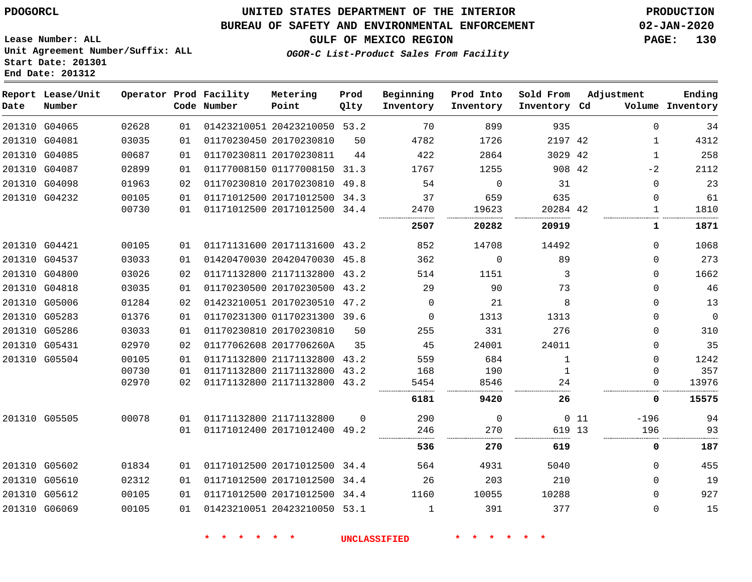### **UNITED STATES DEPARTMENT OF THE INTERIOR PDOGORCL PRODUCTION**

#### **BUREAU OF SAFETY AND ENVIRONMENTAL ENFORCEMENT 02-JAN-2020**

**Lease Number: ALL Unit Agreement Number/Suffix: ALL Start Date: 201301**

**GULF OF MEXICO REGION PAGE: 130**

**OGOR-C List-Product Sales From Facility**

| Ending<br>Volume Inventory | Adjustment   |     | Sold From<br>Inventory Cd | Prod Into<br>Inventory | Beginning<br>Inventory | Prod<br>Qlty | Metering<br>Point            | Operator Prod Facility<br>Code Number |    |       | Report Lease/Unit<br>Number | Date |
|----------------------------|--------------|-----|---------------------------|------------------------|------------------------|--------------|------------------------------|---------------------------------------|----|-------|-----------------------------|------|
| 34                         | $\Omega$     |     | 935                       | 899                    | 70                     |              | 01423210051 20423210050 53.2 |                                       | 01 | 02628 | 201310 G04065               |      |
| 4312                       | $\mathbf{1}$ |     | 2197 42                   | 1726                   | 4782                   | 50           |                              | 01170230450 20170230810               | 01 | 03035 | 201310 G04081               |      |
| 258                        | 1            |     | 3029 42                   | 2864                   | 422                    | 44           |                              | 01170230811 20170230811               | 01 | 00687 | 201310 G04085               |      |
| 2112                       | $-2$         |     | 908 42                    | 1255                   | 1767                   | 31.3         | 01177008150 01177008150      |                                       | 01 | 02899 | 201310 G04087               |      |
| 23                         | $\mathbf{0}$ |     | 31                        | $\Omega$               | 54                     |              | 01170230810 20170230810 49.8 |                                       | 02 | 01963 | 201310 G04098               |      |
| 61                         | $\Omega$     |     | 635                       | 659                    | 37                     |              | 01171012500 20171012500 34.3 |                                       | 01 | 00105 | 201310 G04232               |      |
| 1810                       | 1            |     | 20284 42                  | 19623                  | 2470                   |              | 01171012500 20171012500 34.4 |                                       | 01 | 00730 |                             |      |
| 1871                       | 1            |     | 20919                     | 20282                  | .<br>2507              |              |                              |                                       |    |       |                             |      |
| 1068                       | $\Omega$     |     | 14492                     | 14708                  | 852                    |              | 01171131600 20171131600 43.2 |                                       | 01 | 00105 | 201310 G04421               |      |
| 273                        | $\Omega$     |     | 89                        | $\mathbf 0$            | 362                    |              | 01420470030 20420470030 45.8 |                                       | 01 | 03033 | 201310 G04537               |      |
| 1662                       | $\Omega$     |     | 3                         | 1151                   | 514                    |              | 01171132800 21171132800 43.2 |                                       | 02 | 03026 | 201310 G04800               |      |
| 46                         | $\Omega$     |     | 73                        | 90                     | 29                     |              | 01170230500 20170230500 43.2 |                                       | 01 | 03035 | 201310 G04818               |      |
| 13                         | $\Omega$     |     | 8                         | 21                     | $\Omega$               | 47.2         | 01423210051 20170230510      |                                       | 02 | 01284 | 201310 G05006               |      |
| $\mathsf 0$                | $\Omega$     |     | 1313                      | 1313                   | $\Omega$               |              | 01170231300 01170231300 39.6 |                                       | 01 | 01376 | 201310 G05283               |      |
| 310                        | $\Omega$     |     | 276                       | 331                    | 255                    | 50           |                              | 01170230810 20170230810               | 01 | 03033 | 201310 G05286               |      |
| 35                         | $\Omega$     |     | 24011                     | 24001                  | 45                     | 35           |                              | 01177062608 2017706260A               | 02 | 02970 | 201310 G05431               |      |
| 1242                       | $\Omega$     |     | 1                         | 684                    | 559                    | 43.2         | 01171132800 21171132800      |                                       | 01 | 00105 | 201310 G05504               |      |
| 357                        | $\Omega$     |     | $\mathbf{1}$              | 190                    | 168                    | 43.2         | 01171132800 21171132800      |                                       | 01 | 00730 |                             |      |
| 13976                      | 0            |     | 24                        | 8546                   | 5454                   |              | 01171132800 21171132800 43.2 |                                       | 02 | 02970 |                             |      |
| 15575                      | 0            |     | 26                        | 9420                   | 6181                   |              |                              |                                       |    |       |                             |      |
| 94                         | $-196$       | 011 |                           | $\mathbf 0$            | 290                    | $\Omega$     |                              | 01171132800 21171132800               | 01 | 00078 | 201310 G05505               |      |
| 93                         | 196          |     | 619 13                    | 270                    | 246                    |              | 01171012400 20171012400 49.2 |                                       | 01 |       |                             |      |
| 187                        | 0            |     | 619                       | 270                    | 536                    |              |                              |                                       |    |       |                             |      |
| 455                        | $\Omega$     |     | 5040                      | 4931                   | 564                    | 34.4         | 01171012500 20171012500      |                                       | 01 | 01834 | 201310 G05602               |      |
| 19                         | $\Omega$     |     | 210                       | 203                    | 26                     |              | 01171012500 20171012500 34.4 |                                       | 01 | 02312 | 201310 G05610               |      |
| 927                        | $\Omega$     |     | 10288                     | 10055                  | 1160                   |              | 01171012500 20171012500 34.4 |                                       | 01 | 00105 | 201310 G05612               |      |
| 15                         | $\Omega$     |     | 377                       | 391                    | 1                      |              | 01423210051 20423210050 53.1 |                                       | 01 | 00105 | 201310 G06069               |      |
|                            |              |     |                           |                        |                        |              |                              |                                       |    |       |                             |      |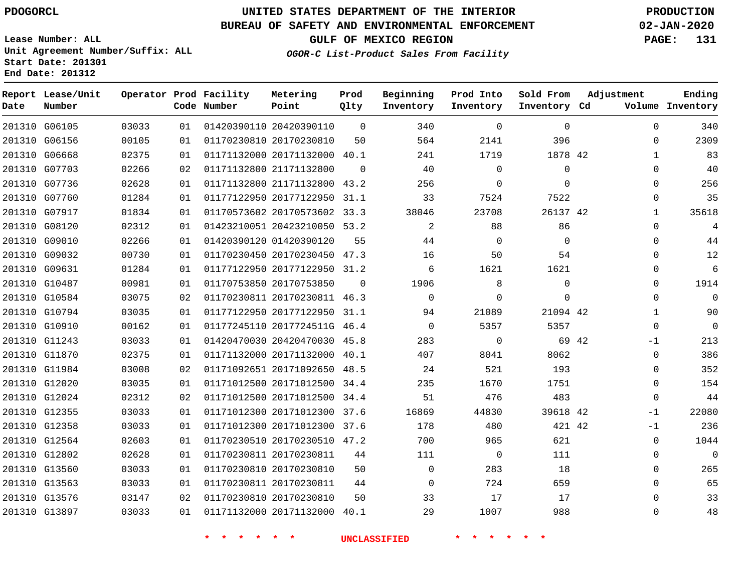#### **BUREAU OF SAFETY AND ENVIRONMENTAL ENFORCEMENT 02-JAN-2020**

**Lease Number: ALL Unit Agreement Number/Suffix: ALL Start Date: 201301**

**Operator Prod Facility**

**End Date: 201312**

**Report Lease/Unit**

**Number**

**GULF OF MEXICO REGION PAGE: 131**

**Prod**  $Q1 + V$ 

**OGOR-C List-Product Sales From Facility**

**Prod Into Inventory** **Sold From Inventory**

**Beginning**

**Adjustment**

**Ending**

| Date | Number        |       |    | Code Number                      | Point                        | Qlty     | Inventory           | Inventory        | Inventory Cd    |       |              | Volume Inventory |
|------|---------------|-------|----|----------------------------------|------------------------------|----------|---------------------|------------------|-----------------|-------|--------------|------------------|
|      | 201310 G06105 | 03033 | 01 |                                  | 01420390110 20420390110      | $\Omega$ | 340                 | $\mathbf 0$      | $\Omega$        |       | $\Omega$     | 340              |
|      | 201310 G06156 | 00105 | 01 |                                  | 01170230810 20170230810      | 50       | 564                 | 2141             | 396             |       | 0            | 2309             |
|      | 201310 G06668 | 02375 | 01 |                                  | 01171132000 20171132000 40.1 |          | 241                 | 1719             | 1878 42         |       | $\mathbf{1}$ | 83               |
|      | 201310 G07703 | 02266 | 02 |                                  | 01171132800 21171132800      | $\Omega$ | 40                  | $\Omega$         | $\mathbf 0$     |       | $\Omega$     | 40               |
|      | 201310 G07736 | 02628 | 01 |                                  | 01171132800 21171132800 43.2 |          | 256                 | $\mathsf{O}$     | $\Omega$        |       | $\mathbf 0$  | 256              |
|      | 201310 G07760 | 01284 | 01 |                                  | 01177122950 20177122950 31.1 |          | 33                  | 7524             | 7522            |       | $\Omega$     | 35               |
|      | 201310 G07917 | 01834 | 01 |                                  | 01170573602 20170573602 33.3 |          | 38046               | 23708            | 26137 42        |       | $\mathbf{1}$ | 35618            |
|      | 201310 G08120 | 02312 | 01 |                                  | 01423210051 20423210050 53.2 |          | $\overline{a}$      | 88               | 86              |       | $\Omega$     | $\overline{4}$   |
|      | 201310 G09010 | 02266 | 01 |                                  | 01420390120 01420390120      | 55       | 44                  | $\Omega$         | $\Omega$        |       | $\Omega$     | 44               |
|      | 201310 G09032 | 00730 | 01 |                                  | 01170230450 20170230450 47.3 |          | 16                  | 50               | 54              |       | 0            | 12               |
|      | 201310 G09631 | 01284 | 01 |                                  | 01177122950 20177122950 31.2 |          | 6                   | 1621             | 1621            |       | $\Omega$     | 6                |
|      | 201310 G10487 | 00981 | 01 |                                  | 01170753850 20170753850      | $\Omega$ | 1906                | 8                | $\Omega$        |       | $\Omega$     | 1914             |
|      | 201310 G10584 | 03075 | 02 |                                  | 01170230811 20170230811 46.3 |          | $\mathbf 0$         | $\mathbf 0$      | $\mathbf 0$     |       | $\mathbf 0$  | $\mathbf 0$      |
|      | 201310 G10794 | 03035 | 01 |                                  | 01177122950 20177122950 31.1 |          | 94                  | 21089            | 21094 42        |       | $\mathbf 1$  | 90               |
|      | 201310 G10910 | 00162 | 01 |                                  | 01177245110 2017724511G 46.4 |          | $\overline{0}$      | 5357             | 5357            |       | $\mathbf 0$  | $\overline{0}$   |
|      | 201310 G11243 | 03033 | 01 |                                  | 01420470030 20420470030 45.8 |          | 283                 | $\mathbf 0$      |                 | 69 42 | -1           | 213              |
|      | 201310 G11870 | 02375 | 01 |                                  | 01171132000 20171132000 40.1 |          | 407                 | 8041             | 8062            |       | $\mathbf 0$  | 386              |
|      | 201310 G11984 | 03008 | 02 |                                  | 01171092651 20171092650 48.5 |          | 24                  | 521              | 193             |       | $\Omega$     | 352              |
|      | 201310 G12020 | 03035 | 01 |                                  | 01171012500 20171012500 34.4 |          | 235                 | 1670             | 1751            |       | $\Omega$     | 154              |
|      | 201310 G12024 | 02312 | 02 |                                  | 01171012500 20171012500 34.4 |          | 51                  | 476              | 483             |       | $\mathbf 0$  | 44               |
|      | 201310 G12355 | 03033 | 01 |                                  | 01171012300 20171012300 37.6 |          | 16869               | 44830            | 39618 42        |       | $-1$         | 22080            |
|      | 201310 G12358 | 03033 | 01 |                                  | 01171012300 20171012300 37.6 |          | 178                 | 480              | 421 42          |       | $-1$         | 236              |
|      | 201310 G12564 | 02603 | 01 |                                  | 01170230510 20170230510 47.2 |          | 700                 | 965              | 621             |       | $\Omega$     | 1044             |
|      | 201310 G12802 | 02628 | 01 |                                  | 01170230811 20170230811      | 44       | 111                 | $\overline{0}$   | 111             |       | $\Omega$     | $\overline{0}$   |
|      | 201310 G13560 | 03033 | 01 |                                  | 01170230810 20170230810      | 50       | $\overline{0}$      | 283              | 18              |       | 0            | 265              |
|      | 201310 G13563 | 03033 | 01 |                                  | 01170230811 20170230811      | 44       | $\Omega$            | 724              | 659             |       | $\Omega$     | 65               |
|      | 201310 G13576 | 03147 | 02 |                                  | 01170230810 20170230810      | 50       | 33                  | 17               | 17              |       | $\Omega$     | 33               |
|      | 201310 G13897 | 03033 | 01 |                                  | 01171132000 20171132000 40.1 |          | 29                  | 1007             | 988             |       | 0            | 48               |
|      |               |       |    | $\star$ $\star$<br>$\star$<br>一大 | $\star$ $\star$              |          | <b>UNCLASSIFIED</b> | * * *<br>$\star$ | $\star$ $\star$ |       |              |                  |

**Metering Point**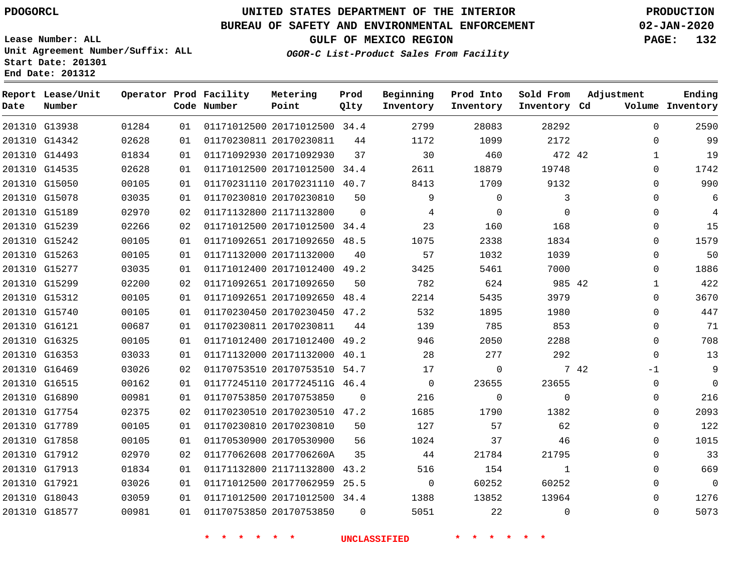#### **BUREAU OF SAFETY AND ENVIRONMENTAL ENFORCEMENT 02-JAN-2020**

**Lease Number: ALL Unit Agreement Number/Suffix: ALL Start Date: 201301 End Date: 201312**

**OGOR-C List-Product Sales From Facility**

**GULF OF MEXICO REGION PAGE: 132**

| Number        |       |    |                   | Metering<br>Point                     | Prod<br>Qlty                                                                                                                                                                                                                                                                                                                     | Beginning<br>Inventory                                                                                                                                                                                                                                                                                                                                                                                                                                                                                                       | Prod Into<br>Inventory | Sold From | Adjustment | Ending<br>Volume Inventory                                                                                                                                                                                                                                                                                                                                                                                           |
|---------------|-------|----|-------------------|---------------------------------------|----------------------------------------------------------------------------------------------------------------------------------------------------------------------------------------------------------------------------------------------------------------------------------------------------------------------------------|------------------------------------------------------------------------------------------------------------------------------------------------------------------------------------------------------------------------------------------------------------------------------------------------------------------------------------------------------------------------------------------------------------------------------------------------------------------------------------------------------------------------------|------------------------|-----------|------------|----------------------------------------------------------------------------------------------------------------------------------------------------------------------------------------------------------------------------------------------------------------------------------------------------------------------------------------------------------------------------------------------------------------------|
| 201310 G13938 | 01284 | 01 |                   |                                       |                                                                                                                                                                                                                                                                                                                                  | 2799                                                                                                                                                                                                                                                                                                                                                                                                                                                                                                                         | 28083                  | 28292     |            | 2590                                                                                                                                                                                                                                                                                                                                                                                                                 |
| 201310 G14342 | 02628 | 01 |                   |                                       | 44                                                                                                                                                                                                                                                                                                                               | 1172                                                                                                                                                                                                                                                                                                                                                                                                                                                                                                                         | 1099                   | 2172      |            | 99                                                                                                                                                                                                                                                                                                                                                                                                                   |
| 201310 G14493 | 01834 | 01 |                   |                                       | 37                                                                                                                                                                                                                                                                                                                               | 30                                                                                                                                                                                                                                                                                                                                                                                                                                                                                                                           | 460                    |           |            | 19                                                                                                                                                                                                                                                                                                                                                                                                                   |
| 201310 G14535 | 02628 | 01 |                   |                                       |                                                                                                                                                                                                                                                                                                                                  | 2611                                                                                                                                                                                                                                                                                                                                                                                                                                                                                                                         | 18879                  | 19748     |            | 1742                                                                                                                                                                                                                                                                                                                                                                                                                 |
| 201310 G15050 | 00105 | 01 |                   |                                       |                                                                                                                                                                                                                                                                                                                                  | 8413                                                                                                                                                                                                                                                                                                                                                                                                                                                                                                                         | 1709                   | 9132      |            | 990                                                                                                                                                                                                                                                                                                                                                                                                                  |
| 201310 G15078 | 03035 | 01 |                   |                                       | 50                                                                                                                                                                                                                                                                                                                               | 9                                                                                                                                                                                                                                                                                                                                                                                                                                                                                                                            | $\mathbf 0$            | 3         |            | 6                                                                                                                                                                                                                                                                                                                                                                                                                    |
| 201310 G15189 | 02970 | 02 |                   |                                       | $\Omega$                                                                                                                                                                                                                                                                                                                         | 4                                                                                                                                                                                                                                                                                                                                                                                                                                                                                                                            | 0                      | $\Omega$  |            | 4                                                                                                                                                                                                                                                                                                                                                                                                                    |
| 201310 G15239 | 02266 | 02 |                   |                                       |                                                                                                                                                                                                                                                                                                                                  | 23                                                                                                                                                                                                                                                                                                                                                                                                                                                                                                                           | 160                    | 168       |            | 15                                                                                                                                                                                                                                                                                                                                                                                                                   |
| 201310 G15242 | 00105 | 01 |                   |                                       |                                                                                                                                                                                                                                                                                                                                  | 1075                                                                                                                                                                                                                                                                                                                                                                                                                                                                                                                         | 2338                   | 1834      |            | 1579                                                                                                                                                                                                                                                                                                                                                                                                                 |
| 201310 G15263 | 00105 | 01 |                   |                                       | 40                                                                                                                                                                                                                                                                                                                               | 57                                                                                                                                                                                                                                                                                                                                                                                                                                                                                                                           | 1032                   | 1039      |            | 50                                                                                                                                                                                                                                                                                                                                                                                                                   |
| 201310 G15277 | 03035 | 01 |                   |                                       |                                                                                                                                                                                                                                                                                                                                  | 3425                                                                                                                                                                                                                                                                                                                                                                                                                                                                                                                         | 5461                   | 7000      |            | 1886                                                                                                                                                                                                                                                                                                                                                                                                                 |
| 201310 G15299 | 02200 | 02 |                   |                                       | 50                                                                                                                                                                                                                                                                                                                               | 782                                                                                                                                                                                                                                                                                                                                                                                                                                                                                                                          | 624                    |           |            | 422                                                                                                                                                                                                                                                                                                                                                                                                                  |
| 201310 G15312 | 00105 | 01 |                   |                                       |                                                                                                                                                                                                                                                                                                                                  | 2214                                                                                                                                                                                                                                                                                                                                                                                                                                                                                                                         | 5435                   | 3979      |            | 3670                                                                                                                                                                                                                                                                                                                                                                                                                 |
| 201310 G15740 | 00105 | 01 |                   |                                       |                                                                                                                                                                                                                                                                                                                                  | 532                                                                                                                                                                                                                                                                                                                                                                                                                                                                                                                          | 1895                   | 1980      |            | 447                                                                                                                                                                                                                                                                                                                                                                                                                  |
| 201310 G16121 | 00687 | 01 |                   |                                       | 44                                                                                                                                                                                                                                                                                                                               | 139                                                                                                                                                                                                                                                                                                                                                                                                                                                                                                                          | 785                    | 853       |            | 71                                                                                                                                                                                                                                                                                                                                                                                                                   |
| 201310 G16325 | 00105 | 01 |                   |                                       |                                                                                                                                                                                                                                                                                                                                  | 946                                                                                                                                                                                                                                                                                                                                                                                                                                                                                                                          | 2050                   | 2288      |            | 708                                                                                                                                                                                                                                                                                                                                                                                                                  |
| 201310 G16353 | 03033 | 01 |                   |                                       |                                                                                                                                                                                                                                                                                                                                  | 28                                                                                                                                                                                                                                                                                                                                                                                                                                                                                                                           | 277                    | 292       |            | 13                                                                                                                                                                                                                                                                                                                                                                                                                   |
| 201310 G16469 | 03026 | 02 |                   |                                       |                                                                                                                                                                                                                                                                                                                                  | 17                                                                                                                                                                                                                                                                                                                                                                                                                                                                                                                           | 0                      |           |            | 9                                                                                                                                                                                                                                                                                                                                                                                                                    |
| 201310 G16515 | 00162 | 01 |                   |                                       |                                                                                                                                                                                                                                                                                                                                  | $\mathbf 0$                                                                                                                                                                                                                                                                                                                                                                                                                                                                                                                  | 23655                  | 23655     |            | $\overline{0}$                                                                                                                                                                                                                                                                                                                                                                                                       |
| 201310 G16890 | 00981 | 01 |                   |                                       | $\Omega$                                                                                                                                                                                                                                                                                                                         | 216                                                                                                                                                                                                                                                                                                                                                                                                                                                                                                                          | $\mathbf 0$            | $\Omega$  |            | 216                                                                                                                                                                                                                                                                                                                                                                                                                  |
| 201310 G17754 | 02375 | 02 |                   |                                       |                                                                                                                                                                                                                                                                                                                                  | 1685                                                                                                                                                                                                                                                                                                                                                                                                                                                                                                                         | 1790                   | 1382      |            | 2093                                                                                                                                                                                                                                                                                                                                                                                                                 |
| 201310 G17789 | 00105 | 01 |                   |                                       | 50                                                                                                                                                                                                                                                                                                                               | 127                                                                                                                                                                                                                                                                                                                                                                                                                                                                                                                          | 57                     | 62        |            | 122                                                                                                                                                                                                                                                                                                                                                                                                                  |
| 201310 G17858 | 00105 | 01 |                   |                                       | 56                                                                                                                                                                                                                                                                                                                               | 1024                                                                                                                                                                                                                                                                                                                                                                                                                                                                                                                         | 37                     | 46        |            | 1015                                                                                                                                                                                                                                                                                                                                                                                                                 |
| 201310 G17912 | 02970 | 02 |                   |                                       | 35                                                                                                                                                                                                                                                                                                                               | 44                                                                                                                                                                                                                                                                                                                                                                                                                                                                                                                           | 21784                  | 21795     |            | 33                                                                                                                                                                                                                                                                                                                                                                                                                   |
| 201310 G17913 | 01834 | 01 |                   |                                       |                                                                                                                                                                                                                                                                                                                                  | 516                                                                                                                                                                                                                                                                                                                                                                                                                                                                                                                          | 154                    | 1         |            | 669                                                                                                                                                                                                                                                                                                                                                                                                                  |
| 201310 G17921 | 03026 | 01 |                   |                                       |                                                                                                                                                                                                                                                                                                                                  | $\mathbf 0$                                                                                                                                                                                                                                                                                                                                                                                                                                                                                                                  | 60252                  | 60252     |            | $\mathbf 0$                                                                                                                                                                                                                                                                                                                                                                                                          |
| 201310 G18043 | 03059 | 01 |                   |                                       |                                                                                                                                                                                                                                                                                                                                  | 1388                                                                                                                                                                                                                                                                                                                                                                                                                                                                                                                         | 13852                  | 13964     |            | 1276                                                                                                                                                                                                                                                                                                                                                                                                                 |
| 201310 G18577 | 00981 | 01 |                   |                                       | $\Omega$                                                                                                                                                                                                                                                                                                                         | 5051                                                                                                                                                                                                                                                                                                                                                                                                                                                                                                                         | 22                     | $\Omega$  |            | 5073                                                                                                                                                                                                                                                                                                                                                                                                                 |
|               |       |    | Report Lease/Unit | Operator Prod Facility<br>Code Number | 01170230811 20170230811<br>01171092930 20171092930<br>01170230810 20170230810<br>01171132800 21171132800<br>01171132000 20171132000<br>01171092651 20171092650<br>01170230811 20170230811<br>01170753850 20170753850<br>01170230810 20170230810<br>01170530900 20170530900<br>01177062608 2017706260A<br>01170753850 20170753850 | 01171012500 20171012500 34.4<br>01171012500 20171012500 34.4<br>01170231110 20170231110 40.7<br>01171012500 20171012500 34.4<br>01171092651 20171092650 48.5<br>01171012400 20171012400 49.2<br>01171092651 20171092650 48.4<br>01170230450 20170230450 47.2<br>01171012400 20171012400 49.2<br>01171132000 20171132000 40.1<br>01170753510 20170753510 54.7<br>01177245110 2017724511G 46.4<br>01170230510 20170230510 47.2<br>01171132800 21171132800 43.2<br>01171012500 20177062959 25.5<br>01171012500 20171012500 34.4 |                        |           |            | Inventory Cd<br>$\Omega$<br>$\Omega$<br>472 42<br>$\mathbf{1}$<br>$\mathbf 0$<br>$\Omega$<br>$\mathbf 0$<br>$\mathbf 0$<br>$\mathbf 0$<br>$\mathbf 0$<br>0<br>0<br>985 42<br>$\mathbf{1}$<br>$\Omega$<br>$\mathbf 0$<br>$\mathbf 0$<br>$\mathbf 0$<br>$\Omega$<br>7 42<br>$-1$<br>$\mathbf 0$<br>$\mathbf 0$<br>0<br>$\mathbf 0$<br>$\mathbf 0$<br>$\mathbf 0$<br>$\mathbf 0$<br>$\Omega$<br>$\mathbf 0$<br>$\Omega$ |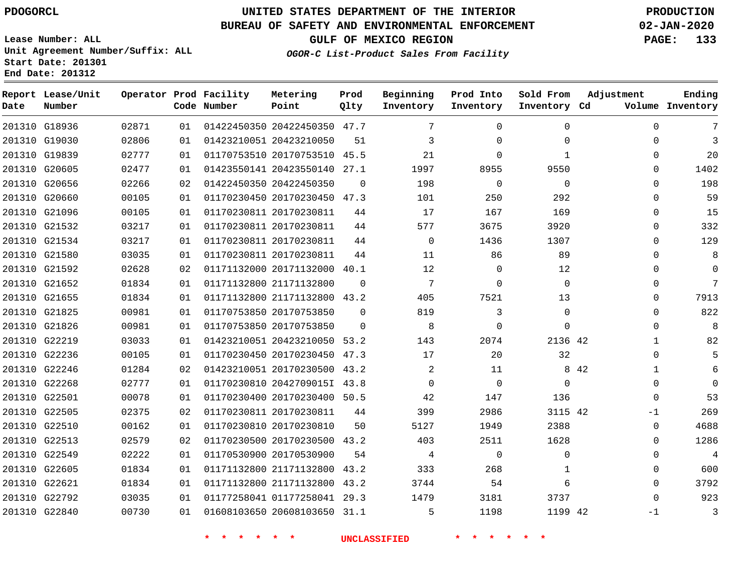#### **BUREAU OF SAFETY AND ENVIRONMENTAL ENFORCEMENT 02-JAN-2020**

**Lease Number: ALL Unit Agreement Number/Suffix: ALL Start Date: 201301 End Date: 201312**

**OGOR-C List-Product Sales From Facility**

**GULF OF MEXICO REGION PAGE: 133**

| Date          | Report Lease/Unit<br>Number |       |    | Operator Prod Facility<br>Code Number | Metering<br>Point            | Prod<br>Qlty | Beginning<br>Inventory | Prod Into<br>Inventory | Sold From<br>Inventory Cd | Adjustment            | Ending<br>Volume Inventory |
|---------------|-----------------------------|-------|----|---------------------------------------|------------------------------|--------------|------------------------|------------------------|---------------------------|-----------------------|----------------------------|
| 201310 G18936 |                             | 02871 | 01 |                                       | 01422450350 20422450350 47.7 |              | 7                      | $\Omega$               | $\Omega$                  | $\Omega$              | 7                          |
| 201310 G19030 |                             | 02806 | 01 | 01423210051 20423210050               |                              | 51           | 3                      | $\Omega$               | 0                         | 0                     | 3                          |
| 201310 G19839 |                             | 02777 | 01 |                                       | 01170753510 20170753510 45.5 |              | 21                     | $\Omega$               | $\mathbf{1}$              | $\Omega$              | 20                         |
| 201310 G20605 |                             | 02477 | 01 |                                       | 01423550141 20423550140 27.1 |              | 1997                   | 8955                   | 9550                      | $\Omega$              | 1402                       |
| 201310 G20656 |                             | 02266 | 02 |                                       | 01422450350 20422450350      | $\mathbf 0$  | 198                    | $\mathbf 0$            | $\mathbf 0$               | $\Omega$              | 198                        |
| 201310 G20660 |                             | 00105 | 01 |                                       | 01170230450 20170230450 47.3 |              | 101                    | 250                    | 292                       | $\Omega$              | 59                         |
| 201310 G21096 |                             | 00105 | 01 |                                       | 01170230811 20170230811      | 44           | 17                     | 167                    | 169                       | $\Omega$              | 15                         |
|               | 201310 G21532               | 03217 | 01 |                                       | 01170230811 20170230811      | 44           | 577                    | 3675                   | 3920                      | $\mathbf 0$           | 332                        |
| 201310 G21534 |                             | 03217 | 01 |                                       | 01170230811 20170230811      | 44           | $\mathbf 0$            | 1436                   | 1307                      | $\Omega$              | 129                        |
| 201310 G21580 |                             | 03035 | 01 |                                       | 01170230811 20170230811      | 44           | 11                     | 86                     | 89                        | $\Omega$              | 8                          |
| 201310 G21592 |                             | 02628 | 02 |                                       | 01171132000 20171132000 40.1 |              | 12                     | $\mathbf 0$            | 12                        | $\mathbf 0$           | $\Omega$                   |
| 201310 G21652 |                             | 01834 | 01 |                                       | 01171132800 21171132800      | $\Omega$     | $7\phantom{.0}$        | $\Omega$               | $\Omega$                  | $\mathbf 0$           | 7                          |
| 201310 G21655 |                             | 01834 | 01 |                                       | 01171132800 21171132800 43.2 |              | 405                    | 7521                   | 13                        | $\Omega$              | 7913                       |
| 201310 G21825 |                             | 00981 | 01 |                                       | 01170753850 20170753850      | $\Omega$     | 819                    | 3                      | $\Omega$                  | $\mathbf 0$           | 822                        |
| 201310 G21826 |                             | 00981 | 01 |                                       | 01170753850 20170753850      | $\Omega$     | 8                      | $\Omega$               | $\Omega$                  | $\mathbf 0$           | 8                          |
| 201310 G22219 |                             | 03033 | 01 |                                       | 01423210051 20423210050      | 53.2         | 143                    | 2074                   | 2136 42                   | $\mathbf{1}$          | 82                         |
| 201310 G22236 |                             | 00105 | 01 |                                       | 01170230450 20170230450 47.3 |              | 17                     | 20                     | 32                        | 0                     | 5                          |
| 201310 G22246 |                             | 01284 | 02 |                                       | 01423210051 20170230500 43.2 |              | 2                      | 11                     |                           | 8 4 2<br>$\mathbf{1}$ | 6                          |
| 201310 G22268 |                             | 02777 | 01 |                                       | 01170230810 2042709015I 43.8 |              | $\Omega$               | $\Omega$               | $\Omega$                  | $\Omega$              | $\Omega$                   |
| 201310 G22501 |                             | 00078 | 01 |                                       | 01170230400 20170230400 50.5 |              | 42                     | 147                    | 136                       | $\mathbf 0$           | 53                         |
| 201310 G22505 |                             | 02375 | 02 |                                       | 01170230811 20170230811      | 44           | 399                    | 2986                   | 3115 42                   | $-1$                  | 269                        |
| 201310 G22510 |                             | 00162 | 01 |                                       | 01170230810 20170230810      | 50           | 5127                   | 1949                   | 2388                      | $\mathbf 0$           | 4688                       |
| 201310 G22513 |                             | 02579 | 02 |                                       | 01170230500 20170230500 43.2 |              | 403                    | 2511                   | 1628                      | 0                     | 1286                       |
| 201310 G22549 |                             | 02222 | 01 |                                       | 01170530900 20170530900      | 54           | 4                      | $\mathbf 0$            | $\Omega$                  | $\mathbf 0$           | $\overline{4}$             |
| 201310 G22605 |                             | 01834 | 01 |                                       | 01171132800 21171132800      | 43.2         | 333                    | 268                    | 1                         | 0                     | 600                        |
| 201310 G22621 |                             | 01834 | 01 |                                       | 01171132800 21171132800 43.2 |              | 3744                   | 54                     | 6                         | $\mathbf 0$           | 3792                       |
| 201310 G22792 |                             | 03035 | 01 |                                       | 01177258041 01177258041 29.3 |              | 1479                   | 3181                   | 3737                      | $\Omega$              | 923                        |
| 201310 G22840 |                             | 00730 | 01 |                                       | 01608103650 20608103650 31.1 |              | 5                      | 1198                   | 1199 42                   | $-1$                  | 3                          |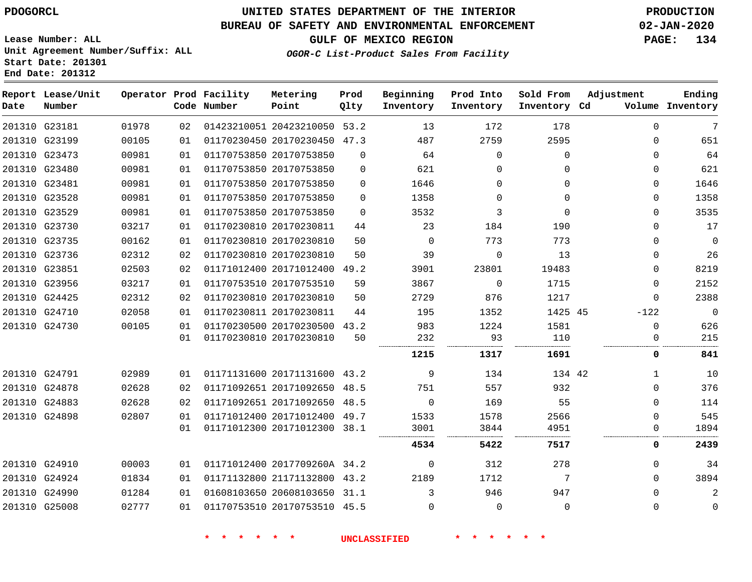## **UNITED STATES DEPARTMENT OF THE INTERIOR PDOGORCL PRODUCTION**

### **BUREAU OF SAFETY AND ENVIRONMENTAL ENFORCEMENT 02-JAN-2020**

**Lease Number: ALL Unit Agreement Number/Suffix: ALL Start Date: 201301**

**GULF OF MEXICO REGION PAGE: 134**

**OGOR-C List-Product Sales From Facility**

| Date | Report Lease/Unit<br>Number |       |    | Operator Prod Facility<br>Code Number | Metering<br>Point            | Prod<br>Qlty | Beginning<br>Inventory | Prod Into<br>Inventory | Sold From<br>Inventory Cd | Adjustment  | Ending<br>Volume Inventory |
|------|-----------------------------|-------|----|---------------------------------------|------------------------------|--------------|------------------------|------------------------|---------------------------|-------------|----------------------------|
|      | 201310 G23181               | 01978 | 02 |                                       | 01423210051 20423210050 53.2 |              | 13                     | 172                    | 178                       | 0           | 7                          |
|      | 201310 G23199               | 00105 | 01 |                                       | 01170230450 20170230450 47.3 |              | 487                    | 2759                   | 2595                      | 0           | 651                        |
|      | 201310 G23473               | 00981 | 01 |                                       | 01170753850 20170753850      | $\Omega$     | 64                     | $\Omega$               | $\Omega$                  | $\Omega$    | 64                         |
|      | 201310 G23480               | 00981 | 01 |                                       | 01170753850 20170753850      | $\Omega$     | 621                    | $\Omega$               | $\Omega$                  | $\Omega$    | 621                        |
|      | 201310 G23481               | 00981 | 01 |                                       | 01170753850 20170753850      | $\Omega$     | 1646                   | $\Omega$               | $\Omega$                  | $\Omega$    | 1646                       |
|      | 201310 G23528               | 00981 | 01 |                                       | 01170753850 20170753850      | $\Omega$     | 1358                   | $\Omega$               | $\Omega$                  | $\Omega$    | 1358                       |
|      | 201310 G23529               | 00981 | 01 |                                       | 01170753850 20170753850      | $\Omega$     | 3532                   | 3                      | $\Omega$                  | $\Omega$    | 3535                       |
|      | 201310 G23730               | 03217 | 01 |                                       | 01170230810 20170230811      | 44           | 23                     | 184                    | 190                       | $\Omega$    | 17                         |
|      | 201310 G23735               | 00162 | 01 |                                       | 01170230810 20170230810      | 50           | $\Omega$               | 773                    | 773                       | 0           | $\mathbf 0$                |
|      | 201310 G23736               | 02312 | 02 |                                       | 01170230810 20170230810      | 50           | 39                     | $\mathbf 0$            | 13                        | 0           | 26                         |
|      | 201310 G23851               | 02503 | 02 |                                       | 01171012400 20171012400 49.2 |              | 3901                   | 23801                  | 19483                     | 0           | 8219                       |
|      | 201310 G23956               | 03217 | 01 |                                       | 01170753510 20170753510      | 59           | 3867                   | $\mathbf 0$            | 1715                      | 0           | 2152                       |
|      | 201310 G24425               | 02312 | 02 |                                       | 01170230810 20170230810      | 50           | 2729                   | 876                    | 1217                      | $\Omega$    | 2388                       |
|      | 201310 G24710               | 02058 | 01 |                                       | 01170230811 20170230811      | 44           | 195                    | 1352                   | 1425 45                   | $-122$      | $\Omega$                   |
|      | 201310 G24730               | 00105 | 01 |                                       | 01170230500 20170230500 43.2 |              | 983                    | 1224                   | 1581                      | $\Omega$    | 626                        |
|      |                             |       | 01 |                                       | 01170230810 20170230810      | 50           | 232                    | 93                     | 110                       | 0           | 215                        |
|      |                             |       |    |                                       |                              |              | 1215                   | 1317                   | 1691                      | 0           | 841                        |
|      | 201310 G24791               | 02989 | 01 |                                       | 01171131600 20171131600 43.2 |              | 9                      | 134                    | 134 42                    | $\mathbf 1$ | 10                         |
|      | 201310 G24878               | 02628 | 02 |                                       | 01171092651 20171092650 48.5 |              | 751                    | 557                    | 932                       | 0           | 376                        |
|      | 201310 G24883               | 02628 | 02 |                                       | 01171092651 20171092650 48.5 |              | $\Omega$               | 169                    | 55                        | $\Omega$    | 114                        |
|      | 201310 G24898               | 02807 | 01 |                                       | 01171012400 20171012400 49.7 |              | 1533                   | 1578                   | 2566                      | $\Omega$    | 545                        |
|      |                             |       | 01 |                                       | 01171012300 20171012300 38.1 |              | 3001                   | 3844                   | 4951                      | 0           | 1894                       |
|      |                             |       |    |                                       |                              |              | 4534                   | 5422                   | 7517                      | 0           | 2439                       |
|      | 201310 G24910               | 00003 | 01 |                                       | 01171012400 2017709260A 34.2 |              | $\mathbf 0$            | 312                    | 278                       | $\Omega$    | 34                         |
|      | 201310 G24924               | 01834 | 01 |                                       | 01171132800 21171132800 43.2 |              | 2189                   | 1712                   | 7                         | $\Omega$    | 3894                       |
|      | 201310 G24990               | 01284 | 01 |                                       | 01608103650 20608103650 31.1 |              | 3                      | 946                    | 947                       | $\Omega$    | $\overline{2}$             |
|      | 201310 G25008               | 02777 | 01 |                                       | 01170753510 20170753510 45.5 |              | $\Omega$               | $\Omega$               | $\Omega$                  | $\mathbf 0$ | $\mathbf{0}$               |
|      |                             |       |    |                                       |                              |              |                        |                        |                           |             |                            |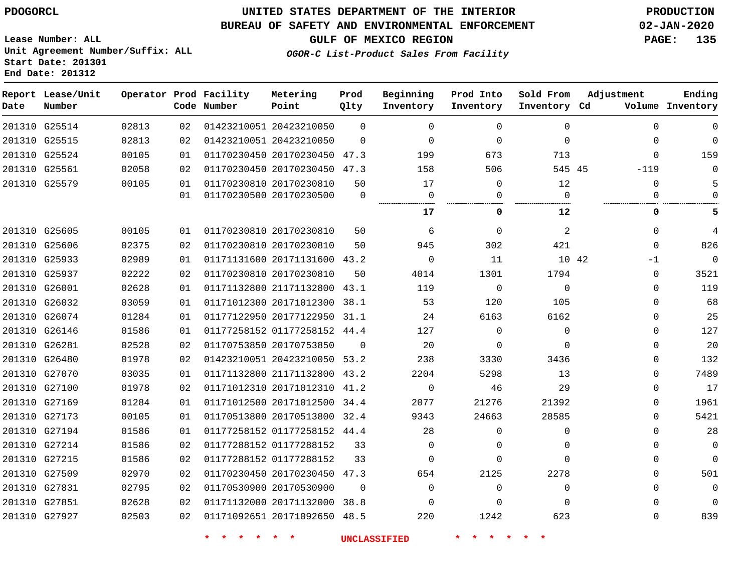### **UNITED STATES DEPARTMENT OF THE INTERIOR PDOGORCL PRODUCTION**

#### **BUREAU OF SAFETY AND ENVIRONMENTAL ENFORCEMENT 02-JAN-2020**

**Lease Number: ALL Unit Agreement Number/Suffix: ALL Start Date: 201301**

**GULF OF MEXICO REGION PAGE: 135**

**OGOR-C List-Product Sales From Facility**

| Date | Report Lease/Unit<br>Number |       |                 | Operator Prod Facility<br>Code Number | Metering<br>Point            | Prod<br>Qlty | Beginning<br>Inventory | Prod Into<br>Inventory | Sold From<br>Inventory Cd | Adjustment  | Ending<br>Volume Inventory |
|------|-----------------------------|-------|-----------------|---------------------------------------|------------------------------|--------------|------------------------|------------------------|---------------------------|-------------|----------------------------|
|      | 201310 G25514               | 02813 | 02              |                                       | 01423210051 20423210050      | $\Omega$     | $\Omega$               | $\Omega$               | $\Omega$                  | $\Omega$    | $\mathbf 0$                |
|      | 201310 G25515               | 02813 | 02              |                                       | 01423210051 20423210050      | $\Omega$     | $\mathbf 0$            | 0                      | $\Omega$                  | 0           | $\mathbf 0$                |
|      | 201310 G25524               | 00105 | 01              |                                       | 01170230450 20170230450 47.3 |              | 199                    | 673                    | 713                       | $\Omega$    | 159                        |
|      | 201310 G25561               | 02058 | 02              |                                       | 01170230450 20170230450 47.3 |              | 158                    | 506                    | 545 45                    | $-119$      | $\Omega$                   |
|      | 201310 G25579               | 00105 | 01              |                                       | 01170230810 20170230810      | 50           | 17                     | 0                      | 12                        | 0           | 5                          |
|      |                             |       | 01              |                                       | 01170230500 20170230500      | $\Omega$     | 0                      | $\Omega$               | $\Omega$<br>.             | $\Omega$    | $\Omega$                   |
|      |                             |       |                 |                                       |                              |              | 17                     | 0                      | 12                        | 0           | 5                          |
|      | 201310 G25605               | 00105 | 01              |                                       | 01170230810 20170230810      | 50           | 6                      | $\Omega$               | 2                         | $\Omega$    | 4                          |
|      | 201310 G25606               | 02375 | 02 <sub>2</sub> |                                       | 01170230810 20170230810      | 50           | 945                    | 302                    | 421                       | $\Omega$    | 826                        |
|      | 201310 G25933               | 02989 | 01              |                                       | 01171131600 20171131600 43.2 |              | $\mathbf 0$            | 11                     | 10 42                     | $-1$        | $\Omega$                   |
|      | 201310 G25937               | 02222 | 02              |                                       | 01170230810 20170230810      | 50           | 4014                   | 1301                   | 1794                      | 0           | 3521                       |
|      | 201310 G26001               | 02628 | 01              |                                       | 01171132800 21171132800 43.1 |              | 119                    | 0                      | $\mathbf 0$               | 0           | 119                        |
|      | 201310 G26032               | 03059 | 01              |                                       | 01171012300 20171012300 38.1 |              | 53                     | 120                    | 105                       | $\Omega$    | 68                         |
|      | 201310 G26074               | 01284 | 01              |                                       | 01177122950 20177122950 31.1 |              | 24                     | 6163                   | 6162                      | 0           | 25                         |
|      | 201310 G26146               | 01586 | 01              |                                       | 01177258152 01177258152 44.4 |              | 127                    | $\Omega$               | $\Omega$                  | 0           | 127                        |
|      | 201310 G26281               | 02528 | 02              |                                       | 01170753850 20170753850      | 0            | 20                     | 0                      | $\mathbf 0$               | 0           | 20                         |
|      | 201310 G26480               | 01978 | 02              |                                       | 01423210051 20423210050 53.2 |              | 238                    | 3330                   | 3436                      | 0           | 132                        |
|      | 201310 G27070               | 03035 | 01              |                                       | 01171132800 21171132800 43.2 |              | 2204                   | 5298                   | 13                        | $\Omega$    | 7489                       |
|      | 201310 G27100               | 01978 | 02 <sub>2</sub> |                                       | 01171012310 20171012310 41.2 |              | $\mathbf 0$            | 46                     | 29                        | $\mathbf 0$ | 17                         |
|      | 201310 G27169               | 01284 | 01              |                                       | 01171012500 20171012500 34.4 |              | 2077                   | 21276                  | 21392                     | 0           | 1961                       |
|      | 201310 G27173               | 00105 | 01              |                                       | 01170513800 20170513800 32.4 |              | 9343                   | 24663                  | 28585                     | 0           | 5421                       |
|      | 201310 G27194               | 01586 | 01              |                                       | 01177258152 01177258152 44.4 |              | 28                     | $\Omega$               | $\Omega$                  | $\Omega$    | 28                         |
|      | 201310 G27214               | 01586 | 02              |                                       | 01177288152 01177288152      | 33           | 0                      | 0                      | $\Omega$                  | 0           | $\mathbf 0$                |
|      | 201310 G27215               | 01586 | 02              |                                       | 01177288152 01177288152      | 33           | $\Omega$               | $\Omega$               | $\Omega$                  | 0           | $\mathbf 0$                |
|      | 201310 G27509               | 02970 | 02              |                                       | 01170230450 20170230450 47.3 |              | 654                    | 2125                   | 2278                      | 0           | 501                        |
|      | 201310 G27831               | 02795 | 02              |                                       | 01170530900 20170530900      | $\mathbf 0$  | 0                      | 0                      | $\Omega$                  | 0           | $\mathbf 0$                |
|      | 201310 G27851               | 02628 | 02              |                                       | 01171132000 20171132000 38.8 |              | $\Omega$               | $\Omega$               | $\Omega$                  | $\Omega$    | $\mathbf 0$                |
|      | 201310 G27927               | 02503 | 02 <sub>2</sub> |                                       | 01171092651 20171092650 48.5 |              | 220                    | 1242                   | 623                       | $\Omega$    | 839                        |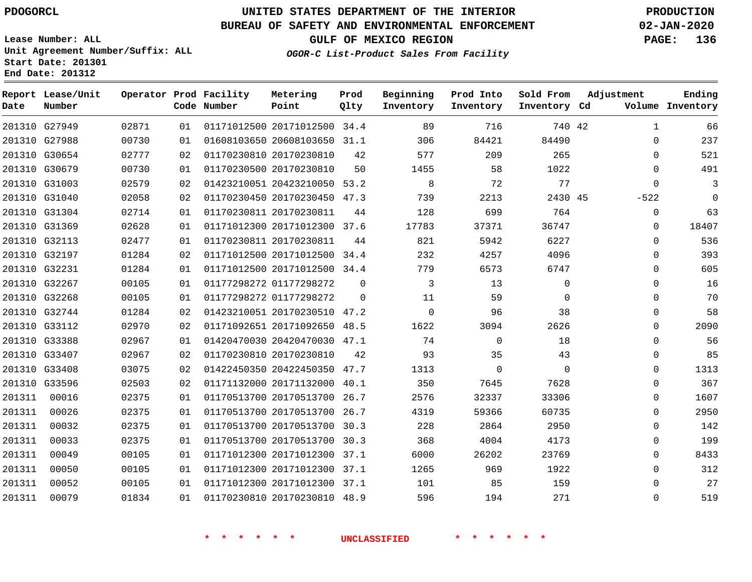**Report Lease/Unit**

**Number**

# **UNITED STATES DEPARTMENT OF THE INTERIOR PDOGORCL PRODUCTION**

**Prod Qlty**

#### **BUREAU OF SAFETY AND ENVIRONMENTAL ENFORCEMENT 02-JAN-2020**

**Lease Number: ALL Unit Agreement Number/Suffix: ALL Start Date: 201301 End Date: 201312**

**Operator Prod Facility**

**Code Number**

**Metering Point**

**OGOR-C List-Product Sales From Facility**

**Beginning Inventory** **Prod Into Inventory** **Sold From Inventory**

**GULF OF MEXICO REGION PAGE: 136**

**Inventory Cd Volume**

**Adjustment**

**Ending**

|        | 201310 G27949 | 02871 | 01 | 01171012500 20171012500 34.4 |              | 89                  | 716         | 740 42      | 1              |
|--------|---------------|-------|----|------------------------------|--------------|---------------------|-------------|-------------|----------------|
|        | 201310 G27988 | 00730 | 01 | 01608103650 20608103650 31.1 |              | 306                 | 84421       | 84490       | $\mathbf 0$    |
|        | 201310 G30654 | 02777 | 02 | 01170230810 20170230810      | 42           | 577                 | 209         | 265         | $\overline{0}$ |
|        | 201310 G30679 | 00730 | 01 | 01170230500 20170230810      | 50           | 1455                | 58          | 1022        | $\overline{0}$ |
|        | 201310 G31003 | 02579 | 02 | 01423210051 20423210050 53.2 |              | 8                   | 72          | 77          | $\mathbf 0$    |
|        | 201310 G31040 | 02058 | 02 | 01170230450 20170230450 47.3 |              | 739                 | 2213        | 2430 45     | $-522$         |
|        | 201310 G31304 | 02714 | 01 | 01170230811 20170230811      | 44           | 128                 | 699         | 764         | $\mathbf 0$    |
|        | 201310 G31369 | 02628 | 01 | 01171012300 20171012300 37.6 |              | 17783               | 37371       | 36747       | $\mathbf 0$    |
|        | 201310 G32113 | 02477 | 01 | 01170230811 20170230811      | 44           | 821                 | 5942        | 6227        | $\mathbf 0$    |
|        | 201310 G32197 | 01284 | 02 | 01171012500 20171012500 34.4 |              | 232                 | 4257        | 4096        | $\mathbb O$    |
|        | 201310 G32231 | 01284 | 01 | 01171012500 20171012500 34.4 |              | 779                 | 6573        | 6747        | $\mathbf 0$    |
|        | 201310 G32267 | 00105 | 01 | 01177298272 01177298272      | $\mathbf 0$  | $\overline{3}$      | 13          | $\mathbf 0$ | $\mathsf 0$    |
|        | 201310 G32268 | 00105 | 01 | 01177298272 01177298272      | $\mathbf{0}$ | 11                  | 59          | $\mathbf 0$ | $\mathbf 0$    |
|        | 201310 G32744 | 01284 | 02 | 01423210051 20170230510 47.2 |              | $\overline{0}$      | 96          | 38          | $\mathbf 0$    |
|        | 201310 G33112 | 02970 | 02 | 01171092651 20171092650 48.5 |              | 1622                | 3094        | 2626        | $\mathbf 0$    |
|        | 201310 G33388 | 02967 | 01 | 01420470030 20420470030 47.1 |              | 74                  | $\mathbf 0$ | 18          | $\mathbf 0$    |
|        | 201310 G33407 | 02967 | 02 | 01170230810 20170230810      | 42           | 93                  | 35          | 43          | $\mathbf 0$    |
|        | 201310 G33408 | 03075 | 02 | 01422450350 20422450350 47.7 |              | 1313                | $\mathbf 0$ | $\mathbf 0$ | $\mathbf 0$    |
|        | 201310 G33596 | 02503 | 02 | 01171132000 20171132000 40.1 |              | 350                 | 7645        | 7628        | $\mathbf 0$    |
| 201311 | 00016         | 02375 | 01 | 01170513700 20170513700 26.7 |              | 2576                | 32337       | 33306       | $\overline{0}$ |
| 201311 | 00026         | 02375 | 01 | 01170513700 20170513700 26.7 |              | 4319                | 59366       | 60735       | $\overline{0}$ |
| 201311 | 00032         | 02375 | 01 | 01170513700 20170513700 30.3 |              | 228                 | 2864        | 2950        | $\overline{0}$ |
| 201311 | 00033         | 02375 | 01 | 01170513700 20170513700 30.3 |              | 368                 | 4004        | 4173        | $\mathbf 0$    |
| 201311 | 00049         | 00105 | 01 | 01171012300 20171012300 37.1 |              | 6000                | 26202       | 23769       | $\mathbf 0$    |
| 201311 | 00050         | 00105 | 01 | 01171012300 20171012300 37.1 |              | 1265                | 969         | 1922        | $\mathbf 0$    |
| 201311 | 00052         | 00105 | 01 | 01171012300 20171012300 37.1 |              | 101                 | 85          | 159         | $\Omega$       |
| 201311 | 00079         | 01834 | 01 | 01170230810 20170230810 48.9 |              | 596                 | 194         | 271         | $\mathsf 0$    |
|        |               |       |    |                              |              |                     |             |             |                |
|        |               |       |    |                              |              | <b>UNCLASSIFIED</b> |             |             |                |
|        |               |       |    |                              |              |                     |             |             |                |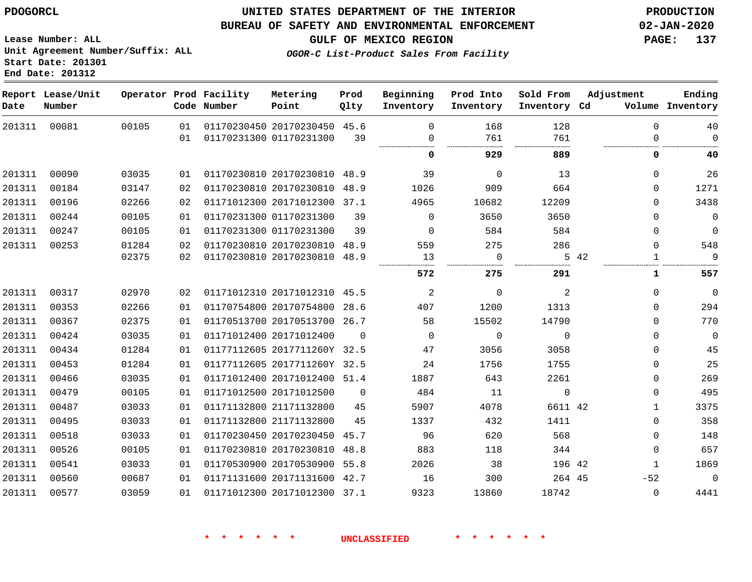#### **BUREAU OF SAFETY AND ENVIRONMENTAL ENFORCEMENT 02-JAN-2020**

**Lease Number: ALL Unit Agreement Number/Suffix: ALL Start Date: 201301 End Date: 201312**

**GULF OF MEXICO REGION PAGE: 137**

**OGOR-C List-Product Sales From Facility**

| Date   | Report Lease/Unit<br>Number |       |    | Operator Prod Facility<br>Code Number | Metering<br>Point            | Prod<br>Qlty | Beginning<br>Inventory | Prod Into<br>Inventory | Sold From<br>Inventory Cd | Adjustment   | Ending<br>Volume Inventory |
|--------|-----------------------------|-------|----|---------------------------------------|------------------------------|--------------|------------------------|------------------------|---------------------------|--------------|----------------------------|
| 201311 | 00081                       | 00105 | 01 |                                       | 01170230450 20170230450 45.6 |              | $\Omega$               | 168                    | 128                       | $\mathbf 0$  | 40                         |
|        |                             |       | 01 |                                       | 01170231300 01170231300      | 39           | $\Omega$               | 761                    | 761                       | 0            | $\mathbf 0$                |
|        |                             |       |    |                                       |                              |              | 0                      | 929                    | 889                       | 0            | 40                         |
| 201311 | 00090                       | 03035 | 01 |                                       | 01170230810 20170230810 48.9 |              | 39                     | $\Omega$               | 13                        | 0            | 26                         |
| 201311 | 00184                       | 03147 | 02 |                                       | 01170230810 20170230810      | 48.9         | 1026                   | 909                    | 664                       | 0            | 1271                       |
| 201311 | 00196                       | 02266 | 02 |                                       | 01171012300 20171012300 37.1 |              | 4965                   | 10682                  | 12209                     | $\mathbf 0$  | 3438                       |
| 201311 | 00244                       | 00105 | 01 |                                       | 01170231300 01170231300      | 39           | $\Omega$               | 3650                   | 3650                      | 0            | $\mathbf 0$                |
| 201311 | 00247                       | 00105 | 01 |                                       | 01170231300 01170231300      | 39           | $\Omega$               | 584                    | 584                       | $\mathbf 0$  | $\mathbf 0$                |
| 201311 | 00253                       | 01284 | 02 |                                       | 01170230810 20170230810 48.9 |              | 559                    | 275                    | 286                       | $\Omega$     | 548                        |
|        |                             | 02375 | 02 |                                       | 01170230810 20170230810      | 48.9         | 13                     | $\mathbf 0$            |                           | 5 42<br>1    | 9                          |
|        |                             |       |    |                                       |                              |              | 572                    | 275                    | 291                       | 1            | 557                        |
| 201311 | 00317                       | 02970 | 02 |                                       | 01171012310 20171012310 45.5 |              | $\overline{a}$         | $\mathbf{0}$           | $\overline{c}$            | $\mathbf 0$  | $\mathbf 0$                |
| 201311 | 00353                       | 02266 | 01 |                                       | 01170754800 20170754800      | 28.6         | 407                    | 1200                   | 1313                      | $\mathbf 0$  | 294                        |
| 201311 | 00367                       | 02375 | 01 |                                       | 01170513700 20170513700 26.7 |              | 58                     | 15502                  | 14790                     | $\Omega$     | 770                        |
| 201311 | 00424                       | 03035 | 01 |                                       | 01171012400 20171012400      | $\Omega$     | $\Omega$               | $\mathbf 0$            | $\mathbf 0$               | $\mathbf 0$  | $\mathbf 0$                |
| 201311 | 00434                       | 01284 | 01 |                                       | 01177112605 2017711260Y 32.5 |              | 47                     | 3056                   | 3058                      | 0            | 45                         |
| 201311 | 00453                       | 01284 | 01 |                                       | 01177112605 2017711260Y 32.5 |              | 24                     | 1756                   | 1755                      | $\Omega$     | 25                         |
| 201311 | 00466                       | 03035 | 01 |                                       | 01171012400 20171012400 51.4 |              | 1887                   | 643                    | 2261                      | $\mathbf 0$  | 269                        |
| 201311 | 00479                       | 00105 | 01 |                                       | 01171012500 20171012500      | $\Omega$     | 484                    | 11                     | $\mathbf 0$               | 0            | 495                        |
| 201311 | 00487                       | 03033 | 01 |                                       | 01171132800 21171132800      | 45           | 5907                   | 4078                   | 6611 42                   | $\mathbf{1}$ | 3375                       |
| 201311 | 00495                       | 03033 | 01 |                                       | 01171132800 21171132800      | 45           | 1337                   | 432                    | 1411                      | $\Omega$     | 358                        |
| 201311 | 00518                       | 03033 | 01 |                                       | 01170230450 20170230450 45.7 |              | 96                     | 620                    | 568                       | 0            | 148                        |
| 201311 | 00526                       | 00105 | 01 |                                       | 01170230810 20170230810      | 48.8         | 883                    | 118                    | 344                       | 0            | 657                        |
| 201311 | 00541                       | 03033 | 01 |                                       | 01170530900 20170530900 55.8 |              | 2026                   | 38                     | 196 42                    | $\mathbf{1}$ | 1869                       |
| 201311 | 00560                       | 00687 | 01 |                                       | 01171131600 20171131600      | 42.7         | 16                     | 300                    | 264 45                    | $-52$        | $\mathbf 0$                |
| 201311 | 00577                       | 03059 | 01 |                                       | 01171012300 20171012300      | 37.1         | 9323                   | 13860                  | 18742                     | $\Omega$     | 4441                       |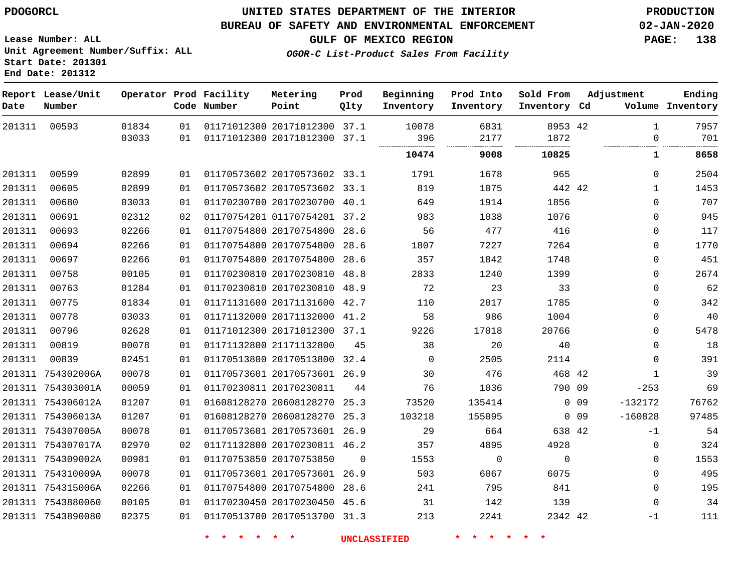#### **BUREAU OF SAFETY AND ENVIRONMENTAL ENFORCEMENT 02-JAN-2020**

**Lease Number: ALL Unit Agreement Number/Suffix: ALL Start Date: 201301 End Date: 201312**

**GULF OF MEXICO REGION PAGE: 138**

**OGOR-C List-Product Sales From Facility**

| Date   | Report Lease/Unit<br>Number |       |    | Operator Prod Facility<br>Code Number | Metering<br>Point            | Prod<br>Qlty | Beginning<br>Inventory | Prod Into<br>Inventory | Sold From<br>Inventory Cd | Adjustment                   | Ending<br>Volume Inventory |
|--------|-----------------------------|-------|----|---------------------------------------|------------------------------|--------------|------------------------|------------------------|---------------------------|------------------------------|----------------------------|
| 201311 | 00593                       | 01834 | 01 |                                       | 01171012300 20171012300 37.1 |              | 10078                  | 6831                   | 8953 42                   | $\mathbf{1}$                 | 7957                       |
|        |                             | 03033 | 01 |                                       | 01171012300 20171012300 37.1 |              | 396                    | 2177                   | 1872                      |                              | 701<br>0                   |
|        |                             |       |    |                                       |                              |              | 10474                  | 9008                   | 10825                     | 1                            | 8658                       |
| 201311 | 00599                       | 02899 | 01 |                                       | 01170573602 20170573602 33.1 |              | 1791                   | 1678                   | 965                       | 0                            | 2504                       |
| 201311 | 00605                       | 02899 | 01 |                                       | 01170573602 20170573602 33.1 |              | 819                    | 1075                   | 442 42                    | 1                            | 1453                       |
| 201311 | 00680                       | 03033 | 01 |                                       | 01170230700 20170230700 40.1 |              | 649                    | 1914                   | 1856                      | 0                            | 707                        |
| 201311 | 00691                       | 02312 | 02 |                                       | 01170754201 01170754201 37.2 |              | 983                    | 1038                   | 1076                      | 0                            | 945                        |
| 201311 | 00693                       | 02266 | 01 |                                       | 01170754800 20170754800 28.6 |              | 56                     | 477                    | 416                       | 0                            | 117                        |
| 201311 | 00694                       | 02266 | 01 |                                       | 01170754800 20170754800 28.6 |              | 1807                   | 7227                   | 7264                      | 0                            | 1770                       |
| 201311 | 00697                       | 02266 | 01 |                                       | 01170754800 20170754800 28.6 |              | 357                    | 1842                   | 1748                      | $\mathbf 0$                  | 451                        |
| 201311 | 00758                       | 00105 | 01 |                                       | 01170230810 20170230810      | 48.8         | 2833                   | 1240                   | 1399                      | 0                            | 2674                       |
| 201311 | 00763                       | 01284 | 01 |                                       | 01170230810 20170230810 48.9 |              | 72                     | 23                     | 33                        | 0                            | 62                         |
| 201311 | 00775                       | 01834 | 01 |                                       | 01171131600 20171131600 42.7 |              | 110                    | 2017                   | 1785                      | 0                            | 342                        |
| 201311 | 00778                       | 03033 | 01 |                                       | 01171132000 20171132000 41.2 |              | 58                     | 986                    | 1004                      | $\mathbf 0$                  | 40                         |
| 201311 | 00796                       | 02628 | 01 |                                       | 01171012300 20171012300 37.1 |              | 9226                   | 17018                  | 20766                     | 0                            | 5478                       |
| 201311 | 00819                       | 00078 | 01 |                                       | 01171132800 21171132800      | 45           | 38                     | 20                     | 40                        | 0                            | 18                         |
| 201311 | 00839                       | 02451 | 01 |                                       | 01170513800 20170513800 32.4 |              | $\Omega$               | 2505                   | 2114                      | $\Omega$                     | 391                        |
|        | 201311 754302006A           | 00078 | 01 |                                       | 01170573601 20170573601 26.9 |              | 30                     | 476                    | 468 42                    | 1                            | 39                         |
|        | 201311 754303001A           | 00059 | 01 | 01170230811 20170230811               |                              | 44           | 76                     | 1036                   | 790 09                    | $-253$                       | 69                         |
|        | 201311 754306012A           | 01207 | 01 |                                       | 01608128270 20608128270 25.3 |              | 73520                  | 135414                 |                           | $-132172$<br>0 <sub>09</sub> | 76762                      |
|        | 201311 754306013A           | 01207 | 01 |                                       | 01608128270 20608128270 25.3 |              | 103218                 | 155095                 |                           | $-160828$<br>$0$ 09          | 97485                      |
|        | 201311 754307005A           | 00078 | 01 |                                       | 01170573601 20170573601 26.9 |              | 29                     | 664                    | 638 42                    | $-1$                         | 54                         |
|        | 201311 754307017A           | 02970 | 02 |                                       | 01171132800 20170230811 46.2 |              | 357                    | 4895                   | 4928                      | 0                            | 324                        |
|        | 201311 754309002A           | 00981 | 01 |                                       | 01170753850 20170753850      | $\mathbf 0$  | 1553                   | 0                      | $\mathbf 0$               | 0                            | 1553                       |
|        | 201311 754310009A           | 00078 | 01 |                                       | 01170573601 20170573601      | 26.9         | 503                    | 6067                   | 6075                      | 0                            | 495                        |
|        | 201311 754315006A           | 02266 | 01 |                                       | 01170754800 20170754800 28.6 |              | 241                    | 795                    | 841                       | $\mathbf 0$                  | 195                        |
|        | 201311 7543880060           | 00105 | 01 |                                       | 01170230450 20170230450 45.6 |              | 31                     | 142                    | 139                       | $\mathbf 0$                  | 34                         |
|        | 201311 7543890080           | 02375 | 01 |                                       | 01170513700 20170513700 31.3 |              | 213                    | 2241                   | 2342 42                   | $-1$                         | 111                        |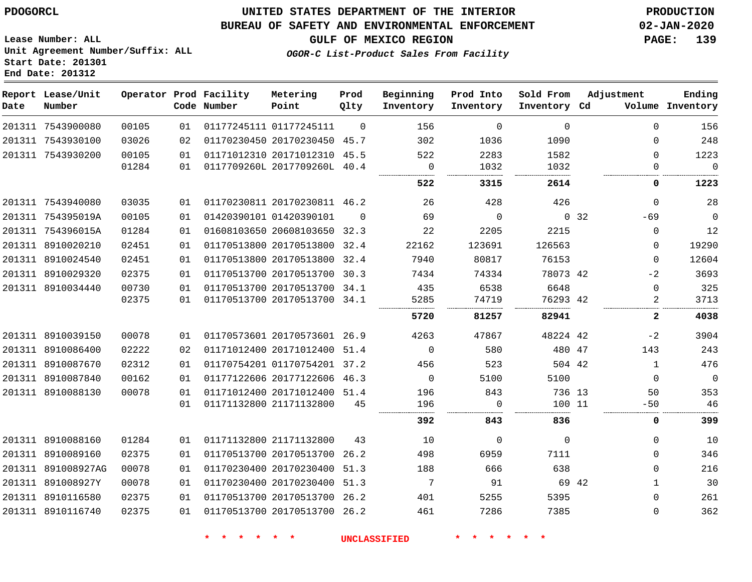### **UNITED STATES DEPARTMENT OF THE INTERIOR PDOGORCL PRODUCTION**

#### **BUREAU OF SAFETY AND ENVIRONMENTAL ENFORCEMENT 02-JAN-2020**

**Lease Number: ALL Unit Agreement Number/Suffix: ALL Start Date: 201301**

**OGOR-C List-Product Sales From Facility**

**GULF OF MEXICO REGION PAGE: 139**

| Report<br>Date | Lease/Unit<br>Number |                |          | Operator Prod Facility<br>Code Number | Metering<br>Point                                       | Prod<br>Qlty | Beginning<br>Inventory | Prod Into<br>Inventory | Sold From<br>Inventory | Cd    | Adjustment<br>Volume | Ending<br>Inventory |
|----------------|----------------------|----------------|----------|---------------------------------------|---------------------------------------------------------|--------------|------------------------|------------------------|------------------------|-------|----------------------|---------------------|
| 201311         | 7543900080           | 00105          | 01       |                                       | 01177245111 01177245111                                 | $\Omega$     | 156                    | 0                      | $\Omega$               |       | $\Omega$             | 156                 |
| 201311         | 7543930100           | 03026          | 02.      |                                       | 01170230450 20170230450                                 | 45.7         | 302                    | 1036                   | 1090                   |       | $\Omega$             | 248                 |
|                | 201311 7543930200    | 00105<br>01284 | 01<br>01 |                                       | 01171012310 20171012310 45.5<br>0117709260L 2017709260L | 40.4         | 522                    | 2283<br>1032           | 1582<br>1032           |       | $\Omega$             | 1223<br>0           |
|                |                      |                |          |                                       |                                                         |              | 522                    | 3315                   | 2614                   |       | 0                    | 1223                |
|                | 201311 7543940080    | 03035          | 01       |                                       | 01170230811 20170230811 46.2                            |              | 26                     | 428                    | 426                    |       | 0                    | 28                  |
| 201311         | 754395019A           | 00105          | 01       |                                       | 01420390101 01420390101                                 | $\Omega$     | 69                     | $\Omega$               |                        | 0, 32 | $-69$                | 0                   |
| 201311         | 754396015A           | 01284          | 01       |                                       | 01608103650 20608103650                                 | 32.3         | 22                     | 2205                   | 2215                   |       | $\mathbf 0$          | 12                  |
| 201311         | 8910020210           | 02451          | 01       |                                       | 01170513800 20170513800                                 | 32.4         | 22162                  | 123691                 | 126563                 |       | $\mathbf{0}$         | 19290               |
| 201311         | 8910024540           | 02451          | 01       |                                       | 01170513800 20170513800                                 | 32.4         | 7940                   | 80817                  | 76153                  |       | $\mathbf{0}$         | 12604               |
| 201311         | 8910029320           | 02375          | 01       |                                       | 01170513700 20170513700                                 | 30.3         | 7434                   | 74334                  | 78073 42               |       | $-2$                 | 3693                |
| 201311         | 8910034440           | 00730          | 01       |                                       | 01170513700 20170513700                                 | 34.1         | 435                    | 6538                   | 6648                   |       | $\Omega$             | 325                 |
|                |                      | 02375          | 01       |                                       | 01170513700 20170513700                                 | -34.1        | 5285                   | 74719                  | 76293 42               |       |                      | 3713                |
|                |                      |                |          |                                       |                                                         |              | 5720                   | 81257                  | 82941                  |       | 2                    | 4038                |
| 201311         | 8910039150           | 00078          | 01       |                                       | 01170573601 20170573601                                 | 26.9         | 4263                   | 47867                  | 48224 42               |       | $-2$                 | 3904                |
|                | 201311 8910086400    | 02222          | ハク       |                                       | 01171012400 20171012400 51 4                            |              |                        | 580                    | 480 47                 |       | 143                  | 243                 |

 8910086400 8910087670 8910087840 8910088130 8910088160 8910089160 891008927AG 891008927Y 8910116580 8910116740 20171012400 51.4 01170754201 37.2 20177122606 46.3 20171012400 51.4 21171132800 21171132800 20170513700 26.2 20170230400 51.3 20170230400 51.3 20170513700 26.2 20170513700 26.2 47 42 736 13 11 42  $\Omega$   $\Omega$   $\Omega$  46<br>......... 0<br>........ -69  $\Omega$  $\Omega$  $-2$   $-2$   $\Omega$   $-50$  $\Omega$  $\Omega$  $\Omega$   $\Omega$  $\Omega$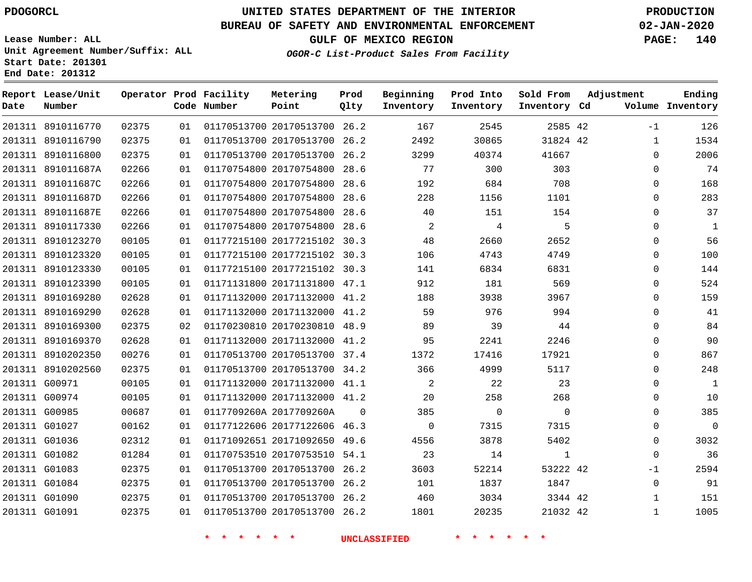**Report Lease/Unit**

# **UNITED STATES DEPARTMENT OF THE INTERIOR PDOGORCL PRODUCTION**

**Prod**

#### **BUREAU OF SAFETY AND ENVIRONMENTAL ENFORCEMENT 02-JAN-2020**

**Lease Number: ALL Unit Agreement Number/Suffix: ALL Start Date: 201301 End Date: 201312**

**Operator Prod Facility Metering**

**OGOR-C List-Product Sales From Facility**

**Beginning Prod Into Sold From Adjustment**

**GULF OF MEXICO REGION PAGE: 140**

**Ending**

| Date | Number            |       |    | Code Number                | Point                                    | Qlty           | Inventory                  | Inventory      | Inventory Cd   |              | Volume Inventory         |
|------|-------------------|-------|----|----------------------------|------------------------------------------|----------------|----------------------------|----------------|----------------|--------------|--------------------------|
|      | 201311 8910116770 | 02375 | 01 |                            | 01170513700 20170513700 26.2             |                | 167                        | 2545           | 2585 42        | $-1$         | 126                      |
|      | 201311 8910116790 | 02375 | 01 |                            | 01170513700 20170513700 26.2             |                | 2492                       | 30865          | 31824 42       | $\mathbf{1}$ | 1534                     |
|      | 201311 8910116800 | 02375 | 01 |                            | 01170513700 20170513700 26.2             |                | 3299                       | 40374          | 41667          | $\Omega$     | 2006                     |
|      | 201311 891011687A | 02266 | 01 |                            | 01170754800 20170754800 28.6             |                | 77                         | 300            | 303            | 0            | 74                       |
|      | 201311 891011687C | 02266 | 01 |                            | 01170754800 20170754800 28.6             |                | 192                        | 684            | 708            | 0            | 168                      |
|      | 201311 891011687D | 02266 | 01 |                            | 01170754800 20170754800 28.6             |                | 228                        | 1156           | 1101           | 0            | 283                      |
|      | 201311 891011687E | 02266 | 01 |                            | 01170754800 20170754800 28.6             |                | 40                         | 151            | 154            | 0            | 37                       |
|      | 201311 8910117330 | 02266 | 01 |                            | 01170754800 20170754800 28.6             |                | $\overline{\phantom{0}}^2$ | $\overline{4}$ | $5^{\circ}$    | $\Omega$     | $\overline{1}$           |
|      | 201311 8910123270 | 00105 | 01 |                            | 01177215100 20177215102 30.3             |                | 48                         | 2660           | 2652           | $\mathbf 0$  | 56                       |
|      | 201311 8910123320 | 00105 | 01 |                            | 01177215100 20177215102 30.3             |                | 106                        | 4743           | 4749           | $\Omega$     | 100                      |
|      | 201311 8910123330 | 00105 | 01 |                            | 01177215100 20177215102 30.3             |                | 141                        | 6834           | 6831           | $\mathbf 0$  | 144                      |
|      | 201311 8910123390 | 00105 | 01 |                            | 01171131800 20171131800 47.1             |                | 912                        | 181            | 569            | 0            | 524                      |
|      | 201311 8910169280 | 02628 | 01 |                            | 01171132000 20171132000 41.2             |                | 188                        | 3938           | 3967           | $\mathbf 0$  | 159                      |
|      | 201311 8910169290 | 02628 | 01 |                            | 01171132000 20171132000 41.2             |                | 59                         | 976            | 994            | $\mathbf 0$  | 41                       |
|      | 201311 8910169300 | 02375 | 02 |                            | 01170230810 20170230810 48.9             |                | 89                         | 39             | 44             | $\Omega$     | 84                       |
|      | 201311 8910169370 | 02628 | 01 |                            | 01171132000 20171132000 41.2             |                | 95                         | 2241           | 2246           | $\mathbf 0$  | 90                       |
|      | 201311 8910202350 | 00276 | 01 |                            | 01170513700 20170513700 37.4             |                | 1372                       | 17416          | 17921          | 0            | 867                      |
|      | 201311 8910202560 | 02375 | 01 |                            | 01170513700 20170513700 34.2             |                | 366                        | 4999           | 5117           | 0            | 248                      |
|      | 201311 G00971     | 00105 | 01 |                            | 01171132000 20171132000 41.1             |                | $\overline{\phantom{a}}$   | 22             | 23             | $\mathbf 0$  | $\mathbf{1}$             |
|      | 201311 G00974     | 00105 | 01 |                            | 01171132000 20171132000 41.2             |                | 20                         | 258            | 268            | $\Omega$     | 10                       |
|      | 201311 G00985     | 00687 | 01 |                            | 0117709260A 2017709260A                  | $\overline{0}$ | 385                        | $\overline{0}$ | $\overline{0}$ | $\mathbf 0$  | 385                      |
|      | 201311 G01027     | 00162 | 01 |                            | 01177122606 20177122606 46.3             |                | $\overline{0}$             | 7315           | 7315           | 0            | $\overline{\phantom{0}}$ |
|      | 201311 G01036     | 02312 | 01 |                            | 01171092651 20171092650 49.6             |                | 4556                       | 3878           | 5402           | $\mathbf 0$  | 3032                     |
|      | 201311 G01082     | 01284 | 01 |                            | 01170753510 20170753510 54.1             |                | 23                         | 14             | $\overline{1}$ | $\Omega$     | 36                       |
|      | 201311 G01083     | 02375 | 01 |                            | 01170513700 20170513700 26.2             |                | 3603                       | 52214          | 53222 42       | $-1$         | 2594                     |
|      | 201311 G01084     | 02375 | 01 |                            | 01170513700 20170513700 26.2             |                | 101                        | 1837           | 1847           | $\mathbf 0$  | 91                       |
|      | 201311 G01090     | 02375 | 01 |                            | 01170513700 20170513700 26.2             |                | 460                        | 3034           | 3344 42        | $\mathbf{1}$ | 151                      |
|      | 201311 G01091     | 02375 |    |                            | 01  01170513700  20170513700  26.2  1801 |                |                            | 20235          | 21032 42       | $\mathbf{1}$ | 1005                     |
|      |                   |       |    | * * * *<br>$\star$ $\star$ |                                          |                | <b>UNCLASSIFIED</b>        | * * * *        | $*$ $*$        |              |                          |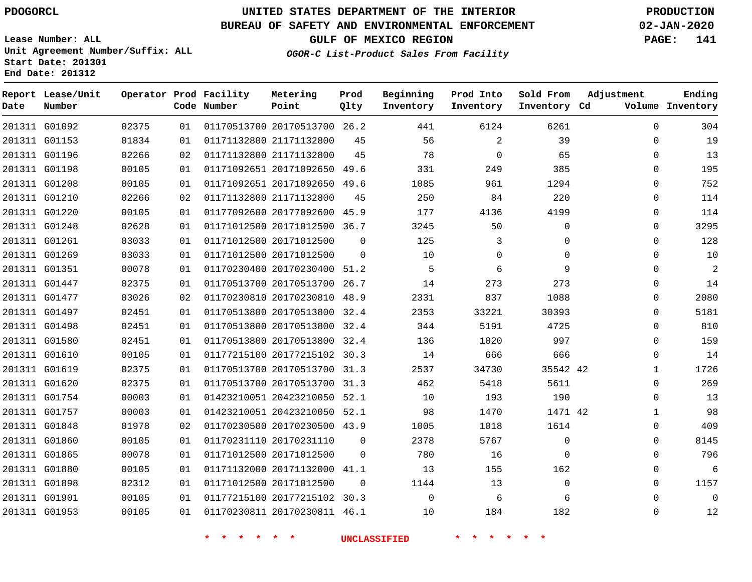### **BUREAU OF SAFETY AND ENVIRONMENTAL ENFORCEMENT 02-JAN-2020**

**Lease Number: ALL Unit Agreement Number/Suffix: ALL Start Date: 201301**

**End Date: 201312**

**GULF OF MEXICO REGION PAGE: 141**

**OGOR-C List-Product Sales From Facility**

| Date | Report Lease/Unit<br>Number |       |    | Operator Prod Facility<br>Code Number | Metering<br>Point            | Prod<br>Qlty | Beginning<br>Inventory | Prod Into<br>Inventory | Sold From<br>Inventory Cd | Adjustment   | Ending<br>Volume Inventory |
|------|-----------------------------|-------|----|---------------------------------------|------------------------------|--------------|------------------------|------------------------|---------------------------|--------------|----------------------------|
|      | 201311 G01092               | 02375 | 01 |                                       | 01170513700 20170513700 26.2 |              | 441                    | 6124                   | 6261                      | $\mathbf 0$  | 304                        |
|      | 201311 G01153               | 01834 | 01 |                                       | 01171132800 21171132800      | 45           | 56                     | 2                      | 39                        | $\mathbf 0$  | 19                         |
|      | 201311 G01196               | 02266 | 02 |                                       | 01171132800 21171132800      | 45           | 78                     | $\mathbf 0$            | 65                        | $\mathbf 0$  | 13                         |
|      | 201311 G01198               | 00105 | 01 |                                       | 01171092651 20171092650 49.6 |              | 331                    | 249                    | 385                       | $\mathbf 0$  | 195                        |
|      | 201311 G01208               | 00105 | 01 |                                       | 01171092651 20171092650 49.6 |              | 1085                   | 961                    | 1294                      | $\mathbf 0$  | 752                        |
|      | 201311 G01210               | 02266 | 02 |                                       | 01171132800 21171132800      | 45           | 250                    | 84                     | 220                       | $\mathbf 0$  | 114                        |
|      | 201311 G01220               | 00105 | 01 |                                       | 01177092600 20177092600 45.9 |              | 177                    | 4136                   | 4199                      | $\mathbf 0$  | 114                        |
|      | 201311 G01248               | 02628 | 01 |                                       | 01171012500 20171012500 36.7 |              | 3245                   | 50                     | $\Omega$                  | $\Omega$     | 3295                       |
|      | 201311 G01261               | 03033 | 01 |                                       | 01171012500 20171012500      | $\mathbf 0$  | 125                    | 3                      | 0                         | 0            | 128                        |
|      | 201311 G01269               | 03033 | 01 |                                       | 01171012500 20171012500      | $\mathbf 0$  | 10                     | 0                      | 0                         | $\mathbf 0$  | 10                         |
|      | 201311 G01351               | 00078 | 01 |                                       | 01170230400 20170230400 51.2 |              | 5                      | 6                      | 9                         | 0            | $\overline{2}$             |
|      | 201311 G01447               | 02375 | 01 |                                       | 01170513700 20170513700 26.7 |              | 14                     | 273                    | 273                       | $\mathbf 0$  | 14                         |
|      | 201311 G01477               | 03026 | 02 |                                       | 01170230810 20170230810 48.9 |              | 2331                   | 837                    | 1088                      | $\mathbf 0$  | 2080                       |
|      | 201311 G01497               | 02451 | 01 |                                       | 01170513800 20170513800 32.4 |              | 2353                   | 33221                  | 30393                     | $\mathbf 0$  | 5181                       |
|      | 201311 G01498               | 02451 | 01 |                                       | 01170513800 20170513800 32.4 |              | 344                    | 5191                   | 4725                      | $\mathbf 0$  | 810                        |
|      | 201311 G01580               | 02451 | 01 |                                       | 01170513800 20170513800 32.4 |              | 136                    | 1020                   | 997                       | $\mathbf 0$  | 159                        |
|      | 201311 G01610               | 00105 | 01 |                                       | 01177215100 20177215102 30.3 |              | 14                     | 666                    | 666                       | $\mathbf 0$  | 14                         |
|      | 201311 G01619               | 02375 | 01 |                                       | 01170513700 20170513700 31.3 |              | 2537                   | 34730                  | 35542 42                  | $\mathbf{1}$ | 1726                       |
|      | 201311 G01620               | 02375 | 01 |                                       | 01170513700 20170513700 31.3 |              | 462                    | 5418                   | 5611                      | 0            | 269                        |
|      | 201311 G01754               | 00003 | 01 |                                       | 01423210051 20423210050 52.1 |              | 10                     | 193                    | 190                       | 0            | 13                         |
|      | 201311 G01757               | 00003 | 01 |                                       | 01423210051 20423210050 52.1 |              | 98                     | 1470                   | 1471 42                   | $\mathbf{1}$ | 98                         |
|      | 201311 G01848               | 01978 | 02 |                                       | 01170230500 20170230500 43.9 |              | 1005                   | 1018                   | 1614                      | $\mathbf 0$  | 409                        |
|      | 201311 G01860               | 00105 | 01 |                                       | 01170231110 20170231110      | $\Omega$     | 2378                   | 5767                   | 0                         | 0            | 8145                       |
|      | 201311 G01865               | 00078 | 01 |                                       | 01171012500 20171012500      | $\Omega$     | 780                    | 16                     | $\Omega$                  | $\mathbf 0$  | 796                        |
|      | 201311 G01880               | 00105 | 01 |                                       | 01171132000 20171132000 41.1 |              | 13                     | 155                    | 162                       | 0            | 6                          |
|      | 201311 G01898               | 02312 | 01 |                                       | 01171012500 20171012500      | $\mathbf 0$  | 1144                   | 13                     | $\Omega$                  | $\mathbf 0$  | 1157                       |
|      | 201311 G01901               | 00105 | 01 |                                       | 01177215100 20177215102 30.3 |              | $\Omega$               | 6                      | 6                         | $\Omega$     | $\Omega$                   |
|      | 201311 G01953               | 00105 | 01 |                                       | 01170230811 20170230811 46.1 |              | 10                     | 184                    | 182                       | $\Omega$     | 12                         |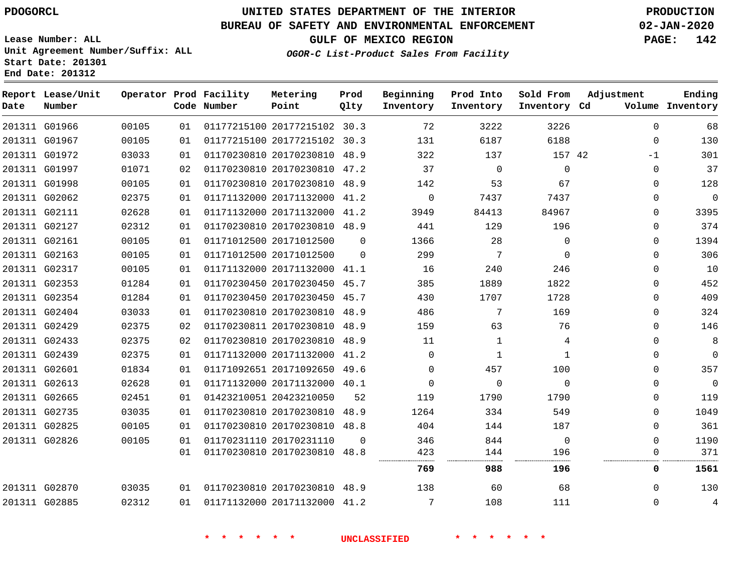**Report Lease/Unit**

## **UNITED STATES DEPARTMENT OF THE INTERIOR PDOGORCL PRODUCTION**

**Prod**

#### **BUREAU OF SAFETY AND ENVIRONMENTAL ENFORCEMENT 02-JAN-2020**

**Lease Number: ALL Unit Agreement Number/Suffix: ALL Start Date: 201301 End Date: 201312**

**Operator Prod Facility**

**OGOR-C List-Product Sales From Facility**

**Beginning**

**Prod Into**

**Sold From**

**GULF OF MEXICO REGION PAGE: 142**

**Adjustment**

**Ending**

 

  $\Omega$ 

| Date | Number        |       |    | Code Number | Point                        | Qlty     | Inventory                  | Inventory      | Inventory Cd   |          | Volume Inventory |
|------|---------------|-------|----|-------------|------------------------------|----------|----------------------------|----------------|----------------|----------|------------------|
|      | 201311 G01966 | 00105 | 01 |             | 01177215100 20177215102 30.3 |          | 72                         | 3222           | 3226           | $\Omega$ | 68               |
|      | 201311 G01967 | 00105 | 01 |             | 01177215100 20177215102 30.3 |          | 131                        | 6187           | 6188           | 0        | 130              |
|      | 201311 G01972 | 03033 | 01 |             | 01170230810 20170230810 48.9 |          | 322                        | 137            | 157 42         | $-1$     | 301              |
|      | 201311 G01997 | 01071 | 02 |             | 01170230810 20170230810 47.2 |          | 37                         | $\overline{0}$ | $\Omega$       | $\Omega$ | 37               |
|      | 201311 G01998 | 00105 | 01 |             | 01170230810 20170230810 48.9 |          | 142                        | 53             | 67             | $\Omega$ | 128              |
|      | 201311 G02062 | 02375 | 01 |             | 01171132000 20171132000 41.2 |          | $\overline{0}$             | 7437           | 7437           | $\Omega$ | $\mathbf 0$      |
|      | 201311 G02111 | 02628 | 01 |             | 01171132000 20171132000 41.2 |          | 3949                       | 84413          | 84967          | $\Omega$ | 3395             |
|      | 201311 G02127 | 02312 | 01 |             | 01170230810 20170230810 48.9 |          | 441                        | 129            | 196            | $\Omega$ | 374              |
|      | 201311 G02161 | 00105 | 01 |             | 01171012500 20171012500      | $\Omega$ | 1366                       | 28             | $\Omega$       | $\Omega$ | 1394             |
|      | 201311 G02163 | 00105 | 01 |             | 01171012500 20171012500      | $\Omega$ | 299                        | 7              | $\Omega$       | $\Omega$ | 306              |
|      | 201311 G02317 | 00105 | 01 |             | 01171132000 20171132000 41.1 |          | 16                         | 240            | 246            | $\Omega$ | 10               |
|      | 201311 G02353 | 01284 | 01 |             | 01170230450 20170230450 45.7 |          | 385                        | 1889           | 1822           | $\Omega$ | 452              |
|      | 201311 G02354 | 01284 | 01 |             | 01170230450 20170230450 45.7 |          | 430                        | 1707           | 1728           | $\Omega$ | 409              |
|      | 201311 G02404 | 03033 | 01 |             | 01170230810 20170230810 48.9 |          | 486                        | 7              | 169            | 0        | 324              |
|      | 201311 G02429 | 02375 | 02 |             | 01170230811 20170230810 48.9 |          | 159                        | 63             | 76             | 0        | 146              |
|      | 201311 G02433 | 02375 | 02 |             | 01170230810 20170230810 48.9 |          | 11                         | 1              | 4              | $\Omega$ | 8                |
|      | 201311 G02439 | 02375 | 01 |             | 01171132000 20171132000 41.2 |          | $\Omega$                   | 1              | 1              | $\Omega$ | $\mathbf 0$      |
|      | 201311 G02601 | 01834 | 01 |             | 01171092651 20171092650 49.6 |          | $\Omega$                   | 457            | 100            | $\Omega$ | 357              |
|      | 201311 G02613 | 02628 | 01 |             | 01171132000 20171132000 40.1 |          | 0                          | $\overline{0}$ | $\overline{0}$ | 0        | $\overline{0}$   |
|      | 201311 G02665 | 02451 | 01 |             | 01423210051 20423210050      | 52       | 119                        | 1790           | 1790           | 0        | 119              |
|      | 201311 G02735 | 03035 | 01 |             | 01170230810 20170230810 48.9 |          | 1264                       | 334            | 549            | $\Omega$ | 1049             |
|      | 201311 G02825 | 00105 | 01 |             | 01170230810 20170230810 48.8 |          | 404                        | 144            | 187            | $\Omega$ | 361              |
|      | 201311 G02826 | 00105 | 01 |             | 01170231110 20170231110      | $\Omega$ | 346                        | 844            | $\Omega$       | $\Omega$ | 1190             |
|      |               |       | 01 |             | 01170230810 20170230810 48.8 |          | 423<br>------------------- | 144<br>.       | 196            | 0<br>    | 371              |
|      |               |       |    |             |                              |          | 769                        | 988            | 196            | 0        | 1561             |
|      |               |       |    |             |                              |          |                            |                |                |          |                  |

**Metering**

 G02885 

 

G02870

 20170230810 48.9 20171132000 41.2

 

**\* \* \* \* \* \* UNCLASSIFIED \* \* \* \* \* \***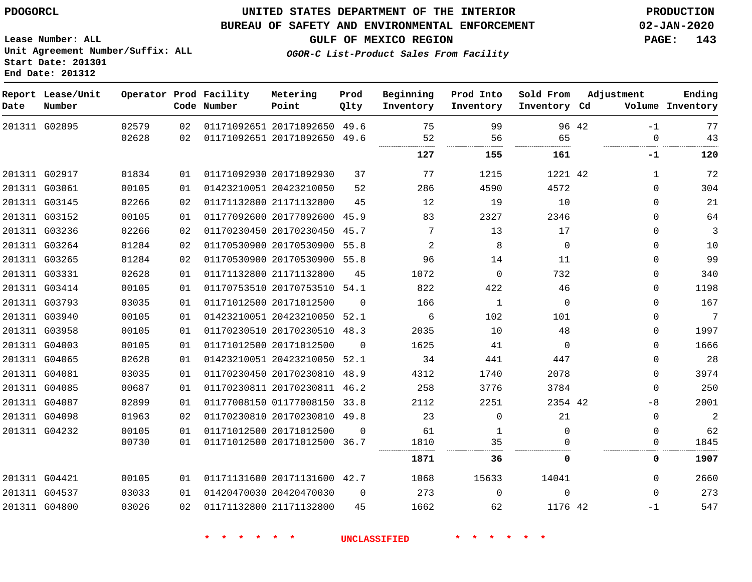### **UNITED STATES DEPARTMENT OF THE INTERIOR PDOGORCL PRODUCTION**

#### **BUREAU OF SAFETY AND ENVIRONMENTAL ENFORCEMENT 02-JAN-2020**

**Lease Number: ALL Unit Agreement Number/Suffix: ALL Start Date: 201301**

**GULF OF MEXICO REGION PAGE: 143**

**OGOR-C List-Product Sales From Facility**

| Date | Report Lease/Unit<br>Number |       |    | Operator Prod Facility<br>Code Number | Metering<br>Point            | Prod<br>Qlty | Beginning<br>Inventory | Prod Into<br>Inventory | Sold From<br>Inventory Cd | Adjustment   | Ending<br>Volume Inventory |
|------|-----------------------------|-------|----|---------------------------------------|------------------------------|--------------|------------------------|------------------------|---------------------------|--------------|----------------------------|
|      | 201311 G02895               | 02579 | 02 |                                       | 01171092651 20171092650 49.6 |              | 75                     | 99                     | 96 42                     | $-1$         | 77                         |
|      |                             | 02628 | 02 |                                       | 01171092651 20171092650 49.6 |              | 52                     | 56                     | 65                        | $\Omega$     | 43                         |
|      |                             |       |    |                                       |                              |              | 127                    | 155                    | 161                       | -1           | 120                        |
|      | 201311 G02917               | 01834 | 01 |                                       | 01171092930 20171092930      | 37           | 77                     | 1215                   | 1221 42                   | $\mathbf{1}$ | 72                         |
|      | 201311 G03061               | 00105 | 01 |                                       | 01423210051 20423210050      | 52           | 286                    | 4590                   | 4572                      | $\Omega$     | 304                        |
|      | 201311 G03145               | 02266 | 02 |                                       | 01171132800 21171132800      | 45           | 12                     | 19                     | 10                        | $\Omega$     | 21                         |
|      | 201311 G03152               | 00105 | 01 |                                       | 01177092600 20177092600 45.9 |              | 83                     | 2327                   | 2346                      | $\Omega$     | 64                         |
|      | 201311 G03236               | 02266 | 02 |                                       | 01170230450 20170230450 45.7 |              | 7                      | 13                     | 17                        | $\Omega$     | 3                          |
|      | 201311 G03264               | 01284 | 02 |                                       | 01170530900 20170530900 55.8 |              | 2                      | 8                      | $\Omega$                  | $\Omega$     | 10                         |
|      | 201311 G03265               | 01284 | 02 |                                       | 01170530900 20170530900 55.8 |              | 96                     | 14                     | 11                        | 0            | 99                         |
|      | 201311 G03331               | 02628 | 01 |                                       | 01171132800 21171132800      | 45           | 1072                   | $\mathbf 0$            | 732                       | $\Omega$     | 340                        |
|      | 201311 G03414               | 00105 | 01 |                                       | 01170753510 20170753510 54.1 |              | 822                    | 422                    | 46                        | 0            | 1198                       |
|      | 201311 G03793               | 03035 | 01 |                                       | 01171012500 20171012500      | $\Omega$     | 166                    | 1                      | $\Omega$                  | $\Omega$     | 167                        |
|      | 201311 G03940               | 00105 | 01 |                                       | 01423210051 20423210050 52.1 |              | 6                      | 102                    | 101                       | $\Omega$     | 7                          |
|      | 201311 G03958               | 00105 | 01 |                                       | 01170230510 20170230510 48.3 |              | 2035                   | 10                     | 48                        | 0            | 1997                       |
|      | 201311 G04003               | 00105 | 01 |                                       | 01171012500 20171012500      | $\Omega$     | 1625                   | 41                     | $\Omega$                  | $\Omega$     | 1666                       |
|      | 201311 G04065               | 02628 | 01 |                                       | 01423210051 20423210050 52.1 |              | 34                     | 441                    | 447                       | 0            | 28                         |
|      | 201311 G04081               | 03035 | 01 |                                       | 01170230450 20170230810 48.9 |              | 4312                   | 1740                   | 2078                      | $\Omega$     | 3974                       |
|      | 201311 G04085               | 00687 | 01 |                                       | 01170230811 20170230811 46.2 |              | 258                    | 3776                   | 3784                      | $\mathbf 0$  | 250                        |
|      | 201311 G04087               | 02899 | 01 |                                       | 01177008150 01177008150 33.8 |              | 2112                   | 2251                   | 2354 42                   | -8           | 2001                       |
|      | 201311 G04098               | 01963 | 02 |                                       | 01170230810 20170230810 49.8 |              | 23                     | $\Omega$               | 21                        | $\mathbf 0$  | $\overline{a}$             |
|      | 201311 G04232               | 00105 | 01 |                                       | 01171012500 20171012500      | $\Omega$     | 61                     | 1                      | $\Omega$                  | $\Omega$     | 62                         |
|      |                             | 00730 | 01 |                                       | 01171012500 20171012500 36.7 |              | 1810<br>               | 35                     |                           | 0            | 1845                       |
|      |                             |       |    |                                       |                              |              | 1871                   | 36                     | 0                         | 0            | 1907                       |
|      | 201311 G04421               | 00105 | 01 |                                       | 01171131600 20171131600 42.7 |              | 1068                   | 15633                  | 14041                     | $\Omega$     | 2660                       |
|      | 201311 G04537               | 03033 | 01 |                                       | 01420470030 20420470030      | $\Omega$     | 273                    | $\Omega$               | $\Omega$                  | $\Omega$     | 273                        |
|      | 201311 G04800               | 03026 | 02 |                                       | 01171132800 21171132800      | 45           | 1662                   | 62                     | 1176 42                   | $-1$         | 547                        |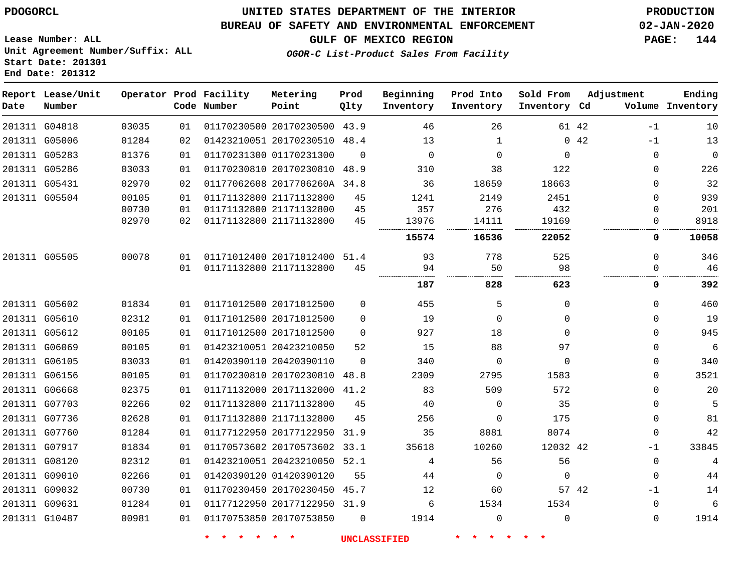### **UNITED STATES DEPARTMENT OF THE INTERIOR PDOGORCL PRODUCTION**

#### **BUREAU OF SAFETY AND ENVIRONMENTAL ENFORCEMENT 02-JAN-2020**

**OGOR-C List-Product Sales From Facility**

**GULF OF MEXICO REGION PAGE: 144**

**Ending Inventory**

**Lease Number: ALL Unit Agreement Number/Suffix: ALL Start Date: 201301 End Date: 201312**

|      | Report Lease/Unit |       |    | Operator Prod Facility | Metering                     | Prod        | Beginning   | Prod Into    | Sold From    | Adjustment |              |
|------|-------------------|-------|----|------------------------|------------------------------|-------------|-------------|--------------|--------------|------------|--------------|
| Date | Number            |       |    | Code Number            | Point                        | Qlty        | Inventory   | Inventory    | Inventory Cd |            | Volume       |
|      | 201311 G04818     | 03035 | 01 |                        | 01170230500 20170230500 43.9 |             | 46          | 26           |              | 61 42      | $-1$         |
|      | 201311 G05006     | 01284 | 02 |                        | 01423210051 20170230510 48.4 |             | 13          | $\mathbf{1}$ |              | 042        | $-1$         |
|      | 201311 G05283     | 01376 | 01 |                        | 01170231300 01170231300      | $\Omega$    | $\mathbf 0$ | $\mathbf 0$  | $\Omega$     |            | $\mathbf 0$  |
|      | 201311 G05286     | 03033 | 01 |                        | 01170230810 20170230810 48.9 |             | 310         | 38           | 122          |            | $\mathbf 0$  |
|      | 201311 G05431     | 02970 | 02 |                        | 01177062608 2017706260A 34.8 |             | 36          | 18659        | 18663        |            | $\mathbf 0$  |
|      | 201311 G05504     | 00105 | 01 |                        | 01171132800 21171132800      | 45          | 1241        | 2149         | 2451         |            | 0            |
|      |                   | 00730 | 01 |                        | 01171132800 21171132800      | 45          | 357         | 276          | 432          |            | 0            |
|      |                   | 02970 | 02 |                        | 01171132800 21171132800      | 45          | 13976       | 14111        | 19169        |            | $\mathbf 0$  |
|      |                   |       |    |                        |                              |             | 15574       | 16536        | 22052        |            | 0            |
|      | 201311 G05505     | 00078 | 01 |                        | 01171012400 20171012400 51.4 |             | 93          | 778          | 525          |            | 0            |
|      |                   |       | 01 |                        | 01171132800 21171132800      | 45          | 94          | 50           | 98           |            | $\mathbf 0$  |
|      |                   |       |    |                        |                              |             | 187         | 828          | 623          |            | 0            |
|      | 201311 G05602     | 01834 | 01 |                        | 01171012500 20171012500      | $\mathbf 0$ | 455         | 5            | 0            |            | 0            |
|      | 201311 G05610     | 02312 | 01 |                        | 01171012500 20171012500      | $\Omega$    | 19          | $\mathbf 0$  | 0            |            | $\mathbf 0$  |
|      | 201311 G05612     | 00105 | 01 |                        | 01171012500 20171012500      | $\mathbf 0$ | 927         | 18           | 0            |            | $\mathbf{0}$ |
|      | 201311 G06069     | 00105 | 01 |                        | 01423210051 20423210050      | 52          | 15          | 88           | 97           |            | $\Omega$     |
|      | 201311 G06105     | 03033 | 01 |                        | 01420390110 20420390110      | $\Omega$    | 340         | $\mathbf 0$  | 0            |            | $\mathbf 0$  |
|      | 201311 G06156     | 00105 | 01 |                        | 01170230810 20170230810 48.8 |             | 2309        | 2795         | 1583         |            | $\Omega$     |
|      | 201311 G06668     | 02375 | 01 |                        | 01171132000 20171132000 41.2 |             | 83          | 509          | 572          |            | 0            |
|      | 201311 G07703     | 02266 | 02 |                        | 01171132800 21171132800      | 45          | 40          | $\mathbf 0$  | 35           |            | $\mathbf 0$  |
|      | 201311 G07736     | 02628 | 01 |                        | 01171132800 21171132800      | 45          | 256         | $\mathbf 0$  | 175          |            | 0            |
|      | 201311 G07760     | 01284 | 01 |                        | 01177122950 20177122950      | 31.9        | 35          | 8081         | 8074         |            | $\mathbf 0$  |
|      | 201311 G07917     | 01834 | 01 |                        | 01170573602 20170573602 33.1 |             | 35618       | 10260        | 12032 42     |            | $-1$         |
|      | 201311 G08120     | 02312 | 01 |                        | 01423210051 20423210050 52.1 |             | 4           | 56           | 56           |            | $\mathbf{0}$ |
|      | 201311 G09010     | 02266 | 01 |                        | 01420390120 01420390120      | 55          | 44          | 0            | $\Omega$     |            | $\mathbf 0$  |
|      | 201311 G09032     | 00730 | 01 |                        | 01170230450 20170230450 45.7 |             | 12          | 60           |              | 57 42      | $-1$         |
|      | 201311 G09631     | 01284 | 01 |                        | 01177122950 20177122950 31.9 |             | 6           | 1534         | 1534         |            | 0            |
|      | 201311 G10487     | 00981 | 01 |                        | 01170753850 20170753850      | $\Omega$    | 1914        | $\Omega$     | $\Omega$     |            | $\mathbf 0$  |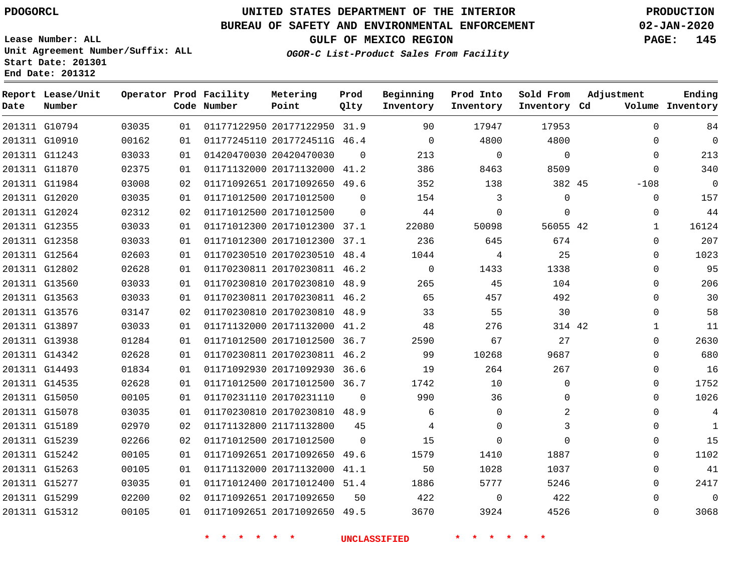**Report Lease/Unit**

**Number**

### **UNITED STATES DEPARTMENT OF THE INTERIOR PDOGORCL PRODUCTION**

**Prod**  $Q1 + 3r$ 

#### **BUREAU OF SAFETY AND ENVIRONMENTAL ENFORCEMENT 02-JAN-2020**

**Lease Number: ALL Unit Agreement Number/Suffix: ALL Start Date: 201301 End Date: 201312**

**Operator Prod Facility**

**OGOR-C List-Product Sales From Facility**

**Beginning Inventory**

**Prod Into Inventory**

**Sold From Inventory**

**Adjustment**

**GULF OF MEXICO REGION PAGE: 145**

**Ending**

| Date | Number        |       |    | Code Number | Point                        | Qlty     | Inventory           | Inventory    | Inventory Cd    |          | Volume Inventory |
|------|---------------|-------|----|-------------|------------------------------|----------|---------------------|--------------|-----------------|----------|------------------|
|      | 201311 G10794 | 03035 | 01 |             | 01177122950 20177122950 31.9 |          | 90                  | 17947        | 17953           | $\Omega$ | 84               |
|      | 201311 G10910 | 00162 | 01 |             | 01177245110 2017724511G 46.4 |          | $\Omega$            | 4800         | 4800            | $\Omega$ | $\overline{0}$   |
|      | 201311 G11243 | 03033 | 01 |             | 01420470030 20420470030      | $\Omega$ | 213                 | $\mathbf{0}$ | $\mathbf 0$     | $\Omega$ | 213              |
|      | 201311 G11870 | 02375 | 01 |             | 01171132000 20171132000 41.2 |          | 386                 | 8463         | 8509            | $\Omega$ | 340              |
|      | 201311 G11984 | 03008 | 02 |             | 01171092651 20171092650 49.6 |          | 352                 | 138          | 382 45          | $-108$   | $\overline{0}$   |
|      | 201311 G12020 | 03035 | 01 |             | 01171012500 20171012500      | $\Omega$ | 154                 | 3            | $\mathbf 0$     | $\Omega$ | 157              |
|      | 201311 G12024 | 02312 | 02 |             | 01171012500 20171012500      | $\Omega$ | 44                  | $\mathbf{0}$ | $\Omega$        | $\Omega$ | 44               |
|      | 201311 G12355 | 03033 | 01 |             | 01171012300 20171012300 37.1 |          | 22080               | 50098        | 56055 42        | 1        | 16124            |
|      | 201311 G12358 | 03033 | 01 |             | 01171012300 20171012300 37.1 |          | 236                 | 645          | 674             | $\Omega$ | 207              |
|      | 201311 G12564 | 02603 | 01 |             | 01170230510 20170230510 48.4 |          | 1044                | 4            | 25              | $\Omega$ | 1023             |
|      | 201311 G12802 | 02628 | 01 |             | 01170230811 20170230811 46.2 |          | $\Omega$            | 1433         | 1338            | $\Omega$ | 95               |
|      | 201311 G13560 | 03033 | 01 |             | 01170230810 20170230810 48.9 |          | 265                 | 45           | 104             | $\Omega$ | 206              |
|      | 201311 G13563 | 03033 | 01 |             | 01170230811 20170230811 46.2 |          | 65                  | 457          | 492             | $\Omega$ | 30               |
|      | 201311 G13576 | 03147 | 02 |             | 01170230810 20170230810 48.9 |          | 33                  | 55           | 30              | $\Omega$ | 58               |
|      | 201311 G13897 | 03033 | 01 |             | 01171132000 20171132000 41.2 |          | 48                  | 276          | 314 42          | 1        | 11               |
|      | 201311 G13938 | 01284 | 01 |             | 01171012500 20171012500 36.7 |          | 2590                | 67           | 27              | $\Omega$ | 2630             |
|      | 201311 G14342 | 02628 | 01 |             | 01170230811 20170230811 46.2 |          | 99                  | 10268        | 9687            | $\Omega$ | 680              |
|      | 201311 G14493 | 01834 | 01 |             | 01171092930 20171092930 36.6 |          | 19                  | 264          | 267             | 0        | 16               |
|      | 201311 G14535 | 02628 | 01 |             | 01171012500 20171012500 36.7 |          | 1742                | 10           | $\mathbf 0$     | 0        | 1752             |
|      | 201311 G15050 | 00105 | 01 |             | 01170231110 20170231110      | $\Omega$ | 990                 | 36           | $\Omega$        | $\Omega$ | 1026             |
|      | 201311 G15078 | 03035 | 01 |             | 01170230810 20170230810 48.9 |          | 6                   | $\mathsf{O}$ | 2               | $\Omega$ | $\overline{4}$   |
|      | 201311 G15189 | 02970 | 02 |             | 01171132800 21171132800      | 45       | 4                   | $\mathbf 0$  | 3               | $\Omega$ | $\mathbf{1}$     |
|      | 201311 G15239 | 02266 | 02 |             | 01171012500 20171012500      | $\Omega$ | 15                  | $\mathbf 0$  | $\Omega$        | $\Omega$ | 15               |
|      | 201311 G15242 | 00105 | 01 |             | 01171092651 20171092650 49.6 |          | 1579                | 1410         | 1887            | $\Omega$ | 1102             |
|      | 201311 G15263 | 00105 | 01 |             | 01171132000 20171132000 41.1 |          | 50                  | 1028         | 1037            | $\Omega$ | 41               |
|      | 201311 G15277 | 03035 | 01 |             | 01171012400 20171012400 51.4 |          | 1886                | 5777         | 5246            | 0        | 2417             |
|      | 201311 G15299 | 02200 | 02 |             | 01171092651 20171092650      | 50       | 422                 | $\mathbf 0$  | 422             | $\Omega$ | $\mathbf 0$      |
|      | 201311 G15312 | 00105 | 01 |             | 01171092651 20171092650 49.5 |          | 3670                | 3924         | 4526            | 0        | 3068             |
|      |               |       |    | * * * * * * |                              |          | <b>UNCLASSIFIED</b> | * * * *      | $\star$ $\star$ |          |                  |

**Metering Point**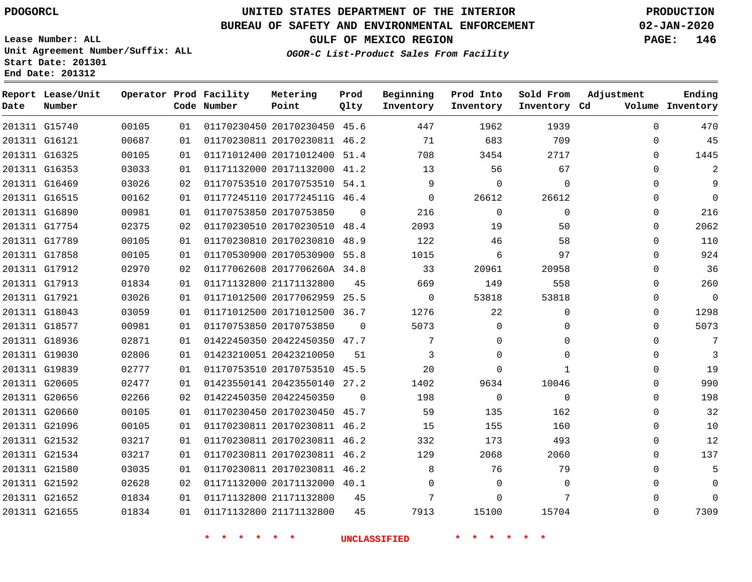**Report Lease/Unit**

## **UNITED STATES DEPARTMENT OF THE INTERIOR PDOGORCL PRODUCTION**

**Prod**

**Metering**

#### **BUREAU OF SAFETY AND ENVIRONMENTAL ENFORCEMENT 02-JAN-2020**

**Lease Number: ALL Unit Agreement Number/Suffix: ALL Start Date: 201301 End Date: 201312**

**Operator Prod Facility**

#### **OGOR-C List-Product Sales From Facility**

**Beginning Prod Into**

**GULF OF MEXICO REGION PAGE: 146**

**Sold From Adjustment**

**Ending**

| Date | Number        |       |    | Code Number | Point                        | Qlty     | Inventory      | Inventory   | Inventory Cd |          | Volume Inventory |
|------|---------------|-------|----|-------------|------------------------------|----------|----------------|-------------|--------------|----------|------------------|
|      | 201311 G15740 | 00105 | 01 |             | 01170230450 20170230450 45.6 |          | 447            | 1962        | 1939         | 0        | 470              |
|      | 201311 G16121 | 00687 | 01 |             | 01170230811 20170230811 46.2 |          | 71             | 683         | 709          | $\Omega$ | 45               |
|      | 201311 G16325 | 00105 | 01 |             | 01171012400 20171012400 51.4 |          | 708            | 3454        | 2717         | $\Omega$ | 1445             |
|      | 201311 G16353 | 03033 | 01 |             | 01171132000 20171132000 41.2 |          | 13             | 56          | 67           | $\Omega$ | 2                |
|      | 201311 G16469 | 03026 | 02 |             | 01170753510 20170753510 54.1 |          | 9              | 0           | $\mathbf 0$  | 0        |                  |
|      | 201311 G16515 | 00162 | 01 |             | 01177245110 2017724511G 46.4 |          | $\Omega$       | 26612       | 26612        | $\Omega$ | $\Omega$         |
|      | 201311 G16890 | 00981 | 01 |             | 01170753850 20170753850      | $\Omega$ | 216            | $\mathbf 0$ | $\mathbf 0$  | $\Omega$ | 216              |
|      | 201311 G17754 | 02375 | 02 |             | 01170230510 20170230510 48.4 |          | 2093           | 19          | 50           | $\Omega$ | 2062             |
|      | 201311 G17789 | 00105 | 01 |             | 01170230810 20170230810 48.9 |          | 122            | 46          | 58           | 0        | 110              |
|      | 201311 G17858 | 00105 | 01 |             | 01170530900 20170530900 55.8 |          | 1015           | 6           | 97           | $\Omega$ | 924              |
|      | 201311 G17912 | 02970 | 02 |             | 01177062608 2017706260A 34.8 |          | 33             | 20961       | 20958        | $\Omega$ | 36               |
|      | 201311 G17913 | 01834 | 01 |             | 01171132800 21171132800      | 45       | 669            | 149         | 558          | 0        | 260              |
|      | 201311 G17921 | 03026 | 01 |             | 01171012500 20177062959 25.5 |          | $\overline{0}$ | 53818       | 53818        | $\Omega$ | $\mathbf 0$      |
|      | 201311 G18043 | 03059 | 01 |             | 01171012500 20171012500 36.7 |          | 1276           | 22          | $\Omega$     | $\Omega$ | 1298             |
|      | 201311 G18577 | 00981 | 01 |             | 01170753850 20170753850      | $\Omega$ | 5073           | $\mathbf 0$ | 0            | $\Omega$ | 5073             |
|      | 201311 G18936 | 02871 | 01 |             | 01422450350 20422450350 47.7 |          | 7              | $\Omega$    | $\Omega$     | $\Omega$ | 7                |
|      | 201311 G19030 | 02806 | 01 |             | 01423210051 20423210050      | 51       | 3              | $\mathbf 0$ | $\Omega$     | 0        | 3                |
|      | 201311 G19839 | 02777 | 01 |             | 01170753510 20170753510 45.5 |          | 20             | $\mathbf 0$ | $\mathbf{1}$ | 0        | 19               |
|      | 201311 G20605 | 02477 | 01 |             | 01423550141 20423550140 27.2 |          | 1402           | 9634        | 10046        | 0        | 990              |
|      | 201311 G20656 | 02266 | 02 |             | 01422450350 20422450350      | $\Omega$ | 198            | $\mathbf 0$ | $\Omega$     | $\Omega$ | 198              |
|      | 201311 G20660 | 00105 | 01 |             | 01170230450 20170230450 45.7 |          | 59             | 135         | 162          | $\Omega$ | 32               |
|      | 201311 G21096 | 00105 | 01 |             | 01170230811 20170230811 46.2 |          | 15             | 155         | 160          | 0        | 10               |
|      | 201311 G21532 | 03217 | 01 |             | 01170230811 20170230811 46.2 |          | 332            | 173         | 493          | 0        | 12               |
|      | 201311 G21534 | 03217 | 01 |             | 01170230811 20170230811 46.2 |          | 129            | 2068        | 2060         | $\Omega$ | 137              |
|      | 201311 G21580 | 03035 | 01 |             | 01170230811 20170230811 46.2 |          | 8              | 76          | 79           | 0        | 5                |
|      | 201311 G21592 | 02628 | 02 |             | 01171132000 20171132000 40.1 |          | $\mathbf{0}$   | 0           | 0            | $\Omega$ | 0                |
|      | 201311 G21652 | 01834 | 01 |             | 01171132800 21171132800      | 45       | 7              | $\Omega$    | 7            | 0        | $\Omega$         |
|      | 201311 G21655 | 01834 | 01 |             | 01171132800 21171132800      | 45       | 7913           | 15100       | 15704        | 0        | 7309             |
|      |               |       |    |             |                              |          |                |             |              |          |                  |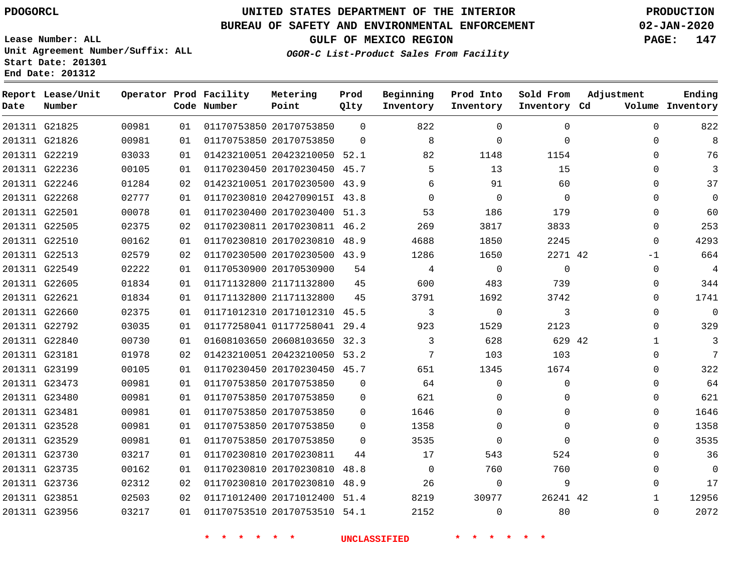### **BUREAU OF SAFETY AND ENVIRONMENTAL ENFORCEMENT 02-JAN-2020**

**Lease Number: ALL Unit Agreement Number/Suffix: ALL Start Date: 201301 End Date: 201312**

**GULF OF MEXICO REGION PAGE: 147**

**OGOR-C List-Product Sales From Facility**

| Date          | Report Lease/Unit<br>Number |       |    | Operator Prod Facility<br>Code Number | Metering<br>Point            | Prod<br>Qlty | Beginning<br>Inventory | Prod Into<br>Inventory | Sold From<br>Inventory Cd | Adjustment   | Ending<br>Volume Inventory |
|---------------|-----------------------------|-------|----|---------------------------------------|------------------------------|--------------|------------------------|------------------------|---------------------------|--------------|----------------------------|
|               | 201311 G21825               | 00981 | 01 |                                       | 01170753850 20170753850      | $\Omega$     | 822                    | $\Omega$               | $\Omega$                  | $\Omega$     | 822                        |
|               | 201311 G21826               | 00981 | 01 |                                       | 01170753850 20170753850      | $\Omega$     | 8                      | $\Omega$               | $\Omega$                  | $\mathbf{0}$ | 8                          |
|               | 201311 G22219               | 03033 | 01 |                                       | 01423210051 20423210050 52.1 |              | 82                     | 1148                   | 1154                      | $\Omega$     | 76                         |
|               | 201311 G22236               | 00105 | 01 |                                       | 01170230450 20170230450 45.7 |              | 5                      | 13                     | 15                        | $\Omega$     | 3                          |
|               | 201311 G22246               | 01284 | 02 |                                       | 01423210051 20170230500 43.9 |              | 6                      | 91                     | 60                        | $\Omega$     | 37                         |
|               | 201311 G22268               | 02777 | 01 |                                       | 01170230810 2042709015I 43.8 |              | $\Omega$               | $\Omega$               | $\Omega$                  | 0            | $\mathbf 0$                |
| 201311 G22501 |                             | 00078 | 01 |                                       | 01170230400 20170230400      | 51.3         | 53                     | 186                    | 179                       | 0            | 60                         |
|               | 201311 G22505               | 02375 | 02 |                                       | 01170230811 20170230811 46.2 |              | 269                    | 3817                   | 3833                      | 0            | 253                        |
|               | 201311 G22510               | 00162 | 01 |                                       | 01170230810 20170230810 48.9 |              | 4688                   | 1850                   | 2245                      | $\Omega$     | 4293                       |
|               | 201311 G22513               | 02579 | 02 |                                       | 01170230500 20170230500 43.9 |              | 1286                   | 1650                   | 2271 42                   | -1           | 664                        |
|               | 201311 G22549               | 02222 | 01 |                                       | 01170530900 20170530900      | 54           | 4                      | $\Omega$               | $\Omega$                  | $\Omega$     | $\overline{4}$             |
|               | 201311 G22605               | 01834 | 01 |                                       | 01171132800 21171132800      | 45           | 600                    | 483                    | 739                       | 0            | 344                        |
|               | 201311 G22621               | 01834 | 01 |                                       | 01171132800 21171132800      | 45           | 3791                   | 1692                   | 3742                      | $\Omega$     | 1741                       |
|               | 201311 G22660               | 02375 | 01 |                                       | 01171012310 20171012310 45.5 |              | 3                      | $\mathbf 0$            | 3                         | 0            | $\mathbf 0$                |
|               | 201311 G22792               | 03035 | 01 |                                       | 01177258041 01177258041 29.4 |              | 923                    | 1529                   | 2123                      | $\Omega$     | 329                        |
|               | 201311 G22840               | 00730 | 01 |                                       | 01608103650 20608103650 32.3 |              | 3                      | 628                    | 629 42                    | $\mathbf{1}$ | 3                          |
|               | 201311 G23181               | 01978 | 02 |                                       | 01423210051 20423210050 53.2 |              | 7                      | 103                    | 103                       | 0            | 7                          |
|               | 201311 G23199               | 00105 | 01 |                                       | 01170230450 20170230450 45.7 |              | 651                    | 1345                   | 1674                      | 0            | 322                        |
|               | 201311 G23473               | 00981 | 01 |                                       | 01170753850 20170753850      | $\mathbf 0$  | 64                     | $\Omega$               | $\Omega$                  | $\mathbf 0$  | 64                         |
|               | 201311 G23480               | 00981 | 01 |                                       | 01170753850 20170753850      | $\mathbf 0$  | 621                    | 0                      | $\mathbf{0}$              | $\Omega$     | 621                        |
|               | 201311 G23481               | 00981 | 01 |                                       | 01170753850 20170753850      | $\Omega$     | 1646                   | $\Omega$               | $\Omega$                  | $\mathbf 0$  | 1646                       |
|               | 201311 G23528               | 00981 | 01 |                                       | 01170753850 20170753850      | $\Omega$     | 1358                   | $\Omega$               | $\Omega$                  | $\Omega$     | 1358                       |
|               | 201311 G23529               | 00981 | 01 |                                       | 01170753850 20170753850      | $\Omega$     | 3535                   | $\Omega$               | $\Omega$                  | $\mathbf 0$  | 3535                       |
|               | 201311 G23730               | 03217 | 01 | 01170230810 20170230811               |                              | 44           | 17                     | 543                    | 524                       | $\Omega$     | 36                         |
|               | 201311 G23735               | 00162 | 01 |                                       | 01170230810 20170230810      | 48.8         | 0                      | 760                    | 760                       | 0            | $\mathbf 0$                |
|               | 201311 G23736               | 02312 | 02 |                                       | 01170230810 20170230810      | 48.9         | 26                     | $\Omega$               | 9                         | $\Omega$     | 17                         |
|               | 201311 G23851               | 02503 | 02 |                                       | 01171012400 20171012400      | 51.4         | 8219                   | 30977                  | 26241 42                  | $\mathbf{1}$ | 12956                      |
|               | 201311 G23956               | 03217 | 01 |                                       | 01170753510 20170753510 54.1 |              | 2152                   | $\Omega$               | 80                        | $\Omega$     | 2072                       |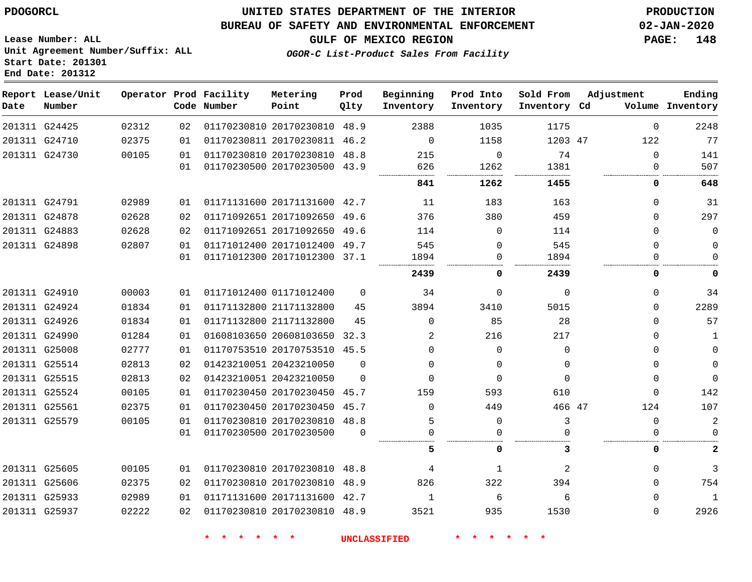**End Date: 201312**

### **UNITED STATES DEPARTMENT OF THE INTERIOR PDOGORCL PRODUCTION**

### **BUREAU OF SAFETY AND ENVIRONMENTAL ENFORCEMENT 02-JAN-2020**

**Lease Number: ALL Unit Agreement Number/Suffix: ALL Start Date: 201301**

**GULF OF MEXICO REGION PAGE: 148**

**OGOR-C List-Product Sales From Facility**

| Date | Report Lease/Unit<br>Number |       |    | Operator Prod Facility<br>Code Number | Metering<br>Point            | Prod<br>Qlty | Beginning<br>Inventory | Prod Into<br>Inventory | Sold From<br>Inventory Cd | Adjustment | Ending<br>Volume Inventory |
|------|-----------------------------|-------|----|---------------------------------------|------------------------------|--------------|------------------------|------------------------|---------------------------|------------|----------------------------|
|      | 201311 G24425               | 02312 | 02 |                                       | 01170230810 20170230810      | 48.9         | 2388                   | 1035                   | 1175                      | 0          | 2248                       |
|      | 201311 G24710               | 02375 | 01 |                                       | 01170230811 20170230811 46.2 |              | 0                      | 1158                   | 1203 47                   | 122        | 77                         |
|      | 201311 G24730               | 00105 | 01 |                                       | 01170230810 20170230810 48.8 |              | 215                    | $\Omega$               | 74                        | 0          | 141                        |
|      |                             |       | 01 |                                       | 01170230500 20170230500 43.9 |              | 626                    | 1262                   | 1381                      | 0          | 507                        |
|      |                             |       |    |                                       |                              |              | 841                    | 1262                   | 1455                      | 0          | 648                        |
|      | 201311 G24791               | 02989 | 01 |                                       | 01171131600 20171131600 42.7 |              | 11                     | 183                    | 163                       | 0          | 31                         |
|      | 201311 G24878               | 02628 | 02 |                                       | 01171092651 20171092650 49.6 |              | 376                    | 380                    | 459                       | $\Omega$   | 297                        |
|      | 201311 G24883               | 02628 | 02 |                                       | 01171092651 20171092650 49.6 |              | 114                    | $\mathbf 0$            | 114                       | 0          | $\mathbf 0$                |
|      | 201311 G24898               | 02807 | 01 |                                       | 01171012400 20171012400 49.7 |              | 545                    | $\Omega$               | 545                       | 0          | 0                          |
|      |                             |       | 01 |                                       | 01171012300 20171012300 37.1 |              | 1894                   | 0                      | 1894                      | 0          | $\Omega$                   |
|      |                             |       |    |                                       |                              |              | 2439                   | 0                      | 2439                      | 0          | 0                          |
|      | 201311 G24910               | 00003 | 01 |                                       | 01171012400 01171012400      | $\Omega$     | 34                     | 0                      | $\mathbf 0$               | 0          | 34                         |
|      | 201311 G24924               | 01834 | 01 |                                       | 01171132800 21171132800      | 45           | 3894                   | 3410                   | 5015                      | 0          | 2289                       |
|      | 201311 G24926               | 01834 | 01 |                                       | 01171132800 21171132800      | 45           | $\Omega$               | 85                     | 28                        | 0          | 57                         |
|      | 201311 G24990               | 01284 | 01 |                                       | 01608103650 20608103650 32.3 |              | 2                      | 216                    | 217                       | 0          | 1                          |
|      | 201311 G25008               | 02777 | 01 |                                       | 01170753510 20170753510 45.5 |              | $\Omega$               | $\Omega$               | $\Omega$                  | 0          | $\mathsf 0$                |
|      | 201311 G25514               | 02813 | 02 |                                       | 01423210051 20423210050      | $\Omega$     | $\Omega$               | 0                      | $\Omega$                  | $\Omega$   | $\mathbf 0$                |
|      | 201311 G25515               | 02813 | 02 |                                       | 01423210051 20423210050      | $\Omega$     | $\Omega$               | $\Omega$               | $\Omega$                  | 0          | $\overline{0}$             |
|      | 201311 G25524               | 00105 | 01 |                                       | 01170230450 20170230450 45.7 |              | 159                    | 593                    | 610                       | $\Omega$   | 142                        |
|      | 201311 G25561               | 02375 | 01 |                                       | 01170230450 20170230450 45.7 |              | $\Omega$               | 449                    | 466 47                    | 124        | 107                        |
|      | 201311 G25579               | 00105 | 01 |                                       | 01170230810 20170230810 48.8 |              | 5                      | $\Omega$               | 3                         | 0          | $\mathbf{2}$               |
|      |                             |       | 01 |                                       | 01170230500 20170230500      | $\Omega$     | $\mathbf 0$            | 0                      |                           | 0          | $\mathbf 0$                |
|      |                             |       |    |                                       |                              |              | 5                      | 0                      | 3                         | 0          | $\mathbf{2}$               |
|      | 201311 G25605               | 00105 | 01 |                                       | 01170230810 20170230810 48.8 |              | 4                      | 1                      | 2                         | 0          | 3                          |
|      | 201311 G25606               | 02375 | 02 |                                       | 01170230810 20170230810 48.9 |              | 826                    | 322                    | 394                       | $\Omega$   | 754                        |
|      | 201311 G25933               | 02989 | 01 |                                       | 01171131600 20171131600 42.7 |              | 1                      | 6                      | 6                         | 0          | 1                          |
|      | 201311 G25937               | 02222 | 02 |                                       | 01170230810 20170230810 48.9 |              | 3521                   | 935                    | 1530                      | $\Omega$   | 2926                       |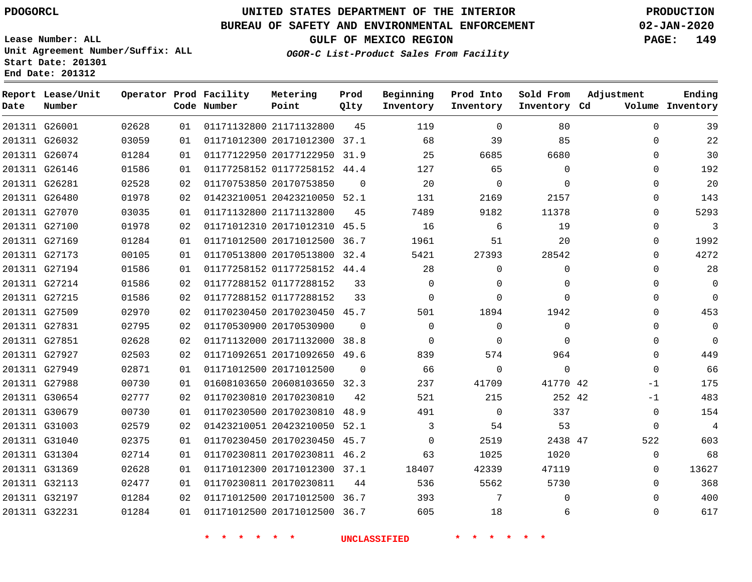**Report Lease/Unit**

**Number**

 G32197 G32231    

### **UNITED STATES DEPARTMENT OF THE INTERIOR PDOGORCL PRODUCTION**

**Prod Qlty**

#### **BUREAU OF SAFETY AND ENVIRONMENTAL ENFORCEMENT 02-JAN-2020**

**Lease Number: ALL Unit Agreement Number/Suffix: ALL Start Date: 201301 End Date: 201312**

**Operator Prod Facility**

**Code Number**

**GULF OF MEXICO REGION PAGE: 149**

**Inventory Cd Volume**

**Adjustment**

**Ending**

 

  $\Omega$ 

**OGOR-C List-Product Sales From Facility**

**Beginning Inventory** **Prod Into Inventory** **Sold From Inventory**

| 201311 G26001 |               | 02628 | 01 | 01171132800 21171132800      |                              | 45       | 119          | $\Omega$ | 80          | 0           | 39             |
|---------------|---------------|-------|----|------------------------------|------------------------------|----------|--------------|----------|-------------|-------------|----------------|
|               | 201311 G26032 | 03059 | 01 |                              | 01171012300 20171012300 37.1 |          | 68           | 39       | 85          | 0           | 22             |
|               | 201311 G26074 | 01284 | 01 |                              | 01177122950 20177122950 31.9 |          | 25           | 6685     | 6680        | 0           | 30             |
|               | 201311 G26146 | 01586 | 01 |                              | 01177258152 01177258152 44.4 |          | 127          | 65       | $\Omega$    | 0           | 192            |
|               | 201311 G26281 | 02528 | 02 | 01170753850 20170753850      |                              | $\Omega$ | 20           | $\Omega$ | $\Omega$    | 0           | 20             |
|               | 201311 G26480 | 01978 | 02 | 01423210051 20423210050 52.1 |                              |          | 131          | 2169     | 2157        | 0           | 143            |
|               | 201311 G27070 | 03035 | 01 | 01171132800 21171132800      |                              | 45       | 7489         | 9182     | 11378       | $\Omega$    | 5293           |
|               | 201311 G27100 | 01978 | 02 |                              | 01171012310 20171012310 45.5 |          | 16           | 6        | 19          | 0           | 3              |
|               | 201311 G27169 | 01284 | 01 |                              | 01171012500 20171012500 36.7 |          | 1961         | 51       | 20          | 0           | 1992           |
|               | 201311 G27173 | 00105 | 01 |                              | 01170513800 20170513800 32.4 |          | 5421         | 27393    | 28542       | 0           | 4272           |
|               | 201311 G27194 | 01586 | 01 |                              | 01177258152 01177258152 44.4 |          | 28           | $\Omega$ | 0           | 0           | 28             |
|               | 201311 G27214 | 01586 | 02 | 01177288152 01177288152      |                              | 33       | $\Omega$     | $\Omega$ | $\Omega$    | 0           | $\mathbf 0$    |
|               | 201311 G27215 | 01586 | 02 | 01177288152 01177288152      |                              | 33       | $\mathbf{0}$ | $\Omega$ | $\Omega$    | 0           | $\Omega$       |
|               | 201311 G27509 | 02970 | 02 |                              | 01170230450 20170230450 45.7 |          | 501          | 1894     | 1942        | 0           | 453            |
|               | 201311 G27831 | 02795 | 02 | 01170530900 20170530900      |                              | $\Omega$ | $\Omega$     | $\Omega$ | $\Omega$    | $\Omega$    | $\mathbf 0$    |
|               | 201311 G27851 | 02628 | 02 |                              | 01171132000 20171132000 38.8 |          | $\Omega$     | $\Omega$ | $\Omega$    | 0           | $\mathbf 0$    |
|               | 201311 G27927 | 02503 | 02 |                              | 01171092651 20171092650 49.6 |          | 839          | 574      | 964         | $\Omega$    | 449            |
|               | 201311 G27949 | 02871 | 01 | 01171012500 20171012500      |                              | $\Omega$ | 66           | $\Omega$ | $\mathbf 0$ | 0           | 66             |
|               | 201311 G27988 | 00730 | 01 |                              | 01608103650 20608103650 32.3 |          | 237          | 41709    | 41770 42    | $-1$        | 175            |
|               | 201311 G30654 | 02777 | 02 | 01170230810 20170230810      |                              | 42       | 521          | 215      | 252 42      | $-1$        | 483            |
|               | 201311 G30679 | 00730 | 01 |                              | 01170230500 20170230810 48.9 |          | 491          | $\Omega$ | 337         | 0           | 154            |
|               | 201311 G31003 | 02579 | 02 |                              | 01423210051 20423210050 52.1 |          | 3            | 54       | 53          | $\mathbf 0$ | $\overline{4}$ |
|               | 201311 G31040 | 02375 | 01 |                              | 01170230450 20170230450 45.7 |          | $\Omega$     | 2519     | 2438 47     | 522         | 603            |
|               | 201311 G31304 | 02714 | 01 |                              | 01170230811 20170230811 46.2 |          | 63           | 1025     | 1020        | $\Omega$    | 68             |
|               | 201311 G31369 | 02628 | 01 |                              | 01171012300 20171012300 37.1 |          | 18407        | 42339    | 47119       | 0           | 13627          |
|               | 201311 G32113 | 02477 | 01 | 01170230811 20170230811      |                              | 44       | 536          | 5562     | 5730        | $\mathbf 0$ | 368            |

**\* \* \* \* \* \* UNCLASSIFIED \* \* \* \* \* \***

 20171012500 36.7 20171012500 36.7

**Metering Point**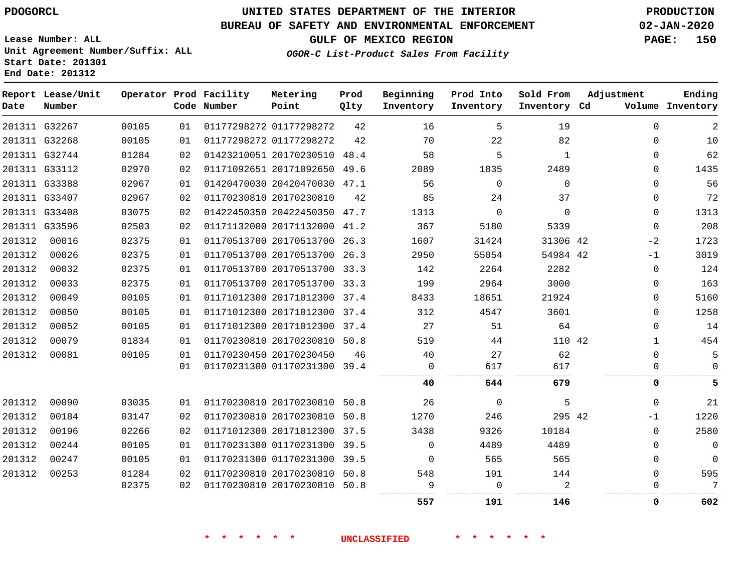# **UNITED STATES DEPARTMENT OF THE INTERIOR PDOGORCL PRODUCTION**

#### **BUREAU OF SAFETY AND ENVIRONMENTAL ENFORCEMENT 02-JAN-2020**

**Lease Number: ALL Unit Agreement Number/Suffix: ALL Start Date: 201301 End Date: 201312**

**OGOR-C List-Product Sales From Facility**

**GULF OF MEXICO REGION PAGE: 150**

| Date   | Report Lease/Unit<br>Number |       |    | Operator Prod Facility<br>Code Number | Metering<br>Point            | Prod<br>Qlty | Beginning<br>Inventory | Prod Into<br>Inventory | Sold From<br>Inventory Cd | Adjustment |              | Ending<br>Volume Inventory |
|--------|-----------------------------|-------|----|---------------------------------------|------------------------------|--------------|------------------------|------------------------|---------------------------|------------|--------------|----------------------------|
|        | 201311 G32267               | 00105 | 01 |                                       | 01177298272 01177298272      | 42           | 16                     | 5                      | 19                        |            | $\Omega$     | $\overline{2}$             |
|        | 201311 G32268               | 00105 | 01 |                                       | 01177298272 01177298272      | 42           | 70                     | 22                     | 82                        |            | $\Omega$     | 10                         |
|        | 201311 G32744               | 01284 | 02 |                                       | 01423210051 20170230510 48.4 |              | 58                     | 5                      | $\mathbf{1}$              |            | $\Omega$     | 62                         |
|        | 201311 G33112               | 02970 | 02 |                                       | 01171092651 20171092650 49.6 |              | 2089                   | 1835                   | 2489                      |            | $\Omega$     | 1435                       |
|        | 201311 G33388               | 02967 | 01 |                                       | 01420470030 20420470030 47.1 |              | 56                     | $\Omega$               | $\Omega$                  |            | $\Omega$     | 56                         |
|        | 201311 G33407               | 02967 | 02 |                                       | 01170230810 20170230810      | 42           | 85                     | 24                     | 37                        |            | 0            | 72                         |
|        | 201311 G33408               | 03075 | 02 |                                       | 01422450350 20422450350 47.7 |              | 1313                   | $\mathbf 0$            | $\Omega$                  |            | $\Omega$     | 1313                       |
|        | 201311 G33596               | 02503 | 02 |                                       | 01171132000 20171132000 41.2 |              | 367                    | 5180                   | 5339                      |            | $\Omega$     | 208                        |
| 201312 | 00016                       | 02375 | 01 |                                       | 01170513700 20170513700      | 26.3         | 1607                   | 31424                  | 31306 42                  |            | $-2$         | 1723                       |
| 201312 | 00026                       | 02375 | 01 |                                       | 01170513700 20170513700      | 26.3         | 2950                   | 55054                  | 54984 42                  |            | -1           | 3019                       |
| 201312 | 00032                       | 02375 | 01 |                                       | 01170513700 20170513700 33.3 |              | 142                    | 2264                   | 2282                      |            | $\Omega$     | 124                        |
| 201312 | 00033                       | 02375 | 01 |                                       | 01170513700 20170513700 33.3 |              | 199                    | 2964                   | 3000                      |            | $\Omega$     | 163                        |
| 201312 | 00049                       | 00105 | 01 |                                       | 01171012300 20171012300 37.4 |              | 8433                   | 18651                  | 21924                     |            | $\mathbf 0$  | 5160                       |
| 201312 | 00050                       | 00105 | 01 |                                       | 01171012300 20171012300 37.4 |              | 312                    | 4547                   | 3601                      |            | $\Omega$     | 1258                       |
| 201312 | 00052                       | 00105 | 01 |                                       | 01171012300 20171012300 37.4 |              | 27                     | 51                     | 64                        |            | $\Omega$     | 14                         |
| 201312 | 00079                       | 01834 | 01 |                                       | 01170230810 20170230810      | 50.8         | 519                    | 44                     | 110 42                    |            | $\mathbf{1}$ | 454                        |
| 201312 | 00081                       | 00105 | 01 |                                       | 01170230450 20170230450      | 46           | 40                     | 27                     | 62                        |            | $\Omega$     | 5                          |
|        |                             |       | 01 |                                       | 01170231300 01170231300 39.4 |              | $\mathbf 0$            | 617                    | 617                       |            | 0            | $\Omega$                   |
|        |                             |       |    |                                       |                              |              | 40                     | 644                    | 679                       |            | 0            | 5                          |
| 201312 | 00090                       | 03035 | 01 |                                       | 01170230810 20170230810 50.8 |              | 26                     | $\Omega$               | 5                         |            | $\Omega$     | 21                         |
| 201312 | 00184                       | 03147 | 02 |                                       | 01170230810 20170230810      | 50.8         | 1270                   | 246                    | 295 42                    |            | -1           | 1220                       |
| 201312 | 00196                       | 02266 | 02 |                                       | 01171012300 20171012300      | 37.5         | 3438                   | 9326                   | 10184                     |            | $\Omega$     | 2580                       |
| 201312 | 00244                       | 00105 | 01 |                                       | 01170231300 01170231300      | 39.5         | $\Omega$               | 4489                   | 4489                      |            | $\Omega$     | $\mathbf 0$                |
| 201312 | 00247                       | 00105 | 01 |                                       | 01170231300 01170231300 39.5 |              | $\Omega$               | 565                    | 565                       |            | $\Omega$     | $\Omega$                   |
| 201312 | 00253                       | 01284 | 02 |                                       | 01170230810 20170230810 50.8 |              | 548                    | 191                    | 144                       |            | $\Omega$     | 595                        |
|        |                             | 02375 | 02 |                                       | 01170230810 20170230810 50.8 |              | 9                      | $\Omega$               |                           |            | O            | 7                          |
|        |                             |       |    |                                       |                              |              | 557                    | 191                    | 146                       |            | 0            | 602                        |

**\* \* \* \* \* \* UNCLASSIFIED \* \* \* \* \* \***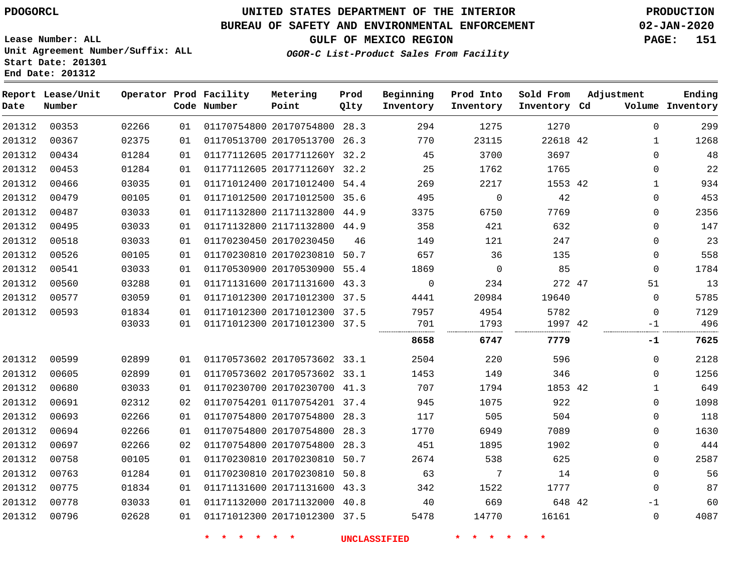#### **BUREAU OF SAFETY AND ENVIRONMENTAL ENFORCEMENT 02-JAN-2020**

**Lease Number: ALL Unit Agreement Number/Suffix: ALL Start Date: 201301**

**Operator Prod Facility**

**End Date: 201312**

**Report Lease/Unit**

**GULF OF MEXICO REGION PAGE: 151**

**Prod**

**Metering**

**Sold From Adjustment**

**Ending**

**OGOR-C List-Product Sales From Facility**

**Beginning**

**Prod Into**

| Date   | Number |       |    | Code Number | Point                        | Qlty | Inventory   | Inventory   | Inventory Cd |          | Volume Inventory |
|--------|--------|-------|----|-------------|------------------------------|------|-------------|-------------|--------------|----------|------------------|
| 201312 | 00353  | 02266 | 01 |             | 01170754800 20170754800 28.3 |      | 294         | 1275        | 1270         | 0        | 299              |
| 201312 | 00367  | 02375 | 01 |             | 01170513700 20170513700 26.3 |      | 770         | 23115       | 22618 42     | 1        | 1268             |
| 201312 | 00434  | 01284 | 01 |             | 01177112605 2017711260Y 32.2 |      | 45          | 3700        | 3697         | 0        | 48               |
| 201312 | 00453  | 01284 | 01 |             | 01177112605 2017711260Y 32.2 |      | 25          | 1762        | 1765         | $\Omega$ | 22               |
| 201312 | 00466  | 03035 | 01 |             | 01171012400 20171012400 54.4 |      | 269         | 2217        | 1553 42      | 1        | 934              |
| 201312 | 00479  | 00105 | 01 |             | 01171012500 20171012500 35.6 |      | 495         | $\mathbf 0$ | 42           | 0        | 453              |
| 201312 | 00487  | 03033 | 01 |             | 01171132800 21171132800 44.9 |      | 3375        | 6750        | 7769         | 0        | 2356             |
| 201312 | 00495  | 03033 | 01 |             | 01171132800 21171132800 44.9 |      | 358         | 421         | 632          | $\Omega$ | 147              |
| 201312 | 00518  | 03033 | 01 |             | 01170230450 20170230450      | 46   | 149         | 121         | 247          | 0        | 23               |
| 201312 | 00526  | 00105 | 01 |             | 01170230810 20170230810 50.7 |      | 657         | 36          | 135          | 0        | 558              |
| 201312 | 00541  | 03033 | 01 |             | 01170530900 20170530900 55.4 |      | 1869        | 0           | 85           | 0        | 1784             |
| 201312 | 00560  | 03288 | 01 |             | 01171131600 20171131600 43.3 |      | $\mathbf 0$ | 234         | 272 47       | 51       | 13               |
| 201312 | 00577  | 03059 | 01 |             | 01171012300 20171012300 37.5 |      | 4441        | 20984       | 19640        | 0        | 5785             |
| 201312 | 00593  | 01834 | 01 |             | 01171012300 20171012300 37.5 |      | 7957        | 4954        | 5782         | 0        | 7129             |
|        |        | 03033 | 01 |             | 01171012300 20171012300 37.5 |      | 701         | 1793        | 1997 42<br>  | -1<br>   | 496              |
|        |        |       |    |             |                              |      | 8658        | 6747        | 7779         | -1       | 7625             |
| 201312 | 00599  | 02899 | 01 |             | 01170573602 20170573602 33.1 |      | 2504        | 220         | 596          | 0        | 2128             |
| 201312 | 00605  | 02899 | 01 |             | 01170573602 20170573602 33.1 |      | 1453        | 149         | 346          | $\Omega$ | 1256             |
| 201312 | 00680  | 03033 | 01 |             | 01170230700 20170230700 41.3 |      | 707         | 1794        | 1853 42      | 1        | 649              |
| 201312 | 00691  | 02312 | 02 |             | 01170754201 01170754201 37.4 |      | 945         | 1075        | 922          | 0        | 1098             |
| 201312 | 00693  | 02266 | 01 |             | 01170754800 20170754800 28.3 |      | 117         | 505         | 504          | 0        | 118              |
| 201312 | 00694  | 02266 | 01 |             | 01170754800 20170754800 28.3 |      | 1770        | 6949        | 7089         | 0        | 1630             |
| 201312 | 00697  | 02266 | 02 |             | 01170754800 20170754800 28.3 |      | 451         | 1895        | 1902         | $\Omega$ | 444              |
| 201312 | 00758  | 00105 | 01 |             | 01170230810 20170230810 50.7 |      | 2674        | 538         | 625          | 0        | 2587             |
| 201312 | 00763  | 01284 | 01 |             | 01170230810 20170230810 50.8 |      | 63          | 7           | 14           | $\Omega$ | 56               |
| 201312 | 00775  | 01834 | 01 |             | 01171131600 20171131600 43.3 |      | 342         | 1522        | 1777         | 0        | 87               |
| 201312 | 00778  | 03033 | 01 |             | 01171132000 20171132000 40.8 |      | 40          | 669         | 648 42       | $-1$     | 60               |
| 201312 | 00796  | 02628 | 01 |             | 01171012300 20171012300 37.5 |      | 5478        | 14770       | 16161        | 0        | 4087             |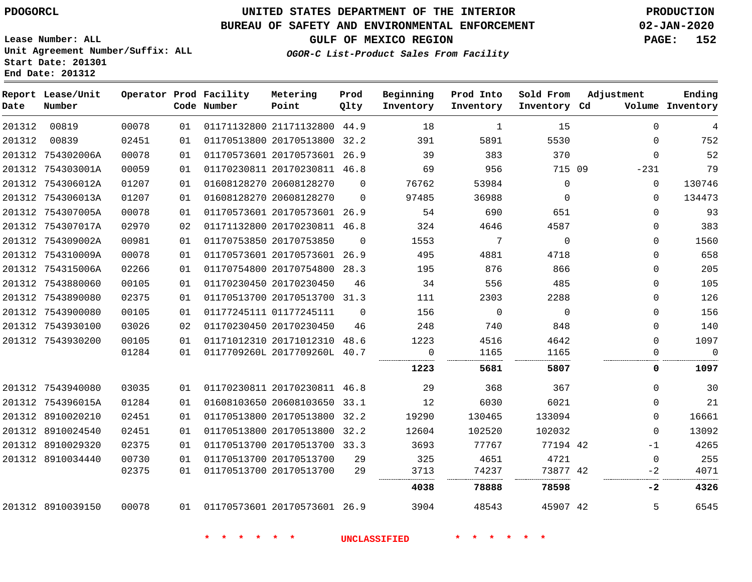**Date**

**End Date: 201312**

**Report Lease/Unit**

**Number**

## **UNITED STATES DEPARTMENT OF THE INTERIOR PDOGORCL PRODUCTION**

**Prod Qlty**

#### **BUREAU OF SAFETY AND ENVIRONMENTAL ENFORCEMENT 02-JAN-2020**

**Lease Number: ALL Unit Agreement Number/Suffix: ALL Start Date: 201301**

**Operator Prod Facility**

**Code Number**

**OGOR-C List-Product Sales From Facility**

**Beginning Inventory** **Prod Into Inventory** **Sold From Inventory**

**GULF OF MEXICO REGION PAGE: 152**

**Inventory Cd Volume**

**Adjustment**

 $\overline{0}$ 

  $\Omega$  $\Omega$ -1  $\Omega$  $-2$ 

**-2**

. . . . . . .

. . . . . . . . . . . . . . . . . . . .

  $\Omega$ -231  $\Omega$  $\Omega$  $\Omega$   $\Omega$   $\Omega$  $\overline{0}$  $\overline{0}$  $\Omega$  $\Omega$ 

**Ending**

| 00819      | 00078 | 01 | 01171132800 21171132800 44.9 |          | 18    | $\mathbf{1}$ | 15          |  |
|------------|-------|----|------------------------------|----------|-------|--------------|-------------|--|
| 00839      | 02451 | 01 | 01170513800 20170513800 32.2 |          | 391   | 5891         | 5530        |  |
| 754302006A | 00078 | 01 | 01170573601 20170573601 26.9 |          | 39    | 383          | 370         |  |
| 754303001A | 00059 | 01 | 01170230811 20170230811 46.8 |          | 69    | 956          | 715 09      |  |
| 754306012A | 01207 | 01 | 01608128270 20608128270      | $\Omega$ | 76762 | 53984        | $\mathbf 0$ |  |
| 754306013A | 01207 | 01 | 01608128270 20608128270      | $\Omega$ | 97485 | 36988        | $\Omega$    |  |
| 754307005A | 00078 | 01 | 01170573601 20170573601 26.9 |          | 54    | 690          | 651         |  |
| 754307017A | 02970 | 02 | 01171132800 20170230811 46.8 |          | 324   | 4646         | 4587        |  |
| 754309002A | 00981 | 01 | 01170753850 20170753850      | 0        | 1553  | 7            | $\mathbf 0$ |  |
| 754310009A | 00078 | 01 | 01170573601 20170573601      | 26.9     | 495   | 4881         | 4718        |  |
| 754315006A | 02266 | 01 | 01170754800 20170754800      | 28.3     | 195   | 876          | 866         |  |
| 7543880060 | 00105 | 01 | 01170230450 20170230450      | 46       | 34    | 556          | 485         |  |
| 7543890080 | 02375 | 01 | 01170513700 20170513700 31.3 |          | 111   | 2303         | 2288        |  |
| 7543900080 | 00105 | 01 | 01177245111 01177245111      | $\Omega$ | 156   | $\Omega$     | $\mathbf 0$ |  |
| 7543930100 | 03026 | 02 | 01170230450 20170230450      | 46       | 248   | 740          | 848         |  |
| 7543930200 | 00105 | 01 | 01171012310 20171012310      | 48.6     | 1223  | 4516         | 4642        |  |
|            | 01284 | 01 | 0117709260L 2017709260L      | 40.7     | 0     | 1165         | 1165        |  |
|            |       |    |                              |          | 1223  | 5681         | 5807        |  |
| 7543940080 | 03035 | 01 | 01170230811 20170230811 46.8 |          | 29    | 368          | 367         |  |
| 754396015A | 01284 | 01 | 01608103650 20608103650 33.1 |          | 12    | 6030         | 6021        |  |
| 8910020210 | 02451 | 01 | 01170513800 20170513800 32.2 |          | 19290 | 130465       | 133094      |  |
| 8910024540 | 02451 | 01 | 01170513800 20170513800      | 32.2     | 12604 | 102520       | 102032      |  |
| 8910029320 | 02375 | 01 | 01170513700 20170513700 33.3 |          | 3693  | 77767        | 77194 42    |  |
| 8910034440 | 00730 | 01 | 01170513700 20170513700      | 29       | 325   | 4651         | 4721        |  |
|            | 02375 | 01 | 01170513700 20170513700      | 29       | 3713  | 74237        | 73877 42    |  |
|            |       |    |                              |          | 4038  | 78888        | 78598       |  |
| 8910039150 | 00078 | 01 | 01170573601 20170573601 26.9 |          | 3904  | 48543        | 45907 42    |  |
|            |       |    |                              |          |       |              |             |  |

**Metering Point**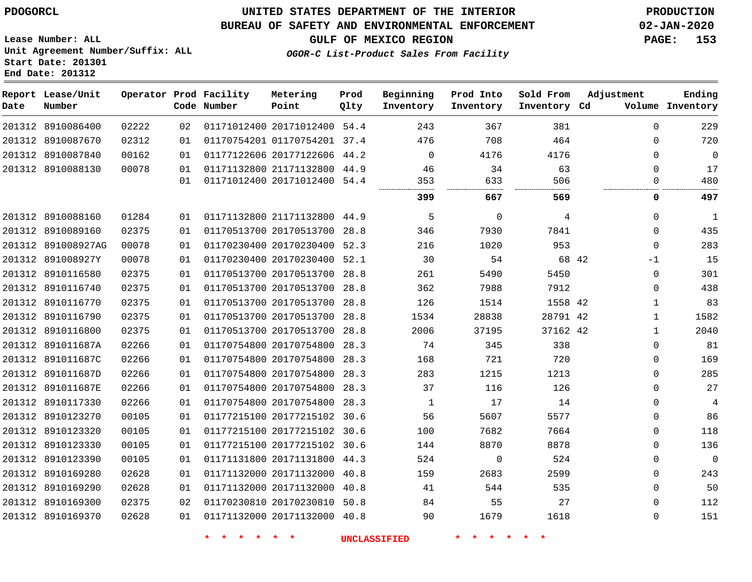8910169290 8910169300 8910169370    

### **UNITED STATES DEPARTMENT OF THE INTERIOR PDOGORCL PRODUCTION**

#### **BUREAU OF SAFETY AND ENVIRONMENTAL ENFORCEMENT 02-JAN-2020**

**Lease Number: ALL Unit Agreement Number/Suffix: ALL Start Date: 201301 End Date: 201312**

**OGOR-C List-Product Sales From Facility**

**GULF OF MEXICO REGION PAGE: 153**

| Date | Report Lease/Unit<br>Number |       |    | Operator Prod Facility<br>Code Number | Metering<br>Point            | Prod<br>Qlty | Beginning<br>Inventory | Prod Into<br>Inventory | Sold From<br>Inventory Cd | Adjustment |              | Ending<br>Volume Inventory |
|------|-----------------------------|-------|----|---------------------------------------|------------------------------|--------------|------------------------|------------------------|---------------------------|------------|--------------|----------------------------|
|      | 201312 8910086400           | 02222 | 02 |                                       | 01171012400 20171012400 54.4 |              | 243                    | 367                    | 381                       |            | $\Omega$     | 229                        |
|      | 201312 8910087670           | 02312 | 01 |                                       | 01170754201 01170754201      | 37.4         | 476                    | 708                    | 464                       |            | $\Omega$     | 720                        |
|      | 201312 8910087840           | 00162 | 01 |                                       | 01177122606 20177122606 44.2 |              | $\Omega$               | 4176                   | 4176                      |            | $\Omega$     | $\mathbf 0$                |
|      | 201312 8910088130           | 00078 | 01 |                                       | 01171132800 21171132800 44.9 |              | 46                     | 34                     | 63                        |            | $\Omega$     | 17                         |
|      |                             |       | 01 |                                       | 01171012400 20171012400 54.4 |              | 353                    | 633                    | 506                       |            | 0            | 480                        |
|      |                             |       |    |                                       |                              |              | 399                    | 667                    | 569                       |            | 0            | 497                        |
|      | 201312 8910088160           | 01284 | 01 |                                       | 01171132800 21171132800 44.9 |              | 5                      | $\mathbf 0$            | 4                         |            | $\Omega$     | $\mathbf{1}$               |
|      | 201312 8910089160           | 02375 | 01 |                                       | 01170513700 20170513700      | 28.8         | 346                    | 7930                   | 7841                      |            | $\mathbf 0$  | 435                        |
|      | 201312 891008927AG          | 00078 | 01 |                                       | 01170230400 20170230400      | 52.3         | 216                    | 1020                   | 953                       |            | $\mathbf 0$  | 283                        |
|      | 201312 891008927Y           | 00078 | 01 |                                       | 01170230400 20170230400      | 52.1         | 30                     | 54                     | 68 42                     |            | $-1$         | 15                         |
|      | 201312 8910116580           | 02375 | 01 |                                       | 01170513700 20170513700 28.8 |              | 261                    | 5490                   | 5450                      |            | $\mathbf 0$  | 301                        |
|      | 201312 8910116740           | 02375 | 01 |                                       | 01170513700 20170513700      | 28.8         | 362                    | 7988                   | 7912                      |            | 0            | 438                        |
|      | 201312 8910116770           | 02375 | 01 |                                       | 01170513700 20170513700      | 28.8         | 126                    | 1514                   | 1558 42                   |            | $\mathbf 1$  | 83                         |
|      | 201312 8910116790           | 02375 | 01 |                                       | 01170513700 20170513700      | 28.8         | 1534                   | 28838                  | 28791 42                  |            | $\mathbf{1}$ | 1582                       |
|      | 201312 8910116800           | 02375 | 01 |                                       | 01170513700 20170513700      | 28.8         | 2006                   | 37195                  | 37162 42                  |            | $\mathbf{1}$ | 2040                       |
|      | 201312 891011687A           | 02266 | 01 |                                       | 01170754800 20170754800      | 28.3         | 74                     | 345                    | 338                       |            | $\Omega$     | 81                         |
|      | 201312 891011687C           | 02266 | 01 |                                       | 01170754800 20170754800      | 28.3         | 168                    | 721                    | 720                       |            | $\mathbf 0$  | 169                        |
|      | 201312 891011687D           | 02266 | 01 |                                       | 01170754800 20170754800      | 28.3         | 283                    | 1215                   | 1213                      |            | $\Omega$     | 285                        |
|      | 201312 891011687E           | 02266 | 01 |                                       | 01170754800 20170754800      | 28.3         | 37                     | 116                    | 126                       |            | $\mathbf 0$  | 27                         |
|      | 201312 8910117330           | 02266 | 01 |                                       | 01170754800 20170754800      | 28.3         | 1                      | 17                     | 14                        |            | 0            | 4                          |
|      | 201312 8910123270           | 00105 | 01 |                                       | 01177215100 20177215102      | 30.6         | 56                     | 5607                   | 5577                      |            | 0            | 86                         |
|      | 201312 8910123320           | 00105 | 01 |                                       | 01177215100 20177215102      | 30.6         | 100                    | 7682                   | 7664                      |            | 0            | 118                        |
|      | 201312 8910123330           | 00105 | 01 |                                       | 01177215100 20177215102 30.6 |              | 144                    | 8870                   | 8878                      |            | $\Omega$     | 136                        |
|      | 201312 8910123390           | 00105 | 01 |                                       | 01171131800 20171131800 44.3 |              | 524                    | $\mathbf{0}$           | 524                       |            | $\Omega$     | 0                          |
|      | 201312 8910169280           | 02628 | 01 |                                       | 01171132000 20171132000 40.8 |              | 159                    | 2683                   | 2599                      |            | $\Omega$     | 243                        |

**\* \* \* \* \* \* UNCLASSIFIED \* \* \* \* \* \***

 

   $\Omega$  $\Omega$  $\Omega$ 

 

 20171132000 40.8 20170230810 50.8 20171132000 40.8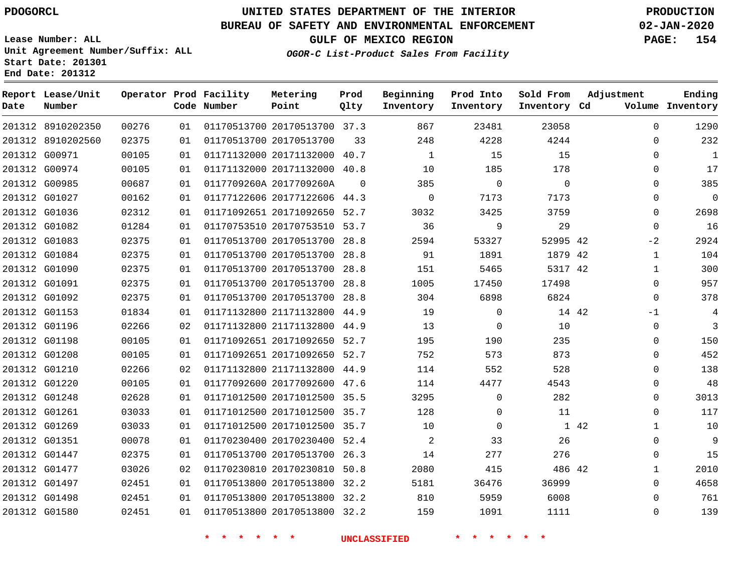8910202350 8910202560 G00971

**Report Lease/Unit**

**Number**

## **UNITED STATES DEPARTMENT OF THE INTERIOR PDOGORCL PRODUCTION**

**Prod Qlty**

#### **BUREAU OF SAFETY AND ENVIRONMENTAL ENFORCEMENT 02-JAN-2020**

**Lease Number: ALL Unit Agreement Number/Suffix: ALL Start Date: 201301 End Date: 201312**

> 

**Operator Prod Facility**

**Code Number**

  **OGOR-C List-Product Sales From Facility**

   

**Prod Into Inventory**

**Beginning Inventory**

**GULF OF MEXICO REGION PAGE: 154**

**Inventory Cd Volume**

**Adjustment**

  $\Omega$   $\Omega$  $\Omega$   $-2$   $\Omega$  $\overline{0}$ -1  $\Omega$  $\overline{0}$  $\Omega$  $\Omega$  $\Omega$  $\Omega$   $\Omega$   $\Omega$ 

**Ending**

 

 

**Sold From Inventory**

| 201312 G00974 | 00105 | 01 | 01171132000 20171132000 40.8 |                     | 10             | 185         | 178         |
|---------------|-------|----|------------------------------|---------------------|----------------|-------------|-------------|
| 201312 G00985 | 00687 | 01 | 0117709260A 2017709260A      | $\Omega$            | 385            | $\mathbf 0$ | $\mathbf 0$ |
| 201312 G01027 | 00162 | 01 | 01177122606 20177122606 44.3 |                     | 0              | 7173        | 7173        |
| 201312 G01036 | 02312 | 01 | 01171092651 20171092650 52.7 |                     | 3032           | 3425        | 3759        |
| 201312 G01082 | 01284 | 01 | 01170753510 20170753510 53.7 |                     | 36             | 9           | 29          |
| 201312 G01083 | 02375 | 01 | 01170513700 20170513700      | 28.8                | 2594           | 53327       | 52995       |
| 201312 G01084 | 02375 | 01 | 01170513700 20170513700 28.8 |                     | 91             | 1891        | 1879        |
| 201312 G01090 | 02375 | 01 | 01170513700 20170513700 28.8 |                     | 151            | 5465        | 5317        |
| 201312 G01091 | 02375 | 01 | 01170513700 20170513700      | 28.8                | 1005           | 17450       | 17498       |
| 201312 G01092 | 02375 | 01 | 01170513700 20170513700 28.8 |                     | 304            | 6898        | 6824        |
| 201312 G01153 | 01834 | 01 | 01171132800 21171132800 44.9 |                     | 19             | $\Omega$    | 14          |
| 201312 G01196 | 02266 | 02 | 01171132800 21171132800      | 44.9                | 13             | $\Omega$    | 10          |
| 201312 G01198 | 00105 | 01 | 01171092651 20171092650 52.7 |                     | 195            | 190         | 235         |
| 201312 G01208 | 00105 | 01 | 01171092651 20171092650 52.7 |                     | 752            | 573         | 873         |
| 201312 G01210 | 02266 | 02 | 01171132800 21171132800      | 44.9                | 114            | 552         | 528         |
| 201312 G01220 | 00105 | 01 | 01177092600 20177092600 47.6 |                     | 114            | 4477        | 4543        |
| 201312 G01248 | 02628 | 01 | 01171012500 20171012500 35.5 |                     | 3295           | 0           | 282         |
| 201312 G01261 | 03033 | 01 | 01171012500 20171012500 35.7 |                     | 128            | $\Omega$    | 11          |
| 201312 G01269 | 03033 | 01 | 01171012500 20171012500 35.7 |                     | 10             | $\Omega$    | 1           |
| 201312 G01351 | 00078 | 01 | 01170230400 20170230400 52.4 |                     | $\overline{a}$ | 33          | 26          |
| 201312 G01447 | 02375 | 01 | 01170513700 20170513700 26.3 |                     | 14             | 277         | 276         |
| 201312 G01477 | 03026 | 02 | 01170230810 20170230810 50.8 |                     | 2080           | 415         | 486         |
| 201312 G01497 | 02451 | 01 | 01170513800 20170513800      | 32.2                | 5181           | 36476       | 36999       |
| 201312 G01498 | 02451 | 01 | 01170513800 20170513800 32.2 |                     | 810            | 5959        | 6008        |
| 201312 G01580 | 02451 | 01 | 01170513800 20170513800 32.2 |                     | 159            | 1091        | 1111        |
|               |       |    |                              | <b>UNCLASSIFIED</b> |                |             |             |

20170513700 37.3

**Metering Point**

20171132000 40.7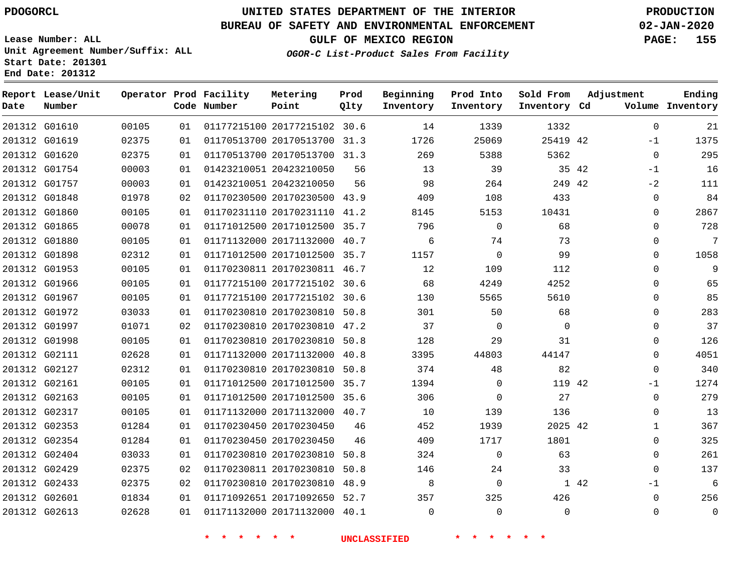G01880 G01898 G01953 G01966 G01967 G01972 G01997 G01998 G02111 G02127 G02161 G02163 G02317 G02353 G02354 G02404 G02429 G02433 G02601 G02613

## **UNITED STATES DEPARTMENT OF THE INTERIOR PDOGORCL PRODUCTION**

#### **BUREAU OF SAFETY AND ENVIRONMENTAL ENFORCEMENT 02-JAN-2020**

**Lease Number: ALL Unit Agreement Number/Suffix: ALL Start Date: 201301**

**OGOR-C List-Product Sales From Facility**

**GULF OF MEXICO REGION PAGE: 155**

**Inventory Cd Volume**

**Adjustment**

 -1  $\Omega$  $-1$  $-2$  $\Omega$  $\Omega$  $\Omega$  $\Omega$  $\Omega$  $\Omega$  $\Omega$  $\Omega$  $\Omega$  $\Omega$  $\Omega$  $\Omega$  $\Omega$ -1  $\Omega$   $\Omega$   $\Omega$ -1  $\Omega$  $\Omega$ 

**Ending**

|        | End Date: 201312            |       |    |                                       |                         |              |                        |                        |
|--------|-----------------------------|-------|----|---------------------------------------|-------------------------|--------------|------------------------|------------------------|
| Date   | Report Lease/Unit<br>Number |       |    | Operator Prod Facility<br>Code Number | Metering<br>Point       | Prod<br>Olty | Beginning<br>Inventory | Prod Into<br>Inventory |
| 201312 | G01610                      | 00105 | 01 |                                       | 01177215100 20177215102 | 30.6         | 14                     | 1339                   |
| 201312 | G01619                      | 02375 | 01 |                                       | 01170513700 20170513700 | 31.3         | 1726                   | 25069                  |
| 201312 | G01620                      | 02375 | 01 |                                       | 01170513700 20170513700 | 31.3         | 269                    | 5388                   |
| 201312 | G01754                      | 00003 | 01 |                                       | 01423210051 20423210050 | 56           | 13                     | 39                     |
| 201312 | G01757                      | 00003 | 01 |                                       | 01423210051 20423210050 | 56           | 98                     | 264                    |
| 201312 | G01848                      | 01978 | 02 |                                       | 01170230500 20170230500 | 43.9         | 409                    | 108                    |
| 201312 | G01860                      | 00105 | 01 |                                       | 01170231110 20170231110 | 41.2         | 8145                   | 5153                   |
| 201312 | G01865                      | 00078 | 01 | 01171012500                           | 20171012500             | 35.7         | 796                    | 0                      |

**\* \* \* \* \* \* UNCLASSIFIED \* \* \* \* \* \***

 20170230450 20170230450

 20170230810 50.8 20170230810 50.8 20170230810 48.9 20171092650 52.7 20171132000 40.1

 

42

**Sold From Inventory**

42 42

42

 

42

 

> $\Omega$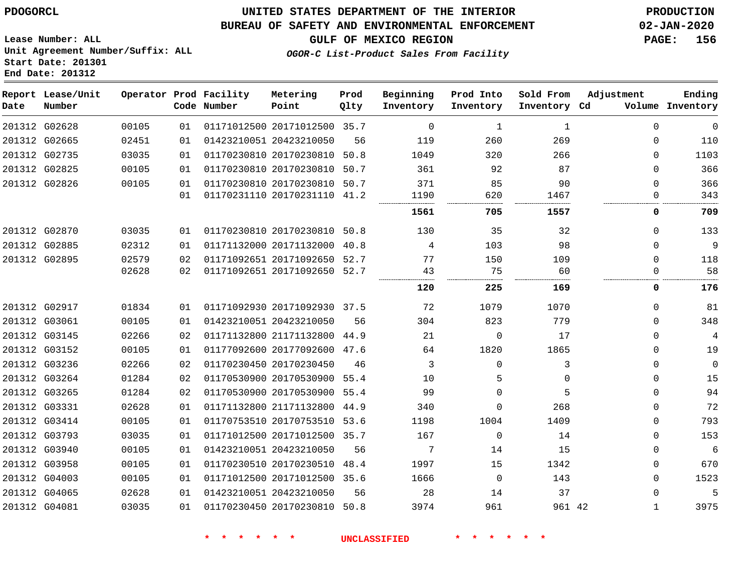### **BUREAU OF SAFETY AND ENVIRONMENTAL ENFORCEMENT 02-JAN-2020**

**GULF OF MEXICO REGION PAGE: 156**

**Lease Number: ALL Unit Agreement Number/Suffix: ALL Start Date: 201301 End Date: 201312**

**OGOR-C List-Product Sales From Facility**

| Date | Report Lease/Unit<br>Number |       |    | Operator Prod Facility<br>Code Number | Metering<br>Point            | Prod<br>Qlty | Beginning<br>Inventory | Prod Into<br>Inventory | Sold From<br>Inventory Cd | Adjustment   | Ending<br>Volume Inventory |
|------|-----------------------------|-------|----|---------------------------------------|------------------------------|--------------|------------------------|------------------------|---------------------------|--------------|----------------------------|
|      | 201312 G02628               | 00105 | 01 |                                       | 01171012500 20171012500 35.7 |              | 0                      | 1                      | 1                         | $\Omega$     | 0                          |
|      | 201312 G02665               | 02451 | 01 |                                       | 01423210051 20423210050      | 56           | 119                    | 260                    | 269                       | $\Omega$     | 110                        |
|      | 201312 G02735               | 03035 | 01 |                                       | 01170230810 20170230810      | 50.8         | 1049                   | 320                    | 266                       | $\Omega$     | 1103                       |
|      | 201312 G02825               | 00105 | 01 |                                       | 01170230810 20170230810      | 50.7         | 361                    | 92                     | 87                        | $\Omega$     | 366                        |
|      | 201312 G02826               | 00105 | 01 |                                       | 01170230810 20170230810      | 50.7         | 371                    | 85                     | 90                        | 0            | 366                        |
|      |                             |       | 01 |                                       | 01170231110 20170231110      | 41.2         | 1190                   | 620                    | 1467                      | 0            | 343                        |
|      |                             |       |    |                                       |                              |              | 1561                   | 705                    | 1557                      | 0            | 709                        |
|      | 201312 G02870               | 03035 | 01 |                                       | 01170230810 20170230810      | 50.8         | 130                    | 35                     | 32                        | $\Omega$     | 133                        |
|      | 201312 G02885               | 02312 | 01 |                                       | 01171132000 20171132000      | 40.8         | 4                      | 103                    | 98                        | 0            | 9                          |
|      | 201312 G02895               | 02579 | 02 |                                       | 01171092651 20171092650      | 52.7         | 77                     | 150                    | 109                       | $\Omega$     | 118                        |
|      |                             | 02628 | 02 |                                       | 01171092651 20171092650 52.7 |              | 43                     | 75                     | 60                        | $\Omega$     | 58                         |
|      |                             |       |    |                                       |                              |              | 120                    | 225                    | 169                       | 0            | 176                        |
|      | 201312 G02917               | 01834 | 01 |                                       | 01171092930 20171092930 37.5 |              | 72                     | 1079                   | 1070                      | 0            | 81                         |
|      | 201312 G03061               | 00105 | 01 |                                       | 01423210051 20423210050      | 56           | 304                    | 823                    | 779                       | $\Omega$     | 348                        |
|      | 201312 G03145               | 02266 | 02 |                                       | 01171132800 21171132800 44.9 |              | 21                     | $\Omega$               | 17                        | $\Omega$     | 4                          |
|      | 201312 G03152               | 00105 | 01 |                                       | 01177092600 20177092600      | 47.6         | 64                     | 1820                   | 1865                      | 0            | 19                         |
|      | 201312 G03236               | 02266 | 02 |                                       | 01170230450 20170230450      | 46           | 3                      | $\Omega$               | 3                         | $\Omega$     | $\mathbf 0$                |
|      | 201312 G03264               | 01284 | 02 |                                       | 01170530900 20170530900 55.4 |              | 10                     | 5                      | $\Omega$                  | $\Omega$     | 15                         |
|      | 201312 G03265               | 01284 | 02 |                                       | 01170530900 20170530900 55.4 |              | 99                     | $\Omega$               | 5                         | $\Omega$     | 94                         |
|      | 201312 G03331               | 02628 | 01 |                                       | 01171132800 21171132800      | 44.9         | 340                    | $\Omega$               | 268                       | $\Omega$     | 72                         |
|      | 201312 G03414               | 00105 | 01 |                                       | 01170753510 20170753510      | 53.6         | 1198                   | 1004                   | 1409                      | $\Omega$     | 793                        |
|      | 201312 G03793               | 03035 | 01 |                                       | 01171012500 20171012500 35.7 |              | 167                    | $\Omega$               | 14                        | $\Omega$     | 153                        |
|      | 201312 G03940               | 00105 | 01 |                                       | 01423210051 20423210050      | 56           | 7                      | 14                     | 15                        | 0            | 6                          |
|      | 201312 G03958               | 00105 | 01 |                                       | 01170230510 20170230510      | 48.4         | 1997                   | 15                     | 1342                      | 0            | 670                        |
|      | 201312 G04003               | 00105 | 01 |                                       | 01171012500 20171012500 35.6 |              | 1666                   | $\Omega$               | 143                       | $\Omega$     | 1523                       |
|      | 201312 G04065               | 02628 | 01 |                                       | 01423210051 20423210050      | 56           | 28                     | 14                     | 37                        | $\Omega$     | 5                          |
|      | 201312 G04081               | 03035 | 01 |                                       | 01170230450 20170230810 50.8 |              | 3974                   | 961                    | 961 42                    | $\mathbf{1}$ | 3975                       |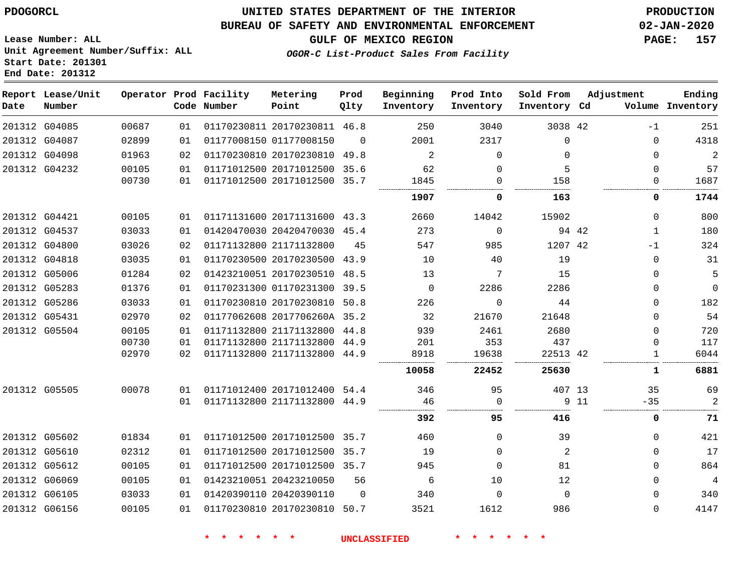#### **BUREAU OF SAFETY AND ENVIRONMENTAL ENFORCEMENT 02-JAN-2020**

**OGOR-C List-Product Sales From Facility**

**GULF OF MEXICO REGION PAGE: 157**

**Lease Number: ALL Unit Agreement Number/Suffix: ALL Start Date: 201301 End Date: 201312**

| Date          | Report Lease/Unit<br>Number |       |    | Operator Prod Facility<br>Code Number | Metering<br>Point            | Prod<br>Qlty | Beginning<br>Inventory | Prod Into<br>Inventory | Sold From<br>Inventory Cd | Adjustment |             | Ending<br>Volume Inventory |
|---------------|-----------------------------|-------|----|---------------------------------------|------------------------------|--------------|------------------------|------------------------|---------------------------|------------|-------------|----------------------------|
|               | 201312 G04085               | 00687 | 01 |                                       | 01170230811 20170230811 46.8 |              | 250                    | 3040                   | 3038 42                   |            | $-1$        | 251                        |
|               | 201312 G04087               | 02899 | 01 |                                       | 01177008150 01177008150      | $\Omega$     | 2001                   | 2317                   | $\mathbf 0$               |            | 0           | 4318                       |
|               | 201312 G04098               | 01963 | 02 |                                       | 01170230810 20170230810 49.8 |              | 2                      | $\Omega$               | $\Omega$                  |            | $\Omega$    | 2                          |
|               | 201312 G04232               | 00105 | 01 |                                       | 01171012500 20171012500 35.6 |              | 62                     | $\mathbf 0$            | 5                         |            | $\mathbf 0$ | 57                         |
|               |                             | 00730 | 01 |                                       | 01171012500 20171012500 35.7 |              | 1845                   | 0                      | 158                       |            | 0           | 1687                       |
|               |                             |       |    |                                       |                              |              | 1907                   | 0                      | 163                       |            | 0           | 1744                       |
|               | 201312 G04421               | 00105 | 01 |                                       | 01171131600 20171131600 43.3 |              | 2660                   | 14042                  | 15902                     |            | $\mathbf 0$ | 800                        |
|               | 201312 G04537               | 03033 | 01 |                                       | 01420470030 20420470030 45.4 |              | 273                    | $\Omega$               | 94 42                     |            | 1           | 180                        |
|               | 201312 G04800               | 03026 | 02 |                                       | 01171132800 21171132800      | 45           | 547                    | 985                    | 1207 42                   |            | $-1$        | 324                        |
| 201312 G04818 |                             | 03035 | 01 |                                       | 01170230500 20170230500 43.9 |              | 10                     | 40                     | 19                        |            | $\mathbf 0$ | 31                         |
|               | 201312 G05006               | 01284 | 02 |                                       | 01423210051 20170230510 48.5 |              | 13                     | 7                      | 15                        |            | $\Omega$    | 5                          |
|               | 201312 G05283               | 01376 | 01 |                                       | 01170231300 01170231300 39.5 |              | $\overline{0}$         | 2286                   | 2286                      |            | 0           | $\Omega$                   |
|               | 201312 G05286               | 03033 | 01 |                                       | 01170230810 20170230810      | 50.8         | 226                    | $\mathbf 0$            | 44                        |            | 0           | 182                        |
| 201312 G05431 |                             | 02970 | 02 |                                       | 01177062608 2017706260A 35.2 |              | 32                     | 21670                  | 21648                     |            | $\Omega$    | 54                         |
|               | 201312 G05504               | 00105 | 01 |                                       | 01171132800 21171132800 44.8 |              | 939                    | 2461                   | 2680                      |            | $\Omega$    | 720                        |
|               |                             | 00730 | 01 |                                       | 01171132800 21171132800 44.9 |              | 201                    | 353                    | 437                       |            | 0           | 117                        |
|               |                             | 02970 | 02 |                                       | 01171132800 21171132800      | 44.9         | 8918                   | 19638                  | 22513 42                  |            | 1           | 6044                       |
|               |                             |       |    |                                       |                              |              | 10058                  | 22452                  | 25630                     |            | 1           | 6881                       |
|               | 201312 G05505               | 00078 | 01 |                                       | 01171012400 20171012400 54.4 |              | 346                    | 95                     | 407 13                    |            | 35          | 69                         |
|               |                             |       | 01 |                                       | 01171132800 21171132800 44.9 |              | 46                     | $\mathbf 0$            |                           | 9 11       | $-35$       | 2                          |
|               |                             |       |    |                                       |                              |              | 392                    | 95                     | 416                       |            | 0           | 71                         |
|               | 201312 G05602               | 01834 | 01 |                                       | 01171012500 20171012500 35.7 |              | 460                    | $\Omega$               | 39                        |            | 0           | 421                        |
|               | 201312 G05610               | 02312 | 01 |                                       | 01171012500 20171012500 35.7 |              | 19                     | $\Omega$               | 2                         |            | 0           | 17                         |
|               | 201312 G05612               | 00105 | 01 |                                       | 01171012500 20171012500 35.7 |              | 945                    | $\Omega$               | 81                        |            | $\Omega$    | 864                        |
|               | 201312 G06069               | 00105 | 01 |                                       | 01423210051 20423210050      | 56           | 6                      | 10                     | 12                        |            | 0           | 4                          |
|               | 201312 G06105               | 03033 | 01 |                                       | 01420390110 20420390110      | $\Omega$     | 340                    | $\Omega$               | $\Omega$                  |            | $\Omega$    | 340                        |
|               | 201312 G06156               | 00105 | 01 |                                       | 01170230810 20170230810 50.7 |              | 3521                   | 1612                   | 986                       |            | $\Omega$    | 4147                       |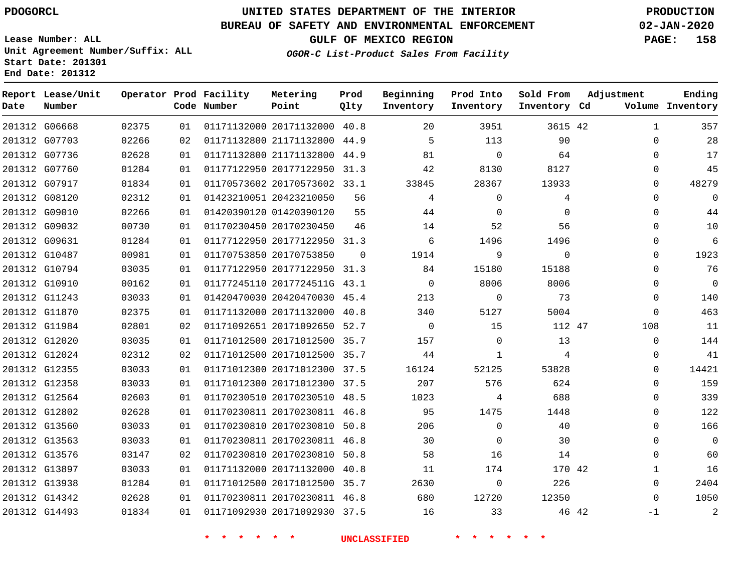**Report Lease/Unit**

**Number**

### **UNITED STATES DEPARTMENT OF THE INTERIOR PDOGORCL PRODUCTION**

### **BUREAU OF SAFETY AND ENVIRONMENTAL ENFORCEMENT 02-JAN-2020**

**Lease Number: ALL Unit Agreement Number/Suffix: ALL Start Date: 201301 End Date: 201312**

**Operator Prod**

**Code**

**OGOR-C List-Product Sales From Facility**

**Ending**

**GULF OF MEXICO REGION PAGE: 158**

**Inventory Cd Volume**

| Facility<br>Number | Metering<br>Point            | Prod<br>Olty | Beginning<br>Inventory | Prod Into<br>Inventory | Sold From<br>Inventory Cd | Adjustment<br>Volı |
|--------------------|------------------------------|--------------|------------------------|------------------------|---------------------------|--------------------|
|                    | 01171132000 20171132000 40 8 |              |                        | 3951                   | $3615$ 42                 |                    |

| 357            | $\mathbf{1}$ |       | 3615 42        | 3951           | 20             |          | 01171132000 20171132000 40.8 | 01 | 02375 | 201312 G06668 |  |
|----------------|--------------|-------|----------------|----------------|----------------|----------|------------------------------|----|-------|---------------|--|
| 28             | $\Omega$     |       | 90             | 113            | $5^{\circ}$    |          | 01171132800 21171132800 44.9 | 02 | 02266 | 201312 G07703 |  |
| 17             | $\Omega$     |       | 64             | $\overline{0}$ | 81             |          | 01171132800 21171132800 44.9 | 01 | 02628 | 201312 G07736 |  |
| 45             | 0            |       | 8127           | 8130           | 42             |          | 01177122950 20177122950 31.3 | 01 | 01284 | 201312 G07760 |  |
| 48279          | 0            |       | 13933          | 28367          | 33845          |          | 01170573602 20170573602 33.1 | 01 | 01834 | 201312 G07917 |  |
| $\overline{0}$ | $\Omega$     |       | 4              | $\overline{0}$ | 4              | 56       | 01423210051 20423210050      | 01 | 02312 | 201312 G08120 |  |
| 44             | 0            |       | $\Omega$       | $\Omega$       | 44             | 55       | 01420390120 01420390120      | 01 | 02266 | 201312 G09010 |  |
| 10             | 0            |       | 56             | 52             | 14             | 46       | 01170230450 20170230450      | 01 | 00730 | 201312 G09032 |  |
| 6              | $\Omega$     |       | 1496           | 1496           | 6              |          | 01177122950 20177122950 31.3 | 01 | 01284 | 201312 G09631 |  |
| 1923           | 0            |       | $\overline{0}$ | 9              | 1914           | $\Omega$ | 01170753850 20170753850      | 01 | 00981 | 201312 G10487 |  |
| 76             | $\Omega$     |       | 15188          | 15180          | 84             |          | 01177122950 20177122950 31.3 | 01 | 03035 | 201312 G10794 |  |
| $\overline{0}$ | $\Omega$     |       | 8006           | 8006           | $\overline{0}$ |          | 01177245110 2017724511G 43.1 | 01 | 00162 | 201312 G10910 |  |
| 140            | $\Omega$     |       | 73             | $\overline{0}$ | 213            |          | 01420470030 20420470030 45.4 | 01 | 03033 | 201312 G11243 |  |
| 463            | $\Omega$     |       | 5004           | 5127           | 340            |          | 01171132000 20171132000 40.8 | 01 | 02375 | 201312 G11870 |  |
| 11             | 108          |       | 112 47         | 15             | $\sim$ 0       |          | 01171092651 20171092650 52.7 | 02 | 02801 | 201312 G11984 |  |
| 144            | 0            |       | 13             | $\overline{0}$ | 157            |          | 01171012500 20171012500 35.7 | 01 | 03035 | 201312 G12020 |  |
| 41             | $\Omega$     |       | $\overline{4}$ | 1              | 44             |          | 01171012500 20171012500 35.7 | 02 | 02312 | 201312 G12024 |  |
| 14421          | $\Omega$     |       | 53828          | 52125          | 16124          |          | 01171012300 20171012300 37.5 | 01 | 03033 | 201312 G12355 |  |
| 159            | $\Omega$     |       | 624            | 576            | 207            |          | 01171012300 20171012300 37.5 | 01 | 03033 | 201312 G12358 |  |
| 339            | 0            |       | 688            | 4              | 1023           |          | 01170230510 20170230510 48.5 | 01 | 02603 | 201312 G12564 |  |
| 122            | $\Omega$     |       | 1448           | 1475           | 95             |          | 01170230811 20170230811 46.8 | 01 | 02628 | 201312 G12802 |  |
| 166            | $\Omega$     |       | 40             | $\overline{0}$ | 206            |          | 01170230810 20170230810 50.8 | 01 | 03033 | 201312 G13560 |  |
| $\overline{0}$ | $\Omega$     |       | 30             | $\Omega$       | 30             |          | 01170230811 20170230811 46.8 | 01 | 03033 | 201312 G13563 |  |
| 60             | 0            |       | 14             | 16             | 58             |          | 01170230810 20170230810 50.8 | 02 | 03147 | 201312 G13576 |  |
| 16             | $\mathbf{1}$ |       | 170 42         | 174            | - 11           |          | 01171132000 20171132000 40.8 | 01 | 03033 | 201312 G13897 |  |
| 2404           | $\Omega$     |       | 226            | $\overline{0}$ | 2630           |          | 01171012500 20171012500 35.7 | 01 | 01284 | 201312 G13938 |  |
| 1050           | $\Omega$     |       | 12350          | 12720          | 680            |          | 01170230811 20170230811 46.8 | 01 | 02628 | 201312 G14342 |  |
| 2              | $-1$         | 46 42 |                | 33             | 16             |          | 01171092930 20171092930 37.5 | 01 | 01834 | 201312 G14493 |  |
|                |              |       |                |                |                |          |                              |    |       |               |  |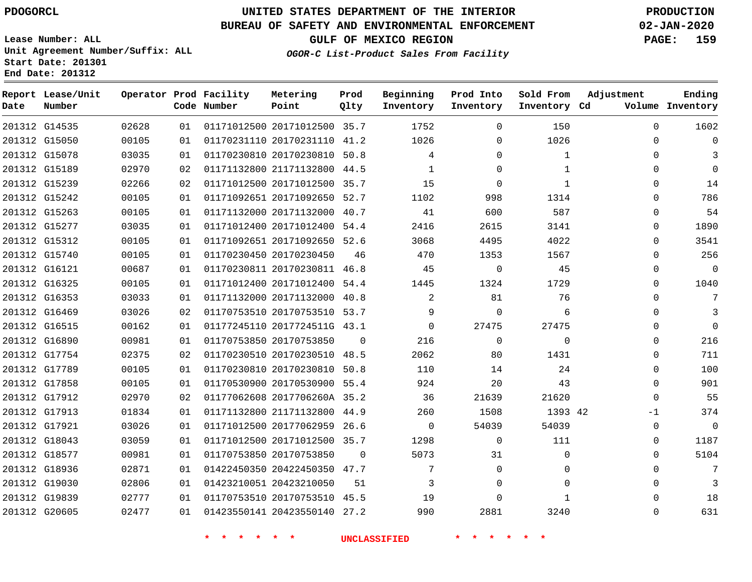### **BUREAU OF SAFETY AND ENVIRONMENTAL ENFORCEMENT 02-JAN-2020**

**Lease Number: ALL Unit Agreement Number/Suffix: ALL Start Date: 201301 End Date: 201312**

**GULF OF MEXICO REGION PAGE: 159**

**OGOR-C List-Product Sales From Facility**

| Date          | Report Lease/Unit<br>Number |       |    | Operator Prod Facility<br>Code Number | Metering<br>Point            | Prod<br>Qlty | Beginning<br>Inventory | Prod Into<br>Inventory | Sold From<br>Inventory Cd | Adjustment  | Ending<br>Volume Inventory |
|---------------|-----------------------------|-------|----|---------------------------------------|------------------------------|--------------|------------------------|------------------------|---------------------------|-------------|----------------------------|
|               | 201312 G14535               | 02628 | 01 |                                       | 01171012500 20171012500 35.7 |              | 1752                   | $\mathbf{0}$           | 150                       | $\mathbf 0$ | 1602                       |
|               | 201312 G15050               | 00105 | 01 |                                       | 01170231110 20170231110 41.2 |              | 1026                   | 0                      | 1026                      | 0           |                            |
|               | 201312 G15078               | 03035 | 01 |                                       | 01170230810 20170230810 50.8 |              | 4                      | $\Omega$               | $\mathbf{1}$              | 0           |                            |
|               | 201312 G15189               | 02970 | 02 |                                       | 01171132800 21171132800 44.5 |              | 1                      | 0                      | $\mathbf{1}$              | 0           | 0                          |
|               | 201312 G15239               | 02266 | 02 |                                       | 01171012500 20171012500 35.7 |              | 15                     | $\Omega$               | $\mathbf{1}$              | 0           | 14                         |
|               | 201312 G15242               | 00105 | 01 |                                       | 01171092651 20171092650 52.7 |              | 1102                   | 998                    | 1314                      | $\Omega$    | 786                        |
|               | 201312 G15263               | 00105 | 01 |                                       | 01171132000 20171132000 40.7 |              | 41                     | 600                    | 587                       | 0           | 54                         |
|               | 201312 G15277               | 03035 | 01 |                                       | 01171012400 20171012400 54.4 |              | 2416                   | 2615                   | 3141                      | 0           | 1890                       |
|               | 201312 G15312               | 00105 | 01 |                                       | 01171092651 20171092650 52.6 |              | 3068                   | 4495                   | 4022                      | $\Omega$    | 3541                       |
|               | 201312 G15740               | 00105 | 01 |                                       | 01170230450 20170230450      | 46           | 470                    | 1353                   | 1567                      | 0           | 256                        |
| 201312 G16121 |                             | 00687 | 01 |                                       | 01170230811 20170230811 46.8 |              | 45                     | $\Omega$               | 45                        | 0           | $\mathbf 0$                |
|               | 201312 G16325               | 00105 | 01 |                                       | 01171012400 20171012400 54.4 |              | 1445                   | 1324                   | 1729                      | $\Omega$    | 1040                       |
|               | 201312 G16353               | 03033 | 01 |                                       | 01171132000 20171132000 40.8 |              | 2                      | 81                     | 76                        | $\Omega$    | 7                          |
|               | 201312 G16469               | 03026 | 02 |                                       | 01170753510 20170753510 53.7 |              | 9                      | $\Omega$               | 6                         | 0           |                            |
|               | 201312 G16515               | 00162 | 01 |                                       | 01177245110 2017724511G 43.1 |              | $\Omega$               | 27475                  | 27475                     | 0           | $\mathbf 0$                |
|               | 201312 G16890               | 00981 | 01 |                                       | 01170753850 20170753850      | $\Omega$     | 216                    | $\mathbf 0$            | 0                         | 0           | 216                        |
|               | 201312 G17754               | 02375 | 02 |                                       | 01170230510 20170230510 48.5 |              | 2062                   | 80                     | 1431                      | $\Omega$    | 711                        |
|               | 201312 G17789               | 00105 | 01 |                                       | 01170230810 20170230810 50.8 |              | 110                    | 14                     | 24                        | 0           | 100                        |
|               | 201312 G17858               | 00105 | 01 |                                       | 01170530900 20170530900 55.4 |              | 924                    | 20                     | 43                        | $\Omega$    | 901                        |
|               | 201312 G17912               | 02970 | 02 |                                       | 01177062608 2017706260A 35.2 |              | 36                     | 21639                  | 21620                     | $\Omega$    | 55                         |
| 201312 G17913 |                             | 01834 | 01 |                                       | 01171132800 21171132800 44.9 |              | 260                    | 1508                   | 1393 42                   | -1          | 374                        |
| 201312 G17921 |                             | 03026 | 01 |                                       | 01171012500 20177062959      | 26.6         | $\Omega$               | 54039                  | 54039                     | $\mathbf 0$ | $\mathbf 0$                |
|               | 201312 G18043               | 03059 | 01 |                                       | 01171012500 20171012500 35.7 |              | 1298                   | $\mathbf 0$            | 111                       | 0           | 1187                       |
|               | 201312 G18577               | 00981 | 01 | 01170753850 20170753850               |                              | $\Omega$     | 5073                   | 31                     | 0                         | 0           | 5104                       |
|               | 201312 G18936               | 02871 | 01 |                                       | 01422450350 20422450350 47.7 |              | 7                      | $\mathbf 0$            | 0                         | $\Omega$    | 7                          |
|               | 201312 G19030               | 02806 | 01 | 01423210051 20423210050               |                              | 51           | 3                      | 0                      | 0                         | $\Omega$    | 3                          |
|               | 201312 G19839               | 02777 | 01 |                                       | 01170753510 20170753510 45.5 |              | 19                     | $\Omega$               | $\mathbf{1}$              | $\Omega$    | 18                         |
|               | 201312 G20605               | 02477 | 01 |                                       | 01423550141 20423550140 27.2 |              | 990                    | 2881                   | 3240                      | $\Omega$    | 631                        |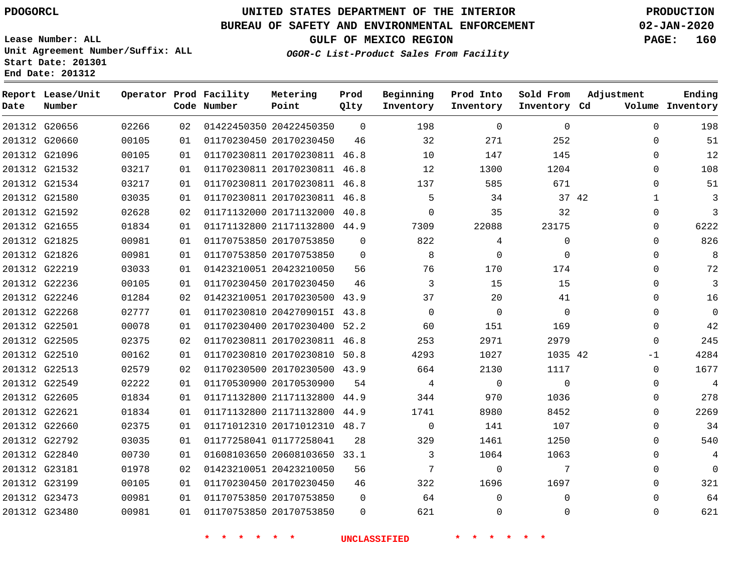G20656 G20660

**Date**

**Report Lease/Unit**

**Number**

 G22840 G23181 G23199 G23473 G23480

## **UNITED STATES DEPARTMENT OF THE INTERIOR PDOGORCL PRODUCTION**

 

**Prod Qlty**

#### **BUREAU OF SAFETY AND ENVIRONMENTAL ENFORCEMENT 02-JAN-2020**

**Lease Number: ALL Unit Agreement Number/Suffix: ALL Start Date: 201301 End Date: 201312**

> 

**Operator Prod Facility**

**Code Number**

 20422450350 20170230450

**Metering Point**

 

**Inventory Cd Volume**

**Adjustment**

  $\Omega$  $\Omega$ 

**GULF OF MEXICO REGION PAGE: 160**

**Ending**

**OGOR-C List-Product Sales From Facility**

**Beginning Inventory**

> 

 

 

**Sold From Inventory**

**Prod Into Inventory**

| 201312 G21096 |               | 00105 | 01 |                         | 01170230811 20170230811 46.8 |          | 10          | 147      | 145         | $\Omega$     |
|---------------|---------------|-------|----|-------------------------|------------------------------|----------|-------------|----------|-------------|--------------|
| 201312 G21532 |               | 03217 | 01 |                         | 01170230811 20170230811 46.8 |          | 12          | 1300     | 1204        | $\Omega$     |
|               | 201312 G21534 | 03217 | 01 |                         | 01170230811 20170230811 46.8 |          | 137         | 585      | 671         | $\Omega$     |
| 201312 G21580 |               | 03035 | 01 |                         | 01170230811 20170230811 46.8 |          | 5           | 34       | 37 42       | $\mathbf{1}$ |
|               | 201312 G21592 | 02628 | 02 |                         | 01171132000 20171132000 40.8 |          | $\Omega$    | 35       | 32          | $\Omega$     |
| 201312 G21655 |               | 01834 | 01 |                         | 01171132800 21171132800 44.9 |          | 7309        | 22088    | 23175       | 0            |
| 201312 G21825 |               | 00981 | 01 | 01170753850 20170753850 |                              | $\Omega$ | 822         | 4        | 0           | $\mathbf 0$  |
| 201312 G21826 |               | 00981 | 01 | 01170753850 20170753850 |                              | $\Omega$ | 8           | $\Omega$ | $\mathbf 0$ | 0            |
| 201312 G22219 |               | 03033 | 01 | 01423210051 20423210050 |                              | 56       | 76          | 170      | 174         | $\mathbf 0$  |
| 201312 G22236 |               | 00105 | 01 | 01170230450 20170230450 |                              | 46       | 3           | 15       | 15          | $\Omega$     |
| 201312 G22246 |               | 01284 | 02 |                         | 01423210051 20170230500 43.9 |          | 37          | 20       | 41          | $\mathbf 0$  |
| 201312 G22268 |               | 02777 | 01 |                         | 01170230810 2042709015I 43.8 |          | $\mathbf 0$ | $\Omega$ | $\mathbf 0$ | $\mathbf 0$  |
| 201312 G22501 |               | 00078 | 01 |                         | 01170230400 20170230400 52.2 |          | 60          | 151      | 169         | 0            |
| 201312 G22505 |               | 02375 | 02 |                         | 01170230811 20170230811      | 46.8     | 253         | 2971     | 2979        | $\Omega$     |
| 201312 G22510 |               | 00162 | 01 |                         | 01170230810 20170230810 50.8 |          | 4293        | 1027     | 1035 42     | $-1$         |
| 201312 G22513 |               | 02579 | 02 |                         | 01170230500 20170230500 43.9 |          | 664         | 2130     | 1117        | $\Omega$     |
| 201312 G22549 |               | 02222 | 01 | 01170530900 20170530900 |                              | 54       | 4           | $\Omega$ | $\Omega$    | $\mathbf 0$  |
| 201312 G22605 |               | 01834 | 01 |                         | 01171132800 21171132800 44.9 |          | 344         | 970      | 1036        | $\mathbf 0$  |
| 201312 G22621 |               | 01834 | 01 |                         | 01171132800 21171132800      | 44.9     | 1741        | 8980     | 8452        | 0            |
| 201312 G22660 |               | 02375 | 01 |                         | 01171012310 20171012310      | 48.7     | $\Omega$    | 141      | 107         | $\mathbf 0$  |
| 201312 G22792 |               | 03035 | 01 | 01177258041 01177258041 |                              | 28       | 329         | 1461     | 1250        | 0            |

20608103650 33.1

 20423210050 20170230450 20170753850

|  |  |  | * * * * * * |  | UNCLASSIFIED |     |  | * * * * * |  |  |
|--|--|--|-------------|--|--------------|-----|--|-----------|--|--|
|  |  |  |             |  |              | 621 |  |           |  |  |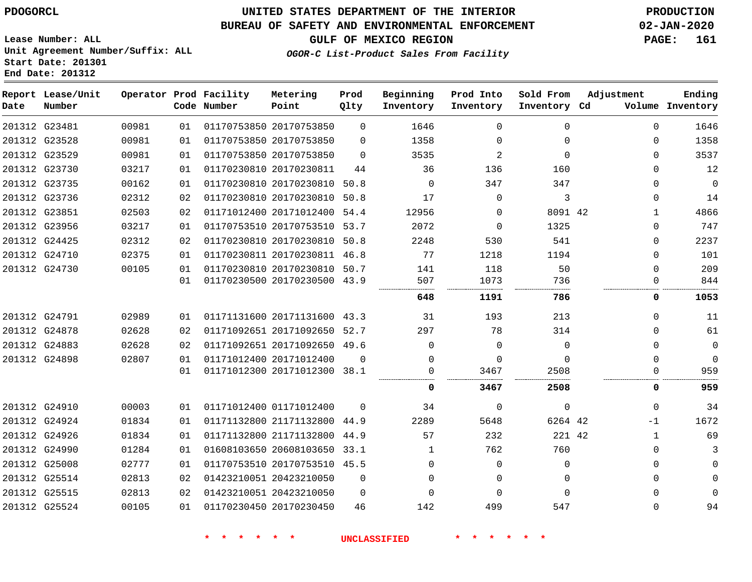**End Date: 201312**

### **UNITED STATES DEPARTMENT OF THE INTERIOR PDOGORCL PRODUCTION**

#### **BUREAU OF SAFETY AND ENVIRONMENTAL ENFORCEMENT 02-JAN-2020**

**Lease Number: ALL Unit Agreement Number/Suffix: ALL Start Date: 201301**

**GULF OF MEXICO REGION PAGE: 161**

**OGOR-C List-Product Sales From Facility**

| Date | Report Lease/Unit<br>Number |       |    | Operator Prod Facility<br>Code Number | Metering<br>Point            | Prod<br>Qlty | Beginning<br>Inventory | Prod Into<br>Inventory | Sold From<br>Inventory Cd | Adjustment   | Ending<br>Volume Inventory |
|------|-----------------------------|-------|----|---------------------------------------|------------------------------|--------------|------------------------|------------------------|---------------------------|--------------|----------------------------|
|      | 201312 G23481               | 00981 | 01 |                                       | 01170753850 20170753850      | $\mathbf 0$  | 1646                   | $\Omega$               | $\Omega$                  | $\Omega$     | 1646                       |
|      | 201312 G23528               | 00981 | 01 |                                       | 01170753850 20170753850      | 0            | 1358                   | $\Omega$               | $\Omega$                  | $\Omega$     | 1358                       |
|      | 201312 G23529               | 00981 | 01 |                                       | 01170753850 20170753850      | $\Omega$     | 3535                   | 2                      | $\Omega$                  | $\Omega$     | 3537                       |
|      | 201312 G23730               | 03217 | 01 |                                       | 01170230810 20170230811      | 44           | 36                     | 136                    | 160                       | $\Omega$     | 12                         |
|      | 201312 G23735               | 00162 | 01 |                                       | 01170230810 20170230810 50.8 |              | 0                      | 347                    | 347                       | 0            | $\mathbf 0$                |
|      | 201312 G23736               | 02312 | 02 |                                       | 01170230810 20170230810 50.8 |              | 17                     | $\Omega$               | 3                         | 0            | 14                         |
|      | 201312 G23851               | 02503 | 02 |                                       | 01171012400 20171012400 54.4 |              | 12956                  | $\Omega$               | 8091 42                   | $\mathbf{1}$ | 4866                       |
|      | 201312 G23956               | 03217 | 01 |                                       | 01170753510 20170753510 53.7 |              | 2072                   | $\Omega$               | 1325                      | 0            | 747                        |
|      | 201312 G24425               | 02312 | 02 |                                       | 01170230810 20170230810      | 50.8         | 2248                   | 530                    | 541                       | 0            | 2237                       |
|      | 201312 G24710               | 02375 | 01 |                                       | 01170230811 20170230811 46.8 |              | 77                     | 1218                   | 1194                      | $\Omega$     | 101                        |
|      | 201312 G24730               | 00105 | 01 |                                       | 01170230810 20170230810 50.7 |              | 141                    | 118                    | 50                        | $\Omega$     | 209                        |
|      |                             |       | 01 |                                       | 01170230500 20170230500 43.9 |              | 507                    | 1073                   | 736                       | $\Omega$     | 844                        |
|      |                             |       |    |                                       |                              |              | 648                    | 1191                   | 786                       | 0            | 1053                       |
|      | 201312 G24791               | 02989 | 01 |                                       | 01171131600 20171131600 43.3 |              | 31                     | 193                    | 213                       | $\Omega$     | 11                         |
|      | 201312 G24878               | 02628 | 02 |                                       | 01171092651 20171092650      | 52.7         | 297                    | 78                     | 314                       | $\Omega$     | 61                         |
|      | 201312 G24883               | 02628 | 02 |                                       | 01171092651 20171092650 49.6 |              | 0                      | $\Omega$               | $\Omega$                  | 0            | 0                          |
|      | 201312 G24898               | 02807 | 01 |                                       | 01171012400 20171012400      | $\Omega$     | $\Omega$               | $\Omega$               | $\Omega$                  | $\Omega$     | $\Omega$                   |
|      |                             |       | 01 |                                       | 01171012300 20171012300 38.1 |              | $\Omega$               | 3467                   | 2508                      | $\Omega$     | 959                        |
|      |                             |       |    |                                       |                              |              | 0                      | 3467                   | 2508                      | 0            | 959                        |
|      | 201312 G24910               | 00003 | 01 |                                       | 01171012400 01171012400      | $\Omega$     | 34                     | $\Omega$               | $\Omega$                  | $\Omega$     | 34                         |
|      | 201312 G24924               | 01834 | 01 |                                       | 01171132800 21171132800 44.9 |              | 2289                   | 5648                   | 6264 42                   | $-1$         | 1672                       |
|      | 201312 G24926               | 01834 | 01 |                                       | 01171132800 21171132800      | 44.9         | 57                     | 232                    | 221 42                    | $\mathbf{1}$ | 69                         |
|      | 201312 G24990               | 01284 | 01 |                                       | 01608103650 20608103650 33.1 |              | 1                      | 762                    | 760                       | $\mathbf 0$  | 3                          |
|      | 201312 G25008               | 02777 | 01 |                                       | 01170753510 20170753510 45.5 |              | $\Omega$               | $\Omega$               | $\Omega$                  | 0            | $\Omega$                   |
|      | 201312 G25514               | 02813 | 02 |                                       | 01423210051 20423210050      | $\Omega$     | $\Omega$               | $\Omega$               | $\Omega$                  | $\Omega$     | $\mathbf 0$                |
|      | 201312 G25515               | 02813 | 02 |                                       | 01423210051 20423210050      | $\Omega$     | $\Omega$               | $\Omega$               | $\Omega$                  | 0            | $\Omega$                   |
|      | 201312 G25524               | 00105 | 01 |                                       | 01170230450 20170230450      | 46           | 142                    | 499                    | 547                       | $\Omega$     | 94                         |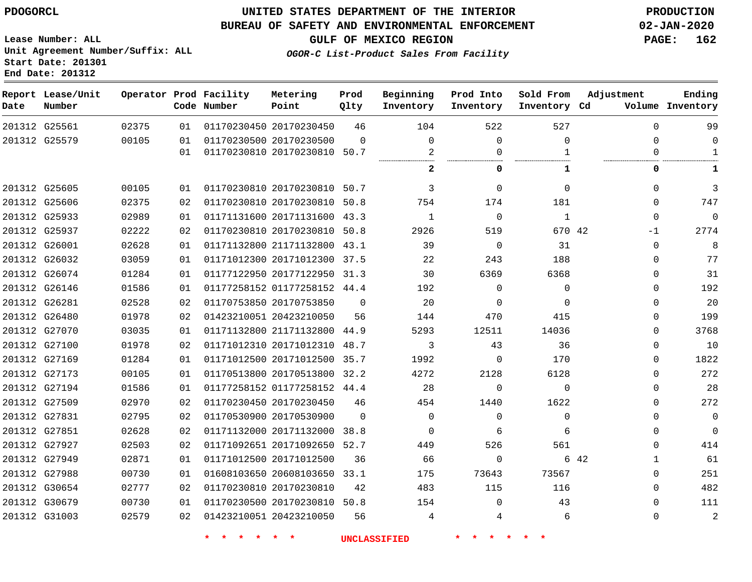**End Date: 201312**

### **UNITED STATES DEPARTMENT OF THE INTERIOR PDOGORCL PRODUCTION**

#### **BUREAU OF SAFETY AND ENVIRONMENTAL ENFORCEMENT 02-JAN-2020**

**Lease Number: ALL Unit Agreement Number/Suffix: ALL Start Date: 201301**

**GULF OF MEXICO REGION PAGE: 162**

**OGOR-C List-Product Sales From Facility**

| Date | Report Lease/Unit<br>Number |       |    | Operator Prod Facility<br>Code Number | Metering<br>Point            | Prod<br>Qlty | Beginning<br>Inventory | Prod Into<br>Inventory | Sold From<br>Inventory Cd | Adjustment   | Ending<br>Volume Inventory |
|------|-----------------------------|-------|----|---------------------------------------|------------------------------|--------------|------------------------|------------------------|---------------------------|--------------|----------------------------|
|      | 201312 G25561               | 02375 | 01 |                                       | 01170230450 20170230450      | 46           | 104                    | 522                    | 527                       | $\Omega$     | 99                         |
|      | 201312 G25579               | 00105 | 01 |                                       | 01170230500 20170230500      | $\Omega$     | $\mathbf 0$            | $\mathbf{0}$           | $\Omega$                  | $\Omega$     | 0                          |
|      |                             |       | 01 |                                       | 01170230810 20170230810 50.7 |              | 2                      | 0                      | $\mathbf{1}$              | $\Omega$     | $\mathbf{1}$               |
|      |                             |       |    |                                       |                              |              | 2                      | 0                      | 1                         | 0            | 1                          |
|      | 201312 G25605               | 00105 | 01 |                                       | 01170230810 20170230810 50.7 |              | 3                      | $\Omega$               | $\Omega$                  | $\Omega$     | 3                          |
|      | 201312 G25606               | 02375 | 02 |                                       | 01170230810 20170230810      | 50.8         | 754                    | 174                    | 181                       | $\Omega$     | 747                        |
|      | 201312 G25933               | 02989 | 01 |                                       | 01171131600 20171131600 43.3 |              | 1                      | $\mathbf 0$            | 1                         | 0            | 0                          |
|      | 201312 G25937               | 02222 | 02 |                                       | 01170230810 20170230810      | 50.8         | 2926                   | 519                    | 670 42                    | -1           | 2774                       |
|      | 201312 G26001               | 02628 | 01 |                                       | 01171132800 21171132800 43.1 |              | 39                     | $\overline{0}$         | 31                        | $\Omega$     | 8                          |
|      | 201312 G26032               | 03059 | 01 |                                       | 01171012300 20171012300 37.5 |              | 22                     | 243                    | 188                       | 0            | 77                         |
|      | 201312 G26074               | 01284 | 01 |                                       | 01177122950 20177122950 31.3 |              | 30                     | 6369                   | 6368                      | $\Omega$     | 31                         |
|      | 201312 G26146               | 01586 | 01 |                                       | 01177258152 01177258152 44.4 |              | 192                    | $\Omega$               | $\Omega$                  | $\Omega$     | 192                        |
|      | 201312 G26281               | 02528 | 02 |                                       | 01170753850 20170753850      | $\Omega$     | 20                     | $\Omega$               | $\Omega$                  | 0            | 20                         |
|      | 201312 G26480               | 01978 | 02 |                                       | 01423210051 20423210050      | 56           | 144                    | 470                    | 415                       | 0            | 199                        |
|      | 201312 G27070               | 03035 | 01 |                                       | 01171132800 21171132800 44.9 |              | 5293                   | 12511                  | 14036                     | $\Omega$     | 3768                       |
|      | 201312 G27100               | 01978 | 02 |                                       | 01171012310 20171012310      | 48.7         | 3                      | 43                     | 36                        | $\Omega$     | 10                         |
|      | 201312 G27169               | 01284 | 01 |                                       | 01171012500 20171012500 35.7 |              | 1992                   | $\mathbf 0$            | 170                       | $\Omega$     | 1822                       |
|      | 201312 G27173               | 00105 | 01 |                                       | 01170513800 20170513800      | 32.2         | 4272                   | 2128                   | 6128                      | $\Omega$     | 272                        |
|      | 201312 G27194               | 01586 | 01 |                                       | 01177258152 01177258152 44.4 |              | 28                     | $\Omega$               | $\Omega$                  | $\Omega$     | 28                         |
|      | 201312 G27509               | 02970 | 02 |                                       | 01170230450 20170230450      | 46           | 454                    | 1440                   | 1622                      | 0            | 272                        |
|      | 201312 G27831               | 02795 | 02 |                                       | 01170530900 20170530900      | $\Omega$     | $\Omega$               | $\mathbf 0$            | $\mathbf 0$               | $\Omega$     | 0                          |
|      | 201312 G27851               | 02628 | 02 |                                       | 01171132000 20171132000      | 38.8         | $\Omega$               | 6                      | 6                         | $\Omega$     | $\mathbf 0$                |
|      | 201312 G27927               | 02503 | 02 |                                       | 01171092651 20171092650 52.7 |              | 449                    | 526                    | 561                       | $\Omega$     | 414                        |
|      | 201312 G27949               | 02871 | 01 |                                       | 01171012500 20171012500      | 36           | 66                     | 0                      |                           | 6 42<br>1    | 61                         |
|      | 201312 G27988               | 00730 | 01 |                                       | 01608103650 20608103650      | 33.1         | 175                    | 73643                  | 73567                     | $\Omega$     | 251                        |
|      | 201312 G30654               | 02777 | 02 |                                       | 01170230810 20170230810      | 42           | 483                    | 115                    | 116                       | $\Omega$     | 482                        |
|      | 201312 G30679               | 00730 | 01 |                                       | 01170230500 20170230810 50.8 |              | 154                    | $\Omega$               | 43                        | $\Omega$     | 111                        |
|      | 201312 G31003               | 02579 | 02 |                                       | 01423210051 20423210050      | 56           | 4                      | 4                      | 6                         | $\mathbf{0}$ | $\overline{c}$             |